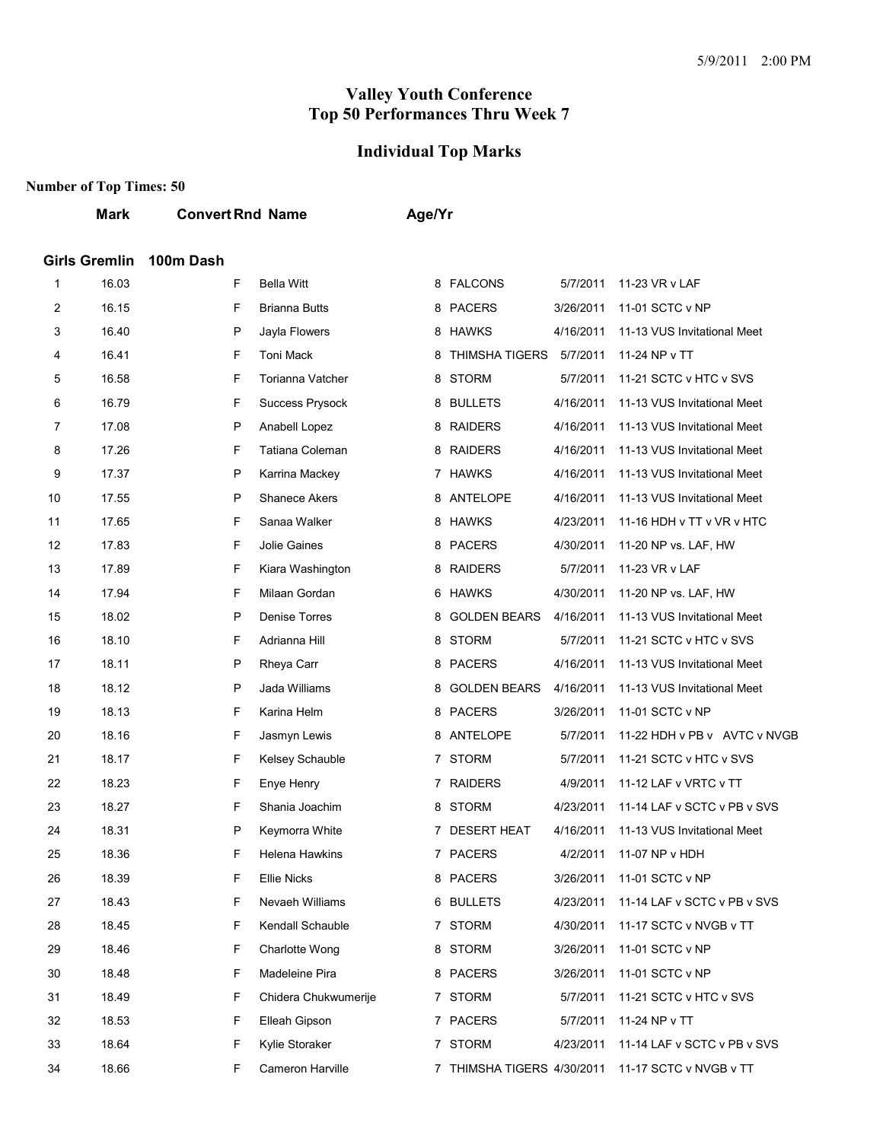#### **Individual Top Marks**

### **Number of Top Times: 50**

#### **Mark Convert Rnd Name Age/Yr**

#### **Girls Gremlin 100m Dash**

| 1  | 16.03 | F | <b>Bella Witt</b>    |   | 8 FALCONS                | 5/7/2011  | 11-23 VR v LAF                        |
|----|-------|---|----------------------|---|--------------------------|-----------|---------------------------------------|
| 2  | 16.15 | F | <b>Brianna Butts</b> |   | 8 PACERS                 | 3/26/2011 | 11-01 SCTC v NP                       |
| 3  | 16.40 | P | Jayla Flowers        |   | 8 HAWKS                  | 4/16/2011 | 11-13 VUS Invitational Meet           |
| 4  | 16.41 | F | Toni Mack            |   | 8 THIMSHA TIGERS         | 5/7/2011  | 11-24 NP v TT                         |
| 5  | 16.58 | F | Torianna Vatcher     |   | 8 STORM                  | 5/7/2011  | 11-21 SCTC v HTC v SVS                |
| 6  | 16.79 | F | Success Prysock      |   | 8 BULLETS                | 4/16/2011 | 11-13 VUS Invitational Meet           |
| 7  | 17.08 | P | Anabell Lopez        |   | 8 RAIDERS                | 4/16/2011 | 11-13 VUS Invitational Meet           |
| 8  | 17.26 | F | Tatiana Coleman      |   | 8 RAIDERS                | 4/16/2011 | 11-13 VUS Invitational Meet           |
| 9  | 17.37 | P | Karrina Mackey       |   | 7 HAWKS                  | 4/16/2011 | 11-13 VUS Invitational Meet           |
| 10 | 17.55 | P | <b>Shanece Akers</b> |   | 8 ANTELOPE               | 4/16/2011 | 11-13 VUS Invitational Meet           |
| 11 | 17.65 | F | Sanaa Walker         |   | 8 HAWKS                  | 4/23/2011 | 11-16 HDH v TT v VR v HTC             |
| 12 | 17.83 | F | Jolie Gaines         |   | 8 PACERS                 | 4/30/2011 | 11-20 NP vs. LAF, HW                  |
| 13 | 17.89 | F | Kiara Washington     |   | 8 RAIDERS                | 5/7/2011  | 11-23 VR v LAF                        |
| 14 | 17.94 | F | Milaan Gordan        |   | 6 HAWKS                  | 4/30/2011 | 11-20 NP vs. LAF, HW                  |
| 15 | 18.02 | P | Denise Torres        |   | 8 GOLDEN BEARS           | 4/16/2011 | 11-13 VUS Invitational Meet           |
| 16 | 18.10 | F | Adrianna Hill        | 8 | <b>STORM</b>             | 5/7/2011  | 11-21 SCTC v HTC v SVS                |
| 17 | 18.11 | P | Rheya Carr           |   | 8 PACERS                 | 4/16/2011 | 11-13 VUS Invitational Meet           |
| 18 | 18.12 | P | Jada Williams        |   | 8 GOLDEN BEARS           | 4/16/2011 | 11-13 VUS Invitational Meet           |
| 19 | 18.13 | F | Karina Helm          |   | 8 PACERS                 | 3/26/2011 | 11-01 SCTC v NP                       |
| 20 | 18.16 | F | Jasmyn Lewis         |   | 8 ANTELOPE               | 5/7/2011  | 11-22 HDH v PB v AVTC v NVGB          |
| 21 | 18.17 | F | Kelsey Schauble      |   | 7 STORM                  | 5/7/2011  | 11-21 SCTC v HTC v SVS                |
| 22 | 18.23 | F | Enye Henry           |   | 7 RAIDERS                | 4/9/2011  | 11-12 LAF v VRTC v TT                 |
| 23 | 18.27 | F | Shania Joachim       |   | 8 STORM                  | 4/23/2011 | 11-14 LAF v SCTC v PB v SVS           |
| 24 | 18.31 | P | Keymorra White       |   | 7 DESERT HEAT            | 4/16/2011 | 11-13 VUS Invitational Meet           |
| 25 | 18.36 | F | Helena Hawkins       |   | 7 PACERS                 | 4/2/2011  | 11-07 NP v HDH                        |
| 26 | 18.39 | F | <b>Ellie Nicks</b>   |   | 8 PACERS                 | 3/26/2011 | 11-01 SCTC v NP                       |
| 27 | 18.43 | F | Nevaeh Williams      |   | 6 BULLETS                |           | 4/23/2011 11-14 LAF v SCTC v PB v SVS |
| 28 | 18.45 | F | Kendall Schauble     |   | 7 STORM                  | 4/30/2011 | 11-17 SCTC v NVGB v TT                |
| 29 | 18.46 | F | Charlotte Wong       |   | 8 STORM                  | 3/26/2011 | 11-01 SCTC v NP                       |
| 30 | 18.48 | F | Madeleine Pira       |   | 8 PACERS                 | 3/26/2011 | 11-01 SCTC v NP                       |
| 31 | 18.49 | F | Chidera Chukwumerije |   | 7 STORM                  | 5/7/2011  | 11-21 SCTC v HTC v SVS                |
| 32 | 18.53 | F | Elleah Gipson        |   | 7 PACERS                 | 5/7/2011  | 11-24 NP v TT                         |
| 33 | 18.64 | F | Kylie Storaker       |   | 7 STORM                  | 4/23/2011 | 11-14 LAF v SCTC v PB v SVS           |
| 34 | 18.66 | F | Cameron Harville     |   | THIMSHA TIGERS 4/30/2011 |           | 11-17 SCTC v NVGB v TT                |
|    |       |   |                      |   |                          |           |                                       |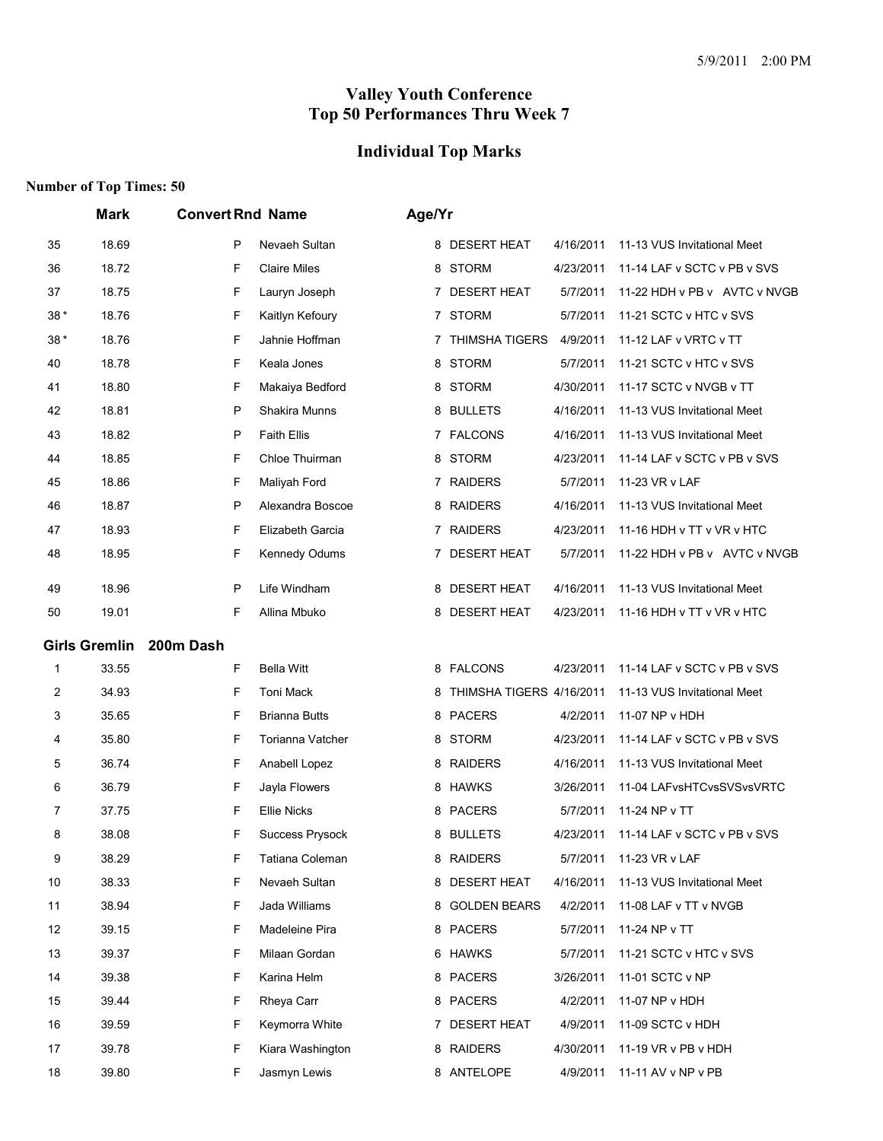# **Individual Top Marks**

|       | <b>Mark</b>          | <b>Convert Rnd Name</b> |                        | Age/Yr |                          |           |                              |
|-------|----------------------|-------------------------|------------------------|--------|--------------------------|-----------|------------------------------|
| 35    | 18.69                | P                       | Nevaeh Sultan          |        | 8 DESERT HEAT            | 4/16/2011 | 11-13 VUS Invitational Meet  |
| 36    | 18.72                | F                       | <b>Claire Miles</b>    | 8      | STORM                    | 4/23/2011 | 11-14 LAF v SCTC v PB v SVS  |
| 37    | 18.75                | F                       | Lauryn Joseph          |        | 7 DESERT HEAT            | 5/7/2011  | 11-22 HDH v PB v AVTC v NVGB |
| $38*$ | 18.76                | F                       | Kaitlyn Kefoury        |        | 7 STORM                  | 5/7/2011  | 11-21 SCTC v HTC v SVS       |
| $38*$ | 18.76                | F                       | Jahnie Hoffman         | 7      | <b>THIMSHA TIGERS</b>    | 4/9/2011  | 11-12 LAF v VRTC v TT        |
| 40    | 18.78                | F                       | Keala Jones            | 8      | <b>STORM</b>             | 5/7/2011  | 11-21 SCTC v HTC v SVS       |
| 41    | 18.80                | F                       | Makaiya Bedford        |        | 8 STORM                  | 4/30/2011 | 11-17 SCTC v NVGB v TT       |
| 42    | 18.81                | P                       | Shakira Munns          |        | 8 BULLETS                | 4/16/2011 | 11-13 VUS Invitational Meet  |
| 43    | 18.82                | P                       | <b>Faith Ellis</b>     |        | 7 FALCONS                | 4/16/2011 | 11-13 VUS Invitational Meet  |
| 44    | 18.85                | F                       | Chloe Thuirman         | 8      | STORM                    | 4/23/2011 | 11-14 LAF v SCTC v PB v SVS  |
| 45    | 18.86                | F                       | Maliyah Ford           |        | 7 RAIDERS                | 5/7/2011  | 11-23 VR v LAF               |
| 46    | 18.87                | P                       | Alexandra Boscoe       |        | 8 RAIDERS                | 4/16/2011 | 11-13 VUS Invitational Meet  |
| 47    | 18.93                | F                       | Elizabeth Garcia       |        | 7 RAIDERS                | 4/23/2011 | 11-16 HDH v TT v VR v HTC    |
| 48    | 18.95                | F                       | Kennedy Odums          | 7      | <b>DESERT HEAT</b>       | 5/7/2011  | 11-22 HDH v PB v AVTC v NVGB |
| 49    | 18.96                | $\mathsf{P}$            | Life Windham           | 8      | <b>DESERT HEAT</b>       | 4/16/2011 | 11-13 VUS Invitational Meet  |
| 50    | 19.01                | F                       | Allina Mbuko           |        | 8 DESERT HEAT            | 4/23/2011 | 11-16 HDH v TT v VR v HTC    |
|       | <b>Girls Gremlin</b> | 200m Dash               |                        |        |                          |           |                              |
| 1     | 33.55                | F                       | <b>Bella Witt</b>      |        | 8 FALCONS                | 4/23/2011 | 11-14 LAF v SCTC v PB v SVS  |
| 2     | 34.93                | F                       | Toni Mack              | 8      | THIMSHA TIGERS 4/16/2011 |           | 11-13 VUS Invitational Meet  |
| 3     | 35.65                | F                       | <b>Brianna Butts</b>   |        | 8 PACERS                 | 4/2/2011  | 11-07 NP v HDH               |
| 4     | 35.80                | F                       | Torianna Vatcher       |        | 8 STORM                  | 4/23/2011 | 11-14 LAF v SCTC v PB v SVS  |
| 5     | 36.74                | F                       | Anabell Lopez          | 8      | <b>RAIDERS</b>           | 4/16/2011 | 11-13 VUS Invitational Meet  |
| 6     | 36.79                | F                       | Jayla Flowers          | 8      | HAWKS                    | 3/26/2011 | 11-04 LAFvsHTCvsSVSvsVRTC    |
| 7     | 37.75                | F                       | <b>Ellie Nicks</b>     |        | 8 PACERS                 | 5/7/2011  | 11-24 NP v TT                |
| 8     | 38.08                | F                       | <b>Success Prysock</b> |        | 8 BULLETS                | 4/23/2011 | 11-14 LAF v SCTC v PB v SVS  |
| 9     | 38.29                | F                       | Tatiana Coleman        |        | 8 RAIDERS                | 5/7/2011  | 11-23 VR v LAF               |
| 10    | 38.33                | F                       | Nevaeh Sultan          |        | 8 DESERT HEAT            | 4/16/2011 | 11-13 VUS Invitational Meet  |
| 11    | 38.94                | F                       | Jada Williams          |        | 8 GOLDEN BEARS           | 4/2/2011  | 11-08 LAF v TT v NVGB        |
| 12    | 39.15                | F                       | Madeleine Pira         |        | 8 PACERS                 | 5/7/2011  | 11-24 NP v TT                |
| 13    | 39.37                | F                       | Milaan Gordan          |        | 6 HAWKS                  | 5/7/2011  | 11-21 SCTC v HTC v SVS       |
| 14    | 39.38                | F                       | Karina Helm            |        | 8 PACERS                 | 3/26/2011 | 11-01 SCTC v NP              |
| 15    | 39.44                | F                       | Rheya Carr             |        | 8 PACERS                 | 4/2/2011  | 11-07 NP v HDH               |
| 16    | 39.59                | F                       | Keymorra White         |        | 7 DESERT HEAT            | 4/9/2011  | 11-09 SCTC v HDH             |
| 17    | 39.78                | F                       | Kiara Washington       |        | 8 RAIDERS                | 4/30/2011 | 11-19 VR v PB v HDH          |
| 18    | 39.80                | F                       | Jasmyn Lewis           |        | 8 ANTELOPE               | 4/9/2011  | 11-11 AV v NP v PB           |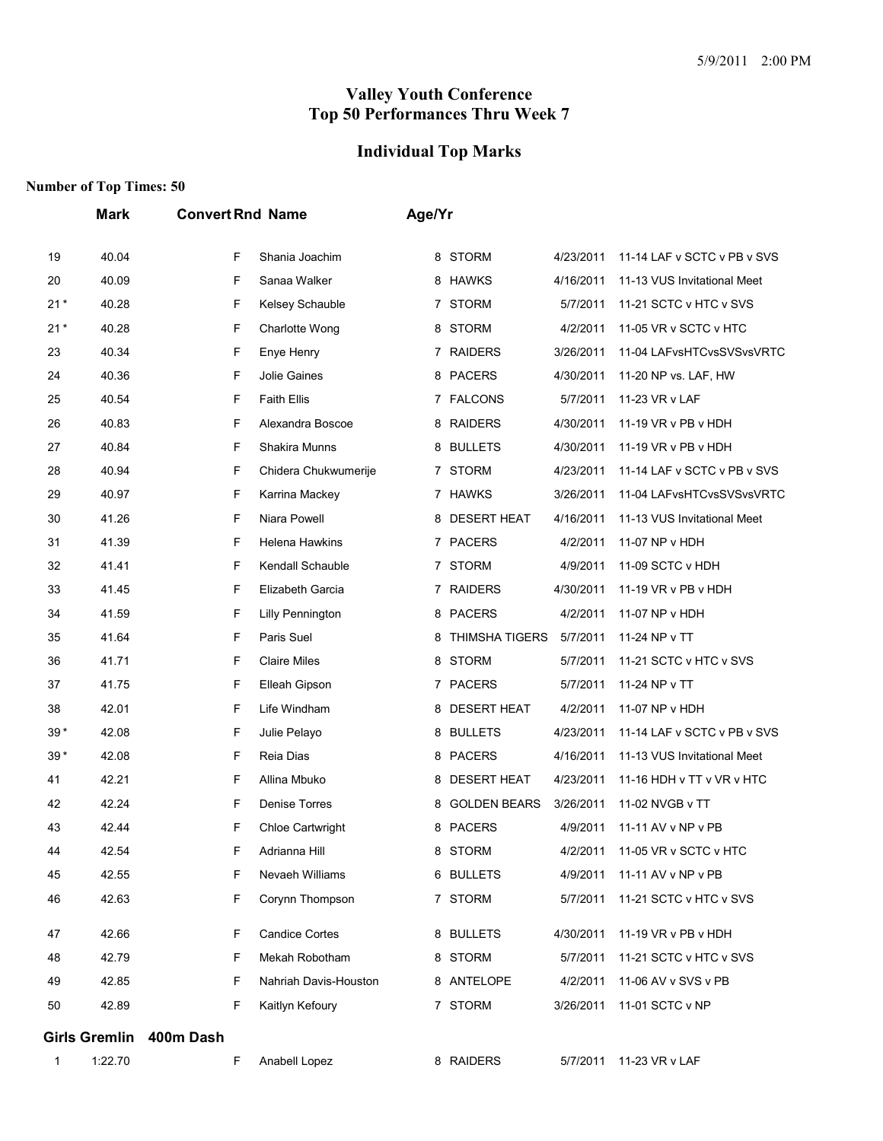## **Individual Top Marks**

|       | <b>Mark</b>          | <b>Convert Rnd Name</b>      | Age/Yr                                                    |  |
|-------|----------------------|------------------------------|-----------------------------------------------------------|--|
| 19    | 40.04                | F<br>Shania Joachim          | 8 STORM<br>4/23/2011<br>11-14 LAF v SCTC v PB v SVS       |  |
| 20    | 40.09                | F<br>Sanaa Walker            | 8 HAWKS<br>4/16/2011<br>11-13 VUS Invitational Meet       |  |
| $21*$ | 40.28                | F<br>Kelsey Schauble         | 7 STORM<br>5/7/2011<br>11-21 SCTC v HTC v SVS             |  |
| $21*$ | 40.28                | F<br>Charlotte Wong          | 8 STORM<br>4/2/2011<br>11-05 VR v SCTC v HTC              |  |
| 23    | 40.34                | F<br>Enye Henry              | 7 RAIDERS<br>3/26/2011<br>11-04 LAFvsHTCvsSVSvsVRTC       |  |
| 24    | 40.36                | F<br>Jolie Gaines            | 8 PACERS<br>4/30/2011<br>11-20 NP vs. LAF, HW             |  |
| 25    | 40.54                | F<br><b>Faith Ellis</b>      | 7 FALCONS<br>5/7/2011<br>11-23 VR v LAF                   |  |
| 26    | 40.83                | F<br>Alexandra Boscoe        | 8 RAIDERS<br>4/30/2011<br>11-19 VR v PB v HDH             |  |
| 27    | 40.84                | F<br>Shakira Munns           | 8 BULLETS<br>4/30/2011<br>11-19 VR v PB v HDH             |  |
| 28    | 40.94                | F<br>Chidera Chukwumerije    | 7 STORM<br>4/23/2011<br>11-14 LAF v SCTC v PB v SVS       |  |
| 29    | 40.97                | F<br>Karrina Mackey          | 7 HAWKS<br>3/26/2011<br>11-04 LAFvsHTCvsSVSvsVRTC         |  |
| 30    | 41.26                | F<br>Niara Powell            | 8 DESERT HEAT<br>4/16/2011<br>11-13 VUS Invitational Meet |  |
| 31    | 41.39                | F<br>Helena Hawkins          | 7 PACERS<br>4/2/2011<br>11-07 NP v HDH                    |  |
| 32    | 41.41                | F<br>Kendall Schauble        | 7 STORM<br>4/9/2011<br>11-09 SCTC v HDH                   |  |
| 33    | 41.45                | F<br>Elizabeth Garcia        | 7 RAIDERS<br>4/30/2011<br>11-19 VR v PB v HDH             |  |
| 34    | 41.59                | F<br>Lilly Pennington        | 8 PACERS<br>4/2/2011<br>11-07 NP v HDH                    |  |
| 35    | 41.64                | F<br>Paris Suel              | <b>THIMSHA TIGERS</b><br>5/7/2011<br>11-24 NP v TT<br>8   |  |
| 36    | 41.71                | F<br><b>Claire Miles</b>     | 8 STORM<br>5/7/2011<br>11-21 SCTC v HTC v SVS             |  |
| 37    | 41.75                | F<br>Elleah Gipson           | 7 PACERS<br>5/7/2011<br>11-24 NP v TT                     |  |
| 38    | 42.01                | F<br>Life Windham            | 8 DESERT HEAT<br>4/2/2011<br>11-07 NP v HDH               |  |
| $39*$ | 42.08                | F<br>Julie Pelayo            | 8 BULLETS<br>4/23/2011<br>11-14 LAF v SCTC v PB v SVS     |  |
| $39*$ | 42.08                | F<br>Reia Dias               | 8 PACERS<br>4/16/2011<br>11-13 VUS Invitational Meet      |  |
| 41    | 42.21                | F<br>Allina Mbuko            | 8 DESERT HEAT<br>4/23/2011<br>11-16 HDH v TT v VR v HTC   |  |
| 42    | 42.24                | F<br>Denise Torres           | <b>GOLDEN BEARS</b><br>3/26/2011<br>11-02 NVGB v TT<br>8  |  |
| 43    | 42.44                | F<br><b>Chloe Cartwright</b> | 8 PACERS<br>4/9/2011<br>11-11 AV v NP v PB                |  |
| 44    | 42.54                | Adrianna Hill<br>F           | 8 STORM<br>11-05 VR v SCTC v HTC<br>4/2/2011              |  |
| 45    | 42.55                | F<br>Nevaeh Williams         | 6 BULLETS<br>4/9/2011<br>11-11 AV v NP v PB               |  |
| 46    | 42.63                | F<br>Corynn Thompson         | 7 STORM<br>11-21 SCTC v HTC v SVS<br>5/7/2011             |  |
| 47    | 42.66                | F<br><b>Candice Cortes</b>   | 8 BULLETS<br>11-19 VR v PB v HDH<br>4/30/2011             |  |
| 48    | 42.79                | Mekah Robotham<br>F          | 8 STORM<br>5/7/2011<br>11-21 SCTC v HTC v SVS             |  |
| 49    | 42.85                | F<br>Nahriah Davis-Houston   | 8 ANTELOPE<br>4/2/2011<br>11-06 AV v SVS v PB             |  |
| 50    | 42.89                | F<br>Kaitlyn Kefoury         | 7 STORM<br>3/26/2011<br>11-01 SCTC v NP                   |  |
|       |                      |                              |                                                           |  |
|       | <b>Girls Gremlin</b> | 400m Dash                    |                                                           |  |
| 1     | 1:22.70              | F<br>Anabell Lopez           | 8 RAIDERS<br>11-23 VR v LAF<br>5/7/2011                   |  |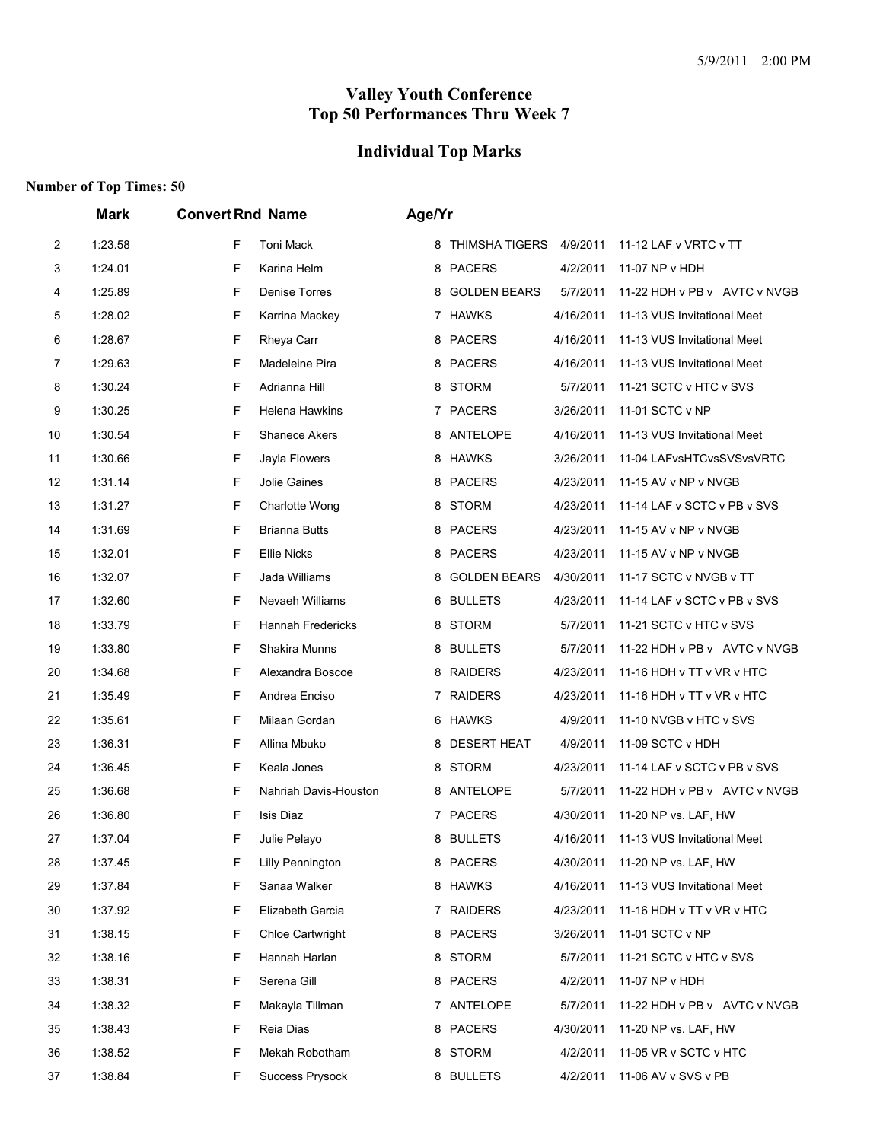## **Individual Top Marks**

|                | <b>Mark</b> | <b>Convert Rnd Name</b>     | Age/Yr                                                     |
|----------------|-------------|-----------------------------|------------------------------------------------------------|
| $\overline{c}$ | 1:23.58     | F<br>Toni Mack              | 8 THIMSHA TIGERS 4/9/2011<br>11-12 LAF v VRTC v TT         |
| 3              | 1:24.01     | F<br>Karina Helm            | 8 PACERS<br>4/2/2011<br>11-07 NP v HDH                     |
| 4              | 1:25.89     | F<br>Denise Torres          | 8 GOLDEN BEARS<br>5/7/2011<br>11-22 HDH v PB v AVTC v NVGB |
| 5              | 1:28.02     | F<br>Karrina Mackey         | 7 HAWKS<br>11-13 VUS Invitational Meet<br>4/16/2011        |
| 6              | 1:28.67     | F<br>Rheya Carr             | 8 PACERS<br>11-13 VUS Invitational Meet<br>4/16/2011       |
| 7              | 1:29.63     | F<br>Madeleine Pira         | 8 PACERS<br>4/16/2011<br>11-13 VUS Invitational Meet       |
| 8              | 1:30.24     | F<br>Adrianna Hill          | 8 STORM<br>5/7/2011<br>11-21 SCTC v HTC v SVS              |
| 9              | 1:30.25     | F<br>Helena Hawkins         | 7 PACERS<br>3/26/2011<br>11-01 SCTC v NP                   |
| 10             | 1:30.54     | F<br>Shanece Akers          | 8 ANTELOPE<br>4/16/2011<br>11-13 VUS Invitational Meet     |
| 11             | 1:30.66     | F<br>Jayla Flowers          | 8 HAWKS<br>3/26/2011<br>11-04 LAFvsHTCvsSVSvsVRTC          |
| 12             | 1:31.14     | F<br>Jolie Gaines           | 8 PACERS<br>4/23/2011<br>11-15 AV v NP v NVGB              |
| 13             | 1:31.27     | F<br>Charlotte Wong         | 8 STORM<br>4/23/2011<br>11-14 LAF v SCTC v PB v SVS        |
| 14             | 1:31.69     | F<br><b>Brianna Butts</b>   | 8 PACERS<br>4/23/2011<br>11-15 AV v NP v NVGB              |
| 15             | 1:32.01     | F<br><b>Ellie Nicks</b>     | 8 PACERS<br>4/23/2011<br>11-15 AV v NP v NVGB              |
| 16             | 1:32.07     | F<br>Jada Williams          | 8 GOLDEN BEARS<br>4/30/2011<br>11-17 SCTC v NVGB v TT      |
| 17             | 1:32.60     | F<br>Nevaeh Williams        | 6 BULLETS<br>4/23/2011<br>11-14 LAF v SCTC v PB v SVS      |
| 18             | 1:33.79     | F<br>Hannah Fredericks      | 8 STORM<br>5/7/2011<br>11-21 SCTC v HTC v SVS              |
| 19             | 1:33.80     | F<br>Shakira Munns          | 8 BULLETS<br>5/7/2011<br>11-22 HDH v PB v AVTC v NVGB      |
| 20             | 1:34.68     | F<br>Alexandra Boscoe       | 8 RAIDERS<br>4/23/2011<br>11-16 HDH v TT v VR v HTC        |
| 21             | 1:35.49     | F<br>Andrea Enciso          | 7 RAIDERS<br>11-16 HDH v TT v VR v HTC<br>4/23/2011        |
| 22             | 1:35.61     | F<br>Milaan Gordan          | 6 HAWKS<br>4/9/2011<br>11-10 NVGB v HTC v SVS              |
| 23             | 1:36.31     | F<br>Allina Mbuko           | 8 DESERT HEAT<br>4/9/2011<br>11-09 SCTC v HDH              |
| 24             | 1:36.45     | F<br>Keala Jones            | 8 STORM<br>4/23/2011<br>11-14 LAF v SCTC v PB v SVS        |
| 25             | 1:36.68     | F<br>Nahriah Davis-Houston  | 8 ANTELOPE<br>5/7/2011<br>11-22 HDH v PB v AVTC v NVGB     |
| 26             | 1:36.80     | F<br>Isis Diaz              | 7 PACERS<br>4/30/2011<br>11-20 NP vs. LAF, HW              |
| 27             | 1:37.04     | F<br>Julie Pelayo           | 8 BULLETS<br>4/16/2011 11-13 VUS Invitational Meet         |
| 28             | 1:37.45     | Lilly Pennington<br>F       | 8 PACERS<br>11-20 NP vs. LAF, HW<br>4/30/2011              |
| 29             | 1:37.84     | F<br>Sanaa Walker           | 8 HAWKS<br>4/16/2011<br>11-13 VUS Invitational Meet        |
| 30             | 1:37.92     | F<br>Elizabeth Garcia       | 7 RAIDERS<br>4/23/2011<br>11-16 HDH v TT v VR v HTC        |
| 31             | 1:38.15     | Chloe Cartwright<br>F       | 8 PACERS<br>3/26/2011<br>11-01 SCTC v NP                   |
| 32             | 1:38.16     | Hannah Harlan<br>F          | 8 STORM<br>5/7/2011<br>11-21 SCTC v HTC v SVS              |
| 33             | 1:38.31     | F<br>Serena Gill            | 8 PACERS<br>4/2/2011<br>11-07 NP v HDH                     |
| 34             | 1:38.32     | F<br>Makayla Tillman        | 7 ANTELOPE<br>5/7/2011<br>11-22 HDH v PB v AVTC v NVGB     |
| 35             | 1:38.43     | Reia Dias<br>F              | 8 PACERS<br>4/30/2011<br>11-20 NP vs. LAF, HW              |
| 36             | 1:38.52     | Mekah Robotham<br>F         | 8 STORM<br>11-05 VR v SCTC v HTC<br>4/2/2011               |
| 37             | 1:38.84     | F<br><b>Success Prysock</b> | 8 BULLETS<br>11-06 AV v SVS v PB<br>4/2/2011               |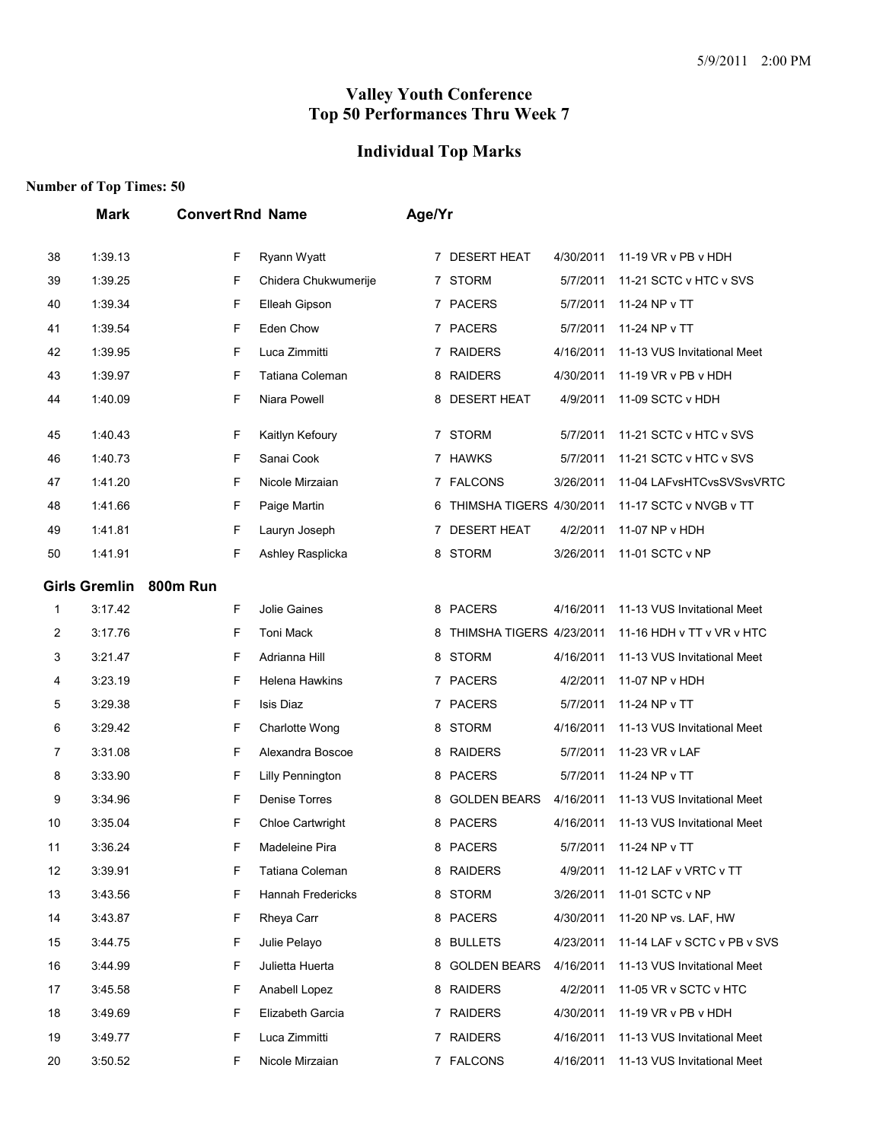# **Individual Top Marks**

|    | Mark                 | <b>Convert Rnd Name</b> |                         | Age/Yr |                            |           |                             |
|----|----------------------|-------------------------|-------------------------|--------|----------------------------|-----------|-----------------------------|
| 38 | 1:39.13              | F                       | Ryann Wyatt             |        | 7 DESERT HEAT              | 4/30/2011 | 11-19 VR v PB v HDH         |
| 39 | 1:39.25              | F                       | Chidera Chukwumerije    |        | 7 STORM                    | 5/7/2011  | 11-21 SCTC v HTC v SVS      |
| 40 | 1:39.34              | F                       | Elleah Gipson           |        | 7 PACERS                   | 5/7/2011  | 11-24 NP v TT               |
| 41 | 1:39.54              | F                       | Eden Chow               |        | 7 PACERS                   | 5/7/2011  | 11-24 NP v TT               |
| 42 | 1:39.95              | F                       | Luca Zimmitti           |        | 7 RAIDERS                  | 4/16/2011 | 11-13 VUS Invitational Meet |
| 43 | 1:39.97              | F                       | Tatiana Coleman         |        | 8 RAIDERS                  | 4/30/2011 | 11-19 VR v PB v HDH         |
| 44 | 1:40.09              | F                       | Niara Powell            |        | 8 DESERT HEAT              | 4/9/2011  | 11-09 SCTC v HDH            |
| 45 | 1:40.43              | F                       | Kaitlyn Kefoury         |        | 7 STORM                    | 5/7/2011  | 11-21 SCTC v HTC v SVS      |
| 46 | 1:40.73              | F                       | Sanai Cook              |        | 7 HAWKS                    | 5/7/2011  | 11-21 SCTC v HTC v SVS      |
| 47 | 1:41.20              | F                       | Nicole Mirzaian         |        | 7 FALCONS                  | 3/26/2011 | 11-04 LAFvsHTCvsSVSvsVRTC   |
| 48 | 1:41.66              | F                       | Paige Martin            |        | 6 THIMSHA TIGERS 4/30/2011 |           | 11-17 SCTC v NVGB v TT      |
| 49 | 1:41.81              | F                       | Lauryn Joseph           |        | 7 DESERT HEAT              | 4/2/2011  | 11-07 NP v HDH              |
| 50 | 1:41.91              | F                       | Ashley Rasplicka        |        | 8 STORM                    | 3/26/2011 | 11-01 SCTC v NP             |
|    | <b>Girls Gremlin</b> | <b>800m Run</b>         |                         |        |                            |           |                             |
| 1  | 3:17.42              | F                       | <b>Jolie Gaines</b>     |        | 8 PACERS                   | 4/16/2011 | 11-13 VUS Invitational Meet |
| 2  | 3:17.76              | F.                      | <b>Toni Mack</b>        |        | 8 THIMSHA TIGERS 4/23/2011 |           | 11-16 HDH v TT v VR v HTC   |
| 3  | 3:21.47              | F.                      | Adrianna Hill           |        | 8 STORM                    | 4/16/2011 | 11-13 VUS Invitational Meet |
| 4  | 3:23.19              | F                       | <b>Helena Hawkins</b>   |        | 7 PACERS                   | 4/2/2011  | 11-07 NP v HDH              |
| 5  | 3:29.38              | F                       | Isis Diaz               |        | 7 PACERS                   | 5/7/2011  | 11-24 NP v TT               |
| 6  | 3:29.42              | F                       | Charlotte Wong          |        | 8 STORM                    | 4/16/2011 | 11-13 VUS Invitational Meet |
| 7  | 3:31.08              | F                       | Alexandra Boscoe        |        | 8 RAIDERS                  | 5/7/2011  | 11-23 VR v LAF              |
| 8  | 3:33.90              | F                       | <b>Lilly Pennington</b> |        | 8 PACERS                   | 5/7/2011  | 11-24 NP v TT               |
| 9  | 3:34.96              | F                       | Denise Torres           |        | 8 GOLDEN BEARS             | 4/16/2011 | 11-13 VUS Invitational Meet |
| 10 | 3:35.04              | F                       | Chloe Cartwright        |        | 8 PACERS                   | 4/16/2011 | 11-13 VUS Invitational Meet |
| 11 | 3:36.24              | F                       | Madeleine Pira          |        | 8 PACERS                   | 5/7/2011  | 11-24 NP v TT               |
| 12 | 3:39.91              | F                       | Tatiana Coleman         |        | 8 RAIDERS                  | 4/9/2011  | 11-12 LAF v VRTC v TT       |
| 13 | 3:43.56              | F.                      | Hannah Fredericks       |        | 8 STORM                    | 3/26/2011 | 11-01 SCTC v NP             |
| 14 | 3:43.87              | F                       | Rheya Carr              |        | 8 PACERS                   | 4/30/2011 | 11-20 NP vs. LAF, HW        |
| 15 | 3:44.75              | F                       | Julie Pelayo            |        | 8 BULLETS                  | 4/23/2011 | 11-14 LAF v SCTC v PB v SVS |
| 16 | 3:44.99              | F                       | Julietta Huerta         |        | 8 GOLDEN BEARS             | 4/16/2011 | 11-13 VUS Invitational Meet |
| 17 | 3:45.58              | F.                      | Anabell Lopez           |        | 8 RAIDERS                  | 4/2/2011  | 11-05 VR v SCTC v HTC       |
| 18 | 3:49.69              | F                       | Elizabeth Garcia        |        | 7 RAIDERS                  | 4/30/2011 | 11-19 VR v PB v HDH         |
| 19 | 3:49.77              | F                       | Luca Zimmitti           |        | 7 RAIDERS                  | 4/16/2011 | 11-13 VUS Invitational Meet |
| 20 | 3:50.52              | F.                      | Nicole Mirzaian         |        | 7 FALCONS                  | 4/16/2011 | 11-13 VUS Invitational Meet |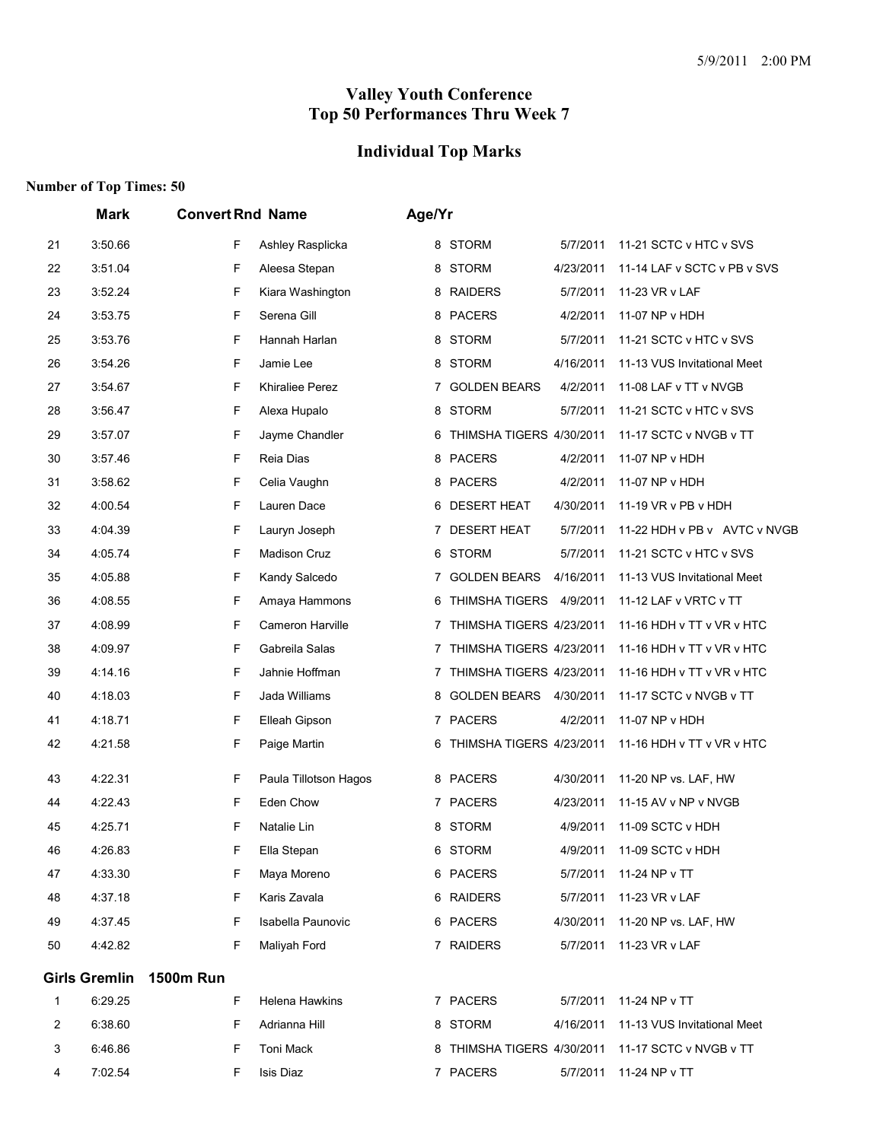## **Individual Top Marks**

|                | Mark                 |                  | <b>Convert Rnd Name</b> |   | Age/Yr                     |           |                              |  |  |
|----------------|----------------------|------------------|-------------------------|---|----------------------------|-----------|------------------------------|--|--|
| 21             | 3:50.66              | F                | Ashley Rasplicka        |   | 8 STORM                    | 5/7/2011  | 11-21 SCTC v HTC v SVS       |  |  |
| 22             | 3:51.04              | F                | Aleesa Stepan           |   | 8 STORM                    | 4/23/2011 | 11-14 LAF v SCTC v PB v SVS  |  |  |
| 23             | 3:52.24              | F                | Kiara Washington        |   | 8 RAIDERS                  | 5/7/2011  | 11-23 VR v LAF               |  |  |
| 24             | 3:53.75              | F                | Serena Gill             | 8 | <b>PACERS</b>              | 4/2/2011  | 11-07 NP v HDH               |  |  |
| 25             | 3:53.76              | F                | Hannah Harlan           |   | 8 STORM                    | 5/7/2011  | 11-21 SCTC v HTC v SVS       |  |  |
| 26             | 3:54.26              | F                | Jamie Lee               |   | 8 STORM                    | 4/16/2011 | 11-13 VUS Invitational Meet  |  |  |
| 27             | 3:54.67              | F                | Khiraliee Perez         | 7 | <b>GOLDEN BEARS</b>        | 4/2/2011  | 11-08 LAF v TT v NVGB        |  |  |
| 28             | 3:56.47              | F                | Alexa Hupalo            | 8 | <b>STORM</b>               | 5/7/2011  | 11-21 SCTC v HTC v SVS       |  |  |
| 29             | 3:57.07              | F                | Jayme Chandler          | 6 | THIMSHA TIGERS 4/30/2011   |           | 11-17 SCTC v NVGB v TT       |  |  |
| 30             | 3:57.46              | F                | Reia Dias               |   | 8 PACERS                   | 4/2/2011  | 11-07 NP v HDH               |  |  |
| 31             | 3:58.62              | F                | Celia Vaughn            |   | 8 PACERS                   | 4/2/2011  | 11-07 NP v HDH               |  |  |
| 32             | 4:00.54              | F                | Lauren Dace             | 6 | <b>DESERT HEAT</b>         | 4/30/2011 | 11-19 VR v PB v HDH          |  |  |
| 33             | 4:04.39              | F                | Lauryn Joseph           |   | 7 DESERT HEAT              | 5/7/2011  | 11-22 HDH v PB v AVTC v NVGB |  |  |
| 34             | 4:05.74              | F                | <b>Madison Cruz</b>     |   | 6 STORM                    | 5/7/2011  | 11-21 SCTC v HTC v SVS       |  |  |
| 35             | 4:05.88              | F                | Kandy Salcedo           | 7 | <b>GOLDEN BEARS</b>        | 4/16/2011 | 11-13 VUS Invitational Meet  |  |  |
| 36             | 4:08.55              | F                | Amaya Hammons           | 6 | THIMSHA TIGERS 4/9/2011    |           | 11-12 LAF v VRTC v TT        |  |  |
| 37             | 4:08.99              | F                | Cameron Harville        |   | 7 THIMSHA TIGERS 4/23/2011 |           | 11-16 HDH v TT v VR v HTC    |  |  |
| 38             | 4:09.97              | F                | Gabreila Salas          | 7 | THIMSHA TIGERS 4/23/2011   |           | 11-16 HDH v TT v VR v HTC    |  |  |
| 39             | 4:14.16              | F                | Jahnie Hoffman          | 7 | THIMSHA TIGERS 4/23/2011   |           | 11-16 HDH v TT v VR v HTC    |  |  |
| 40             | 4:18.03              | F                | Jada Williams           | 8 | <b>GOLDEN BEARS</b>        | 4/30/2011 | 11-17 SCTC v NVGB v TT       |  |  |
| 41             | 4:18.71              | F                | Elleah Gipson           |   | 7 PACERS                   | 4/2/2011  | 11-07 NP v HDH               |  |  |
| 42             | 4:21.58              | F                | Paige Martin            | 6 | THIMSHA TIGERS 4/23/2011   |           | 11-16 HDH v TT v VR v HTC    |  |  |
| 43             | 4:22.31              | F                | Paula Tillotson Hagos   |   | 8 PACERS                   | 4/30/2011 | 11-20 NP vs. LAF, HW         |  |  |
| 44             | 4:22.43              | F                | Eden Chow               |   | 7 PACERS                   | 4/23/2011 | 11-15 AV v NP v NVGB         |  |  |
| 45             | 4:25.71              | F                | Natalie Lin             |   | 8 STORM                    | 4/9/2011  | 11-09 SCTC v HDH             |  |  |
| 46             | 4:26.83              | F                | Ella Stepan             |   | 6 STORM                    | 4/9/2011  | 11-09 SCTC v HDH             |  |  |
| 47             | 4:33.30              | F                | Maya Moreno             |   | 6 PACERS                   | 5/7/2011  | 11-24 NP v TT                |  |  |
| 48             | 4:37.18              | F                | Karis Zavala            |   | 6 RAIDERS                  | 5/7/2011  | 11-23 VR v LAF               |  |  |
| 49             | 4:37.45              | F                | Isabella Paunovic       |   | 6 PACERS                   | 4/30/2011 | 11-20 NP vs. LAF, HW         |  |  |
| 50             | 4:42.82              | F                | Maliyah Ford            |   | 7 RAIDERS                  | 5/7/2011  | 11-23 VR v LAF               |  |  |
|                | <b>Girls Gremlin</b> | <b>1500m Run</b> |                         |   |                            |           |                              |  |  |
| 1              | 6:29.25              | F                | Helena Hawkins          |   | 7 PACERS                   | 5/7/2011  | 11-24 NP v TT                |  |  |
| $\overline{2}$ | 6:38.60              | F                | Adrianna Hill           |   | 8 STORM                    | 4/16/2011 | 11-13 VUS Invitational Meet  |  |  |
| 3              | 6:46.86              | F                | Toni Mack               |   | 8 THIMSHA TIGERS 4/30/2011 |           | 11-17 SCTC v NVGB v TT       |  |  |
| 4              | 7:02.54              | F                | Isis Diaz               |   | 7 PACERS                   | 5/7/2011  | 11-24 NP v TT                |  |  |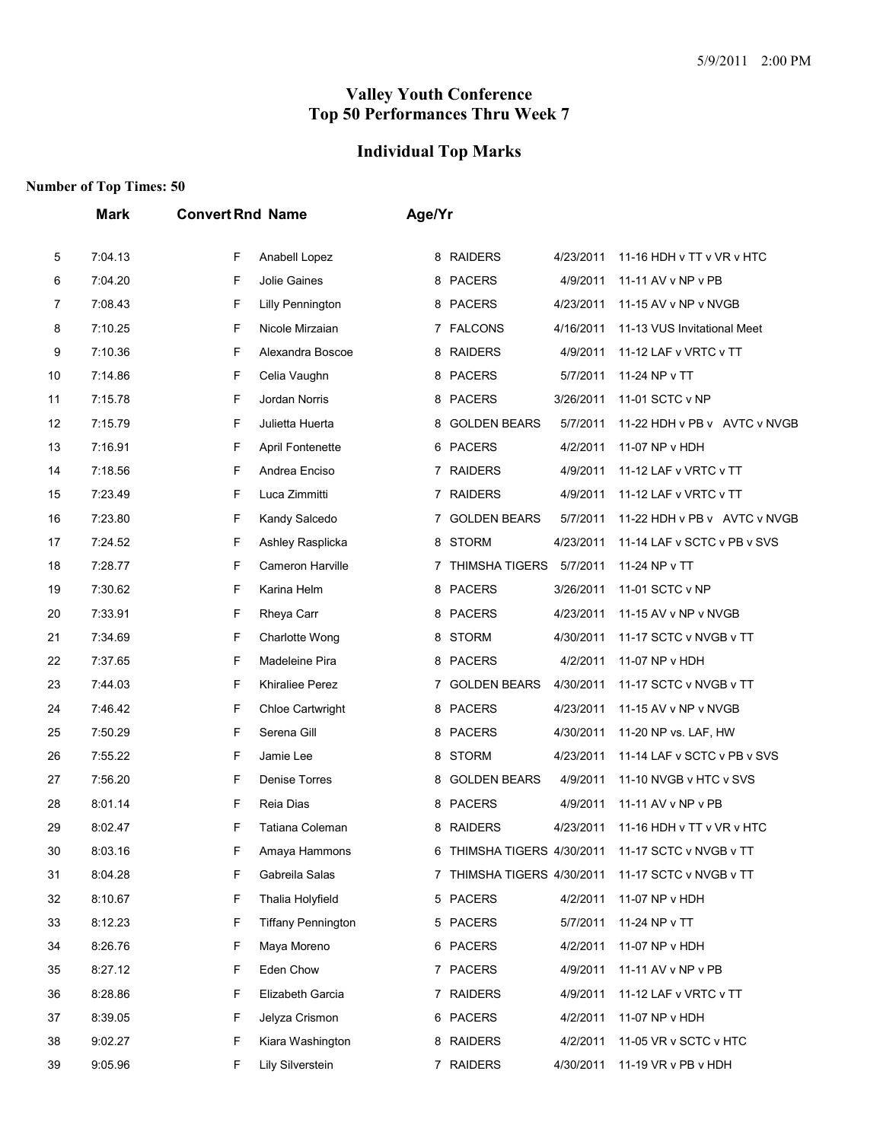# **Individual Top Marks**

|    | <b>Mark</b> | <b>Convert Rnd Name</b>        | Age/Yr                                                               |
|----|-------------|--------------------------------|----------------------------------------------------------------------|
| 5  | 7:04.13     | F<br>Anabell Lopez             | <b>RAIDERS</b><br>4/23/2011<br>11-16 HDH v TT v VR v HTC<br>8        |
| 6  | 7:04.20     | F<br>Jolie Gaines              | 8 PACERS<br>4/9/2011<br>11-11 AV v NP v PB                           |
| 7  | 7:08.43     | F<br><b>Lilly Pennington</b>   | <b>PACERS</b><br>4/23/2011<br>8<br>11-15 AV v NP v NVGB              |
| 8  | 7:10.25     | F<br>Nicole Mirzaian           | 7 FALCONS<br>4/16/2011<br>11-13 VUS Invitational Meet                |
| 9  | 7:10.36     | F<br>Alexandra Boscoe          | <b>RAIDERS</b><br>4/9/2011<br>8<br>11-12 LAF v VRTC v TT             |
| 10 | 7:14.86     | F<br>Celia Vaughn              | <b>PACERS</b><br>5/7/2011<br>11-24 NP v TT<br>8                      |
| 11 | 7:15.78     | F<br>Jordan Norris             | 8 PACERS<br>3/26/2011<br>11-01 SCTC v NP                             |
| 12 | 7:15.79     | $\mathsf F$<br>Julietta Huerta | <b>GOLDEN BEARS</b><br>5/7/2011<br>11-22 HDH v PB v AVTC v NVGB<br>8 |
| 13 | 7:16.91     | F<br><b>April Fontenette</b>   | 6 PACERS<br>4/2/2011<br>11-07 NP v HDH                               |
| 14 | 7:18.56     | F<br>Andrea Enciso             | 7 RAIDERS<br>4/9/2011<br>11-12 LAF v VRTC v TT                       |
| 15 | 7:23.49     | F<br>Luca Zimmitti             | 7 RAIDERS<br>4/9/2011<br>11-12 LAF v VRTC v TT                       |
| 16 | 7:23.80     | F<br>Kandy Salcedo             | <b>GOLDEN BEARS</b><br>5/7/2011<br>11-22 HDH v PB v AVTC v NVGB<br>7 |
| 17 | 7:24.52     | F<br>Ashley Rasplicka          | <b>STORM</b><br>4/23/2011<br>11-14 LAF v SCTC v PB v SVS<br>8        |
| 18 | 7:28.77     | F<br>Cameron Harville          | <b>THIMSHA TIGERS</b><br>5/7/2011<br>11-24 NP v TT<br>7              |
| 19 | 7:30.62     | F<br>Karina Helm               | 8 PACERS<br>3/26/2011<br>11-01 SCTC v NP                             |
| 20 | 7:33.91     | F<br>Rheya Carr                | <b>PACERS</b><br>4/23/2011<br>11-15 AV v NP v NVGB<br>8              |
| 21 | 7:34.69     | F<br>Charlotte Wong            | <b>STORM</b><br>4/30/2011<br>11-17 SCTC v NVGB v TT<br>8             |
| 22 | 7:37.65     | F<br>Madeleine Pira            | 8 PACERS<br>4/2/2011<br>11-07 NP v HDH                               |
| 23 | 7:44.03     | F<br><b>Khiraliee Perez</b>    | <b>GOLDEN BEARS</b><br>4/30/2011<br>11-17 SCTC v NVGB v TT<br>7      |
| 24 | 7:46.42     | F<br>Chloe Cartwright          | <b>PACERS</b><br>4/23/2011<br>8<br>11-15 AV v NP v NVGB              |
| 25 | 7:50.29     | F<br>Serena Gill               | <b>PACERS</b><br>4/30/2011<br>8<br>11-20 NP vs. LAF, HW              |
| 26 | 7:55.22     | F<br>Jamie Lee                 | <b>STORM</b><br>4/23/2011<br>8<br>11-14 LAF v SCTC v PB v SVS        |
| 27 | 7:56.20     | F<br>Denise Torres             | <b>GOLDEN BEARS</b><br>4/9/2011<br>8<br>11-10 NVGB v HTC v SVS       |
| 28 | 8:01.14     | F<br>Reia Dias                 | <b>PACERS</b><br>4/9/2011<br>8<br>11-11 AV v NP v PB                 |
| 29 | 8:02.47     | F<br>Tatiana Coleman           | <b>RAIDERS</b><br>4/23/2011<br>11-16 HDH v TT v VR v HTC<br>8        |
| 30 | 8:03.16     | F<br>Amaya Hammons             | 11-17 SCTC v NVGB v TT<br>6 THIMSHA TIGERS 4/30/2011                 |
| 31 | 8:04.28     | F<br>Gabreila Salas            | 7 THIMSHA TIGERS 4/30/2011<br>11-17 SCTC v NVGB v TT                 |
| 32 | 8:10.67     | F<br>Thalia Holyfield          | <b>PACERS</b><br>4/2/2011<br>11-07 NP v HDH<br>5                     |
| 33 | 8:12.23     | F<br><b>Tiffany Pennington</b> | 5 PACERS<br>5/7/2011<br>11-24 NP v TT                                |
| 34 | 8:26.76     | F<br>Maya Moreno               | 6 PACERS<br>4/2/2011<br>11-07 NP v HDH                               |
| 35 | 8:27.12     | F<br>Eden Chow                 | 7 PACERS<br>4/9/2011<br>11-11 AV v NP v PB                           |
| 36 | 8:28.86     | F<br>Elizabeth Garcia          | 7 RAIDERS<br>4/9/2011<br>11-12 LAF v VRTC v TT                       |
| 37 | 8:39.05     | F<br>Jelyza Crismon            | 6 PACERS<br>4/2/2011<br>11-07 NP v HDH                               |
| 38 | 9:02.27     | F<br>Kiara Washington          | 8 RAIDERS<br>4/2/2011<br>11-05 VR v SCTC v HTC                       |
| 39 | 9:05.96     | F<br>Lily Silverstein          | 7 RAIDERS<br>4/30/2011<br>11-19 VR v PB v HDH                        |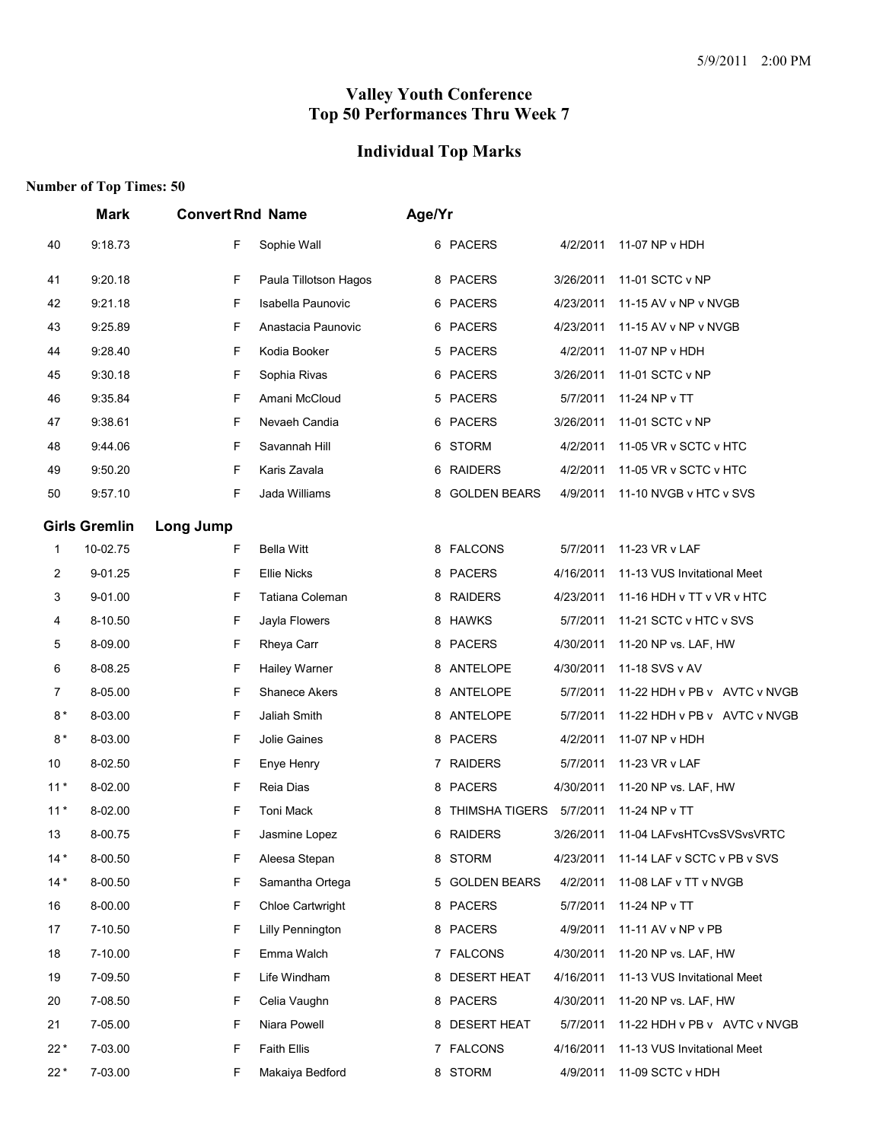# **Individual Top Marks**

|       | Mark                 | <b>Convert Rnd Name</b> |                         | Age/Yr |                           |           |                              |
|-------|----------------------|-------------------------|-------------------------|--------|---------------------------|-----------|------------------------------|
| 40    | 9:18.73              | F                       | Sophie Wall             |        | 6 PACERS                  | 4/2/2011  | 11-07 NP v HDH               |
| 41    | 9:20.18              | F                       | Paula Tillotson Hagos   |        | 8 PACERS                  | 3/26/2011 | 11-01 SCTC v NP              |
| 42    | 9:21.18              | F                       | Isabella Paunovic       |        | 6 PACERS                  | 4/23/2011 | 11-15 AV v NP v NVGB         |
| 43    | 9:25.89              | F                       | Anastacia Paunovic      |        | 6 PACERS                  | 4/23/2011 | 11-15 AV v NP v NVGB         |
| 44    | 9:28.40              | F                       | Kodia Booker            |        | 5 PACERS                  | 4/2/2011  | 11-07 NP v HDH               |
| 45    | 9:30.18              | F                       | Sophia Rivas            |        | 6 PACERS                  | 3/26/2011 | 11-01 SCTC v NP              |
| 46    | 9:35.84              | F                       | Amani McCloud           |        | 5 PACERS                  | 5/7/2011  | 11-24 NP v TT                |
| 47    | 9:38.61              | F                       | Nevaeh Candia           |        | 6 PACERS                  | 3/26/2011 | 11-01 SCTC v NP              |
| 48    | 9:44.06              | F                       | Savannah Hill           |        | 6 STORM                   | 4/2/2011  | 11-05 VR v SCTC v HTC        |
| 49    | 9:50.20              | F                       | Karis Zavala            |        | 6 RAIDERS                 | 4/2/2011  | 11-05 VR v SCTC v HTC        |
| 50    | 9:57.10              | F                       | Jada Williams           |        | 8 GOLDEN BEARS            | 4/9/2011  | 11-10 NVGB v HTC v SVS       |
|       | <b>Girls Gremlin</b> | Long Jump               |                         |        |                           |           |                              |
| 1     | 10-02.75             | F                       | <b>Bella Witt</b>       |        | 8 FALCONS                 | 5/7/2011  | 11-23 VR v LAF               |
| 2     | 9-01.25              | F                       | <b>Ellie Nicks</b>      |        | 8 PACERS                  | 4/16/2011 | 11-13 VUS Invitational Meet  |
| 3     | 9-01.00              | F                       | Tatiana Coleman         |        | 8 RAIDERS                 | 4/23/2011 | 11-16 HDH v TT v VR v HTC    |
| 4     | 8-10.50              | F                       | Jayla Flowers           |        | 8 HAWKS                   | 5/7/2011  | 11-21 SCTC v HTC v SVS       |
| 5     | 8-09.00              | F                       | Rheya Carr              |        | 8 PACERS                  | 4/30/2011 | 11-20 NP vs. LAF, HW         |
| 6     | 8-08.25              | F                       | Hailey Warner           |        | 8 ANTELOPE                | 4/30/2011 | 11-18 SVS v AV               |
| 7     | 8-05.00              | F                       | <b>Shanece Akers</b>    |        | 8 ANTELOPE                | 5/7/2011  | 11-22 HDH v PB v AVTC v NVGB |
| $8*$  | 8-03.00              | F                       | Jaliah Smith            |        | 8 ANTELOPE                | 5/7/2011  | 11-22 HDH v PB v AVTC v NVGB |
| $8*$  | 8-03.00              | F                       | Jolie Gaines            |        | 8 PACERS                  | 4/2/2011  | 11-07 NP v HDH               |
| 10    | 8-02.50              | F                       | Enye Henry              |        | 7 RAIDERS                 | 5/7/2011  | 11-23 VR v LAF               |
| $11*$ | 8-02.00              | F                       | Reia Dias               |        | 8 PACERS                  | 4/30/2011 | 11-20 NP vs. LAF, HW         |
| $11*$ | 8-02.00              | F                       | Toni Mack               |        | 8 THIMSHA TIGERS 5/7/2011 |           | 11-24 NP v TT                |
| 13    | 8-00.75              | F                       | Jasmine Lopez           |        | 6 RAIDERS                 | 3/26/2011 | 11-04 LAFvsHTCvsSVSvsVRTC    |
| $14*$ | 8-00.50              | F                       | Aleesa Stepan           | 8      | <b>STORM</b>              | 4/23/2011 | 11-14 LAF v SCTC v PB v SVS  |
| $14*$ | 8-00.50              | F                       | Samantha Ortega         |        | 5 GOLDEN BEARS            | 4/2/2011  | 11-08 LAF v TT v NVGB        |
| 16    | 8-00.00              | F                       | <b>Chloe Cartwright</b> |        | 8 PACERS                  | 5/7/2011  | 11-24 NP v TT                |
| 17    | 7-10.50              | F                       | Lilly Pennington        |        | 8 PACERS                  | 4/9/2011  | 11-11 AV v NP v PB           |
| 18    | 7-10.00              | F                       | Emma Walch              |        | 7 FALCONS                 | 4/30/2011 | 11-20 NP vs. LAF, HW         |
| 19    | 7-09.50              | F                       | Life Windham            |        | 8 DESERT HEAT             | 4/16/2011 | 11-13 VUS Invitational Meet  |
| 20    | 7-08.50              | F                       | Celia Vaughn            |        | 8 PACERS                  | 4/30/2011 | 11-20 NP vs. LAF, HW         |
| 21    | 7-05.00              | F                       | Niara Powell            |        | 8 DESERT HEAT             | 5/7/2011  | 11-22 HDH v PB v AVTC v NVGB |
| $22*$ | 7-03.00              | F                       | <b>Faith Ellis</b>      |        | 7 FALCONS                 | 4/16/2011 | 11-13 VUS Invitational Meet  |
| $22*$ | 7-03.00              | F                       | Makaiya Bedford         |        | 8 STORM                   | 4/9/2011  | 11-09 SCTC v HDH             |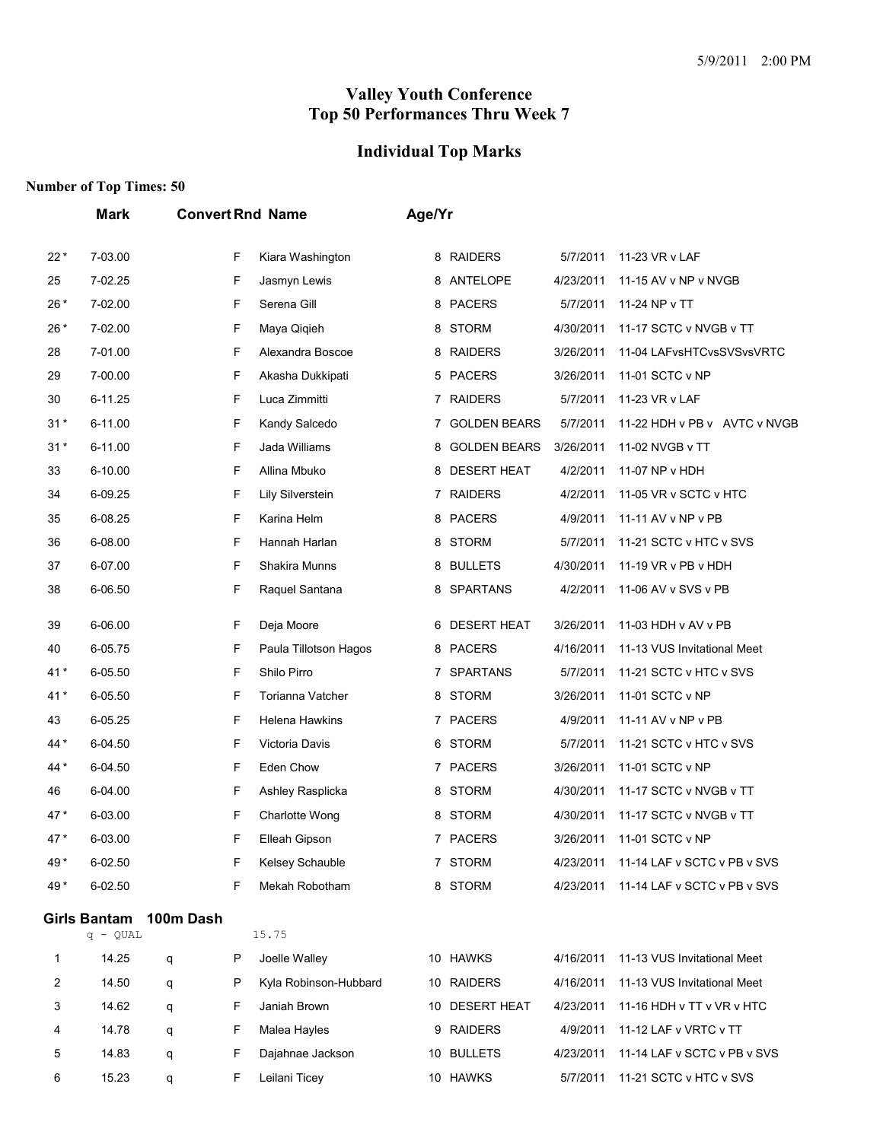## **Individual Top Marks**

|        | <b>Mark</b>                       |           |        | <b>Convert Rnd Name</b>               | Age/Yr |                     |           |                                                          |
|--------|-----------------------------------|-----------|--------|---------------------------------------|--------|---------------------|-----------|----------------------------------------------------------|
| $22*$  | 7-03.00                           |           | F      | Kiara Washington                      | 8      | <b>RAIDERS</b>      | 5/7/2011  | 11-23 VR v LAF                                           |
| 25     | 7-02.25                           |           | F      | Jasmyn Lewis                          | 8      | ANTELOPE            | 4/23/2011 | 11-15 AV v NP v NVGB                                     |
| $26*$  | 7-02.00                           |           | F      | Serena Gill                           | 8      | <b>PACERS</b>       | 5/7/2011  | 11-24 NP v TT                                            |
| $26*$  | 7-02.00                           |           | F      | Maya Qiqieh                           | 8      | <b>STORM</b>        | 4/30/2011 | 11-17 SCTC v NVGB v TT                                   |
| 28     | 7-01.00                           |           | F      | Alexandra Boscoe                      | 8      | <b>RAIDERS</b>      | 3/26/2011 | 11-04 LAFvsHTCvsSVSvsVRTC                                |
| 29     | 7-00.00                           |           | F      | Akasha Dukkipati                      | 5.     | PACERS              | 3/26/2011 | 11-01 SCTC v NP                                          |
| 30     | 6-11.25                           |           | F      | Luca Zimmitti                         |        | 7 RAIDERS           | 5/7/2011  | 11-23 VR v LAF                                           |
| $31*$  | 6-11.00                           |           | F      | Kandy Salcedo                         | 7      | <b>GOLDEN BEARS</b> | 5/7/2011  | 11-22 HDH v PB v AVTC v NVGB                             |
| $31*$  | 6-11.00                           |           | F      | Jada Williams                         | 8      | <b>GOLDEN BEARS</b> | 3/26/2011 | 11-02 NVGB v TT                                          |
| 33     | 6-10.00                           |           | F      | Allina Mbuko                          | 8      | <b>DESERT HEAT</b>  | 4/2/2011  | 11-07 NP v HDH                                           |
| 34     | 6-09.25                           |           | F      | Lily Silverstein                      | 7      | <b>RAIDERS</b>      | 4/2/2011  | 11-05 VR v SCTC v HTC                                    |
| 35     | 6-08.25                           |           | F      | Karina Helm                           | 8      | <b>PACERS</b>       | 4/9/2011  | 11-11 AV v NP v PB                                       |
| 36     | 6-08.00                           |           | F      | Hannah Harlan                         | 8      | <b>STORM</b>        | 5/7/2011  | 11-21 SCTC v HTC v SVS                                   |
| 37     | 6-07.00                           |           | F      | Shakira Munns                         | 8      | <b>BULLETS</b>      | 4/30/2011 | 11-19 VR v PB v HDH                                      |
| 38     | 6-06.50                           |           | F      | Raquel Santana                        | 8      | <b>SPARTANS</b>     | 4/2/2011  | 11-06 AV v SVS v PB                                      |
| 39     | 6-06.00                           |           | F      | Deja Moore                            | 6      | <b>DESERT HEAT</b>  | 3/26/2011 | 11-03 HDH v AV v PB                                      |
| 40     | 6-05.75                           |           | F      | Paula Tillotson Hagos                 | 8      | <b>PACERS</b>       | 4/16/2011 | 11-13 VUS Invitational Meet                              |
| $41*$  | 6-05.50                           |           | F      | Shilo Pirro                           | 7      | <b>SPARTANS</b>     | 5/7/2011  | 11-21 SCTC v HTC v SVS                                   |
| $41*$  | 6-05.50                           |           | F      | Torianna Vatcher                      | 8      | <b>STORM</b>        | 3/26/2011 | 11-01 SCTC v NP                                          |
| 43     | 6-05.25                           |           | F      | Helena Hawkins                        |        | 7 PACERS            | 4/9/2011  | 11-11 AV v NP v PB                                       |
| 44*    | 6-04.50                           |           | F      | Victoria Davis                        | 6      | <b>STORM</b>        | 5/7/2011  | 11-21 SCTC v HTC v SVS                                   |
| 44 *   | 6-04.50                           |           | F      | Eden Chow                             | 7      | <b>PACERS</b>       | 3/26/2011 | 11-01 SCTC v NP                                          |
| 46     | 6-04.00                           |           | F      | Ashley Rasplicka                      | 8      | <b>STORM</b>        | 4/30/2011 | 11-17 SCTC v NVGB v TT                                   |
| 47*    | 6-03.00                           |           | F      | Charlotte Wong                        | 8      | <b>STORM</b>        | 4/30/2011 | 11-17 SCTC v NVGB v TT                                   |
| 47*    | 6-03.00                           |           | F      | Elleah Gipson                         |        | 7 PACERS            | 3/26/2011 | 11-01 SCTC v NP                                          |
| 49*    | 6-02.50                           |           | F      | Kelsey Schauble                       |        | 7 STORM             | 4/23/2011 | 11-14 LAF v SCTC v PB v SVS                              |
| 49*    | 6-02.50                           |           | F      | Mekah Robotham                        |        | 8 STORM             | 4/23/2011 | 11-14 LAF v SCTC v PB v SVS                              |
|        | <b>Girls Bantam</b><br>$q - QUAL$ | 100m Dash |        | 15.75                                 |        |                     |           |                                                          |
| 1      | 14.25                             |           | P      | Joelle Walley                         |        | 10 HAWKS            | 4/16/2011 | 11-13 VUS Invitational Meet                              |
|        |                                   | q         |        |                                       |        | 10 RAIDERS          | 4/16/2011 |                                                          |
| 2<br>3 | 14.50<br>14.62                    | q         | P<br>F | Kyla Robinson-Hubbard<br>Janiah Brown |        | 10 DESERT HEAT      | 4/23/2011 | 11-13 VUS Invitational Meet<br>11-16 HDH v TT v VR v HTC |
|        | 14.78                             | q         | F      | Malea Hayles                          |        | 9 RAIDERS           | 4/9/2011  | 11-12 LAF v VRTC v TT                                    |
| 4<br>5 | 14.83                             | q         | F      | Dajahnae Jackson                      |        | 10 BULLETS          | 4/23/2011 | 11-14 LAF v SCTC v PB v SVS                              |
|        |                                   | q         |        |                                       |        |                     |           |                                                          |
| 6      | 15.23                             | q         | F      | Leilani Ticey                         |        | 10 HAWKS            | 5/7/2011  | 11-21 SCTC v HTC v SVS                                   |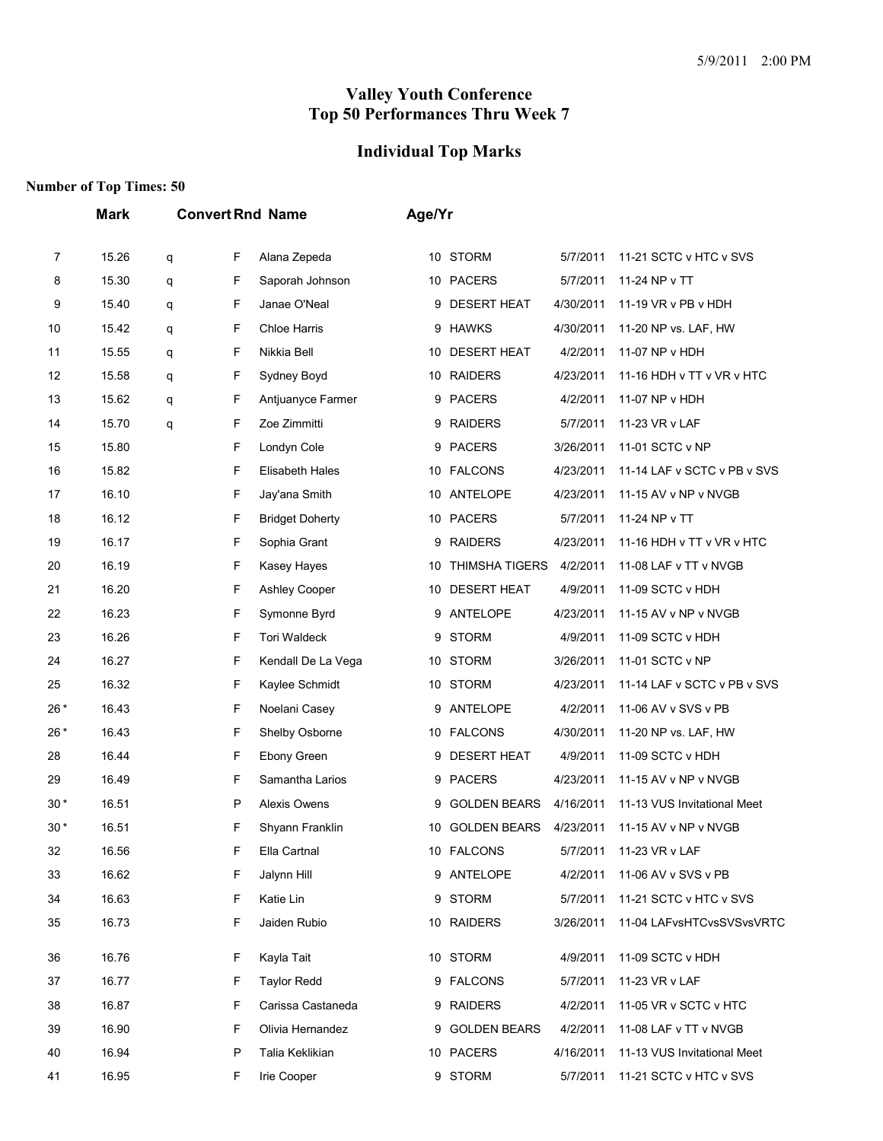# **Individual Top Marks**

|       | <b>Mark</b> |   |   | <b>Convert Rnd Name</b> |    | Age/Yr                |           |                             |  |  |
|-------|-------------|---|---|-------------------------|----|-----------------------|-----------|-----------------------------|--|--|
| 7     | 15.26       | q | F | Alana Zepeda            |    | 10 STORM              | 5/7/2011  | 11-21 SCTC v HTC v SVS      |  |  |
| 8     | 15.30       | q | F | Saporah Johnson         |    | 10 PACERS             | 5/7/2011  | 11-24 NP v TT               |  |  |
| 9     | 15.40       | q | F | Janae O'Neal            | 9  | <b>DESERT HEAT</b>    | 4/30/2011 | 11-19 VR v PB v HDH         |  |  |
| 10    | 15.42       | q | F | <b>Chloe Harris</b>     | 9  | <b>HAWKS</b>          | 4/30/2011 | 11-20 NP vs. LAF, HW        |  |  |
| 11    | 15.55       | q | F | Nikkia Bell             | 10 | <b>DESERT HEAT</b>    | 4/2/2011  | 11-07 NP v HDH              |  |  |
| 12    | 15.58       | q | F | Sydney Boyd             | 10 | <b>RAIDERS</b>        | 4/23/2011 | 11-16 HDH v TT v VR v HTC   |  |  |
| 13    | 15.62       | q | F | Antjuanyce Farmer       | 9  | <b>PACERS</b>         | 4/2/2011  | 11-07 NP v HDH              |  |  |
| 14    | 15.70       | q | F | Zoe Zimmitti            | 9  | <b>RAIDERS</b>        | 5/7/2011  | 11-23 VR v LAF              |  |  |
| 15    | 15.80       |   | F | Londyn Cole             | 9  | <b>PACERS</b>         | 3/26/2011 | 11-01 SCTC v NP             |  |  |
| 16    | 15.82       |   | F | Elisabeth Hales         |    | 10 FALCONS            | 4/23/2011 | 11-14 LAF v SCTC v PB v SVS |  |  |
| 17    | 16.10       |   | F | Jay'ana Smith           | 10 | ANTELOPE              | 4/23/2011 | 11-15 AV v NP v NVGB        |  |  |
| 18    | 16.12       |   | F | <b>Bridget Doherty</b>  | 10 | <b>PACERS</b>         | 5/7/2011  | 11-24 NP v TT               |  |  |
| 19    | 16.17       |   | F | Sophia Grant            | 9  | <b>RAIDERS</b>        | 4/23/2011 | 11-16 HDH v TT v VR v HTC   |  |  |
| 20    | 16.19       |   | F | Kasey Hayes             | 10 | <b>THIMSHA TIGERS</b> | 4/2/2011  | 11-08 LAF v TT v NVGB       |  |  |
| 21    | 16.20       |   | F | <b>Ashley Cooper</b>    | 10 | <b>DESERT HEAT</b>    | 4/9/2011  | 11-09 SCTC v HDH            |  |  |
| 22    | 16.23       |   | F | Symonne Byrd            | 9  | <b>ANTELOPE</b>       | 4/23/2011 | 11-15 AV v NP v NVGB        |  |  |
| 23    | 16.26       |   | F | <b>Tori Waldeck</b>     | 9  | <b>STORM</b>          | 4/9/2011  | 11-09 SCTC v HDH            |  |  |
| 24    | 16.27       |   | F | Kendall De La Vega      |    | 10 STORM              | 3/26/2011 | 11-01 SCTC v NP             |  |  |
| 25    | 16.32       |   | F | Kaylee Schmidt          | 10 | STORM                 | 4/23/2011 | 11-14 LAF v SCTC v PB v SVS |  |  |
| 26*   | 16.43       |   | F | Noelani Casey           | 9  | ANTELOPE              | 4/2/2011  | 11-06 AV v SVS v PB         |  |  |
| 26*   | 16.43       |   | F | Shelby Osborne          | 10 | <b>FALCONS</b>        | 4/30/2011 | 11-20 NP vs. LAF, HW        |  |  |
| 28    | 16.44       |   | F | Ebony Green             | 9  | <b>DESERT HEAT</b>    | 4/9/2011  | 11-09 SCTC v HDH            |  |  |
| 29    | 16.49       |   | F | Samantha Larios         |    | 9 PACERS              | 4/23/2011 | 11-15 AV v NP v NVGB        |  |  |
| $30*$ | 16.51       |   | P | Alexis Owens            | 9  | <b>GOLDEN BEARS</b>   | 4/16/2011 | 11-13 VUS Invitational Meet |  |  |
| 30 *  | 16.51       |   | F | Shyann Franklin         | 10 | <b>GOLDEN BEARS</b>   | 4/23/2011 | 11-15 AV v NP v NVGB        |  |  |
| 32    | 16.56       |   | F | Ella Cartnal            |    | 10 FALCONS            | 5/7/2011  | 11-23 VR v LAF              |  |  |
| 33    | 16.62       |   | F | Jalynn Hill             |    | 9 ANTELOPE            | 4/2/2011  | 11-06 AV v SVS v PB         |  |  |
| 34    | 16.63       |   | F | Katie Lin               |    | 9 STORM               | 5/7/2011  | 11-21 SCTC v HTC v SVS      |  |  |
| 35    | 16.73       |   | F | Jaiden Rubio            |    | 10 RAIDERS            | 3/26/2011 | 11-04 LAFvsHTCvsSVSvsVRTC   |  |  |
| 36    | 16.76       |   | F | Kayla Tait              |    | 10 STORM              | 4/9/2011  | 11-09 SCTC v HDH            |  |  |
| 37    | 16.77       |   | F | <b>Taylor Redd</b>      | 9  | <b>FALCONS</b>        | 5/7/2011  | 11-23 VR v LAF              |  |  |
| 38    | 16.87       |   | F | Carissa Castaneda       |    | 9 RAIDERS             | 4/2/2011  | 11-05 VR v SCTC v HTC       |  |  |
| 39    | 16.90       |   | F | Olivia Hernandez        |    | 9 GOLDEN BEARS        | 4/2/2011  | 11-08 LAF v TT v NVGB       |  |  |
| 40    | 16.94       |   | P | Talia Keklikian         |    | 10 PACERS             | 4/16/2011 | 11-13 VUS Invitational Meet |  |  |
| 41    | 16.95       |   | F | Irie Cooper             |    | 9 STORM               | 5/7/2011  | 11-21 SCTC v HTC v SVS      |  |  |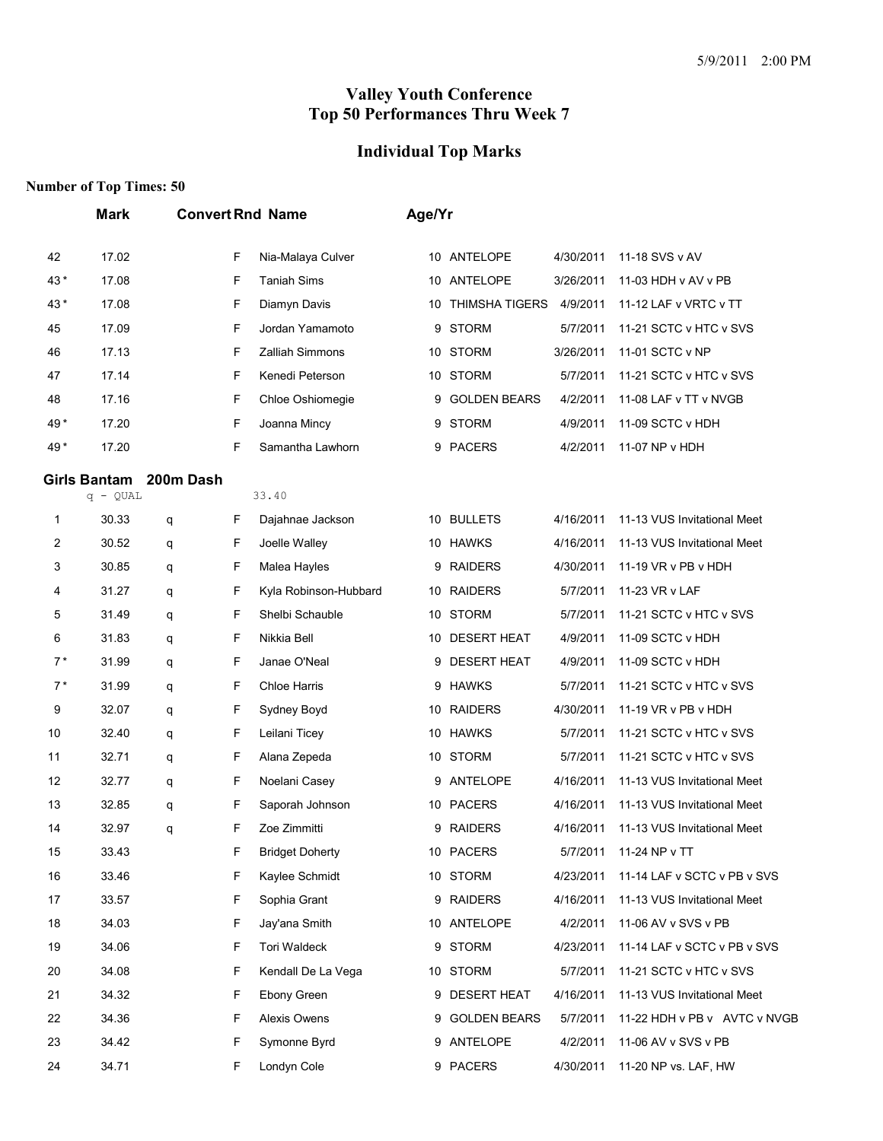## **Individual Top Marks**

|      | <b>Mark</b>                       |           |   | <b>Convert Rnd Name</b> | Age/Yr |                       |           |                              |
|------|-----------------------------------|-----------|---|-------------------------|--------|-----------------------|-----------|------------------------------|
| 42   | 17.02                             |           | F | Nia-Malaya Culver       | 10     | ANTELOPE              | 4/30/2011 | 11-18 SVS v AV               |
| 43*  | 17.08                             |           | F | <b>Taniah Sims</b>      | 10     | ANTELOPE              | 3/26/2011 | 11-03 HDH v AV v PB          |
| 43*  | 17.08                             |           | F | Diamyn Davis            | 10     | <b>THIMSHA TIGERS</b> | 4/9/2011  | 11-12 LAF v VRTC v TT        |
| 45   | 17.09                             |           | F | Jordan Yamamoto         | 9      | <b>STORM</b>          | 5/7/2011  | 11-21 SCTC v HTC v SVS       |
| 46   | 17.13                             |           | F | Zalliah Simmons         | 10     | <b>STORM</b>          | 3/26/2011 | 11-01 SCTC v NP              |
| 47   | 17.14                             |           | F | Kenedi Peterson         | 10     | <b>STORM</b>          | 5/7/2011  | 11-21 SCTC v HTC v SVS       |
| 48   | 17.16                             |           | F | Chloe Oshiomegie        | 9      | <b>GOLDEN BEARS</b>   | 4/2/2011  | 11-08 LAF v TT v NVGB        |
| 49 * | 17.20                             |           | F | Joanna Mincy            | 9      | <b>STORM</b>          | 4/9/2011  | 11-09 SCTC v HDH             |
| 49 * | 17.20                             |           | F | Samantha Lawhorn        | 9      | <b>PACERS</b>         | 4/2/2011  | 11-07 NP v HDH               |
|      | <b>Girls Bantam</b><br>$q - QUAL$ | 200m Dash |   | 33.40                   |        |                       |           |                              |
| 1    | 30.33                             | q         | F | Dajahnae Jackson        |        | 10 BULLETS            | 4/16/2011 | 11-13 VUS Invitational Meet  |
| 2    | 30.52                             | q         | F | Joelle Walley           | 10     | <b>HAWKS</b>          | 4/16/2011 | 11-13 VUS Invitational Meet  |
| 3    | 30.85                             | q         | F | Malea Hayles            | 9      | <b>RAIDERS</b>        | 4/30/2011 | 11-19 VR v PB v HDH          |
| 4    | 31.27                             | q         | F | Kyla Robinson-Hubbard   | 10     | <b>RAIDERS</b>        | 5/7/2011  | 11-23 VR v LAF               |
| 5    | 31.49                             | q         | F | Shelbi Schauble         | 10     | <b>STORM</b>          | 5/7/2011  | 11-21 SCTC v HTC v SVS       |
| 6    | 31.83                             | q         | F | Nikkia Bell             | 10     | <b>DESERT HEAT</b>    | 4/9/2011  | 11-09 SCTC v HDH             |
| $7*$ | 31.99                             | q         | F | Janae O'Neal            | 9      | <b>DESERT HEAT</b>    | 4/9/2011  | 11-09 SCTC v HDH             |
| $7*$ | 31.99                             | q         | F | <b>Chloe Harris</b>     | 9      | <b>HAWKS</b>          | 5/7/2011  | 11-21 SCTC v HTC v SVS       |
| 9    | 32.07                             | q         | F | Sydney Boyd             |        | 10 RAIDERS            | 4/30/2011 | 11-19 VR v PB v HDH          |
| 10   | 32.40                             | q         | F | Leilani Ticey           | 10     | <b>HAWKS</b>          | 5/7/2011  | 11-21 SCTC v HTC v SVS       |
| 11   | 32.71                             | q         | F | Alana Zepeda            | 10     | <b>STORM</b>          | 5/7/2011  | 11-21 SCTC v HTC v SVS       |
| 12   | 32.77                             | q         | F | Noelani Casey           | 9      | ANTELOPE              | 4/16/2011 | 11-13 VUS Invitational Meet  |
| 13   | 32.85                             | q         | F | Saporah Johnson         |        | 10 PACERS             | 4/16/2011 | 11-13 VUS Invitational Meet  |
| 14   | 32.97                             | q         | F | Zoe Zimmitti            | 9      | <b>RAIDERS</b>        | 4/16/2011 | 11-13 VUS Invitational Meet  |
| 15   | 33.43                             |           | F | <b>Bridget Doherty</b>  |        | 10 PACERS             | 5/7/2011  | 11-24 NP v TT                |
| 16   | 33.46                             |           | F | Kaylee Schmidt          |        | 10 STORM              | 4/23/2011 | 11-14 LAF v SCTC v PB v SVS  |
| 17   | 33.57                             |           | F | Sophia Grant            |        | 9 RAIDERS             | 4/16/2011 | 11-13 VUS Invitational Meet  |
| 18   | 34.03                             |           | F | Jay'ana Smith           |        | 10 ANTELOPE           | 4/2/2011  | 11-06 AV v SVS v PB          |
| 19   | 34.06                             |           | F | Tori Waldeck            | 9      | <b>STORM</b>          | 4/23/2011 | 11-14 LAF v SCTC v PB v SVS  |
| 20   | 34.08                             |           | F | Kendall De La Vega      |        | 10 STORM              | 5/7/2011  | 11-21 SCTC v HTC v SVS       |
| 21   | 34.32                             |           | F | Ebony Green             |        | 9 DESERT HEAT         | 4/16/2011 | 11-13 VUS Invitational Meet  |
| 22   | 34.36                             |           | F | Alexis Owens            |        | 9 GOLDEN BEARS        | 5/7/2011  | 11-22 HDH v PB v AVTC v NVGB |
| 23   | 34.42                             |           | F | Symonne Byrd            |        | 9 ANTELOPE            | 4/2/2011  | 11-06 AV v SVS v PB          |
| 24   | 34.71                             |           | F | Londyn Cole             |        | 9 PACERS              | 4/30/2011 | 11-20 NP vs. LAF, HW         |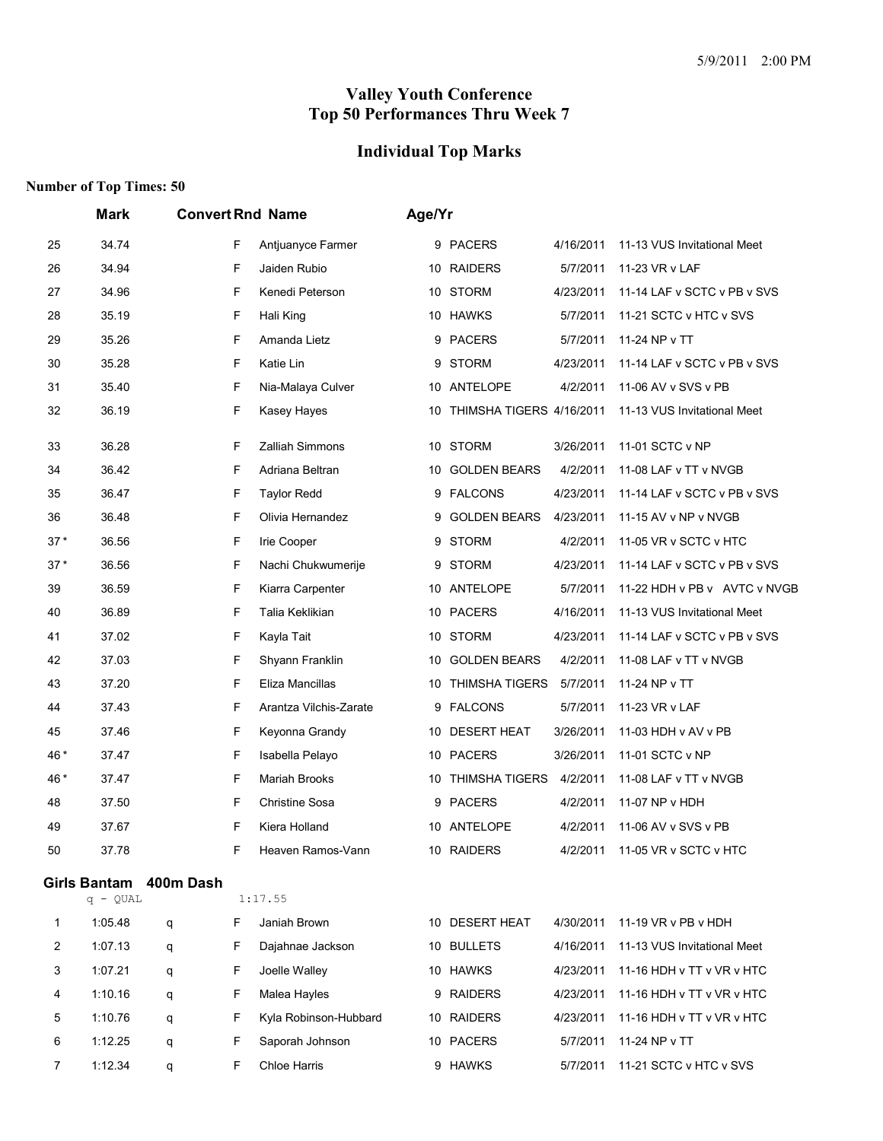# **Individual Top Marks**

|       | Mark       |                        |    | <b>Convert Rnd Name</b> | Age/Yr |                             |           |                              |
|-------|------------|------------------------|----|-------------------------|--------|-----------------------------|-----------|------------------------------|
| 25    | 34.74      |                        | F  | Antjuanyce Farmer       |        | 9 PACERS                    | 4/16/2011 | 11-13 VUS Invitational Meet  |
| 26    | 34.94      |                        | F  | Jaiden Rubio            | 10     | <b>RAIDERS</b>              | 5/7/2011  | 11-23 VR v LAF               |
| 27    | 34.96      |                        | F  | Kenedi Peterson         |        | 10 STORM                    | 4/23/2011 | 11-14 LAF v SCTC v PB v SVS  |
| 28    | 35.19      |                        | F  | Hali King               |        | 10 HAWKS                    | 5/7/2011  | 11-21 SCTC v HTC v SVS       |
| 29    | 35.26      |                        | F  | Amanda Lietz            | 9      | <b>PACERS</b>               | 5/7/2011  | 11-24 NP v TT                |
| 30    | 35.28      |                        | F  | Katie Lin               | 9      | <b>STORM</b>                | 4/23/2011 | 11-14 LAF v SCTC v PB v SVS  |
| 31    | 35.40      |                        | F  | Nia-Malaya Culver       |        | 10 ANTELOPE                 | 4/2/2011  | 11-06 AV v SVS v PB          |
| 32    | 36.19      |                        | F  | Kasey Hayes             |        | 10 THIMSHA TIGERS 4/16/2011 |           | 11-13 VUS Invitational Meet  |
| 33    | 36.28      |                        | F  | <b>Zalliah Simmons</b>  |        | 10 STORM                    | 3/26/2011 | 11-01 SCTC v NP              |
| 34    | 36.42      |                        | F  | Adriana Beltran         | 10     | <b>GOLDEN BEARS</b>         | 4/2/2011  | 11-08 LAF v TT v NVGB        |
| 35    | 36.47      |                        | F  | <b>Taylor Redd</b>      | 9      | <b>FALCONS</b>              | 4/23/2011 | 11-14 LAF v SCTC v PB v SVS  |
| 36    | 36.48      |                        | F  | Olivia Hernandez        | 9      | <b>GOLDEN BEARS</b>         | 4/23/2011 | 11-15 AV v NP v NVGB         |
| $37*$ | 36.56      |                        | F  | Irie Cooper             | 9      | <b>STORM</b>                | 4/2/2011  | 11-05 VR v SCTC v HTC        |
| $37*$ | 36.56      |                        | F  | Nachi Chukwumerije      | 9      | STORM                       | 4/23/2011 | 11-14 LAF v SCTC v PB v SVS  |
| 39    | 36.59      |                        | F  | Kiarra Carpenter        |        | 10 ANTELOPE                 | 5/7/2011  | 11-22 HDH v PB v AVTC v NVGB |
| 40    | 36.89      |                        | F  | Talia Keklikian         | 10     | <b>PACERS</b>               | 4/16/2011 | 11-13 VUS Invitational Meet  |
| 41    | 37.02      |                        | F  | Kayla Tait              |        | 10 STORM                    | 4/23/2011 | 11-14 LAF v SCTC v PB v SVS  |
| 42    | 37.03      |                        | F  | Shyann Franklin         | 10     | <b>GOLDEN BEARS</b>         | 4/2/2011  | 11-08 LAF v TT v NVGB        |
| 43    | 37.20      |                        | F  | Eliza Mancillas         | 10     | <b>THIMSHA TIGERS</b>       | 5/7/2011  | 11-24 NP v TT                |
| 44    | 37.43      |                        | F  | Arantza Vilchis-Zarate  | 9      | <b>FALCONS</b>              | 5/7/2011  | 11-23 VR v LAF               |
| 45    | 37.46      |                        | F  | Keyonna Grandy          |        | 10 DESERT HEAT              | 3/26/2011 | 11-03 HDH v AV v PB          |
| 46*   | 37.47      |                        | F  | Isabella Pelayo         |        | 10 PACERS                   | 3/26/2011 | 11-01 SCTC v NP              |
| 46*   | 37.47      |                        | F  | <b>Mariah Brooks</b>    | 10     | <b>THIMSHA TIGERS</b>       | 4/2/2011  | 11-08 LAF v TT v NVGB        |
| 48    | 37.50      |                        | F  | <b>Christine Sosa</b>   | 9      | <b>PACERS</b>               | 4/2/2011  | 11-07 NP v HDH               |
| 49    | 37.67      |                        | F  | Kiera Holland           |        | 10 ANTELOPE                 | 4/2/2011  | 11-06 AV v SVS v PB          |
| 50    | 37.78      |                        | F  | Heaven Ramos-Vann       | 10     | <b>RAIDERS</b>              | 4/2/2011  | 11-05 VR v SCTC v HTC        |
|       | $q - QUAL$ | Girls Bantam 400m Dash |    | 1:17.55                 |        |                             |           |                              |
| 1     | 1:05.48    | q                      | F. | Janiah Brown            |        | 10 DESERT HEAT              | 4/30/2011 | 11-19 VR v PB v HDH          |
| 2     | 1:07.13    | q                      | F  | Dajahnae Jackson        |        | 10 BULLETS                  | 4/16/2011 | 11-13 VUS Invitational Meet  |
| 3     | 1:07.21    | q                      | F. | Joelle Walley           |        | 10 HAWKS                    | 4/23/2011 | 11-16 HDH v TT v VR v HTC    |
| 4     | 1:10.16    | q                      | F. | Malea Hayles            |        | 9 RAIDERS                   | 4/23/2011 | 11-16 HDH v TT v VR v HTC    |
| 5     | 1:10.76    | q                      | F  | Kyla Robinson-Hubbard   |        | 10 RAIDERS                  | 4/23/2011 | 11-16 HDH v TT v VR v HTC    |
| 6     | 1:12.25    | q                      | F. | Saporah Johnson         |        | 10 PACERS                   | 5/7/2011  | 11-24 NP v TT                |
| 7     | 1:12.34    | q                      | F. | Chloe Harris            |        | 9 HAWKS                     | 5/7/2011  | 11-21 SCTC v HTC v SVS       |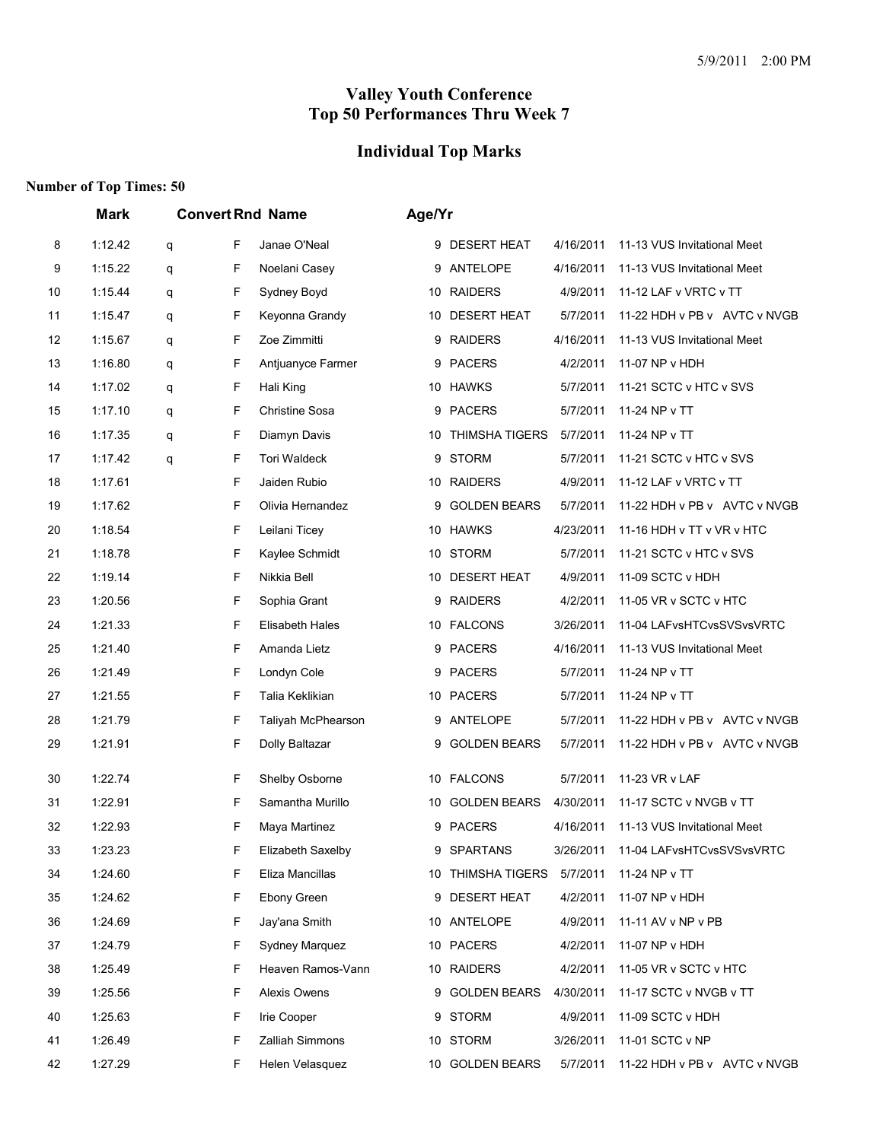# **Individual Top Marks**

|    | <b>Mark</b> |   |   | <b>Convert Rnd Name</b> | Age/Yr |                            |           |                              |
|----|-------------|---|---|-------------------------|--------|----------------------------|-----------|------------------------------|
| 8  | 1:12.42     | q | F | Janae O'Neal            |        | 9 DESERT HEAT              | 4/16/2011 | 11-13 VUS Invitational Meet  |
| 9  | 1:15.22     | q | F | Noelani Casey           | 9      | ANTELOPE                   | 4/16/2011 | 11-13 VUS Invitational Meet  |
| 10 | 1:15.44     | q | F | Sydney Boyd             |        | 10 RAIDERS                 | 4/9/2011  | 11-12 LAF v VRTC v TT        |
| 11 | 1:15.47     | q | F | Keyonna Grandy          |        | 10 DESERT HEAT             | 5/7/2011  | 11-22 HDH v PB v AVTC v NVGB |
| 12 | 1:15.67     | q | F | Zoe Zimmitti            | 9      | <b>RAIDERS</b>             | 4/16/2011 | 11-13 VUS Invitational Meet  |
| 13 | 1:16.80     | q | F | Antjuanyce Farmer       | 9      | <b>PACERS</b>              | 4/2/2011  | 11-07 NP v HDH               |
| 14 | 1:17.02     | q | F | Hali King               |        | 10 HAWKS                   | 5/7/2011  | 11-21 SCTC v HTC v SVS       |
| 15 | 1:17.10     | q | F | <b>Christine Sosa</b>   |        | 9 PACERS                   | 5/7/2011  | 11-24 NP v TT                |
| 16 | 1:17.35     | q | F | Diamyn Davis            |        | 10 THIMSHA TIGERS          | 5/7/2011  | 11-24 NP v TT                |
| 17 | 1:17.42     | q | F | <b>Tori Waldeck</b>     | 9      | <b>STORM</b>               | 5/7/2011  | 11-21 SCTC v HTC v SVS       |
| 18 | 1:17.61     |   | F | Jaiden Rubio            |        | 10 RAIDERS                 | 4/9/2011  | 11-12 LAF v VRTC v TT        |
| 19 | 1:17.62     |   | F | Olivia Hernandez        | 9      | <b>GOLDEN BEARS</b>        | 5/7/2011  | 11-22 HDH v PB v AVTC v NVGB |
| 20 | 1:18.54     |   | F | Leilani Ticey           |        | 10 HAWKS                   | 4/23/2011 | 11-16 HDH v TT v VR v HTC    |
| 21 | 1:18.78     |   | F | Kaylee Schmidt          | 10     | <b>STORM</b>               | 5/7/2011  | 11-21 SCTC v HTC v SVS       |
| 22 | 1:19.14     |   | F | Nikkia Bell             |        | 10 DESERT HEAT             | 4/9/2011  | 11-09 SCTC v HDH             |
| 23 | 1:20.56     |   | F | Sophia Grant            | 9      | <b>RAIDERS</b>             | 4/2/2011  | 11-05 VR v SCTC v HTC        |
| 24 | 1:21.33     |   | F | <b>Elisabeth Hales</b>  |        | 10 FALCONS                 | 3/26/2011 | 11-04 LAFvsHTCvsSVSvsVRTC    |
| 25 | 1:21.40     |   | F | Amanda Lietz            |        | 9 PACERS                   | 4/16/2011 | 11-13 VUS Invitational Meet  |
| 26 | 1:21.49     |   | F | Londyn Cole             |        | 9 PACERS                   | 5/7/2011  | 11-24 NP v TT                |
| 27 | 1:21.55     |   | F | Talia Keklikian         |        | 10 PACERS                  | 5/7/2011  | 11-24 NP v TT                |
| 28 | 1:21.79     |   | F | Taliyah McPhearson      |        | 9 ANTELOPE                 | 5/7/2011  | 11-22 HDH v PB v AVTC v NVGB |
| 29 | 1:21.91     |   | F | Dolly Baltazar          | 9      | <b>GOLDEN BEARS</b>        | 5/7/2011  | 11-22 HDH v PB v AVTC v NVGB |
| 30 | 1:22.74     |   | F | Shelby Osborne          |        | 10 FALCONS                 | 5/7/2011  | 11-23 VR v LAF               |
| 31 | 1:22.91     |   | F | Samantha Murillo        | 10     | <b>GOLDEN BEARS</b>        | 4/30/2011 | 11-17 SCTC v NVGB v TT       |
| 32 | 1:22.93     |   | F | Maya Martinez           |        | 9 PACERS                   | 4/16/2011 | 11-13 VUS Invitational Meet  |
| 33 | 1:23.23     |   | F | Elizabeth Saxelby       | 9      | <b>SPARTANS</b>            | 3/26/2011 | 11-04 LAFvsHTCvsSVSvsVRTC    |
| 34 | 1:24.60     |   | F | Eliza Mancillas         |        | 10 THIMSHA TIGERS 5/7/2011 |           | 11-24 NP v TT                |
| 35 | 1:24.62     |   | F | Ebony Green             |        | 9 DESERT HEAT              | 4/2/2011  | 11-07 NP v HDH               |
| 36 | 1:24.69     |   | F | Jay'ana Smith           |        | 10 ANTELOPE                | 4/9/2011  | 11-11 AV v NP v PB           |
| 37 | 1:24.79     |   | F | Sydney Marquez          |        | 10 PACERS                  | 4/2/2011  | 11-07 NP v HDH               |
| 38 | 1:25.49     |   | F | Heaven Ramos-Vann       |        | 10 RAIDERS                 | 4/2/2011  | 11-05 VR v SCTC v HTC        |
| 39 | 1:25.56     |   | F | Alexis Owens            |        | 9 GOLDEN BEARS             | 4/30/2011 | 11-17 SCTC v NVGB v TT       |
| 40 | 1:25.63     |   | F | Irie Cooper             |        | 9 STORM                    | 4/9/2011  | 11-09 SCTC v HDH             |
| 41 | 1:26.49     |   | F | <b>Zalliah Simmons</b>  |        | 10 STORM                   | 3/26/2011 | 11-01 SCTC v NP              |
| 42 | 1:27.29     |   | F | Helen Velasquez         |        | 10 GOLDEN BEARS            | 5/7/2011  | 11-22 HDH v PB v AVTC v NVGB |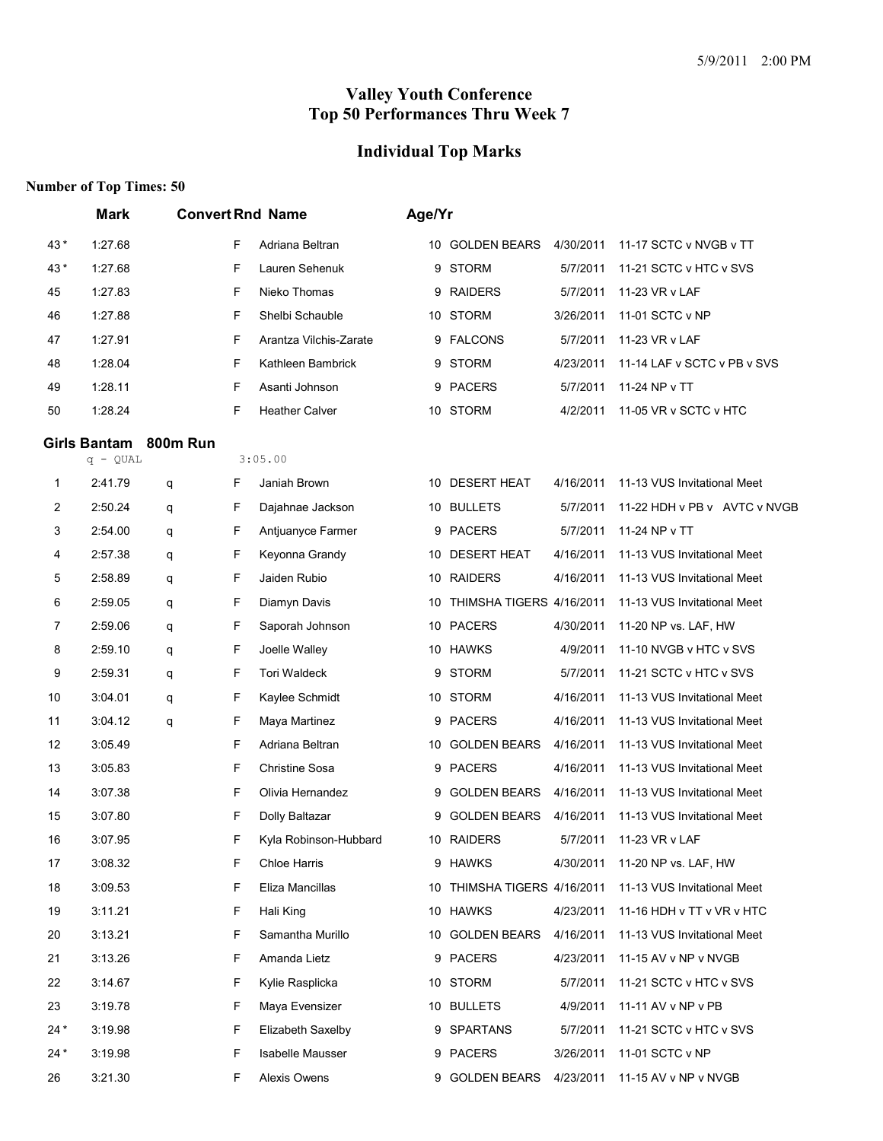# **Individual Top Marks**

|       | <b>Mark</b>  |          |   | <b>Convert Rnd Name</b> | Age/Yr |                          |           |                              |
|-------|--------------|----------|---|-------------------------|--------|--------------------------|-----------|------------------------------|
| 43*   | 1:27.68      |          | F | Adriana Beltran         |        | 10 GOLDEN BEARS          | 4/30/2011 | 11-17 SCTC v NVGB v TT       |
| 43*   | 1:27.68      |          | F | Lauren Sehenuk          | 9      | <b>STORM</b>             | 5/7/2011  | 11-21 SCTC v HTC v SVS       |
| 45    | 1:27.83      |          | F | Nieko Thomas            | 9      | <b>RAIDERS</b>           | 5/7/2011  | 11-23 VR v LAF               |
| 46    | 1:27.88      |          | F | Shelbi Schauble         | 10     | <b>STORM</b>             | 3/26/2011 | 11-01 SCTC v NP              |
| 47    | 1:27.91      |          | F | Arantza Vilchis-Zarate  |        | 9 FALCONS                | 5/7/2011  | 11-23 VR v LAF               |
| 48    | 1:28.04      |          | F | Kathleen Bambrick       | 9      | <b>STORM</b>             | 4/23/2011 | 11-14 LAF v SCTC v PB v SVS  |
| 49    | 1:28.11      |          | F | Asanti Johnson          | 9      | <b>PACERS</b>            | 5/7/2011  | 11-24 NP v TT                |
| 50    | 1:28.24      |          | F | <b>Heather Calver</b>   |        | 10 STORM                 | 4/2/2011  | 11-05 VR v SCTC v HTC        |
|       | Girls Bantam | 800m Run |   |                         |        |                          |           |                              |
|       | $q - QUAL$   |          |   | 3:05.00                 |        |                          |           |                              |
| 1     | 2:41.79      | q        | F | Janiah Brown            |        | 10 DESERT HEAT           | 4/16/2011 | 11-13 VUS Invitational Meet  |
| 2     | 2:50.24      | q        | F | Dajahnae Jackson        | 10     | <b>BULLETS</b>           | 5/7/2011  | 11-22 HDH v PB v AVTC v NVGB |
| 3     | 2:54.00      | q        | F | Antjuanyce Farmer       |        | 9 PACERS                 | 5/7/2011  | 11-24 NP v TT                |
| 4     | 2:57.38      | q        | F | Keyonna Grandy          |        | 10 DESERT HEAT           | 4/16/2011 | 11-13 VUS Invitational Meet  |
| 5     | 2:58.89      | q        | F | Jaiden Rubio            |        | 10 RAIDERS               | 4/16/2011 | 11-13 VUS Invitational Meet  |
| 6     | 2:59.05      | q        | F | Diamyn Davis            | 10     | THIMSHA TIGERS 4/16/2011 |           | 11-13 VUS Invitational Meet  |
| 7     | 2:59.06      | q        | F | Saporah Johnson         |        | 10 PACERS                | 4/30/2011 | 11-20 NP vs. LAF, HW         |
| 8     | 2:59.10      | q        | F | Joelle Walley           |        | 10 HAWKS                 | 4/9/2011  | 11-10 NVGB v HTC v SVS       |
| 9     | 2:59.31      | q        | F | Tori Waldeck            | 9      | <b>STORM</b>             | 5/7/2011  | 11-21 SCTC v HTC v SVS       |
| 10    | 3:04.01      | q        | F | Kaylee Schmidt          |        | 10 STORM                 | 4/16/2011 | 11-13 VUS Invitational Meet  |
| 11    | 3:04.12      | q        | F | Maya Martinez           | 9      | <b>PACERS</b>            | 4/16/2011 | 11-13 VUS Invitational Meet  |
| 12    | 3:05.49      |          | F | Adriana Beltran         |        | 10 GOLDEN BEARS          | 4/16/2011 | 11-13 VUS Invitational Meet  |
| 13    | 3:05.83      |          | F | Christine Sosa          | 9      | <b>PACERS</b>            | 4/16/2011 | 11-13 VUS Invitational Meet  |
| 14    | 3:07.38      |          | F | Olivia Hernandez        | 9      | <b>GOLDEN BEARS</b>      | 4/16/2011 | 11-13 VUS Invitational Meet  |
| 15    | 3:07.80      |          | F | Dolly Baltazar          | 9      | <b>GOLDEN BEARS</b>      | 4/16/2011 | 11-13 VUS Invitational Meet  |
| 16    | 3:07.95      |          | F | Kyla Robinson-Hubbard   |        | 10 RAIDERS               | 5/7/2011  | 11-23 VR v LAF               |
| 17    | 3:08.32      |          | F | Chloe Harris            |        | 9 HAWKS                  | 4/30/2011 | 11-20 NP vs. LAF, HW         |
| 18    | 3:09.53      |          | F | Eliza Mancillas         | 10     | THIMSHA TIGERS 4/16/2011 |           | 11-13 VUS Invitational Meet  |
| 19    | 3:11.21      |          | F | Hali King               |        | 10 HAWKS                 | 4/23/2011 | 11-16 HDH v TT v VR v HTC    |
| 20    | 3:13.21      |          | F | Samantha Murillo        |        | 10 GOLDEN BEARS          | 4/16/2011 | 11-13 VUS Invitational Meet  |
| 21    | 3:13.26      |          | F | Amanda Lietz            |        | 9 PACERS                 | 4/23/2011 | 11-15 AV v NP v NVGB         |
| 22    | 3:14.67      |          | F | Kylie Rasplicka         |        | 10 STORM                 | 5/7/2011  | 11-21 SCTC v HTC v SVS       |
| 23    | 3:19.78      |          | F | Maya Evensizer          |        | 10 BULLETS               | 4/9/2011  | 11-11 AV v NP v PB           |
| $24*$ | 3:19.98      |          | F | Elizabeth Saxelby       |        | 9 SPARTANS               | 5/7/2011  | 11-21 SCTC v HTC v SVS       |
| $24*$ | 3:19.98      |          | F | Isabelle Mausser        |        | 9 PACERS                 | 3/26/2011 | 11-01 SCTC v NP              |
| 26    | 3:21.30      |          | F | Alexis Owens            |        | 9 GOLDEN BEARS           | 4/23/2011 | 11-15 AV v NP v NVGB         |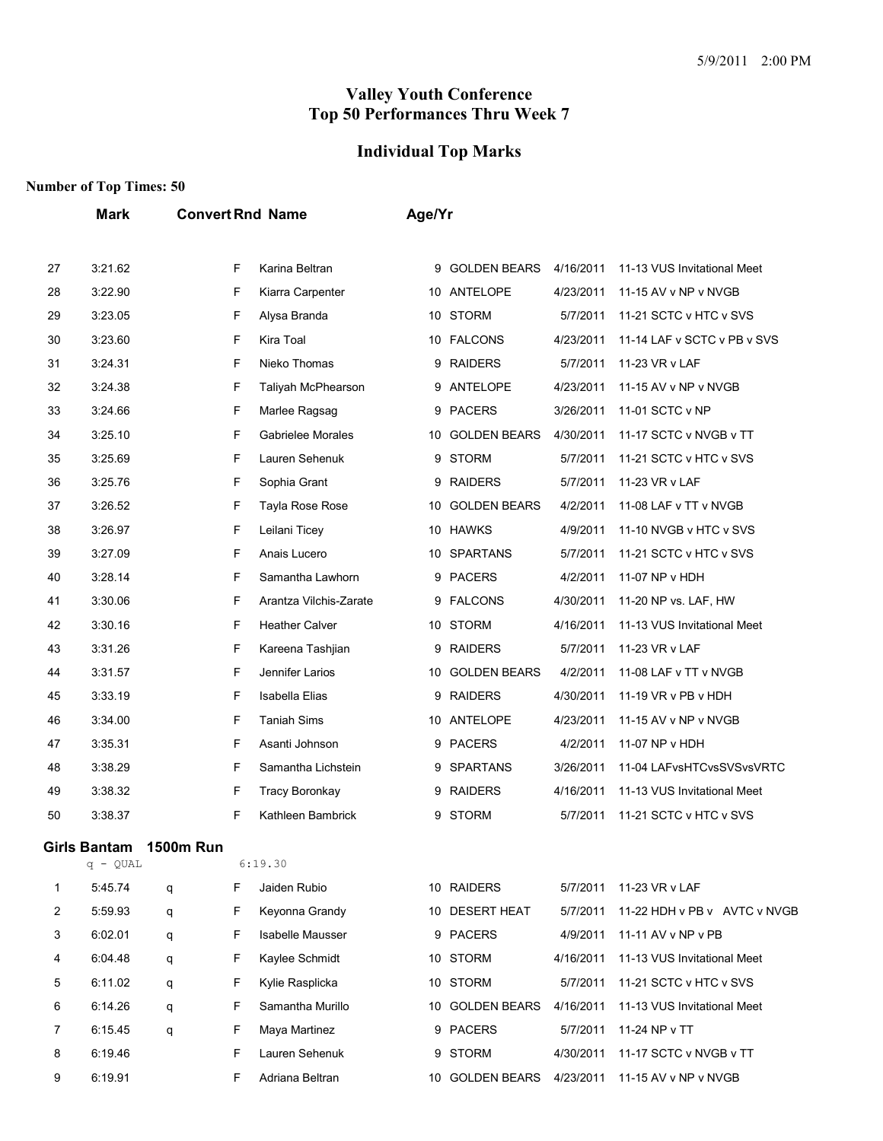## **Individual Top Marks**

### **Number of Top Times: 50**

**Mark Convert Rnd Name Age/Yr**

| 27 | 3:21.62             |                  | F | Karina Beltran          | 9  | <b>GOLDEN BEARS</b> | 4/16/2011 | 11-13 VUS Invitational Meet  |
|----|---------------------|------------------|---|-------------------------|----|---------------------|-----------|------------------------------|
| 28 | 3:22.90             |                  | F | Kiarra Carpenter        | 10 | ANTELOPE            | 4/23/2011 | 11-15 AV v NP v NVGB         |
| 29 | 3:23.05             |                  | F | Alysa Branda            | 10 | <b>STORM</b>        | 5/7/2011  | 11-21 SCTC v HTC v SVS       |
| 30 | 3:23.60             |                  | F | Kira Toal               |    | 10 FALCONS          | 4/23/2011 | 11-14 LAF v SCTC v PB v SVS  |
| 31 | 3:24.31             |                  | F | Nieko Thomas            | 9  | <b>RAIDERS</b>      | 5/7/2011  | 11-23 VR v LAF               |
| 32 | 3:24.38             |                  | F | Taliyah McPhearson      | 9  | ANTELOPE            | 4/23/2011 | 11-15 AV v NP v NVGB         |
| 33 | 3:24.66             |                  | F | Marlee Ragsag           | 9  | <b>PACERS</b>       | 3/26/2011 | 11-01 SCTC v NP              |
| 34 | 3:25.10             |                  | F | Gabrielee Morales       | 10 | <b>GOLDEN BEARS</b> | 4/30/2011 | 11-17 SCTC v NVGB v TT       |
| 35 | 3:25.69             |                  | F | Lauren Sehenuk          | 9  | <b>STORM</b>        | 5/7/2011  | 11-21 SCTC v HTC v SVS       |
| 36 | 3:25.76             |                  | F | Sophia Grant            | 9  | <b>RAIDERS</b>      | 5/7/2011  | 11-23 VR v LAF               |
| 37 | 3:26.52             |                  | F | <b>Tayla Rose Rose</b>  | 10 | <b>GOLDEN BEARS</b> | 4/2/2011  | 11-08 LAF v TT v NVGB        |
| 38 | 3:26.97             |                  | F | Leilani Ticey           |    | 10 HAWKS            | 4/9/2011  | 11-10 NVGB v HTC v SVS       |
| 39 | 3:27.09             |                  | F | Anais Lucero            | 10 | <b>SPARTANS</b>     | 5/7/2011  | 11-21 SCTC v HTC v SVS       |
| 40 | 3:28.14             |                  | F | Samantha Lawhorn        | 9  | <b>PACERS</b>       | 4/2/2011  | 11-07 NP v HDH               |
| 41 | 3:30.06             |                  | F | Arantza Vilchis-Zarate  | 9  | <b>FALCONS</b>      | 4/30/2011 | 11-20 NP vs. LAF, HW         |
| 42 | 3:30.16             |                  | F | <b>Heather Calver</b>   |    | 10 STORM            | 4/16/2011 | 11-13 VUS Invitational Meet  |
| 43 | 3:31.26             |                  | F | Kareena Tashjian        | 9  | <b>RAIDERS</b>      | 5/7/2011  | 11-23 VR v LAF               |
| 44 | 3:31.57             |                  | F | Jennifer Larios         | 10 | <b>GOLDEN BEARS</b> | 4/2/2011  | 11-08 LAF v TT v NVGB        |
| 45 | 3:33.19             |                  | F | <b>Isabella Elias</b>   | 9  | <b>RAIDERS</b>      | 4/30/2011 | 11-19 VR v PB v HDH          |
| 46 | 3:34.00             |                  | F | <b>Taniah Sims</b>      |    | 10 ANTELOPE         | 4/23/2011 | 11-15 AV v NP v NVGB         |
| 47 | 3:35.31             |                  | F | Asanti Johnson          | 9  | <b>PACERS</b>       | 4/2/2011  | 11-07 NP v HDH               |
| 48 | 3:38.29             |                  | F | Samantha Lichstein      | 9  | <b>SPARTANS</b>     | 3/26/2011 | 11-04 LAFvsHTCvsSVSvsVRTC    |
| 49 | 3:38.32             |                  | F | Tracy Boronkay          | 9  | <b>RAIDERS</b>      | 4/16/2011 | 11-13 VUS Invitational Meet  |
| 50 | 3:38.37             |                  | F | Kathleen Bambrick       | 9  | <b>STORM</b>        | 5/7/2011  | 11-21 SCTC v HTC v SVS       |
|    | <b>Girls Bantam</b> | <b>1500m Run</b> |   |                         |    |                     |           |                              |
|    | $q - QUAL$          |                  |   | 6:19.30                 |    |                     |           |                              |
| 1  | 5:45.74             | q                | F | Jaiden Rubio            |    | 10 RAIDERS          | 5/7/2011  | 11-23 VR v LAF               |
| 2  | 5:59.93             | q                | F | Keyonna Grandy          |    | 10 DESERT HEAT      | 5/7/2011  | 11-22 HDH v PB v AVTC v NVGB |
| 3  | 6:02.01             | q                | F | <b>Isabelle Mausser</b> |    | 9 PACERS            | 4/9/2011  | 11-11 AV v NP v PB           |
| 4  | 6:04.48             | q                | F | Kaylee Schmidt          |    | 10 STORM            | 4/16/2011 | 11-13 VUS Invitational Meet  |
| 5  | 6:11.02             | q                | F | Kylie Rasplicka         |    | 10 STORM            | 5/7/2011  | 11-21 SCTC v HTC v SVS       |
| 6  | 6:14.26             | q                | F | Samantha Murillo        |    | 10 GOLDEN BEARS     | 4/16/2011 | 11-13 VUS Invitational Meet  |
| 7  | 6:15.45             | q                | F | Maya Martinez           |    | 9 PACERS            | 5/7/2011  | 11-24 NP v TT                |
| 8  | 6:19.46             |                  | F | Lauren Sehenuk          | 9  | <b>STORM</b>        | 4/30/2011 | 11-17 SCTC v NVGB v TT       |
| 9  | 6:19.91             |                  | F | Adriana Beltran         |    | 10 GOLDEN BEARS     | 4/23/2011 | 11-15 AV v NP v NVGB         |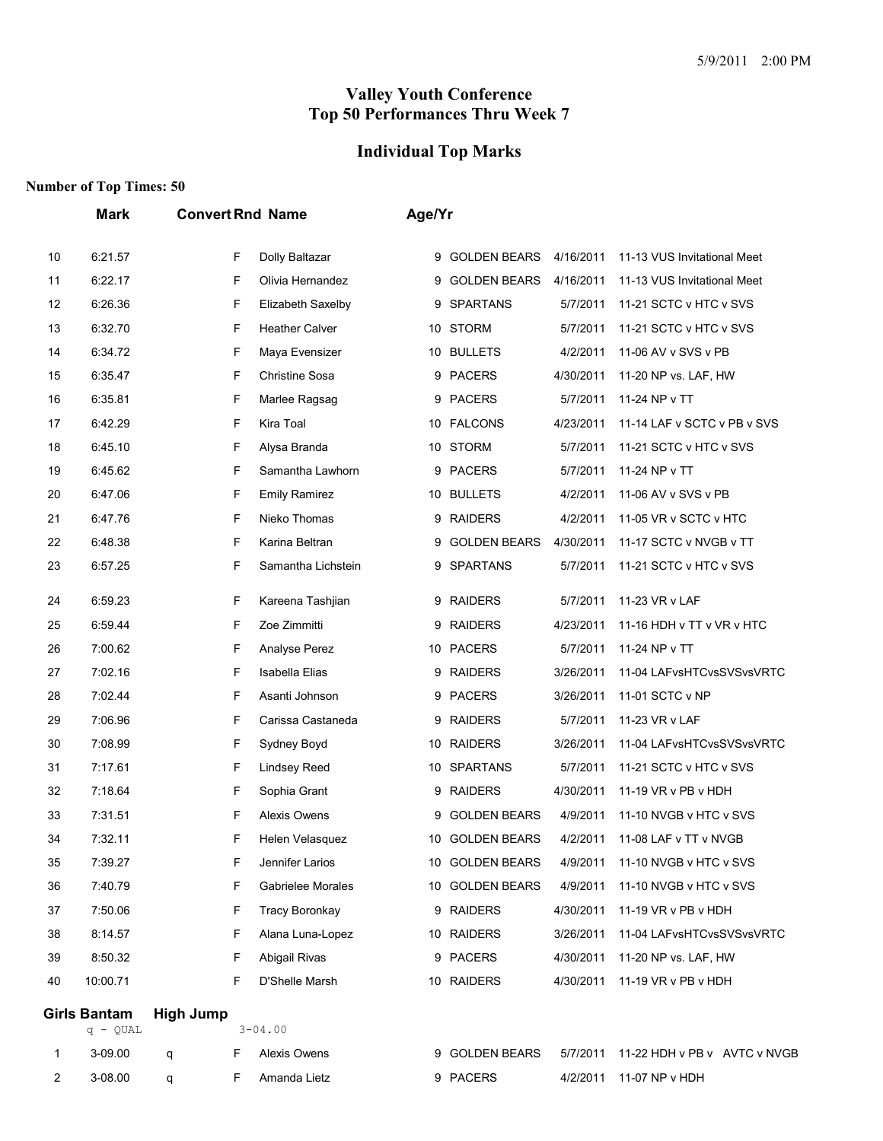#### **Individual Top Marks**

#### **Number of Top Times: 50**

|    | <b>Convert Rnd Name</b><br><b>Mark</b> |                  |                       |    | Age/Yr              |           |                              |  |  |  |
|----|----------------------------------------|------------------|-----------------------|----|---------------------|-----------|------------------------------|--|--|--|
| 10 | 6:21.57                                | F                | Dolly Baltazar        | 9  | <b>GOLDEN BEARS</b> | 4/16/2011 | 11-13 VUS Invitational Meet  |  |  |  |
| 11 | 6:22.17                                | F                | Olivia Hernandez      | 9  | <b>GOLDEN BEARS</b> | 4/16/2011 | 11-13 VUS Invitational Meet  |  |  |  |
| 12 | 6:26.36                                | F                | Elizabeth Saxelby     | 9  | <b>SPARTANS</b>     | 5/7/2011  | 11-21 SCTC v HTC v SVS       |  |  |  |
| 13 | 6:32.70                                | F                | <b>Heather Calver</b> | 10 | <b>STORM</b>        | 5/7/2011  | 11-21 SCTC v HTC v SVS       |  |  |  |
| 14 | 6:34.72                                | F                | Maya Evensizer        | 10 | <b>BULLETS</b>      | 4/2/2011  | 11-06 AV v SVS v PB          |  |  |  |
| 15 | 6:35.47                                | F                | <b>Christine Sosa</b> |    | 9 PACERS            | 4/30/2011 | 11-20 NP vs. LAF, HW         |  |  |  |
| 16 | 6:35.81                                | F                | Marlee Ragsag         | 9  | <b>PACERS</b>       | 5/7/2011  | 11-24 NP v TT                |  |  |  |
| 17 | 6:42.29                                | F                | Kira Toal             | 10 | <b>FALCONS</b>      | 4/23/2011 | 11-14 LAF v SCTC v PB v SVS  |  |  |  |
| 18 | 6:45.10                                | F                | Alysa Branda          | 10 | <b>STORM</b>        | 5/7/2011  | 11-21 SCTC v HTC v SVS       |  |  |  |
| 19 | 6:45.62                                | F                | Samantha Lawhorn      |    | 9 PACERS            | 5/7/2011  | 11-24 NP v TT                |  |  |  |
| 20 | 6:47.06                                | F                | <b>Emily Ramirez</b>  |    | 10 BULLETS          | 4/2/2011  | 11-06 AV v SVS v PB          |  |  |  |
| 21 | 6:47.76                                | F                | Nieko Thomas          | 9  | <b>RAIDERS</b>      | 4/2/2011  | 11-05 VR v SCTC v HTC        |  |  |  |
| 22 | 6:48.38                                | F                | Karina Beltran        | 9  | <b>GOLDEN BEARS</b> | 4/30/2011 | 11-17 SCTC v NVGB v TT       |  |  |  |
| 23 | 6:57.25                                | F                | Samantha Lichstein    | 9  | <b>SPARTANS</b>     | 5/7/2011  | 11-21 SCTC v HTC v SVS       |  |  |  |
| 24 | 6:59.23                                | F                | Kareena Tashjian      | 9  | <b>RAIDERS</b>      | 5/7/2011  | 11-23 VR v LAF               |  |  |  |
| 25 | 6:59.44                                | F                | Zoe Zimmitti          |    | 9 RAIDERS           | 4/23/2011 | 11-16 HDH v TT v VR v HTC    |  |  |  |
| 26 | 7:00.62                                | F                | Analyse Perez         |    | 10 PACERS           | 5/7/2011  | 11-24 NP v TT                |  |  |  |
| 27 | 7:02.16                                | F                | <b>Isabella Elias</b> | 9  | <b>RAIDERS</b>      | 3/26/2011 | 11-04 LAFvsHTCvsSVSvsVRTC    |  |  |  |
| 28 | 7:02.44                                | F                | Asanti Johnson        | 9  | <b>PACERS</b>       | 3/26/2011 | 11-01 SCTC v NP              |  |  |  |
| 29 | 7:06.96                                | F                | Carissa Castaneda     | 9  | <b>RAIDERS</b>      | 5/7/2011  | 11-23 VR v LAF               |  |  |  |
| 30 | 7:08.99                                | F                | Sydney Boyd           |    | 10 RAIDERS          | 3/26/2011 | 11-04 LAFvsHTCvsSVSvsVRTC    |  |  |  |
| 31 | 7:17.61                                | F                | <b>Lindsey Reed</b>   |    | 10 SPARTANS         | 5/7/2011  | 11-21 SCTC v HTC v SVS       |  |  |  |
| 32 | 7:18.64                                | F                | Sophia Grant          | 9  | <b>RAIDERS</b>      | 4/30/2011 | 11-19 VR v PB v HDH          |  |  |  |
| 33 | 7:31.51                                | F                | Alexis Owens          | 9  | <b>GOLDEN BEARS</b> | 4/9/2011  | 11-10 NVGB v HTC v SVS       |  |  |  |
| 34 | 7:32.11                                | F                | Helen Velasquez       |    | 10 GOLDEN BEARS     | 4/2/2011  | 11-08 LAF v TT v NVGB        |  |  |  |
| 35 | 7:39.27                                | F                | Jennifer Larios       |    | 10 GOLDEN BEARS     | 4/9/2011  | 11-10 NVGB v HTC v SVS       |  |  |  |
| 36 | 7:40.79                                | F                | Gabrielee Morales     |    | 10 GOLDEN BEARS     | 4/9/2011  | 11-10 NVGB v HTC v SVS       |  |  |  |
| 37 | 7:50.06                                | F                | <b>Tracy Boronkay</b> |    | 9 RAIDERS           | 4/30/2011 | 11-19 VR v PB v HDH          |  |  |  |
| 38 | 8:14.57                                | F                | Alana Luna-Lopez      |    | 10 RAIDERS          | 3/26/2011 | 11-04 LAFvsHTCvsSVSvsVRTC    |  |  |  |
| 39 | 8:50.32                                | F                | Abigail Rivas         |    | 9 PACERS            | 4/30/2011 | 11-20 NP vs. LAF, HW         |  |  |  |
| 40 | 10:00.71                               | F                | D'Shelle Marsh        |    | 10 RAIDERS          | 4/30/2011 | 11-19 VR v PB v HDH          |  |  |  |
|    | <b>Girls Bantam</b><br>$q - QUAL$      | <b>High Jump</b> | $3 - 04.00$           |    |                     |           |                              |  |  |  |
| 1  | 3-09.00                                | F<br>q           | Alexis Owens          |    | 9 GOLDEN BEARS      | 5/7/2011  | 11-22 HDH v PB v AVTC v NVGB |  |  |  |

3-08.00 q F Amanda Lietz 9 PACERS 4/2/2011 11-07 NP v HDH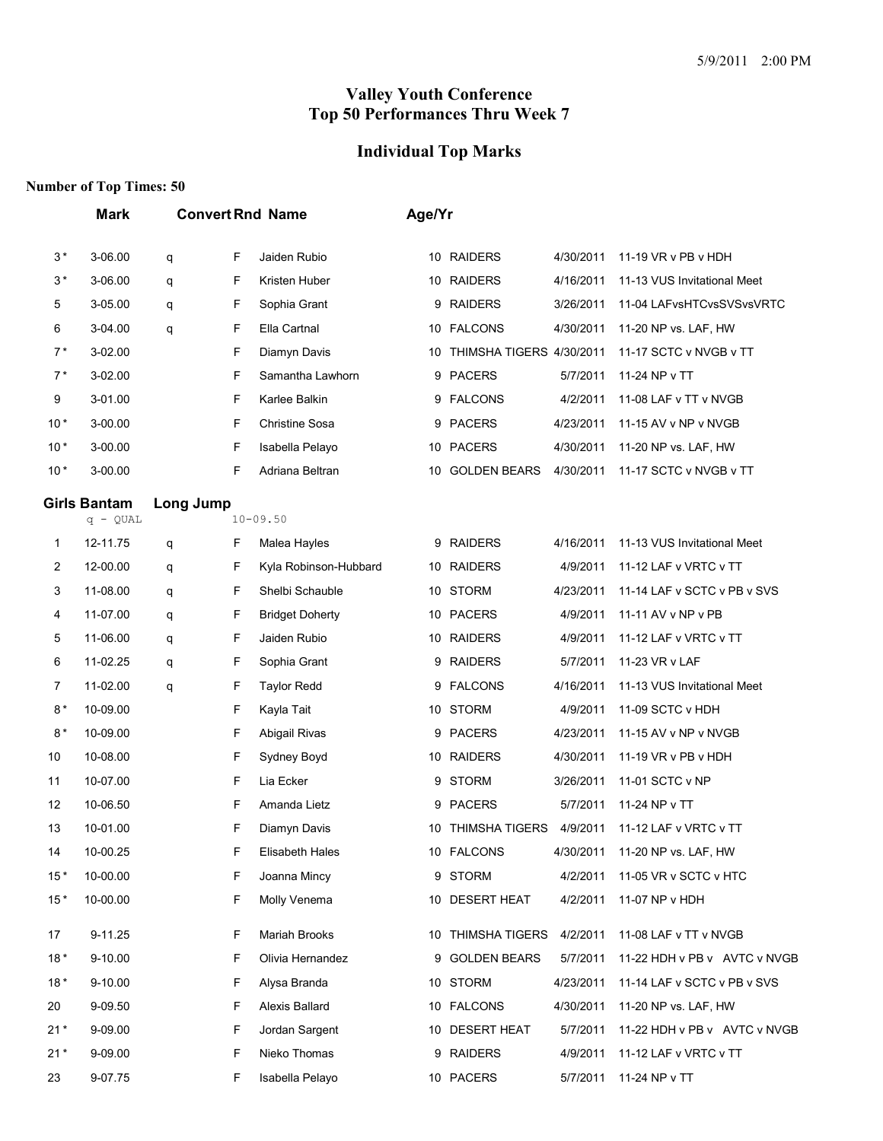# **Individual Top Marks**

|         | <b>Mark</b>                       |           |   | <b>Convert Rnd Name</b> | Age/Yr |                             |           |                              |
|---------|-----------------------------------|-----------|---|-------------------------|--------|-----------------------------|-----------|------------------------------|
| $3\,^*$ | 3-06.00                           | q         | F | Jaiden Rubio            |        | 10 RAIDERS                  | 4/30/2011 | 11-19 VR v PB v HDH          |
| $3*$    | 3-06.00                           | q         | F | Kristen Huber           |        | 10 RAIDERS                  | 4/16/2011 | 11-13 VUS Invitational Meet  |
| 5       | 3-05.00                           | q         | F | Sophia Grant            | 9      | <b>RAIDERS</b>              | 3/26/2011 | 11-04 LAFvsHTCvsSVSvsVRTC    |
| 6       | 3-04.00                           | q         | F | Ella Cartnal            |        | 10 FALCONS                  | 4/30/2011 | 11-20 NP vs. LAF, HW         |
| $7*$    | 3-02.00                           |           | F | Diamyn Davis            |        | 10 THIMSHA TIGERS 4/30/2011 |           | 11-17 SCTC v NVGB v TT       |
| $7*$    | 3-02.00                           |           | F | Samantha Lawhorn        |        | 9 PACERS                    | 5/7/2011  | 11-24 NP v TT                |
| 9       | 3-01.00                           |           | F | Karlee Balkin           |        | 9 FALCONS                   | 4/2/2011  | 11-08 LAF v TT v NVGB        |
| $10*$   | 3-00.00                           |           | F | <b>Christine Sosa</b>   | 9      | <b>PACERS</b>               | 4/23/2011 | 11-15 AV v NP v NVGB         |
| $10*$   | 3-00.00                           |           | F | Isabella Pelayo         |        | 10 PACERS                   | 4/30/2011 | 11-20 NP vs. LAF, HW         |
| $10*$   | 3-00.00                           |           | F | Adriana Beltran         | 10     | <b>GOLDEN BEARS</b>         | 4/30/2011 | 11-17 SCTC v NVGB v TT       |
|         | <b>Girls Bantam</b><br>$q - QUAL$ | Long Jump |   | $10 - 09.50$            |        |                             |           |                              |
| 1       | 12-11.75                          | q         | F | Malea Hayles            |        | 9 RAIDERS                   | 4/16/2011 | 11-13 VUS Invitational Meet  |
| 2       | 12-00.00                          | q         | F | Kyla Robinson-Hubbard   |        | 10 RAIDERS                  | 4/9/2011  | 11-12 LAF v VRTC v TT        |
| 3       | 11-08.00                          | q         | F | Shelbi Schauble         | 10     | <b>STORM</b>                | 4/23/2011 | 11-14 LAF v SCTC v PB v SVS  |
| 4       | 11-07.00                          | q         | F | <b>Bridget Doherty</b>  |        | 10 PACERS                   | 4/9/2011  | 11-11 AV v NP v PB           |
| 5       | 11-06.00                          | q         | F | Jaiden Rubio            |        | 10 RAIDERS                  | 4/9/2011  | 11-12 LAF v VRTC v TT        |
| 6       | 11-02.25                          | q         | F | Sophia Grant            |        | 9 RAIDERS                   | 5/7/2011  | 11-23 VR v LAF               |
| 7       | 11-02.00                          | q         | F | <b>Taylor Redd</b>      | 9      | <b>FALCONS</b>              | 4/16/2011 | 11-13 VUS Invitational Meet  |
| $8*$    | 10-09.00                          |           | F | Kayla Tait              |        | 10 STORM                    | 4/9/2011  | 11-09 SCTC v HDH             |
| $8*$    | 10-09.00                          |           | F | Abigail Rivas           |        | 9 PACERS                    | 4/23/2011 | 11-15 AV v NP v NVGB         |
| 10      | 10-08.00                          |           | F | Sydney Boyd             |        | 10 RAIDERS                  | 4/30/2011 | 11-19 VR v PB v HDH          |
| 11      | 10-07.00                          |           | F | Lia Ecker               | 9      | <b>STORM</b>                | 3/26/2011 | 11-01 SCTC v NP              |
| 12      | 10-06.50                          |           | F | Amanda Lietz            | 9      | <b>PACERS</b>               | 5/7/2011  | 11-24 NP v TT                |
| 13      | 10-01.00                          |           | F | Diamyn Davis            | 10     | <b>THIMSHA TIGERS</b>       | 4/9/2011  | 11-12 LAF v VRTC v TT        |
| 14      | 10-00.25                          |           | F | Elisabeth Hales         |        | 10 FALCONS                  | 4/30/2011 | 11-20 NP vs. LAF, HW         |
| $15*$   | 10-00.00                          |           | F | Joanna Mincy            |        | 9 STORM                     | 4/2/2011  | 11-05 VR v SCTC v HTC        |
| $15*$   | 10-00.00                          |           | F | Molly Venema            |        | 10 DESERT HEAT              | 4/2/2011  | 11-07 NP v HDH               |
| 17      | 9-11.25                           |           | F | Mariah Brooks           |        | 10 THIMSHA TIGERS           | 4/2/2011  | 11-08 LAF v TT v NVGB        |
| $18*$   | 9-10.00                           |           | F | Olivia Hernandez        | 9      | <b>GOLDEN BEARS</b>         | 5/7/2011  | 11-22 HDH v PB v AVTC v NVGB |
| $18*$   | 9-10.00                           |           | F | Alysa Branda            |        | 10 STORM                    | 4/23/2011 | 11-14 LAF v SCTC v PB v SVS  |
| 20      | 9-09.50                           |           | F | Alexis Ballard          |        | 10 FALCONS                  | 4/30/2011 | 11-20 NP vs. LAF, HW         |
| $21*$   | 9-09.00                           |           | F | Jordan Sargent          |        | 10 DESERT HEAT              | 5/7/2011  | 11-22 HDH v PB v AVTC v NVGB |
| $21*$   | 9-09.00                           |           | F | Nieko Thomas            |        | 9 RAIDERS                   | 4/9/2011  | 11-12 LAF v VRTC v TT        |
| 23      | 9-07.75                           |           | F | Isabella Pelayo         |        | 10 PACERS                   | 5/7/2011  | 11-24 NP v TT                |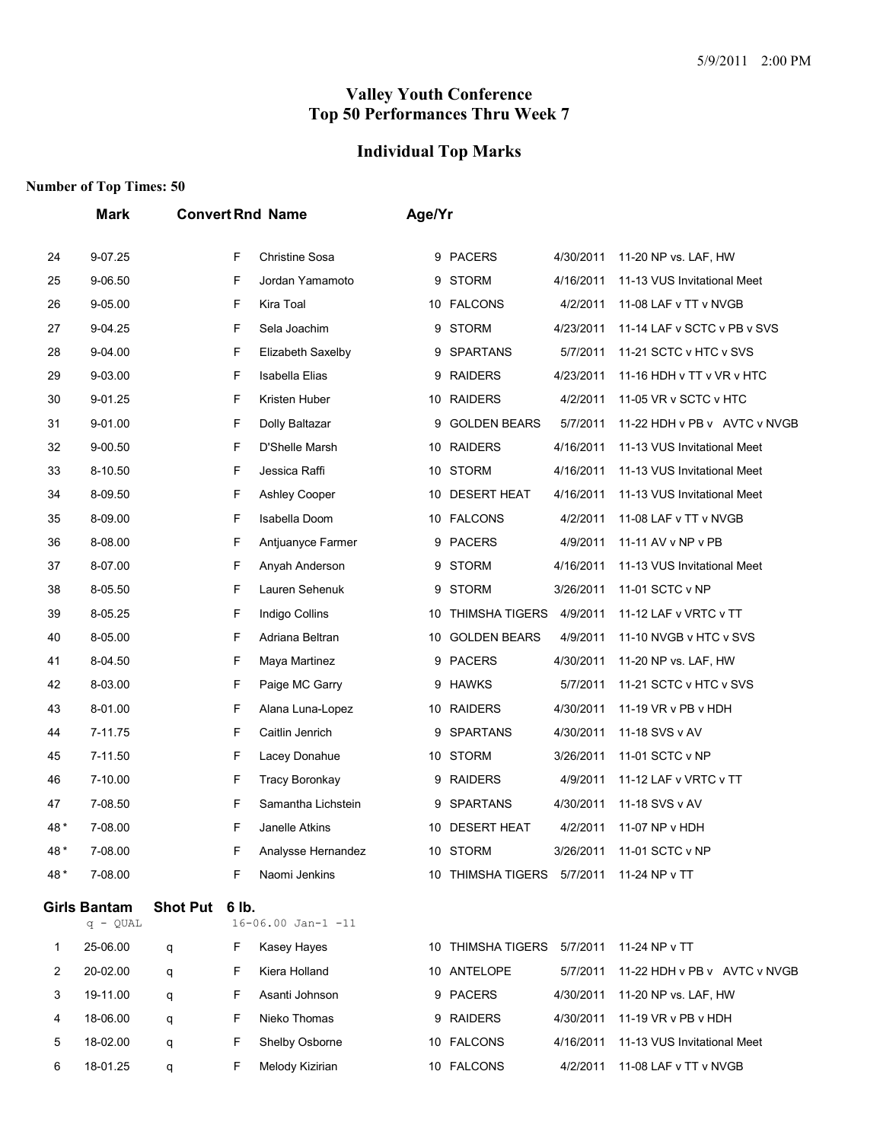## **Individual Top Marks**

|      | Mark                              |                 |       | <b>Convert Rnd Name</b> | Age/Yr |                            |           |                              |
|------|-----------------------------------|-----------------|-------|-------------------------|--------|----------------------------|-----------|------------------------------|
| 24   | 9-07.25                           |                 | F     | <b>Christine Sosa</b>   |        | 9 PACERS                   | 4/30/2011 | 11-20 NP vs. LAF, HW         |
| 25   | 9-06.50                           |                 | F     | Jordan Yamamoto         | 9      | <b>STORM</b>               | 4/16/2011 | 11-13 VUS Invitational Meet  |
| 26   | 9-05.00                           |                 | F     | Kira Toal               |        | 10 FALCONS                 | 4/2/2011  | 11-08 LAF v TT v NVGB        |
| 27   | 9-04.25                           |                 | F     | Sela Joachim            | 9      | <b>STORM</b>               | 4/23/2011 | 11-14 LAF v SCTC v PB v SVS  |
| 28   | 9-04.00                           |                 | F     | Elizabeth Saxelby       | 9      | <b>SPARTANS</b>            | 5/7/2011  | 11-21 SCTC v HTC v SVS       |
| 29   | 9-03.00                           |                 | F     | Isabella Elias          | 9      | <b>RAIDERS</b>             | 4/23/2011 | 11-16 HDH v TT v VR v HTC    |
| 30   | 9-01.25                           |                 | F     | Kristen Huber           |        | 10 RAIDERS                 | 4/2/2011  | 11-05 VR v SCTC v HTC        |
| 31   | 9-01.00                           |                 | F     | Dolly Baltazar          | 9      | <b>GOLDEN BEARS</b>        | 5/7/2011  | 11-22 HDH v PB v AVTC v NVGB |
| 32   | $9 - 00.50$                       |                 | F     | D'Shelle Marsh          |        | 10 RAIDERS                 | 4/16/2011 | 11-13 VUS Invitational Meet  |
| 33   | 8-10.50                           |                 | F     | Jessica Raffi           | 10     | <b>STORM</b>               | 4/16/2011 | 11-13 VUS Invitational Meet  |
| 34   | 8-09.50                           |                 | F     | Ashley Cooper           |        | 10 DESERT HEAT             | 4/16/2011 | 11-13 VUS Invitational Meet  |
| 35   | 8-09.00                           |                 | F     | Isabella Doom           |        | 10 FALCONS                 | 4/2/2011  | 11-08 LAF v TT v NVGB        |
| 36   | 8-08.00                           |                 | F     | Antjuanyce Farmer       | 9      | <b>PACERS</b>              | 4/9/2011  | 11-11 AV v NP v PB           |
| 37   | 8-07.00                           |                 | F     | Anyah Anderson          | 9      | <b>STORM</b>               | 4/16/2011 | 11-13 VUS Invitational Meet  |
| 38   | 8-05.50                           |                 | F     | Lauren Sehenuk          | 9      | <b>STORM</b>               | 3/26/2011 | 11-01 SCTC v NP              |
| 39   | 8-05.25                           |                 | F     | Indigo Collins          | 10     | <b>THIMSHA TIGERS</b>      | 4/9/2011  | 11-12 LAF v VRTC v TT        |
| 40   | 8-05.00                           |                 | F     | Adriana Beltran         | 10     | <b>GOLDEN BEARS</b>        | 4/9/2011  | 11-10 NVGB v HTC v SVS       |
| 41   | 8-04.50                           |                 | F     | Maya Martinez           | 9      | <b>PACERS</b>              | 4/30/2011 | 11-20 NP vs. LAF, HW         |
| 42   | 8-03.00                           |                 | F     | Paige MC Garry          |        | 9 HAWKS                    | 5/7/2011  | 11-21 SCTC v HTC v SVS       |
| 43   | 8-01.00                           |                 | F     | Alana Luna-Lopez        |        | 10 RAIDERS                 | 4/30/2011 | 11-19 VR v PB v HDH          |
| 44   | 7-11.75                           |                 | F     | Caitlin Jenrich         | 9      | <b>SPARTANS</b>            | 4/30/2011 | 11-18 SVS v AV               |
| 45   | 7-11.50                           |                 | F     | Lacey Donahue           |        | 10 STORM                   | 3/26/2011 | 11-01 SCTC v NP              |
| 46   | 7-10.00                           |                 | F     | <b>Tracy Boronkay</b>   |        | 9 RAIDERS                  | 4/9/2011  | 11-12 LAF v VRTC v TT        |
| 47   | 7-08.50                           |                 | F     | Samantha Lichstein      | 9      | <b>SPARTANS</b>            | 4/30/2011 | 11-18 SVS v AV               |
| 48*  | 7-08.00                           |                 | F     | Janelle Atkins          |        | 10 DESERT HEAT             | 4/2/2011  | 11-07 NP v HDH               |
| 48 * | 7-08.00                           |                 | F     | Analysse Hernandez      |        | 10 STORM                   | 3/26/2011 | 11-01 SCTC v NP              |
| 48*  | 7-08.00                           |                 | F     | Naomi Jenkins           |        | 10 THIMSHA TIGERS 5/7/2011 |           | 11-24 NP v TT                |
|      | <b>Girls Bantam</b><br>$q - QUAL$ | <b>Shot Put</b> | 6 lb. | $16 - 06.00$ Jan-1 -11  |        |                            |           |                              |
| 1    | 25-06.00                          | q               | F     | Kasey Hayes             |        | 10 THIMSHA TIGERS 5/7/2011 |           | 11-24 NP v TT                |
| 2    | 20-02.00                          | q               | F     | Kiera Holland           |        | 10 ANTELOPE                | 5/7/2011  | 11-22 HDH v PB v AVTC v NVGB |
| 3    | 19-11.00                          | q               | F     | Asanti Johnson          |        | 9 PACERS                   | 4/30/2011 | 11-20 NP vs. LAF, HW         |
| 4    | 18-06.00                          | q               | F     | Nieko Thomas            |        | 9 RAIDERS                  | 4/30/2011 | 11-19 VR v PB v HDH          |
| 5    | 18-02.00                          | q               | F     | Shelby Osborne          |        | 10 FALCONS                 | 4/16/2011 | 11-13 VUS Invitational Meet  |
| 6    | 18-01.25                          | q               | F     | Melody Kizirian         |        | 10 FALCONS                 | 4/2/2011  | 11-08 LAF v TT v NVGB        |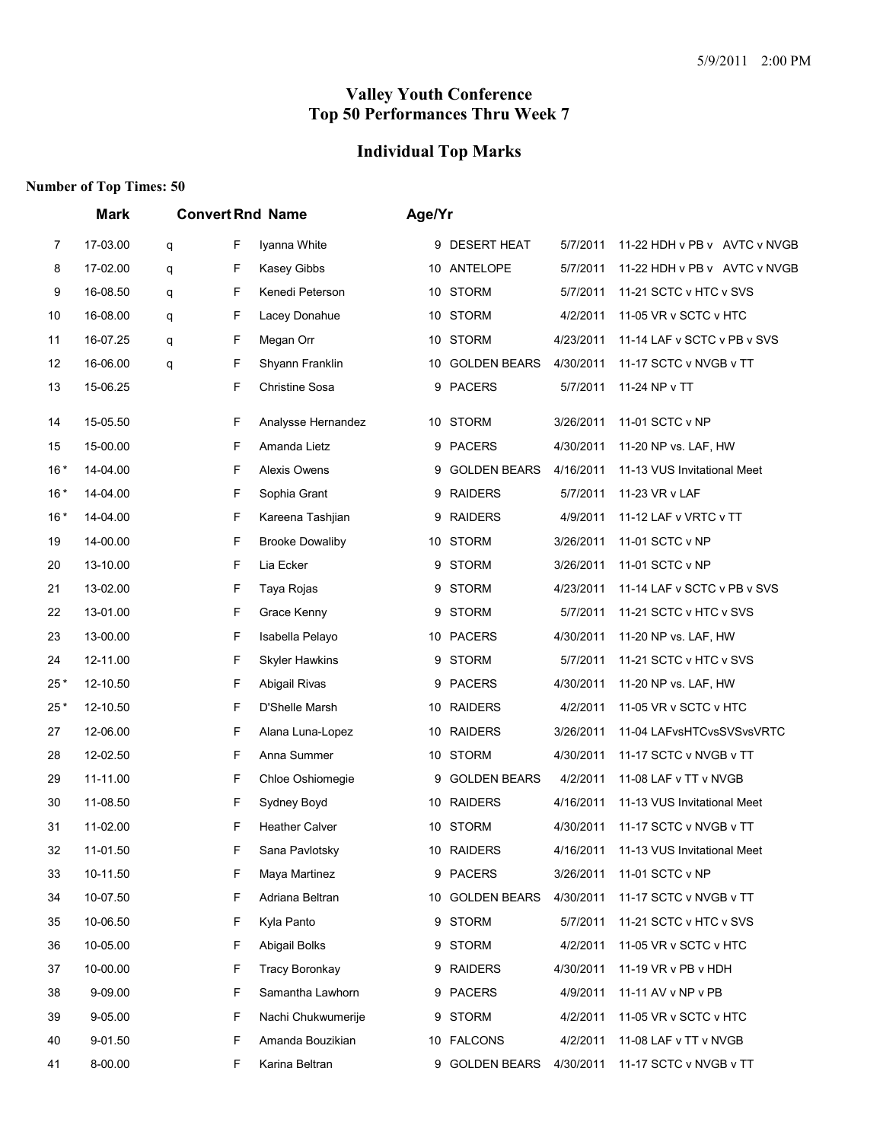## **Individual Top Marks**

|       | <b>Mark</b><br><b>Convert Rnd Name</b> |   |   |                        |    | Age/Yr              |           |                              |  |  |
|-------|----------------------------------------|---|---|------------------------|----|---------------------|-----------|------------------------------|--|--|
| 7     | 17-03.00                               | q | F | Iyanna White           |    | 9 DESERT HEAT       | 5/7/2011  | 11-22 HDH v PB v AVTC v NVGB |  |  |
| 8     | 17-02.00                               | q | F | Kasey Gibbs            |    | 10 ANTELOPE         | 5/7/2011  | 11-22 HDH v PB v AVTC v NVGB |  |  |
| 9     | 16-08.50                               | q | F | Kenedi Peterson        |    | 10 STORM            | 5/7/2011  | 11-21 SCTC v HTC v SVS       |  |  |
| 10    | 16-08.00                               | q | F | Lacey Donahue          |    | 10 STORM            | 4/2/2011  | 11-05 VR v SCTC v HTC        |  |  |
| 11    | 16-07.25                               | q | F | Megan Orr              | 10 | <b>STORM</b>        | 4/23/2011 | 11-14 LAF v SCTC v PB v SVS  |  |  |
| 12    | 16-06.00                               | q | F | Shyann Franklin        |    | 10 GOLDEN BEARS     | 4/30/2011 | 11-17 SCTC v NVGB v TT       |  |  |
| 13    | 15-06.25                               |   | F | <b>Christine Sosa</b>  | 9  | <b>PACERS</b>       | 5/7/2011  | 11-24 NP v TT                |  |  |
| 14    | 15-05.50                               |   | F | Analysse Hernandez     |    | 10 STORM            | 3/26/2011 | 11-01 SCTC v NP              |  |  |
| 15    | 15-00.00                               |   | F | Amanda Lietz           | 9  | <b>PACERS</b>       | 4/30/2011 | 11-20 NP vs. LAF, HW         |  |  |
| $16*$ | 14-04.00                               |   | F | <b>Alexis Owens</b>    | 9  | <b>GOLDEN BEARS</b> | 4/16/2011 | 11-13 VUS Invitational Meet  |  |  |
| $16*$ | 14-04.00                               |   | F | Sophia Grant           | 9  | <b>RAIDERS</b>      | 5/7/2011  | 11-23 VR v LAF               |  |  |
| $16*$ | 14-04.00                               |   | F | Kareena Tashjian       | 9  | <b>RAIDERS</b>      | 4/9/2011  | 11-12 LAF v VRTC v TT        |  |  |
| 19    | 14-00.00                               |   | F | <b>Brooke Dowaliby</b> |    | 10 STORM            | 3/26/2011 | 11-01 SCTC v NP              |  |  |
| 20    | 13-10.00                               |   | F | Lia Ecker              | 9  | <b>STORM</b>        | 3/26/2011 | 11-01 SCTC v NP              |  |  |
| 21    | 13-02.00                               |   | F | Taya Rojas             |    | 9 STORM             | 4/23/2011 | 11-14 LAF v SCTC v PB v SVS  |  |  |
| 22    | 13-01.00                               |   | F | Grace Kenny            | 9  | <b>STORM</b>        | 5/7/2011  | 11-21 SCTC v HTC v SVS       |  |  |
| 23    | 13-00.00                               |   | F | Isabella Pelayo        |    | 10 PACERS           | 4/30/2011 | 11-20 NP vs. LAF, HW         |  |  |
| 24    | 12-11.00                               |   | F | <b>Skyler Hawkins</b>  | 9  | <b>STORM</b>        | 5/7/2011  | 11-21 SCTC v HTC v SVS       |  |  |
| 25*   | 12-10.50                               |   | F | Abigail Rivas          |    | 9 PACERS            | 4/30/2011 | 11-20 NP vs. LAF, HW         |  |  |
| 25*   | 12-10.50                               |   | F | D'Shelle Marsh         |    | 10 RAIDERS          | 4/2/2011  | 11-05 VR v SCTC v HTC        |  |  |
| 27    | 12-06.00                               |   | F | Alana Luna-Lopez       | 10 | <b>RAIDERS</b>      | 3/26/2011 | 11-04 LAFvsHTCvsSVSvsVRTC    |  |  |
| 28    | 12-02.50                               |   | F | Anna Summer            |    | 10 STORM            | 4/30/2011 | 11-17 SCTC v NVGB v TT       |  |  |
| 29    | 11-11.00                               |   | F | Chloe Oshiomegie       | 9  | <b>GOLDEN BEARS</b> | 4/2/2011  | 11-08 LAF v TT v NVGB        |  |  |
| 30    | 11-08.50                               |   | F | Sydney Boyd            |    | 10 RAIDERS          | 4/16/2011 | 11-13 VUS Invitational Meet  |  |  |
| 31    | 11-02.00                               |   | F | <b>Heather Calver</b>  |    | 10 STORM            | 4/30/2011 | 11-17 SCTC v NVGB v TT       |  |  |
| 32    | 11-01.50                               |   | F | Sana Pavlotsky         |    | 10 RAIDERS          | 4/16/2011 | 11-13 VUS Invitational Meet  |  |  |
| 33    | 10-11.50                               |   | F | Maya Martinez          |    | 9 PACERS            | 3/26/2011 | 11-01 SCTC v NP              |  |  |
| 34    | 10-07.50                               |   | F | Adriana Beltran        |    | 10 GOLDEN BEARS     | 4/30/2011 | 11-17 SCTC v NVGB v TT       |  |  |
| 35    | 10-06.50                               |   | F | Kyla Panto             |    | 9 STORM             | 5/7/2011  | 11-21 SCTC v HTC v SVS       |  |  |
| 36    | 10-05.00                               |   | F | Abigail Bolks          | 9  | <b>STORM</b>        | 4/2/2011  | 11-05 VR v SCTC v HTC        |  |  |
| 37    | 10-00.00                               |   | F | <b>Tracy Boronkay</b>  |    | 9 RAIDERS           | 4/30/2011 | 11-19 VR v PB v HDH          |  |  |
| 38    | 9-09.00                                |   | F | Samantha Lawhorn       |    | 9 PACERS            | 4/9/2011  | 11-11 AV v NP v PB           |  |  |
| 39    | 9-05.00                                |   | F | Nachi Chukwumerije     | 9  | STORM               | 4/2/2011  | 11-05 VR v SCTC v HTC        |  |  |
| 40    | 9-01.50                                |   | F | Amanda Bouzikian       |    | 10 FALCONS          | 4/2/2011  | 11-08 LAF v TT v NVGB        |  |  |
| 41    | 8-00.00                                |   | F | Karina Beltran         |    | 9 GOLDEN BEARS      | 4/30/2011 | 11-17 SCTC v NVGB v TT       |  |  |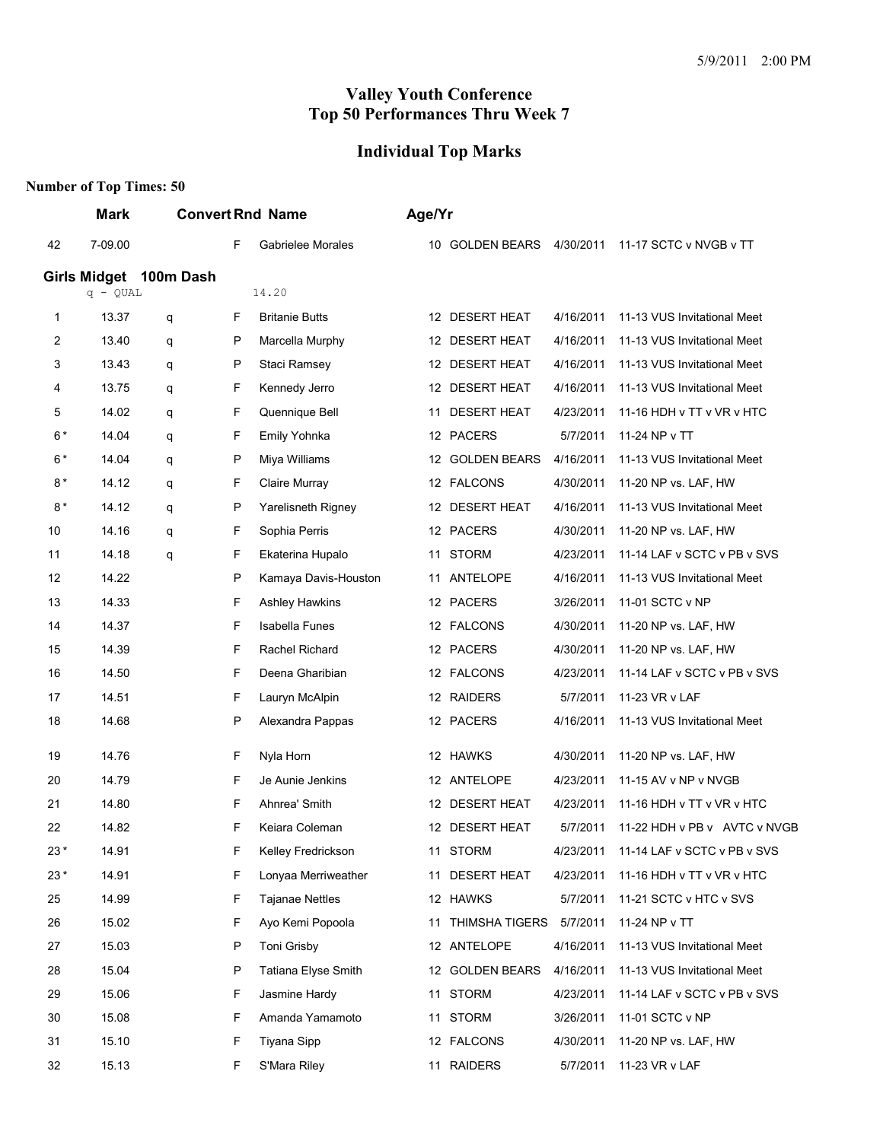# **Individual Top Marks**

|       | Mark                   |   |              | <b>Convert Rnd Name</b> |                      | Age/Yr |                           |           |                              |
|-------|------------------------|---|--------------|-------------------------|----------------------|--------|---------------------------|-----------|------------------------------|
| 42    | 7-09.00                |   | F            |                         | Gabrielee Morales    |        | 10 GOLDEN BEARS 4/30/2011 |           | 11-17 SCTC v NVGB v TT       |
|       | Girls Midget 100m Dash |   |              |                         |                      |        |                           |           |                              |
|       | $q - QUAL$             |   |              | 14.20                   |                      |        |                           |           |                              |
| 1     | 13.37                  | q | F            | <b>Britanie Butts</b>   |                      |        | 12 DESERT HEAT            | 4/16/2011 | 11-13 VUS Invitational Meet  |
| 2     | 13.40                  | q | P            | Marcella Murphy         |                      |        | 12 DESERT HEAT            | 4/16/2011 | 11-13 VUS Invitational Meet  |
| 3     | 13.43                  | q | $\mathsf{P}$ | Staci Ramsey            |                      |        | 12 DESERT HEAT            | 4/16/2011 | 11-13 VUS Invitational Meet  |
| 4     | 13.75                  | q | F            | Kennedy Jerro           |                      |        | 12 DESERT HEAT            | 4/16/2011 | 11-13 VUS Invitational Meet  |
| 5     | 14.02                  | q | F            | Quennique Bell          |                      | 11     | <b>DESERT HEAT</b>        | 4/23/2011 | 11-16 HDH v TT v VR v HTC    |
| $6*$  | 14.04                  | q | F            | Emily Yohnka            |                      |        | 12 PACERS                 | 5/7/2011  | 11-24 NP v TT                |
| $6*$  | 14.04                  | q | $\mathsf{P}$ | Miya Williams           |                      |        | 12 GOLDEN BEARS           | 4/16/2011 | 11-13 VUS Invitational Meet  |
| 8*    | 14.12                  | q | F            | Claire Murray           |                      |        | 12 FALCONS                | 4/30/2011 | 11-20 NP vs. LAF, HW         |
| $8*$  | 14.12                  | q | P            |                         | Yarelisneth Rigney   |        | 12 DESERT HEAT            | 4/16/2011 | 11-13 VUS Invitational Meet  |
| 10    | 14.16                  | q | F            | Sophia Perris           |                      |        | 12 PACERS                 | 4/30/2011 | 11-20 NP vs. LAF, HW         |
| 11    | 14.18                  | q | F            | Ekaterina Hupalo        |                      | 11     | <b>STORM</b>              | 4/23/2011 | 11-14 LAF v SCTC v PB v SVS  |
| 12    | 14.22                  |   | $\mathsf{P}$ |                         | Kamaya Davis-Houston | 11     | ANTELOPE                  | 4/16/2011 | 11-13 VUS Invitational Meet  |
| 13    | 14.33                  |   | F            | <b>Ashley Hawkins</b>   |                      |        | 12 PACERS                 | 3/26/2011 | 11-01 SCTC v NP              |
| 14    | 14.37                  |   | F            | <b>Isabella Funes</b>   |                      |        | 12 FALCONS                | 4/30/2011 | 11-20 NP vs. LAF, HW         |
| 15    | 14.39                  |   | F            | Rachel Richard          |                      |        | 12 PACERS                 | 4/30/2011 | 11-20 NP vs. LAF, HW         |
| 16    | 14.50                  |   | F            | Deena Gharibian         |                      |        | 12 FALCONS                | 4/23/2011 | 11-14 LAF v SCTC v PB v SVS  |
| 17    | 14.51                  |   | F            | Lauryn McAlpin          |                      |        | 12 RAIDERS                | 5/7/2011  | 11-23 VR v LAF               |
| 18    | 14.68                  |   | $\mathsf{P}$ |                         | Alexandra Pappas     |        | 12 PACERS                 | 4/16/2011 | 11-13 VUS Invitational Meet  |
| 19    | 14.76                  |   | F            | Nyla Horn               |                      |        | 12 HAWKS                  | 4/30/2011 | 11-20 NP vs. LAF, HW         |
| 20    | 14.79                  |   | F.           | Je Aunie Jenkins        |                      |        | 12 ANTELOPE               | 4/23/2011 | 11-15 AV v NP v NVGB         |
| 21    | 14.80                  |   | F            | Ahnrea' Smith           |                      |        | 12 DESERT HEAT            | 4/23/2011 | 11-16 HDH v TT v VR v HTC    |
| 22    | 14.82                  |   | F            | Keiara Coleman          |                      |        | 12 DESERT HEAT            | 5/7/2011  | 11-22 HDH v PB v AVTC v NVGB |
| $23*$ | 14.91                  |   | F            |                         | Kelley Fredrickson   |        | 11 STORM                  | 4/23/2011 | 11-14 LAF v SCTC v PB v SVS  |
| $23*$ | 14.91                  |   | F            |                         | Lonyaa Merriweather  |        | 11 DESERT HEAT            | 4/23/2011 | 11-16 HDH v TT v VR v HTC    |
| 25    | 14.99                  |   | F            | <b>Tajanae Nettles</b>  |                      |        | 12 HAWKS                  | 5/7/2011  | 11-21 SCTC v HTC v SVS       |
| 26    | 15.02                  |   | F            |                         | Ayo Kemi Popoola     |        | 11 THIMSHA TIGERS         | 5/7/2011  | 11-24 NP v TT                |
| 27    | 15.03                  |   | P            | Toni Grisby             |                      |        | 12 ANTELOPE               | 4/16/2011 | 11-13 VUS Invitational Meet  |
| 28    | 15.04                  |   | P            |                         | Tatiana Elyse Smith  |        | 12 GOLDEN BEARS           | 4/16/2011 | 11-13 VUS Invitational Meet  |
| 29    | 15.06                  |   | F            | Jasmine Hardy           |                      |        | 11 STORM                  | 4/23/2011 | 11-14 LAF v SCTC v PB v SVS  |
| 30    | 15.08                  |   | F            |                         | Amanda Yamamoto      |        | 11 STORM                  | 3/26/2011 | 11-01 SCTC v NP              |
| 31    | 15.10                  |   | F            | Tiyana Sipp             |                      |        | 12 FALCONS                | 4/30/2011 | 11-20 NP vs. LAF, HW         |
| 32    | 15.13                  |   | F.           | S'Mara Riley            |                      |        | 11 RAIDERS                | 5/7/2011  | 11-23 VR v LAF               |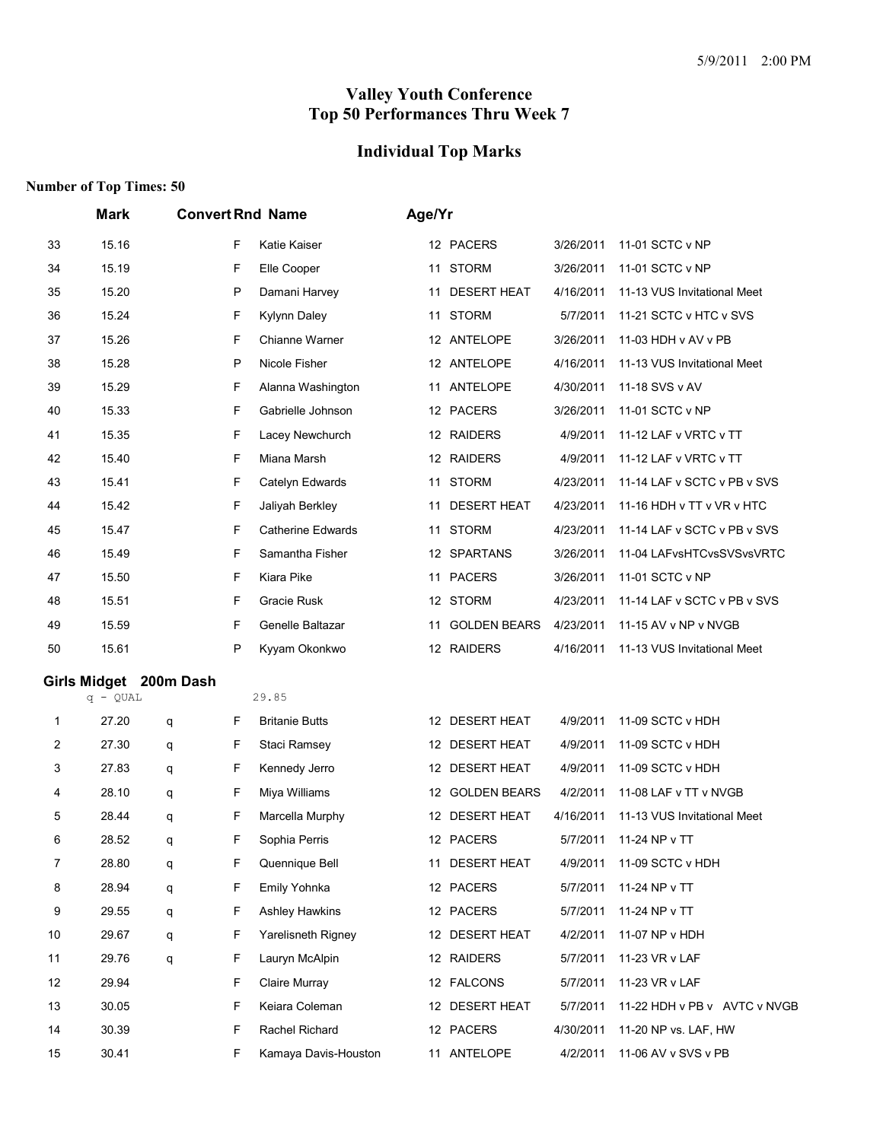# **Individual Top Marks**

|                | Mark                   | <b>Convert Rnd Name</b> |   |                          | Age/Yr |                     |           |                              |  |
|----------------|------------------------|-------------------------|---|--------------------------|--------|---------------------|-----------|------------------------------|--|
| 33             | 15.16                  |                         | F | Katie Kaiser             |        | 12 PACERS           | 3/26/2011 | 11-01 SCTC v NP              |  |
| 34             | 15.19                  |                         | F | Elle Cooper              |        | 11 STORM            | 3/26/2011 | 11-01 SCTC v NP              |  |
| 35             | 15.20                  |                         | P | Damani Harvey            | 11     | <b>DESERT HEAT</b>  | 4/16/2011 | 11-13 VUS Invitational Meet  |  |
| 36             | 15.24                  |                         | F | <b>Kylynn Daley</b>      |        | 11 STORM            | 5/7/2011  | 11-21 SCTC v HTC v SVS       |  |
| 37             | 15.26                  |                         | F | Chianne Warner           |        | 12 ANTELOPE         | 3/26/2011 | 11-03 HDH v AV v PB          |  |
| 38             | 15.28                  |                         | P | Nicole Fisher            |        | 12 ANTELOPE         | 4/16/2011 | 11-13 VUS Invitational Meet  |  |
| 39             | 15.29                  |                         | F | Alanna Washington        |        | 11 ANTELOPE         | 4/30/2011 | 11-18 SVS v AV               |  |
| 40             | 15.33                  |                         | F | Gabrielle Johnson        |        | 12 PACERS           | 3/26/2011 | 11-01 SCTC v NP              |  |
| 41             | 15.35                  |                         | F | Lacey Newchurch          |        | 12 RAIDERS          | 4/9/2011  | 11-12 LAF v VRTC v TT        |  |
| 42             | 15.40                  |                         | F | Miana Marsh              |        | 12 RAIDERS          | 4/9/2011  | 11-12 LAF v VRTC v TT        |  |
| 43             | 15.41                  |                         | F | Catelyn Edwards          |        | 11 STORM            | 4/23/2011 | 11-14 LAF v SCTC v PB v SVS  |  |
| 44             | 15.42                  |                         | F | Jaliyah Berkley          | 11     | <b>DESERT HEAT</b>  | 4/23/2011 | 11-16 HDH v TT v VR v HTC    |  |
| 45             | 15.47                  |                         | F | <b>Catherine Edwards</b> | 11     | <b>STORM</b>        | 4/23/2011 | 11-14 LAF v SCTC v PB v SVS  |  |
| 46             | 15.49                  |                         | F | Samantha Fisher          |        | 12 SPARTANS         | 3/26/2011 | 11-04 LAFvsHTCvsSVSvsVRTC    |  |
| 47             | 15.50                  |                         | F | Kiara Pike               |        | 11 PACERS           | 3/26/2011 | 11-01 SCTC v NP              |  |
| 48             | 15.51                  |                         | F | Gracie Rusk              |        | 12 STORM            | 4/23/2011 | 11-14 LAF v SCTC v PB v SVS  |  |
| 49             | 15.59                  |                         | F | Genelle Baltazar         | 11     | <b>GOLDEN BEARS</b> | 4/23/2011 | 11-15 AV v NP v NVGB         |  |
| 50             | 15.61                  |                         | P | Kyyam Okonkwo            |        | 12 RAIDERS          | 4/16/2011 | 11-13 VUS Invitational Meet  |  |
|                | Girls Midget 200m Dash |                         |   |                          |        |                     |           |                              |  |
|                | $q - QUAL$             |                         |   | 29.85                    |        |                     |           |                              |  |
| $\mathbf 1$    | 27.20                  | q                       | F | <b>Britanie Butts</b>    |        | 12 DESERT HEAT      | 4/9/2011  | 11-09 SCTC v HDH             |  |
| $\overline{c}$ | 27.30                  | q                       | F | <b>Staci Ramsey</b>      |        | 12 DESERT HEAT      | 4/9/2011  | 11-09 SCTC v HDH             |  |
| 3              | 27.83                  | q                       | F | Kennedy Jerro            |        | 12 DESERT HEAT      | 4/9/2011  | 11-09 SCTC v HDH             |  |
| 4              | 28.10                  | q                       | F | Miya Williams            |        | 12 GOLDEN BEARS     | 4/2/2011  | 11-08 LAF v TT v NVGB        |  |
| 5              | 28.44                  | q                       | F | Marcella Murphy          |        | 12 DESERT HEAT      | 4/16/2011 | 11-13 VUS Invitational Meet  |  |
| 6              | 28.52                  | q                       | F | Sophia Perris            |        | 12 PACERS           | 5/7/2011  | 11-24 NP v TT                |  |
| $\overline{7}$ | 28.80                  | q                       | F | Quennique Bell           |        | 11 DESERT HEAT      | 4/9/2011  | 11-09 SCTC v HDH             |  |
| 8              | 28.94                  | q                       | F | Emily Yohnka             |        | 12 PACERS           | 5/7/2011  | 11-24 NP v TT                |  |
| 9              | 29.55                  | q                       | F | <b>Ashley Hawkins</b>    |        | 12 PACERS           | 5/7/2011  | 11-24 NP v TT                |  |
| 10             | 29.67                  | q                       | F | Yarelisneth Rigney       |        | 12 DESERT HEAT      | 4/2/2011  | 11-07 NP v HDH               |  |
| 11             | 29.76                  | q                       | F | Lauryn McAlpin           |        | 12 RAIDERS          | 5/7/2011  | 11-23 VR v LAF               |  |
| 12             | 29.94                  |                         | F | Claire Murray            |        | 12 FALCONS          | 5/7/2011  | 11-23 VR v LAF               |  |
| 13             | 30.05                  |                         | F | Keiara Coleman           |        | 12 DESERT HEAT      | 5/7/2011  | 11-22 HDH v PB v AVTC v NVGB |  |
| 14             | 30.39                  |                         | F | Rachel Richard           |        | 12 PACERS           | 4/30/2011 | 11-20 NP vs. LAF, HW         |  |
| 15             | 30.41                  |                         | F | Kamaya Davis-Houston     |        | 11 ANTELOPE         | 4/2/2011  | 11-06 AV v SVS v PB          |  |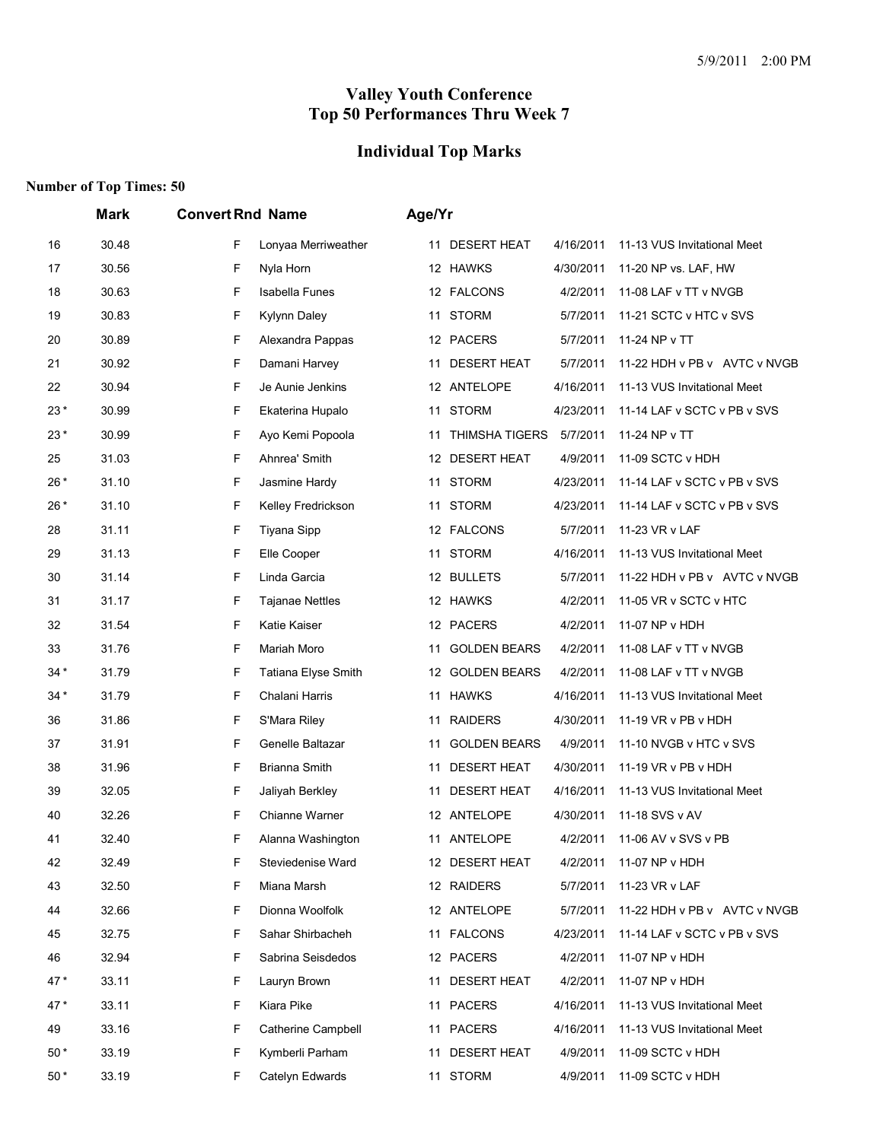# **Individual Top Marks**

|       | Mark  | <b>Convert Rnd Name</b>     | Age/Yr                                                               |
|-------|-------|-----------------------------|----------------------------------------------------------------------|
| 16    | 30.48 | F<br>Lonyaa Merriweather    | <b>DESERT HEAT</b><br>4/16/2011<br>11-13 VUS Invitational Meet<br>11 |
| 17    | 30.56 | F<br>Nyla Horn              | 12 HAWKS<br>4/30/2011<br>11-20 NP vs. LAF, HW                        |
| 18    | 30.63 | F<br><b>Isabella Funes</b>  | 12 FALCONS<br>4/2/2011<br>11-08 LAF v TT v NVGB                      |
| 19    | 30.83 | F<br><b>Kylynn Daley</b>    | 11 STORM<br>5/7/2011<br>11-21 SCTC v HTC v SVS                       |
| 20    | 30.89 | F<br>Alexandra Pappas       | 12 PACERS<br>5/7/2011<br>11-24 NP v TT                               |
| 21    | 30.92 | F<br>Damani Harvey          | <b>DESERT HEAT</b><br>5/7/2011<br>11-22 HDH v PB v AVTC v NVGB<br>11 |
| 22    | 30.94 | F<br>Je Aunie Jenkins       | 12 ANTELOPE<br>4/16/2011<br>11-13 VUS Invitational Meet              |
| $23*$ | 30.99 | F<br>Ekaterina Hupalo       | 11 STORM<br>4/23/2011<br>11-14 LAF v SCTC v PB v SVS                 |
| 23*   | 30.99 | F<br>Ayo Kemi Popoola       | THIMSHA TIGERS<br>5/7/2011<br>11-24 NP v TT<br>11                    |
| 25    | 31.03 | F<br>Ahnrea' Smith          | 12 DESERT HEAT<br>4/9/2011<br>11-09 SCTC v HDH                       |
| 26*   | 31.10 | F<br>Jasmine Hardy          | <b>STORM</b><br>4/23/2011<br>11-14 LAF v SCTC v PB v SVS<br>11       |
| 26*   | 31.10 | F<br>Kelley Fredrickson     | STORM<br>4/23/2011<br>11-14 LAF v SCTC v PB v SVS<br>11              |
| 28    | 31.11 | F<br>Tiyana Sipp            | 12 FALCONS<br>5/7/2011<br>11-23 VR v LAF                             |
| 29    | 31.13 | F<br>Elle Cooper            | <b>STORM</b><br>4/16/2011<br>11-13 VUS Invitational Meet<br>11       |
| 30    | 31.14 | F<br>Linda Garcia           | 12 BULLETS<br>11-22 HDH v PB v AVTC v NVGB<br>5/7/2011               |
| 31    | 31.17 | F<br><b>Tajanae Nettles</b> | 12 HAWKS<br>4/2/2011<br>11-05 VR v SCTC v HTC                        |
| 32    | 31.54 | F<br>Katie Kaiser           | 12 PACERS<br>11-07 NP v HDH<br>4/2/2011                              |
| 33    | 31.76 | F<br>Mariah Moro            | <b>GOLDEN BEARS</b><br>4/2/2011<br>11-08 LAF v TT v NVGB<br>11       |
| 34 *  | 31.79 | F<br>Tatiana Elyse Smith    | 12 GOLDEN BEARS<br>4/2/2011<br>11-08 LAF v TT v NVGB                 |
| $34*$ | 31.79 | F<br>Chalani Harris         | 11 HAWKS<br>4/16/2011<br>11-13 VUS Invitational Meet                 |
| 36    | 31.86 | F<br>S'Mara Riley           | <b>RAIDERS</b><br>4/30/2011<br>11-19 VR v PB v HDH<br>11             |
| 37    | 31.91 | F<br>Genelle Baltazar       | <b>GOLDEN BEARS</b><br>4/9/2011<br>11-10 NVGB v HTC v SVS<br>11      |
| 38    | 31.96 | F<br><b>Brianna Smith</b>   | <b>DESERT HEAT</b><br>4/30/2011<br>11-19 VR v PB v HDH<br>11         |
| 39    | 32.05 | F<br>Jaliyah Berkley        | 11 DESERT HEAT<br>4/16/2011<br>11-13 VUS Invitational Meet           |
| 40    | 32.26 | F<br>Chianne Warner         | 12 ANTELOPE<br>4/30/2011<br>11-18 SVS v AV                           |
| 41    | 32.40 | F<br>Alanna Washington      | 11 ANTELOPE<br>4/2/2011<br>11-06 AV v SVS v PB                       |
| 42    | 32.49 | F<br>Steviedenise Ward      | 12 DESERT HEAT<br>11-07 NP v HDH<br>4/2/2011                         |
| 43    | 32.50 | F<br>Miana Marsh            | 12 RAIDERS<br>5/7/2011<br>11-23 VR v LAF                             |
| 44    | 32.66 | F<br>Dionna Woolfolk        | 12 ANTELOPE<br>11-22 HDH v PB v AVTC v NVGB<br>5/7/2011              |
| 45    | 32.75 | F<br>Sahar Shirbacheh       | 11 FALCONS<br>4/23/2011<br>11-14 LAF v SCTC v PB v SVS               |
| 46    | 32.94 | F.<br>Sabrina Seisdedos     | 12 PACERS<br>4/2/2011<br>11-07 NP v HDH                              |
| $47*$ | 33.11 | F<br>Lauryn Brown           | 11 DESERT HEAT<br>4/2/2011<br>11-07 NP v HDH                         |
| 47*   | 33.11 | F.<br>Kiara Pike            | 11 PACERS<br>11-13 VUS Invitational Meet<br>4/16/2011                |
| 49    | 33.16 | F<br>Catherine Campbell     | 11 PACERS<br>4/16/2011<br>11-13 VUS Invitational Meet                |
| 50 *  | 33.19 | F.<br>Kymberli Parham       | <b>DESERT HEAT</b><br>11-09 SCTC v HDH<br>4/9/2011<br>11             |
| $50*$ | 33.19 | F.<br>Catelyn Edwards       | 11 STORM<br>4/9/2011<br>11-09 SCTC v HDH                             |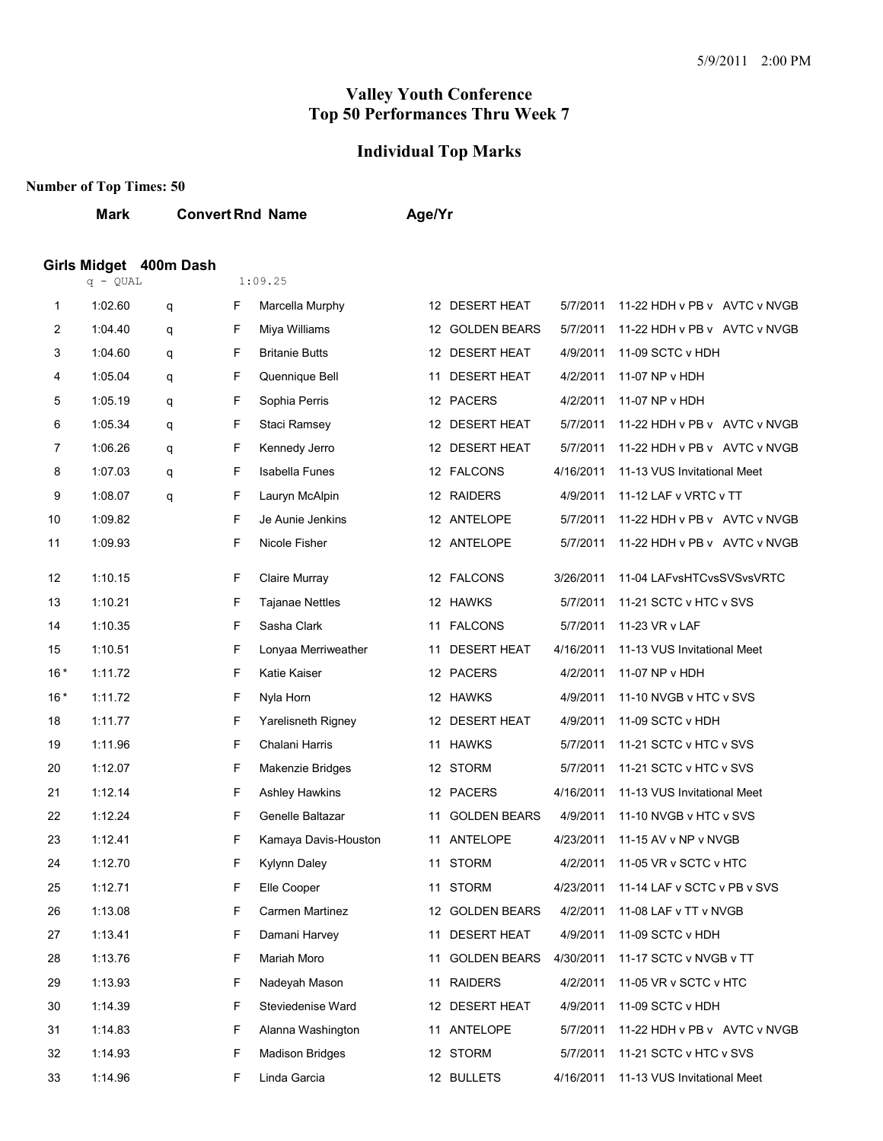#### **Individual Top Marks**

#### **Number of Top Times: 50**

**Mark Convert Rnd Name Age/Yr**

### **Girls Midget 400m Dash**

|       | q - QUAL |   |    | 1:09.25                |    |                     |           |                              |
|-------|----------|---|----|------------------------|----|---------------------|-----------|------------------------------|
| 1     | 1:02.60  | q | F  | Marcella Murphy        |    | 12 DESERT HEAT      | 5/7/2011  | 11-22 HDH v PB v AVTC v NVGB |
| 2     | 1:04.40  | q | F  | Miya Williams          |    | 12 GOLDEN BEARS     | 5/7/2011  | 11-22 HDH v PB v AVTC v NVGB |
| 3     | 1:04.60  | q | F  | <b>Britanie Butts</b>  |    | 12 DESERT HEAT      | 4/9/2011  | 11-09 SCTC v HDH             |
| 4     | 1:05.04  | q | F  | Quennique Bell         |    | 11 DESERT HEAT      | 4/2/2011  | 11-07 NP v HDH               |
| 5     | 1:05.19  | q | F  | Sophia Perris          |    | 12 PACERS           | 4/2/2011  | 11-07 NP v HDH               |
| 6     | 1:05.34  | q | F  | Staci Ramsey           |    | 12 DESERT HEAT      | 5/7/2011  | 11-22 HDH v PB v AVTC v NVGB |
| 7     | 1:06.26  | q | F  | Kennedy Jerro          |    | 12 DESERT HEAT      | 5/7/2011  | 11-22 HDH v PB v AVTC v NVGB |
| 8     | 1:07.03  | q | F  | <b>Isabella Funes</b>  |    | 12 FALCONS          | 4/16/2011 | 11-13 VUS Invitational Meet  |
| 9     | 1:08.07  | q | F  | Lauryn McAlpin         |    | 12 RAIDERS          | 4/9/2011  | 11-12 LAF v VRTC v TT        |
| 10    | 1:09.82  |   | F  | Je Aunie Jenkins       |    | 12 ANTELOPE         | 5/7/2011  | 11-22 HDH v PB v AVTC v NVGB |
| 11    | 1:09.93  |   | F  | Nicole Fisher          |    | 12 ANTELOPE         | 5/7/2011  | 11-22 HDH v PB v AVTC v NVGB |
| 12    | 1:10.15  |   | F  | Claire Murray          |    | 12 FALCONS          | 3/26/2011 | 11-04 LAFvsHTCvsSVSvsVRTC    |
| 13    | 1:10.21  |   | F  | <b>Tajanae Nettles</b> |    | 12 HAWKS            | 5/7/2011  | 11-21 SCTC v HTC v SVS       |
| 14    | 1:10.35  |   | F. | Sasha Clark            |    | 11 FALCONS          | 5/7/2011  | 11-23 VR v LAF               |
| 15    | 1:10.51  |   | F  | Lonyaa Merriweather    |    | 11 DESERT HEAT      | 4/16/2011 | 11-13 VUS Invitational Meet  |
| $16*$ | 1:11.72  |   | F  | Katie Kaiser           |    | 12 PACERS           | 4/2/2011  | 11-07 NP v HDH               |
| $16*$ | 1:11.72  |   | F  | Nyla Horn              |    | 12 HAWKS            | 4/9/2011  | 11-10 NVGB v HTC v SVS       |
| 18    | 1:11.77  |   | F  | Yarelisneth Rigney     |    | 12 DESERT HEAT      | 4/9/2011  | 11-09 SCTC v HDH             |
| 19    | 1:11.96  |   | F  | Chalani Harris         |    | 11 HAWKS            | 5/7/2011  | 11-21 SCTC v HTC v SVS       |
| 20    | 1:12.07  |   | F  | Makenzie Bridges       |    | 12 STORM            | 5/7/2011  | 11-21 SCTC v HTC v SVS       |
| 21    | 1:12.14  |   | F  | Ashley Hawkins         |    | 12 PACERS           | 4/16/2011 | 11-13 VUS Invitational Meet  |
| 22    | 1:12.24  |   | F. | Genelle Baltazar       | 11 | <b>GOLDEN BEARS</b> | 4/9/2011  | 11-10 NVGB v HTC v SVS       |
| 23    | 1:12.41  |   | F  | Kamaya Davis-Houston   |    | 11 ANTELOPE         | 4/23/2011 | 11-15 AV v NP v NVGB         |
| 24    | 1:12.70  |   | F  | Kylynn Daley           | 11 | <b>STORM</b>        | 4/2/2011  | 11-05 VR v SCTC v HTC        |
| 25    | 1:12.71  |   | F  | Elle Cooper            |    | 11 STORM            | 4/23/2011 | 11-14 LAF v SCTC v PB v SVS  |
| 26    | 1:13.08  |   | F  | Carmen Martinez        |    | 12 GOLDEN BEARS     | 4/2/2011  | 11-08 LAF v TT v NVGB        |
| 27    | 1:13.41  |   | F  | Damani Harvey          |    | 11 DESERT HEAT      | 4/9/2011  | 11-09 SCTC v HDH             |
| 28    | 1:13.76  |   | F  | Mariah Moro            | 11 | <b>GOLDEN BEARS</b> | 4/30/2011 | 11-17 SCTC v NVGB v TT       |
| 29    | 1:13.93  |   | F. | Nadeyah Mason          |    | 11 RAIDERS          | 4/2/2011  | 11-05 VR v SCTC v HTC        |
| 30    | 1:14.39  |   | F  | Steviedenise Ward      |    | 12 DESERT HEAT      | 4/9/2011  | 11-09 SCTC v HDH             |
| 31    | 1:14.83  |   | F  | Alanna Washington      |    | 11 ANTELOPE         | 5/7/2011  | 11-22 HDH v PB v AVTC v NVGB |
| 32    | 1:14.93  |   | F  | <b>Madison Bridges</b> |    | 12 STORM            | 5/7/2011  | 11-21 SCTC v HTC v SVS       |
| 33    | 1:14.96  |   | F. | Linda Garcia           |    | 12 BULLETS          | 4/16/2011 | 11-13 VUS Invitational Meet  |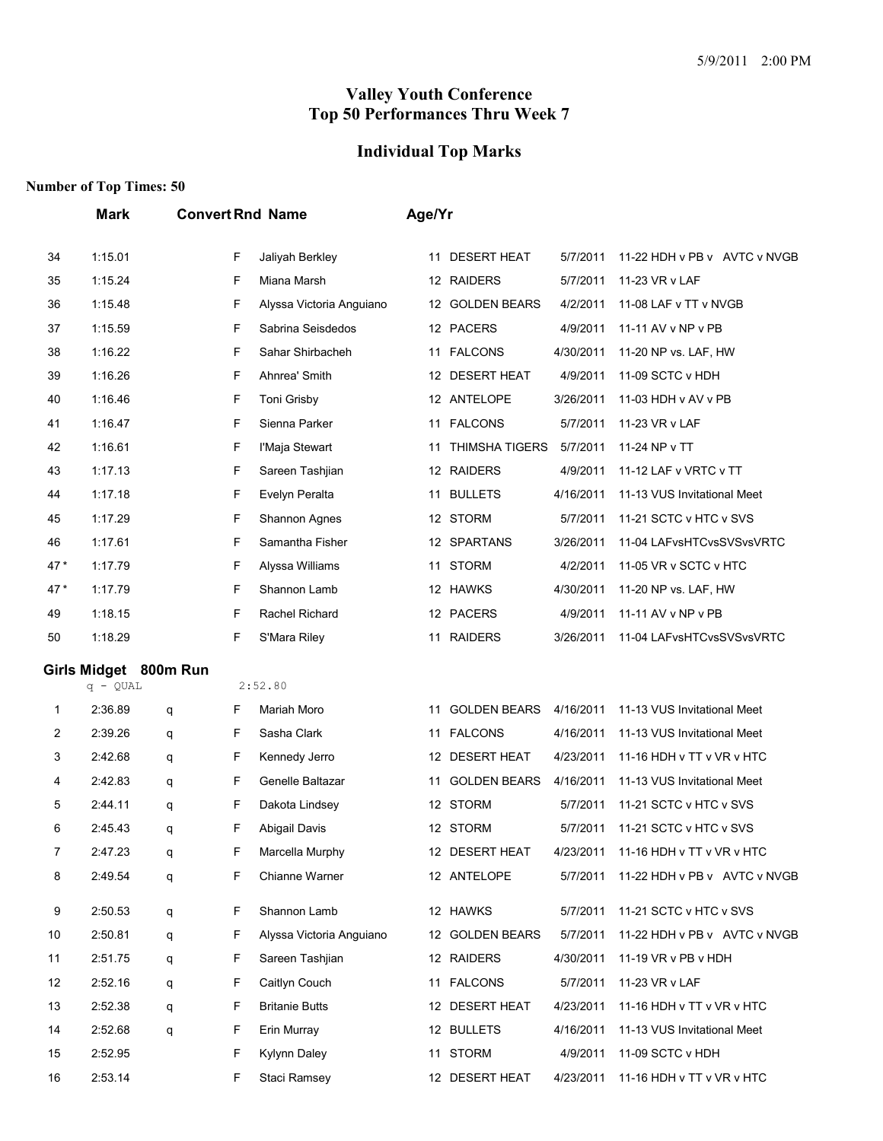## **Individual Top Marks**

|     | <b>Mark</b>           |   |    | <b>Convert Rnd Name</b>  | Age/Yr |                       |           |                              |
|-----|-----------------------|---|----|--------------------------|--------|-----------------------|-----------|------------------------------|
| 34  | 1:15.01               |   | F  | Jaliyah Berkley          | 11     | <b>DESERT HEAT</b>    | 5/7/2011  | 11-22 HDH v PB v AVTC v NVGB |
| 35  | 1:15.24               |   | F  | Miana Marsh              |        | 12 RAIDERS            | 5/7/2011  | 11-23 VR v LAF               |
| 36  | 1:15.48               |   | F  | Alyssa Victoria Anguiano |        | 12 GOLDEN BEARS       | 4/2/2011  | 11-08 LAF v TT v NVGB        |
| 37  | 1:15.59               |   | F  | Sabrina Seisdedos        |        | 12 PACERS             | 4/9/2011  | 11-11 AV v NP v PB           |
| 38  | 1:16.22               |   | F  | Sahar Shirbacheh         | 11     | <b>FALCONS</b>        | 4/30/2011 | 11-20 NP vs. LAF, HW         |
| 39  | 1:16.26               |   | F  | Ahnrea' Smith            |        | 12 DESERT HEAT        | 4/9/2011  | 11-09 SCTC v HDH             |
| 40  | 1:16.46               |   | F  | Toni Grisby              |        | 12 ANTELOPE           | 3/26/2011 | 11-03 HDH v AV v PB          |
| 41  | 1:16.47               |   | F  | Sienna Parker            |        | 11 FALCONS            | 5/7/2011  | 11-23 VR v LAF               |
| 42  | 1:16.61               |   | F  | l'Maja Stewart           | 11     | <b>THIMSHA TIGERS</b> | 5/7/2011  | 11-24 NP v TT                |
| 43  | 1:17.13               |   | F  | Sareen Tashjian          |        | 12 RAIDERS            | 4/9/2011  | 11-12 LAF v VRTC v TT        |
| 44  | 1:17.18               |   | F  | Evelyn Peralta           | 11     | <b>BULLETS</b>        | 4/16/2011 | 11-13 VUS Invitational Meet  |
| 45  | 1:17.29               |   | F  | Shannon Agnes            |        | 12 STORM              | 5/7/2011  | 11-21 SCTC v HTC v SVS       |
| 46  | 1:17.61               |   | F  | Samantha Fisher          |        | 12 SPARTANS           | 3/26/2011 | 11-04 LAFvsHTCvsSVSvsVRTC    |
| 47* | 1:17.79               |   | F  | Alyssa Williams          | 11     | <b>STORM</b>          | 4/2/2011  | 11-05 VR v SCTC v HTC        |
| 47* | 1:17.79               |   | F  | Shannon Lamb             |        | 12 HAWKS              | 4/30/2011 | 11-20 NP vs. LAF, HW         |
| 49  | 1:18.15               |   | F  | Rachel Richard           |        | 12 PACERS             | 4/9/2011  | 11-11 AV v NP v PB           |
| 50  | 1:18.29               |   | F  | S'Mara Riley             |        | 11 RAIDERS            | 3/26/2011 | 11-04 LAFvsHTCvsSVSvsVRTC    |
|     | Girls Midget 800m Run |   |    |                          |        |                       |           |                              |
|     | $q - QUAL$            |   |    | 2:52.80                  |        |                       |           |                              |
| 1   | 2:36.89               | q | F  | Mariah Moro              | 11     | <b>GOLDEN BEARS</b>   | 4/16/2011 | 11-13 VUS Invitational Meet  |
| 2   | 2:39.26               | q | F  | Sasha Clark              |        | 11 FALCONS            | 4/16/2011 | 11-13 VUS Invitational Meet  |
| 3   | 2:42.68               | q | F  | Kennedy Jerro            |        | 12 DESERT HEAT        | 4/23/2011 | 11-16 HDH v TT v VR v HTC    |
| 4   | 2:42.83               | q | F  | Genelle Baltazar         | 11     | <b>GOLDEN BEARS</b>   | 4/16/2011 | 11-13 VUS Invitational Meet  |
| 5   | 2:44.11               | q | F  | Dakota Lindsey           |        | 12 STORM              | 5/7/2011  | 11-21 SCTC v HTC v SVS       |
| 6   | 2:45.43               | q | F  | Abigail Davis            |        | 12 STORM              | 5/7/2011  | 11-21 SCTC v HTC v SVS       |
| 7   | 2:47.23               | q | F  | Marcella Murphy          |        | 12 DESERT HEAT        | 4/23/2011 | 11-16 HDH v TT v VR v HTC    |
| 8   | 2:49.54               | q | F  | Chianne Warner           |        | 12 ANTELOPE           | 5/7/2011  | 11-22 HDH v PB v AVTC v NVGB |
| 9   | 2:50.53               | q | F  | Shannon Lamb             |        | 12 HAWKS              | 5/7/2011  | 11-21 SCTC v HTC v SVS       |
| 10  | 2:50.81               | q | F  | Alyssa Victoria Anguiano |        | 12 GOLDEN BEARS       | 5/7/2011  | 11-22 HDH v PB v AVTC v NVGB |
| 11  | 2:51.75               | q | F  | Sareen Tashjian          |        | 12 RAIDERS            | 4/30/2011 | 11-19 VR v PB v HDH          |
| 12  | 2:52.16               | q | F  | Caitlyn Couch            |        | 11 FALCONS            | 5/7/2011  | 11-23 VR v LAF               |
| 13  | 2:52.38               | q | F  | <b>Britanie Butts</b>    |        | 12 DESERT HEAT        | 4/23/2011 | 11-16 HDH v TT v VR v HTC    |
| 14  | 2:52.68               | q | F  | Erin Murray              |        | 12 BULLETS            | 4/16/2011 | 11-13 VUS Invitational Meet  |
| 15  | 2:52.95               |   | F  | Kylynn Daley             |        | 11 STORM              | 4/9/2011  | 11-09 SCTC v HDH             |
| 16  | 2:53.14               |   | F. | Staci Ramsey             |        | 12 DESERT HEAT        | 4/23/2011 | 11-16 HDH v TT v VR v HTC    |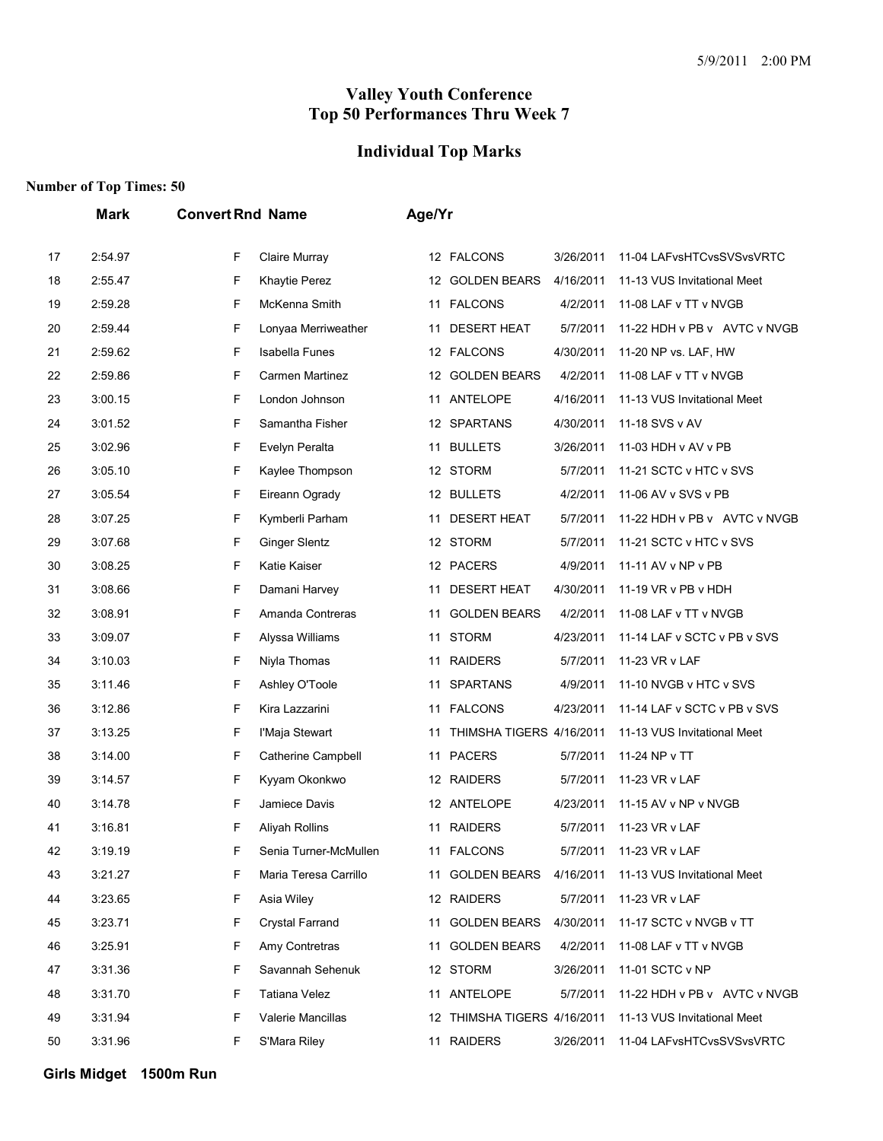### **Individual Top Marks**

#### **Number of Top Times: 50**

|    | <b>Mark</b> | <b>Convert Rnd Name</b>    | Age/Yr                                                                |
|----|-------------|----------------------------|-----------------------------------------------------------------------|
| 17 | 2:54.97     | F<br>Claire Murray         | 12 FALCONS<br>3/26/2011<br>11-04 LAFvsHTCvsSVSvsVRTC                  |
| 18 | 2:55.47     | F<br><b>Khaytie Perez</b>  | 12 GOLDEN BEARS<br>4/16/2011<br>11-13 VUS Invitational Meet           |
| 19 | 2:59.28     | F<br>McKenna Smith         | <b>FALCONS</b><br>4/2/2011<br>11-08 LAF v TT v NVGB<br>11             |
| 20 | 2:59.44     | F<br>Lonyaa Merriweather   | <b>DESERT HEAT</b><br>5/7/2011<br>11-22 HDH v PB v AVTC v NVGB<br>11  |
| 21 | 2:59.62     | F<br><b>Isabella Funes</b> | 12 FALCONS<br>4/30/2011<br>11-20 NP vs. LAF, HW                       |
| 22 | 2:59.86     | F<br>Carmen Martinez       | <b>GOLDEN BEARS</b><br>4/2/2011<br>11-08 LAF v TT v NVGB<br>12        |
| 23 | 3:00.15     | F<br>London Johnson        | ANTELOPE<br>4/16/2011<br>11-13 VUS Invitational Meet<br>11            |
| 24 | 3:01.52     | F<br>Samantha Fisher       | <b>SPARTANS</b><br>4/30/2011<br>11-18 SVS v AV<br>12                  |
| 25 | 3:02.96     | F<br>Evelyn Peralta        | <b>BULLETS</b><br>3/26/2011<br>11-03 HDH v AV v PB<br>11              |
| 26 | 3:05.10     | F<br>Kaylee Thompson       | 12 STORM<br>5/7/2011<br>11-21 SCTC v HTC v SVS                        |
| 27 | 3:05.54     | F<br>Eireann Ogrady        | 12 BULLETS<br>4/2/2011<br>11-06 AV v SVS v PB                         |
| 28 | 3:07.25     | F<br>Kymberli Parham       | <b>DESERT HEAT</b><br>5/7/2011<br>11-22 HDH v PB v AVTC v NVGB<br>11  |
| 29 | 3:07.68     | F<br><b>Ginger Slentz</b>  | 12 STORM<br>5/7/2011<br>11-21 SCTC v HTC v SVS                        |
| 30 | 3:08.25     | F<br>Katie Kaiser          | 12 PACERS<br>4/9/2011<br>11-11 AV v NP v PB                           |
| 31 | 3:08.66     | F<br>Damani Harvey         | <b>DESERT HEAT</b><br>4/30/2011<br>11-19 VR v PB v HDH<br>11          |
| 32 | 3:08.91     | F<br>Amanda Contreras      | <b>GOLDEN BEARS</b><br>4/2/2011<br>11-08 LAF v TT v NVGB<br>11        |
| 33 | 3:09.07     | F<br>Alyssa Williams       | <b>STORM</b><br>4/23/2011<br>11-14 LAF v SCTC v PB v SVS<br>11        |
| 34 | 3:10.03     | F<br>Niyla Thomas          | <b>RAIDERS</b><br>5/7/2011<br>11-23 VR v LAF<br>11                    |
| 35 | 3:11.46     | F<br>Ashley O'Toole        | <b>SPARTANS</b><br>4/9/2011<br>11-10 NVGB v HTC v SVS<br>11           |
| 36 | 3:12.86     | F<br>Kira Lazzarini        | <b>FALCONS</b><br>4/23/2011<br>11-14 LAF v SCTC v PB v SVS<br>11      |
| 37 | 3:13.25     | F<br>l'Maja Stewart        | THIMSHA TIGERS 4/16/2011<br>11-13 VUS Invitational Meet<br>11         |
| 38 | 3:14.00     | F<br>Catherine Campbell    | 11 PACERS<br>5/7/2011<br>11-24 NP v TT                                |
| 39 | 3:14.57     | F<br>Kyyam Okonkwo         | 12 RAIDERS<br>5/7/2011<br>11-23 VR v LAF                              |
| 40 | 3:14.78     | F<br>Jamiece Davis         | 12 ANTELOPE<br>4/23/2011<br>11-15 AV v NP v NVGB                      |
| 41 | 3:16.81     | F<br>Aliyah Rollins        | 11 RAIDERS<br>5/7/2011<br>11-23 VR v LAF                              |
| 42 | 3:19.19     | Senia Turner-McMullen<br>F | 11 FALCONS<br>5/7/2011<br>11-23 VR v LAF                              |
| 43 | 3:21.27     | F<br>Maria Teresa Carrillo | <b>GOLDEN BEARS</b><br>4/16/2011<br>11-13 VUS Invitational Meet<br>11 |
| 44 | 3:23.65     | F<br>Asia Wiley            | 12 RAIDERS<br>5/7/2011<br>11-23 VR v LAF                              |
| 45 | 3:23.71     | F<br>Crystal Farrand       | <b>GOLDEN BEARS</b><br>4/30/2011<br>11-17 SCTC v NVGB v TT<br>11      |
| 46 | 3:25.91     | F<br>Amy Contretras        | <b>GOLDEN BEARS</b><br>4/2/2011<br>11-08 LAF v TT v NVGB<br>11        |
| 47 | 3:31.36     | F<br>Savannah Sehenuk      | 12 STORM<br>3/26/2011<br>11-01 SCTC v NP                              |
| 48 | 3:31.70     | F<br><b>Tatiana Velez</b>  | ANTELOPE<br>5/7/2011<br>11-22 HDH v PB v AVTC v NVGB<br>11            |
| 49 | 3:31.94     | F<br>Valerie Mancillas     | 12 THIMSHA TIGERS 4/16/2011<br>11-13 VUS Invitational Meet            |
| 50 | 3:31.96     | F<br>S'Mara Riley          | 11 RAIDERS<br>3/26/2011<br>11-04 LAFvsHTCvsSVSvsVRTC                  |

**Girls Midget 1500m Run**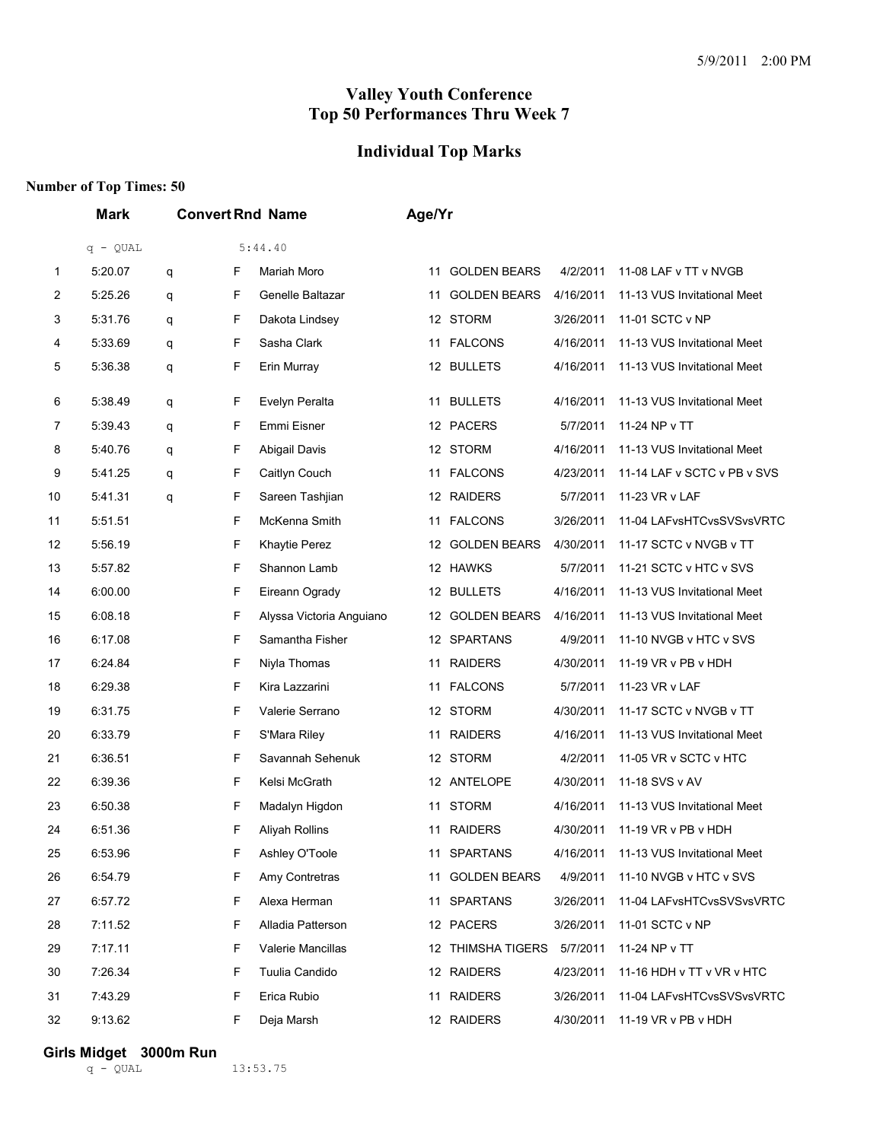#### **Individual Top Marks**

#### **Number of Top Times: 50**

|    | <b>Mark</b> | <b>Convert Rnd Name</b> |   | Age/Yr                   |    |                     |           |                             |
|----|-------------|-------------------------|---|--------------------------|----|---------------------|-----------|-----------------------------|
|    | $q - QUAL$  |                         |   | 5:44.40                  |    |                     |           |                             |
| 1  | 5:20.07     | q                       | F | Mariah Moro              |    | 11 GOLDEN BEARS     | 4/2/2011  | 11-08 LAF v TT v NVGB       |
| 2  | 5:25.26     | q                       | F | Genelle Baltazar         | 11 | <b>GOLDEN BEARS</b> | 4/16/2011 | 11-13 VUS Invitational Meet |
| 3  | 5:31.76     | q                       | F | Dakota Lindsey           |    | 12 STORM            | 3/26/2011 | 11-01 SCTC v NP             |
| 4  | 5:33.69     | q                       | F | Sasha Clark              | 11 | <b>FALCONS</b>      | 4/16/2011 | 11-13 VUS Invitational Meet |
| 5  | 5:36.38     | q                       | F | Erin Murray              |    | 12 BULLETS          | 4/16/2011 | 11-13 VUS Invitational Meet |
| 6  | 5:38.49     | q                       | F | Evelyn Peralta           | 11 | <b>BULLETS</b>      | 4/16/2011 | 11-13 VUS Invitational Meet |
| 7  | 5:39.43     | q                       | F | Emmi Eisner              |    | 12 PACERS           | 5/7/2011  | 11-24 NP v TT               |
| 8  | 5:40.76     | q                       | F | Abigail Davis            |    | 12 STORM            | 4/16/2011 | 11-13 VUS Invitational Meet |
| 9  | 5:41.25     | q                       | F | Caitlyn Couch            |    | 11 FALCONS          | 4/23/2011 | 11-14 LAF v SCTC v PB v SVS |
| 10 | 5:41.31     | q                       | F | Sareen Tashjian          |    | 12 RAIDERS          | 5/7/2011  | 11-23 VR v LAF              |
| 11 | 5:51.51     |                         | F | McKenna Smith            | 11 | <b>FALCONS</b>      | 3/26/2011 | 11-04 LAFvsHTCvsSVSvsVRTC   |
| 12 | 5:56.19     |                         | F | <b>Khaytie Perez</b>     |    | 12 GOLDEN BEARS     | 4/30/2011 | 11-17 SCTC v NVGB v TT      |
| 13 | 5:57.82     |                         | F | Shannon Lamb             |    | 12 HAWKS            | 5/7/2011  | 11-21 SCTC v HTC v SVS      |
| 14 | 6:00.00     |                         | F | Eireann Ogrady           |    | 12 BULLETS          | 4/16/2011 | 11-13 VUS Invitational Meet |
| 15 | 6:08.18     |                         | F | Alyssa Victoria Anguiano |    | 12 GOLDEN BEARS     | 4/16/2011 | 11-13 VUS Invitational Meet |
| 16 | 6:17.08     |                         | F | Samantha Fisher          |    | 12 SPARTANS         | 4/9/2011  | 11-10 NVGB v HTC v SVS      |
| 17 | 6:24.84     |                         | F | Niyla Thomas             | 11 | <b>RAIDERS</b>      | 4/30/2011 | 11-19 VR v PB v HDH         |
| 18 | 6:29.38     |                         | F | Kira Lazzarini           | 11 | <b>FALCONS</b>      | 5/7/2011  | 11-23 VR v LAF              |
| 19 | 6:31.75     |                         | F | Valerie Serrano          |    | 12 STORM            | 4/30/2011 | 11-17 SCTC v NVGB v TT      |
| 20 | 6:33.79     |                         | F | S'Mara Riley             |    | 11 RAIDERS          | 4/16/2011 | 11-13 VUS Invitational Meet |
| 21 | 6:36.51     |                         | F | Savannah Sehenuk         |    | 12 STORM            | 4/2/2011  | 11-05 VR v SCTC v HTC       |
| 22 | 6:39.36     |                         | F | Kelsi McGrath            |    | 12 ANTELOPE         | 4/30/2011 | 11-18 SVS v AV              |
| 23 | 6:50.38     |                         | F | Madalyn Higdon           |    | 11 STORM            | 4/16/2011 | 11-13 VUS Invitational Meet |
| 24 | 6:51.36     |                         | F | <b>Aliyah Rollins</b>    |    | 11 RAIDERS          | 4/30/2011 | 11-19 VR v PB v HDH         |
| 25 | 6:53.96     |                         | F | Ashley O'Toole           |    | 11 SPARTANS         | 4/16/2011 | 11-13 VUS Invitational Meet |
| 26 | 6:54.79     |                         | F | Amy Contretras           | 11 | <b>GOLDEN BEARS</b> | 4/9/2011  | 11-10 NVGB v HTC v SVS      |
| 27 | 6:57.72     |                         | F | Alexa Herman             |    | 11 SPARTANS         | 3/26/2011 | 11-04 LAFvsHTCvsSVSvsVRTC   |
| 28 | 7:11.52     |                         | F | Alladia Patterson        |    | 12 PACERS           | 3/26/2011 | 11-01 SCTC v NP             |
| 29 | 7:17.11     |                         | F | Valerie Mancillas        |    | 12 THIMSHA TIGERS   | 5/7/2011  | 11-24 NP v TT               |
| 30 | 7:26.34     |                         | F | Tuulia Candido           |    | 12 RAIDERS          | 4/23/2011 | 11-16 HDH v TT v VR v HTC   |
| 31 | 7:43.29     |                         | F | Erica Rubio              | 11 | <b>RAIDERS</b>      | 3/26/2011 | 11-04 LAFvsHTCvsSVSvsVRTC   |
| 32 | 9:13.62     |                         | F | Deja Marsh               |    | 12 RAIDERS          | 4/30/2011 | 11-19 VR v PB v HDH         |

**Girls Midget 3000m Run**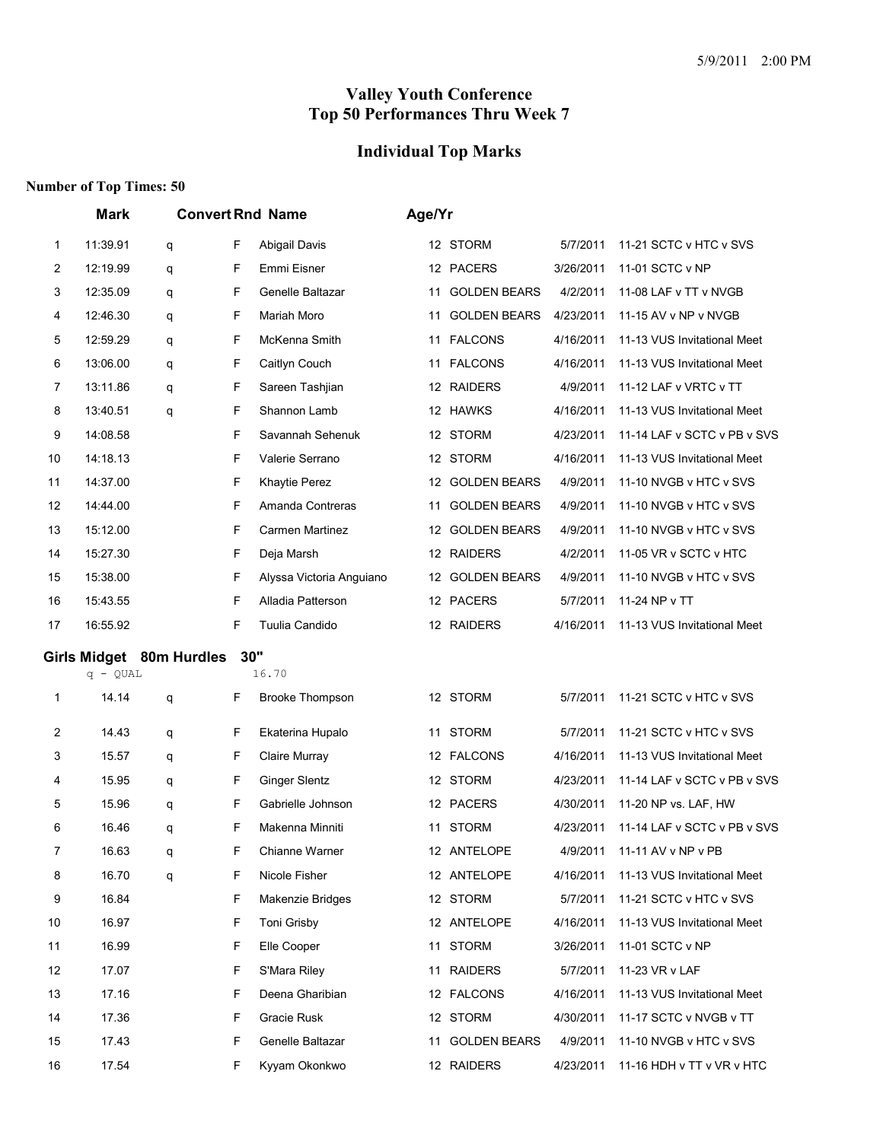### **Individual Top Marks**

|    | <b>Convert Rnd Name</b><br><b>Mark</b> |                          |   |                          |    | Age/Yr              |           |                             |  |  |  |
|----|----------------------------------------|--------------------------|---|--------------------------|----|---------------------|-----------|-----------------------------|--|--|--|
| 1  | 11:39.91                               | q                        | F | Abigail Davis            |    | 12 STORM            | 5/7/2011  | 11-21 SCTC v HTC v SVS      |  |  |  |
| 2  | 12:19.99                               | q                        | F | Emmi Eisner              |    | 12 PACERS           | 3/26/2011 | 11-01 SCTC v NP             |  |  |  |
| 3  | 12:35.09                               | q                        | F | Genelle Baltazar         | 11 | <b>GOLDEN BEARS</b> | 4/2/2011  | 11-08 LAF v TT v NVGB       |  |  |  |
| 4  | 12:46.30                               | q                        | F | Mariah Moro              | 11 | <b>GOLDEN BEARS</b> | 4/23/2011 | 11-15 AV v NP v NVGB        |  |  |  |
| 5  | 12:59.29                               | q                        | F | McKenna Smith            | 11 | <b>FALCONS</b>      | 4/16/2011 | 11-13 VUS Invitational Meet |  |  |  |
| 6  | 13:06.00                               | q                        | F | Caitlyn Couch            |    | 11 FALCONS          | 4/16/2011 | 11-13 VUS Invitational Meet |  |  |  |
| 7  | 13:11.86                               | q                        | F | Sareen Tashjian          |    | 12 RAIDERS          | 4/9/2011  | 11-12 LAF v VRTC v TT       |  |  |  |
| 8  | 13:40.51                               | q                        | F | Shannon Lamb             |    | 12 HAWKS            | 4/16/2011 | 11-13 VUS Invitational Meet |  |  |  |
| 9  | 14:08.58                               |                          | F | Savannah Sehenuk         |    | 12 STORM            | 4/23/2011 | 11-14 LAF v SCTC v PB v SVS |  |  |  |
| 10 | 14:18.13                               |                          | F | Valerie Serrano          |    | 12 STORM            | 4/16/2011 | 11-13 VUS Invitational Meet |  |  |  |
| 11 | 14:37.00                               |                          | F | Khaytie Perez            |    | 12 GOLDEN BEARS     | 4/9/2011  | 11-10 NVGB v HTC v SVS      |  |  |  |
| 12 | 14:44.00                               |                          | F | Amanda Contreras         | 11 | <b>GOLDEN BEARS</b> | 4/9/2011  | 11-10 NVGB v HTC v SVS      |  |  |  |
| 13 | 15:12.00                               |                          | F | Carmen Martinez          |    | 12 GOLDEN BEARS     | 4/9/2011  | 11-10 NVGB v HTC v SVS      |  |  |  |
| 14 | 15:27.30                               |                          | F | Deja Marsh               |    | 12 RAIDERS          | 4/2/2011  | 11-05 VR v SCTC v HTC       |  |  |  |
| 15 | 15:38.00                               |                          | F | Alyssa Victoria Anguiano |    | 12 GOLDEN BEARS     | 4/9/2011  | 11-10 NVGB v HTC v SVS      |  |  |  |
| 16 | 15:43.55                               |                          | F | Alladia Patterson        |    | 12 PACERS           | 5/7/2011  | 11-24 NP v TT               |  |  |  |
| 17 | 16:55.92                               |                          | F | Tuulia Candido           |    | 12 RAIDERS          | 4/16/2011 | 11-13 VUS Invitational Meet |  |  |  |
|    | $q - QUAL$                             | Girls Midget 80m Hurdles |   | 30"<br>16.70             |    |                     |           |                             |  |  |  |
| 1  | 14.14                                  | q                        | F | <b>Brooke Thompson</b>   |    | 12 STORM            | 5/7/2011  | 11-21 SCTC v HTC v SVS      |  |  |  |
| 2  | 14.43                                  | q                        | F | Ekaterina Hupalo         | 11 | STORM               | 5/7/2011  | 11-21 SCTC v HTC v SVS      |  |  |  |
| 3  | 15.57                                  | q                        | F | Claire Murray            |    | 12 FALCONS          | 4/16/2011 | 11-13 VUS Invitational Meet |  |  |  |
| 4  | 15.95                                  | q                        | F | <b>Ginger Slentz</b>     |    | 12 STORM            | 4/23/2011 | 11-14 LAF v SCTC v PB v SVS |  |  |  |
| 5  | 15.96                                  |                          |   | Gabrielle Johnson        |    |                     |           |                             |  |  |  |
| 6  |                                        | q                        | F |                          |    | 12 PACERS           | 4/30/2011 | 11-20 NP vs. LAF, HW        |  |  |  |
|    | 16.46                                  | q                        | F | Makenna Minniti          |    | 11 STORM            | 4/23/2011 | 11-14 LAF v SCTC v PB v SVS |  |  |  |
| 7  | 16.63                                  | q                        | F | Chianne Warner           |    | 12 ANTELOPE         | 4/9/2011  | 11-11 AV v NP v PB          |  |  |  |
| 8  | 16.70                                  | q                        | F | Nicole Fisher            |    | 12 ANTELOPE         | 4/16/2011 | 11-13 VUS Invitational Meet |  |  |  |
| 9  | 16.84                                  |                          | F | Makenzie Bridges         |    | 12 STORM            | 5/7/2011  | 11-21 SCTC v HTC v SVS      |  |  |  |
| 10 | 16.97                                  |                          | F | Toni Grisby              |    | 12 ANTELOPE         | 4/16/2011 | 11-13 VUS Invitational Meet |  |  |  |
| 11 | 16.99                                  |                          | F | Elle Cooper              |    | 11 STORM            | 3/26/2011 | 11-01 SCTC v NP             |  |  |  |
| 12 | 17.07                                  |                          | F | S'Mara Riley             |    | 11 RAIDERS          | 5/7/2011  | 11-23 VR v LAF              |  |  |  |
| 13 | 17.16                                  |                          | F | Deena Gharibian          |    | 12 FALCONS          | 4/16/2011 | 11-13 VUS Invitational Meet |  |  |  |
| 14 | 17.36                                  |                          | F | Gracie Rusk              |    | 12 STORM            | 4/30/2011 | 11-17 SCTC v NVGB v TT      |  |  |  |
| 15 | 17.43                                  |                          | F | Genelle Baltazar         |    | 11 GOLDEN BEARS     | 4/9/2011  | 11-10 NVGB v HTC v SVS      |  |  |  |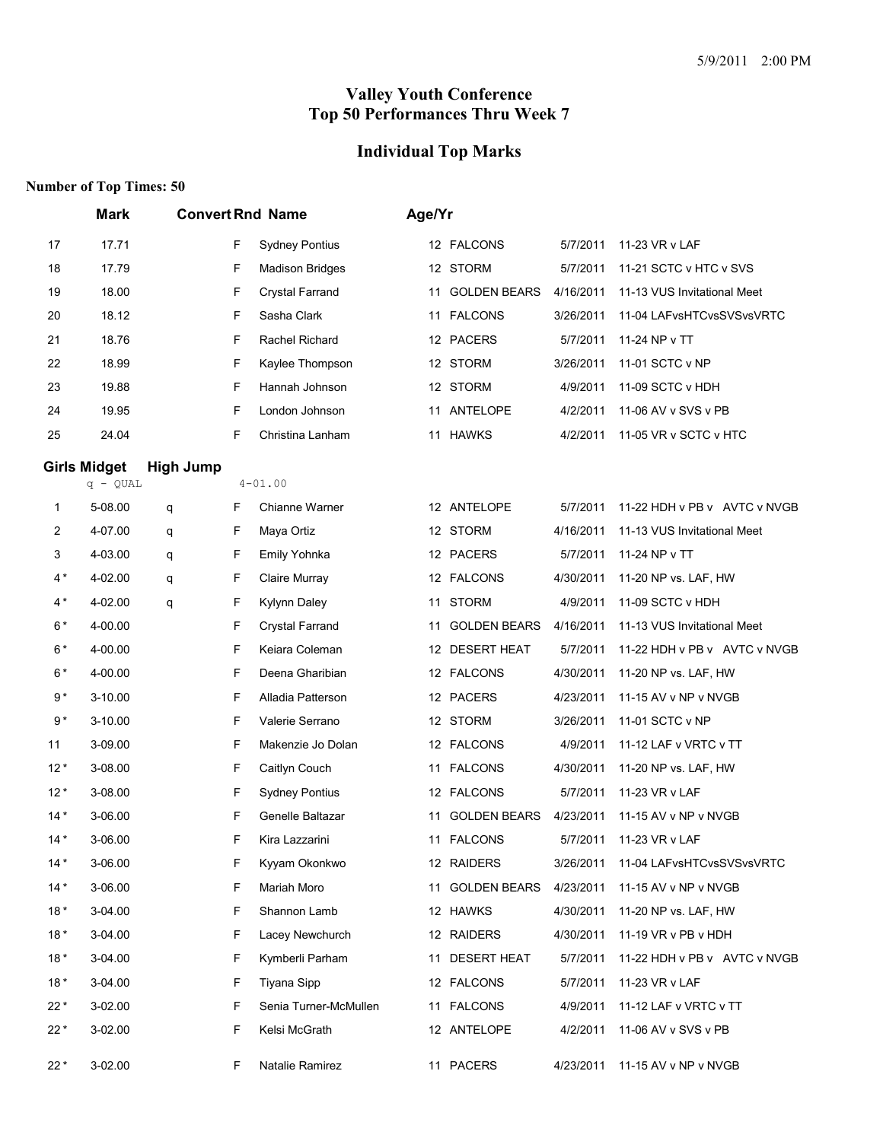# **Individual Top Marks**

|       | <b>Mark</b>                       |                  |   | <b>Convert Rnd Name</b> | Age/Yr |                     |           |                              |
|-------|-----------------------------------|------------------|---|-------------------------|--------|---------------------|-----------|------------------------------|
| 17    | 17.71                             |                  | F | <b>Sydney Pontius</b>   |        | 12 FALCONS          | 5/7/2011  | 11-23 VR v LAF               |
| 18    | 17.79                             |                  | F | <b>Madison Bridges</b>  |        | 12 STORM            | 5/7/2011  | 11-21 SCTC v HTC v SVS       |
| 19    | 18.00                             |                  | F | Crystal Farrand         | 11     | <b>GOLDEN BEARS</b> | 4/16/2011 | 11-13 VUS Invitational Meet  |
| 20    | 18.12                             |                  | F | Sasha Clark             |        | 11 FALCONS          | 3/26/2011 | 11-04 LAFvsHTCvsSVSvsVRTC    |
| 21    | 18.76                             |                  | F | Rachel Richard          |        | 12 PACERS           | 5/7/2011  | 11-24 NP v TT                |
| 22    | 18.99                             |                  | F | Kaylee Thompson         |        | 12 STORM            | 3/26/2011 | 11-01 SCTC v NP              |
| 23    | 19.88                             |                  | F | Hannah Johnson          |        | 12 STORM            | 4/9/2011  | 11-09 SCTC v HDH             |
| 24    | 19.95                             |                  | F | London Johnson          |        | 11 ANTELOPE         | 4/2/2011  | 11-06 AV v SVS v PB          |
| 25    | 24.04                             |                  | F | Christina Lanham        |        | 11 HAWKS            | 4/2/2011  | 11-05 VR v SCTC v HTC        |
|       | <b>Girls Midget</b><br>$q - QUAL$ | <b>High Jump</b> |   | $4 - 01.00$             |        |                     |           |                              |
| 1     | 5-08.00                           | q                | F | Chianne Warner          |        | 12 ANTELOPE         | 5/7/2011  | 11-22 HDH v PB v AVTC v NVGB |
| 2     | 4-07.00                           | q                | F | Maya Ortiz              |        | 12 STORM            | 4/16/2011 | 11-13 VUS Invitational Meet  |
| 3     | 4-03.00                           | q                | F | Emily Yohnka            |        | 12 PACERS           | 5/7/2011  | 11-24 NP v TT                |
| $4*$  | 4-02.00                           | q                | F | Claire Murray           |        | 12 FALCONS          | 4/30/2011 | 11-20 NP vs. LAF, $HW$       |
| $4*$  | 4-02.00                           | q                | F | <b>Kylynn Daley</b>     | 11     | <b>STORM</b>        | 4/9/2011  | 11-09 SCTC v HDH             |
| $6*$  | 4-00.00                           |                  | F | Crystal Farrand         | 11     | <b>GOLDEN BEARS</b> | 4/16/2011 | 11-13 VUS Invitational Meet  |
| $6*$  | 4-00.00                           |                  | F | Keiara Coleman          |        | 12 DESERT HEAT      | 5/7/2011  | 11-22 HDH v PB v AVTC v NVGB |
| $6*$  | 4-00.00                           |                  | F | Deena Gharibian         |        | 12 FALCONS          | 4/30/2011 | 11-20 NP vs. LAF, HW         |
| $9*$  | 3-10.00                           |                  | F | Alladia Patterson       |        | 12 PACERS           | 4/23/2011 | 11-15 AV v NP v NVGB         |
| $9*$  | 3-10.00                           |                  | F | Valerie Serrano         |        | 12 STORM            | 3/26/2011 | 11-01 SCTC v NP              |
| 11    | 3-09.00                           |                  | F | Makenzie Jo Dolan       |        | 12 FALCONS          | 4/9/2011  | 11-12 LAF v VRTC v TT        |
| $12*$ | 3-08.00                           |                  | F | Caitlyn Couch           |        | 11 FALCONS          | 4/30/2011 | 11-20 NP vs. LAF, HW         |
| $12*$ | 3-08.00                           |                  | F | <b>Sydney Pontius</b>   |        | 12 FALCONS          | 5/7/2011  | 11-23 VR v LAF               |
| $14*$ | 3-06.00                           |                  | F | Genelle Baltazar        | 11     | <b>GOLDEN BEARS</b> | 4/23/2011 | 11-15 AV v NP v NVGB         |
| $14*$ | 3-06.00                           |                  | F | Kira Lazzarini          |        | 11 FALCONS          | 5/7/2011  | 11-23 VR v LAF               |
| $14*$ | 3-06.00                           |                  | F | Kyyam Okonkwo           |        | 12 RAIDERS          | 3/26/2011 | 11-04 LAFvsHTCvsSVSvsVRTC    |
| $14*$ | 3-06.00                           |                  | F | Mariah Moro             |        | 11 GOLDEN BEARS     | 4/23/2011 | 11-15 AV v NP v NVGB         |
| $18*$ | 3-04.00                           |                  | F | Shannon Lamb            |        | 12 HAWKS            | 4/30/2011 | 11-20 NP vs. LAF, HW         |
| $18*$ | 3-04.00                           |                  | F | Lacey Newchurch         |        | 12 RAIDERS          | 4/30/2011 | 11-19 VR v PB v HDH          |
| $18*$ | 3-04.00                           |                  | F | Kymberli Parham         |        | 11 DESERT HEAT      | 5/7/2011  | 11-22 HDH v PB v AVTC v NVGB |
| $18*$ | 3-04.00                           |                  | F | Tiyana Sipp             |        | 12 FALCONS          | 5/7/2011  | 11-23 VR v LAF               |
| $22*$ | 3-02.00                           |                  | F | Senia Turner-McMullen   |        | 11 FALCONS          | 4/9/2011  | 11-12 LAF v VRTC v TT        |
| $22*$ | 3-02.00                           |                  | F | Kelsi McGrath           |        | 12 ANTELOPE         | 4/2/2011  | 11-06 AV v SVS v PB          |
| $22*$ | 3-02.00                           |                  | F | Natalie Ramirez         |        | 11 PACERS           | 4/23/2011 | 11-15 AV v NP v NVGB         |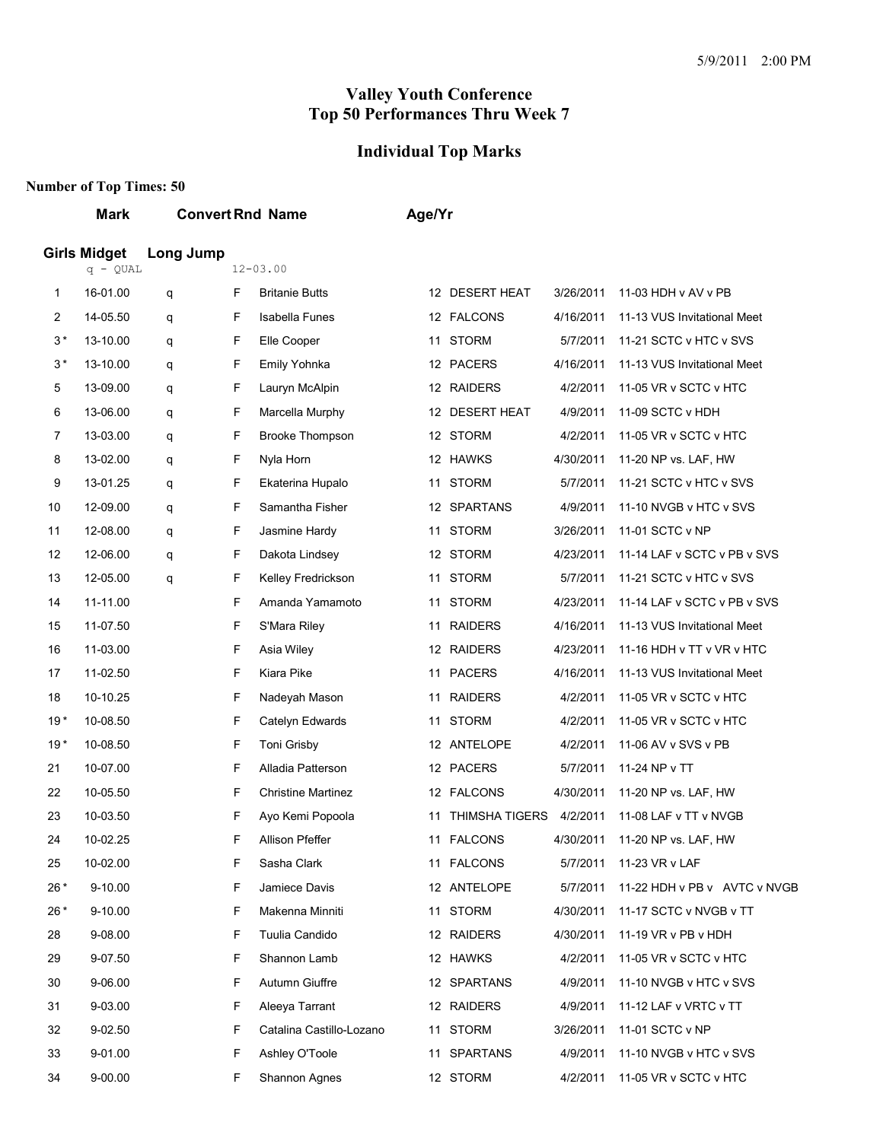#### **Individual Top Marks**

### **Number of Top Times: 50**

#### **Mark Convert Rnd Name Age/Yr**

#### **Girls Midget Long Jump**

|       | q - QUAL |   |    | 12-03.00                  |    |                       |           |                                  |
|-------|----------|---|----|---------------------------|----|-----------------------|-----------|----------------------------------|
| 1     | 16-01.00 | q | F. | <b>Britanie Butts</b>     |    | 12 DESERT HEAT        | 3/26/2011 | 11-03 HDH v AV v PB              |
| 2     | 14-05.50 | q | F  | <b>Isabella Funes</b>     |    | 12 FALCONS            | 4/16/2011 | 11-13 VUS Invitational Meet      |
| $3*$  | 13-10.00 | q | F  | Elle Cooper               |    | 11 STORM              | 5/7/2011  | 11-21 SCTC v HTC v SVS           |
| $3*$  | 13-10.00 | q | F  | Emily Yohnka              |    | 12 PACERS             | 4/16/2011 | 11-13 VUS Invitational Meet      |
| 5     | 13-09.00 | q | F  | Lauryn McAlpin            |    | 12 RAIDERS            | 4/2/2011  | 11-05 VR v SCTC v HTC            |
| 6     | 13-06.00 | q | F  | Marcella Murphy           |    | 12 DESERT HEAT        | 4/9/2011  | 11-09 SCTC v HDH                 |
| 7     | 13-03.00 | q | F  | <b>Brooke Thompson</b>    |    | 12 STORM              | 4/2/2011  | 11-05 VR v SCTC v HTC            |
| 8     | 13-02.00 | q | F  | Nyla Horn                 |    | 12 HAWKS              | 4/30/2011 | 11-20 NP vs. LAF, HW             |
| 9     | 13-01.25 | q | F  | Ekaterina Hupalo          | 11 | <b>STORM</b>          | 5/7/2011  | 11-21 SCTC v HTC v SVS           |
| 10    | 12-09.00 | q | F  | Samantha Fisher           |    | 12 SPARTANS           | 4/9/2011  | 11-10 NVGB v HTC v SVS           |
| 11    | 12-08.00 | q | F  | Jasmine Hardy             |    | 11 STORM              | 3/26/2011 | 11-01 SCTC v NP                  |
| 12    | 12-06.00 | q | F  | Dakota Lindsey            |    | 12 STORM              | 4/23/2011 | 11-14 LAF v SCTC v PB v SVS      |
| 13    | 12-05.00 | q | F  | Kelley Fredrickson        | 11 | <b>STORM</b>          | 5/7/2011  | 11-21 SCTC v HTC v SVS           |
| 14    | 11-11.00 |   | F  | Amanda Yamamoto           |    | 11 STORM              | 4/23/2011 | 11-14 LAF v SCTC v PB v SVS      |
| 15    | 11-07.50 |   | F  | S'Mara Riley              |    | 11 RAIDERS            | 4/16/2011 | 11-13 VUS Invitational Meet      |
| 16    | 11-03.00 |   | F  | Asia Wiley                |    | 12 RAIDERS            | 4/23/2011 | 11-16 HDH v TT v VR v HTC        |
| 17    | 11-02.50 |   | F  | Kiara Pike                |    | 11 PACERS             | 4/16/2011 | 11-13 VUS Invitational Meet      |
| 18    | 10-10.25 |   | F  | Nadeyah Mason             | 11 | <b>RAIDERS</b>        | 4/2/2011  | 11-05 VR v SCTC v HTC            |
| $19*$ | 10-08.50 |   | F  | Catelyn Edwards           |    | 11 STORM              | 4/2/2011  | 11-05 VR v SCTC v HTC            |
| $19*$ | 10-08.50 |   | F  | Toni Grisby               |    | 12 ANTELOPE           | 4/2/2011  | 11-06 AV v SVS v PB              |
| 21    | 10-07.00 |   | F  | Alladia Patterson         |    | 12 PACERS             | 5/7/2011  | 11-24 NP v TT                    |
| 22    | 10-05.50 |   | F  | <b>Christine Martinez</b> |    | 12 FALCONS            | 4/30/2011 | 11-20 NP vs. LAF, HW             |
| 23    | 10-03.50 |   | F  | Ayo Kemi Popoola          | 11 | <b>THIMSHA TIGERS</b> | 4/2/2011  | 11-08 LAF v TT v NVGB            |
| 24    | 10-02.25 |   | F  | Allison Pfeffer           |    | 11 FALCONS            | 4/30/2011 | 11-20 NP vs. LAF, HW             |
| 25    | 10-02.00 |   | F  | Sasha Clark               |    | 11 FALCONS            | 5/7/2011  | 11-23 VR v LAF                   |
| $26*$ | 9-10.00  |   | F  | Jamiece Davis             |    | 12 ANTELOPE           | 5/7/2011  | 11-22 HDH v PB v AVTC v NVGB     |
| $26*$ | 9-10.00  |   | F  | Makenna Minniti           |    | 11 STORM              |           | 4/30/2011 11-17 SCTC v NVGB v TT |
| 28    | 9-08.00  |   | F  | Tuulia Candido            |    | 12 RAIDERS            | 4/30/2011 | 11-19 VR v PB v HDH              |
| 29    | 9-07.50  |   | F. | Shannon Lamb              |    | 12 HAWKS              | 4/2/2011  | 11-05 VR v SCTC v HTC            |
| 30    | 9-06.00  |   | F  | Autumn Giuffre            |    | 12 SPARTANS           | 4/9/2011  | 11-10 NVGB v HTC v SVS           |
| 31    | 9-03.00  |   | F  | Aleeya Tarrant            |    | 12 RAIDERS            | 4/9/2011  | 11-12 LAF v VRTC v TT            |
| 32    | 9-02.50  |   | F  | Catalina Castillo-Lozano  |    | 11 STORM              | 3/26/2011 | 11-01 SCTC v NP                  |
| 33    | 9-01.00  |   | F  | Ashley O'Toole            |    | 11 SPARTANS           | 4/9/2011  | 11-10 NVGB v HTC v SVS           |
| 34    | 9-00.00  |   | F  | Shannon Agnes             |    | 12 STORM              | 4/2/2011  | 11-05 VR v SCTC v HTC            |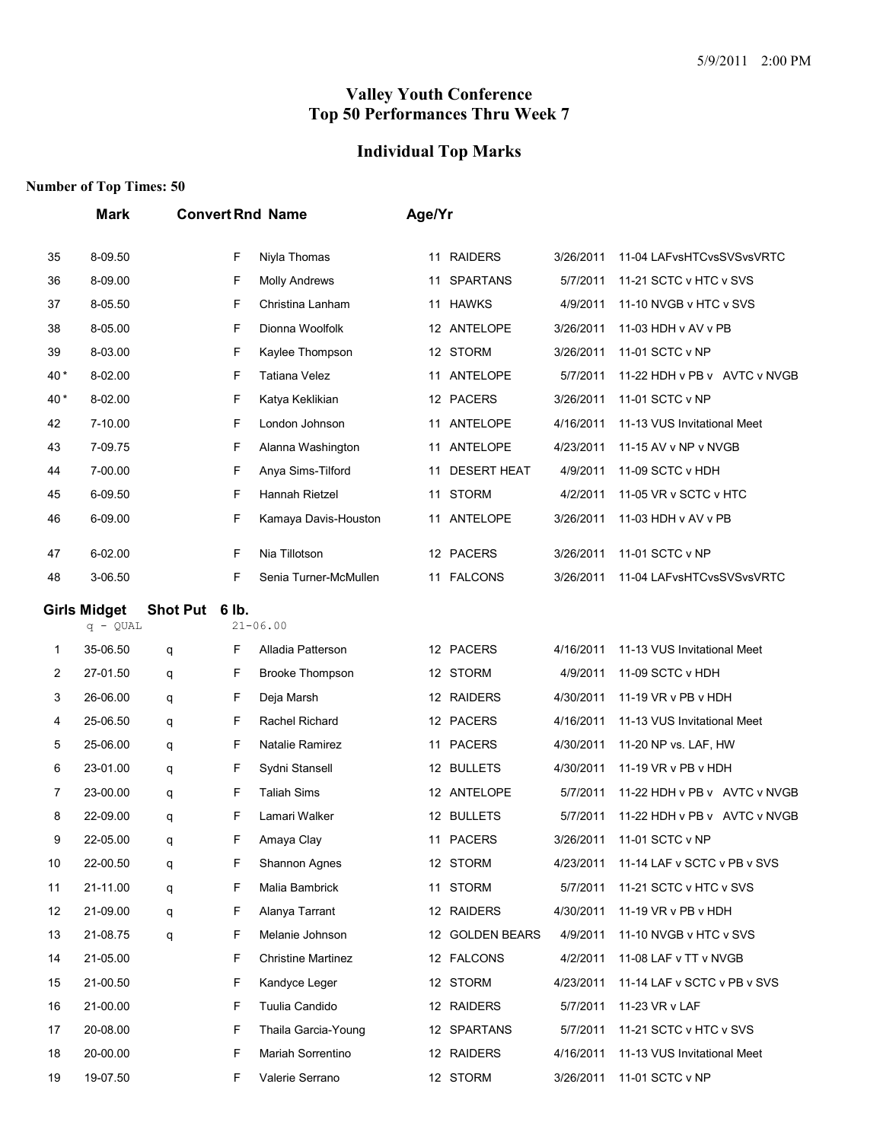# **Individual Top Marks**

|        | <b>Mark</b>            |                |   | <b>Convert Rnd Name</b>   | Age/Yr |                    |           |                              |  |
|--------|------------------------|----------------|---|---------------------------|--------|--------------------|-----------|------------------------------|--|
| 35     | 8-09.50                |                | F | Niyla Thomas              |        | 11 RAIDERS         | 3/26/2011 | 11-04 LAFvsHTCvsSVSvsVRTC    |  |
| 36     | 8-09.00                |                | F | <b>Molly Andrews</b>      | 11     | <b>SPARTANS</b>    | 5/7/2011  | 11-21 SCTC v HTC v SVS       |  |
| 37     | 8-05.50                |                | F | Christina Lanham          | 11     | <b>HAWKS</b>       | 4/9/2011  | 11-10 NVGB v HTC v SVS       |  |
| 38     | 8-05.00                |                | F | Dionna Woolfolk           |        | 12 ANTELOPE        | 3/26/2011 | 11-03 HDH v AV v PB          |  |
| 39     | 8-03.00                |                | F | Kaylee Thompson           |        | 12 STORM           | 3/26/2011 | 11-01 SCTC v NP              |  |
| 40*    | 8-02.00                |                | F | <b>Tatiana Velez</b>      |        | 11 ANTELOPE        | 5/7/2011  | 11-22 HDH v PB v AVTC v NVGB |  |
| 40*    | 8-02.00                |                | F | Katya Keklikian           |        | 12 PACERS          | 3/26/2011 | 11-01 SCTC v NP              |  |
| 42     | 7-10.00                |                | F | London Johnson            |        | 11 ANTELOPE        | 4/16/2011 | 11-13 VUS Invitational Meet  |  |
| 43     | 7-09.75                |                | F | Alanna Washington         | 11     | ANTELOPE           | 4/23/2011 | 11-15 AV v NP v NVGB         |  |
| 44     | 7-00.00                |                | F | Anya Sims-Tilford         | 11     | <b>DESERT HEAT</b> | 4/9/2011  | 11-09 SCTC v HDH             |  |
| 45     | 6-09.50                |                | F | Hannah Rietzel            | 11     | <b>STORM</b>       | 4/2/2011  | 11-05 VR v SCTC v HTC        |  |
| 46     | 6-09.00                |                | F | Kamaya Davis-Houston      |        | 11 ANTELOPE        | 3/26/2011 | 11-03 HDH v AV v PB          |  |
| 47     | 6-02.00                |                | F | Nia Tillotson             |        | 12 PACERS          | 3/26/2011 | 11-01 SCTC v NP              |  |
| 48     | 3-06.50                |                | F | Senia Turner-McMullen     |        | 11 FALCONS         | 3/26/2011 | 11-04 LAFvsHTCvsSVSvsVRTC    |  |
|        | <b>Girls Midget</b>    | Shot Put 6 lb. |   | $21 - 06.00$              |        |                    |           |                              |  |
|        | $q - QUAL$<br>35-06.50 |                | F | Alladia Patterson         |        | 12 PACERS          | 4/16/2011 | 11-13 VUS Invitational Meet  |  |
| 1<br>2 | 27-01.50               | q              | F | <b>Brooke Thompson</b>    |        | 12 STORM           | 4/9/2011  | 11-09 SCTC v HDH             |  |
| 3      | 26-06.00               | q              | F | Deja Marsh                |        | 12 RAIDERS         | 4/30/2011 | 11-19 VR v PB v HDH          |  |
| 4      | 25-06.50               | q<br>q         | F | Rachel Richard            |        | 12 PACERS          | 4/16/2011 | 11-13 VUS Invitational Meet  |  |
| 5      | 25-06.00               |                | F | Natalie Ramirez           | 11     | <b>PACERS</b>      | 4/30/2011 | 11-20 NP vs. LAF, HW         |  |
| 6      | 23-01.00               | q              | F | Sydni Stansell            |        | 12 BULLETS         | 4/30/2011 | 11-19 VR v PB v HDH          |  |
| 7      | 23-00.00               | q              | F | <b>Taliah Sims</b>        |        | 12 ANTELOPE        | 5/7/2011  | 11-22 HDH v PB v AVTC v NVGB |  |
| 8      | 22-09.00               | q<br>q         | F | Lamari Walker             |        | 12 BULLETS         | 5/7/2011  | 11-22 HDH v PB v AVTC v NVGB |  |
| 9      | 22-05.00               |                | F | Amaya Clay                |        | 11 PACERS          | 3/26/2011 | 11-01 SCTC v NP              |  |
| 10     | 22-00.50               | q<br>q         | F | Shannon Agnes             |        | 12 STORM           | 4/23/2011 | 11-14 LAF v SCTC v PB v SVS  |  |
| 11     | 21-11.00               | q              | F | Malia Bambrick            |        | 11 STORM           | 5/7/2011  | 11-21 SCTC v HTC v SVS       |  |
| 12     | 21-09.00               | q              | F | Alanya Tarrant            |        | 12 RAIDERS         | 4/30/2011 | 11-19 VR v PB v HDH          |  |
| 13     | 21-08.75               | q              | F | Melanie Johnson           |        | 12 GOLDEN BEARS    | 4/9/2011  | 11-10 NVGB v HTC v SVS       |  |
| 14     | 21-05.00               |                | F | <b>Christine Martinez</b> |        | 12 FALCONS         | 4/2/2011  | 11-08 LAF v TT v NVGB        |  |
| 15     | 21-00.50               |                | F | Kandyce Leger             |        | 12 STORM           | 4/23/2011 | 11-14 LAF v SCTC v PB v SVS  |  |
| 16     | 21-00.00               |                | F | Tuulia Candido            |        | 12 RAIDERS         | 5/7/2011  | 11-23 VR v LAF               |  |
| 17     | 20-08.00               |                | F | Thaila Garcia-Young       |        | 12 SPARTANS        | 5/7/2011  | 11-21 SCTC v HTC v SVS       |  |
| 18     | 20-00.00               |                | F | Mariah Sorrentino         |        | 12 RAIDERS         | 4/16/2011 | 11-13 VUS Invitational Meet  |  |
| 19     | 19-07.50               |                | F | Valerie Serrano           |        | 12 STORM           | 3/26/2011 | 11-01 SCTC v NP              |  |
|        |                        |                |   |                           |        |                    |           |                              |  |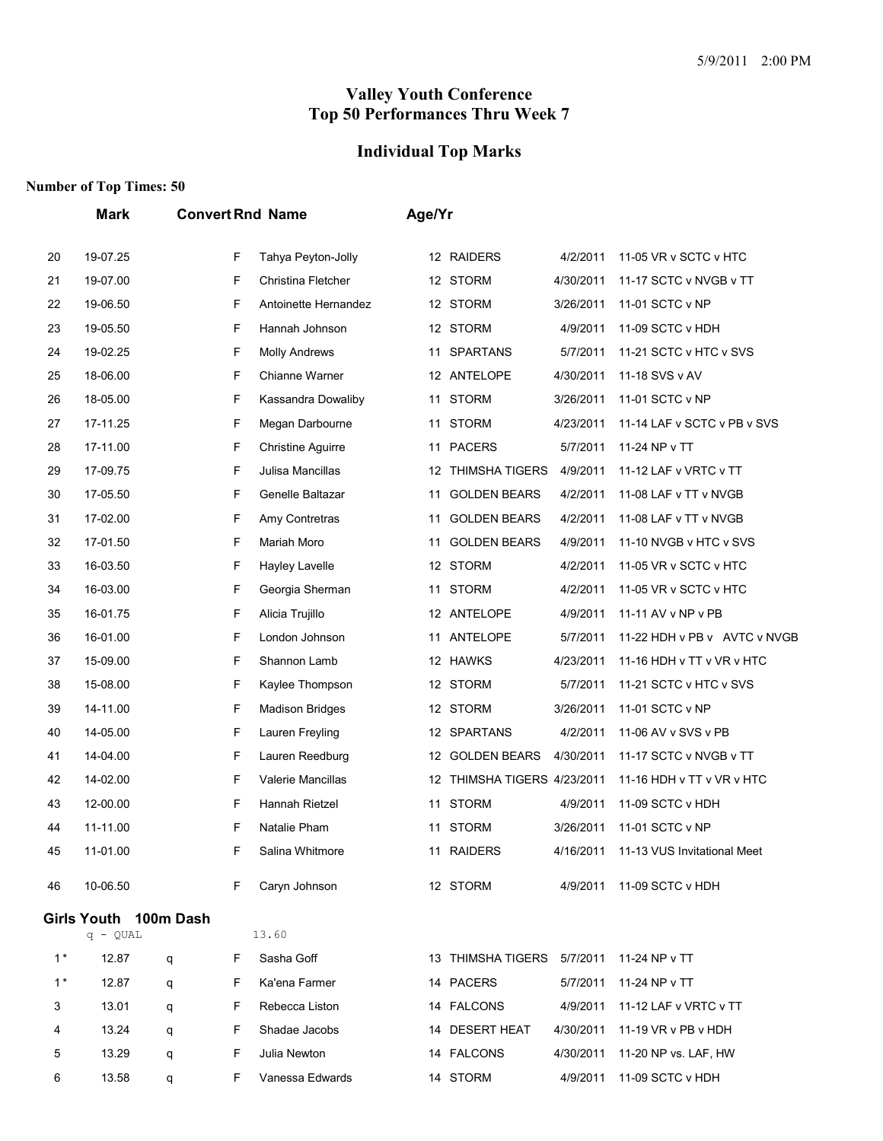# **Individual Top Marks**

|       | Mark                  |   |   | <b>Convert Rnd Name</b>  | Age/Yr |                             |           |                              |
|-------|-----------------------|---|---|--------------------------|--------|-----------------------------|-----------|------------------------------|
| 20    | 19-07.25              |   | F | Tahya Peyton-Jolly       |        | 12 RAIDERS                  | 4/2/2011  | 11-05 VR v SCTC v HTC        |
| 21    | 19-07.00              |   | F | Christina Fletcher       |        | 12 STORM                    | 4/30/2011 | 11-17 SCTC v NVGB v TT       |
| 22    | 19-06.50              |   | F | Antoinette Hernandez     |        | 12 STORM                    | 3/26/2011 | 11-01 SCTC v NP              |
| 23    | 19-05.50              |   | F | Hannah Johnson           |        | 12 STORM                    | 4/9/2011  | 11-09 SCTC v HDH             |
| 24    | 19-02.25              |   | F | <b>Molly Andrews</b>     | 11     | <b>SPARTANS</b>             | 5/7/2011  | 11-21 SCTC v HTC v SVS       |
| 25    | 18-06.00              |   | F | Chianne Warner           |        | 12 ANTELOPE                 | 4/30/2011 | 11-18 SVS v AV               |
| 26    | 18-05.00              |   | F | Kassandra Dowaliby       | 11     | <b>STORM</b>                | 3/26/2011 | 11-01 SCTC v NP              |
| 27    | 17-11.25              |   | F | Megan Darbourne          | 11     | <b>STORM</b>                | 4/23/2011 | 11-14 LAF v SCTC v PB v SVS  |
| 28    | 17-11.00              |   | F | <b>Christine Aguirre</b> | 11     | <b>PACERS</b>               | 5/7/2011  | 11-24 NP v TT                |
| 29    | 17-09.75              |   | F | Julisa Mancillas         |        | 12 THIMSHA TIGERS           | 4/9/2011  | 11-12 LAF v VRTC v TT        |
| 30    | 17-05.50              |   | F | Genelle Baltazar         | 11     | <b>GOLDEN BEARS</b>         | 4/2/2011  | 11-08 LAF v TT v NVGB        |
| 31    | 17-02.00              |   | F | Amy Contretras           | 11     | <b>GOLDEN BEARS</b>         | 4/2/2011  | 11-08 LAF v TT v NVGB        |
| 32    | 17-01.50              |   | F | Mariah Moro              | 11     | <b>GOLDEN BEARS</b>         | 4/9/2011  | 11-10 NVGB v HTC v SVS       |
| 33    | 16-03.50              |   | F | Hayley Lavelle           |        | 12 STORM                    | 4/2/2011  | 11-05 VR v SCTC v HTC        |
| 34    | 16-03.00              |   | F | Georgia Sherman          | 11     | <b>STORM</b>                | 4/2/2011  | 11-05 VR v SCTC v HTC        |
| 35    | 16-01.75              |   | F | Alicia Trujillo          |        | 12 ANTELOPE                 | 4/9/2011  | 11-11 AV v NP v PB           |
| 36    | 16-01.00              |   | F | London Johnson           | 11     | ANTELOPE                    | 5/7/2011  | 11-22 HDH v PB v AVTC v NVGB |
| 37    | 15-09.00              |   | F | Shannon Lamb             |        | 12 HAWKS                    | 4/23/2011 | 11-16 HDH v TT v VR v HTC    |
| 38    | 15-08.00              |   | F | Kaylee Thompson          |        | 12 STORM                    | 5/7/2011  | 11-21 SCTC v HTC v SVS       |
| 39    | 14-11.00              |   | F | <b>Madison Bridges</b>   |        | 12 STORM                    | 3/26/2011 | 11-01 SCTC v NP              |
| 40    | 14-05.00              |   | F | Lauren Freyling          |        | 12 SPARTANS                 | 4/2/2011  | 11-06 AV v SVS v PB          |
| 41    | 14-04.00              |   | F | Lauren Reedburg          |        | 12 GOLDEN BEARS             | 4/30/2011 | 11-17 SCTC v NVGB v TT       |
| 42    | 14-02.00              |   | F | Valerie Mancillas        |        | 12 THIMSHA TIGERS 4/23/2011 |           | 11-16 HDH v TT v VR v HTC    |
| 43    | 12-00.00              |   | F | Hannah Rietzel           | 11     | <b>STORM</b>                | 4/9/2011  | 11-09 SCTC v HDH             |
| 44    | 11-11.00              |   | F | Natalie Pham             | 11     | <b>STORM</b>                | 3/26/2011 | 11-01 SCTC v NP              |
| 45    | 11-01.00              |   | F | Salina Whitmore          |        | 11 RAIDERS                  | 4/16/2011 | 11-13 VUS Invitational Meet  |
| 46    | 10-06.50              |   | F | Caryn Johnson            |        | 12 STORM                    |           | 4/9/2011 11-09 SCTC v HDH    |
|       | Girls Youth 100m Dash |   |   |                          |        |                             |           |                              |
|       | $q - QUAL$            |   |   | 13.60                    |        |                             |           |                              |
| $1^*$ | 12.87                 | q | F | Sasha Goff               |        | 13 THIMSHA TIGERS 5/7/2011  |           | 11-24 NP v TT                |
| $1^*$ | 12.87                 | q | F | Ka'ena Farmer            |        | 14 PACERS                   | 5/7/2011  | 11-24 NP v TT                |
| 3     | 13.01                 | q | F | Rebecca Liston           |        | 14 FALCONS                  | 4/9/2011  | 11-12 LAF v VRTC v TT        |
| 4     | 13.24                 | q | F | Shadae Jacobs            |        | 14 DESERT HEAT              | 4/30/2011 | 11-19 VR v PB v HDH          |
| 5     | 13.29                 | q | F | Julia Newton             |        | 14 FALCONS                  | 4/30/2011 | 11-20 NP vs. LAF, HW         |
| 6     | 13.58                 | q | F | Vanessa Edwards          |        | 14 STORM                    | 4/9/2011  | 11-09 SCTC v HDH             |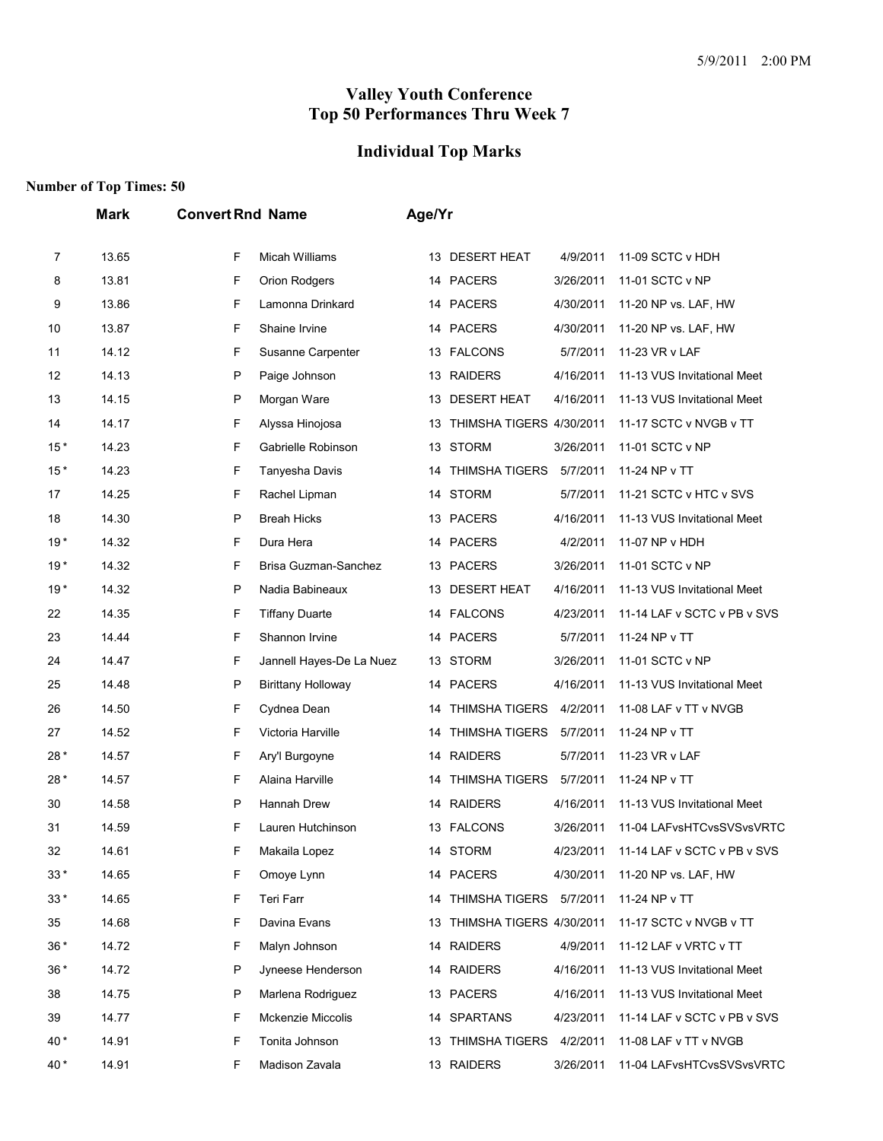## **Individual Top Marks**

|       | <b>Mark</b> | <b>Convert Rnd Name</b>        | Age/Yr                                                               |
|-------|-------------|--------------------------------|----------------------------------------------------------------------|
| 7     | 13.65       | F<br><b>Micah Williams</b>     | 13 DESERT HEAT<br>4/9/2011<br>11-09 SCTC v HDH                       |
| 8     | 13.81       | F<br>Orion Rodgers             | 14 PACERS<br>3/26/2011<br>11-01 SCTC v NP                            |
| 9     | 13.86       | F<br>Lamonna Drinkard          | 14 PACERS<br>4/30/2011<br>11-20 NP vs. LAF, HW                       |
| 10    | 13.87       | F<br>Shaine Irvine             | 14 PACERS<br>4/30/2011<br>11-20 NP vs. LAF, HW                       |
| 11    | 14.12       | F<br>Susanne Carpenter         | 13 FALCONS<br>5/7/2011<br>11-23 VR v LAF                             |
| 12    | 14.13       | P<br>Paige Johnson             | 13 RAIDERS<br>4/16/2011<br>11-13 VUS Invitational Meet               |
| 13    | 14.15       | P<br>Morgan Ware               | DESERT HEAT<br>4/16/2011<br>11-13 VUS Invitational Meet<br>13.       |
| 14    | 14.17       | F<br>Alyssa Hinojosa           | THIMSHA TIGERS 4/30/2011<br>11-17 SCTC v NVGB v TT<br>13             |
| $15*$ | 14.23       | F<br>Gabrielle Robinson        | 13 STORM<br>3/26/2011<br>11-01 SCTC v NP                             |
| $15*$ | 14.23       | F<br>Tanyesha Davis            | <b>THIMSHA TIGERS</b><br>5/7/2011<br>11-24 NP v TT<br>14             |
| 17    | 14.25       | F<br>Rachel Lipman             | 14 STORM<br>5/7/2011<br>11-21 SCTC v HTC v SVS                       |
| 18    | 14.30       | P<br><b>Breah Hicks</b>        | 13 PACERS<br>4/16/2011<br>11-13 VUS Invitational Meet                |
| $19*$ | 14.32       | F<br>Dura Hera                 | 14 PACERS<br>4/2/2011<br>11-07 NP v HDH                              |
| $19*$ | 14.32       | F<br>Brisa Guzman-Sanchez      | 13 PACERS<br>3/26/2011<br>11-01 SCTC v NP                            |
| $19*$ | 14.32       | P<br>Nadia Babineaux           | <b>DESERT HEAT</b><br>4/16/2011<br>11-13 VUS Invitational Meet<br>13 |
| 22    | 14.35       | F<br><b>Tiffany Duarte</b>     | 14 FALCONS<br>4/23/2011<br>11-14 LAF v SCTC v PB v SVS               |
| 23    | 14.44       | F<br>Shannon Irvine            | 14 PACERS<br>5/7/2011<br>11-24 NP v TT                               |
| 24    | 14.47       | F<br>Jannell Hayes-De La Nuez  | <b>STORM</b><br>3/26/2011<br>11-01 SCTC v NP<br>13                   |
| 25    | 14.48       | P<br><b>Birittany Holloway</b> | 14 PACERS<br>4/16/2011<br>11-13 VUS Invitational Meet                |
| 26    | 14.50       | F<br>Cydnea Dean               | <b>THIMSHA TIGERS</b><br>4/2/2011<br>11-08 LAF v TT v NVGB<br>14     |
| 27    | 14.52       | F<br>Victoria Harville         | <b>THIMSHA TIGERS</b><br>5/7/2011<br>11-24 NP v TT<br>14             |
| 28*   | 14.57       | F<br>Ary'l Burgoyne            | 14 RAIDERS<br>5/7/2011<br>11-23 VR v LAF                             |
| 28*   | 14.57       | F<br>Alaina Harville           | <b>THIMSHA TIGERS</b><br>5/7/2011<br>11-24 NP v TT<br>14             |
| 30    | 14.58       | P<br><b>Hannah Drew</b>        | 14 RAIDERS<br>4/16/2011<br>11-13 VUS Invitational Meet               |
| 31    | 14.59       | F<br>Lauren Hutchinson         | 13 FALCONS<br>3/26/2011<br>11-04 LAFvsHTCvsSVSvsVRTC                 |
| 32    | 14.61       | F<br>Makaila Lopez             | 14 STORM<br>4/23/2011<br>11-14 LAF v SCTC v PB v SVS                 |
| $33*$ | 14.65       | F<br>Omoye Lynn                | 14 PACERS<br>4/30/2011<br>11-20 NP vs. LAF, HW                       |
| $33*$ | 14.65       | F<br>Teri Farr                 | 14 THIMSHA TIGERS 5/7/2011<br>11-24 NP v TT                          |
| 35    | 14.68       | F<br>Davina Evans              | 13 THIMSHA TIGERS 4/30/2011<br>11-17 SCTC v NVGB v TT                |
| $36*$ | 14.72       | F<br>Malyn Johnson             | 14 RAIDERS<br>4/9/2011<br>11-12 LAF v VRTC v TT                      |
| $36*$ | 14.72       | P<br>Jyneese Henderson         | 14 RAIDERS<br>4/16/2011<br>11-13 VUS Invitational Meet               |
| 38    | 14.75       | Ρ<br>Marlena Rodriguez         | 13 PACERS<br>4/16/2011<br>11-13 VUS Invitational Meet                |
| 39    | 14.77       | F<br>Mckenzie Miccolis         | 14 SPARTANS<br>4/23/2011<br>11-14 LAF v SCTC v PB v SVS              |
| 40*   | 14.91       | F<br>Tonita Johnson            | 13 THIMSHA TIGERS 4/2/2011<br>11-08 LAF v TT v NVGB                  |
| 40 *  | 14.91       | Madison Zavala<br>F            | 13 RAIDERS<br>3/26/2011<br>11-04 LAFvsHTCvsSVSvsVRTC                 |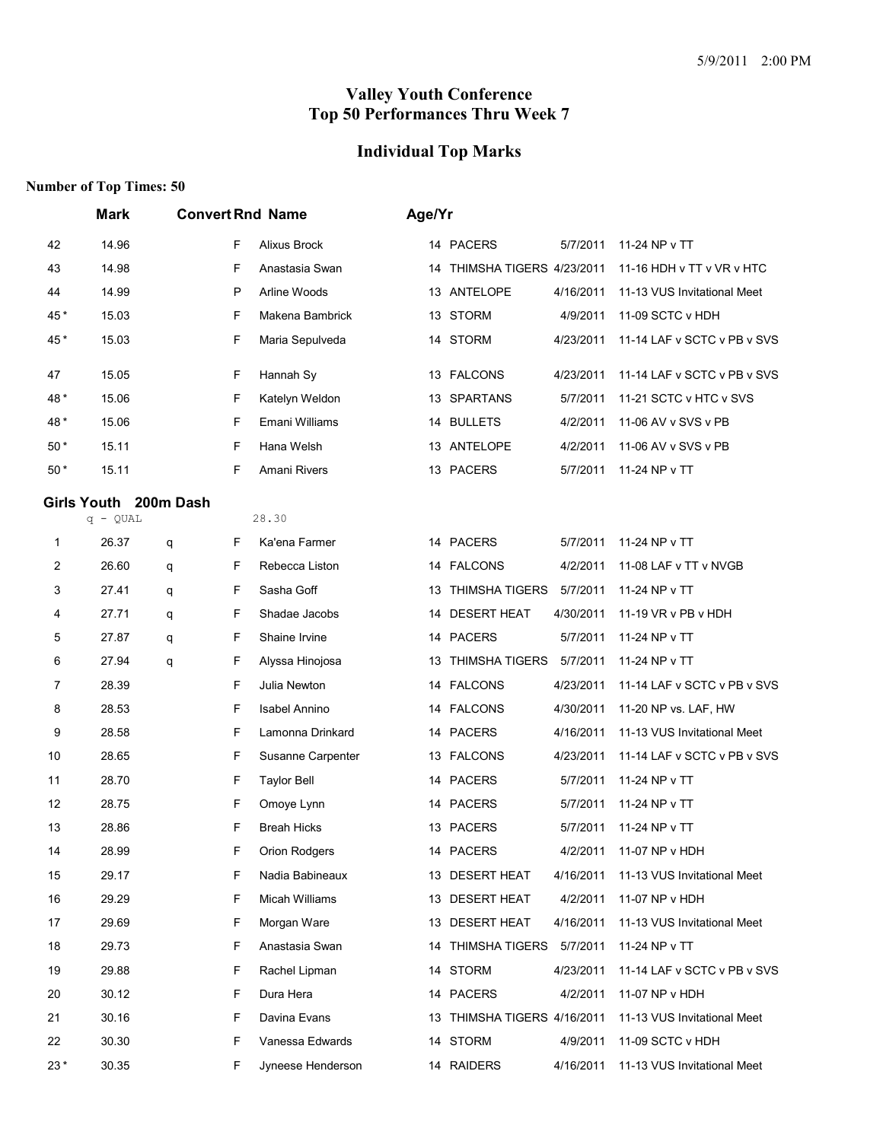# **Individual Top Marks**

|       | <b>Mark</b>           |   |    | <b>Convert Rnd Name</b> | Age/Yr |                             |           |                             |
|-------|-----------------------|---|----|-------------------------|--------|-----------------------------|-----------|-----------------------------|
| 42    | 14.96                 |   | F  | Alixus Brock            |        | 14 PACERS                   | 5/7/2011  | 11-24 NP v TT               |
| 43    | 14.98                 |   | F  | Anastasia Swan          |        | 14 THIMSHA TIGERS 4/23/2011 |           | 11-16 HDH v TT v VR v HTC   |
| 44    | 14.99                 |   | P  | Arline Woods            |        | 13 ANTELOPE                 | 4/16/2011 | 11-13 VUS Invitational Meet |
| 45*   | 15.03                 |   | F  | Makena Bambrick         |        | 13 STORM                    | 4/9/2011  | 11-09 SCTC v HDH            |
| 45*   | 15.03                 |   | F  | Maria Sepulveda         |        | 14 STORM                    | 4/23/2011 | 11-14 LAF v SCTC v PB v SVS |
| 47    | 15.05                 |   | F  | Hannah Sy               |        | 13 FALCONS                  | 4/23/2011 | 11-14 LAF v SCTC v PB v SVS |
| 48*   | 15.06                 |   | F  | Katelyn Weldon          |        | 13 SPARTANS                 | 5/7/2011  | 11-21 SCTC v HTC v SVS      |
| 48*   | 15.06                 |   | F  | Emani Williams          |        | 14 BULLETS                  | 4/2/2011  | 11-06 AV v SVS v PB         |
| $50*$ | 15.11                 |   | F  | Hana Welsh              |        | 13 ANTELOPE                 | 4/2/2011  | 11-06 AV v SVS v PB         |
| $50*$ | 15.11                 |   | F  | Amani Rivers            |        | 13 PACERS                   | 5/7/2011  | 11-24 NP v TT               |
|       | Girls Youth 200m Dash |   |    |                         |        |                             |           |                             |
|       | $q - QUAL$            |   |    | 28.30                   |        |                             |           |                             |
| 1     | 26.37                 | q | F  | Ka'ena Farmer           |        | 14 PACERS                   | 5/7/2011  | 11-24 NP v TT               |
| 2     | 26.60                 | q | F  | Rebecca Liston          |        | 14 FALCONS                  | 4/2/2011  | 11-08 LAF v TT v NVGB       |
| 3     | 27.41                 | q | F  | Sasha Goff              | 13     | <b>THIMSHA TIGERS</b>       | 5/7/2011  | 11-24 NP v TT               |
| 4     | 27.71                 | q | F  | Shadae Jacobs           | 14     | <b>DESERT HEAT</b>          | 4/30/2011 | 11-19 VR v PB v HDH         |
| 5     | 27.87                 | q | F  | Shaine Irvine           |        | 14 PACERS                   | 5/7/2011  | 11-24 NP v TT               |
| 6     | 27.94                 | q | F  | Alyssa Hinojosa         |        | 13 THIMSHA TIGERS           | 5/7/2011  | 11-24 NP v TT               |
| 7     | 28.39                 |   | F  | Julia Newton            |        | 14 FALCONS                  | 4/23/2011 | 11-14 LAF v SCTC v PB v SVS |
| 8     | 28.53                 |   | F  | Isabel Annino           | 14     | <b>FALCONS</b>              | 4/30/2011 | 11-20 NP vs. LAF, HW        |
| 9     | 28.58                 |   | F  | Lamonna Drinkard        |        | 14 PACERS                   | 4/16/2011 | 11-13 VUS Invitational Meet |
| 10    | 28.65                 |   | F  | Susanne Carpenter       |        | 13 FALCONS                  | 4/23/2011 | 11-14 LAF v SCTC v PB v SVS |
| 11    | 28.70                 |   | F  | <b>Taylor Bell</b>      |        | 14 PACERS                   | 5/7/2011  | 11-24 NP v TT               |
| 12    | 28.75                 |   | F  | Omoye Lynn              |        | 14 PACERS                   | 5/7/2011  | 11-24 NP v TT               |
| 13    | 28.86                 |   | F  | <b>Breah Hicks</b>      |        | 13 PACERS                   | 5/7/2011  | 11-24 NP v TT               |
| 14    | 28.99                 |   | F  | Orion Rodgers           |        | 14 PACERS                   | 4/2/2011  | 11-07 NP v HDH              |
| 15    | 29.17                 |   | F  | Nadia Babineaux         |        | 13 DESERT HEAT              | 4/16/2011 | 11-13 VUS Invitational Meet |
| 16    | 29.29                 |   | F  | Micah Williams          |        | 13 DESERT HEAT              | 4/2/2011  | 11-07 NP v HDH              |
| 17    | 29.69                 |   | F  | Morgan Ware             |        | 13 DESERT HEAT              | 4/16/2011 | 11-13 VUS Invitational Meet |
| 18    | 29.73                 |   | F  | Anastasia Swan          |        | 14 THIMSHA TIGERS           | 5/7/2011  | 11-24 NP v TT               |
| 19    | 29.88                 |   | F. | Rachel Lipman           |        | 14 STORM                    | 4/23/2011 | 11-14 LAF v SCTC v PB v SVS |
| 20    | 30.12                 |   | F  | Dura Hera               |        | 14 PACERS                   | 4/2/2011  | 11-07 NP v HDH              |
| 21    | 30.16                 |   | F  | Davina Evans            |        | 13 THIMSHA TIGERS 4/16/2011 |           | 11-13 VUS Invitational Meet |
| 22    | 30.30                 |   | F  | Vanessa Edwards         |        | 14 STORM                    | 4/9/2011  | 11-09 SCTC v HDH            |
| $23*$ | 30.35                 |   | F. | Jyneese Henderson       |        | 14 RAIDERS                  | 4/16/2011 | 11-13 VUS Invitational Meet |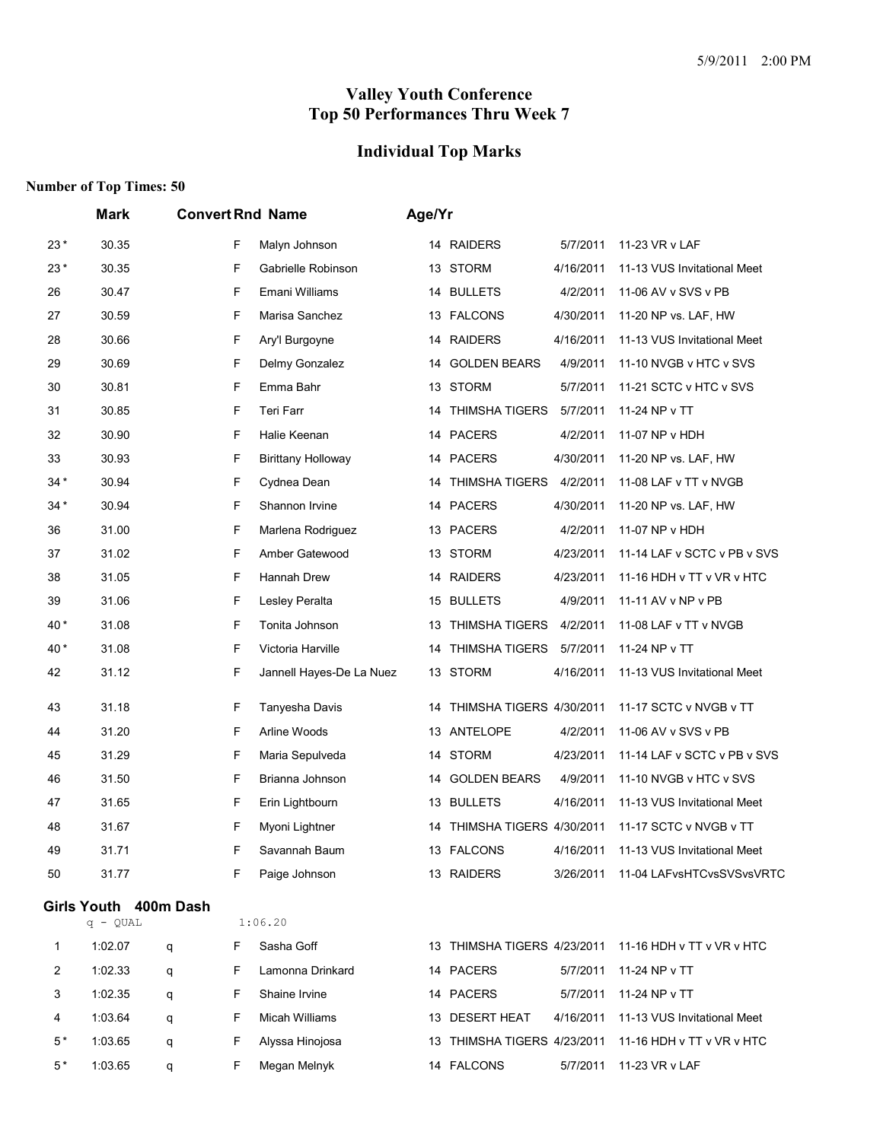## **Individual Top Marks**

|       | Mark                  | <b>Convert Rnd Name</b> |                           | Age/Yr |                             |           |                             |
|-------|-----------------------|-------------------------|---------------------------|--------|-----------------------------|-----------|-----------------------------|
| $23*$ | 30.35                 | F                       | Malyn Johnson             |        | 14 RAIDERS                  | 5/7/2011  | 11-23 VR v LAF              |
| $23*$ | 30.35                 | F                       | Gabrielle Robinson        | 13     | <b>STORM</b>                | 4/16/2011 | 11-13 VUS Invitational Meet |
| 26    | 30.47                 | F                       | Emani Williams            | 14     | <b>BULLETS</b>              | 4/2/2011  | 11-06 AV v SVS v PB         |
| 27    | 30.59                 | F                       | Marisa Sanchez            | 13     | <b>FALCONS</b>              | 4/30/2011 | 11-20 NP vs. LAF, HW        |
| 28    | 30.66                 | F                       | Ary'l Burgoyne            | 14     | <b>RAIDERS</b>              | 4/16/2011 | 11-13 VUS Invitational Meet |
| 29    | 30.69                 | F                       | Delmy Gonzalez            | 14     | <b>GOLDEN BEARS</b>         | 4/9/2011  | 11-10 NVGB v HTC v SVS      |
| 30    | 30.81                 | F                       | Emma Bahr                 | 13     | <b>STORM</b>                | 5/7/2011  | 11-21 SCTC v HTC v SVS      |
| 31    | 30.85                 | F                       | Teri Farr                 | 14     | <b>THIMSHA TIGERS</b>       | 5/7/2011  | 11-24 NP v TT               |
| 32    | 30.90                 | F                       | Halie Keenan              |        | 14 PACERS                   | 4/2/2011  | 11-07 NP v HDH              |
| 33    | 30.93                 | F                       | <b>Birittany Holloway</b> |        | 14 PACERS                   | 4/30/2011 | 11-20 NP vs. LAF, HW        |
| $34*$ | 30.94                 | F                       | Cydnea Dean               | 14     | <b>THIMSHA TIGERS</b>       | 4/2/2011  | 11-08 LAF v TT v NVGB       |
| $34*$ | 30.94                 | F                       | Shannon Irvine            | 14     | <b>PACERS</b>               | 4/30/2011 | 11-20 NP vs. LAF, HW        |
| 36    | 31.00                 | F                       | Marlena Rodriguez         |        | 13 PACERS                   | 4/2/2011  | 11-07 NP v HDH              |
| 37    | 31.02                 | F                       | Amber Gatewood            | 13     | STORM                       | 4/23/2011 | 11-14 LAF v SCTC v PB v SVS |
| 38    | 31.05                 | F                       | Hannah Drew               | 14     | <b>RAIDERS</b>              | 4/23/2011 | 11-16 HDH v TT v VR v HTC   |
| 39    | 31.06                 | F                       | Lesley Peralta            | 15     | <b>BULLETS</b>              | 4/9/2011  | 11-11 AV v NP v PB          |
| 40 *  | 31.08                 | F                       | Tonita Johnson            | 13     | <b>THIMSHA TIGERS</b>       | 4/2/2011  | 11-08 LAF v TT v NVGB       |
| 40*   | 31.08                 | F                       | Victoria Harville         | 14     | <b>THIMSHA TIGERS</b>       | 5/7/2011  | 11-24 NP v TT               |
| 42    | 31.12                 | F                       | Jannell Hayes-De La Nuez  |        | 13 STORM                    | 4/16/2011 | 11-13 VUS Invitational Meet |
| 43    | 31.18                 | F                       | Tanyesha Davis            | 14     | THIMSHA TIGERS 4/30/2011    |           | 11-17 SCTC v NVGB v TT      |
| 44    | 31.20                 | F                       | Arline Woods              | 13     | ANTELOPE                    | 4/2/2011  | 11-06 AV v SVS v PB         |
| 45    | 31.29                 | F                       | Maria Sepulveda           | 14     | STORM                       | 4/23/2011 | 11-14 LAF v SCTC v PB v SVS |
| 46    | 31.50                 | F                       | Brianna Johnson           | 14     | <b>GOLDEN BEARS</b>         | 4/9/2011  | 11-10 NVGB v HTC v SVS      |
| 47    | 31.65                 | F                       | Erin Lightbourn           |        | 13 BULLETS                  | 4/16/2011 | 11-13 VUS Invitational Meet |
| 48    | 31.67                 | F                       | Myoni Lightner            | 14     | THIMSHA TIGERS 4/30/2011    |           | 11-17 SCTC v NVGB v TT      |
| 49    | 31.71                 | F                       | Savannah Baum             |        | 13 FALCONS                  | 4/16/2011 | 11-13 VUS Invitational Meet |
| 50    | 31.77                 | F                       | Paige Johnson             |        | 13 RAIDERS                  | 3/26/2011 | 11-04 LAFvsHTCvsSVSvsVRTC   |
|       | Girls Youth 400m Dash |                         |                           |        |                             |           |                             |
|       | $q - QUAL$            |                         | 1:06.20                   |        |                             |           |                             |
| 1     | 1:02.07               | F.<br>q                 | Sasha Goff                |        | 13 THIMSHA TIGERS 4/23/2011 |           | 11-16 HDH v TT v VR v HTC   |
| 2     | 1:02.33               | F<br>q                  | Lamonna Drinkard          |        | 14 PACERS                   | 5/7/2011  | 11-24 NP v TT               |
| 3     | 1:02.35               | F<br>q                  | Shaine Irvine             |        | 14 PACERS                   | 5/7/2011  | 11-24 NP v TT               |
| 4     | 1:03.64               | F<br>q                  | Micah Williams            |        | 13 DESERT HEAT              | 4/16/2011 | 11-13 VUS Invitational Meet |
| 5*    | 1:03.65               | F<br>q                  | Alyssa Hinojosa           | 13.    | THIMSHA TIGERS 4/23/2011    |           | 11-16 HDH v TT v VR v HTC   |
| $5*$  | 1:03.65               | F<br>q                  | Megan Melnyk              |        | 14 FALCONS                  | 5/7/2011  | 11-23 VR v LAF              |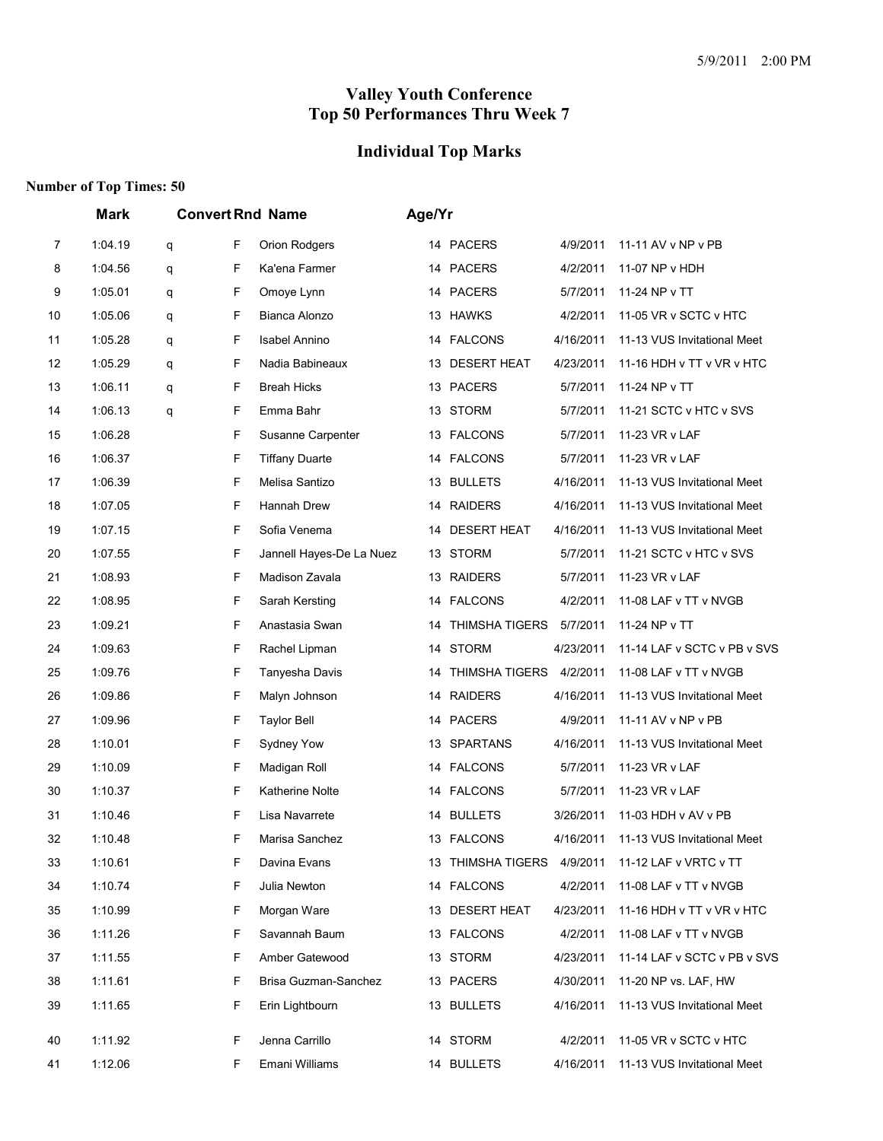## **Individual Top Marks**

|                | <b>Mark</b> |   |    | <b>Convert Rnd Name</b>  | Age/Yr |    |                            |           |                                       |
|----------------|-------------|---|----|--------------------------|--------|----|----------------------------|-----------|---------------------------------------|
| $\overline{7}$ | 1:04.19     | q | F  | Orion Rodgers            |        |    | 14 PACERS                  | 4/9/2011  | 11-11 AV v NP v PB                    |
| 8              | 1:04.56     | q | F  | Ka'ena Farmer            |        |    | 14 PACERS                  | 4/2/2011  | 11-07 NP v HDH                        |
| 9              | 1:05.01     | q | F  | Omoye Lynn               |        |    | 14 PACERS                  | 5/7/2011  | 11-24 NP v TT                         |
| 10             | 1:05.06     | q | F  | Bianca Alonzo            |        |    | 13 HAWKS                   | 4/2/2011  | 11-05 VR v SCTC v HTC                 |
| 11             | 1:05.28     | q | F  | <b>Isabel Annino</b>     |        |    | 14 FALCONS                 | 4/16/2011 | 11-13 VUS Invitational Meet           |
| 12             | 1:05.29     | q | F  | Nadia Babineaux          |        |    | 13 DESERT HEAT             | 4/23/2011 | 11-16 HDH v TT v VR v HTC             |
| 13             | 1:06.11     | q | F  | <b>Breah Hicks</b>       |        |    | 13 PACERS                  | 5/7/2011  | 11-24 NP v TT                         |
| 14             | 1:06.13     | q | F  | Emma Bahr                |        |    | 13 STORM                   | 5/7/2011  | 11-21 SCTC v HTC v SVS                |
| 15             | 1:06.28     |   | F  | Susanne Carpenter        |        |    | 13 FALCONS                 | 5/7/2011  | 11-23 VR v LAF                        |
| 16             | 1:06.37     |   | F  | <b>Tiffany Duarte</b>    |        |    | 14 FALCONS                 | 5/7/2011  | 11-23 VR v LAF                        |
| 17             | 1:06.39     |   | F  | Melisa Santizo           |        |    | 13 BULLETS                 | 4/16/2011 | 11-13 VUS Invitational Meet           |
| 18             | 1:07.05     |   | F  | Hannah Drew              |        | 14 | <b>RAIDERS</b>             | 4/16/2011 | 11-13 VUS Invitational Meet           |
| 19             | 1:07.15     |   | F  | Sofia Venema             |        | 14 | <b>DESERT HEAT</b>         | 4/16/2011 | 11-13 VUS Invitational Meet           |
| 20             | 1:07.55     |   | F  | Jannell Hayes-De La Nuez |        |    | 13 STORM                   | 5/7/2011  | 11-21 SCTC v HTC v SVS                |
| 21             | 1:08.93     |   | F  | Madison Zavala           |        |    | 13 RAIDERS                 | 5/7/2011  | 11-23 VR v LAF                        |
| 22             | 1:08.95     |   | F  | Sarah Kersting           |        |    | 14 FALCONS                 | 4/2/2011  | 11-08 LAF v TT v NVGB                 |
| 23             | 1:09.21     |   | F  | Anastasia Swan           |        | 14 | <b>THIMSHA TIGERS</b>      | 5/7/2011  | 11-24 NP v TT                         |
| 24             | 1:09.63     |   | F  | Rachel Lipman            |        |    | 14 STORM                   | 4/23/2011 | 11-14 LAF v SCTC v PB v SVS           |
| 25             | 1:09.76     |   | F  | Tanyesha Davis           |        | 14 | THIMSHA TIGERS             | 4/2/2011  | 11-08 LAF v TT v NVGB                 |
| 26             | 1:09.86     |   | F  | Malyn Johnson            |        | 14 | <b>RAIDERS</b>             | 4/16/2011 | 11-13 VUS Invitational Meet           |
| 27             | 1:09.96     |   | F  | <b>Taylor Bell</b>       |        | 14 | <b>PACERS</b>              | 4/9/2011  | 11-11 AV v NP v PB                    |
| 28             | 1:10.01     |   | F  | Sydney Yow               |        |    | 13 SPARTANS                | 4/16/2011 | 11-13 VUS Invitational Meet           |
| 29             | 1:10.09     |   | F  | Madigan Roll             |        |    | 14 FALCONS                 | 5/7/2011  | 11-23 VR v LAF                        |
| 30             | 1:10.37     |   | F  | Katherine Nolte          |        |    | 14 FALCONS                 | 5/7/2011  | 11-23 VR v LAF                        |
| 31             | 1:10.46     |   | F  | Lisa Navarrete           |        | 14 | <b>BULLETS</b>             | 3/26/2011 | 11-03 HDH v AV v PB                   |
| 32             | 1:10.48     |   | F  | Marisa Sanchez           |        |    | 13 FALCONS                 |           | 4/16/2011 11-13 VUS Invitational Meet |
| 33             | 1:10.61     |   | F  | Davina Evans             |        |    | 13 THIMSHA TIGERS 4/9/2011 |           | 11-12 LAF v VRTC v TT                 |
| 34             | 1:10.74     |   | F  | Julia Newton             |        |    | 14 FALCONS                 | 4/2/2011  | 11-08 LAF v TT v NVGB                 |
| 35             | 1:10.99     |   | F  | Morgan Ware              |        |    | 13 DESERT HEAT             | 4/23/2011 | 11-16 HDH v TT v VR v HTC             |
| 36             | 1:11.26     |   | F  | Savannah Baum            |        |    | 13 FALCONS                 | 4/2/2011  | 11-08 LAF v TT v NVGB                 |
| 37             | 1:11.55     |   | F  | Amber Gatewood           |        |    | 13 STORM                   | 4/23/2011 | 11-14 LAF v SCTC v PB v SVS           |
| 38             | 1:11.61     |   | F  | Brisa Guzman-Sanchez     |        |    | 13 PACERS                  | 4/30/2011 | 11-20 NP vs. LAF, HW                  |
| 39             | 1:11.65     |   | F  | Erin Lightbourn          |        |    | 13 BULLETS                 | 4/16/2011 | 11-13 VUS Invitational Meet           |
| 40             | 1:11.92     |   | F. | Jenna Carrillo           |        |    | 14 STORM                   | 4/2/2011  | 11-05 VR v SCTC v HTC                 |
| 41             | 1:12.06     |   | F. | Emani Williams           |        |    | 14 BULLETS                 | 4/16/2011 | 11-13 VUS Invitational Meet           |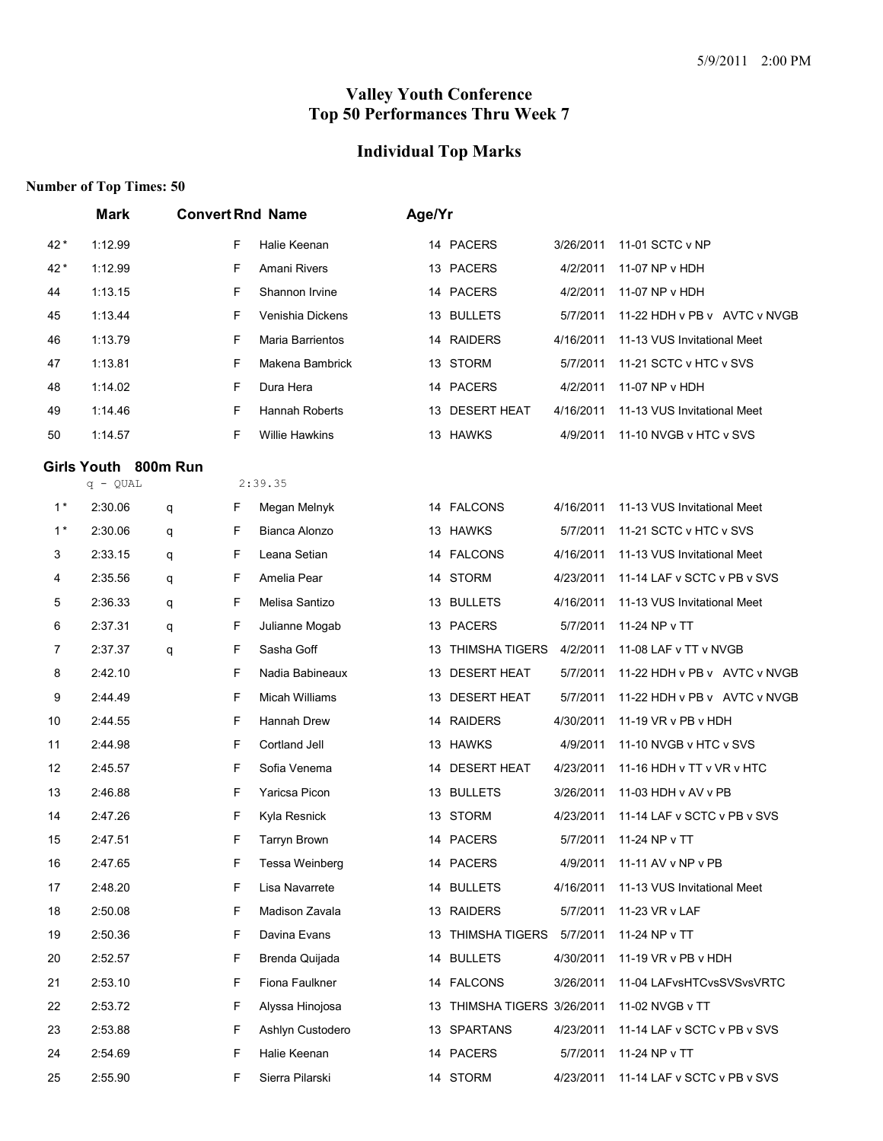# **Individual Top Marks**

|      | <b>Mark</b>                        |        | <b>Convert Rnd Name</b> |    | Age/Yr                      |           |                              |  |
|------|------------------------------------|--------|-------------------------|----|-----------------------------|-----------|------------------------------|--|
| 42*  | 1:12.99                            | F      | Halie Keenan            |    | 14 PACERS                   | 3/26/2011 | 11-01 SCTC v NP              |  |
| 42 * | 1:12.99                            | F      | Amani Rivers            |    | 13 PACERS                   | 4/2/2011  | 11-07 NP v HDH               |  |
| 44   | 1:13.15                            | F      | Shannon Irvine          |    | 14 PACERS                   | 4/2/2011  | 11-07 NP v HDH               |  |
| 45   | 1:13.44                            | F      | Venishia Dickens        |    | 13 BULLETS                  | 5/7/2011  | 11-22 HDH v PB v AVTC v NVGB |  |
| 46   | 1:13.79                            | F      | Maria Barrientos        |    | 14 RAIDERS                  | 4/16/2011 | 11-13 VUS Invitational Meet  |  |
| 47   | 1:13.81                            | F      | Makena Bambrick         | 13 | <b>STORM</b>                | 5/7/2011  | 11-21 SCTC v HTC v SVS       |  |
| 48   | 1:14.02                            | F      | Dura Hera               |    | 14 PACERS                   | 4/2/2011  | 11-07 NP v HDH               |  |
| 49   | 1:14.46                            | F      | Hannah Roberts          |    | 13 DESERT HEAT              | 4/16/2011 | 11-13 VUS Invitational Meet  |  |
| 50   | 1:14.57                            | F      | <b>Willie Hawkins</b>   |    | 13 HAWKS                    | 4/9/2011  | 11-10 NVGB v HTC v SVS       |  |
|      | Girls Youth 800m Run<br>$q - QUAL$ |        | 2:39.35                 |    |                             |           |                              |  |
| $1*$ | 2:30.06                            | F<br>q | Megan Melnyk            |    | 14 FALCONS                  | 4/16/2011 | 11-13 VUS Invitational Meet  |  |
| $1*$ | 2:30.06                            | F<br>q | Bianca Alonzo           |    | 13 HAWKS                    | 5/7/2011  | 11-21 SCTC v HTC v SVS       |  |
| 3    | 2:33.15                            | F<br>q | Leana Setian            |    | 14 FALCONS                  | 4/16/2011 | 11-13 VUS Invitational Meet  |  |
| 4    | 2:35.56                            | F<br>q | Amelia Pear             |    | 14 STORM                    | 4/23/2011 | 11-14 LAF v SCTC v PB v SVS  |  |
| 5    | 2:36.33                            | F<br>q | Melisa Santizo          | 13 | <b>BULLETS</b>              | 4/16/2011 | 11-13 VUS Invitational Meet  |  |
| 6    | 2:37.31                            | F<br>q | Julianne Mogab          |    | 13 PACERS                   | 5/7/2011  | 11-24 NP v TT                |  |
| 7    | 2:37.37                            | F<br>q | Sasha Goff              | 13 | <b>THIMSHA TIGERS</b>       | 4/2/2011  | 11-08 LAF v TT v NVGB        |  |
| 8    | 2:42.10                            | F      | Nadia Babineaux         | 13 | <b>DESERT HEAT</b>          | 5/7/2011  | 11-22 HDH v PB v AVTC v NVGB |  |
| 9    | 2:44.49                            | F      | <b>Micah Williams</b>   | 13 | <b>DESERT HEAT</b>          | 5/7/2011  | 11-22 HDH v PB v AVTC v NVGB |  |
| 10   | 2:44.55                            | F      | Hannah Drew             |    | 14 RAIDERS                  | 4/30/2011 | 11-19 VR v PB v HDH          |  |
| 11   | 2:44.98                            | F      | Cortland Jell           | 13 | <b>HAWKS</b>                | 4/9/2011  | 11-10 NVGB v HTC v SVS       |  |
| 12   | 2:45.57                            | F      | Sofia Venema            | 14 | <b>DESERT HEAT</b>          | 4/23/2011 | 11-16 HDH v TT v VR v HTC    |  |
| 13   | 2:46.88                            | F      | Yaricsa Picon           | 13 | <b>BULLETS</b>              | 3/26/2011 | 11-03 HDH v AV v PB          |  |
| 14   | 2:47.26                            | F      | Kyla Resnick            |    | 13 STORM                    | 4/23/2011 | 11-14 LAF v SCTC v PB v SVS  |  |
| 15   | 2:47.51                            | F      | <b>Tarryn Brown</b>     |    | 14 PACERS                   | 5/7/2011  | 11-24 NP v TT                |  |
| 16   | 2:47.65                            | F      | Tessa Weinberg          |    | 14 PACERS                   | 4/9/2011  | 11-11 AV v NP v PB           |  |
| 17   | 2:48.20                            | F      | Lisa Navarrete          |    | 14 BULLETS                  | 4/16/2011 | 11-13 VUS Invitational Meet  |  |
| 18   | 2:50.08                            | F      | Madison Zavala          |    | 13 RAIDERS                  | 5/7/2011  | 11-23 VR v LAF               |  |
| 19   | 2:50.36                            | F      | Davina Evans            |    | 13 THIMSHA TIGERS           | 5/7/2011  | 11-24 NP v TT                |  |
| 20   | 2:52.57                            | F      | Brenda Quijada          |    | 14 BULLETS                  | 4/30/2011 | 11-19 VR v PB v HDH          |  |
| 21   | 2:53.10                            | F      | Fiona Faulkner          |    | 14 FALCONS                  | 3/26/2011 | 11-04 LAFvsHTCvsSVSvsVRTC    |  |
| 22   | 2:53.72                            | F      | Alyssa Hinojosa         |    | 13 THIMSHA TIGERS 3/26/2011 |           | 11-02 NVGB v TT              |  |
| 23   | 2:53.88                            | F      | Ashlyn Custodero        |    | 13 SPARTANS                 | 4/23/2011 | 11-14 LAF v SCTC v PB v SVS  |  |
| 24   | 2:54.69                            | F      | Halie Keenan            |    | 14 PACERS                   | 5/7/2011  | 11-24 NP v TT                |  |
| 25   | 2:55.90                            | F      | Sierra Pilarski         |    | 14 STORM                    | 4/23/2011 | 11-14 LAF v SCTC v PB v SVS  |  |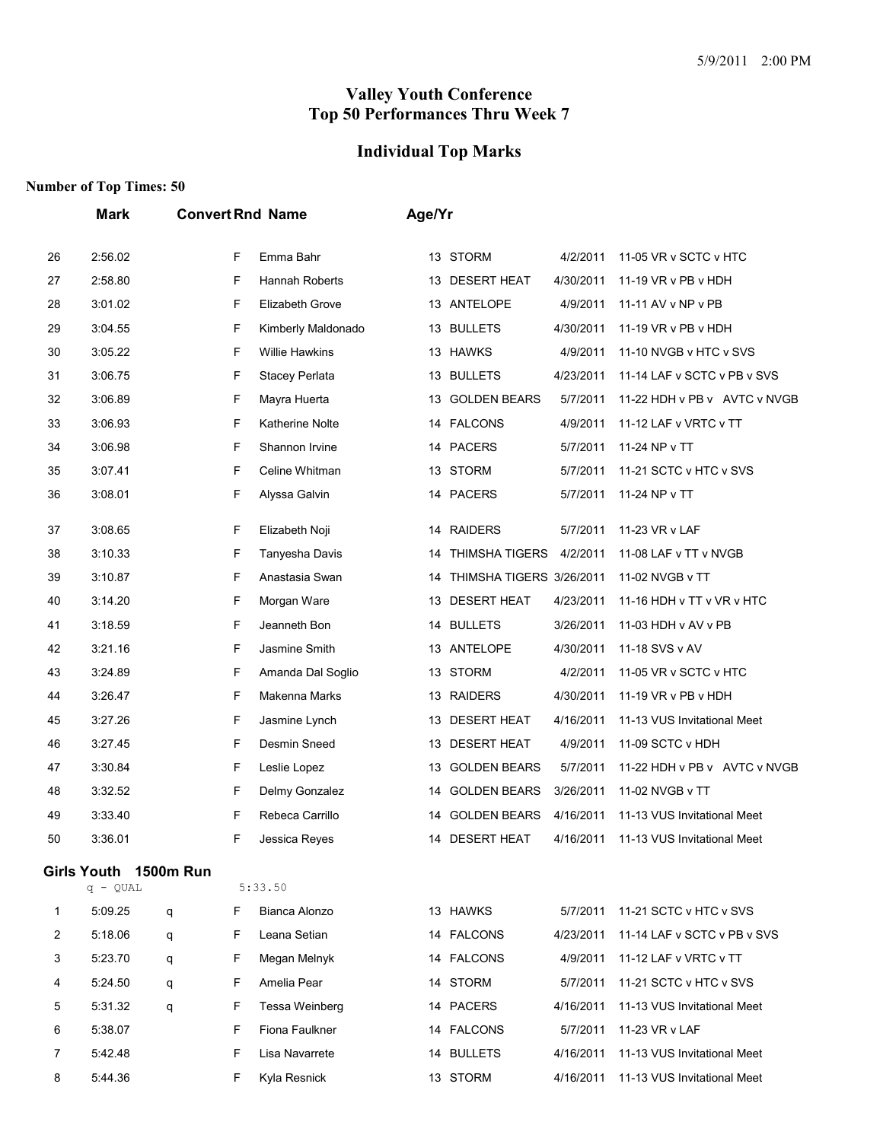# **Individual Top Marks**

|    | <b>Mark</b>                         |   |   | <b>Convert Rnd Name</b> | Age/Yr |                          |           |                              |
|----|-------------------------------------|---|---|-------------------------|--------|--------------------------|-----------|------------------------------|
| 26 | 2:56.02                             |   | F | Emma Bahr               |        | 13 STORM                 | 4/2/2011  | 11-05 VR v SCTC v HTC        |
| 27 | 2:58.80                             |   | F | Hannah Roberts          |        | 13 DESERT HEAT           | 4/30/2011 | 11-19 VR v PB v HDH          |
| 28 | 3:01.02                             |   | F | Elizabeth Grove         |        | 13 ANTELOPE              | 4/9/2011  | 11-11 AV v NP v PB           |
| 29 | 3:04.55                             |   | F | Kimberly Maldonado      |        | 13 BULLETS               | 4/30/2011 | 11-19 $VR$ v PB v HDH        |
| 30 | 3:05.22                             |   | F | <b>Willie Hawkins</b>   | 13     | <b>HAWKS</b>             | 4/9/2011  | 11-10 NVGB v HTC v SVS       |
| 31 | 3:06.75                             |   | F | Stacey Perlata          |        | 13 BULLETS               | 4/23/2011 | 11-14 LAF v SCTC v PB v SVS  |
| 32 | 3:06.89                             |   | F | Mayra Huerta            |        | 13 GOLDEN BEARS          | 5/7/2011  | 11-22 HDH v PB v AVTC v NVGB |
| 33 | 3:06.93                             |   | F | <b>Katherine Nolte</b>  |        | 14 FALCONS               | 4/9/2011  | 11-12 LAF v VRTC v TT        |
| 34 | 3:06.98                             |   | F | Shannon Irvine          | 14     | <b>PACERS</b>            | 5/7/2011  | 11-24 NP v TT                |
| 35 | 3:07.41                             |   | F | Celine Whitman          |        | 13 STORM                 | 5/7/2011  | 11-21 SCTC v HTC v SVS       |
| 36 | 3:08.01                             |   | F | Alyssa Galvin           |        | 14 PACERS                | 5/7/2011  | 11-24 NP v TT                |
| 37 | 3:08.65                             |   | F | Elizabeth Noji          | 14     | <b>RAIDERS</b>           | 5/7/2011  | 11-23 VR v LAF               |
| 38 | 3:10.33                             |   | F | Tanyesha Davis          | 14     | THIMSHA TIGERS           | 4/2/2011  | 11-08 LAF v TT v NVGB        |
| 39 | 3:10.87                             |   | F | Anastasia Swan          | 14     | THIMSHA TIGERS 3/26/2011 |           | 11-02 NVGB v TT              |
| 40 | 3:14.20                             |   | F | Morgan Ware             | 13     | <b>DESERT HEAT</b>       | 4/23/2011 | 11-16 HDH v TT v VR v HTC    |
| 41 | 3:18.59                             |   | F | Jeanneth Bon            |        | 14 BULLETS               | 3/26/2011 | 11-03 HDH v AV v PB          |
| 42 | 3:21.16                             |   | F | Jasmine Smith           | 13     | ANTELOPE                 | 4/30/2011 | 11-18 SVS v AV               |
| 43 | 3:24.89                             |   | F | Amanda Dal Soglio       | 13     | <b>STORM</b>             | 4/2/2011  | 11-05 VR v SCTC v HTC        |
| 44 | 3:26.47                             |   | F | Makenna Marks           | 13     | <b>RAIDERS</b>           | 4/30/2011 | 11-19 VR v PB v HDH          |
| 45 | 3:27.26                             |   | F | Jasmine Lynch           |        | 13 DESERT HEAT           | 4/16/2011 | 11-13 VUS Invitational Meet  |
| 46 | 3:27.45                             |   | F | Desmin Sneed            | 13     | <b>DESERT HEAT</b>       | 4/9/2011  | 11-09 SCTC v HDH             |
| 47 | 3:30.84                             |   | F | Leslie Lopez            | 13     | <b>GOLDEN BEARS</b>      | 5/7/2011  | 11-22 HDH v PB v AVTC v NVGB |
| 48 | 3:32.52                             |   | F | Delmy Gonzalez          | 14     | <b>GOLDEN BEARS</b>      | 3/26/2011 | 11-02 NVGB v TT              |
| 49 | 3:33.40                             |   | F | Rebeca Carrillo         | 14     | <b>GOLDEN BEARS</b>      | 4/16/2011 | 11-13 VUS Invitational Meet  |
| 50 | 3:36.01                             |   | F | Jessica Reyes           | 14     | <b>DESERT HEAT</b>       | 4/16/2011 | 11-13 VUS Invitational Meet  |
|    | Girls Youth 1500m Run<br>$q - QUAL$ |   |   | 5:33.50                 |        |                          |           |                              |
| 1  | 5:09.25                             | q | F | Bianca Alonzo           |        | 13 HAWKS                 | 5/7/2011  | 11-21 SCTC v HTC v SVS       |
| 2  | 5:18.06                             | q | F | Leana Setian            |        | 14 FALCONS               | 4/23/2011 | 11-14 LAF v SCTC v PB v SVS  |
| 3  | 5:23.70                             | q | F | Megan Melnyk            |        | 14 FALCONS               | 4/9/2011  | 11-12 LAF v VRTC v TT        |
| 4  | 5:24.50                             | q | F | Amelia Pear             |        | 14 STORM                 | 5/7/2011  | 11-21 SCTC v HTC v SVS       |
| 5  | 5:31.32                             | q | F | Tessa Weinberg          |        | 14 PACERS                | 4/16/2011 | 11-13 VUS Invitational Meet  |
| 6  | 5:38.07                             |   | F | Fiona Faulkner          |        | 14 FALCONS               | 5/7/2011  | 11-23 VR v LAF               |
| 7  | 5:42.48                             |   | F | Lisa Navarrete          |        | 14 BULLETS               | 4/16/2011 | 11-13 VUS Invitational Meet  |
| 8  | 5:44.36                             |   | F | Kyla Resnick            |        | 13 STORM                 | 4/16/2011 | 11-13 VUS Invitational Meet  |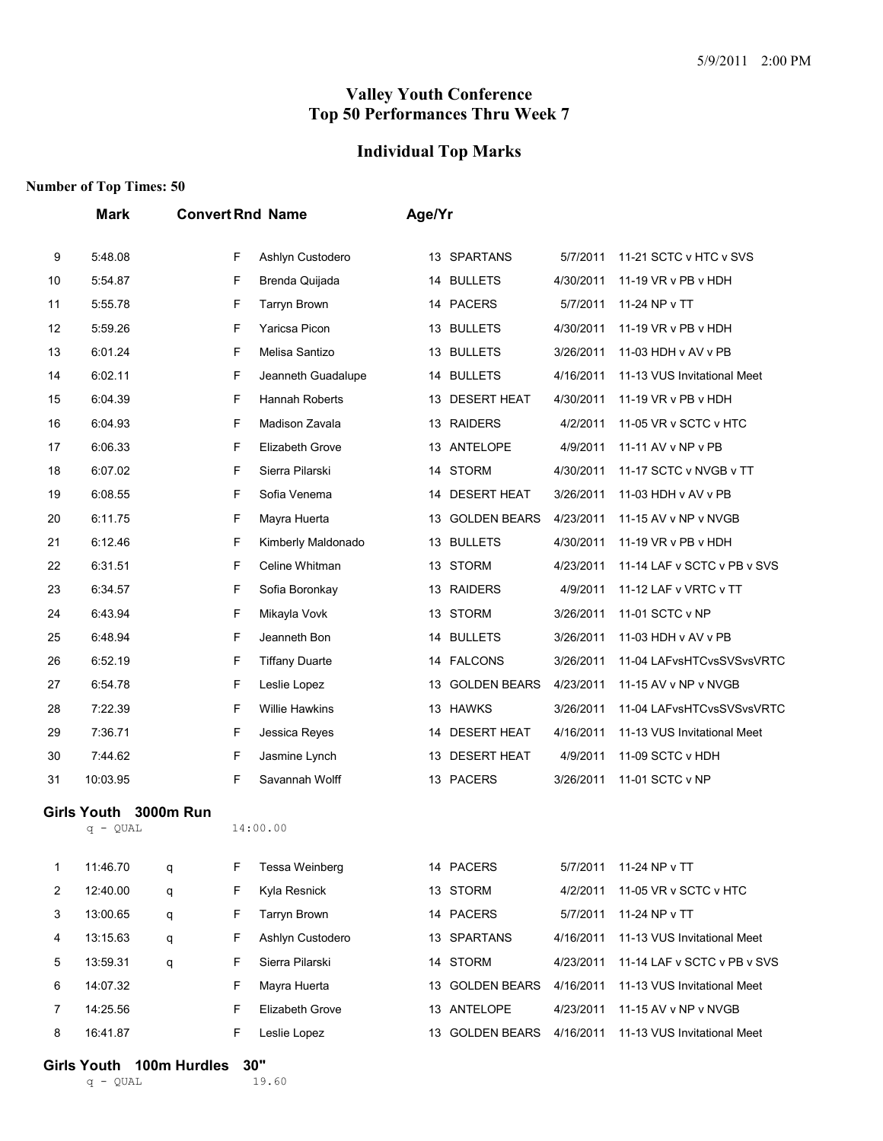#### **Individual Top Marks**

#### **Number of Top Times: 50**

|                | <b>Mark</b>                      |                  | <b>Convert Rnd Name</b> |                       |    | Age/Yr              |           |                             |  |  |  |
|----------------|----------------------------------|------------------|-------------------------|-----------------------|----|---------------------|-----------|-----------------------------|--|--|--|
| 9              | 5:48.08                          |                  | F                       | Ashlyn Custodero      |    | 13 SPARTANS         | 5/7/2011  | 11-21 SCTC v HTC v SVS      |  |  |  |
| 10             | 5:54.87                          |                  | F                       | Brenda Quijada        |    | 14 BULLETS          | 4/30/2011 | 11-19 VR v PB v HDH         |  |  |  |
| 11             | 5:55.78                          |                  | F                       | <b>Tarryn Brown</b>   |    | 14 PACERS           | 5/7/2011  | 11-24 NP v TT               |  |  |  |
| 12             | 5:59.26                          |                  | F                       | Yaricsa Picon         |    | 13 BULLETS          | 4/30/2011 | 11-19 VR v PB v HDH         |  |  |  |
| 13             | 6:01.24                          |                  | F                       | Melisa Santizo        | 13 | <b>BULLETS</b>      | 3/26/2011 | 11-03 HDH v AV v PB         |  |  |  |
| 14             | 6:02.11                          |                  | F                       | Jeanneth Guadalupe    |    | 14 BULLETS          | 4/16/2011 | 11-13 VUS Invitational Meet |  |  |  |
| 15             | 6:04.39                          |                  | F                       | Hannah Roberts        |    | 13 DESERT HEAT      | 4/30/2011 | 11-19 VR v PB v HDH         |  |  |  |
| 16             | 6:04.93                          |                  | F                       | Madison Zavala        |    | 13 RAIDERS          | 4/2/2011  | 11-05 VR v SCTC v HTC       |  |  |  |
| 17             | 6:06.33                          |                  | F                       | Elizabeth Grove       | 13 | ANTELOPE            | 4/9/2011  | 11-11 AV v NP v PB          |  |  |  |
| 18             | 6:07.02                          |                  | F                       | Sierra Pilarski       |    | 14 STORM            | 4/30/2011 | 11-17 SCTC v NVGB v TT      |  |  |  |
| 19             | 6:08.55                          |                  | F                       | Sofia Venema          | 14 | <b>DESERT HEAT</b>  | 3/26/2011 | 11-03 HDH v AV v PB         |  |  |  |
| 20             | 6:11.75                          |                  | F                       | Mayra Huerta          | 13 | <b>GOLDEN BEARS</b> | 4/23/2011 | 11-15 AV v NP v NVGB        |  |  |  |
| 21             | 6:12.46                          |                  | F                       | Kimberly Maldonado    | 13 | <b>BULLETS</b>      | 4/30/2011 | 11-19 VR v PB v HDH         |  |  |  |
| 22             | 6:31.51                          |                  | F                       | Celine Whitman        |    | 13 STORM            | 4/23/2011 | 11-14 LAF v SCTC v PB v SVS |  |  |  |
| 23             | 6:34.57                          |                  | F                       | Sofia Boronkay        |    | 13 RAIDERS          | 4/9/2011  | 11-12 LAF v VRTC v TT       |  |  |  |
| 24             | 6:43.94                          |                  | F                       | Mikayla Vovk          | 13 | STORM               | 3/26/2011 | 11-01 SCTC v NP             |  |  |  |
| 25             | 6:48.94                          |                  | F                       | Jeanneth Bon          |    | 14 BULLETS          | 3/26/2011 | 11-03 HDH v AV v PB         |  |  |  |
| 26             | 6:52.19                          |                  | F                       | <b>Tiffany Duarte</b> |    | 14 FALCONS          | 3/26/2011 | 11-04 LAFvsHTCvsSVSvsVRTC   |  |  |  |
| 27             | 6:54.78                          |                  | F                       | Leslie Lopez          | 13 | <b>GOLDEN BEARS</b> | 4/23/2011 | 11-15 AV v NP v NVGB        |  |  |  |
| 28             | 7:22.39                          |                  | F                       | <b>Willie Hawkins</b> |    | 13 HAWKS            | 3/26/2011 | 11-04 LAFvsHTCvsSVSvsVRTC   |  |  |  |
| 29             | 7:36.71                          |                  | F                       | Jessica Reyes         | 14 | <b>DESERT HEAT</b>  | 4/16/2011 | 11-13 VUS Invitational Meet |  |  |  |
| 30             | 7:44.62                          |                  | F                       | Jasmine Lynch         |    | 13 DESERT HEAT      | 4/9/2011  | 11-09 SCTC v HDH            |  |  |  |
| 31             | 10:03.95                         |                  | F                       | Savannah Wolff        |    | 13 PACERS           | 3/26/2011 | 11-01 SCTC v NP             |  |  |  |
|                | <b>Girls Youth</b><br>$q - QUAL$ | <b>3000m Run</b> |                         | 14:00.00              |    |                     |           |                             |  |  |  |
| 1              | 11:46.70                         | q                | F                       | Tessa Weinberg        |    | 14 PACERS           | 5/7/2011  | 11-24 NP v TT               |  |  |  |
| 2              | 12:40.00                         | q                | F                       | Kyla Resnick          |    | 13 STORM            | 4/2/2011  | 11-05 VR v SCTC v HTC       |  |  |  |
| 3              | 13:00.65                         | q                | F                       | <b>Tarryn Brown</b>   |    | 14 PACERS           | 5/7/2011  | 11-24 NP v TT               |  |  |  |
| 4              | 13:15.63                         | q                | F                       | Ashlyn Custodero      |    | 13 SPARTANS         | 4/16/2011 | 11-13 VUS Invitational Meet |  |  |  |
| 5              | 13:59.31                         | q                | F                       | Sierra Pilarski       |    | 14 STORM            | 4/23/2011 | 11-14 LAF v SCTC v PB v SVS |  |  |  |
| 6              | 14:07.32                         |                  | F                       | Mayra Huerta          |    | 13 GOLDEN BEARS     | 4/16/2011 | 11-13 VUS Invitational Meet |  |  |  |
| $\overline{7}$ | 14:25.56                         |                  | F                       | Elizabeth Grove       |    | 13 ANTELOPE         | 4/23/2011 | 11-15 AV v NP v NVGB        |  |  |  |
| 8              | 16:41.87                         |                  | F                       | Leslie Lopez          |    | 13 GOLDEN BEARS     | 4/16/2011 | 11-13 VUS Invitational Meet |  |  |  |

# **Girls Youth 100m Hurdles 30"**<br>  $q = 0$ UAL 19.60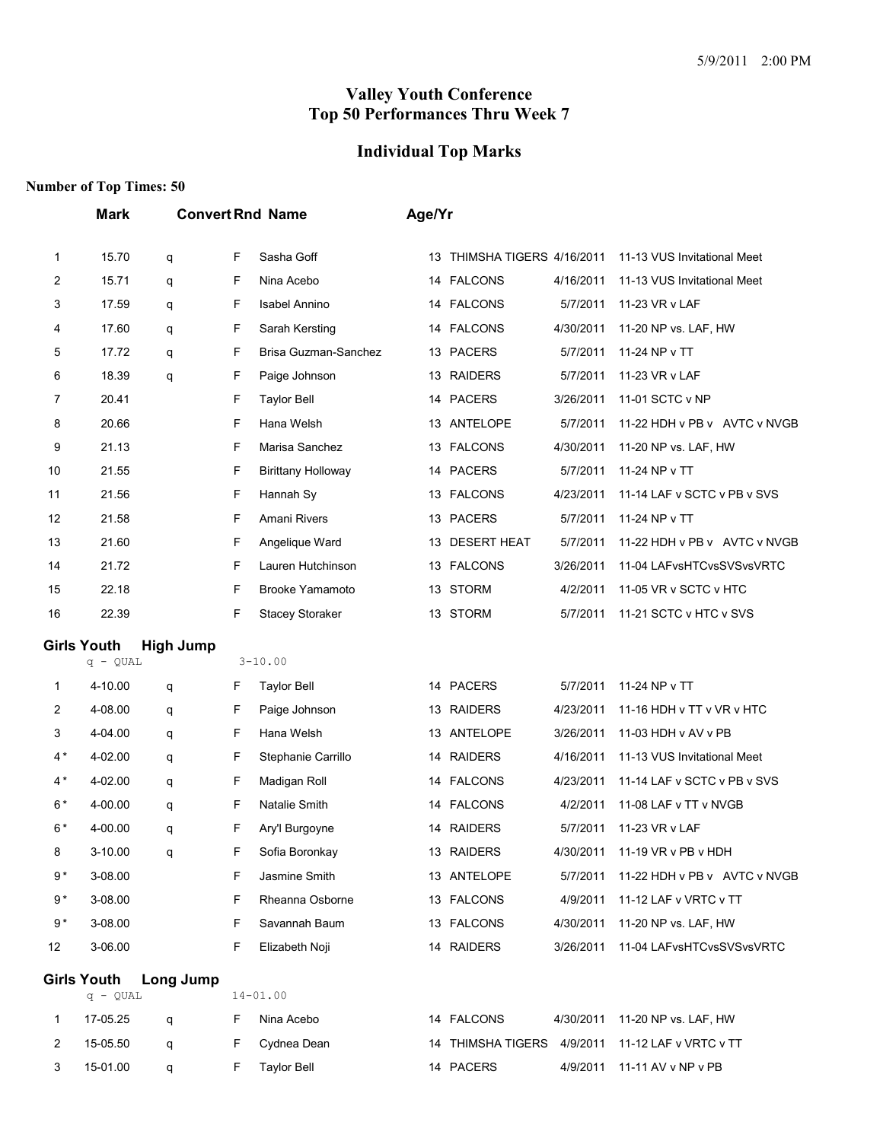#### **Individual Top Marks**

|                | <b>Mark</b>                      |                  |        | <b>Convert Rnd Name</b>     | Age/Yr |                          |                       |                                            |
|----------------|----------------------------------|------------------|--------|-----------------------------|--------|--------------------------|-----------------------|--------------------------------------------|
| 1              | 15.70                            | q                | F      | Sasha Goff                  | 13     | THIMSHA TIGERS 4/16/2011 |                       | 11-13 VUS Invitational Meet                |
| $\overline{c}$ | 15.71                            | q                | F      | Nina Acebo                  |        | 14 FALCONS               | 4/16/2011             | 11-13 VUS Invitational Meet                |
| 3              | 17.59                            | q                | F      | <b>Isabel Annino</b>        |        | 14 FALCONS               | 5/7/2011              | 11-23 VR v LAF                             |
| 4              | 17.60                            | q                | F      | Sarah Kersting              |        | 14 FALCONS               | 4/30/2011             | 11-20 NP vs. LAF, HW                       |
| 5              | 17.72                            | q                | F      | Brisa Guzman-Sanchez        |        | 13 PACERS                | 5/7/2011              | 11-24 NP v TT                              |
| 6              | 18.39                            | q                | F      | Paige Johnson               |        | 13 RAIDERS               | 5/7/2011              | 11-23 VR v LAF                             |
| 7              | 20.41                            |                  | F      | <b>Taylor Bell</b>          |        | 14 PACERS                | 3/26/2011             | 11-01 SCTC v NP                            |
| 8              | 20.66                            |                  | F      | Hana Welsh                  | 13     | ANTELOPE                 | 5/7/2011              | 11-22 HDH v PB v AVTC v NVGB               |
| 9              | 21.13                            |                  | F      | Marisa Sanchez              |        | 13 FALCONS               | 4/30/2011             | 11-20 NP vs. LAF, HW                       |
| 10             | 21.55                            |                  | F      | <b>Birittany Holloway</b>   |        | 14 PACERS                | 5/7/2011              | 11-24 NP v TT                              |
| 11             | 21.56                            |                  | F      | Hannah Sy                   |        | 13 FALCONS               | 4/23/2011             | 11-14 LAF v SCTC v PB v SVS                |
| 12             | 21.58                            |                  | F      | Amani Rivers                |        | 13 PACERS                | 5/7/2011              | 11-24 NP v TT                              |
| 13             | 21.60                            |                  | F      | Angelique Ward              | 13     | <b>DESERT HEAT</b>       | 5/7/2011              | 11-22 HDH v PB v AVTC v NVGB               |
| 14             | 21.72                            |                  | F      | Lauren Hutchinson           |        | 13 FALCONS               | 3/26/2011             | 11-04 LAFvsHTCvsSVSvsVRTC                  |
| 15             | 22.18                            |                  | F      | <b>Brooke Yamamoto</b>      |        | 13 STORM                 | 4/2/2011              | 11-05 VR v SCTC v HTC                      |
| 16             | 22.39                            |                  | F      | <b>Stacey Storaker</b>      |        | 13 STORM                 | 5/7/2011              | 11-21 SCTC v HTC v SVS                     |
|                | <b>Girls Youth</b>               | <b>High Jump</b> |        | $3 - 10.00$                 |        |                          |                       |                                            |
|                | $q - QUAL$                       |                  |        |                             |        |                          |                       |                                            |
| 1              | 4-10.00<br>4-08.00               | q                | F<br>F | <b>Taylor Bell</b>          |        | 14 PACERS<br>13 RAIDERS  | 5/7/2011<br>4/23/2011 | 11-24 NP v TT<br>11-16 HDH v TT v VR v HTC |
| 2<br>3         | 4-04.00                          | q                | F      | Paige Johnson<br>Hana Welsh |        | 13 ANTELOPE              | 3/26/2011             | 11-03 HDH v AV v PB                        |
| $4*$           | 4-02.00                          | q                | F      | Stephanie Carrillo          |        | 14 RAIDERS               | 4/16/2011             | 11-13 VUS Invitational Meet                |
| $4*$           | 4-02.00                          | q                | F      | Madigan Roll                |        | 14 FALCONS               | 4/23/2011             | 11-14 LAF v SCTC v PB v SVS                |
| $6*$           | 4-00.00                          | q                | F      | Natalie Smith               |        | 14 FALCONS               | 4/2/2011              | 11-08 LAF v TT v NVGB                      |
| $6*$           | 4-00.00                          | q<br>q           | F      | Ary'l Burgoyne              |        | 14 RAIDERS               | 5/7/2011              | 11-23 VR v LAF                             |
| 8              | 3-10.00                          | q                | F      | Sofia Boronkay              |        | 13 RAIDERS               | 4/30/2011             | 11-19 VR v PB v HDH                        |
| $9*$           | 3-08.00                          |                  | F      | Jasmine Smith               |        | 13 ANTELOPE              | 5/7/2011              | 11-22 HDH v PB v AVTC v NVGB               |
| $9*$           | 3-08.00                          |                  | F      | Rheanna Osborne             |        | 13 FALCONS               | 4/9/2011              | 11-12 LAF v VRTC v TT                      |
| $9*$           | 3-08.00                          |                  | F      | Savannah Baum               |        | 13 FALCONS               | 4/30/2011             | 11-20 NP vs. LAF, HW                       |
| 12             | 3-06.00                          |                  | F      | Elizabeth Noji              |        | 14 RAIDERS               | 3/26/2011             | 11-04 LAFvsHTCvsSVSvsVRTC                  |
|                |                                  |                  |        |                             |        |                          |                       |                                            |
|                | <b>Girls Youth</b><br>$q - QUAL$ | Long Jump        |        | $14 - 01.00$                |        |                          |                       |                                            |
| 1              | 17-05.25                         | q                | F      | Nina Acebo                  |        | 14 FALCONS               | 4/30/2011             | 11-20 NP vs. LAF, HW                       |
| $\overline{2}$ | 15-05.50                         | q                | F      | Cydnea Dean                 |        | 14 THIMSHA TIGERS        | 4/9/2011              | 11-12 LAF v VRTC v TT                      |
| 3              | 15-01.00                         | q                | F      | <b>Taylor Bell</b>          |        | 14 PACERS                | 4/9/2011              | 11-11 AV v NP v PB                         |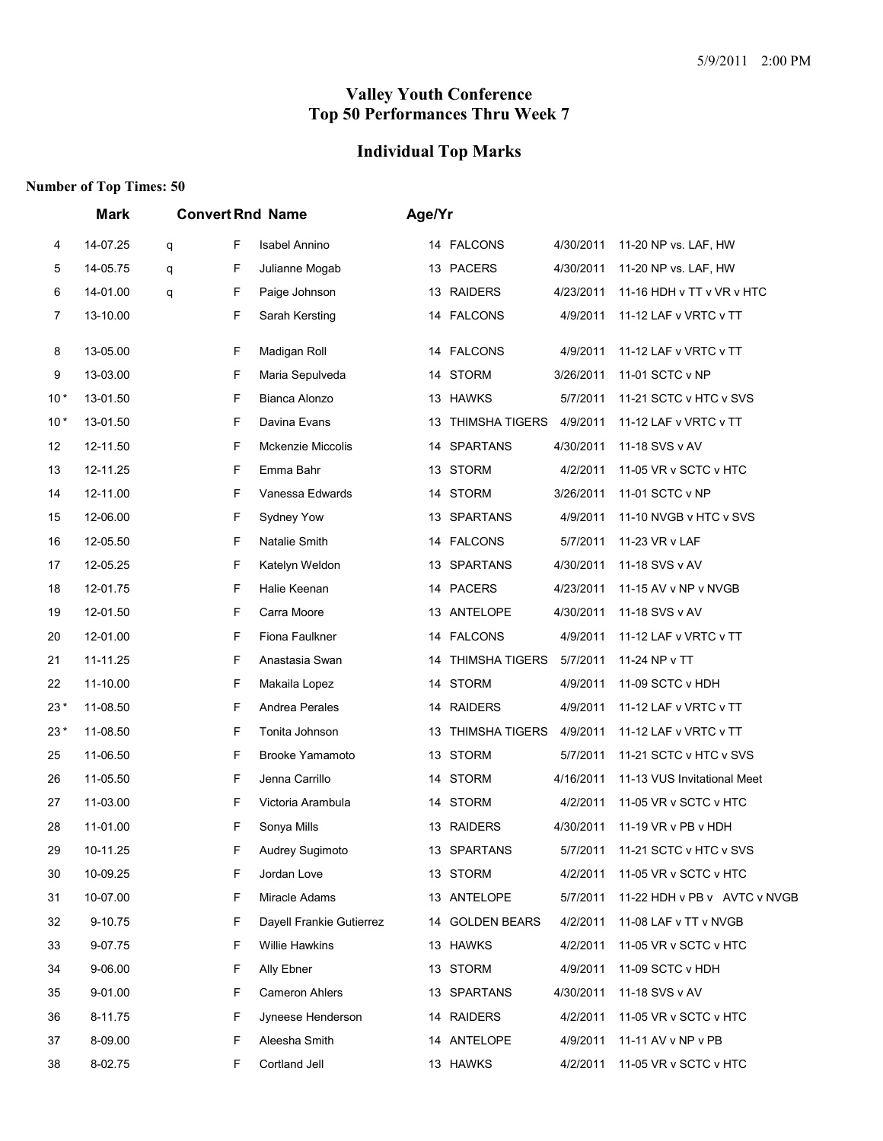#### **Individual Top Marks**

|       | Mark     | <b>Convert Rnd Name</b> |                          | Age/Yr |                       |           |                              |
|-------|----------|-------------------------|--------------------------|--------|-----------------------|-----------|------------------------------|
| 4     | 14-07.25 | F<br>q                  | <b>Isabel Annino</b>     |        | 14 FALCONS            | 4/30/2011 | 11-20 NP vs. LAF, HW         |
| 5     | 14-05.75 | F<br>q                  | Julianne Mogab           |        | 13 PACERS             | 4/30/2011 | 11-20 NP vs. LAF, HW         |
| 6     | 14-01.00 | F<br>q                  | Paige Johnson            |        | 13 RAIDERS            | 4/23/2011 | 11-16 HDH v TT v VR v HTC    |
| 7     | 13-10.00 | F                       | Sarah Kersting           | 14     | <b>FALCONS</b>        | 4/9/2011  | 11-12 LAF v VRTC v TT        |
| 8     | 13-05.00 | F                       | Madigan Roll             |        | 14 FALCONS            | 4/9/2011  | 11-12 LAF v VRTC v TT        |
| 9     | 13-03.00 | F                       | Maria Sepulveda          | 14     | <b>STORM</b>          | 3/26/2011 | 11-01 SCTC v NP              |
| $10*$ | 13-01.50 | F                       | Bianca Alonzo            |        | 13 HAWKS              | 5/7/2011  | 11-21 SCTC v HTC v SVS       |
| $10*$ | 13-01.50 | F                       | Davina Evans             | 13     | <b>THIMSHA TIGERS</b> | 4/9/2011  | 11-12 LAF v VRTC v TT        |
| 12    | 12-11.50 | F                       | <b>Mckenzie Miccolis</b> | 14     | <b>SPARTANS</b>       | 4/30/2011 | 11-18 SVS v AV               |
| 13    | 12-11.25 | F                       | Emma Bahr                | 13     | <b>STORM</b>          | 4/2/2011  | 11-05 VR v SCTC v HTC        |
| 14    | 12-11.00 | F                       | Vanessa Edwards          |        | 14 STORM              | 3/26/2011 | 11-01 SCTC v NP              |
| 15    | 12-06.00 | F                       | Sydney Yow               | 13     | <b>SPARTANS</b>       | 4/9/2011  | 11-10 NVGB v HTC v SVS       |
| 16    | 12-05.50 | F                       | Natalie Smith            | 14     | <b>FALCONS</b>        | 5/7/2011  | 11-23 VR v LAF               |
| 17    | 12-05.25 | F                       | Katelyn Weldon           | 13     | <b>SPARTANS</b>       | 4/30/2011 | 11-18 SVS v AV               |
| 18    | 12-01.75 | F                       | Halie Keenan             |        | 14 PACERS             | 4/23/2011 | 11-15 AV v NP v NVGB         |
| 19    | 12-01.50 | F                       | Carra Moore              | 13     | ANTELOPE              | 4/30/2011 | 11-18 SVS v AV               |
| 20    | 12-01.00 | F                       | Fiona Faulkner           | 14     | <b>FALCONS</b>        | 4/9/2011  | 11-12 LAF v VRTC v TT        |
| 21    | 11-11.25 | F                       | Anastasia Swan           | 14     | <b>THIMSHA TIGERS</b> | 5/7/2011  | 11-24 NP v TT                |
| 22    | 11-10.00 | F                       | Makaila Lopez            |        | 14 STORM              | 4/9/2011  | 11-09 SCTC v HDH             |
| $23*$ | 11-08.50 | F                       | Andrea Perales           | 14     | <b>RAIDERS</b>        | 4/9/2011  | 11-12 LAF v VRTC v TT        |
| $23*$ | 11-08.50 | F                       | Tonita Johnson           | 13     | <b>THIMSHA TIGERS</b> | 4/9/2011  | 11-12 LAF v VRTC v TT        |
| 25    | 11-06.50 | F                       | Brooke Yamamoto          |        | 13 STORM              | 5/7/2011  | 11-21 SCTC v HTC v SVS       |
| 26    | 11-05.50 | F                       | Jenna Carrillo           |        | 14 STORM              | 4/16/2011 | 11-13 VUS Invitational Meet  |
| 27    | 11-03.00 | F                       | Victoria Arambula        | 14     | <b>STORM</b>          | 4/2/2011  | 11-05 VR v SCTC v HTC        |
| 28    | 11-01.00 | F                       | Sonya Mills              |        | 13 RAIDERS            | 4/30/2011 | 11-19 VR v PB v HDH          |
| 29    | 10-11.25 | F                       | Audrey Sugimoto          |        | 13 SPARTANS           | 5/7/2011  | 11-21 SCTC v HTC v SVS       |
| 30    | 10-09.25 | F                       | Jordan Love              |        | 13 STORM              | 4/2/2011  | 11-05 VR v SCTC v HTC        |
| 31    | 10-07.00 | F                       | Miracle Adams            |        | 13 ANTELOPE           | 5/7/2011  | 11-22 HDH v PB v AVTC v NVGB |
| 32    | 9-10.75  | F                       | Dayell Frankie Gutierrez |        | 14 GOLDEN BEARS       | 4/2/2011  | 11-08 LAF v TT v NVGB        |
| 33    | 9-07.75  | F                       | <b>Willie Hawkins</b>    |        | 13 HAWKS              | 4/2/2011  | 11-05 VR v SCTC v HTC        |
| 34    | 9-06.00  | F                       | Ally Ebner               |        | 13 STORM              | 4/9/2011  | 11-09 SCTC v HDH             |
| 35    | 9-01.00  | F                       | <b>Cameron Ahlers</b>    |        | 13 SPARTANS           | 4/30/2011 | 11-18 SVS v AV               |
| 36    | 8-11.75  | F                       | Jyneese Henderson        |        | 14 RAIDERS            | 4/2/2011  | 11-05 VR v SCTC v HTC        |
| 37    | 8-09.00  | F                       | Aleesha Smith            |        | 14 ANTELOPE           | 4/9/2011  | 11-11 AV v NP v PB           |
| 38    | 8-02.75  | F                       | Cortland Jell            |        | 13 HAWKS              | 4/2/2011  | 11-05 VR v SCTC v HTC        |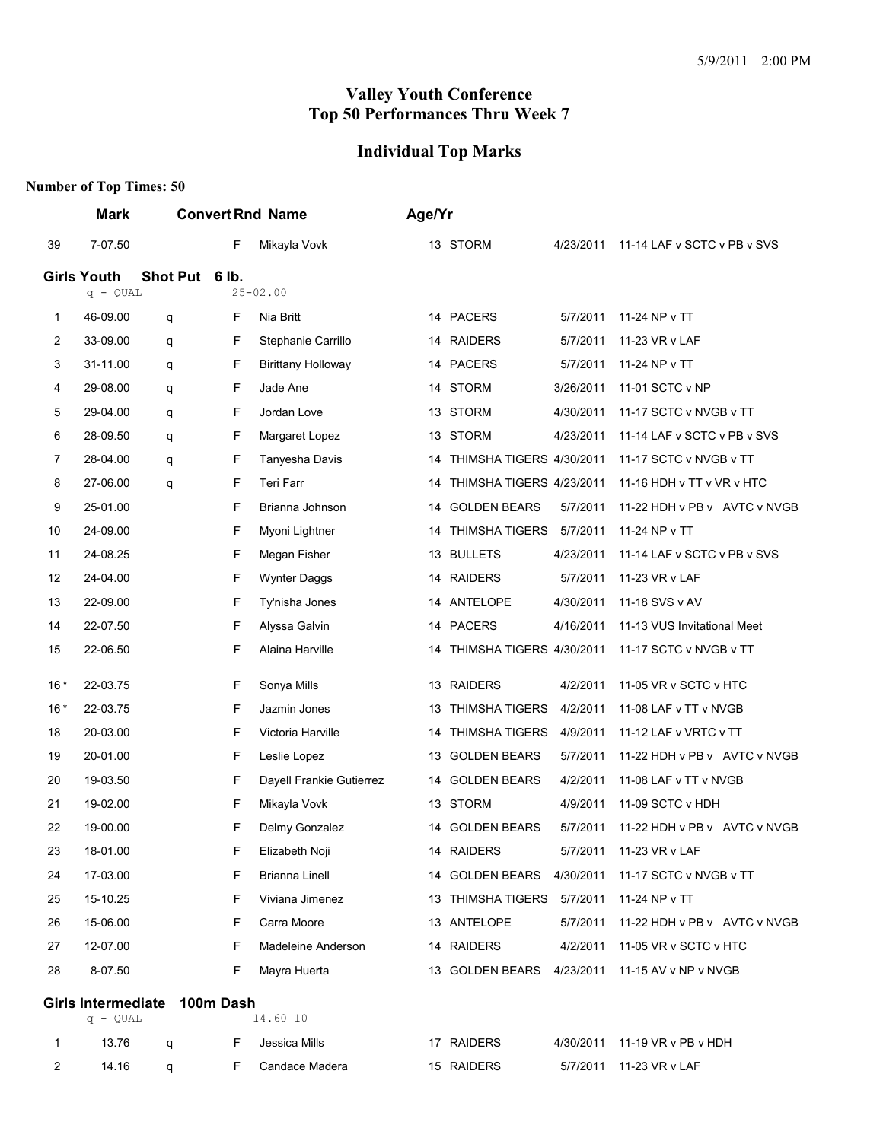# **Individual Top Marks**

|                | Mark               |                              |    | <b>Convert Rnd Name</b>   |    | Age/Yr                     |           |                                                    |
|----------------|--------------------|------------------------------|----|---------------------------|----|----------------------------|-----------|----------------------------------------------------|
| 39             | 7-07.50            |                              | F  | Mikayla Vovk              |    | 13 STORM                   | 4/23/2011 | 11-14 LAF v SCTC v PB v SVS                        |
|                | <b>Girls Youth</b> | Shot Put 6 lb.               |    |                           |    |                            |           |                                                    |
|                | $q - QUAL$         |                              |    | $25 - 02.00$              |    |                            |           |                                                    |
| 1              | 46-09.00           | q                            | F  | Nia Britt                 |    | 14 PACERS                  | 5/7/2011  | 11-24 NP v TT                                      |
| $\overline{2}$ | 33-09.00           | q                            | F  | Stephanie Carrillo        |    | 14 RAIDERS                 | 5/7/2011  | 11-23 VR v LAF                                     |
| 3              | 31-11.00           | q                            | F  | <b>Birittany Holloway</b> |    | 14 PACERS                  | 5/7/2011  | 11-24 NP v TT                                      |
| 4              | 29-08.00           | q                            | F  | Jade Ane                  | 14 | <b>STORM</b>               | 3/26/2011 | 11-01 SCTC v NP                                    |
| 5              | 29-04.00           | q                            | F  | Jordan Love               |    | 13 STORM                   | 4/30/2011 | 11-17 SCTC v NVGB v TT                             |
| 6              | 28-09.50           | q                            | F  | Margaret Lopez            | 13 | <b>STORM</b>               | 4/23/2011 | 11-14 LAF v SCTC v PB v SVS                        |
| 7              | 28-04.00           | q                            | F  | Tanyesha Davis            | 14 | THIMSHA TIGERS 4/30/2011   |           | 11-17 SCTC v NVGB v TT                             |
| 8              | 27-06.00           | q                            | F  | Teri Farr                 | 14 | THIMSHA TIGERS 4/23/2011   |           | 11-16 HDH v TT v VR v HTC                          |
| 9              | 25-01.00           |                              | F  | Brianna Johnson           | 14 | <b>GOLDEN BEARS</b>        | 5/7/2011  | 11-22 HDH v PB v AVTC v NVGB                       |
| 10             | 24-09.00           |                              | F  | Myoni Lightner            | 14 | THIMSHA TIGERS             | 5/7/2011  | 11-24 NP v TT                                      |
| 11             | 24-08.25           |                              | F  | Megan Fisher              | 13 | <b>BULLETS</b>             | 4/23/2011 | 11-14 LAF v SCTC v PB v SVS                        |
| 12             | 24-04.00           |                              | F  | Wynter Daggs              |    | 14 RAIDERS                 | 5/7/2011  | 11-23 VR v LAF                                     |
| 13             | 22-09.00           |                              | F  | Ty'nisha Jones            |    | 14 ANTELOPE                | 4/30/2011 | 11-18 SVS v AV                                     |
| 14             | 22-07.50           |                              | F  | Alyssa Galvin             |    | 14 PACERS                  | 4/16/2011 | 11-13 VUS Invitational Meet                        |
| 15             | 22-06.50           |                              | F  | Alaina Harville           | 14 | THIMSHA TIGERS 4/30/2011   |           | 11-17 SCTC v NVGB v TT                             |
| $16*$          | 22-03.75           |                              | F  | Sonya Mills               |    | 13 RAIDERS                 | 4/2/2011  | 11-05 VR v SCTC v HTC                              |
| $16*$          | 22-03.75           |                              | F  | Jazmin Jones              | 13 | <b>THIMSHA TIGERS</b>      | 4/2/2011  | 11-08 LAF v TT v NVGB                              |
| 18             | 20-03.00           |                              | F  | Victoria Harville         | 14 | <b>THIMSHA TIGERS</b>      | 4/9/2011  | 11-12 LAF v VRTC v TT                              |
| 19             | 20-01.00           |                              | F  | Leslie Lopez              |    | 13 GOLDEN BEARS            | 5/7/2011  | 11-22 HDH v PB v AVTC v NVGB                       |
| 20             | 19-03.50           |                              | F  | Dayell Frankie Gutierrez  | 14 | <b>GOLDEN BEARS</b>        | 4/2/2011  | 11-08 LAF v TT v NVGB                              |
| 21             | 19-02.00           |                              | F  | Mikayla Vovk              | 13 | <b>STORM</b>               | 4/9/2011  | 11-09 SCTC v HDH                                   |
| 22             | 19-00.00           |                              | F  | Delmy Gonzalez            |    | 14 GOLDEN BEARS            | 5/7/2011  | 11-22 HDH v PB v AVTC v NVGB                       |
| 23             | 18-01.00           |                              | F  | Elizabeth Noji            |    | 14 RAIDERS                 | 5/7/2011  | 11-23 VR v LAF                                     |
| 24             | 17-03.00           |                              | F  | Brianna Linell            |    |                            |           | 14 GOLDEN BEARS  4/30/2011  11-17 SCTC v NVGB v TT |
| 25             | 15-10.25           |                              | F  | Viviana Jimenez           |    | 13 THIMSHA TIGERS 5/7/2011 |           | 11-24 NP v TT                                      |
| 26             | 15-06.00           |                              | F  | Carra Moore               |    | 13 ANTELOPE                | 5/7/2011  | 11-22 HDH v PB v AVTC v NVGB                       |
| 27             | 12-07.00           |                              | F  | Madeleine Anderson        |    | 14 RAIDERS                 | 4/2/2011  | 11-05 VR v SCTC v HTC                              |
| 28             | 8-07.50            |                              | F  | Mayra Huerta              |    |                            |           | 13 GOLDEN BEARS  4/23/2011  11-15 AV v NP v NVGB   |
|                |                    | Girls Intermediate 100m Dash |    |                           |    |                            |           |                                                    |
|                | $q - QUAL$         |                              |    | 14.60 10                  |    |                            |           |                                                    |
| 1              | 13.76              | q                            | F. | Jessica Mills             |    | 17 RAIDERS                 |           | 4/30/2011 11-19 VR v PB v HDH                      |
| $\overline{2}$ | 14.16              | q                            | F  | Candace Madera            |    | 15 RAIDERS                 | 5/7/2011  | 11-23 VR v LAF                                     |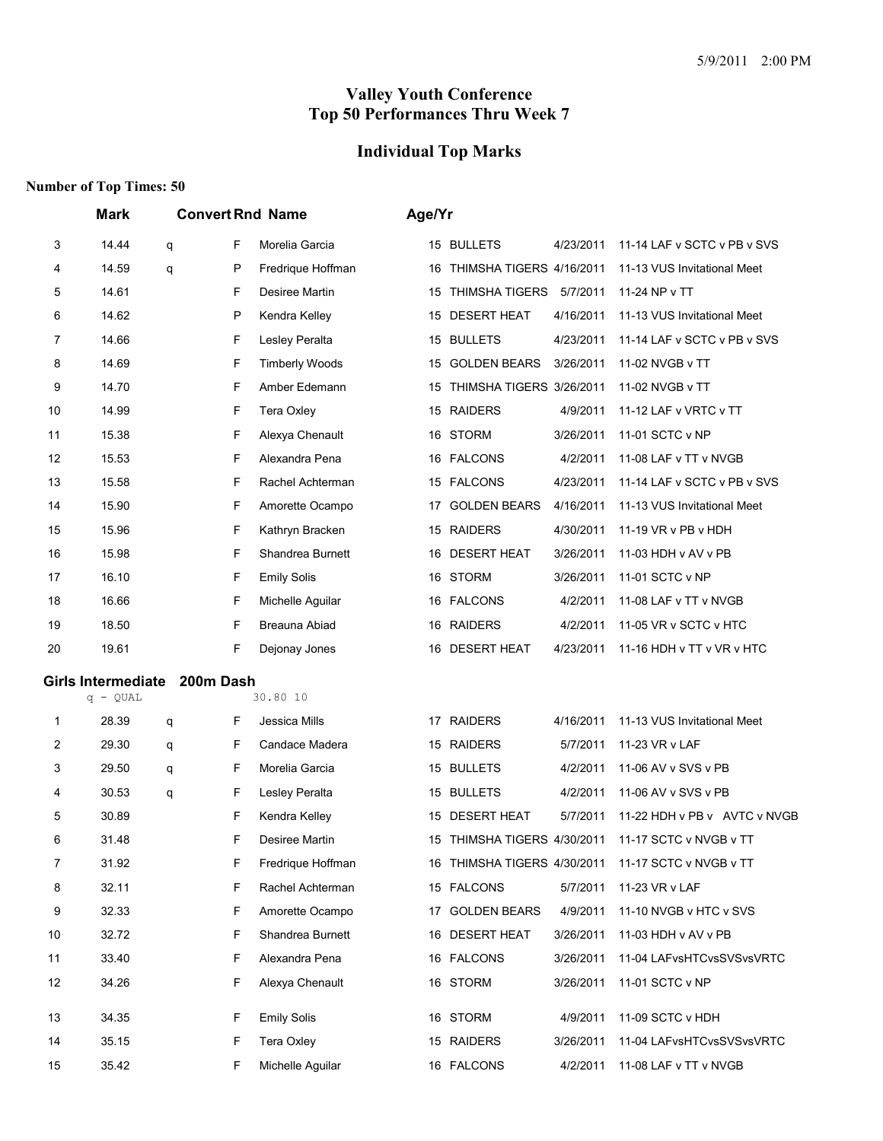# **Individual Top Marks**

|    | <b>Mark</b>               |   |              | <b>Convert Rnd Name</b> | Age/Yr |                             |           |                              |
|----|---------------------------|---|--------------|-------------------------|--------|-----------------------------|-----------|------------------------------|
| 3  | 14.44                     | q | F            | Morelia Garcia          |        | 15 BULLETS                  | 4/23/2011 | 11-14 LAF v SCTC v PB v SVS  |
| 4  | 14.59                     | q | P            | Fredrique Hoffman       | 16     | THIMSHA TIGERS 4/16/2011    |           | 11-13 VUS Invitational Meet  |
| 5  | 14.61                     |   | F            | Desiree Martin          | 15     | <b>THIMSHA TIGERS</b>       | 5/7/2011  | 11-24 NP v TT                |
| 6  | 14.62                     |   | $\mathsf{P}$ | Kendra Kelley           | 15     | <b>DESERT HEAT</b>          | 4/16/2011 | 11-13 VUS Invitational Meet  |
| 7  | 14.66                     |   | F            | Lesley Peralta          | 15     | <b>BULLETS</b>              | 4/23/2011 | 11-14 LAF v SCTC v PB v SVS  |
| 8  | 14.69                     |   | F            | <b>Timberly Woods</b>   | 15     | <b>GOLDEN BEARS</b>         | 3/26/2011 | 11-02 NVGB v TT              |
| 9  | 14.70                     |   | F            | Amber Edemann           | 15     | THIMSHA TIGERS 3/26/2011    |           | 11-02 NVGB v TT              |
| 10 | 14.99                     |   | F            | <b>Tera Oxley</b>       |        | 15 RAIDERS                  | 4/9/2011  | 11-12 LAF v VRTC v TT        |
| 11 | 15.38                     |   | F            | Alexya Chenault         |        | 16 STORM                    | 3/26/2011 | 11-01 SCTC v NP              |
| 12 | 15.53                     |   | F            | Alexandra Pena          |        | 16 FALCONS                  | 4/2/2011  | 11-08 LAF v TT v NVGB        |
| 13 | 15.58                     |   | F            | Rachel Achterman        |        | 15 FALCONS                  | 4/23/2011 | 11-14 LAF v SCTC v PB v SVS  |
| 14 | 15.90                     |   | F            | Amorette Ocampo         | 17     | <b>GOLDEN BEARS</b>         | 4/16/2011 | 11-13 VUS Invitational Meet  |
| 15 | 15.96                     |   | F            | Kathryn Bracken         |        | 15 RAIDERS                  | 4/30/2011 | 11-19 VR v PB v HDH          |
| 16 | 15.98                     |   | F            | Shandrea Burnett        | 16     | <b>DESERT HEAT</b>          | 3/26/2011 | 11-03 HDH v AV v PB          |
| 17 | 16.10                     |   | F            | <b>Emily Solis</b>      | 16     | <b>STORM</b>                | 3/26/2011 | 11-01 SCTC v NP              |
| 18 | 16.66                     |   | F            | Michelle Aquilar        |        | 16 FALCONS                  | 4/2/2011  | 11-08 LAF v TT v NVGB        |
| 19 | 18.50                     |   | F            | Breauna Abiad           |        | 16 RAIDERS                  | 4/2/2011  | 11-05 VR v SCTC v HTC        |
| 20 | 19.61                     |   | F            | Dejonay Jones           |        | 16 DESERT HEAT              | 4/23/2011 | 11-16 HDH v TT v VR v HTC    |
|    | <b>Girls Intermediate</b> |   | 200m Dash    |                         |        |                             |           |                              |
|    | $q - QUAL$                |   |              | 30.80 10                |        |                             |           |                              |
| 1  | 28.39                     | q | F            | Jessica Mills           |        | 17 RAIDERS                  | 4/16/2011 | 11-13 VUS Invitational Meet  |
| 2  | 29.30                     | q | F            | Candace Madera          |        | 15 RAIDERS                  | 5/7/2011  | 11-23 VR v LAF               |
| 3  | 29.50                     | q | F            | Morelia Garcia          |        | 15 BULLETS                  | 4/2/2011  | 11-06 AV v SVS v PB          |
| 4  | 30.53                     | q | F            | Lesley Peralta          | 15     | <b>BULLETS</b>              | 4/2/2011  | 11-06 AV v SVS v PB          |
| 5  | 30.89                     |   | F            | Kendra Kelley           |        | 15 DESERT HEAT              | 5/7/2011  | 11-22 HDH v PB v AVTC v NVGB |
| 6  | 31.48                     |   | F            | Desiree Martin          |        | 15 THIMSHA TIGERS 4/30/2011 |           | 11-17 SCTC v NVGB v TT       |
| 7  | 31.92                     |   | F            | Fredrique Hoffman       |        | 16 THIMSHA TIGERS 4/30/2011 |           | 11-17 SCTC v NVGB v TT       |
| 8  | 32.11                     |   | F            | Rachel Achterman        |        | 15 FALCONS                  | 5/7/2011  | 11-23 VR v LAF               |
| 9  | 32.33                     |   | F            | Amorette Ocampo         |        | 17 GOLDEN BEARS             | 4/9/2011  | 11-10 NVGB v HTC v SVS       |
| 10 | 32.72                     |   | F            | Shandrea Burnett        |        | 16 DESERT HEAT              | 3/26/2011 | 11-03 HDH v AV v PB          |
| 11 | 33.40                     |   | F            | Alexandra Pena          |        | 16 FALCONS                  | 3/26/2011 | 11-04 LAFvsHTCvsSVSvsVRTC    |
| 12 | 34.26                     |   | F            | Alexya Chenault         |        | 16 STORM                    | 3/26/2011 | 11-01 SCTC v NP              |
| 13 | 34.35                     |   | F            | <b>Emily Solis</b>      |        | 16 STORM                    | 4/9/2011  | 11-09 SCTC v HDH             |
| 14 | 35.15                     |   | F            | <b>Tera Oxley</b>       |        | 15 RAIDERS                  | 3/26/2011 | 11-04 LAFvsHTCvsSVSvsVRTC    |
| 15 | 35.42                     |   | F            | Michelle Aguilar        |        | 16 FALCONS                  | 4/2/2011  | 11-08 LAF v TT v NVGB        |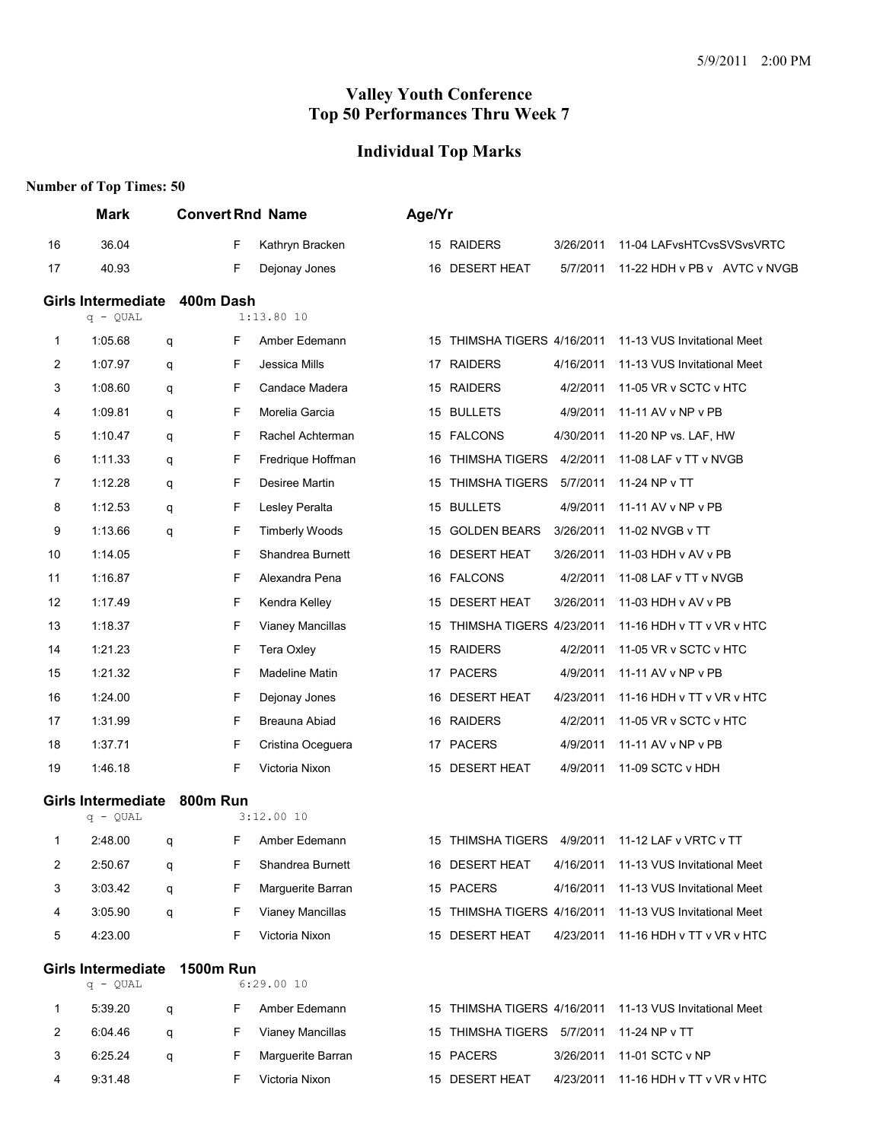# **Individual Top Marks**

|                | <b>Mark</b>                             |                  | <b>Convert Rnd Name</b>    | Age/Yr                                                     |
|----------------|-----------------------------------------|------------------|----------------------------|------------------------------------------------------------|
| 16             | 36.04                                   |                  | F<br>Kathryn Bracken       | 11-04 LAFvsHTCvsSVSvsVRTC<br>15 RAIDERS<br>3/26/2011       |
| 17             | 40.93                                   |                  | F<br>Dejonay Jones         | 16 DESERT HEAT<br>5/7/2011<br>11-22 HDH v PB v AVTC v NVGB |
|                | <b>Girls Intermediate</b><br>$q - QUAL$ | 400m Dash        | $1:13.80$ 10               |                                                            |
| 1              | 1:05.68                                 | q                | F<br>Amber Edemann         | 15 THIMSHA TIGERS 4/16/2011<br>11-13 VUS Invitational Meet |
| 2              | 1:07.97                                 | q                | F<br>Jessica Mills         | 17 RAIDERS<br>4/16/2011<br>11-13 VUS Invitational Meet     |
| 3              | 1:08.60                                 | q                | F<br>Candace Madera        | 15 RAIDERS<br>4/2/2011<br>11-05 VR v SCTC v HTC            |
| 4              | 1:09.81                                 | q                | F<br>Morelia Garcia        | 15 BULLETS<br>4/9/2011<br>11-11 AV v NP v PB               |
| 5              | 1:10.47                                 | q                | F<br>Rachel Achterman      | 15 FALCONS<br>4/30/2011<br>11-20 NP vs. LAF, HW            |
| 6              | 1:11.33                                 | q                | F<br>Fredrique Hoffman     | 4/2/2011<br>16 THIMSHA TIGERS<br>11-08 LAF v TT v NVGB     |
| 7              | 1:12.28                                 | q                | F<br>Desiree Martin        | <b>THIMSHA TIGERS</b><br>5/7/2011<br>11-24 NP v TT<br>15   |
| 8              | 1:12.53                                 | q                | F<br>Lesley Peralta        | 4/9/2011<br>15 BULLETS<br>11-11 AV v NP v PB               |
| 9              | 1:13.66                                 | q                | F<br><b>Timberly Woods</b> | 15 GOLDEN BEARS<br>3/26/2011<br>11-02 NVGB v TT            |
| 10             | 1:14.05                                 |                  | F<br>Shandrea Burnett      | 16 DESERT HEAT<br>3/26/2011<br>11-03 HDH v AV v PB         |
| 11             | 1:16.87                                 |                  | F<br>Alexandra Pena        | 16 FALCONS<br>4/2/2011<br>11-08 LAF v TT v NVGB            |
| 12             | 1:17.49                                 |                  | F<br>Kendra Kelley         | 15 DESERT HEAT<br>3/26/2011<br>11-03 HDH v AV v PB         |
| 13             | 1:18.37                                 |                  | F<br>Vianey Mancillas      | 15 THIMSHA TIGERS 4/23/2011<br>11-16 HDH v TT v VR v HTC   |
| 14             | 1:21.23                                 |                  | F<br>Tera Oxley            | 15 RAIDERS<br>4/2/2011<br>11-05 VR v SCTC v HTC            |
| 15             | 1:21.32                                 |                  | F<br>Madeline Matin        | <b>PACERS</b><br>4/9/2011<br>11-11 AV v NP v PB<br>17      |
| 16             | 1:24.00                                 |                  | F<br>Dejonay Jones         | 16 DESERT HEAT<br>4/23/2011<br>11-16 HDH v TT v VR v HTC   |
| 17             | 1:31.99                                 |                  | F<br>Breauna Abiad         | 16 RAIDERS<br>4/2/2011<br>11-05 VR v SCTC v HTC            |
| 18             | 1:37.71                                 |                  | F<br>Cristina Oceguera     | 17 PACERS<br>4/9/2011<br>11-11 AV v NP v PB                |
| 19             | 1:46.18                                 |                  | F<br>Victoria Nixon        | 15 DESERT HEAT<br>4/9/2011<br>11-09 SCTC v HDH             |
|                | Girls Intermediate 800m Run             |                  |                            |                                                            |
|                | $q - QUAL$                              |                  | 3:12.0010                  |                                                            |
| 1              | 2:48.00                                 | q                | F<br>Amber Edemann         | 15 THIMSHA TIGERS<br>4/9/2011<br>11-12 LAF v VRTC v TT     |
| $\overline{c}$ | 2:50.67                                 | q                | F<br>Shandrea Burnett      | 11-13 VUS Invitational Meet<br>16 DESERT HEAT<br>4/16/2011 |
| 3              | 3:03.42                                 | q                | F<br>Marguerite Barran     | 15 PACERS<br>4/16/2011<br>11-13 VUS Invitational Meet      |
| 4              | 3:05.90                                 | q                | F<br>Vianey Mancillas      | 15 THIMSHA TIGERS 4/16/2011<br>11-13 VUS Invitational Meet |
| 5              | 4:23.00                                 |                  | F<br>Victoria Nixon        | 15 DESERT HEAT<br>4/23/2011<br>11-16 HDH v TT v VR v HTC   |
|                | <b>Girls Intermediate</b><br>$q - QUAL$ | <b>1500m Run</b> | 6:29.0010                  |                                                            |
| 1              | 5:39.20                                 | q                | F<br>Amber Edemann         | 15 THIMSHA TIGERS 4/16/2011<br>11-13 VUS Invitational Meet |
| 2              | 6:04.46                                 | q                | F<br>Vianey Mancillas      | 15 THIMSHA TIGERS 5/7/2011<br>11-24 NP v TT                |
| 3              | 6:25.24                                 | q                | F<br>Marguerite Barran     | 15 PACERS<br>11-01 SCTC v NP<br>3/26/2011                  |
| 4              | 9:31.48                                 |                  | Victoria Nixon<br>F        | 15 DESERT HEAT<br>4/23/2011<br>11-16 HDH v TT v VR v HTC   |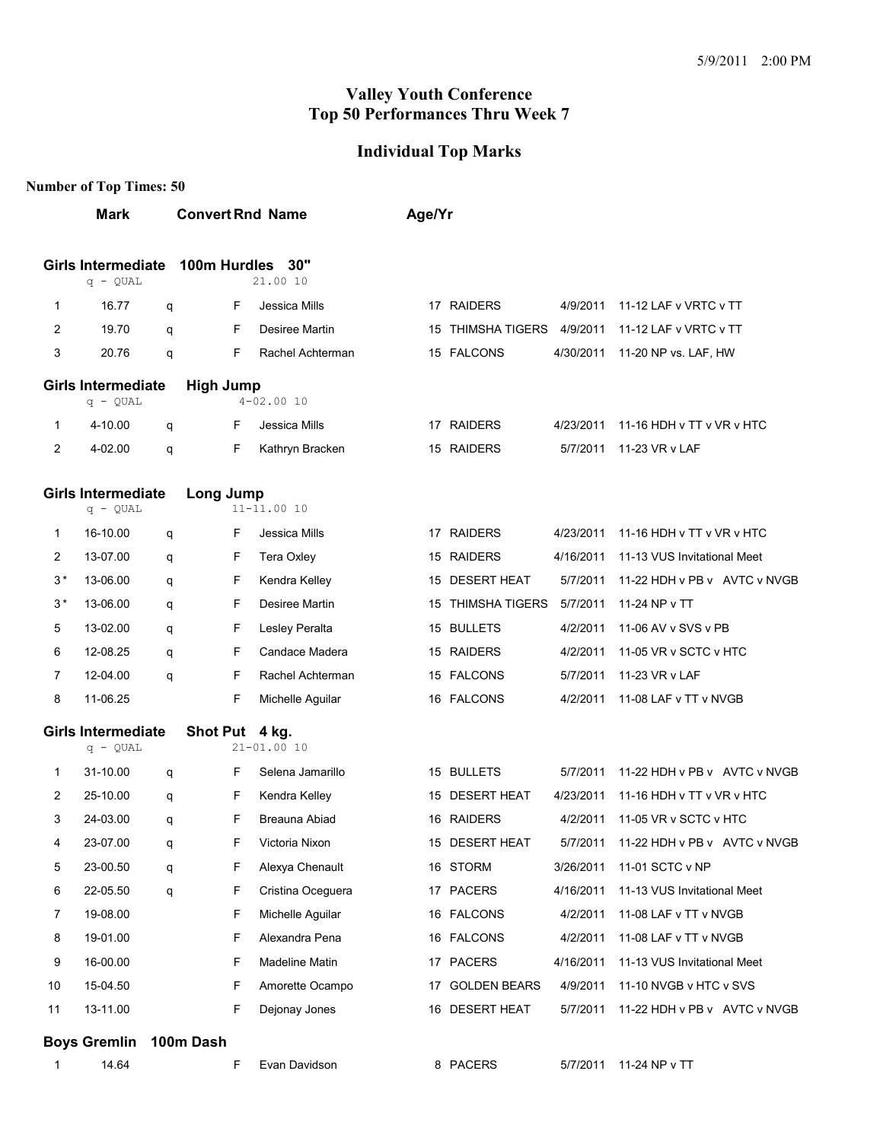#### **Individual Top Marks**

|                | <b>Mark</b>                             |   | <b>Convert Rnd Name</b> |                   | Age/Yr |                            |           |                                       |
|----------------|-----------------------------------------|---|-------------------------|-------------------|--------|----------------------------|-----------|---------------------------------------|
|                | <b>Girls Intermediate</b><br>$q - QUAL$ |   | 100m Hurdles            | 30"<br>21.00 10   |        |                            |           |                                       |
| 1              | 16.77                                   | q | F                       | Jessica Mills     |        | 17 RAIDERS                 | 4/9/2011  | 11-12 LAF v VRTC v TT                 |
| $\overline{2}$ | 19.70                                   | q | F                       | Desiree Martin    |        | 15 THIMSHA TIGERS          | 4/9/2011  | 11-12 LAF v VRTC v TT                 |
| 3              | 20.76                                   | q | F                       | Rachel Achterman  |        | 15 FALCONS                 | 4/30/2011 | 11-20 NP vs. LAF, HW                  |
|                | <b>Girls Intermediate</b><br>$q - QUAL$ |   | <b>High Jump</b>        | $4 - 02.0010$     |        |                            |           |                                       |
| $\mathbf 1$    | 4-10.00                                 | q | F                       | Jessica Mills     |        | 17 RAIDERS                 | 4/23/2011 | 11-16 HDH v TT v VR v HTC             |
| 2              | 4-02.00                                 | q | F                       | Kathryn Bracken   |        | 15 RAIDERS                 | 5/7/2011  | 11-23 VR v LAF                        |
|                | <b>Girls Intermediate</b><br>$q - QUAL$ |   | Long Jump               | $11 - 11.0010$    |        |                            |           |                                       |
| 1              | 16-10.00                                | q | F                       | Jessica Mills     |        | 17 RAIDERS                 | 4/23/2011 | 11-16 HDH v TT v VR v HTC             |
| 2              | 13-07.00                                | q | F                       | Tera Oxley        |        | 15 RAIDERS                 | 4/16/2011 | 11-13 VUS Invitational Meet           |
| $3*$           | 13-06.00                                | q | F                       | Kendra Kelley     |        | 15 DESERT HEAT             | 5/7/2011  | 11-22 HDH v PB v AVTC v NVGB          |
| $3*$           | 13-06.00                                | q | F                       | Desiree Martin    |        | 15 THIMSHA TIGERS 5/7/2011 |           | 11-24 NP v TT                         |
| 5              | 13-02.00                                | q | F                       | Lesley Peralta    |        | 15 BULLETS                 | 4/2/2011  | 11-06 AV v SVS v PB                   |
| 6              | 12-08.25                                | q | F                       | Candace Madera    |        | 15 RAIDERS                 | 4/2/2011  | 11-05 VR v SCTC v HTC                 |
| $\overline{7}$ | 12-04.00                                | q | F                       | Rachel Achterman  |        | 15 FALCONS                 | 5/7/2011  | 11-23 VR v LAF                        |
| 8              | 11-06.25                                |   | F                       | Michelle Aguilar  |        | 16 FALCONS                 | 4/2/2011  | 11-08 LAF v TT v NVGB                 |
|                | <b>Girls Intermediate</b><br>$q - QUAL$ |   | Shot Put 4 kg.          | $21 - 01.0010$    |        |                            |           |                                       |
| $\mathbf 1$    | 31-10.00                                | q | F                       | Selena Jamarillo  |        | 15 BULLETS                 | 5/7/2011  | 11-22 HDH v PB v AVTC v NVGB          |
| 2              | 25-10.00                                | q | F                       | Kendra Kelley     |        | 15 DESERT HEAT             | 4/23/2011 | 11-16 HDH v TT v VR v HTC             |
| 3              | 24-03.00                                | q | F                       | Breauna Abiad     |        | 16 RAIDERS                 | 4/2/2011  | 11-05 VR v SCTC v HTC                 |
| 4              | 23-07.00                                | q | F                       | Victoria Nixon    |        | 15 DESERT HEAT             |           | 5/7/2011 11-22 HDH v PB v AVTC v NVGB |
| 5              | 23-00.50                                | q | F                       | Alexya Chenault   |        | 16 STORM                   | 3/26/2011 | 11-01 SCTC v NP                       |
| 6              | 22-05.50                                | q | F                       | Cristina Oceguera |        | 17 PACERS                  | 4/16/2011 | 11-13 VUS Invitational Meet           |
| 7              | 19-08.00                                |   | F                       | Michelle Aguilar  |        | 16 FALCONS                 | 4/2/2011  | 11-08 LAF v TT v NVGB                 |
| 8              | 19-01.00                                |   | F                       | Alexandra Pena    |        | 16 FALCONS                 | 4/2/2011  | 11-08 LAF v TT v NVGB                 |
| 9              | 16-00.00                                |   | F                       | Madeline Matin    |        | 17 PACERS                  | 4/16/2011 | 11-13 VUS Invitational Meet           |
| 10             | 15-04.50                                |   | F                       | Amorette Ocampo   |        | 17 GOLDEN BEARS            | 4/9/2011  | 11-10 NVGB v HTC v SVS                |
| 11             | 13-11.00                                |   | F                       | Dejonay Jones     |        | 16 DESERT HEAT             | 5/7/2011  | 11-22 HDH v PB v AVTC v NVGB          |
|                | <b>Boys Gremlin</b>                     |   | 100m Dash               |                   |        |                            |           |                                       |
|                | 14.64                                   |   | F                       | Evan Davidson     |        | 8 PACERS                   |           | 5/7/2011 11-24 NP v TT                |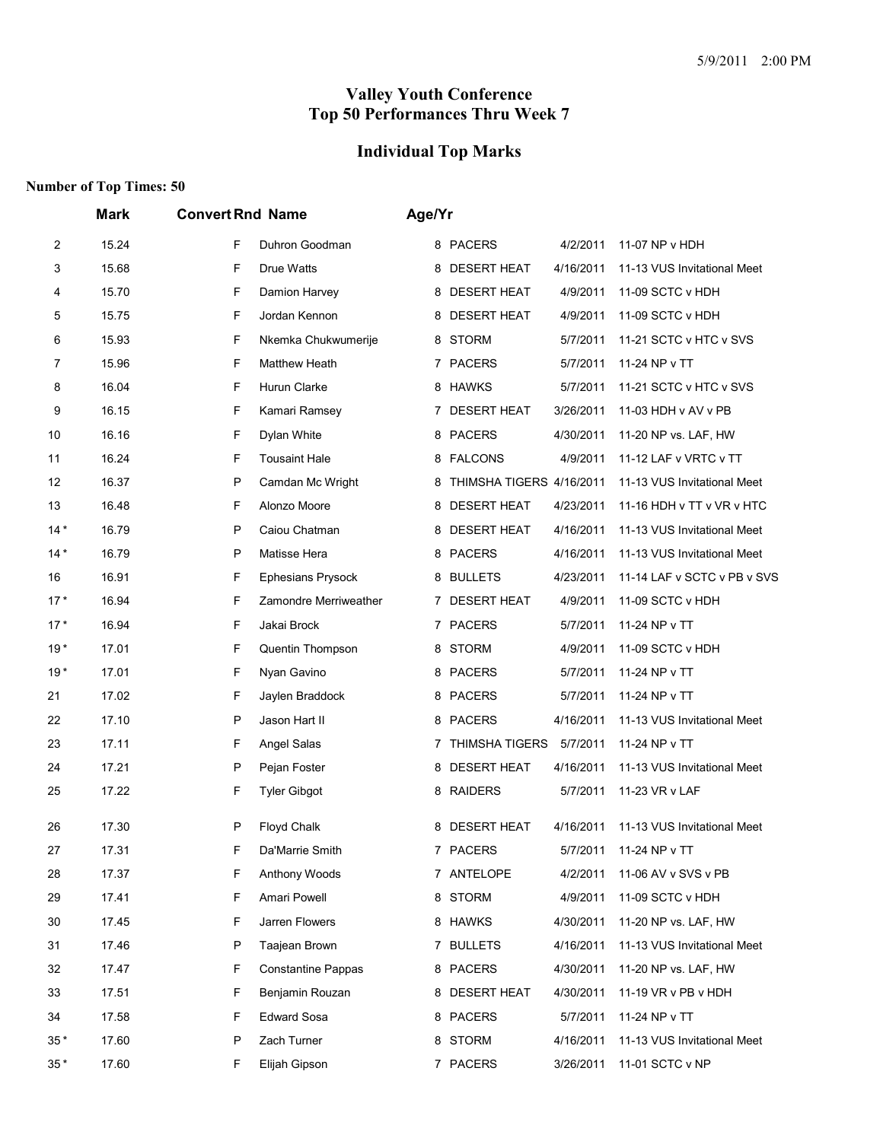#### **Individual Top Marks**

|                | <b>Mark</b> | <b>Convert Rnd Name</b>        | Age/Yr                                                              |
|----------------|-------------|--------------------------------|---------------------------------------------------------------------|
| $\overline{c}$ | 15.24       | F<br>Duhron Goodman            | 8 PACERS<br>4/2/2011<br>11-07 NP v HDH                              |
| 3              | 15.68       | F<br>Drue Watts                | 8 DESERT HEAT<br>4/16/2011<br>11-13 VUS Invitational Meet           |
| 4              | 15.70       | F<br>Damion Harvey             | <b>DESERT HEAT</b><br>4/9/2011<br>11-09 SCTC v HDH<br>8             |
| 5              | 15.75       | F<br>Jordan Kennon             | <b>DESERT HEAT</b><br>4/9/2011<br>11-09 SCTC v HDH<br>8             |
| 6              | 15.93       | F<br>Nkemka Chukwumerije       | 8 STORM<br>5/7/2011<br>11-21 SCTC v HTC v SVS                       |
| 7              | 15.96       | F<br>Matthew Heath             | 7 PACERS<br>5/7/2011<br>11-24 NP v TT                               |
| 8              | 16.04       | F<br>Hurun Clarke              | 8 HAWKS<br>5/7/2011<br>11-21 SCTC v HTC v SVS                       |
| 9              | 16.15       | F<br>Kamari Ramsey             | 7 DESERT HEAT<br>3/26/2011<br>11-03 HDH v AV v PB                   |
| 10             | 16.16       | F<br>Dylan White               | <b>PACERS</b><br>4/30/2011<br>11-20 NP vs. LAF, HW<br>8             |
| 11             | 16.24       | F<br><b>Tousaint Hale</b>      | 11-12 LAF v VRTC v TT<br>8 FALCONS<br>4/9/2011                      |
| 12             | 16.37       | P<br>Camdan Mc Wright          | THIMSHA TIGERS 4/16/2011<br>11-13 VUS Invitational Meet<br>8        |
| 13             | 16.48       | F<br>Alonzo Moore              | <b>DESERT HEAT</b><br>4/23/2011<br>11-16 HDH v TT v VR v HTC<br>8   |
| $14*$          | 16.79       | P<br>Caiou Chatman             | <b>DESERT HEAT</b><br>4/16/2011<br>11-13 VUS Invitational Meet<br>8 |
| $14*$          | 16.79       | P<br>Matisse Hera              | 8 PACERS<br>4/16/2011<br>11-13 VUS Invitational Meet                |
| 16             | 16.91       | F<br>Ephesians Prysock         | <b>BULLETS</b><br>4/23/2011<br>11-14 LAF v SCTC v PB v SVS<br>8     |
| $17*$          | 16.94       | F<br>Zamondre Merriweather     | 7 DESERT HEAT<br>4/9/2011<br>11-09 SCTC v HDH                       |
| $17*$          | 16.94       | F<br>Jakai Brock               | 7 PACERS<br>5/7/2011<br>11-24 NP v TT                               |
| $19*$          | 17.01       | F<br>Quentin Thompson          | 8 STORM<br>4/9/2011<br>11-09 SCTC v HDH                             |
| $19*$          | 17.01       | F<br>Nyan Gavino               | 8 PACERS<br>5/7/2011<br>11-24 NP v TT                               |
| 21             | 17.02       | F<br>Jaylen Braddock           | <b>PACERS</b><br>5/7/2011<br>11-24 NP v TT<br>8                     |
| 22             | 17.10       | P<br>Jason Hart II             | PACERS<br>4/16/2011<br>11-13 VUS Invitational Meet<br>8             |
| 23             | 17.11       | F<br>Angel Salas               | 7 THIMSHA TIGERS<br>5/7/2011<br>11-24 NP v TT                       |
| 24             | 17.21       | P<br>Pejan Foster              | <b>DESERT HEAT</b><br>11-13 VUS Invitational Meet<br>4/16/2011<br>8 |
| 25             | 17.22       | F<br><b>Tyler Gibgot</b>       | 8 RAIDERS<br>5/7/2011<br>11-23 VR v LAF                             |
|                |             |                                |                                                                     |
| 26             | 17.30       | P<br>Floyd Chalk               | 8 DESERT HEAT<br>4/16/2011<br>11-13 VUS Invitational Meet           |
| 27             | 17.31       | F<br>Da'Marrie Smith           | 7 PACERS<br>11-24 NP v TT<br>5/7/2011                               |
| 28             | 17.37       | F<br>Anthony Woods             | 7 ANTELOPE<br>4/2/2011<br>11-06 AV v SVS v PB                       |
| 29             | 17.41       | F<br>Amari Powell              | 8 STORM<br>4/9/2011<br>11-09 SCTC v HDH                             |
| 30             | 17.45       | F<br>Jarren Flowers            | 8 HAWKS<br>4/30/2011<br>11-20 NP vs. LAF, HW                        |
| 31             | 17.46       | P<br>Taajean Brown             | 7 BULLETS<br>4/16/2011<br>11-13 VUS Invitational Meet               |
| 32             | 17.47       | F<br><b>Constantine Pappas</b> | 8 PACERS<br>4/30/2011<br>11-20 NP vs. LAF, HW                       |
| 33             | 17.51       | F<br>Benjamin Rouzan           | 8 DESERT HEAT<br>4/30/2011<br>11-19 VR v PB v HDH                   |
| 34             | 17.58       | F<br><b>Edward Sosa</b>        | 8 PACERS<br>5/7/2011<br>11-24 NP v TT                               |
| $35*$          | 17.60       | P<br>Zach Turner               | 8 STORM<br>4/16/2011<br>11-13 VUS Invitational Meet                 |
| $35*$          | 17.60       | F<br>Elijah Gipson             | 7 PACERS<br>3/26/2011<br>11-01 SCTC v NP                            |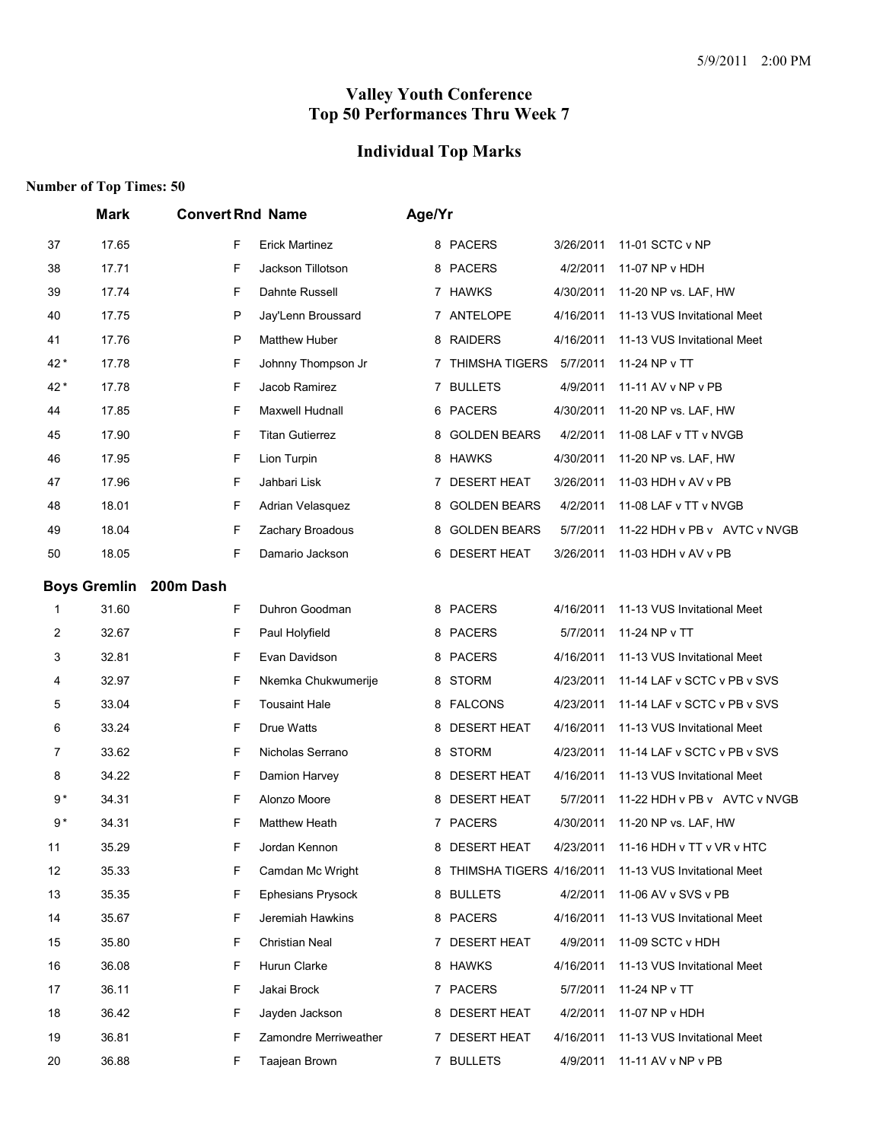# **Individual Top Marks**

|       | <b>Mark</b>         | <b>Convert Rnd Name</b> |                          | Age/Yr |                            |           |                              |
|-------|---------------------|-------------------------|--------------------------|--------|----------------------------|-----------|------------------------------|
| 37    | 17.65               | F                       | <b>Erick Martinez</b>    |        | 8 PACERS                   | 3/26/2011 | 11-01 SCTC v NP              |
| 38    | 17.71               | F                       | Jackson Tillotson        |        | 8 PACERS                   | 4/2/2011  | 11-07 NP v HDH               |
| 39    | 17.74               | F                       | Dahnte Russell           |        | 7 HAWKS                    | 4/30/2011 | 11-20 NP vs. LAF, HW         |
| 40    | 17.75               | P                       | Jay'Lenn Broussard       |        | 7 ANTELOPE                 | 4/16/2011 | 11-13 VUS Invitational Meet  |
| 41    | 17.76               | $\mathsf{P}$            | <b>Matthew Huber</b>     |        | 8 RAIDERS                  | 4/16/2011 | 11-13 VUS Invitational Meet  |
| $42*$ | 17.78               | F                       | Johnny Thompson Jr       |        | 7 THIMSHA TIGERS           | 5/7/2011  | 11-24 NP v TT                |
| 42 *  | 17.78               | F                       | Jacob Ramirez            |        | 7 BULLETS                  | 4/9/2011  | 11-11 AV v NP v PB           |
| 44    | 17.85               | F                       | Maxwell Hudnall          |        | 6 PACERS                   | 4/30/2011 | 11-20 NP vs. LAF, HW         |
| 45    | 17.90               | F                       | <b>Titan Gutierrez</b>   | 8      | <b>GOLDEN BEARS</b>        | 4/2/2011  | 11-08 LAF v TT v NVGB        |
| 46    | 17.95               | F                       | Lion Turpin              |        | 8 HAWKS                    | 4/30/2011 | 11-20 NP vs. LAF, HW         |
| 47    | 17.96               | F                       | Jahbari Lisk             | 7      | <b>DESERT HEAT</b>         | 3/26/2011 | 11-03 HDH v AV v PB          |
| 48    | 18.01               | F                       | Adrian Velasquez         |        | 8 GOLDEN BEARS             | 4/2/2011  | 11-08 LAF v TT v NVGB        |
| 49    | 18.04               | F                       | Zachary Broadous         |        | 8 GOLDEN BEARS             | 5/7/2011  | 11-22 HDH v PB v AVTC v NVGB |
| 50    | 18.05               | F                       | Damario Jackson          | 6      | <b>DESERT HEAT</b>         | 3/26/2011 | 11-03 HDH v AV v PB          |
|       | <b>Boys Gremlin</b> | 200m Dash               |                          |        |                            |           |                              |
| 1     | 31.60               | F                       | Duhron Goodman           |        | 8 PACERS                   | 4/16/2011 | 11-13 VUS Invitational Meet  |
| 2     | 32.67               | F                       | Paul Holyfield           |        | 8 PACERS                   | 5/7/2011  | 11-24 NP v TT                |
| 3     | 32.81               | F                       | Evan Davidson            | 8      | <b>PACERS</b>              | 4/16/2011 | 11-13 VUS Invitational Meet  |
| 4     | 32.97               | F                       | Nkemka Chukwumerije      |        | 8 STORM                    | 4/23/2011 | 11-14 LAF v SCTC v PB v SVS  |
| 5     | 33.04               | F                       | <b>Tousaint Hale</b>     |        | 8 FALCONS                  | 4/23/2011 | 11-14 LAF v SCTC v PB v SVS  |
| 6     | 33.24               | F                       | Drue Watts               | 8      | <b>DESERT HEAT</b>         | 4/16/2011 | 11-13 VUS Invitational Meet  |
| 7     | 33.62               | F                       | Nicholas Serrano         |        | 8 STORM                    | 4/23/2011 | 11-14 LAF v SCTC v PB v SVS  |
| 8     | 34.22               | F                       | Damion Harvey            |        | 8 DESERT HEAT              | 4/16/2011 | 11-13 VUS Invitational Meet  |
| 9*    | 34.31               | F                       | Alonzo Moore             |        | 8 DESERT HEAT              | 5/7/2011  | 11-22 HDH v PB v AVTC v NVGB |
| $9*$  | 34.31               | F                       | <b>Matthew Heath</b>     |        | 7 PACERS                   | 4/30/2011 | 11-20 NP vs. LAF, HW         |
| 11    | 35.29               | F                       | Jordan Kennon            | 8      | <b>DESERT HEAT</b>         | 4/23/2011 | 11-16 HDH v TT v VR v HTC    |
| 12    | 35.33               | F                       | Camdan Mc Wright         |        | 8 THIMSHA TIGERS 4/16/2011 |           | 11-13 VUS Invitational Meet  |
| 13    | 35.35               | F                       | <b>Ephesians Prysock</b> |        | 8 BULLETS                  | 4/2/2011  | 11-06 AV v SVS v PB          |
| 14    | 35.67               | F                       | Jeremiah Hawkins         |        | 8 PACERS                   | 4/16/2011 | 11-13 VUS Invitational Meet  |
| 15    | 35.80               | F                       | <b>Christian Neal</b>    |        | 7 DESERT HEAT              | 4/9/2011  | 11-09 SCTC v HDH             |
| 16    | 36.08               | F                       | Hurun Clarke             |        | 8 HAWKS                    | 4/16/2011 | 11-13 VUS Invitational Meet  |
| 17    | 36.11               | F                       | Jakai Brock              |        | 7 PACERS                   | 5/7/2011  | 11-24 NP v TT                |
| 18    | 36.42               | F                       | Jayden Jackson           |        | 8 DESERT HEAT              | 4/2/2011  | 11-07 NP v HDH               |
| 19    | 36.81               | F                       | Zamondre Merriweather    | 7      | <b>DESERT HEAT</b>         | 4/16/2011 | 11-13 VUS Invitational Meet  |
| 20    | 36.88               | F                       | Taajean Brown            |        | 7 BULLETS                  | 4/9/2011  | 11-11 AV v NP v PB           |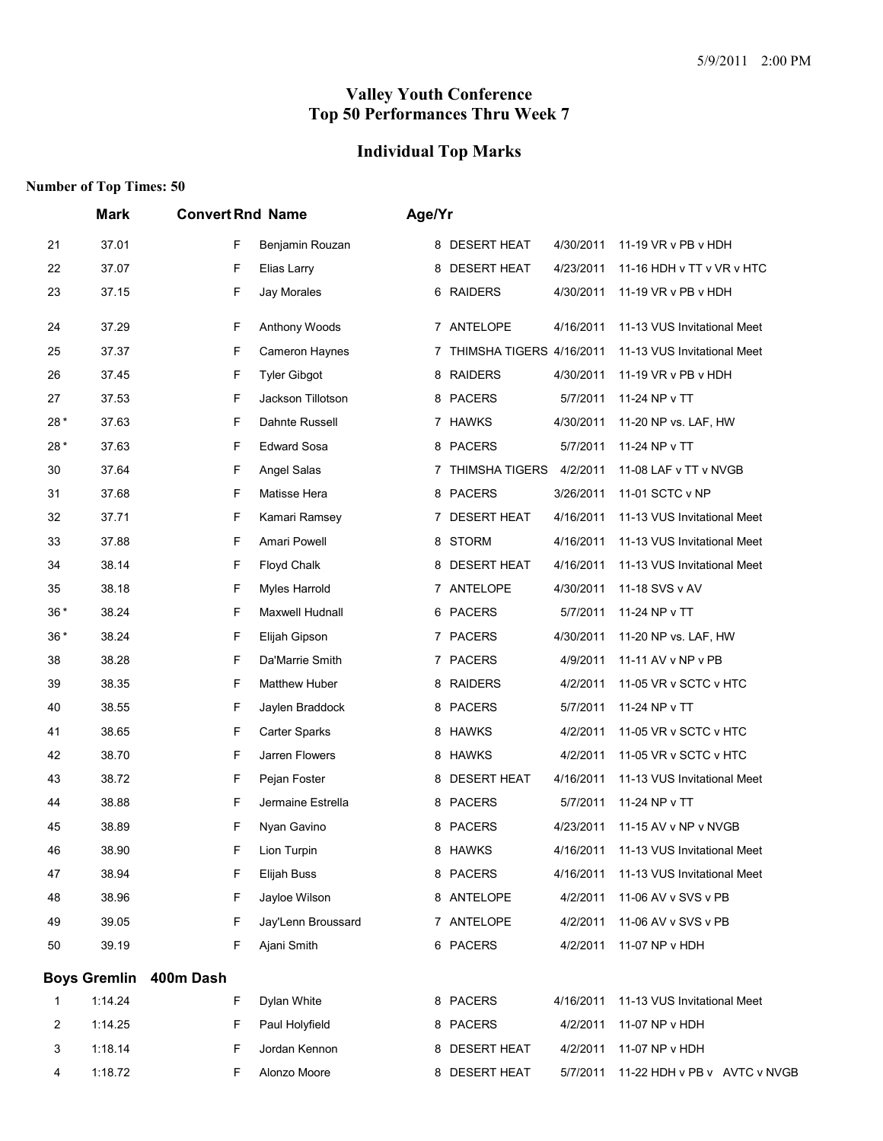# **Individual Top Marks**

|       | <b>Mark</b>         | <b>Convert Rnd Name</b> |                      | Age/Yr |                          |           |                              |
|-------|---------------------|-------------------------|----------------------|--------|--------------------------|-----------|------------------------------|
| 21    | 37.01               | F                       | Benjamin Rouzan      |        | 8 DESERT HEAT            | 4/30/2011 | 11-19 VR v PB v HDH          |
| 22    | 37.07               | F                       | Elias Larry          | 8      | <b>DESERT HEAT</b>       | 4/23/2011 | 11-16 HDH v TT v VR v HTC    |
| 23    | 37.15               | F                       | Jay Morales          |        | 6 RAIDERS                | 4/30/2011 | 11-19 VR v PB v HDH          |
| 24    | 37.29               | F                       | Anthony Woods        |        | 7 ANTELOPE               | 4/16/2011 | 11-13 VUS Invitational Meet  |
| 25    | 37.37               | F                       | Cameron Haynes       | 7      | THIMSHA TIGERS 4/16/2011 |           | 11-13 VUS Invitational Meet  |
| 26    | 37.45               | F                       | <b>Tyler Gibgot</b>  |        | 8 RAIDERS                | 4/30/2011 | 11-19 VR v PB v HDH          |
| 27    | 37.53               | F                       | Jackson Tillotson    |        | 8 PACERS                 | 5/7/2011  | 11-24 NP v TT                |
| 28*   | 37.63               | F                       | Dahnte Russell       |        | 7 HAWKS                  | 4/30/2011 | 11-20 NP vs. LAF, HW         |
| 28*   | 37.63               | F                       | <b>Edward Sosa</b>   |        | 8 PACERS                 | 5/7/2011  | 11-24 NP v TT                |
| 30    | 37.64               | F                       | Angel Salas          |        | 7 THIMSHA TIGERS         | 4/2/2011  | 11-08 LAF v TT v NVGB        |
| 31    | 37.68               | F                       | Matisse Hera         |        | 8 PACERS                 | 3/26/2011 | 11-01 SCTC v NP              |
| 32    | 37.71               | F                       | Kamari Ramsey        |        | 7 DESERT HEAT            | 4/16/2011 | 11-13 VUS Invitational Meet  |
| 33    | 37.88               | F                       | Amari Powell         |        | 8 STORM                  | 4/16/2011 | 11-13 VUS Invitational Meet  |
| 34    | 38.14               | F                       | Floyd Chalk          |        | 8 DESERT HEAT            | 4/16/2011 | 11-13 VUS Invitational Meet  |
| 35    | 38.18               | F                       | Myles Harrold        | 7      | ANTELOPE                 | 4/30/2011 | 11-18 SVS v AV               |
| $36*$ | 38.24               | F                       | Maxwell Hudnall      |        | 6 PACERS                 | 5/7/2011  | 11-24 NP v TT                |
| $36*$ | 38.24               | F                       | Elijah Gipson        |        | 7 PACERS                 | 4/30/2011 | 11-20 NP vs. LAF, HW         |
| 38    | 38.28               | F                       | Da'Marrie Smith      |        | 7 PACERS                 | 4/9/2011  | 11-11 AV v NP v PB           |
| 39    | 38.35               | F                       | <b>Matthew Huber</b> | 8      | <b>RAIDERS</b>           | 4/2/2011  | 11-05 VR v SCTC v HTC        |
| 40    | 38.55               | F                       | Jaylen Braddock      |        | 8 PACERS                 | 5/7/2011  | 11-24 NP v TT                |
| 41    | 38.65               | F                       | <b>Carter Sparks</b> |        | 8 HAWKS                  | 4/2/2011  | 11-05 VR v SCTC v HTC        |
| 42    | 38.70               | F                       | Jarren Flowers       |        | 8 HAWKS                  | 4/2/2011  | 11-05 VR v SCTC v HTC        |
| 43    | 38.72               | F                       | Pejan Foster         | 8      | <b>DESERT HEAT</b>       | 4/16/2011 | 11-13 VUS Invitational Meet  |
| 44    | 38.88               | F                       | Jermaine Estrella    |        | 8 PACERS                 | 5/7/2011  | 11-24 NP v TT                |
| 45    | 38.89               | F                       | Nyan Gavino          | 8      | PACERS                   | 4/23/2011 | 11-15 AV v NP v NVGB         |
| 46    | 38.90               | F                       | Lion Turpin          | 8      | HAWKS                    | 4/16/2011 | 11-13 VUS Invitational Meet  |
| 47    | 38.94               | F                       | Elijah Buss          |        | 8 PACERS                 | 4/16/2011 | 11-13 VUS Invitational Meet  |
| 48    | 38.96               | F                       | Jayloe Wilson        |        | 8 ANTELOPE               | 4/2/2011  | 11-06 AV v SVS v PB          |
| 49    | 39.05               | F                       | Jay'Lenn Broussard   |        | 7 ANTELOPE               | 4/2/2011  | 11-06 AV v SVS v PB          |
| 50    | 39.19               | F                       | Ajani Smith          |        | 6 PACERS                 | 4/2/2011  | 11-07 NP v HDH               |
|       | <b>Boys Gremlin</b> | 400m Dash               |                      |        |                          |           |                              |
| 1     | 1:14.24             | F                       | Dylan White          |        | 8 PACERS                 | 4/16/2011 | 11-13 VUS Invitational Meet  |
| 2     | 1:14.25             | F                       | Paul Holyfield       |        | 8 PACERS                 | 4/2/2011  | 11-07 NP v HDH               |
| 3     | 1:18.14             | F                       | Jordan Kennon        |        | 8 DESERT HEAT            | 4/2/2011  | 11-07 NP v HDH               |
| 4     | 1:18.72             | F                       | Alonzo Moore         |        | 8 DESERT HEAT            | 5/7/2011  | 11-22 HDH v PB v AVTC v NVGB |
|       |                     |                         |                      |        |                          |           |                              |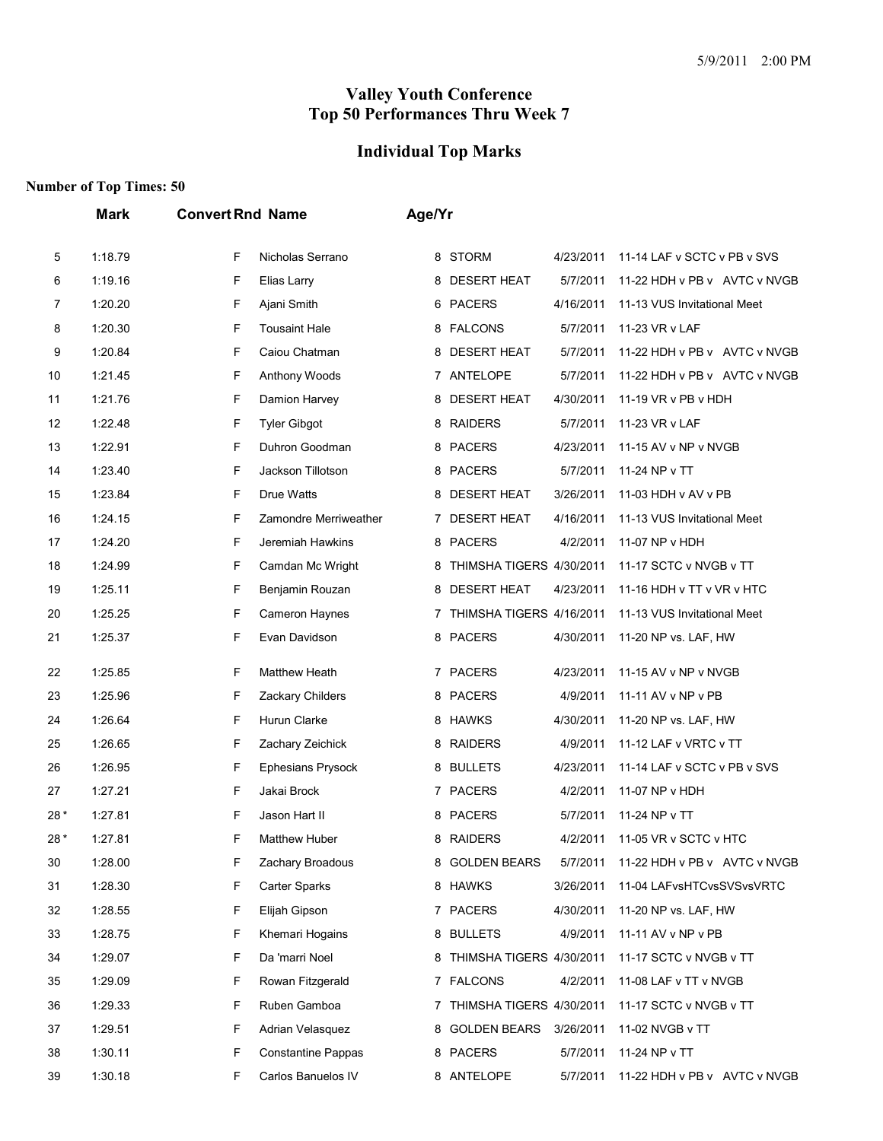# **Individual Top Marks**

|     | <b>Mark</b> | <b>Convert Rnd Name</b>        | Age/Yr                                                            |
|-----|-------------|--------------------------------|-------------------------------------------------------------------|
| 5   | 1:18.79     | Nicholas Serrano<br>F          | 8 STORM<br>4/23/2011<br>11-14 LAF v SCTC v PB v SVS               |
| 6   | 1:19.16     | F<br>Elias Larry               | 8 DESERT HEAT<br>5/7/2011<br>11-22 HDH v PB v AVTC v NVGB         |
| 7   | 1:20.20     | F<br>Ajani Smith               | 6 PACERS<br>4/16/2011<br>11-13 VUS Invitational Meet              |
| 8   | 1:20.30     | F<br><b>Tousaint Hale</b>      | 8 FALCONS<br>5/7/2011<br>11-23 VR v LAF                           |
| 9   | 1:20.84     | F<br>Caiou Chatman             | 8 DESERT HEAT<br>5/7/2011<br>11-22 HDH v PB v AVTC v NVGB         |
| 10  | 1:21.45     | F<br>Anthony Woods             | 7 ANTELOPE<br>5/7/2011<br>11-22 HDH v PB v AVTC v NVGB            |
| 11  | 1:21.76     | F<br>Damion Harvey             | <b>DESERT HEAT</b><br>4/30/2011<br>11-19 VR v PB v HDH<br>8       |
| 12  | 1:22.48     | F<br><b>Tyler Gibgot</b>       | 8 RAIDERS<br>5/7/2011<br>11-23 VR v LAF                           |
| 13  | 1:22.91     | F<br>Duhron Goodman            | 8 PACERS<br>4/23/2011<br>11-15 AV v NP v NVGB                     |
| 14  | 1:23.40     | F<br>Jackson Tillotson         | 8 PACERS<br>5/7/2011<br>11-24 NP v TT                             |
| 15  | 1:23.84     | F<br>Drue Watts                | <b>DESERT HEAT</b><br>3/26/2011<br>11-03 HDH v AV v PB<br>8       |
| 16  | 1:24.15     | F<br>Zamondre Merriweather     | 7 DESERT HEAT<br>4/16/2011<br>11-13 VUS Invitational Meet         |
| 17  | 1:24.20     | F<br>Jeremiah Hawkins          | 8 PACERS<br>4/2/2011<br>11-07 NP v HDH                            |
| 18  | 1:24.99     | F<br>Camdan Mc Wright          | THIMSHA TIGERS 4/30/2011<br>11-17 SCTC v NVGB v TT<br>8           |
| 19  | 1:25.11     | F<br>Benjamin Rouzan           | <b>DESERT HEAT</b><br>4/23/2011<br>8<br>11-16 HDH v TT v VR v HTC |
| 20  | 1:25.25     | F<br>Cameron Haynes            | THIMSHA TIGERS 4/16/2011<br>11-13 VUS Invitational Meet<br>7      |
| 21  | 1:25.37     | F<br>Evan Davidson             | 8 PACERS<br>4/30/2011<br>11-20 NP vs. LAF, HW                     |
| 22  | 1:25.85     | F<br>Matthew Heath             | 7 PACERS<br>4/23/2011<br>11-15 AV v NP v NVGB                     |
| 23  | 1:25.96     | F<br>Zackary Childers          | 8 PACERS<br>4/9/2011<br>11-11 AV v NP v PB                        |
| 24  | 1:26.64     | F<br>Hurun Clarke              | 8 HAWKS<br>4/30/2011<br>11-20 NP vs. LAF, HW                      |
| 25  | 1:26.65     | F<br>Zachary Zeichick          | 8 RAIDERS<br>4/9/2011<br>11-12 LAF v VRTC v TT                    |
| 26  | 1:26.95     | F<br><b>Ephesians Prysock</b>  | 8 BULLETS<br>4/23/2011<br>11-14 LAF v SCTC v PB v SVS             |
| 27  | 1:27.21     | F<br>Jakai Brock               | 7 PACERS<br>4/2/2011<br>11-07 NP v HDH                            |
| 28* | 1:27.81     | F<br>Jason Hart II             | <b>PACERS</b><br>5/7/2011<br>11-24 NP v TT<br>8                   |
| 28* | 1:27.81     | F<br><b>Matthew Huber</b>      | <b>RAIDERS</b><br>4/2/2011<br>11-05 VR v SCTC v HTC<br>8          |
| 30  | 1:28.00     | F<br>Zachary Broadous          | 8 GOLDEN BEARS<br>5/7/2011<br>11-22 HDH v PB v AVTC v NVGB        |
| 31  | 1:28.30     | F<br>Carter Sparks             | 8 HAWKS<br>3/26/2011<br>11-04 LAFvsHTCvsSVSvsVRTC                 |
| 32  | 1:28.55     | F<br>Elijah Gipson             | 7 PACERS<br>4/30/2011<br>11-20 NP vs. LAF, HW                     |
| 33  | 1:28.75     | F<br>Khemari Hogains           | 8 BULLETS<br>4/9/2011<br>11-11 AV v NP v PB                       |
| 34  | 1:29.07     | F<br>Da 'marri Noel            | 11-17 SCTC v NVGB v TT<br>8 THIMSHA TIGERS 4/30/2011              |
| 35  | 1:29.09     | F<br>Rowan Fitzgerald          | 7 FALCONS<br>4/2/2011<br>11-08 LAF v TT v NVGB                    |
| 36  | 1:29.33     | F<br>Ruben Gamboa              | 7 THIMSHA TIGERS 4/30/2011<br>11-17 SCTC v NVGB v TT              |
| 37  | 1:29.51     | F<br>Adrian Velasquez          | 8 GOLDEN BEARS<br>3/26/2011<br>11-02 NVGB v TT                    |
| 38  | 1:30.11     | F<br><b>Constantine Pappas</b> | 8 PACERS<br>5/7/2011<br>11-24 NP v TT                             |
| 39  | 1:30.18     | F<br>Carlos Banuelos IV        | 8 ANTELOPE<br>5/7/2011<br>11-22 HDH v PB v AVTC v NVGB            |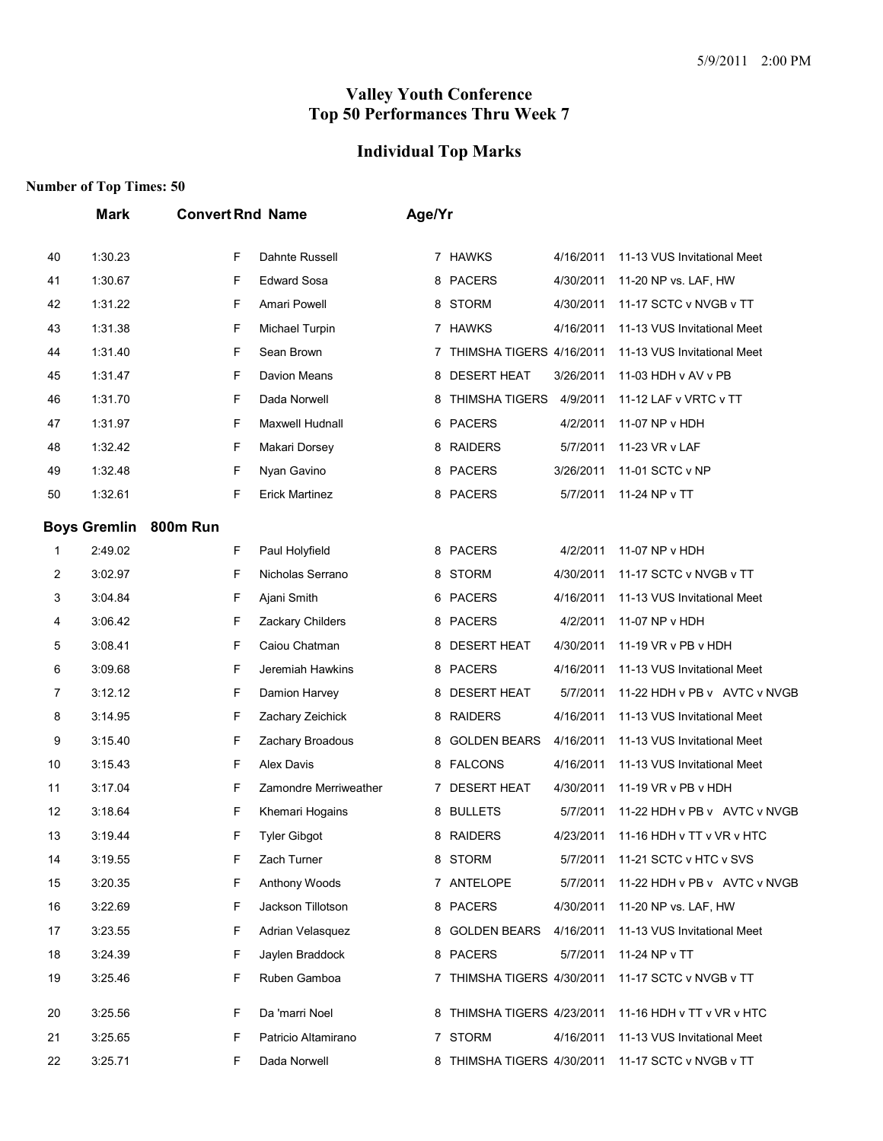# **Individual Top Marks**

|    | Mark                | <b>Convert Rnd Name</b> |                       | Age/Yr |                            |           |                              |
|----|---------------------|-------------------------|-----------------------|--------|----------------------------|-----------|------------------------------|
| 40 | 1:30.23             | F                       | Dahnte Russell        |        | 7 HAWKS                    | 4/16/2011 | 11-13 VUS Invitational Meet  |
| 41 | 1:30.67             | F                       | <b>Edward Sosa</b>    |        | 8 PACERS                   | 4/30/2011 | 11-20 NP vs. LAF, HW         |
| 42 | 1:31.22             | F                       | Amari Powell          | 8      | <b>STORM</b>               | 4/30/2011 | 11-17 SCTC v NVGB v TT       |
| 43 | 1:31.38             | F                       | Michael Turpin        |        | 7 HAWKS                    | 4/16/2011 | 11-13 VUS Invitational Meet  |
| 44 | 1:31.40             | F                       | Sean Brown            | 7      | THIMSHA TIGERS 4/16/2011   |           | 11-13 VUS Invitational Meet  |
| 45 | 1:31.47             | F                       | <b>Davion Means</b>   | 8      | <b>DESERT HEAT</b>         | 3/26/2011 | 11-03 HDH v AV v PB          |
| 46 | 1:31.70             | F                       | Dada Norwell          | 8      | <b>THIMSHA TIGERS</b>      | 4/9/2011  | 11-12 LAF v VRTC v TT        |
| 47 | 1:31.97             | F                       | Maxwell Hudnall       | 6.     | <b>PACERS</b>              | 4/2/2011  | 11-07 NP v HDH               |
| 48 | 1:32.42             | F                       | Makari Dorsey         |        | 8 RAIDERS                  | 5/7/2011  | 11-23 VR v LAF               |
| 49 | 1:32.48             | F                       | Nyan Gavino           |        | 8 PACERS                   | 3/26/2011 | 11-01 SCTC v NP              |
| 50 | 1:32.61             | F                       | <b>Erick Martinez</b> | 8      | <b>PACERS</b>              | 5/7/2011  | 11-24 NP v TT                |
|    | <b>Boys Gremlin</b> | 800m Run                |                       |        |                            |           |                              |
| 1  | 2:49.02             | F                       | Paul Holyfield        |        | 8 PACERS                   | 4/2/2011  | 11-07 NP v HDH               |
| 2  | 3:02.97             | F                       | Nicholas Serrano      | 8      | <b>STORM</b>               | 4/30/2011 | 11-17 SCTC v NVGB v TT       |
| 3  | 3:04.84             | F                       | Ajani Smith           | 6      | PACERS                     | 4/16/2011 | 11-13 VUS Invitational Meet  |
| 4  | 3:06.42             | F                       | Zackary Childers      | 8      | <b>PACERS</b>              | 4/2/2011  | 11-07 NP v HDH               |
| 5  | 3:08.41             | F                       | Caiou Chatman         | 8      | <b>DESERT HEAT</b>         | 4/30/2011 | 11-19 VR v PB v HDH          |
| 6  | 3:09.68             | F                       | Jeremiah Hawkins      | 8      | <b>PACERS</b>              | 4/16/2011 | 11-13 VUS Invitational Meet  |
| 7  | 3:12.12             | F                       | Damion Harvey         | 8      | <b>DESERT HEAT</b>         | 5/7/2011  | 11-22 HDH v PB v AVTC v NVGB |
| 8  | 3:14.95             | F                       | Zachary Zeichick      | 8      | <b>RAIDERS</b>             | 4/16/2011 | 11-13 VUS Invitational Meet  |
| 9  | 3:15.40             | F                       | Zachary Broadous      | 8      | <b>GOLDEN BEARS</b>        | 4/16/2011 | 11-13 VUS Invitational Meet  |
| 10 | 3:15.43             | F                       | <b>Alex Davis</b>     | 8      | <b>FALCONS</b>             | 4/16/2011 | 11-13 VUS Invitational Meet  |
| 11 | 3:17.04             | F                       | Zamondre Merriweather | 7      | <b>DESERT HEAT</b>         | 4/30/2011 | 11-19 VR v PB v HDH          |
| 12 | 3:18.64             | F                       | Khemari Hogains       | 8      | <b>BULLETS</b>             | 5/7/2011  | 11-22 HDH v PB v AVTC v NVGB |
| 13 | 3:19.44             | F                       | <b>Tyler Gibgot</b>   |        | 8 RAIDERS                  | 4/23/2011 | 11-16 HDH v TT v VR v HTC    |
| 14 | 3:19.55             | F                       | Zach Turner           |        | 8 STORM                    | 5/7/2011  | 11-21 SCTC v HTC v SVS       |
| 15 | 3:20.35             | F                       | Anthony Woods         |        | 7 ANTELOPE                 | 5/7/2011  | 11-22 HDH v PB v AVTC v NVGB |
| 16 | 3:22.69             | F                       | Jackson Tillotson     |        | 8 PACERS                   | 4/30/2011 | 11-20 NP vs. LAF, HW         |
| 17 | 3:23.55             | F                       | Adrian Velasquez      |        | 8 GOLDEN BEARS             | 4/16/2011 | 11-13 VUS Invitational Meet  |
| 18 | 3:24.39             | F                       | Jaylen Braddock       |        | 8 PACERS                   | 5/7/2011  | 11-24 NP v TT                |
| 19 | 3:25.46             | F                       | Ruben Gamboa          |        | 7 THIMSHA TIGERS 4/30/2011 |           | 11-17 SCTC v NVGB v TT       |
| 20 | 3:25.56             | F                       | Da 'marri Noel        |        | 8 THIMSHA TIGERS 4/23/2011 |           | 11-16 HDH v TT v VR v HTC    |
| 21 | 3:25.65             | F                       | Patricio Altamirano   |        | 7 STORM                    | 4/16/2011 | 11-13 VUS Invitational Meet  |
| 22 | 3:25.71             | F                       | Dada Norwell          |        | 8 THIMSHA TIGERS 4/30/2011 |           | 11-17 SCTC v NVGB v TT       |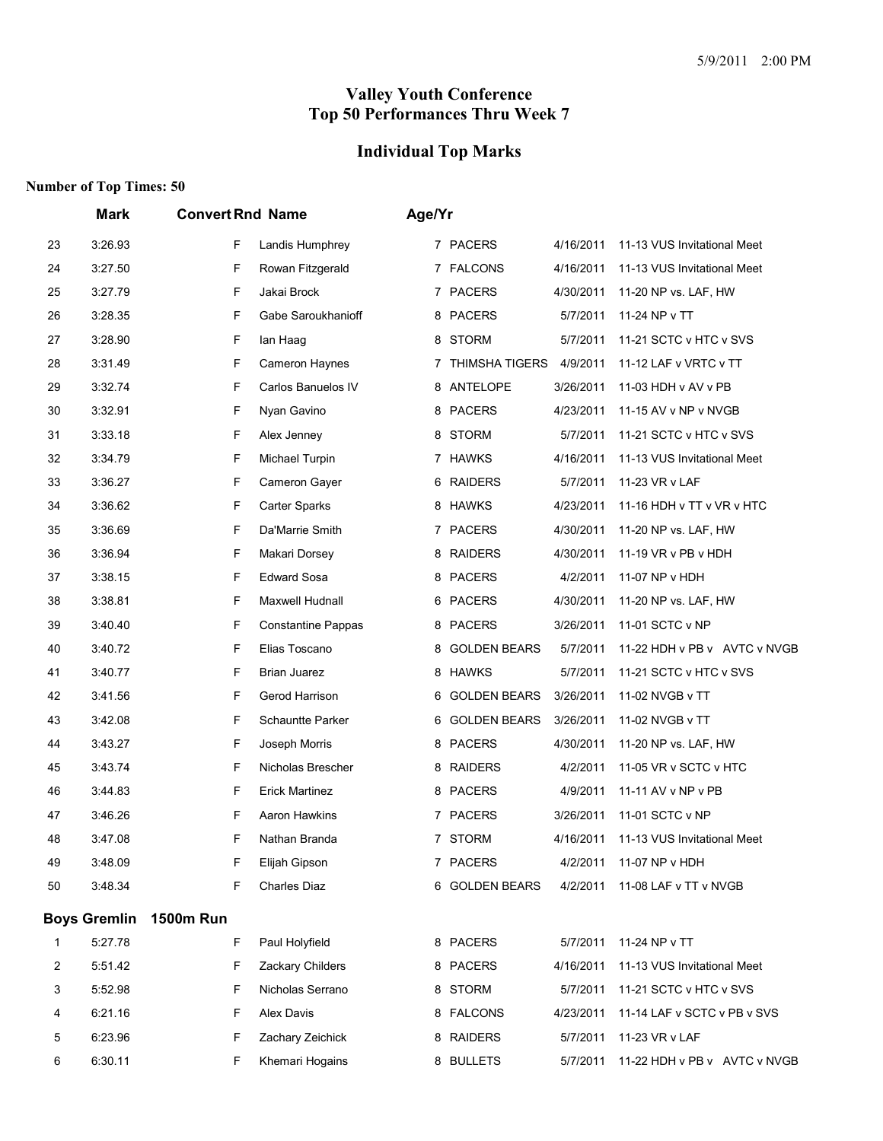# **Individual Top Marks**

| 23<br>24<br>25 | 3:26.93<br>3:27.50<br>3:27.79<br>3:28.35 | F<br>F<br>F      | Landis Humphrey<br>Rowan Fitzgerald |   | 7 PACERS              | 4/16/2011 | 11-13 VUS Invitational Meet  |
|----------------|------------------------------------------|------------------|-------------------------------------|---|-----------------------|-----------|------------------------------|
|                |                                          |                  |                                     |   |                       |           |                              |
|                |                                          |                  |                                     |   | 7 FALCONS             | 4/16/2011 | 11-13 VUS Invitational Meet  |
|                |                                          |                  | Jakai Brock                         | 7 | <b>PACERS</b>         | 4/30/2011 | 11-20 NP vs. LAF, HW         |
| 26             |                                          | F                | Gabe Saroukhanioff                  |   | 8 PACERS              | 5/7/2011  | 11-24 NP v TT                |
| 27             | 3:28.90                                  | F                | lan Haag                            | 8 | STORM                 | 5/7/2011  | 11-21 SCTC v HTC v SVS       |
| 28             | 3:31.49                                  | F                | Cameron Haynes                      | 7 | <b>THIMSHA TIGERS</b> | 4/9/2011  | 11-12 LAF v VRTC v TT        |
| 29             | 3:32.74                                  | F                | Carlos Banuelos IV                  |   | 8 ANTELOPE            | 3/26/2011 | 11-03 HDH v AV v PB          |
| 30             | 3:32.91                                  | F                | Nyan Gavino                         |   | 8 PACERS              | 4/23/2011 | 11-15 AV v NP v NVGB         |
| 31             | 3:33.18                                  | F                | Alex Jenney                         | 8 | <b>STORM</b>          | 5/7/2011  | 11-21 SCTC v HTC v SVS       |
| 32             | 3:34.79                                  | F                | Michael Turpin                      |   | 7 HAWKS               | 4/16/2011 | 11-13 VUS Invitational Meet  |
| 33             | 3:36.27                                  | F                | Cameron Gayer                       | 6 | <b>RAIDERS</b>        | 5/7/2011  | 11-23 VR v LAF               |
| 34             | 3:36.62                                  | F                | <b>Carter Sparks</b>                |   | 8 HAWKS               | 4/23/2011 | 11-16 HDH v TT v VR v HTC    |
| 35             | 3:36.69                                  | F                | Da'Marrie Smith                     |   | 7 PACERS              | 4/30/2011 | 11-20 NP vs. LAF, HW         |
| 36             | 3:36.94                                  | F                | Makari Dorsey                       | 8 | <b>RAIDERS</b>        | 4/30/2011 | 11-19 VR v PB v HDH          |
| 37             | 3:38.15                                  | F                | <b>Edward Sosa</b>                  | 8 | <b>PACERS</b>         | 4/2/2011  | 11-07 NP v HDH               |
| 38             | 3:38.81                                  | F                | Maxwell Hudnall                     |   | 6 PACERS              | 4/30/2011 | 11-20 NP vs. LAF, HW         |
| 39             | 3:40.40                                  | F                | <b>Constantine Pappas</b>           |   | 8 PACERS              | 3/26/2011 | 11-01 SCTC v NP              |
| 40             | 3:40.72                                  | F                | Elias Toscano                       | 8 | <b>GOLDEN BEARS</b>   | 5/7/2011  | 11-22 HDH v PB v AVTC v NVGB |
| 41             | 3:40.77                                  | F                | Brian Juarez                        | 8 | <b>HAWKS</b>          | 5/7/2011  | 11-21 SCTC v HTC v SVS       |
| 42             | 3:41.56                                  | F                | Gerod Harrison                      |   | 6 GOLDEN BEARS        | 3/26/2011 | 11-02 NVGB v TT              |
| 43             | 3:42.08                                  | F                | <b>Schauntte Parker</b>             | 6 | <b>GOLDEN BEARS</b>   | 3/26/2011 | 11-02 NVGB v TT              |
| 44             | 3:43.27                                  | F                | Joseph Morris                       |   | 8 PACERS              | 4/30/2011 | 11-20 NP vs. LAF, HW         |
| 45             | 3:43.74                                  | F                | Nicholas Brescher                   |   | 8 RAIDERS             | 4/2/2011  | 11-05 VR v SCTC v HTC        |
| 46             | 3:44.83                                  | F                | <b>Erick Martinez</b>               |   | 8 PACERS              | 4/9/2011  | 11-11 AV v NP v PB           |
| 47             | 3:46.26                                  | F                | Aaron Hawkins                       |   | 7 PACERS              | 3/26/2011 | 11-01 SCTC v NP              |
| 48             | 3:47.08                                  | F                | Nathan Branda                       |   | 7 STORM               | 4/16/2011 | 11-13 VUS Invitational Meet  |
| 49             | 3:48.09                                  | F                | Elijah Gipson                       |   | 7 PACERS              | 4/2/2011  | 11-07 NP v HDH               |
| 50             | 3:48.34                                  | F                | <b>Charles Diaz</b>                 |   | 6 GOLDEN BEARS        | 4/2/2011  | 11-08 LAF v TT v NVGB        |
|                | <b>Boys Gremlin</b>                      | <b>1500m Run</b> |                                     |   |                       |           |                              |
| 1              | 5:27.78                                  | F                | Paul Holyfield                      |   | 8 PACERS              | 5/7/2011  | 11-24 NP v TT                |
| $\overline{c}$ | 5:51.42                                  | F                | Zackary Childers                    |   | 8 PACERS              | 4/16/2011 | 11-13 VUS Invitational Meet  |
| 3              | 5:52.98                                  | F                | Nicholas Serrano                    |   | 8 STORM               | 5/7/2011  | 11-21 SCTC v HTC v SVS       |
| 4              | 6:21.16                                  | F                | Alex Davis                          |   | 8 FALCONS             | 4/23/2011 | 11-14 LAF v SCTC v PB v SVS  |
| 5              | 6:23.96                                  | F                | Zachary Zeichick                    |   | 8 RAIDERS             | 5/7/2011  | 11-23 VR v LAF               |
| 6              | 6:30.11                                  | F                | Khemari Hogains                     |   | 8 BULLETS             | 5/7/2011  | 11-22 HDH v PB v AVTC v NVGB |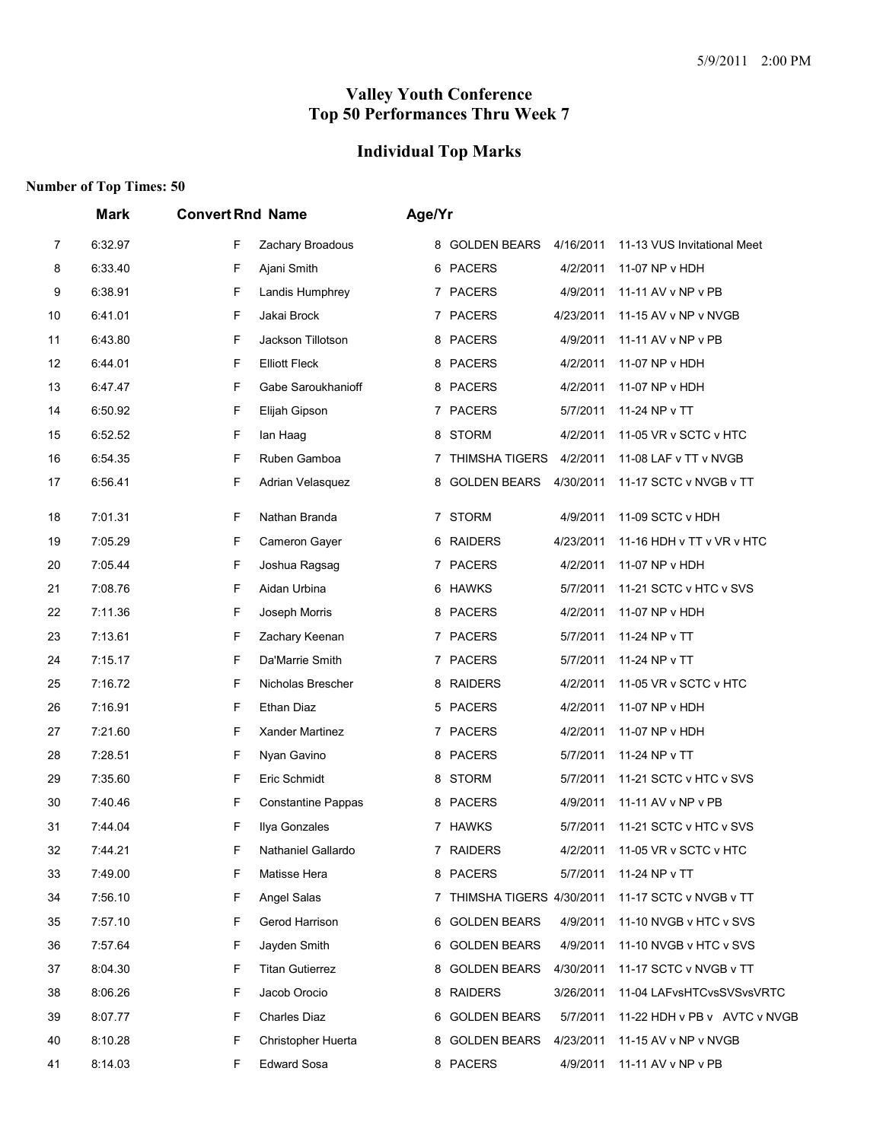# **Individual Top Marks**

|    | <b>Mark</b> | <b>Convert Rnd Name</b>        | Age/Yr                                                          |
|----|-------------|--------------------------------|-----------------------------------------------------------------|
| 7  | 6:32.97     | F<br>Zachary Broadous          | 8 GOLDEN BEARS<br>4/16/2011<br>11-13 VUS Invitational Meet      |
| 8  | 6:33.40     | F<br>Ajani Smith               | 6 PACERS<br>4/2/2011<br>11-07 NP v HDH                          |
| 9  | 6:38.91     | F<br>Landis Humphrey           | 7 PACERS<br>4/9/2011<br>11-11 AV v NP v PB                      |
| 10 | 6:41.01     | F<br>Jakai Brock               | 7 PACERS<br>4/23/2011<br>11-15 AV v NP v NVGB                   |
| 11 | 6:43.80     | F<br>Jackson Tillotson         | 8 PACERS<br>4/9/2011<br>11-11 AV v NP v PB                      |
| 12 | 6:44.01     | F<br><b>Elliott Fleck</b>      | 8 PACERS<br>4/2/2011<br>11-07 NP v HDH                          |
| 13 | 6:47.47     | F<br>Gabe Saroukhanioff        | 8 PACERS<br>4/2/2011<br>11-07 NP v HDH                          |
| 14 | 6:50.92     | F<br>Elijah Gipson             | 7 PACERS<br>5/7/2011<br>11-24 NP v TT                           |
| 15 | 6:52.52     | F<br>lan Haag                  | <b>STORM</b><br>4/2/2011<br>11-05 VR v SCTC v HTC<br>8          |
| 16 | 6:54.35     | F<br>Ruben Gamboa              | <b>THIMSHA TIGERS</b><br>4/2/2011<br>11-08 LAF v TT v NVGB<br>7 |
| 17 | 6:56.41     | F<br>Adrian Velasquez          | <b>GOLDEN BEARS</b><br>4/30/2011<br>11-17 SCTC v NVGB v TT<br>8 |
| 18 | 7:01.31     | F<br>Nathan Branda             | 7 STORM<br>4/9/2011<br>11-09 SCTC v HDH                         |
| 19 | 7:05.29     | F<br>Cameron Gayer             | 6 RAIDERS<br>4/23/2011<br>11-16 HDH v TT v VR v HTC             |
| 20 | 7:05.44     | F<br>Joshua Ragsag             | 7 PACERS<br>4/2/2011<br>11-07 NP v HDH                          |
| 21 | 7:08.76     | F<br>Aidan Urbina              | 6 HAWKS<br>5/7/2011<br>11-21 SCTC v HTC v SVS                   |
| 22 | 7:11.36     | F<br>Joseph Morris             | 8 PACERS<br>4/2/2011<br>11-07 NP v HDH                          |
| 23 | 7:13.61     | F<br>Zachary Keenan            | 7 PACERS<br>5/7/2011<br>11-24 NP v TT                           |
| 24 | 7:15.17     | F<br>Da'Marrie Smith           | 7 PACERS<br>5/7/2011<br>11-24 NP v TT                           |
| 25 | 7:16.72     | F<br>Nicholas Brescher         | 8 RAIDERS<br>4/2/2011<br>11-05 VR v SCTC v HTC                  |
| 26 | 7:16.91     | F<br>Ethan Diaz                | 5 PACERS<br>4/2/2011<br>11-07 NP v HDH                          |
| 27 | 7:21.60     | F<br>Xander Martinez           | 7 PACERS<br>4/2/2011<br>11-07 NP v HDH                          |
| 28 | 7:28.51     | F<br>Nyan Gavino               | 8 PACERS<br>5/7/2011<br>11-24 NP v TT                           |
| 29 | 7:35.60     | F<br>Eric Schmidt              | <b>STORM</b><br>11-21 SCTC v HTC v SVS<br>5/7/2011<br>8         |
| 30 | 7:40.46     | F<br><b>Constantine Pappas</b> | 8 PACERS<br>4/9/2011<br>11-11 AV v NP v PB                      |
| 31 | 7:44.04     | F<br>Ilya Gonzales             | 7 HAWKS<br>5/7/2011<br>11-21 SCTC v HTC v SVS                   |
| 32 | 7:44.21     | F<br>Nathaniel Gallardo        | 4/2/2011<br>11-05 VR v SCTC v HTC<br>7 RAIDERS                  |
| 33 | 7:49.00     | F<br>Matisse Hera              | 8 PACERS<br>5/7/2011<br>11-24 NP v TT                           |
| 34 | 7:56.10     | F<br>Angel Salas               | 7 THIMSHA TIGERS 4/30/2011<br>11-17 SCTC v NVGB v TT            |
| 35 | 7:57.10     | F<br>Gerod Harrison            | 6 GOLDEN BEARS<br>4/9/2011<br>11-10 NVGB v HTC v SVS            |
| 36 | 7:57.64     | F<br>Jayden Smith              | 6 GOLDEN BEARS<br>4/9/2011<br>11-10 NVGB v HTC v SVS            |
| 37 | 8:04.30     | F<br><b>Titan Gutierrez</b>    | 8 GOLDEN BEARS<br>11-17 SCTC v NVGB v TT<br>4/30/2011           |
| 38 | 8:06.26     | F<br>Jacob Orocio              | 8 RAIDERS<br>3/26/2011<br>11-04 LAFvsHTCvsSVSvsVRTC             |
| 39 | 8:07.77     | F<br><b>Charles Diaz</b>       | 6 GOLDEN BEARS<br>5/7/2011<br>11-22 HDH v PB v AVTC v NVGB      |
| 40 | 8:10.28     | F<br>Christopher Huerta        | 8 GOLDEN BEARS<br>4/23/2011<br>11-15 AV v NP v NVGB             |
| 41 | 8:14.03     | F<br><b>Edward Sosa</b>        | 8 PACERS<br>4/9/2011<br>11-11 AV v NP v PB                      |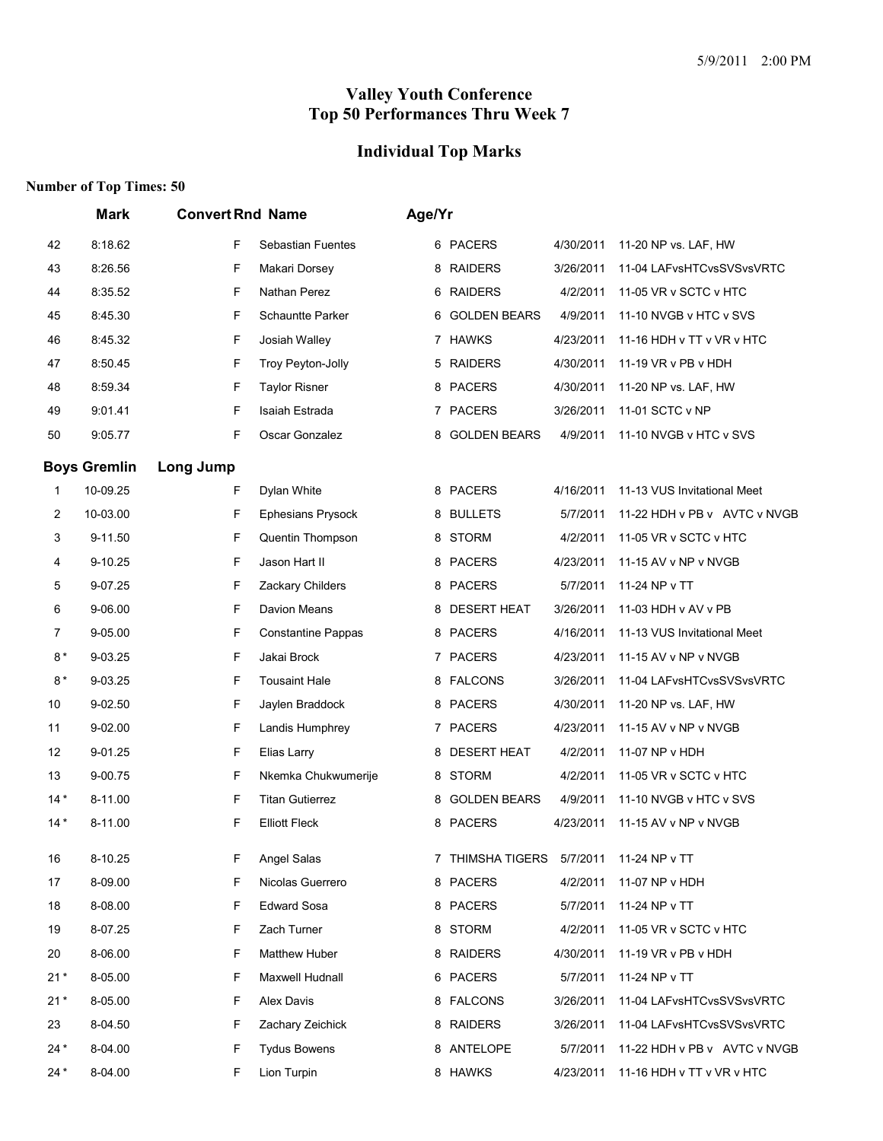# **Individual Top Marks**

|       | <b>Mark</b>         | <b>Convert Rnd Name</b> |                           | Age/Yr |                     |           |                              |
|-------|---------------------|-------------------------|---------------------------|--------|---------------------|-----------|------------------------------|
| 42    | 8:18.62             | F                       | Sebastian Fuentes         |        | 6 PACERS            | 4/30/2011 | 11-20 NP vs. LAF, HW         |
| 43    | 8:26.56             | F                       | Makari Dorsey             |        | 8 RAIDERS           | 3/26/2011 | 11-04 LAFvsHTCvsSVSvsVRTC    |
| 44    | 8:35.52             | F                       | Nathan Perez              |        | 6 RAIDERS           | 4/2/2011  | 11-05 VR v SCTC v HTC        |
| 45    | 8:45.30             | F                       | Schauntte Parker          |        | 6 GOLDEN BEARS      | 4/9/2011  | 11-10 NVGB v HTC v SVS       |
| 46    | 8:45.32             | F                       | Josiah Walley             |        | 7 HAWKS             | 4/23/2011 | 11-16 HDH v TT v VR v HTC    |
| 47    | 8:50.45             | F                       | Troy Peyton-Jolly         |        | 5 RAIDERS           | 4/30/2011 | 11-19 VR v PB v HDH          |
| 48    | 8:59.34             | F                       | <b>Taylor Risner</b>      |        | 8 PACERS            | 4/30/2011 | 11-20 NP vs. LAF, HW         |
| 49    | 9:01.41             | F                       | Isaiah Estrada            |        | 7 PACERS            | 3/26/2011 | 11-01 SCTC v NP              |
| 50    | 9:05.77             | F                       | Oscar Gonzalez            | 8      | <b>GOLDEN BEARS</b> | 4/9/2011  | 11-10 NVGB v HTC v SVS       |
|       | <b>Boys Gremlin</b> | Long Jump               |                           |        |                     |           |                              |
| 1     | 10-09.25            | F                       | Dylan White               |        | 8 PACERS            | 4/16/2011 | 11-13 VUS Invitational Meet  |
| 2     | 10-03.00            | F                       | <b>Ephesians Prysock</b>  |        | 8 BULLETS           | 5/7/2011  | 11-22 HDH v PB v AVTC v NVGB |
| 3     | 9-11.50             | F                       | Quentin Thompson          |        | 8 STORM             | 4/2/2011  | 11-05 VR v SCTC v HTC        |
| 4     | 9-10.25             | F                       | Jason Hart II             |        | 8 PACERS            | 4/23/2011 | 11-15 AV v NP v NVGB         |
| 5     | 9-07.25             | F                       | Zackary Childers          |        | 8 PACERS            | 5/7/2011  | 11-24 NP v TT                |
| 6     | 9-06.00             | F                       | Davion Means              | 8      | <b>DESERT HEAT</b>  | 3/26/2011 | 11-03 HDH v AV v PB          |
| 7     | 9-05.00             | F                       | <b>Constantine Pappas</b> |        | 8 PACERS            | 4/16/2011 | 11-13 VUS Invitational Meet  |
| $8*$  | 9-03.25             | F                       | Jakai Brock               |        | 7 PACERS            | 4/23/2011 | 11-15 AV v NP v NVGB         |
| $8*$  | 9-03.25             | F                       | <b>Tousaint Hale</b>      |        | 8 FALCONS           | 3/26/2011 | 11-04 LAFvsHTCvsSVSvsVRTC    |
| 10    | 9-02.50             | F                       | Jaylen Braddock           |        | 8 PACERS            | 4/30/2011 | 11-20 NP vs. LAF, HW         |
| 11    | 9-02.00             | F                       | Landis Humphrey           |        | 7 PACERS            | 4/23/2011 | 11-15 AV v NP v NVGB         |
| 12    | 9-01.25             | F                       | Elias Larry               | 8      | <b>DESERT HEAT</b>  | 4/2/2011  | 11-07 NP v HDH               |
| 13    | 9-00.75             | F                       | Nkemka Chukwumerije       |        | 8 STORM             | 4/2/2011  | 11-05 VR v SCTC v HTC        |
| $14*$ | 8-11.00             | F                       | <b>Titan Gutierrez</b>    | 8      | <b>GOLDEN BEARS</b> | 4/9/2011  | 11-10 NVGB v HTC v SVS       |
| $14*$ | 8-11.00             | F                       | <b>Elliott Fleck</b>      |        | 8 PACERS            | 4/23/2011 | 11-15 AV v NP v NVGB         |
| 16    | 8-10.25             | F                       | Angel Salas               |        | THIMSHA TIGERS      | 5/7/2011  | 11-24 NP v TT                |
| 17    | 8-09.00             | F                       | Nicolas Guerrero          |        | 8 PACERS            | 4/2/2011  | 11-07 NP v HDH               |
| 18    | 8-08.00             | F                       | <b>Edward Sosa</b>        |        | 8 PACERS            | 5/7/2011  | 11-24 NP v TT                |
| 19    | 8-07.25             | F                       | Zach Turner               |        | 8 STORM             | 4/2/2011  | 11-05 VR v SCTC v HTC        |
| 20    | 8-06.00             | F                       | <b>Matthew Huber</b>      |        | 8 RAIDERS           | 4/30/2011 | 11-19 VR v PB v HDH          |
| $21*$ | 8-05.00             | F                       | Maxwell Hudnall           |        | 6 PACERS            | 5/7/2011  | 11-24 NP v TT                |
| $21*$ | 8-05.00             | F                       | Alex Davis                |        | 8 FALCONS           | 3/26/2011 | 11-04 LAFvsHTCvsSVSvsVRTC    |
| 23    | 8-04.50             | F                       | Zachary Zeichick          |        | 8 RAIDERS           | 3/26/2011 | 11-04 LAFvsHTCvsSVSvsVRTC    |
| $24*$ | 8-04.00             | F                       | <b>Tydus Bowens</b>       |        | 8 ANTELOPE          | 5/7/2011  | 11-22 HDH v PB v AVTC v NVGB |
| $24*$ | 8-04.00             | F                       | Lion Turpin               |        | 8 HAWKS             | 4/23/2011 | 11-16 HDH v TT v VR v HTC    |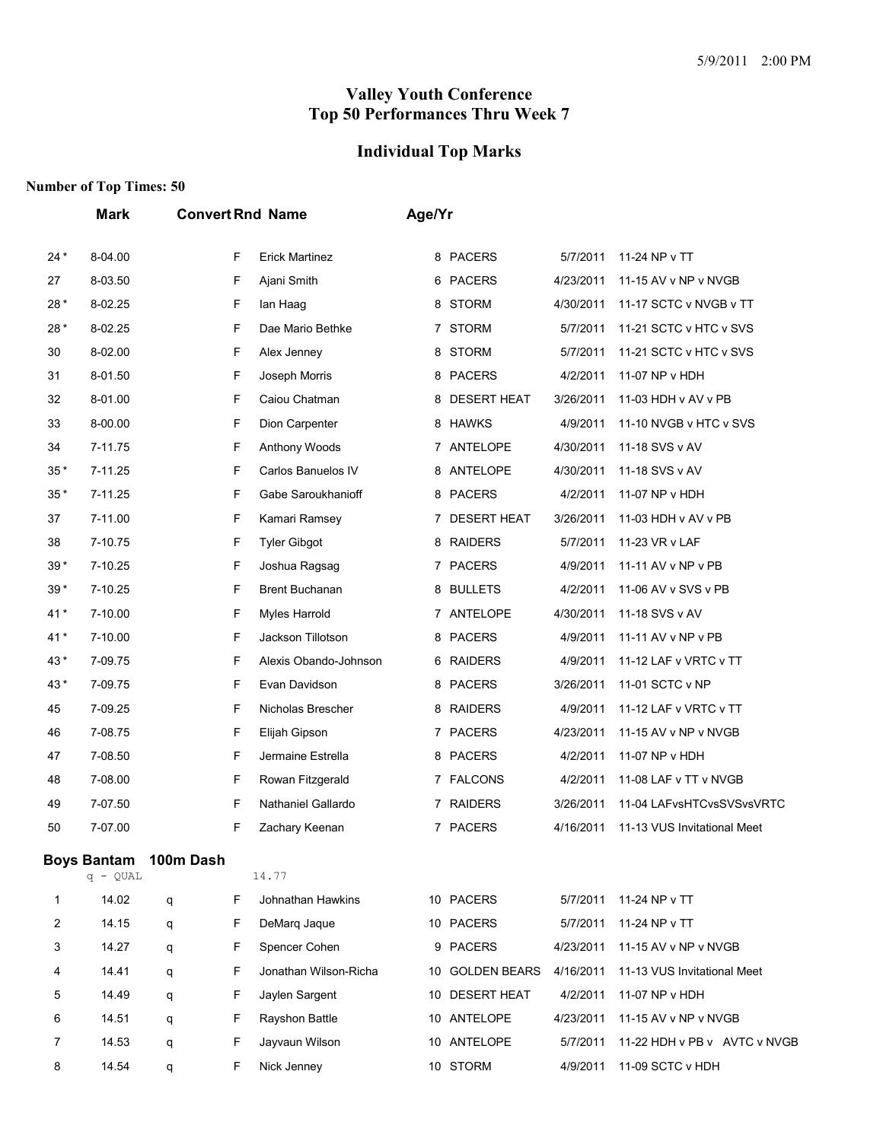#### **Individual Top Marks**

|       | <b>Mark</b>                      |           |   | <b>Convert Rnd Name</b> | Age/Yr |                    |           |                              |
|-------|----------------------------------|-----------|---|-------------------------|--------|--------------------|-----------|------------------------------|
| $24*$ | 8-04.00                          |           | F | <b>Erick Martinez</b>   |        | 8 PACERS           | 5/7/2011  | 11-24 NP v TT                |
| 27    | 8-03.50                          |           | F | Ajani Smith             | 6      | <b>PACERS</b>      | 4/23/2011 | 11-15 AV v NP v NVGB         |
| $28*$ | 8-02.25                          |           | F | lan Haag                | 8      | <b>STORM</b>       | 4/30/2011 | 11-17 SCTC v NVGB v TT       |
| $28*$ | 8-02.25                          |           | F | Dae Mario Bethke        | 7.     | <b>STORM</b>       | 5/7/2011  | 11-21 SCTC v HTC v SVS       |
| 30    | 8-02.00                          |           | F | Alex Jenney             | 8      | <b>STORM</b>       | 5/7/2011  | 11-21 SCTC v HTC v SVS       |
| 31    | 8-01.50                          |           | F | Joseph Morris           | 8      | <b>PACERS</b>      | 4/2/2011  | 11-07 NP v HDH               |
| 32    | 8-01.00                          |           | F | Caiou Chatman           | 8      | <b>DESERT HEAT</b> | 3/26/2011 | 11-03 HDH v AV v PB          |
| 33    | 8-00.00                          |           | F | Dion Carpenter          | 8      | <b>HAWKS</b>       | 4/9/2011  | 11-10 NVGB v HTC v SVS       |
| 34    | 7-11.75                          |           | F | Anthony Woods           | 7.     | ANTELOPE           | 4/30/2011 | 11-18 SVS v AV               |
| $35*$ | 7-11.25                          |           | F | Carlos Banuelos IV      | 8      | ANTELOPE           | 4/30/2011 | 11-18 SVS v AV               |
| $35*$ | 7-11.25                          |           | F | Gabe Saroukhanioff      | 8      | <b>PACERS</b>      | 4/2/2011  | 11-07 NP v HDH               |
| 37    | 7-11.00                          |           | F | Kamari Ramsey           | 7      | <b>DESERT HEAT</b> | 3/26/2011 | 11-03 HDH v AV v PB          |
| 38    | 7-10.75                          |           | F | <b>Tyler Gibgot</b>     | 8      | <b>RAIDERS</b>     | 5/7/2011  | 11-23 VR v LAF               |
| 39*   | 7-10.25                          |           | F | Joshua Ragsag           |        | 7 PACERS           | 4/9/2011  | 11-11 AV v NP v PB           |
| 39*   | 7-10.25                          |           | F | <b>Brent Buchanan</b>   | 8      | <b>BULLETS</b>     | 4/2/2011  | 11-06 AV v SVS v PB          |
| $41*$ | 7-10.00                          |           | F | Myles Harrold           | 7.     | ANTELOPE           | 4/30/2011 | 11-18 SVS v AV               |
| $41*$ | 7-10.00                          |           | F | Jackson Tillotson       | 8      | <b>PACERS</b>      | 4/9/2011  | 11-11 AV v NP v PB           |
| 43*   | 7-09.75                          |           | F | Alexis Obando-Johnson   | 6      | <b>RAIDERS</b>     | 4/9/2011  | 11-12 LAF v VRTC v TT        |
| 43*   | 7-09.75                          |           | F | Evan Davidson           | 8      | <b>PACERS</b>      | 3/26/2011 | 11-01 SCTC v NP              |
| 45    | 7-09.25                          |           | F | Nicholas Brescher       | 8      | <b>RAIDERS</b>     | 4/9/2011  | 11-12 LAF v VRTC v TT        |
| 46    | 7-08.75                          |           | F | Elijah Gipson           | 7      | <b>PACERS</b>      | 4/23/2011 | 11-15 AV v NP v NVGB         |
| 47    | 7-08.50                          |           | F | Jermaine Estrella       | 8      | <b>PACERS</b>      | 4/2/2011  | 11-07 NP v HDH               |
| 48    | 7-08.00                          |           | F | Rowan Fitzgerald        |        | 7 FALCONS          | 4/2/2011  | 11-08 LAF v TT v NVGB        |
| 49    | 7-07.50                          |           | F | Nathaniel Gallardo      | 7      | <b>RAIDERS</b>     | 3/26/2011 | 11-04 LAFvsHTCvsSVSvsVRTC    |
| 50    | 7-07.00                          |           | F | Zachary Keenan          | 7      | <b>PACERS</b>      | 4/16/2011 | 11-13 VUS Invitational Meet  |
|       | <b>Boys Bantam</b><br>$q - QUAL$ | 100m Dash |   | 14.77                   |        |                    |           |                              |
| 1     | 14.02                            | q         | F | Johnathan Hawkins       |        | 10 PACERS          | 5/7/2011  | 11-24 NP v TT                |
| 2     | 14.15                            | q         | F | DeMarg Jague            |        | 10 PACERS          | 5/7/2011  | 11-24 NP v TT                |
| 3     | 14.27                            | q         | F | Spencer Cohen           |        | 9 PACERS           | 4/23/2011 | 11-15 AV v NP v NVGB         |
| 4     | 14.41                            | q         | F | Jonathan Wilson-Richa   |        | 10 GOLDEN BEARS    | 4/16/2011 | 11-13 VUS Invitational Meet  |
| 5     | 14.49                            | q         | F | Jaylen Sargent          |        | 10 DESERT HEAT     | 4/2/2011  | 11-07 NP v HDH               |
| 6     | 14.51                            | q         | F | Rayshon Battle          |        | 10 ANTELOPE        | 4/23/2011 | 11-15 AV v NP v NVGB         |
| 7     | 14.53                            | q         | F | Jayvaun Wilson          |        | 10 ANTELOPE        | 5/7/2011  | 11-22 HDH v PB v AVTC v NVGB |
| 8     | 14.54                            | q         | F | Nick Jenney             |        | 10 STORM           | 4/9/2011  | 11-09 SCTC v HDH             |
|       |                                  |           |   |                         |        |                    |           |                              |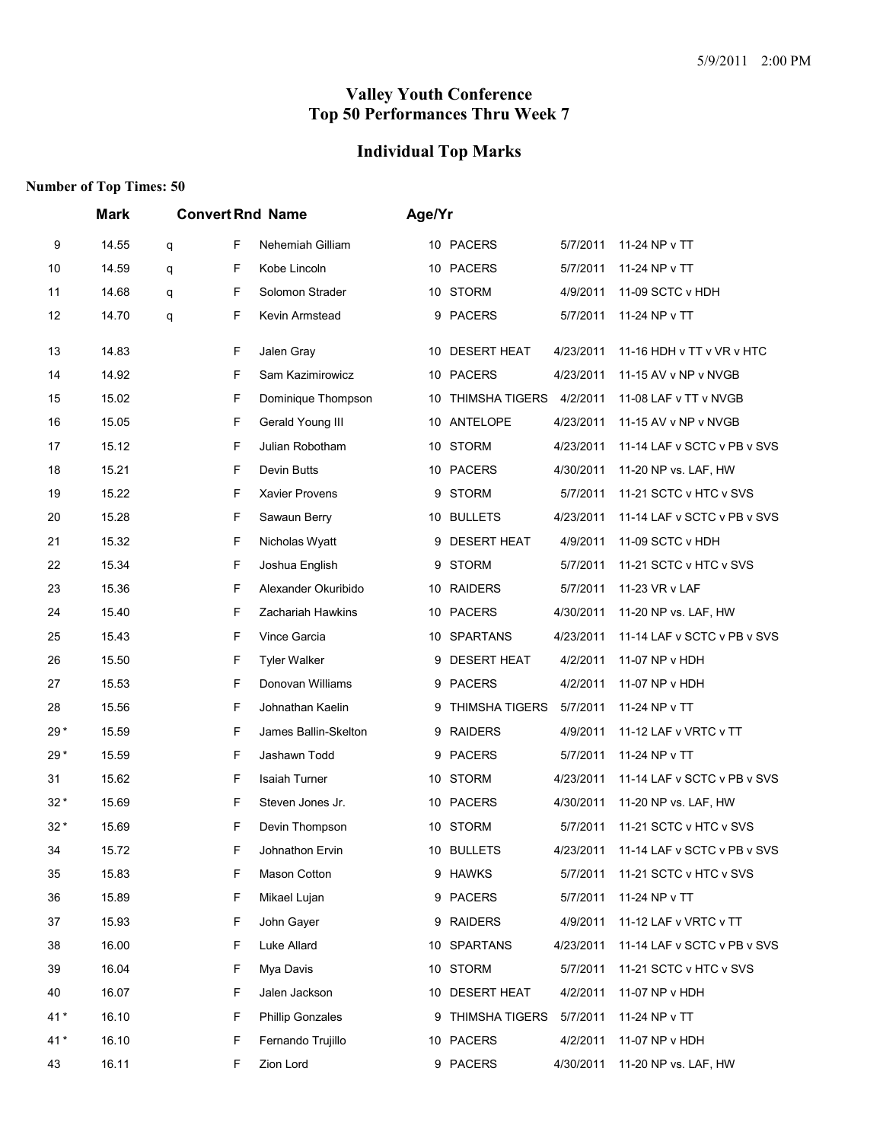#### **Individual Top Marks**

|       | <b>Mark</b> |   |    | <b>Convert Rnd Name</b> | Age/Yr |                    |           |                             |
|-------|-------------|---|----|-------------------------|--------|--------------------|-----------|-----------------------------|
| 9     | 14.55       | q | F  | Nehemiah Gilliam        |        | 10 PACERS          | 5/7/2011  | 11-24 NP v TT               |
| 10    | 14.59       | q | F  | Kobe Lincoln            |        | 10 PACERS          | 5/7/2011  | 11-24 NP v TT               |
| 11    | 14.68       | q | F  | Solomon Strader         |        | 10 STORM           | 4/9/2011  | 11-09 SCTC v HDH            |
| 12    | 14.70       | q | F  | Kevin Armstead          | 9      | <b>PACERS</b>      | 5/7/2011  | 11-24 NP v TT               |
| 13    | 14.83       |   | F  | Jalen Gray              |        | 10 DESERT HEAT     | 4/23/2011 | 11-16 HDH v TT v VR v HTC   |
| 14    | 14.92       |   | F  | Sam Kazimirowicz        |        | 10 PACERS          | 4/23/2011 | 11-15 AV v NP v NVGB        |
| 15    | 15.02       |   | F  | Dominique Thompson      |        | 10 THIMSHA TIGERS  | 4/2/2011  | 11-08 LAF v TT v NVGB       |
| 16    | 15.05       |   | F  | Gerald Young III        |        | 10 ANTELOPE        | 4/23/2011 | 11-15 AV v NP v NVGB        |
| 17    | 15.12       |   | F  | Julian Robotham         |        | 10 STORM           | 4/23/2011 | 11-14 LAF v SCTC v PB v SVS |
| 18    | 15.21       |   | F  | Devin Butts             |        | 10 PACERS          | 4/30/2011 | 11-20 NP vs. LAF, HW        |
| 19    | 15.22       |   | F  | Xavier Provens          |        | 9 STORM            | 5/7/2011  | 11-21 SCTC v HTC v SVS      |
| 20    | 15.28       |   | F  | Sawaun Berry            |        | 10 BULLETS         | 4/23/2011 | 11-14 LAF v SCTC v PB v SVS |
| 21    | 15.32       |   | F  | Nicholas Wyatt          |        | 9 DESERT HEAT      | 4/9/2011  | 11-09 SCTC v HDH            |
| 22    | 15.34       |   | F  | Joshua English          |        | 9 STORM            | 5/7/2011  | 11-21 SCTC v HTC v SVS      |
| 23    | 15.36       |   | F  | Alexander Okuribido     |        | 10 RAIDERS         | 5/7/2011  | 11-23 VR v LAF              |
| 24    | 15.40       |   | F  | Zachariah Hawkins       |        | 10 PACERS          | 4/30/2011 | 11-20 NP vs. LAF, HW        |
| 25    | 15.43       |   | F  | Vince Garcia            |        | 10 SPARTANS        | 4/23/2011 | 11-14 LAF v SCTC v PB v SVS |
| 26    | 15.50       |   | F  | <b>Tyler Walker</b>     | 9      | <b>DESERT HEAT</b> | 4/2/2011  | 11-07 NP v HDH              |
| 27    | 15.53       |   | F  | Donovan Williams        |        | 9 PACERS           | 4/2/2011  | 11-07 NP v HDH              |
| 28    | 15.56       |   | F  | Johnathan Kaelin        |        | 9 THIMSHA TIGERS   | 5/7/2011  | 11-24 NP v TT               |
| $29*$ | 15.59       |   | F  | James Ballin-Skelton    |        | 9 RAIDERS          | 4/9/2011  | 11-12 LAF v VRTC v TT       |
| $29*$ | 15.59       |   | F  | Jashawn Todd            |        | 9 PACERS           | 5/7/2011  | 11-24 NP v TT               |
| 31    | 15.62       |   | F  | <b>Isaiah Turner</b>    |        | 10 STORM           | 4/23/2011 | 11-14 LAF v SCTC v PB v SVS |
| $32*$ | 15.69       |   | F  | Steven Jones Jr.        |        | 10 PACERS          | 4/30/2011 | 11-20 NP vs. LAF, HW        |
| $32*$ | 15.69       |   | F  | Devin Thompson          |        | 10 STORM           | 5/7/2011  | 11-21 SCTC v HTC v SVS      |
| 34    | 15.72       |   | F  | Johnathon Ervin         |        | 10 BULLETS         | 4/23/2011 | 11-14 LAF v SCTC v PB v SVS |
| 35    | 15.83       |   | F  | Mason Cotton            |        | 9 HAWKS            | 5/7/2011  | 11-21 SCTC v HTC v SVS      |
| 36    | 15.89       |   | F  | Mikael Lujan            |        | 9 PACERS           | 5/7/2011  | 11-24 NP v TT               |
| 37    | 15.93       |   | F. | John Gayer              |        | 9 RAIDERS          | 4/9/2011  | 11-12 LAF v VRTC v TT       |
| 38    | 16.00       |   | F  | Luke Allard             |        | 10 SPARTANS        | 4/23/2011 | 11-14 LAF v SCTC v PB v SVS |
| 39    | 16.04       |   | F  | Mya Davis               |        | 10 STORM           | 5/7/2011  | 11-21 SCTC v HTC v SVS      |
| 40    | 16.07       |   | F  | Jalen Jackson           |        | 10 DESERT HEAT     | 4/2/2011  | 11-07 NP v HDH              |
| $41*$ | 16.10       |   | F  | <b>Phillip Gonzales</b> |        | 9 THIMSHA TIGERS   | 5/7/2011  | 11-24 NP v TT               |
| $41*$ | 16.10       |   | F. | Fernando Trujillo       |        | 10 PACERS          | 4/2/2011  | 11-07 NP v HDH              |
| 43    | 16.11       |   | F  | Zion Lord               |        | 9 PACERS           | 4/30/2011 | 11-20 NP vs. LAF, HW        |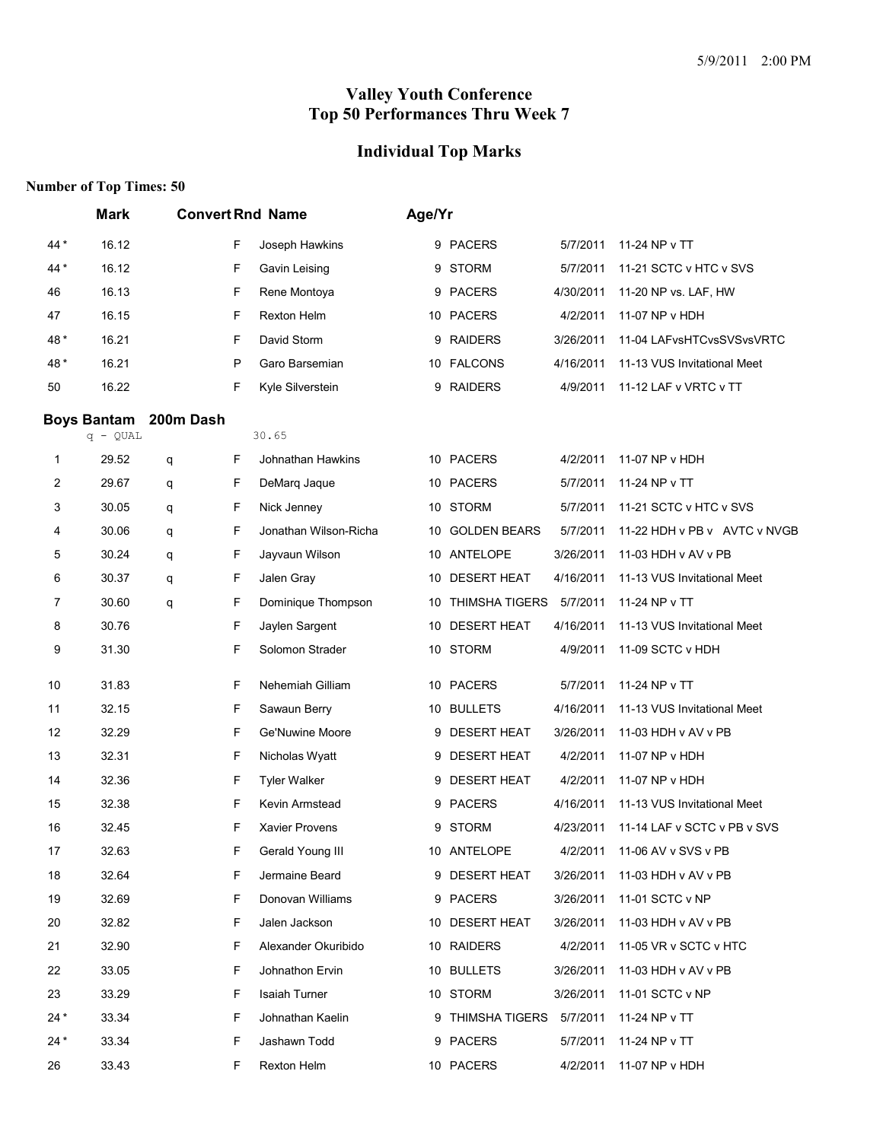# **Individual Top Marks**

|       | <b>Mark</b>        |           |    | <b>Convert Rnd Name</b> | Age/Yr |                           |           |                              |
|-------|--------------------|-----------|----|-------------------------|--------|---------------------------|-----------|------------------------------|
| 44 *  | 16.12              |           | F  | Joseph Hawkins          |        | 9 PACERS                  | 5/7/2011  | 11-24 NP v TT                |
| 44 *  | 16.12              |           | F  | Gavin Leising           | 9      | <b>STORM</b>              | 5/7/2011  | 11-21 SCTC v HTC v SVS       |
| 46    | 16.13              |           | F  | Rene Montoya            |        | 9 PACERS                  | 4/30/2011 | 11-20 NP vs. LAF, HW         |
| 47    | 16.15              |           | F  | <b>Rexton Helm</b>      |        | 10 PACERS                 | 4/2/2011  | 11-07 NP v HDH               |
| 48*   | 16.21              |           | F  | David Storm             |        | 9 RAIDERS                 | 3/26/2011 | 11-04 LAFvsHTCvsSVSvsVRTC    |
| 48*   | 16.21              |           | P  | Garo Barsemian          |        | 10 FALCONS                | 4/16/2011 | 11-13 VUS Invitational Meet  |
| 50    | 16.22              |           | F  | Kyle Silverstein        |        | 9 RAIDERS                 | 4/9/2011  | 11-12 LAF v VRTC v TT        |
|       | <b>Boys Bantam</b> | 200m Dash |    |                         |        |                           |           |                              |
|       | $q - QUAL$         |           |    | 30.65                   |        |                           |           |                              |
| 1     | 29.52              | q         | F. | Johnathan Hawkins       |        | 10 PACERS                 | 4/2/2011  | 11-07 NP v HDH               |
| 2     | 29.67              | q         | F  | DeMarq Jaque            |        | 10 PACERS                 | 5/7/2011  | 11-24 NP v TT                |
| 3     | 30.05              | q         | F  | Nick Jenney             |        | 10 STORM                  | 5/7/2011  | 11-21 SCTC v HTC v SVS       |
| 4     | 30.06              | q         | F  | Jonathan Wilson-Richa   |        | 10 GOLDEN BEARS           | 5/7/2011  | 11-22 HDH v PB v AVTC v NVGB |
| 5     | 30.24              | q         | F  | Jayvaun Wilson          |        | 10 ANTELOPE               | 3/26/2011 | 11-03 HDH v AV v PB          |
| 6     | 30.37              | q         | F  | Jalen Gray              |        | 10 DESERT HEAT            | 4/16/2011 | 11-13 VUS Invitational Meet  |
| 7     | 30.60              | q         | F  | Dominique Thompson      |        | 10 THIMSHA TIGERS         | 5/7/2011  | 11-24 NP v TT                |
| 8     | 30.76              |           | F  | Jaylen Sargent          |        | 10 DESERT HEAT            | 4/16/2011 | 11-13 VUS Invitational Meet  |
| 9     | 31.30              |           | F  | Solomon Strader         |        | 10 STORM                  | 4/9/2011  | 11-09 SCTC v HDH             |
| 10    | 31.83              |           | F  | Nehemiah Gilliam        |        | 10 PACERS                 | 5/7/2011  | 11-24 NP v TT                |
| 11    | 32.15              |           | F  | Sawaun Berry            |        | 10 BULLETS                | 4/16/2011 | 11-13 VUS Invitational Meet  |
| 12    | 32.29              |           | F  | Ge'Nuwine Moore         |        | 9 DESERT HEAT             | 3/26/2011 | 11-03 HDH v AV v PB          |
| 13    | 32.31              |           | F  | Nicholas Wyatt          |        | 9 DESERT HEAT             | 4/2/2011  | 11-07 NP v HDH               |
| 14    | 32.36              |           | F  | <b>Tyler Walker</b>     | 9      | <b>DESERT HEAT</b>        | 4/2/2011  | 11-07 NP v HDH               |
| 15    | 32.38              |           | F  | Kevin Armstead          |        | 9 PACERS                  | 4/16/2011 | 11-13 VUS Invitational Meet  |
| 16    | 32.45              |           | F  | Xavier Provens          |        | 9 STORM                   | 4/23/2011 | 11-14 LAF v SCTC v PB v SVS  |
| 17    | 32.63              |           | F  | Gerald Young III        |        | 10 ANTELOPE               | 4/2/2011  | 11-06 AV v SVS v PB          |
| 18    | 32.64              |           | F  | Jermaine Beard          |        | 9 DESERT HEAT             | 3/26/2011 | 11-03 HDH v AV v PB          |
| 19    | 32.69              |           | F  | Donovan Williams        |        | 9 PACERS                  | 3/26/2011 | 11-01 SCTC v NP              |
| 20    | 32.82              |           | F  | Jalen Jackson           |        | 10 DESERT HEAT            | 3/26/2011 | 11-03 HDH v AV v PB          |
| 21    | 32.90              |           | F  | Alexander Okuribido     |        | 10 RAIDERS                | 4/2/2011  | 11-05 VR v SCTC v HTC        |
| 22    | 33.05              |           | F  | Johnathon Ervin         |        | 10 BULLETS                | 3/26/2011 | 11-03 HDH v AV v PB          |
| 23    | 33.29              |           | F  | Isaiah Turner           |        | 10 STORM                  | 3/26/2011 | 11-01 SCTC v NP              |
| $24*$ | 33.34              |           | F. | Johnathan Kaelin        |        | 9 THIMSHA TIGERS 5/7/2011 |           | 11-24 NP v TT                |
| $24*$ | 33.34              |           | F  | Jashawn Todd            |        | 9 PACERS                  | 5/7/2011  | 11-24 NP v TT                |
| 26    | 33.43              |           | F  | Rexton Helm             |        | 10 PACERS                 | 4/2/2011  | 11-07 NP v HDH               |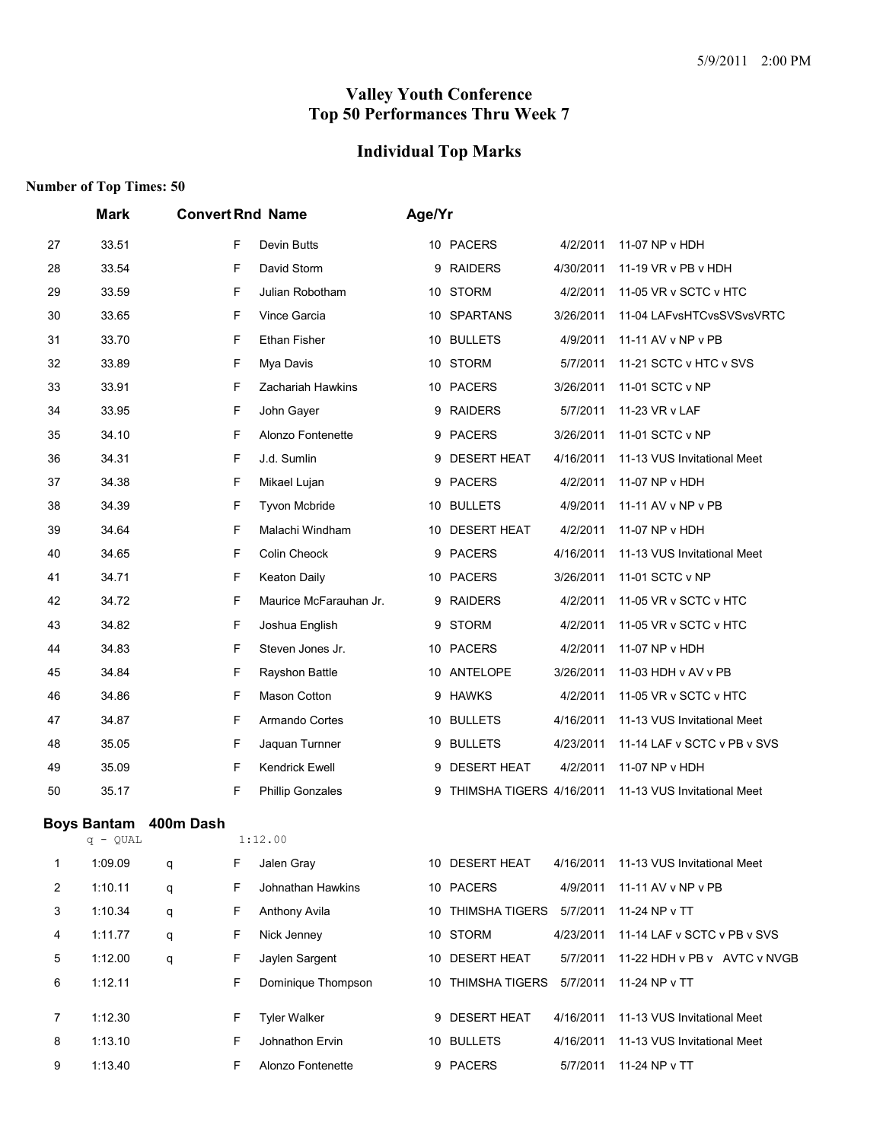#### **Individual Top Marks**

|                | <b>Mark</b>                      |           |   | <b>Convert Rnd Name</b> | Age/Yr |                          |           |                              |
|----------------|----------------------------------|-----------|---|-------------------------|--------|--------------------------|-----------|------------------------------|
| 27             | 33.51                            |           | F | Devin Butts             |        | 10 PACERS                | 4/2/2011  | 11-07 NP v HDH               |
| 28             | 33.54                            |           | F | David Storm             | 9      | <b>RAIDERS</b>           | 4/30/2011 | 11-19 VR v PB v HDH          |
| 29             | 33.59                            |           | F | Julian Robotham         | 10     | <b>STORM</b>             | 4/2/2011  | 11-05 VR v SCTC v HTC        |
| 30             | 33.65                            |           | F | Vince Garcia            |        | 10 SPARTANS              | 3/26/2011 | 11-04 LAFvsHTCvsSVSvsVRTC    |
| 31             | 33.70                            |           | F | Ethan Fisher            | 10     | <b>BULLETS</b>           | 4/9/2011  | 11-11 AV v NP v PB           |
| 32             | 33.89                            |           | F | Mya Davis               | 10     | STORM                    | 5/7/2011  | 11-21 SCTC v HTC v SVS       |
| 33             | 33.91                            |           | F | Zachariah Hawkins       |        | 10 PACERS                | 3/26/2011 | 11-01 SCTC v NP              |
| 34             | 33.95                            |           | F | John Gayer              | 9      | <b>RAIDERS</b>           | 5/7/2011  | 11-23 VR v LAF               |
| 35             | 34.10                            |           | F | Alonzo Fontenette       | 9      | <b>PACERS</b>            | 3/26/2011 | 11-01 SCTC v NP              |
| 36             | 34.31                            |           | F | J.d. Sumlin             | 9      | <b>DESERT HEAT</b>       | 4/16/2011 | 11-13 VUS Invitational Meet  |
| 37             | 34.38                            |           | F | Mikael Lujan            | 9      | <b>PACERS</b>            | 4/2/2011  | 11-07 NP v HDH               |
| 38             | 34.39                            |           | F | <b>Tyvon Mcbride</b>    |        | 10 BULLETS               | 4/9/2011  | 11-11 AV v NP v PB           |
| 39             | 34.64                            |           | F | Malachi Windham         | 10     | <b>DESERT HEAT</b>       | 4/2/2011  | 11-07 NP v HDH               |
| 40             | 34.65                            |           | F | Colin Cheock            | 9      | <b>PACERS</b>            | 4/16/2011 | 11-13 VUS Invitational Meet  |
| 41             | 34.71                            |           | F | <b>Keaton Daily</b>     |        | 10 PACERS                | 3/26/2011 | 11-01 SCTC v NP              |
| 42             | 34.72                            |           | F | Maurice McFarauhan Jr.  | 9      | <b>RAIDERS</b>           | 4/2/2011  | 11-05 VR v SCTC v HTC        |
| 43             | 34.82                            |           | F | Joshua English          | 9      | <b>STORM</b>             | 4/2/2011  | 11-05 VR v SCTC v HTC        |
| 44             | 34.83                            |           | F | Steven Jones Jr.        | 10     | <b>PACERS</b>            | 4/2/2011  | 11-07 NP v HDH               |
| 45             | 34.84                            |           | F | Rayshon Battle          | 10     | ANTELOPE                 | 3/26/2011 | 11-03 HDH v AV v PB          |
| 46             | 34.86                            |           | F | Mason Cotton            | 9      | <b>HAWKS</b>             | 4/2/2011  | 11-05 VR v SCTC v HTC        |
| 47             | 34.87                            |           | F | Armando Cortes          |        | 10 BULLETS               | 4/16/2011 | 11-13 VUS Invitational Meet  |
| 48             | 35.05                            |           | F | Jaquan Turnner          | 9      | <b>BULLETS</b>           | 4/23/2011 | 11-14 LAF v SCTC v PB v SVS  |
| 49             | 35.09                            |           | F | <b>Kendrick Ewell</b>   | 9      | <b>DESERT HEAT</b>       | 4/2/2011  | 11-07 NP v HDH               |
| 50             | 35.17                            |           | F | <b>Phillip Gonzales</b> | 9      | THIMSHA TIGERS 4/16/2011 |           | 11-13 VUS Invitational Meet  |
|                | <b>Boys Bantam</b><br>$q - QUAL$ | 400m Dash |   | 1:12.00                 |        |                          |           |                              |
| 1              | 1:09.09                          | q         | F | Jalen Gray              |        | 10 DESERT HEAT           | 4/16/2011 | 11-13 VUS Invitational Meet  |
| 2              | 1:10.11                          | q         | F | Johnathan Hawkins       |        | 10 PACERS                | 4/9/2011  | 11-11 AV v NP v PB           |
| 3              | 1:10.34                          | q         | F | Anthony Avila           |        | 10 THIMSHA TIGERS        | 5/7/2011  | 11-24 NP v TT                |
| 4              | 1:11.77                          | q         | F | Nick Jenney             |        | 10 STORM                 | 4/23/2011 | 11-14 LAF v SCTC v PB v SVS  |
| 5              | 1:12.00                          | q         | F | Jaylen Sargent          |        | 10 DESERT HEAT           | 5/7/2011  | 11-22 HDH v PB v AVTC v NVGB |
| 6              | 1:12.11                          |           | F | Dominique Thompson      |        | 10 THIMSHA TIGERS        | 5/7/2011  | 11-24 NP v TT                |
|                |                                  |           |   |                         |        |                          |           |                              |
| $\overline{7}$ | 1:12.30                          |           | F | <b>Tyler Walker</b>     |        | 9 DESERT HEAT            | 4/16/2011 | 11-13 VUS Invitational Meet  |
| 8              | 1:13.10                          |           | F | Johnathon Ervin         |        | 10 BULLETS               | 4/16/2011 | 11-13 VUS Invitational Meet  |
| 9              | 1:13.40                          |           | F | Alonzo Fontenette       |        | 9 PACERS                 | 5/7/2011  | 11-24 NP v TT                |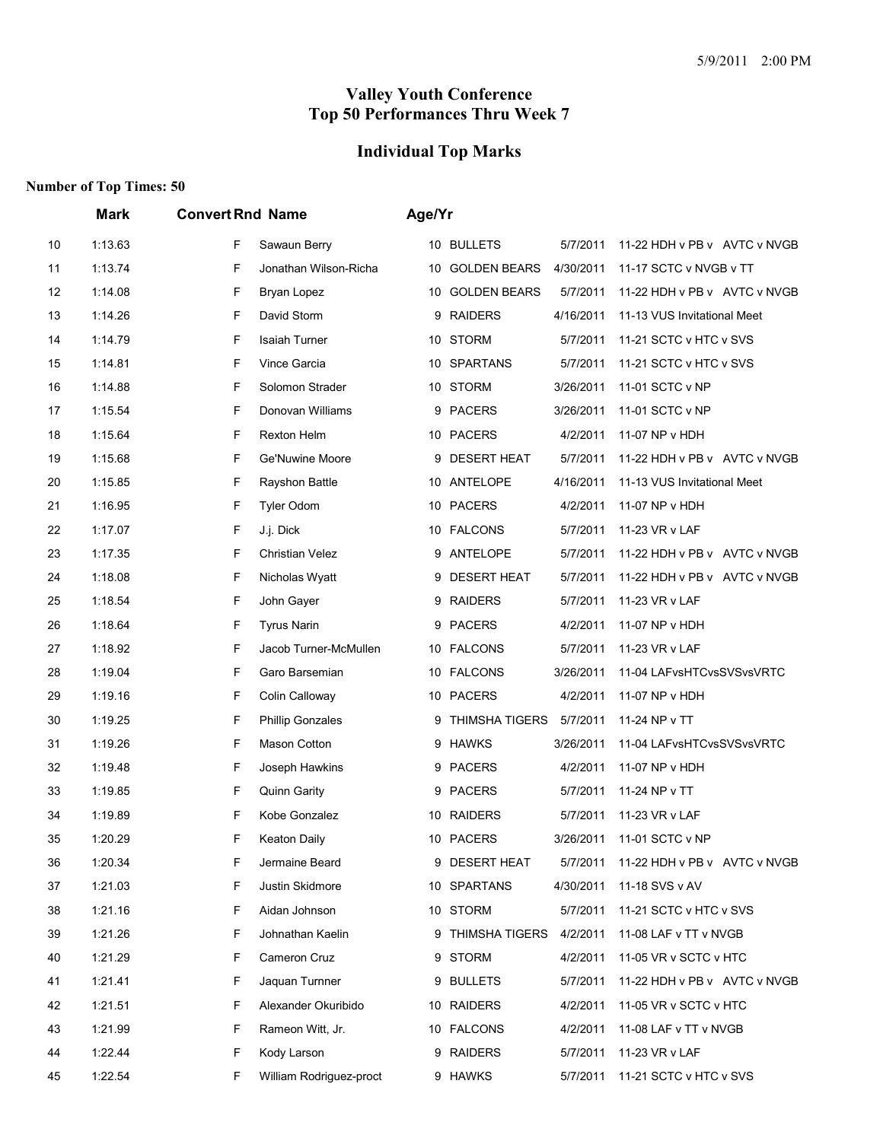# **Individual Top Marks**

|    | Mark    | <b>Convert Rnd Name</b>       | Age/Yr                                                                |
|----|---------|-------------------------------|-----------------------------------------------------------------------|
| 10 | 1:13.63 | F<br>Sawaun Berry             | 10 BULLETS<br>5/7/2011<br>11-22 HDH v PB v AVTC v NVGB                |
| 11 | 1:13.74 | F<br>Jonathan Wilson-Richa    | 4/30/2011<br><b>GOLDEN BEARS</b><br>11-17 SCTC v NVGB v TT<br>10      |
| 12 | 1:14.08 | F<br>Bryan Lopez              | <b>GOLDEN BEARS</b><br>5/7/2011<br>11-22 HDH v PB v AVTC v NVGB<br>10 |
| 13 | 1:14.26 | F<br>David Storm              | <b>RAIDERS</b><br>4/16/2011<br>11-13 VUS Invitational Meet<br>9       |
| 14 | 1:14.79 | F<br>Isaiah Turner            | 10 STORM<br>5/7/2011<br>11-21 SCTC v HTC v SVS                        |
| 15 | 1:14.81 | F<br>Vince Garcia             | <b>SPARTANS</b><br>5/7/2011<br>11-21 SCTC v HTC v SVS<br>10           |
| 16 | 1:14.88 | F<br>Solomon Strader          | 10 STORM<br>3/26/2011<br>11-01 SCTC v NP                              |
| 17 | 1:15.54 | F<br>Donovan Williams         | <b>PACERS</b><br>3/26/2011<br>11-01 SCTC v NP<br>9                    |
| 18 | 1:15.64 | F<br>Rexton Helm              | 10 PACERS<br>4/2/2011<br>11-07 NP v HDH                               |
| 19 | 1:15.68 | F<br>Ge'Nuwine Moore          | <b>DESERT HEAT</b><br>5/7/2011<br>11-22 HDH v PB v AVTC v NVGB<br>9   |
| 20 | 1:15.85 | F<br>Rayshon Battle           | 10 ANTELOPE<br>4/16/2011<br>11-13 VUS Invitational Meet               |
| 21 | 1:16.95 | F<br><b>Tyler Odom</b>        | 10 PACERS<br>4/2/2011<br>11-07 NP v HDH                               |
| 22 | 1:17.07 | F<br>J.j. Dick                | 10 FALCONS<br>5/7/2011<br>11-23 VR v LAF                              |
| 23 | 1:17.35 | F<br><b>Christian Velez</b>   | <b>ANTELOPE</b><br>5/7/2011<br>11-22 HDH v PB v AVTC v NVGB<br>9      |
| 24 | 1:18.08 | F<br>Nicholas Wyatt           | <b>DESERT HEAT</b><br>5/7/2011<br>11-22 HDH v PB v AVTC v NVGB<br>9   |
| 25 | 1:18.54 | F<br>John Gaver               | 9 RAIDERS<br>5/7/2011<br>11-23 VR v LAF                               |
| 26 | 1:18.64 | F<br><b>Tyrus Narin</b>       | <b>PACERS</b><br>4/2/2011<br>11-07 NP v HDH<br>9                      |
| 27 | 1:18.92 | F<br>Jacob Turner-McMullen    | 10 FALCONS<br>5/7/2011<br>11-23 VR v LAF                              |
| 28 | 1:19.04 | F<br>Garo Barsemian           | 10 FALCONS<br>3/26/2011<br>11-04 LAFvsHTCvsSVSvsVRTC                  |
| 29 | 1:19.16 | F<br>Colin Calloway           | 10 PACERS<br>4/2/2011<br>11-07 NP v HDH                               |
| 30 | 1:19.25 | F<br><b>Phillip Gonzales</b>  | THIMSHA TIGERS<br>5/7/2011<br>11-24 NP v TT<br>9                      |
| 31 | 1:19.26 | F<br>Mason Cotton             | <b>HAWKS</b><br>3/26/2011<br>11-04 LAFvsHTCvsSVSvsVRTC<br>9           |
| 32 | 1:19.48 | F<br>Joseph Hawkins           | 4/2/2011<br>11-07 NP v HDH<br>9 PACERS                                |
| 33 | 1:19.85 | F<br>Quinn Garity             | 9 PACERS<br>5/7/2011<br>11-24 NP v TT                                 |
| 34 | 1:19.89 | F<br>Kobe Gonzalez            | 10 RAIDERS<br>11-23 VR v LAF<br>5/7/2011                              |
| 35 | 1:20.29 | F<br><b>Keaton Daily</b>      | 10 PACERS<br>3/26/2011<br>11-01 SCTC v NP                             |
| 36 | 1:20.34 | F<br>Jermaine Beard           | 9 DESERT HEAT<br>11-22 HDH v PB v AVTC v NVGB<br>5/7/2011             |
| 37 | 1:21.03 | Justin Skidmore<br>F          | 4/30/2011<br>11-18 SVS v AV<br>10 SPARTANS                            |
| 38 | 1:21.16 | F<br>Aidan Johnson            | 10 STORM<br>5/7/2011<br>11-21 SCTC v HTC v SVS                        |
| 39 | 1:21.26 | F<br>Johnathan Kaelin         | 9 THIMSHA TIGERS<br>4/2/2011<br>11-08 LAF v TT v NVGB                 |
| 40 | 1:21.29 | F<br>Cameron Cruz             | 9 STORM<br>4/2/2011<br>11-05 VR v SCTC v HTC                          |
| 41 | 1:21.41 | F<br>Jaquan Turnner           | 9 BULLETS<br>5/7/2011<br>11-22 HDH v PB v AVTC v NVGB                 |
| 42 | 1:21.51 | F.<br>Alexander Okuribido     | 10 RAIDERS<br>4/2/2011<br>11-05 VR v SCTC v HTC                       |
| 43 | 1:21.99 | F<br>Rameon Witt, Jr.         | 10 FALCONS<br>4/2/2011<br>11-08 LAF v TT v NVGB                       |
| 44 | 1:22.44 | F<br>Kody Larson              | 9 RAIDERS<br>5/7/2011<br>11-23 VR v LAF                               |
| 45 | 1:22.54 | F.<br>William Rodriguez-proct | 9 HAWKS<br>5/7/2011<br>11-21 SCTC v HTC v SVS                         |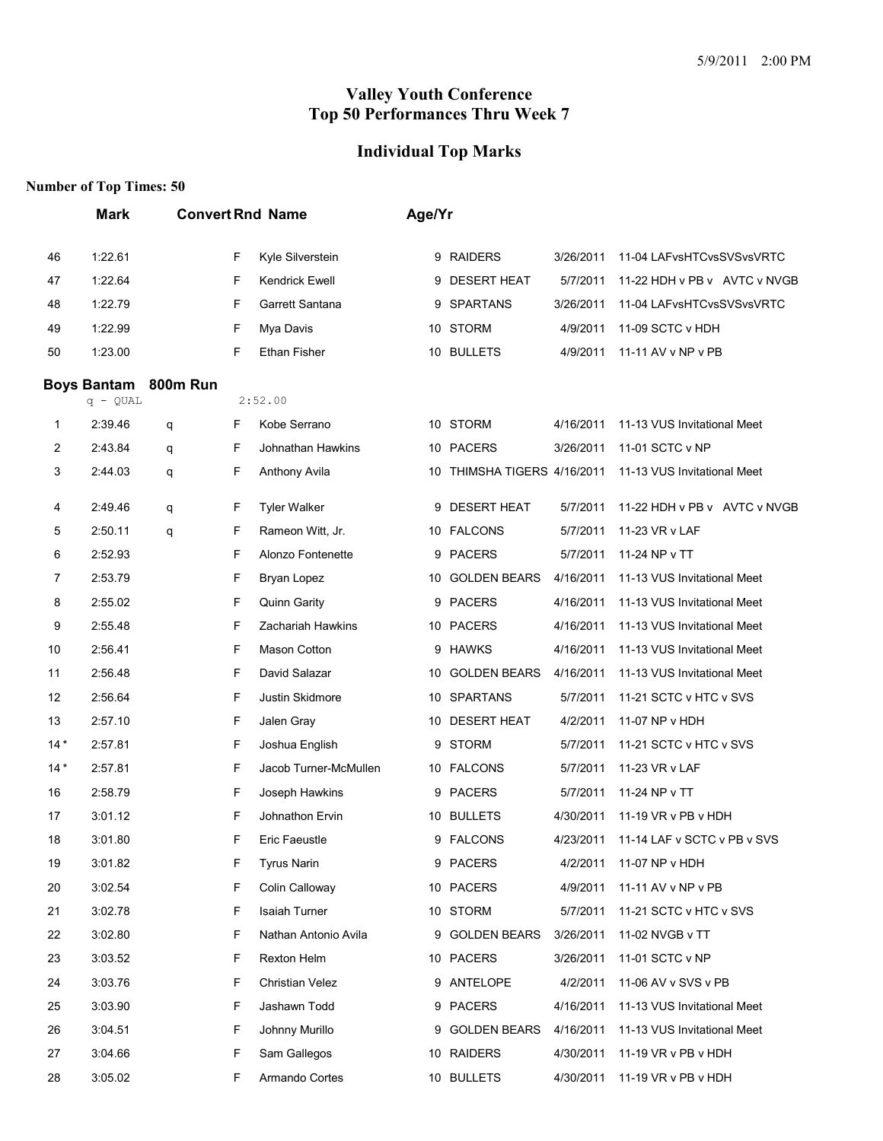# **Individual Top Marks**

|       | <b>Mark</b>        |                 |    | <b>Convert Rnd Name</b> | Age/Yr |                             |           |                              |
|-------|--------------------|-----------------|----|-------------------------|--------|-----------------------------|-----------|------------------------------|
| 46    | 1:22.61            |                 | F  | Kyle Silverstein        |        | 9 RAIDERS                   | 3/26/2011 | 11-04 LAFvsHTCvsSVSvsVRTC    |
| 47    | 1:22.64            |                 | F  | Kendrick Ewell          | 9      | <b>DESERT HEAT</b>          | 5/7/2011  | 11-22 HDH v PB v AVTC v NVGB |
| 48    | 1:22.79            |                 | F  | Garrett Santana         | 9      | <b>SPARTANS</b>             | 3/26/2011 | 11-04 LAFvsHTCvsSVSvsVRTC    |
| 49    | 1:22.99            |                 | F  | Mya Davis               |        | 10 STORM                    | 4/9/2011  | 11-09 SCTC v HDH             |
| 50    | 1:23.00            |                 | F  | <b>Ethan Fisher</b>     |        | 10 BULLETS                  | 4/9/2011  | 11-11 AV v NP v PB           |
|       | <b>Boys Bantam</b> | <b>800m Run</b> |    |                         |        |                             |           |                              |
|       | $q - QUAL$         |                 |    | 2:52.00                 |        |                             |           |                              |
| 1     | 2:39.46            | q               | F  | Kobe Serrano            |        | 10 STORM                    | 4/16/2011 | 11-13 VUS Invitational Meet  |
| 2     | 2:43.84            | q               | F  | Johnathan Hawkins       |        | 10 PACERS                   | 3/26/2011 | 11-01 SCTC v NP              |
| 3     | 2:44.03            | q               | F  | Anthony Avila           |        | 10 THIMSHA TIGERS 4/16/2011 |           | 11-13 VUS Invitational Meet  |
| 4     | 2:49.46            | q               | F  | <b>Tyler Walker</b>     |        | 9 DESERT HEAT               | 5/7/2011  | 11-22 HDH v PB v AVTC v NVGB |
| 5     | 2:50.11            | q               | F  | Rameon Witt, Jr.        |        | 10 FALCONS                  | 5/7/2011  | 11-23 VR v LAF               |
| 6     | 2:52.93            |                 | F  | Alonzo Fontenette       | 9      | <b>PACERS</b>               | 5/7/2011  | 11-24 NP v TT                |
| 7     | 2:53.79            |                 | F  | Bryan Lopez             |        | 10 GOLDEN BEARS             | 4/16/2011 | 11-13 VUS Invitational Meet  |
| 8     | 2:55.02            |                 | F  | Quinn Garity            |        | 9 PACERS                    | 4/16/2011 | 11-13 VUS Invitational Meet  |
| 9     | 2:55.48            |                 | F  | Zachariah Hawkins       |        | 10 PACERS                   | 4/16/2011 | 11-13 VUS Invitational Meet  |
| 10    | 2:56.41            |                 | F  | Mason Cotton            |        | 9 HAWKS                     | 4/16/2011 | 11-13 VUS Invitational Meet  |
| 11    | 2:56.48            |                 | F  | David Salazar           |        | 10 GOLDEN BEARS             | 4/16/2011 | 11-13 VUS Invitational Meet  |
| 12    | 2:56.64            |                 | F  | Justin Skidmore         |        | 10 SPARTANS                 | 5/7/2011  | 11-21 SCTC v HTC v SVS       |
| 13    | 2:57.10            |                 | F  | Jalen Gray              |        | 10 DESERT HEAT              | 4/2/2011  | 11-07 NP v HDH               |
| $14*$ | 2:57.81            |                 | F  | Joshua English          | 9      | <b>STORM</b>                | 5/7/2011  | 11-21 SCTC v HTC v SVS       |
| $14*$ | 2:57.81            |                 | F  | Jacob Turner-McMullen   |        | 10 FALCONS                  | 5/7/2011  | 11-23 VR v LAF               |
| 16    | 2:58.79            |                 | F  | Joseph Hawkins          |        | 9 PACERS                    | 5/7/2011  | 11-24 NP v TT                |
| 17    | 3:01.12            |                 | F  | Johnathon Ervin         |        | 10 BULLETS                  | 4/30/2011 | 11-19 VR v PB v HDH          |
| 18    | 3:01.80            |                 | F  | Eric Faeustle           |        | 9 FALCONS                   | 4/23/2011 | 11-14 LAF v SCTC v PB v SVS  |
| 19    | 3:01.82            |                 | F  | <b>Tyrus Narin</b>      |        | 9 PACERS                    | 4/2/2011  | 11-07 NP v HDH               |
| 20    | 3:02.54            |                 | F  | Colin Calloway          |        | 10 PACERS                   | 4/9/2011  | 11-11 AV v NP v PB           |
| 21    | 3:02.78            |                 | F  | <b>Isaiah Turner</b>    |        | 10 STORM                    | 5/7/2011  | 11-21 SCTC v HTC v SVS       |
| 22    | 3:02.80            |                 | F  | Nathan Antonio Avila    |        | 9 GOLDEN BEARS              | 3/26/2011 | 11-02 NVGB v TT              |
| 23    | 3:03.52            |                 | F  | Rexton Helm             |        | 10 PACERS                   | 3/26/2011 | 11-01 SCTC v NP              |
| 24    | 3:03.76            |                 | F  | <b>Christian Velez</b>  |        | 9 ANTELOPE                  | 4/2/2011  | 11-06 AV v SVS v PB          |
| 25    | 3:03.90            |                 | F  | Jashawn Todd            |        | 9 PACERS                    | 4/16/2011 | 11-13 VUS Invitational Meet  |
| 26    | 3:04.51            |                 | F  | Johnny Murillo          | 9      | <b>GOLDEN BEARS</b>         | 4/16/2011 | 11-13 VUS Invitational Meet  |
| 27    | 3:04.66            |                 | F  | Sam Gallegos            |        | 10 RAIDERS                  | 4/30/2011 | 11-19 VR v PB v HDH          |
| 28    | 3:05.02            |                 | F. | Armando Cortes          |        | 10 BULLETS                  | 4/30/2011 | 11-19 VR v PB v HDH          |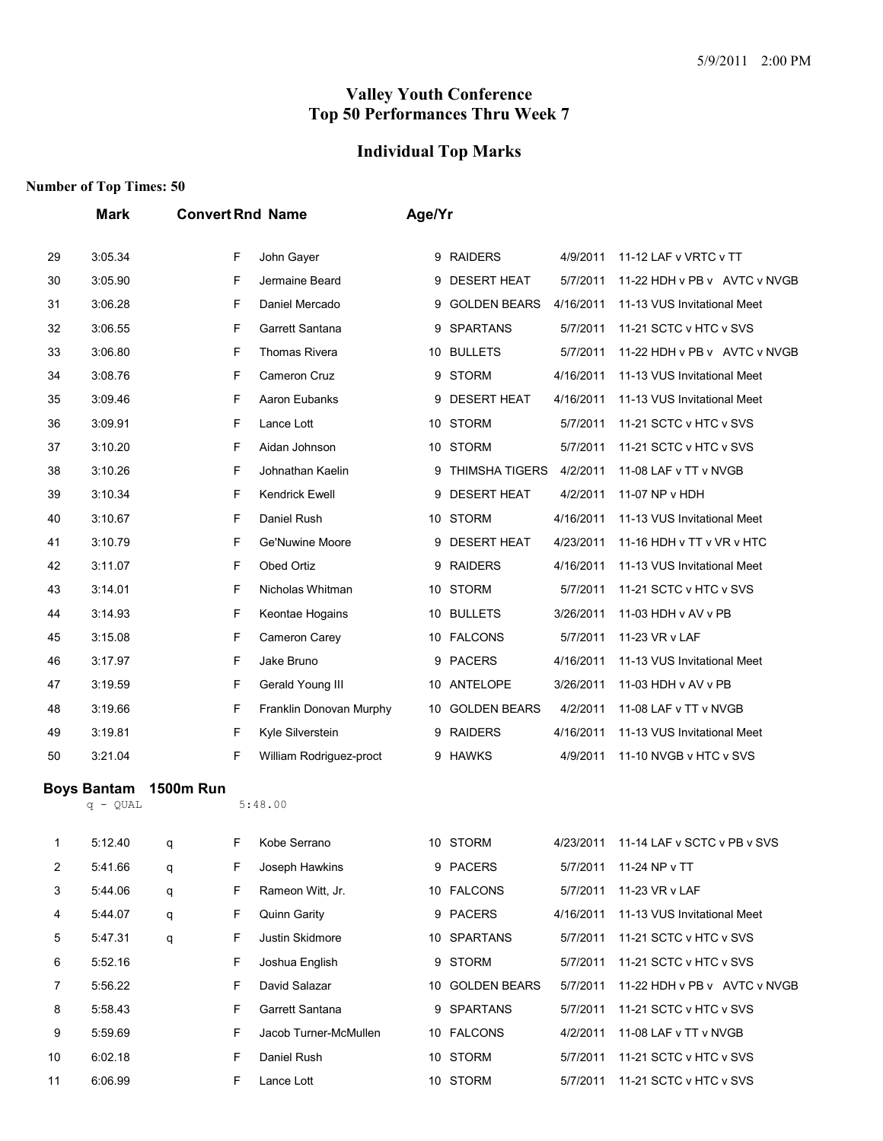# **Individual Top Marks**

|    | <b>Mark</b>                      |                  |   | <b>Convert Rnd Name</b> | Age/Yr |                       |           |                              |
|----|----------------------------------|------------------|---|-------------------------|--------|-----------------------|-----------|------------------------------|
| 29 | 3:05.34                          |                  | F | John Gayer              |        | 9 RAIDERS             | 4/9/2011  | 11-12 LAF v VRTC v TT        |
| 30 | 3:05.90                          |                  | F | Jermaine Beard          | 9      | <b>DESERT HEAT</b>    | 5/7/2011  | 11-22 HDH v PB v AVTC v NVGB |
| 31 | 3:06.28                          |                  | F | Daniel Mercado          | 9      | <b>GOLDEN BEARS</b>   | 4/16/2011 | 11-13 VUS Invitational Meet  |
| 32 | 3:06.55                          |                  | F | Garrett Santana         | 9      | <b>SPARTANS</b>       | 5/7/2011  | 11-21 SCTC v HTC v SVS       |
| 33 | 3:06.80                          |                  | F | Thomas Rivera           |        | 10 BULLETS            | 5/7/2011  | 11-22 HDH v PB v AVTC v NVGB |
| 34 | 3:08.76                          |                  | F | Cameron Cruz            | 9      | <b>STORM</b>          | 4/16/2011 | 11-13 VUS Invitational Meet  |
| 35 | 3:09.46                          |                  | F | Aaron Eubanks           | 9      | <b>DESERT HEAT</b>    | 4/16/2011 | 11-13 VUS Invitational Meet  |
| 36 | 3:09.91                          |                  | F | Lance Lott              |        | 10 STORM              | 5/7/2011  | 11-21 SCTC v HTC v SVS       |
| 37 | 3:10.20                          |                  | F | Aidan Johnson           | 10     | <b>STORM</b>          | 5/7/2011  | 11-21 SCTC v HTC v SVS       |
| 38 | 3:10.26                          |                  | F | Johnathan Kaelin        | 9      | <b>THIMSHA TIGERS</b> | 4/2/2011  | 11-08 LAF v TT v NVGB        |
| 39 | 3:10.34                          |                  | F | <b>Kendrick Ewell</b>   | 9      | <b>DESERT HEAT</b>    | 4/2/2011  | 11-07 NP v HDH               |
| 40 | 3:10.67                          |                  | F | Daniel Rush             |        | 10 STORM              | 4/16/2011 | 11-13 VUS Invitational Meet  |
| 41 | 3:10.79                          |                  | F | Ge'Nuwine Moore         | 9      | <b>DESERT HEAT</b>    | 4/23/2011 | 11-16 HDH v TT v VR v HTC    |
| 42 | 3:11.07                          |                  | F | Obed Ortiz              | 9      | <b>RAIDERS</b>        | 4/16/2011 | 11-13 VUS Invitational Meet  |
| 43 | 3:14.01                          |                  | F | Nicholas Whitman        | 10     | <b>STORM</b>          | 5/7/2011  | 11-21 SCTC v HTC v SVS       |
| 44 | 3:14.93                          |                  | F | Keontae Hogains         |        | 10 BULLETS            | 3/26/2011 | 11-03 HDH v AV v PB          |
| 45 | 3:15.08                          |                  | F | Cameron Carey           |        | 10 FALCONS            | 5/7/2011  | 11-23 VR v LAF               |
| 46 | 3:17.97                          |                  | F | Jake Bruno              | 9      | <b>PACERS</b>         | 4/16/2011 | 11-13 VUS Invitational Meet  |
| 47 | 3:19.59                          |                  | F | Gerald Young III        | 10     | ANTELOPE              | 3/26/2011 | 11-03 HDH v AV v PB          |
| 48 | 3:19.66                          |                  | F | Franklin Donovan Murphy | 10     | <b>GOLDEN BEARS</b>   | 4/2/2011  | 11-08 LAF v TT v NVGB        |
| 49 | 3:19.81                          |                  | F | Kyle Silverstein        | 9      | <b>RAIDERS</b>        | 4/16/2011 | 11-13 VUS Invitational Meet  |
| 50 | 3:21.04                          |                  | F | William Rodriguez-proct | 9      | <b>HAWKS</b>          | 4/9/2011  | 11-10 NVGB v HTC v SVS       |
|    | <b>Boys Bantam</b><br>$q - QUAL$ | <b>1500m Run</b> |   | 5:48.00                 |        |                       |           |                              |
| 1  | 5:12.40                          | q                | F | Kobe Serrano            |        | 10 STORM              | 4/23/2011 | 11-14 LAF v SCTC v PB v SVS  |
| 2  | 5:41.66                          | q                | F | Joseph Hawkins          |        | 9 PACERS              | 5/7/2011  | 11-24 NP v TT                |
| 3  | 5:44.06                          | q                | F | Rameon Witt, Jr.        |        | 10 FALCONS            | 5/7/2011  | 11-23 VR v LAF               |
| 4  | 5:44.07                          | q                | F | Quinn Garity            |        | 9 PACERS              | 4/16/2011 | 11-13 VUS Invitational Meet  |
| 5  | 5:47.31                          | q                | F | Justin Skidmore         |        | 10 SPARTANS           | 5/7/2011  | 11-21 SCTC v HTC v SVS       |
| 6  | 5:52.16                          |                  | F | Joshua English          | 9      | <b>STORM</b>          | 5/7/2011  | 11-21 SCTC v HTC v SVS       |
| 7  | 5:56.22                          |                  | F | David Salazar           |        | 10 GOLDEN BEARS       | 5/7/2011  | 11-22 HDH v PB v AVTC v NVGB |
| 8  | 5:58.43                          |                  | F | Garrett Santana         | 9      | <b>SPARTANS</b>       | 5/7/2011  | 11-21 SCTC v HTC v SVS       |
| 9  | 5:59.69                          |                  | F | Jacob Turner-McMullen   |        | 10 FALCONS            | 4/2/2011  | 11-08 LAF v TT v NVGB        |
| 10 | 6:02.18                          |                  | F | Daniel Rush             | 10     | <b>STORM</b>          | 5/7/2011  | 11-21 SCTC v HTC v SVS       |
| 11 | 6:06.99                          |                  | F | Lance Lott              |        | 10 STORM              | 5/7/2011  | 11-21 SCTC v HTC v SVS       |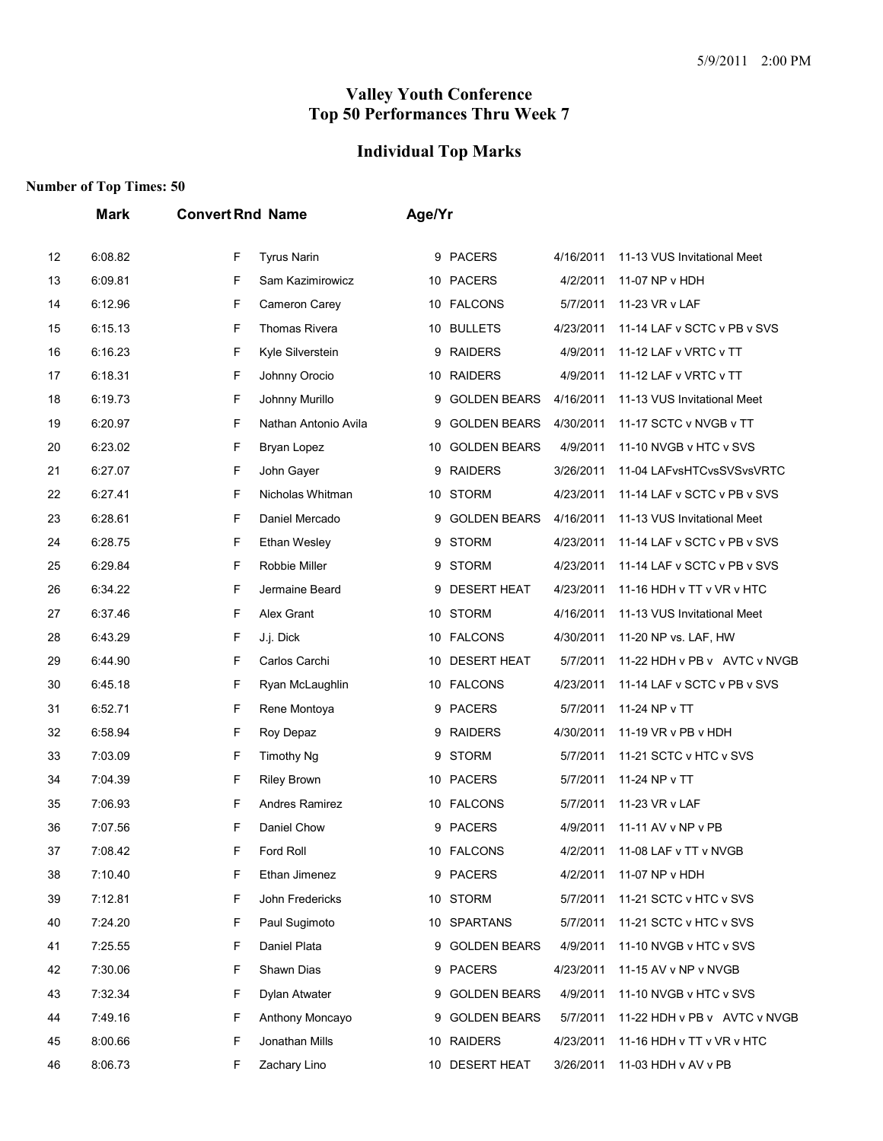# **Individual Top Marks**

|    | Mark    | <b>Convert Rnd Name</b>   | Age/Yr                                                               |
|----|---------|---------------------------|----------------------------------------------------------------------|
| 12 | 6:08.82 | F<br><b>Tyrus Narin</b>   | 9 PACERS<br>4/16/2011<br>11-13 VUS Invitational Meet                 |
| 13 | 6:09.81 | F<br>Sam Kazimirowicz     | 10 PACERS<br>4/2/2011<br>11-07 NP v HDH                              |
| 14 | 6:12.96 | F<br>Cameron Carey        | 10 FALCONS<br>5/7/2011<br>11-23 VR v LAF                             |
| 15 | 6:15.13 | F<br><b>Thomas Rivera</b> | <b>BULLETS</b><br>4/23/2011<br>11-14 LAF v SCTC v PB v SVS<br>10     |
| 16 | 6:16.23 | F<br>Kyle Silverstein     | <b>RAIDERS</b><br>4/9/2011<br>11-12 LAF v VRTC v TT<br>9             |
| 17 | 6:18.31 | F<br>Johnny Orocio        | 10 RAIDERS<br>4/9/2011<br>11-12 LAF v VRTC v TT                      |
| 18 | 6:19.73 | F<br>Johnny Murillo       | <b>GOLDEN BEARS</b><br>4/16/2011<br>11-13 VUS Invitational Meet<br>9 |
| 19 | 6:20.97 | F<br>Nathan Antonio Avila | <b>GOLDEN BEARS</b><br>4/30/2011<br>11-17 SCTC v NVGB v TT<br>9      |
| 20 | 6:23.02 | F<br>Bryan Lopez          | <b>GOLDEN BEARS</b><br>4/9/2011<br>10<br>11-10 NVGB v HTC v SVS      |
| 21 | 6:27.07 | F<br>John Gayer           | <b>RAIDERS</b><br>3/26/2011<br>9<br>11-04 LAFvsHTCvsSVSvsVRTC        |
| 22 | 6:27.41 | F<br>Nicholas Whitman     | 10 STORM<br>4/23/2011<br>11-14 LAF v SCTC v PB v SVS                 |
| 23 | 6:28.61 | F<br>Daniel Mercado       | <b>GOLDEN BEARS</b><br>4/16/2011<br>11-13 VUS Invitational Meet<br>9 |
| 24 | 6:28.75 | F<br><b>Ethan Wesley</b>  | STORM<br>4/23/2011<br>11-14 LAF v SCTC v PB v SVS<br>9               |
| 25 | 6:29.84 | F<br>Robbie Miller        | <b>STORM</b><br>4/23/2011<br>11-14 LAF v SCTC v PB v SVS<br>9        |
| 26 | 6:34.22 | F<br>Jermaine Beard       | <b>DESERT HEAT</b><br>4/23/2011<br>11-16 HDH v TT v VR v HTC<br>9    |
| 27 | 6:37.46 | F<br>Alex Grant           | <b>STORM</b><br>4/16/2011<br>11-13 VUS Invitational Meet<br>10       |
| 28 | 6:43.29 | F<br>J.j. Dick            | 10 FALCONS<br>4/30/2011<br>11-20 NP vs. LAF, HW                      |
| 29 | 6:44.90 | F<br>Carlos Carchi        | <b>DESERT HEAT</b><br>5/7/2011<br>11-22 HDH v PB v AVTC v NVGB<br>10 |
| 30 | 6:45.18 | F<br>Ryan McLaughlin      | 10 FALCONS<br>4/23/2011<br>11-14 LAF v SCTC v PB v SVS               |
| 31 | 6:52.71 | F<br>Rene Montoya         | <b>PACERS</b><br>5/7/2011<br>11-24 NP v TT<br>9                      |
| 32 | 6:58.94 | F<br>Roy Depaz            | <b>RAIDERS</b><br>4/30/2011<br>11-19 VR v PB v HDH<br>9              |
| 33 | 7:03.09 | F<br><b>Timothy Ng</b>    | <b>STORM</b><br>5/7/2011<br>11-21 SCTC v HTC v SVS<br>9              |
| 34 | 7:04.39 | F<br><b>Riley Brown</b>   | <b>PACERS</b><br>5/7/2011<br>11-24 NP v TT<br>10                     |
| 35 | 7:06.93 | F<br>Andres Ramirez       | <b>FALCONS</b><br>5/7/2011<br>11-23 VR v LAF<br>10                   |
| 36 | 7:07.56 | F<br>Daniel Chow          | <b>PACERS</b><br>4/9/2011<br>11-11 AV v NP v PB<br>9                 |
| 37 | 7:08.42 | F<br>Ford Roll            | 10 FALCONS<br>4/2/2011<br>11-08 LAF v TT v NVGB                      |
| 38 | 7:10.40 | F<br>Ethan Jimenez        | 9 PACERS<br>4/2/2011<br>11-07 NP v HDH                               |
| 39 | 7:12.81 | F<br>John Fredericks      | <b>STORM</b><br>5/7/2011<br>11-21 SCTC v HTC v SVS<br>10             |
| 40 | 7:24.20 | F<br>Paul Sugimoto        | 10 SPARTANS<br>5/7/2011<br>11-21 SCTC v HTC v SVS                    |
| 41 | 7:25.55 | F<br>Daniel Plata         | <b>GOLDEN BEARS</b><br>4/9/2011<br>9<br>11-10 NVGB v HTC v SVS       |
| 42 | 7:30.06 | F<br>Shawn Dias           | 9 PACERS<br>4/23/2011<br>11-15 AV v NP v NVGB                        |
| 43 | 7:32.34 | F<br>Dylan Atwater        | <b>GOLDEN BEARS</b><br>4/9/2011<br>11-10 NVGB v HTC v SVS<br>9       |
| 44 | 7:49.16 | F<br>Anthony Moncayo      | <b>GOLDEN BEARS</b><br>5/7/2011<br>11-22 HDH v PB v AVTC v NVGB<br>9 |
| 45 | 8:00.66 | F<br>Jonathan Mills       | 10 RAIDERS<br>4/23/2011<br>11-16 HDH v TT v VR v HTC                 |
| 46 | 8:06.73 | F<br>Zachary Lino         | 10 DESERT HEAT<br>3/26/2011<br>11-03 HDH v AV v PB                   |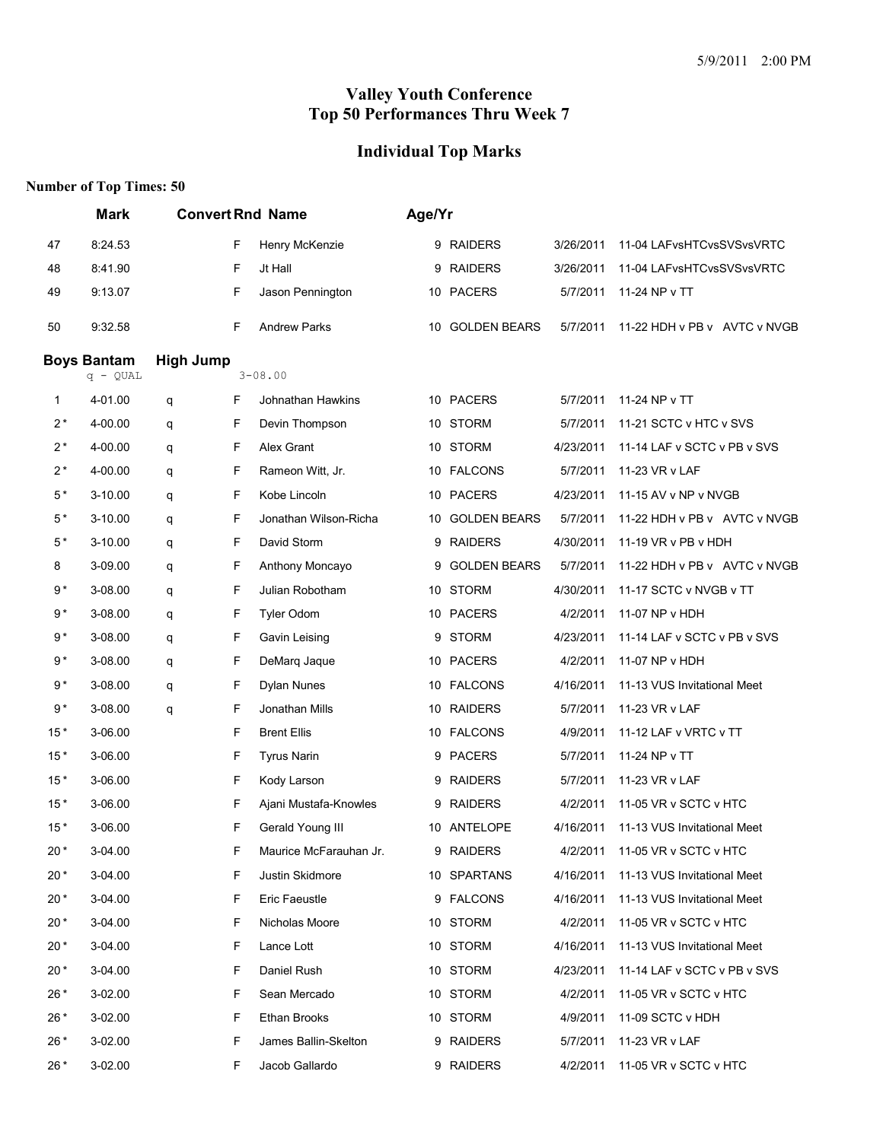# **Individual Top Marks**

|       | <b>Convert Rnd Name</b><br><b>Mark</b> |                  |   | Age/Yr                 |   |                     |           |                              |  |
|-------|----------------------------------------|------------------|---|------------------------|---|---------------------|-----------|------------------------------|--|
| 47    | 8:24.53                                |                  | F | Henry McKenzie         |   | 9 RAIDERS           | 3/26/2011 | 11-04 LAFvsHTCvsSVSvsVRTC    |  |
| 48    | 8:41.90                                |                  | F | Jt Hall                | 9 | <b>RAIDERS</b>      | 3/26/2011 | 11-04 LAFvsHTCvsSVSvsVRTC    |  |
| 49    | 9:13.07                                |                  | F | Jason Pennington       |   | 10 PACERS           | 5/7/2011  | 11-24 NP v TT                |  |
| 50    | 9:32.58                                |                  | F | <b>Andrew Parks</b>    |   | 10 GOLDEN BEARS     | 5/7/2011  | 11-22 HDH v PB v AVTC v NVGB |  |
|       | <b>Boys Bantam</b><br>$q - QUAL$       | <b>High Jump</b> |   | $3 - 08.00$            |   |                     |           |                              |  |
| 1     | 4-01.00                                | q                | F | Johnathan Hawkins      |   | 10 PACERS           | 5/7/2011  | 11-24 NP v TT                |  |
| $2^*$ | 4-00.00                                | q                | F | Devin Thompson         |   | 10 STORM            | 5/7/2011  | 11-21 SCTC v HTC v SVS       |  |
| $2^*$ | 4-00.00                                | q                | F | Alex Grant             |   | 10 STORM            | 4/23/2011 | 11-14 LAF v SCTC v PB v SVS  |  |
| $2^*$ | 4-00.00                                | q                | F | Rameon Witt, Jr.       |   | 10 FALCONS          | 5/7/2011  | 11-23 VR v LAF               |  |
| $5*$  | 3-10.00                                | q                | F | Kobe Lincoln           |   | 10 PACERS           | 4/23/2011 | 11-15 AV v NP v NVGB         |  |
| $5*$  | 3-10.00                                | q                | F | Jonathan Wilson-Richa  |   | 10 GOLDEN BEARS     | 5/7/2011  | 11-22 HDH v PB v AVTC v NVGB |  |
| $5*$  | 3-10.00                                | q                | F | David Storm            |   | 9 RAIDERS           | 4/30/2011 | 11-19 VR v PB v HDH          |  |
| 8     | 3-09.00                                | q                | F | Anthony Moncayo        | 9 | <b>GOLDEN BEARS</b> | 5/7/2011  | 11-22 HDH v PB v AVTC v NVGB |  |
| 9*    | 3-08.00                                | q                | F | Julian Robotham        |   | 10 STORM            | 4/30/2011 | 11-17 SCTC v NVGB v TT       |  |
| $9*$  | 3-08.00                                | q                | F | <b>Tyler Odom</b>      |   | 10 PACERS           | 4/2/2011  | 11-07 NP v HDH               |  |
| $9*$  | 3-08.00                                | q                | F | Gavin Leising          |   | 9 STORM             | 4/23/2011 | 11-14 LAF v SCTC v PB v SVS  |  |
| $9*$  | 3-08.00                                | q                | F | DeMarq Jaque           |   | 10 PACERS           | 4/2/2011  | 11-07 NP v HDH               |  |
| $9*$  | 3-08.00                                | q                | F | Dylan Nunes            |   | 10 FALCONS          | 4/16/2011 | 11-13 VUS Invitational Meet  |  |
| $9*$  | 3-08.00                                | q                | F | Jonathan Mills         |   | 10 RAIDERS          | 5/7/2011  | 11-23 VR v LAF               |  |
| $15*$ | 3-06.00                                |                  | F | <b>Brent Ellis</b>     |   | 10 FALCONS          | 4/9/2011  | 11-12 LAF v VRTC v TT        |  |
| $15*$ | 3-06.00                                |                  | F | <b>Tyrus Narin</b>     |   | 9 PACERS            | 5/7/2011  | 11-24 NP v TT                |  |
| $15*$ | 3-06.00                                |                  | F | Kody Larson            | 9 | <b>RAIDERS</b>      | 5/7/2011  | 11-23 VR v LAF               |  |
| $15*$ | 3-06.00                                |                  | F | Ajani Mustafa-Knowles  |   | 9 RAIDERS           | 4/2/2011  | 11-05 VR v SCTC v HTC        |  |
| $15*$ | 3-06.00                                |                  | F | Gerald Young III       |   | 10 ANTELOPE         | 4/16/2011 | 11-13 VUS Invitational Meet  |  |
| $20*$ | 3-04.00                                |                  | F | Maurice McFarauhan Jr. | 9 | <b>RAIDERS</b>      | 4/2/2011  | 11-05 VR v SCTC v HTC        |  |
| $20*$ | 3-04.00                                |                  | F | Justin Skidmore        |   | 10 SPARTANS         | 4/16/2011 | 11-13 VUS Invitational Meet  |  |
| 20 *  | 3-04.00                                |                  | F | Eric Faeustle          |   | 9 FALCONS           | 4/16/2011 | 11-13 VUS Invitational Meet  |  |
| 20 *  | 3-04.00                                |                  | F | Nicholas Moore         |   | 10 STORM            | 4/2/2011  | 11-05 VR v SCTC v HTC        |  |
| 20 *  | 3-04.00                                |                  | F | Lance Lott             |   | 10 STORM            | 4/16/2011 | 11-13 VUS Invitational Meet  |  |
| 20 *  | 3-04.00                                |                  | F | Daniel Rush            |   | 10 STORM            | 4/23/2011 | 11-14 LAF v SCTC v PB v SVS  |  |
| 26 *  | 3-02.00                                |                  | F | Sean Mercado           |   | 10 STORM            | 4/2/2011  | 11-05 VR v SCTC v HTC        |  |
| 26 *  | 3-02.00                                |                  | F | <b>Ethan Brooks</b>    |   | 10 STORM            | 4/9/2011  | 11-09 SCTC v HDH             |  |
| 26 *  | 3-02.00                                |                  | F | James Ballin-Skelton   |   | 9 RAIDERS           | 5/7/2011  | 11-23 VR v LAF               |  |
| 26 *  | 3-02.00                                |                  | F | Jacob Gallardo         |   | 9 RAIDERS           | 4/2/2011  | 11-05 VR v SCTC v HTC        |  |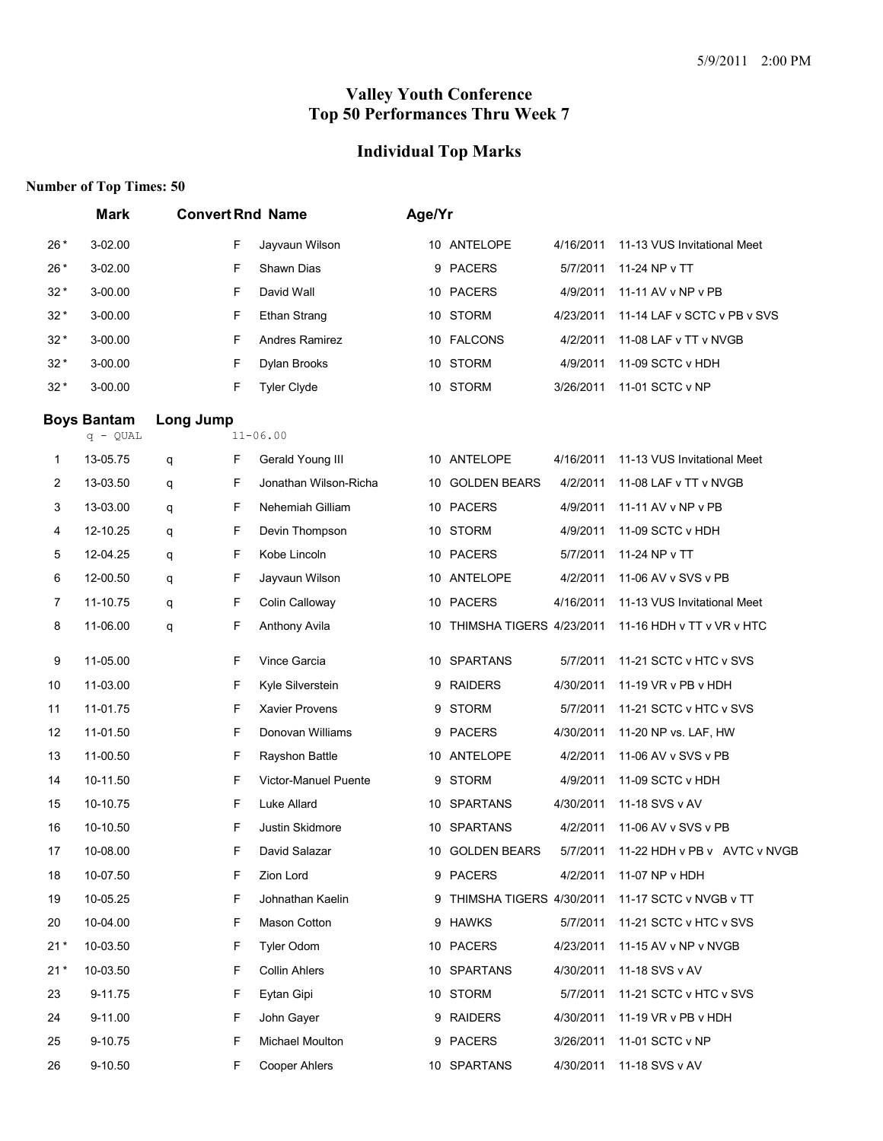# **Individual Top Marks**

|       | <b>Mark</b>                      | <b>Convert Rnd Name</b> |                       | Age/Yr |                             |           |                             |
|-------|----------------------------------|-------------------------|-----------------------|--------|-----------------------------|-----------|-----------------------------|
| $26*$ | 3-02.00                          | F                       | Jayvaun Wilson        |        | 10 ANTELOPE                 | 4/16/2011 | 11-13 VUS Invitational Meet |
| $26*$ | 3-02.00                          | F                       | Shawn Dias            | 9      | <b>PACERS</b>               | 5/7/2011  | 11-24 NP v TT               |
| $32*$ | 3-00.00                          | F                       | David Wall            |        | 10 PACERS                   | 4/9/2011  | 11-11 AV v NP v PB          |
| $32*$ | 3-00.00                          | F                       | <b>Ethan Strang</b>   |        | 10 STORM                    | 4/23/2011 | 11-14 LAF v SCTC v PB v SVS |
| $32*$ | 3-00.00                          | F                       | Andres Ramirez        |        | 10 FALCONS                  | 4/2/2011  | 11-08 LAF v TT v NVGB       |
| $32*$ | 3-00.00                          | F                       | Dylan Brooks          |        | 10 STORM                    | 4/9/2011  | 11-09 SCTC v HDH            |
| $32*$ | 3-00.00                          | F                       | <b>Tyler Clyde</b>    |        | 10 STORM                    | 3/26/2011 | 11-01 SCTC v NP             |
|       | <b>Boys Bantam</b><br>$q - QUAL$ | Long Jump               | $11 - 06.00$          |        |                             |           |                             |
| 1     | 13-05.75                         | F<br>q                  | Gerald Young III      |        | 10 ANTELOPE                 | 4/16/2011 | 11-13 VUS Invitational Meet |
| 2     | 13-03.50                         | F<br>q                  | Jonathan Wilson-Richa | 10     | <b>GOLDEN BEARS</b>         | 4/2/2011  | 11-08 LAF v TT v NVGB       |
| 3     | 13-03.00                         | F<br>q                  | Nehemiah Gilliam      |        | 10 PACERS                   | 4/9/2011  | 11-11 AV v NP v PB          |
| 4     | 12-10.25                         | F<br>q                  | Devin Thompson        |        | 10 STORM                    | 4/9/2011  | 11-09 SCTC v HDH            |
| 5     | 12-04.25                         | F<br>q                  | Kobe Lincoln          |        | 10 PACERS                   | 5/7/2011  | 11-24 NP v TT               |
| 6     | 12-00.50                         | F<br>q                  | Jayvaun Wilson        | 10     | ANTELOPE                    | 4/2/2011  | 11-06 AV v SVS v PB         |
| 7     | 11-10.75                         | F<br>q                  | Colin Calloway        |        | 10 PACERS                   | 4/16/2011 | 11-13 VUS Invitational Meet |
| 8     | 11-06.00                         | F<br>q                  | Anthony Avila         |        | 10 THIMSHA TIGERS 4/23/2011 |           | 11-16 HDH v TT v VR v HTC   |
| 9     | 11-05.00                         | F                       | Vince Garcia          |        | 10 SPARTANS                 | 5/7/2011  | 11-21 SCTC v HTC v SVS      |
| 10    | 11-03.00                         | F                       | Kyle Silverstein      | 9      | <b>RAIDERS</b>              | 4/30/2011 | 11-19 VR v PB v HDH         |
| 11    | 11-01.75                         | F                       | Xavier Provens        | 9      | <b>STORM</b>                | 5/7/2011  | 11-21 SCTC v HTC v SVS      |
| 12    | 11-01.50                         | F                       | Donovan Williams      | 9      | <b>PACERS</b>               | 4/30/2011 | 11-20 NP vs. LAF, HW        |
| 13    | 11-00.50                         | F                       | Rayshon Battle        |        | 10 ANTELOPE                 | 4/2/2011  | 11-06 AV v SVS v PB         |
| 14    | 10-11.50                         | F                       | Victor-Manuel Puente  | 9      | <b>STORM</b>                | 4/9/2011  | 11-09 SCTC v HDH            |
| 15    | 10-10.75                         | F                       | Luke Allard           |        | 10 SPARTANS                 | 4/30/2011 | 11-18 SVS v AV              |
| 16    | 10-10.50                         | F                       | Justin Skidmore       | 10     | <b>SPARTANS</b>             | 4/2/2011  | 11-06 AV v SVS v PB         |
| 17    | 10-08.00                         | F                       | David Salazar         |        | 10 GOLDEN BEARS             |           |                             |
| 18    | 10-07.50                         | F                       | Zion Lord             |        | 9 PACERS                    | 4/2/2011  | 11-07 NP v HDH              |
| 19    | 10-05.25                         | F                       | Johnathan Kaelin      |        | 9 THIMSHA TIGERS 4/30/2011  |           | 11-17 SCTC v NVGB v TT      |
| 20    | 10-04.00                         | F                       | Mason Cotton          |        | 9 HAWKS                     | 5/7/2011  | 11-21 SCTC v HTC v SVS      |
| $21*$ | 10-03.50                         | F                       | Tyler Odom            |        | 10 PACERS                   | 4/23/2011 | 11-15 AV v NP v NVGB        |
| $21*$ | 10-03.50                         | F                       | <b>Collin Ahlers</b>  |        | 10 SPARTANS                 | 4/30/2011 | 11-18 SVS v AV              |
| 23    | 9-11.75                          | F                       | Eytan Gipi            |        | 10 STORM                    | 5/7/2011  | 11-21 SCTC v HTC v SVS      |
| 24    | 9-11.00                          | F                       | John Gayer            |        | 9 RAIDERS                   | 4/30/2011 | 11-19 VR v PB v HDH         |
| 25    | 9-10.75                          | F                       | Michael Moulton       |        | 9 PACERS                    | 3/26/2011 | 11-01 SCTC v NP             |
| 26    | 9-10.50                          | F                       | <b>Cooper Ahlers</b>  |        | 10 SPARTANS                 | 4/30/2011 | 11-18 SVS v AV              |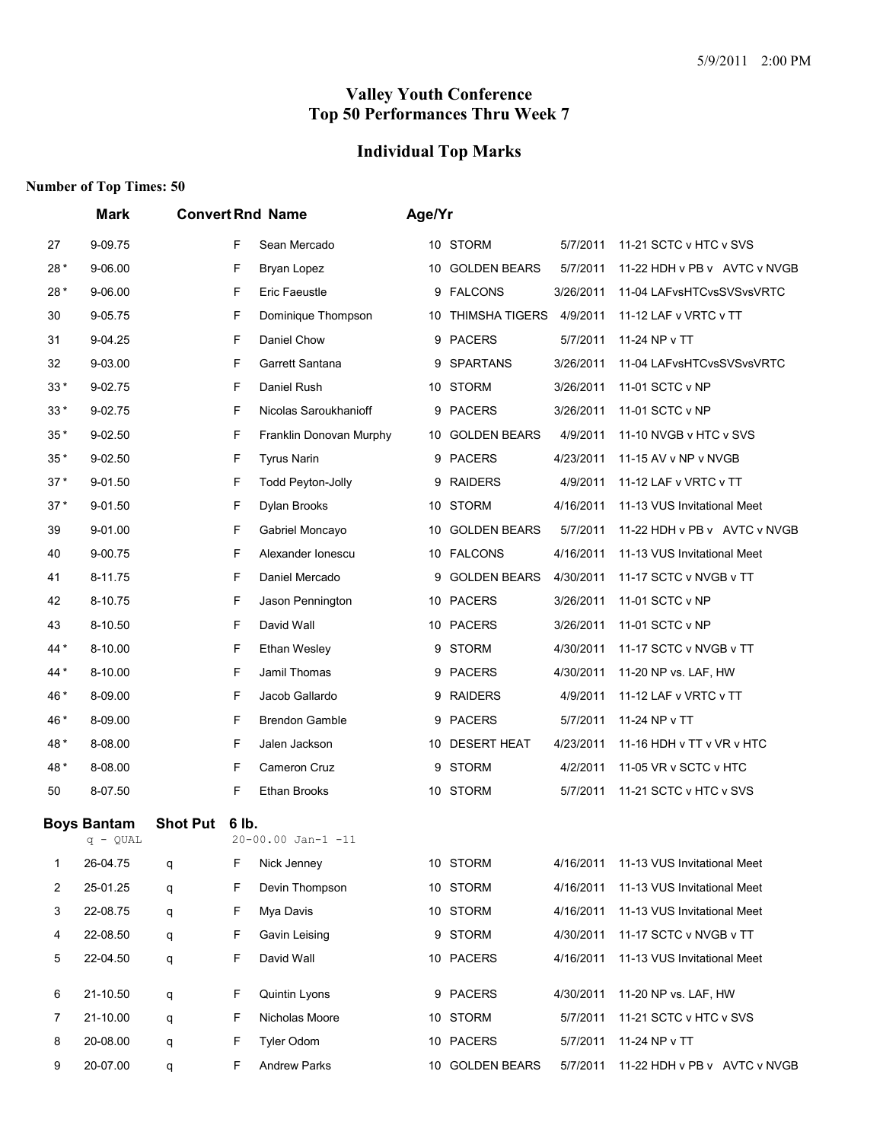# **Individual Top Marks**

|       | Mark                           |                 |       | <b>Convert Rnd Name</b> | Age/Yr |                       |           |                              |
|-------|--------------------------------|-----------------|-------|-------------------------|--------|-----------------------|-----------|------------------------------|
| 27    | 9-09.75                        |                 | F     | Sean Mercado            |        | 10 STORM              | 5/7/2011  | 11-21 SCTC v HTC v SVS       |
| $28*$ | 9-06.00                        |                 | F     | Bryan Lopez             |        | 10 GOLDEN BEARS       | 5/7/2011  | 11-22 HDH v PB v AVTC v NVGB |
| 28*   | 9-06.00                        |                 | F     | Eric Faeustle           |        | 9 FALCONS             | 3/26/2011 | 11-04 LAFvsHTCvsSVSvsVRTC    |
| 30    | 9-05.75                        |                 | F     | Dominique Thompson      | 10     | <b>THIMSHA TIGERS</b> | 4/9/2011  | 11-12 LAF v VRTC v TT        |
| 31    | 9-04.25                        |                 | F     | Daniel Chow             |        | 9 PACERS              | 5/7/2011  | 11-24 NP v TT                |
| 32    | 9-03.00                        |                 | F     | Garrett Santana         | 9      | <b>SPARTANS</b>       | 3/26/2011 | 11-04 LAFvsHTCvsSVSvsVRTC    |
| 33 *  | 9-02.75                        |                 | F     | Daniel Rush             |        | 10 STORM              | 3/26/2011 | 11-01 SCTC v NP              |
| $33*$ | 9-02.75                        |                 | F     | Nicolas Saroukhanioff   |        | 9 PACERS              | 3/26/2011 | 11-01 SCTC v NP              |
| $35*$ | 9-02.50                        |                 | F     | Franklin Donovan Murphy | 10     | <b>GOLDEN BEARS</b>   | 4/9/2011  | 11-10 NVGB v HTC v SVS       |
| $35*$ | 9-02.50                        |                 | F     | <b>Tyrus Narin</b>      | 9      | <b>PACERS</b>         | 4/23/2011 | 11-15 AV v NP v NVGB         |
| $37*$ | 9-01.50                        |                 | F     | Todd Peyton-Jolly       |        | 9 RAIDERS             | 4/9/2011  | 11-12 LAF v VRTC v TT        |
| $37*$ | 9-01.50                        |                 | F     | Dylan Brooks            |        | 10 STORM              | 4/16/2011 | 11-13 VUS Invitational Meet  |
| 39    | 9-01.00                        |                 | F     | Gabriel Moncayo         | 10     | <b>GOLDEN BEARS</b>   | 5/7/2011  | 11-22 HDH v PB v AVTC v NVGB |
| 40    | 9-00.75                        |                 | F     | Alexander Ionescu       |        | 10 FALCONS            | 4/16/2011 | 11-13 VUS Invitational Meet  |
| 41    | 8-11.75                        |                 | F     | Daniel Mercado          | 9      | <b>GOLDEN BEARS</b>   | 4/30/2011 | 11-17 SCTC v NVGB v TT       |
| 42    | 8-10.75                        |                 | F     | Jason Pennington        |        | 10 PACERS             | 3/26/2011 | 11-01 SCTC v NP              |
| 43    | 8-10.50                        |                 | F     | David Wall              |        | 10 PACERS             | 3/26/2011 | 11-01 SCTC v NP              |
| 44*   | 8-10.00                        |                 | F     | <b>Ethan Wesley</b>     | 9      | <b>STORM</b>          | 4/30/2011 | 11-17 SCTC v NVGB v TT       |
| 44*   | 8-10.00                        |                 | F     | Jamil Thomas            |        | 9 PACERS              | 4/30/2011 | 11-20 NP vs. LAF, HW         |
| 46*   | 8-09.00                        |                 | F     | Jacob Gallardo          |        | 9 RAIDERS             | 4/9/2011  | 11-12 LAF v VRTC v TT        |
| 46 *  | 8-09.00                        |                 | F     | <b>Brendon Gamble</b>   | 9      | <b>PACERS</b>         | 5/7/2011  | 11-24 NP v TT                |
| 48*   | 8-08.00                        |                 | F     | Jalen Jackson           | 10     | <b>DESERT HEAT</b>    | 4/23/2011 | 11-16 HDH v TT v VR v HTC    |
| 48*   | 8-08.00                        |                 | F     | Cameron Cruz            |        | 9 STORM               | 4/2/2011  | 11-05 VR v SCTC v HTC        |
| 50    | 8-07.50                        |                 | F     | <b>Ethan Brooks</b>     |        | 10 STORM              | 5/7/2011  | 11-21 SCTC v HTC v SVS       |
|       | <b>Boys Bantam</b><br>q - QUAL | <b>Shot Put</b> | 6 lb. | 20-00.00 Jan-1 -11      |        |                       |           |                              |
| 1     | 26-04.75                       | q               | F     | Nick Jenney             |        | 10 STORM              | 4/16/2011 | 11-13 VUS Invitational Meet  |
| 2     | 25-01.25                       | q               | F     | Devin Thompson          |        | 10 STORM              | 4/16/2011 | 11-13 VUS Invitational Meet  |
| 3     | 22-08.75                       | q               | F     | Mya Davis               |        | 10 STORM              | 4/16/2011 | 11-13 VUS Invitational Meet  |
| 4     | 22-08.50                       | q               | F     | Gavin Leising           |        | 9 STORM               | 4/30/2011 | 11-17 SCTC v NVGB v TT       |
| 5     | 22-04.50                       | q               | F     | David Wall              |        | 10 PACERS             | 4/16/2011 | 11-13 VUS Invitational Meet  |
| 6     | 21-10.50                       | q               | F     | Quintin Lyons           |        | 9 PACERS              | 4/30/2011 | 11-20 NP vs. LAF, HW         |
| 7     | 21-10.00                       | q               | F     | Nicholas Moore          |        | 10 STORM              | 5/7/2011  | 11-21 SCTC v HTC v SVS       |
| 8     | 20-08.00                       | q               | F     | Tyler Odom              |        | 10 PACERS             | 5/7/2011  | 11-24 NP v TT                |
| 9     | 20-07.00                       | q               | F     | <b>Andrew Parks</b>     |        | 10 GOLDEN BEARS       | 5/7/2011  | 11-22 HDH v PB v AVTC v NVGB |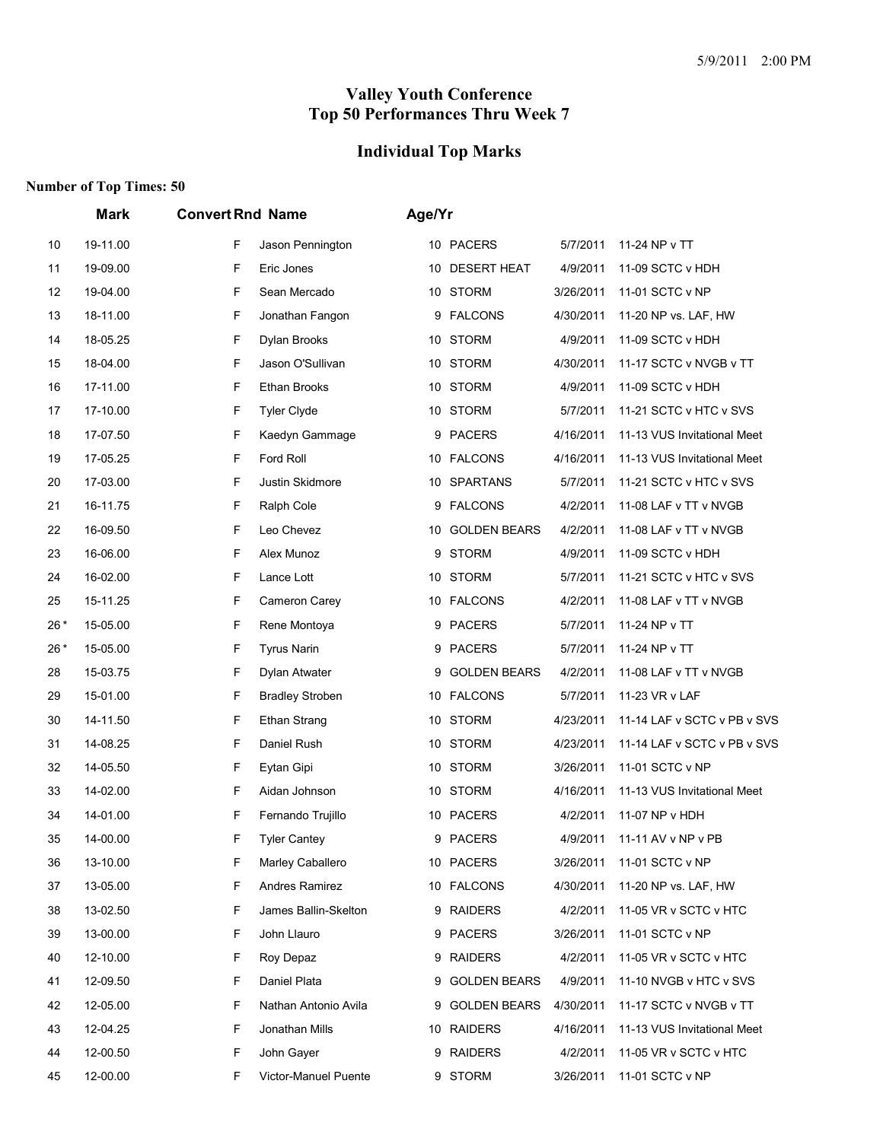# **Individual Top Marks**

|       | Mark<br><b>Convert Rnd Name</b> |   | Age/Yr                 |    |                    |           |                             |  |
|-------|---------------------------------|---|------------------------|----|--------------------|-----------|-----------------------------|--|
| 10    | 19-11.00                        | F | Jason Pennington       |    | 10 PACERS          | 5/7/2011  | 11-24 NP v TT               |  |
| 11    | 19-09.00                        | F | Eric Jones             | 10 | <b>DESERT HEAT</b> | 4/9/2011  | 11-09 SCTC v HDH            |  |
| 12    | 19-04.00                        | F | Sean Mercado           |    | 10 STORM           | 3/26/2011 | 11-01 SCTC v NP             |  |
| 13    | 18-11.00                        | F | Jonathan Fangon        |    | 9 FALCONS          | 4/30/2011 | 11-20 NP vs. LAF, HW        |  |
| 14    | 18-05.25                        | F | Dylan Brooks           |    | 10 STORM           | 4/9/2011  | 11-09 SCTC v HDH            |  |
| 15    | 18-04.00                        | F | Jason O'Sullivan       |    | 10 STORM           | 4/30/2011 | 11-17 SCTC v NVGB v TT      |  |
| 16    | 17-11.00                        | F | <b>Ethan Brooks</b>    |    | 10 STORM           | 4/9/2011  | 11-09 SCTC v HDH            |  |
| 17    | 17-10.00                        | F | <b>Tyler Clyde</b>     |    | 10 STORM           | 5/7/2011  | 11-21 SCTC v HTC v SVS      |  |
| 18    | 17-07.50                        | F | Kaedyn Gammage         | 9  | <b>PACERS</b>      | 4/16/2011 | 11-13 VUS Invitational Meet |  |
| 19    | 17-05.25                        | F | Ford Roll              |    | 10 FALCONS         | 4/16/2011 | 11-13 VUS Invitational Meet |  |
| 20    | 17-03.00                        | F | Justin Skidmore        |    | 10 SPARTANS        | 5/7/2011  | 11-21 SCTC v HTC v SVS      |  |
| 21    | 16-11.75                        | F | Ralph Cole             |    | 9 FALCONS          | 4/2/2011  | 11-08 LAF v TT v NVGB       |  |
| 22    | 16-09.50                        | F | Leo Chevez             |    | 10 GOLDEN BEARS    | 4/2/2011  | 11-08 LAF v TT v NVGB       |  |
| 23    | 16-06.00                        | F | Alex Munoz             | 9  | <b>STORM</b>       | 4/9/2011  | 11-09 SCTC v HDH            |  |
| 24    | 16-02.00                        | F | Lance Lott             |    | 10 STORM           | 5/7/2011  | 11-21 SCTC v HTC v SVS      |  |
| 25    | 15-11.25                        | F | Cameron Carev          |    | 10 FALCONS         | 4/2/2011  | 11-08 LAF v TT v NVGB       |  |
| $26*$ | 15-05.00                        | F | Rene Montoya           | 9  | <b>PACERS</b>      | 5/7/2011  | 11-24 NP v TT               |  |
| 26*   | 15-05.00                        | F | <b>Tyrus Narin</b>     |    | 9 PACERS           | 5/7/2011  | 11-24 NP v TT               |  |
| 28    | 15-03.75                        | F | Dylan Atwater          |    | 9 GOLDEN BEARS     | 4/2/2011  | 11-08 LAF v TT v NVGB       |  |
| 29    | 15-01.00                        | F | <b>Bradley Stroben</b> |    | 10 FALCONS         | 5/7/2011  | 11-23 VR v LAF              |  |
| 30    | 14-11.50                        | F | <b>Ethan Strang</b>    |    | 10 STORM           | 4/23/2011 | 11-14 LAF v SCTC v PB v SVS |  |
| 31    | 14-08.25                        | F | Daniel Rush            |    | 10 STORM           | 4/23/2011 | 11-14 LAF v SCTC v PB v SVS |  |
| 32    | 14-05.50                        | F | Eytan Gipi             |    | 10 STORM           | 3/26/2011 | 11-01 SCTC v NP             |  |
| 33    | 14-02.00                        | F | Aidan Johnson          |    | 10 STORM           | 4/16/2011 | 11-13 VUS Invitational Meet |  |
| 34    | 14-01.00                        | F | Fernando Trujillo      |    | 10 PACERS          | 4/2/2011  | 11-07 NP v HDH              |  |
| 35    | 14-00.00                        | F | <b>Tyler Cantey</b>    |    | 9 PACERS           | 4/9/2011  | 11-11 AV v NP v PB          |  |
| 36    | 13-10.00                        | F | Marley Caballero       |    | 10 PACERS          | 3/26/2011 | 11-01 SCTC v NP             |  |
| 37    | 13-05.00                        | F | Andres Ramirez         |    | 10 FALCONS         | 4/30/2011 | 11-20 NP vs. LAF, HW        |  |
| 38    | 13-02.50                        | F | James Ballin-Skelton   |    | 9 RAIDERS          | 4/2/2011  | 11-05 VR v SCTC v HTC       |  |
| 39    | 13-00.00                        | F | John Llauro            |    | 9 PACERS           | 3/26/2011 | 11-01 SCTC v NP             |  |
| 40    | 12-10.00                        | F | Roy Depaz              |    | 9 RAIDERS          | 4/2/2011  | 11-05 VR v SCTC v HTC       |  |
| 41    | 12-09.50                        | F | Daniel Plata           |    | 9 GOLDEN BEARS     | 4/9/2011  | 11-10 NVGB v HTC v SVS      |  |
| 42    | 12-05.00                        | F | Nathan Antonio Avila   |    | 9 GOLDEN BEARS     | 4/30/2011 | 11-17 SCTC v NVGB v TT      |  |
| 43    | 12-04.25                        | F | Jonathan Mills         |    | 10 RAIDERS         | 4/16/2011 | 11-13 VUS Invitational Meet |  |
| 44    | 12-00.50                        | F | John Gayer             |    | 9 RAIDERS          | 4/2/2011  | 11-05 VR v SCTC v HTC       |  |
| 45    | 12-00.00                        | F | Victor-Manuel Puente   |    | 9 STORM            | 3/26/2011 | 11-01 SCTC v NP             |  |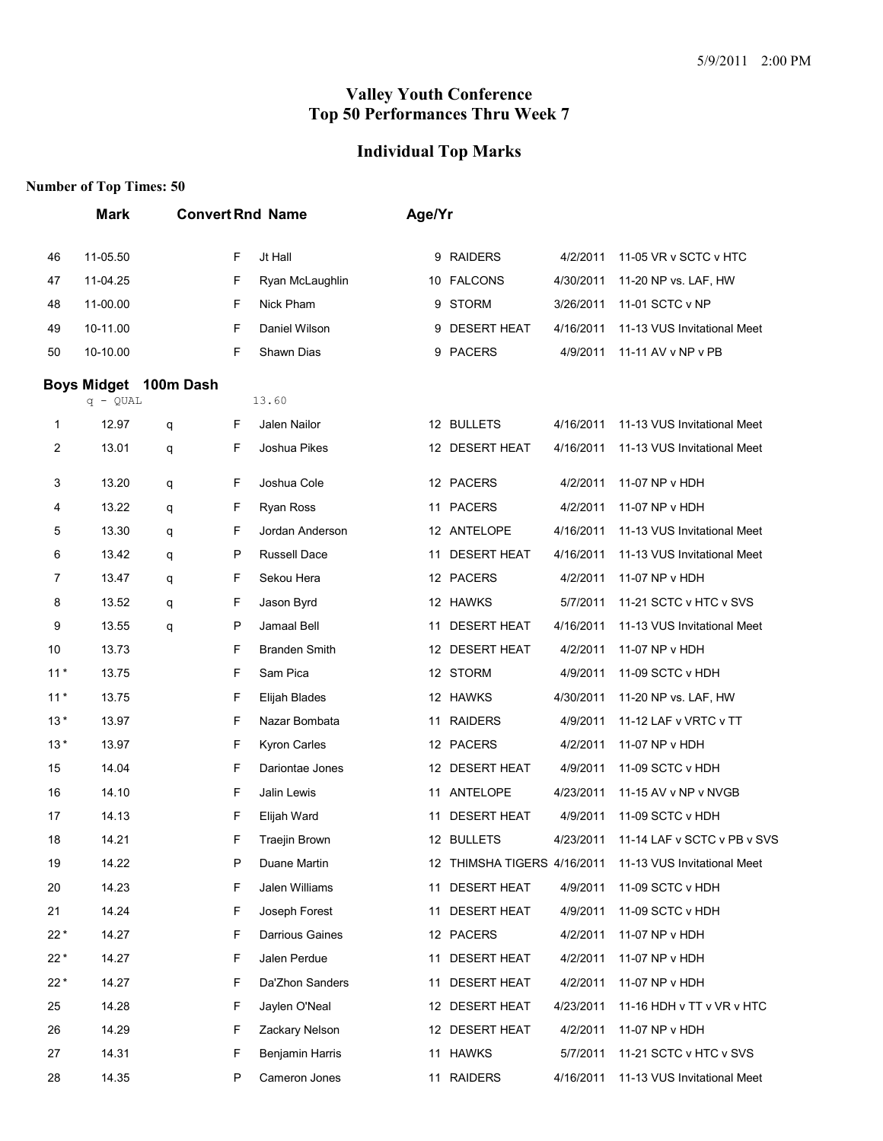# **Individual Top Marks**

|       | <b>Mark</b>        |           |         | <b>Convert Rnd Name</b> | Age/Yr |                             |           |                             |  |  |  |
|-------|--------------------|-----------|---------|-------------------------|--------|-----------------------------|-----------|-----------------------------|--|--|--|
| 46    | 11-05.50           |           | F       | Jt Hall                 |        | 9 RAIDERS                   | 4/2/2011  | 11-05 VR v SCTC v HTC       |  |  |  |
| 47    | 11-04.25           |           | F       | Ryan McLaughlin         |        | 10 FALCONS                  | 4/30/2011 | 11-20 NP vs. LAF, HW        |  |  |  |
| 48    | 11-00.00           |           | F       | Nick Pham               |        | 9 STORM                     | 3/26/2011 | 11-01 SCTC v NP             |  |  |  |
| 49    | 10-11.00           |           | F       | Daniel Wilson           |        | 9 DESERT HEAT               | 4/16/2011 | 11-13 VUS Invitational Meet |  |  |  |
| 50    | 10-10.00           |           | F       | Shawn Dias              |        | 9 PACERS                    | 4/9/2011  | 11-11 AV v NP v PB          |  |  |  |
|       | <b>Boys Midget</b> | 100m Dash |         |                         |        |                             |           |                             |  |  |  |
|       | $q - QUAL$         |           |         | 13.60                   |        |                             |           |                             |  |  |  |
| 1     | 12.97              | q         | F       | Jalen Nailor            |        | 12 BULLETS                  | 4/16/2011 | 11-13 VUS Invitational Meet |  |  |  |
| 2     | 13.01              | q         | F       | Joshua Pikes            |        | 12 DESERT HEAT              | 4/16/2011 | 11-13 VUS Invitational Meet |  |  |  |
| 3     | 13.20              | q         | F       | Joshua Cole             |        | 12 PACERS                   | 4/2/2011  | 11-07 NP v HDH              |  |  |  |
| 4     | 13.22              | q         | F       | Ryan Ross               |        | 11 PACERS                   | 4/2/2011  | 11-07 NP v HDH              |  |  |  |
| 5     | 13.30              | q         | F       | Jordan Anderson         |        | 12 ANTELOPE                 | 4/16/2011 | 11-13 VUS Invitational Meet |  |  |  |
| 6     | 13.42              | q         | $\sf P$ | Russell Dace            | 11     | <b>DESERT HEAT</b>          | 4/16/2011 | 11-13 VUS Invitational Meet |  |  |  |
| 7     | 13.47              | q         | F       | Sekou Hera              |        | 12 PACERS                   | 4/2/2011  | 11-07 NP v HDH              |  |  |  |
| 8     | 13.52              | q         | F       | Jason Byrd              |        | 12 HAWKS                    | 5/7/2011  | 11-21 SCTC v HTC v SVS      |  |  |  |
| 9     | 13.55              | q         | P       | Jamaal Bell             | 11     | <b>DESERT HEAT</b>          | 4/16/2011 | 11-13 VUS Invitational Meet |  |  |  |
| 10    | 13.73              |           | F       | <b>Branden Smith</b>    |        | 12 DESERT HEAT              | 4/2/2011  | 11-07 NP v HDH              |  |  |  |
| $11*$ | 13.75              |           | F       | Sam Pica                |        | 12 STORM                    | 4/9/2011  | 11-09 SCTC v HDH            |  |  |  |
| $11*$ | 13.75              |           | F       | Elijah Blades           |        | 12 HAWKS                    | 4/30/2011 | 11-20 NP vs. LAF, HW        |  |  |  |
| $13*$ | 13.97              |           | F       | Nazar Bombata           |        | 11 RAIDERS                  | 4/9/2011  | 11-12 LAF v VRTC v TT       |  |  |  |
| $13*$ | 13.97              |           | F       | Kyron Carles            |        | 12 PACERS                   | 4/2/2011  | 11-07 NP v HDH              |  |  |  |
| 15    | 14.04              |           | F       | Dariontae Jones         |        | 12 DESERT HEAT              | 4/9/2011  | 11-09 SCTC v HDH            |  |  |  |
| 16    | 14.10              |           | F       | Jalin Lewis             |        | 11 ANTELOPE                 | 4/23/2011 | 11-15 AV v NP v NVGB        |  |  |  |
| 17    | 14.13              |           | F       | Elijah Ward             | 11     | <b>DESERT HEAT</b>          | 4/9/2011  | 11-09 SCTC v HDH            |  |  |  |
| 18    | 14.21              |           | F       | Traejin Brown           |        | 12 BULLETS                  | 4/23/2011 | 11-14 LAF v SCTC v PB v SVS |  |  |  |
| 19    | 14.22              |           | P       | Duane Martin            |        | 12 THIMSHA TIGERS 4/16/2011 |           | 11-13 VUS Invitational Meet |  |  |  |
| 20    | 14.23              |           | F       | Jalen Williams          | 11     | <b>DESERT HEAT</b>          | 4/9/2011  | 11-09 SCTC v HDH            |  |  |  |
| 21    | 14.24              |           | F       | Joseph Forest           | 11     | <b>DESERT HEAT</b>          | 4/9/2011  | 11-09 SCTC v HDH            |  |  |  |
| $22*$ | 14.27              |           | F       | Darrious Gaines         |        | 12 PACERS                   | 4/2/2011  | 11-07 NP v HDH              |  |  |  |
| $22*$ | 14.27              |           | F       | Jalen Perdue            | 11     | <b>DESERT HEAT</b>          | 4/2/2011  | 11-07 NP v HDH              |  |  |  |
| 22*   | 14.27              |           | F       | Da'Zhon Sanders         | 11     | <b>DESERT HEAT</b>          | 4/2/2011  | 11-07 NP v HDH              |  |  |  |
| 25    | 14.28              |           | F       | Jaylen O'Neal           |        | 12 DESERT HEAT              | 4/23/2011 | 11-16 HDH v TT v VR v HTC   |  |  |  |
| 26    | 14.29              |           | F       | Zackary Nelson          |        | 12 DESERT HEAT              | 4/2/2011  | 11-07 NP v HDH              |  |  |  |
| 27    | 14.31              |           | F       | Benjamin Harris         |        | 11 HAWKS                    | 5/7/2011  | 11-21 SCTC v HTC v SVS      |  |  |  |
| 28    | 14.35              |           | P       | Cameron Jones           |        | 11 RAIDERS                  | 4/16/2011 | 11-13 VUS Invitational Meet |  |  |  |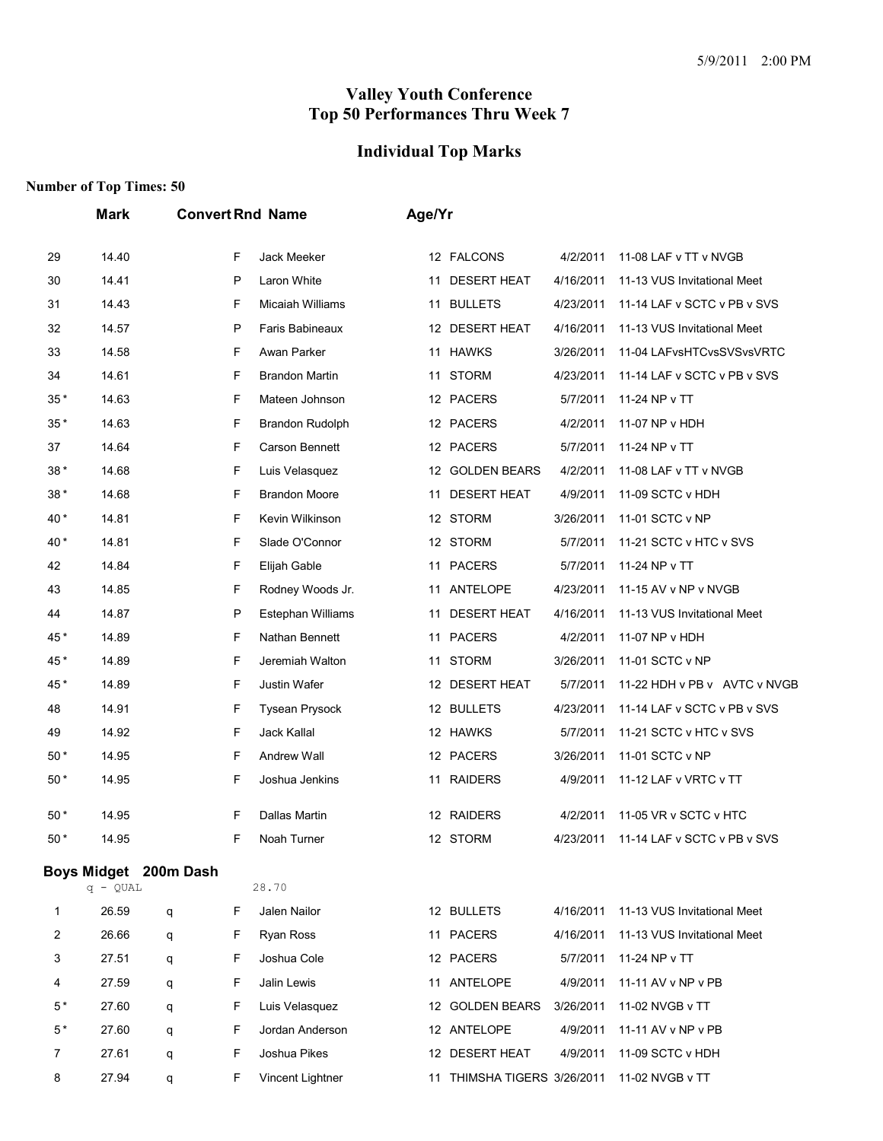# **Individual Top Marks**

|       | <b>Mark</b>                         |   |   | <b>Convert Rnd Name</b> | Age/Yr |                             |           |                              |
|-------|-------------------------------------|---|---|-------------------------|--------|-----------------------------|-----------|------------------------------|
| 29    | 14.40                               |   | F | Jack Meeker             |        | 12 FALCONS                  | 4/2/2011  | 11-08 LAF v TT v NVGB        |
| 30    | 14.41                               |   | P | Laron White             |        | 11 DESERT HEAT              | 4/16/2011 | 11-13 VUS Invitational Meet  |
| 31    | 14.43                               |   | F | <b>Micaiah Williams</b> |        | 11 BULLETS                  | 4/23/2011 | 11-14 LAF v SCTC v PB v SVS  |
| 32    | 14.57                               |   | P | Faris Babineaux         |        | 12 DESERT HEAT              | 4/16/2011 | 11-13 VUS Invitational Meet  |
| 33    | 14.58                               |   | F | Awan Parker             |        | 11 HAWKS                    | 3/26/2011 | 11-04 LAFvsHTCvsSVSvsVRTC    |
| 34    | 14.61                               |   | F | <b>Brandon Martin</b>   | 11     | <b>STORM</b>                | 4/23/2011 | 11-14 LAF v SCTC v PB v SVS  |
| 35*   | 14.63                               |   | F | Mateen Johnson          |        | 12 PACERS                   | 5/7/2011  | 11-24 NP v TT                |
| $35*$ | 14.63                               |   | F | Brandon Rudolph         |        | 12 PACERS                   | 4/2/2011  | 11-07 NP v HDH               |
| 37    | 14.64                               |   | F | Carson Bennett          |        | 12 PACERS                   | 5/7/2011  | 11-24 NP v TT                |
| 38*   | 14.68                               |   | F | Luis Velasquez          |        | 12 GOLDEN BEARS             | 4/2/2011  | 11-08 LAF v TT v NVGB        |
| 38*   | 14.68                               |   | F | <b>Brandon Moore</b>    | 11     | <b>DESERT HEAT</b>          | 4/9/2011  | 11-09 SCTC v HDH             |
| 40 *  | 14.81                               |   | F | Kevin Wilkinson         |        | 12 STORM                    | 3/26/2011 | 11-01 SCTC v NP              |
| 40 *  | 14.81                               |   | F | Slade O'Connor          |        | 12 STORM                    | 5/7/2011  | 11-21 SCTC v HTC v SVS       |
| 42    | 14.84                               |   | F | Elijah Gable            |        | 11 PACERS                   | 5/7/2011  | 11-24 NP v TT                |
| 43    | 14.85                               |   | F | Rodney Woods Jr.        |        | 11 ANTELOPE                 | 4/23/2011 | 11-15 AV v NP v NVGB         |
| 44    | 14.87                               |   | P | Estephan Williams       | 11     | <b>DESERT HEAT</b>          | 4/16/2011 | 11-13 VUS Invitational Meet  |
| 45*   | 14.89                               |   | F | Nathan Bennett          |        | 11 PACERS                   | 4/2/2011  | 11-07 NP v HDH               |
| 45*   | 14.89                               |   | F | Jeremiah Walton         |        | 11 STORM                    | 3/26/2011 | 11-01 SCTC v NP              |
| 45*   | 14.89                               |   | F | Justin Wafer            |        | 12 DESERT HEAT              | 5/7/2011  | 11-22 HDH v PB v AVTC v NVGB |
| 48    | 14.91                               |   | F | <b>Tysean Prysock</b>   |        | 12 BULLETS                  | 4/23/2011 | 11-14 LAF v SCTC v PB v SVS  |
| 49    | 14.92                               |   | F | Jack Kallal             |        | 12 HAWKS                    | 5/7/2011  | 11-21 SCTC v HTC v SVS       |
| $50*$ | 14.95                               |   | F | Andrew Wall             |        | 12 PACERS                   | 3/26/2011 | 11-01 SCTC v NP              |
| $50*$ | 14.95                               |   | F | Joshua Jenkins          |        | 11 RAIDERS                  | 4/9/2011  | 11-12 LAF v VRTC v TT        |
| 50 *  | 14.95                               |   | F | Dallas Martin           |        | 12 RAIDERS                  | 4/2/2011  | 11-05 VR v SCTC v HTC        |
| 50 *  | 14.95                               |   | F | Noah Turner             |        | 12 STORM                    | 4/23/2011 | 11-14 LAF v SCTC v PB v SVS  |
|       | Boys Midget 200m Dash<br>$q - QUAL$ |   |   | 28.70                   |        |                             |           |                              |
| 1     | 26.59                               | q | F | Jalen Nailor            |        | 12 BULLETS                  | 4/16/2011 | 11-13 VUS Invitational Meet  |
| 2     | 26.66                               | q | F | Ryan Ross               |        | 11 PACERS                   | 4/16/2011 | 11-13 VUS Invitational Meet  |
| 3     | 27.51                               | q | F | Joshua Cole             |        | 12 PACERS                   | 5/7/2011  | 11-24 NP v TT                |
| 4     | 27.59                               | q | F | Jalin Lewis             |        | 11 ANTELOPE                 | 4/9/2011  | 11-11 AV v NP v PB           |
| $5*$  | 27.60                               | q | F | Luis Velasquez          |        | 12 GOLDEN BEARS             | 3/26/2011 | 11-02 NVGB v TT              |
| $5*$  | 27.60                               | q | F | Jordan Anderson         |        | 12 ANTELOPE                 | 4/9/2011  | 11-11 AV v NP v PB           |
| 7     | 27.61                               | q | F | Joshua Pikes            |        | 12 DESERT HEAT              | 4/9/2011  | 11-09 SCTC v HDH             |
| 8     | 27.94                               | q | F | Vincent Lightner        |        | 11 THIMSHA TIGERS 3/26/2011 |           | 11-02 NVGB v TT              |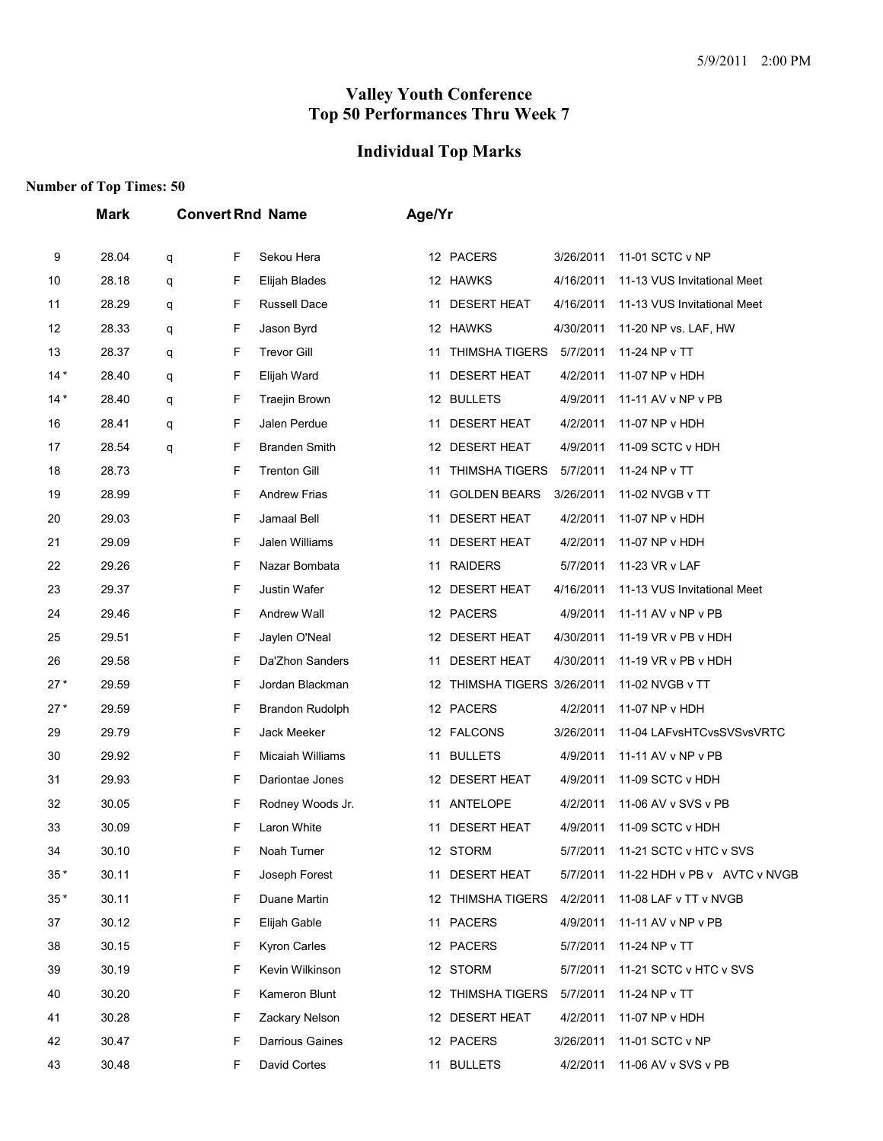# **Individual Top Marks**

|       | Mark  | <b>Convert Rnd Name</b> |   |                      | Age/Yr |                             |           |                              |  |  |
|-------|-------|-------------------------|---|----------------------|--------|-----------------------------|-----------|------------------------------|--|--|
| 9     | 28.04 | q                       | F | Sekou Hera           |        | 12 PACERS                   | 3/26/2011 | 11-01 SCTC v NP              |  |  |
| 10    | 28.18 | q                       | F | Elijah Blades        |        | 12 HAWKS                    | 4/16/2011 | 11-13 VUS Invitational Meet  |  |  |
| 11    | 28.29 | q                       | F | Russell Dace         |        | 11 DESERT HEAT              | 4/16/2011 | 11-13 VUS Invitational Meet  |  |  |
| 12    | 28.33 | q                       | F | Jason Byrd           |        | 12 HAWKS                    | 4/30/2011 | 11-20 NP vs. LAF, HW         |  |  |
| 13    | 28.37 | q                       | F | <b>Trevor Gill</b>   |        | 11 THIMSHA TIGERS           | 5/7/2011  | 11-24 NP v TT                |  |  |
| $14*$ | 28.40 | q                       | F | Elijah Ward          |        | 11 DESERT HEAT              | 4/2/2011  | 11-07 NP v HDH               |  |  |
| $14*$ | 28.40 | q                       | F | <b>Traejin Brown</b> |        | 12 BULLETS                  | 4/9/2011  | 11-11 AV v NP v PB           |  |  |
| 16    | 28.41 | q                       | F | Jalen Perdue         |        | 11 DESERT HEAT              | 4/2/2011  | 11-07 NP v HDH               |  |  |
| 17    | 28.54 | q                       | F | <b>Branden Smith</b> |        | 12 DESERT HEAT              | 4/9/2011  | 11-09 SCTC v HDH             |  |  |
| 18    | 28.73 |                         | F | <b>Trenton Gill</b>  | 11     | THIMSHA TIGERS              | 5/7/2011  | 11-24 NP v TT                |  |  |
| 19    | 28.99 |                         | F | <b>Andrew Frias</b>  | 11     | <b>GOLDEN BEARS</b>         | 3/26/2011 | 11-02 NVGB v TT              |  |  |
| 20    | 29.03 |                         | F | Jamaal Bell          | 11     | <b>DESERT HEAT</b>          | 4/2/2011  | 11-07 NP v HDH               |  |  |
| 21    | 29.09 |                         | F | Jalen Williams       |        | 11 DESERT HEAT              | 4/2/2011  | 11-07 NP v HDH               |  |  |
| 22    | 29.26 |                         | F | Nazar Bombata        |        | 11 RAIDERS                  | 5/7/2011  | 11-23 VR v LAF               |  |  |
| 23    | 29.37 |                         | F | Justin Wafer         |        | 12 DESERT HEAT              | 4/16/2011 | 11-13 VUS Invitational Meet  |  |  |
| 24    | 29.46 |                         | F | Andrew Wall          |        | 12 PACERS                   | 4/9/2011  | 11-11 AV v NP v PB           |  |  |
| 25    | 29.51 |                         | F | Jaylen O'Neal        |        | 12 DESERT HEAT              | 4/30/2011 | 11-19 VR v PB v HDH          |  |  |
| 26    | 29.58 |                         | F | Da'Zhon Sanders      | 11     | <b>DESERT HEAT</b>          | 4/30/2011 | 11-19 VR v PB v HDH          |  |  |
| $27*$ | 29.59 |                         | F | Jordan Blackman      |        | 12 THIMSHA TIGERS 3/26/2011 |           | 11-02 NVGB v TT              |  |  |
| $27*$ | 29.59 |                         | F | Brandon Rudolph      |        | 12 PACERS                   | 4/2/2011  | 11-07 NP v HDH               |  |  |
| 29    | 29.79 |                         | F | Jack Meeker          |        | 12 FALCONS                  | 3/26/2011 | 11-04 LAFvsHTCvsSVSvsVRTC    |  |  |
| 30    | 29.92 |                         | F | Micaiah Williams     |        | 11 BULLETS                  | 4/9/2011  | 11-11 AV v NP v PB           |  |  |
| 31    | 29.93 |                         | F | Dariontae Jones      |        | 12 DESERT HEAT              | 4/9/2011  | 11-09 SCTC v HDH             |  |  |
| 32    | 30.05 |                         | F | Rodney Woods Jr.     |        | 11 ANTELOPE                 | 4/2/2011  | 11-06 AV v SVS v PB          |  |  |
| 33    | 30.09 |                         | F | Laron White          |        | 11 DESERT HEAT              |           | 4/9/2011 11-09 SCTC v HDH    |  |  |
| 34    | 30.10 |                         | F | Noah Turner          |        | 12 STORM                    | 5/7/2011  | 11-21 SCTC v HTC v SVS       |  |  |
| $35*$ | 30.11 |                         | F | Joseph Forest        |        | 11 DESERT HEAT              | 5/7/2011  | 11-22 HDH v PB v AVTC v NVGB |  |  |
| $35*$ | 30.11 |                         | F | Duane Martin         |        | 12 THIMSHA TIGERS           | 4/2/2011  | 11-08 LAF v TT v NVGB        |  |  |
| 37    | 30.12 |                         | F | Elijah Gable         |        | 11 PACERS                   | 4/9/2011  | 11-11 AV v NP v PB           |  |  |
| 38    | 30.15 |                         | F | Kyron Carles         |        | 12 PACERS                   | 5/7/2011  | 11-24 NP v TT                |  |  |
| 39    | 30.19 |                         | F | Kevin Wilkinson      |        | 12 STORM                    | 5/7/2011  | 11-21 SCTC v HTC v SVS       |  |  |
| 40    | 30.20 |                         | F | Kameron Blunt        |        | 12 THIMSHA TIGERS           | 5/7/2011  | 11-24 NP v TT                |  |  |
| 41    | 30.28 |                         | F | Zackary Nelson       |        | 12 DESERT HEAT              | 4/2/2011  | 11-07 NP v HDH               |  |  |
| 42    | 30.47 |                         | F | Darrious Gaines      |        | 12 PACERS                   | 3/26/2011 | 11-01 SCTC v NP              |  |  |
| 43    | 30.48 |                         | F | David Cortes         |        | 11 BULLETS                  | 4/2/2011  | 11-06 AV v SVS v PB          |  |  |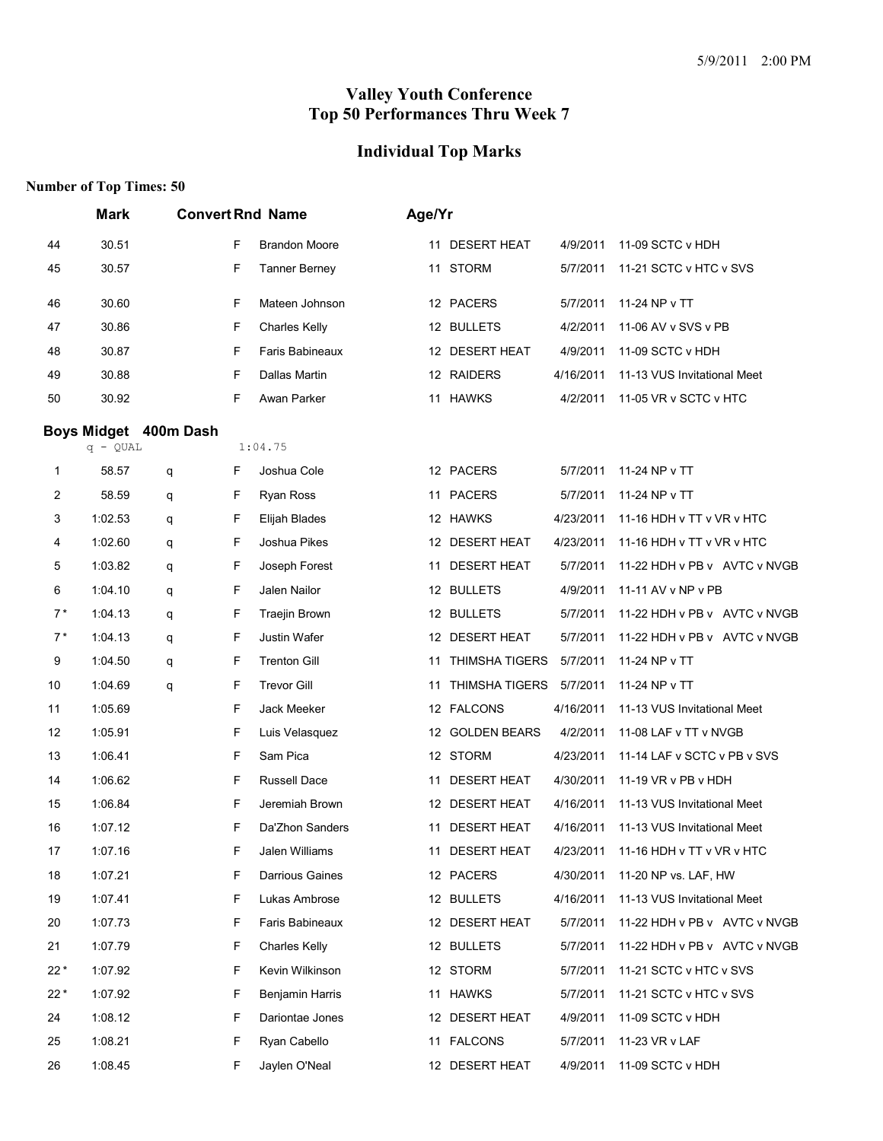# **Individual Top Marks**

|       | <b>Mark</b> |                       |   | <b>Convert Rnd Name</b> | Age/Yr |                         |           |                                     |
|-------|-------------|-----------------------|---|-------------------------|--------|-------------------------|-----------|-------------------------------------|
| 44    | 30.51       |                       | F | <b>Brandon Moore</b>    |        | 11 DESERT HEAT          | 4/9/2011  | 11-09 SCTC v HDH                    |
| 45    | 30.57       |                       | F | <b>Tanner Berney</b>    |        | 11 STORM                | 5/7/2011  | 11-21 SCTC v HTC v SVS              |
| 46    | 30.60       |                       | F | Mateen Johnson          |        | 12 PACERS               | 5/7/2011  | 11-24 NP v TT                       |
| 47    | 30.86       |                       | F | <b>Charles Kelly</b>    |        | 12 BULLETS              | 4/2/2011  | 11-06 AV v SVS v PB                 |
| 48    | 30.87       |                       | F | Faris Babineaux         |        | 12 DESERT HEAT          | 4/9/2011  | 11-09 SCTC v HDH                    |
| 49    | 30.88       |                       | F | Dallas Martin           |        | 12 RAIDERS              | 4/16/2011 | 11-13 VUS Invitational Meet         |
| 50    | 30.92       |                       | F | Awan Parker             |        | 11 HAWKS                | 4/2/2011  | 11-05 VR v SCTC v HTC               |
|       | $q - QUAL$  | Boys Midget 400m Dash |   | 1:04.75                 |        |                         |           |                                     |
| 1     | 58.57       | q                     | F | Joshua Cole             |        | 12 PACERS               | 5/7/2011  | 11-24 NP v TT                       |
| 2     | 58.59       | q                     | F | Ryan Ross               |        | 11 PACERS               | 5/7/2011  | 11-24 NP v TT                       |
| 3     | 1:02.53     | q                     | F | Elijah Blades           |        | 12 HAWKS                | 4/23/2011 | 11-16 HDH v TT v VR v HTC           |
| 4     | 1:02.60     | q                     | F | Joshua Pikes            |        | 12 DESERT HEAT          | 4/23/2011 | 11-16 HDH v TT v VR v HTC           |
| 5     | 1:03.82     | q                     | F | Joseph Forest           | 11     | <b>DESERT HEAT</b>      | 5/7/2011  | 11-22 HDH v PB v AVTC v NVGB        |
| 6     | 1:04.10     | q                     | F | Jalen Nailor            |        | 12 BULLETS              | 4/9/2011  | 11-11 AV v NP v PB                  |
| $7*$  | 1:04.13     | q                     | F | Traejin Brown           |        | 12 BULLETS              | 5/7/2011  | 11-22 HDH v PB v AVTC v NVGB        |
| $7*$  | 1:04.13     | q                     | F | Justin Wafer            |        | 12 DESERT HEAT          | 5/7/2011  | 11-22 HDH v PB v AVTC v NVGB        |
| 9     | 1:04.50     | q                     | F | <b>Trenton Gill</b>     | 11     | THIMSHA TIGERS          | 5/7/2011  | 11-24 NP v TT                       |
| 10    | 1:04.69     | q                     | F | <b>Trevor Gill</b>      | 11     | THIMSHA TIGERS 5/7/2011 |           | 11-24 NP v TT                       |
| 11    | 1:05.69     |                       | F | Jack Meeker             |        | 12 FALCONS              | 4/16/2011 | 11-13 VUS Invitational Meet         |
| 12    | 1:05.91     |                       | F | Luis Velasquez          |        | 12 GOLDEN BEARS         | 4/2/2011  | 11-08 LAF v TT v NVGB               |
| 13    | 1:06.41     |                       | F | Sam Pica                |        | 12 STORM                | 4/23/2011 | 11-14 LAF v SCTC v PB v SVS         |
| 14    | 1:06.62     |                       | F | Russell Dace            |        | 11 DESERT HEAT          | 4/30/2011 | 11-19 VR v PB v HDH                 |
| 15    | 1:06.84     |                       | F | Jeremiah Brown          |        | 12 DESERT HEAT          | 4/16/2011 | 11-13 VUS Invitational Meet         |
| 16    | 1:07.12     |                       | F | Da'Zhon Sanders         | 11     | <b>DESERT HEAT</b>      | 4/16/2011 | 11-13 VUS Invitational Meet         |
| 17    | 1:07.16     |                       | F | Jalen Williams          |        | 11 DESERT HEAT          |           | 4/23/2011 11-16 HDH v TT v VR v HTC |
| 18    | 1:07.21     |                       | F | <b>Darrious Gaines</b>  |        | 12 PACERS               | 4/30/2011 | 11-20 NP vs. LAF, HW                |
| 19    | 1:07.41     |                       | F | Lukas Ambrose           |        | 12 BULLETS              | 4/16/2011 | 11-13 VUS Invitational Meet         |
| 20    | 1:07.73     |                       | F | Faris Babineaux         |        | 12 DESERT HEAT          | 5/7/2011  | 11-22 HDH v PB v AVTC v NVGB        |
| 21    | 1:07.79     |                       | F | <b>Charles Kelly</b>    |        | 12 BULLETS              | 5/7/2011  | 11-22 HDH v PB v AVTC v NVGB        |
| $22*$ | 1:07.92     |                       | F | Kevin Wilkinson         |        | 12 STORM                | 5/7/2011  | 11-21 SCTC v HTC v SVS              |
| $22*$ | 1:07.92     |                       | F | Benjamin Harris         |        | 11 HAWKS                | 5/7/2011  | 11-21 SCTC v HTC v SVS              |
| 24    | 1:08.12     |                       | F | Dariontae Jones         |        | 12 DESERT HEAT          | 4/9/2011  | 11-09 SCTC v HDH                    |
| 25    | 1:08.21     |                       | F | Ryan Cabello            |        | 11 FALCONS              | 5/7/2011  | 11-23 VR v LAF                      |
| 26    | 1:08.45     |                       | F | Jaylen O'Neal           |        | 12 DESERT HEAT          | 4/9/2011  | 11-09 SCTC v HDH                    |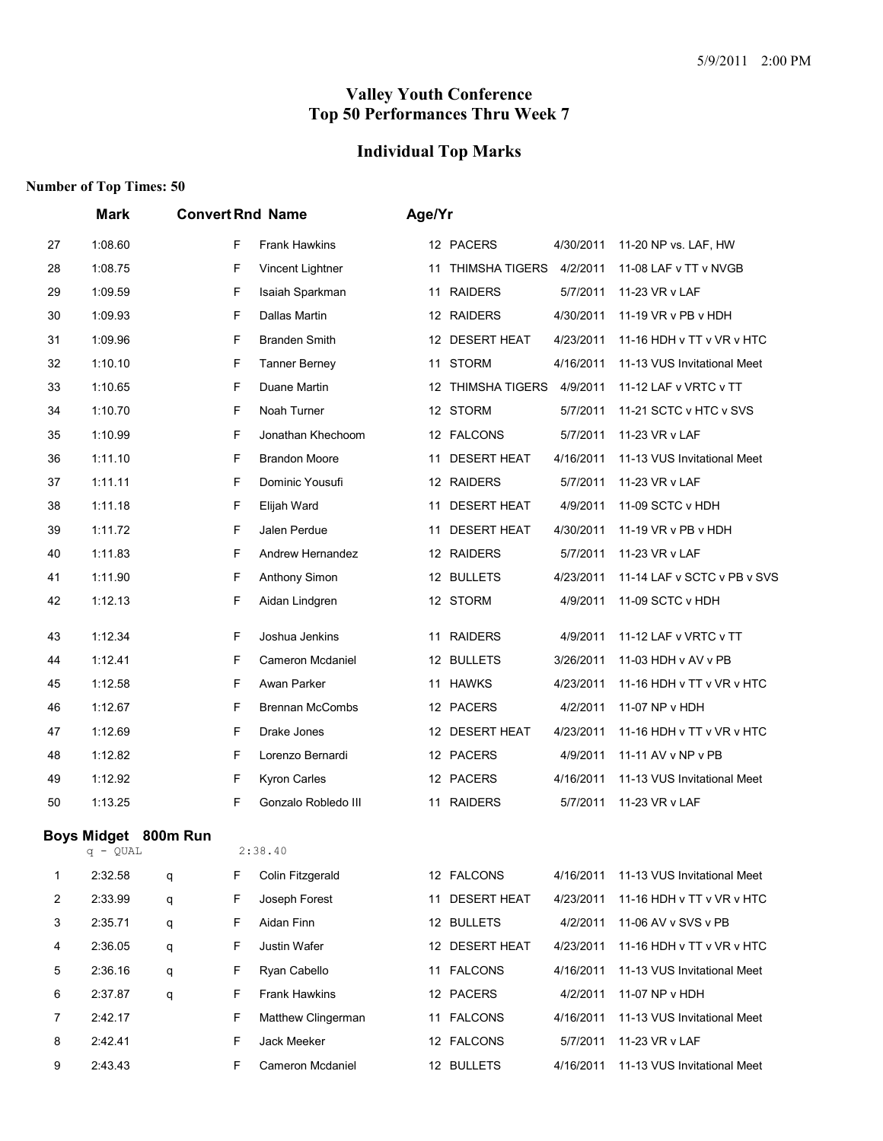# **Individual Top Marks**

|                | Mark                 |        |   | <b>Convert Rnd Name</b> | Age/Yr |                    |           |                             |
|----------------|----------------------|--------|---|-------------------------|--------|--------------------|-----------|-----------------------------|
| 27             | 1:08.60              |        | F | <b>Frank Hawkins</b>    |        | 12 PACERS          | 4/30/2011 | 11-20 NP vs. LAF, HW        |
| 28             | 1:08.75              |        | F | Vincent Lightner        |        | 11 THIMSHA TIGERS  | 4/2/2011  | 11-08 LAF v TT v NVGB       |
| 29             | 1:09.59              |        | F | Isaiah Sparkman         |        | 11 RAIDERS         | 5/7/2011  | 11-23 VR v LAF              |
| 30             | 1:09.93              |        | F | Dallas Martin           |        | 12 RAIDERS         | 4/30/2011 | 11-19 VR v PB v HDH         |
| 31             | 1:09.96              |        | F | <b>Branden Smith</b>    |        | 12 DESERT HEAT     | 4/23/2011 | 11-16 HDH v TT v VR v HTC   |
| 32             | 1:10.10              |        | F | <b>Tanner Berney</b>    |        | 11 STORM           | 4/16/2011 | 11-13 VUS Invitational Meet |
| 33             | 1:10.65              |        | F | Duane Martin            |        | 12 THIMSHA TIGERS  | 4/9/2011  | 11-12 LAF v VRTC v TT       |
| 34             | 1:10.70              |        | F | Noah Turner             |        | 12 STORM           | 5/7/2011  | 11-21 SCTC v HTC v SVS      |
| 35             | 1:10.99              |        | F | Jonathan Khechoom       |        | 12 FALCONS         | 5/7/2011  | 11-23 VR v LAF              |
| 36             | 1:11.10              |        | F | <b>Brandon Moore</b>    |        | 11 DESERT HEAT     | 4/16/2011 | 11-13 VUS Invitational Meet |
| 37             | 1:11.11              |        | F | Dominic Yousufi         |        | 12 RAIDERS         | 5/7/2011  | 11-23 VR v LAF              |
| 38             | 1:11.18              |        | F | Elijah Ward             |        | 11 DESERT HEAT     | 4/9/2011  | 11-09 SCTC v HDH            |
| 39             | 1:11.72              |        | F | Jalen Perdue            | 11     | <b>DESERT HEAT</b> | 4/30/2011 | 11-19 VR v PB v HDH         |
| 40             | 1:11.83              |        | F | Andrew Hernandez        |        | 12 RAIDERS         | 5/7/2011  | 11-23 VR v LAF              |
| 41             | 1:11.90              |        | F | Anthony Simon           |        | 12 BULLETS         | 4/23/2011 | 11-14 LAF v SCTC v PB v SVS |
| 42             | 1:12.13              |        | F | Aidan Lindgren          |        | 12 STORM           | 4/9/2011  | 11-09 SCTC v HDH            |
| 43             | 1:12.34              |        | F | Joshua Jenkins          |        | 11 RAIDERS         | 4/9/2011  | 11-12 LAF v VRTC v TT       |
| 44             | 1:12.41              |        | F | Cameron Mcdaniel        |        | 12 BULLETS         | 3/26/2011 | 11-03 HDH v AV v PB         |
| 45             | 1:12.58              |        | F | Awan Parker             |        | 11 HAWKS           | 4/23/2011 | 11-16 HDH v TT v VR v HTC   |
| 46             | 1:12.67              |        | F | <b>Brennan McCombs</b>  |        | 12 PACERS          | 4/2/2011  | 11-07 NP v HDH              |
| 47             | 1:12.69              |        | F | Drake Jones             |        | 12 DESERT HEAT     | 4/23/2011 | 11-16 HDH v TT v VR v HTC   |
| 48             | 1:12.82              |        | F | Lorenzo Bernardi        |        | 12 PACERS          | 4/9/2011  | 11-11 AV v NP v PB          |
| 49             | 1:12.92              |        | F | Kyron Carles            |        | 12 PACERS          | 4/16/2011 | 11-13 VUS Invitational Meet |
| 50             | 1:13.25              |        | F | Gonzalo Robledo III     |        | 11 RAIDERS         | 5/7/2011  | 11-23 VR v LAF              |
|                | Boys Midget 800m Run |        |   | 2:38.40                 |        |                    |           |                             |
| 1              | q - QUAL<br>2:32.58  |        | F | Colin Fitzgerald        |        | 12 FALCONS         | 4/16/2011 | 11-13 VUS Invitational Meet |
| $\overline{c}$ | 2:33.99              | q      | F | Joseph Forest           |        | 11 DESERT HEAT     | 4/23/2011 | 11-16 HDH v TT v VR v HTC   |
| 3              | 2:35.71              | q<br>q | F | Aidan Finn              |        | 12 BULLETS         | 4/2/2011  | 11-06 AV v SVS v PB         |
| 4              | 2:36.05              | q      | F | Justin Wafer            |        | 12 DESERT HEAT     | 4/23/2011 | 11-16 HDH v TT v VR v HTC   |
| 5              | 2:36.16              |        | F | Ryan Cabello            |        | 11 FALCONS         | 4/16/2011 | 11-13 VUS Invitational Meet |
| 6              | 2:37.87              | q      | F | Frank Hawkins           |        | 12 PACERS          | 4/2/2011  | 11-07 NP v HDH              |
| $\overline{7}$ | 2:42.17              | q      | F | Matthew Clingerman      |        | 11 FALCONS         | 4/16/2011 | 11-13 VUS Invitational Meet |
| 8              | 2:42.41              |        | F | Jack Meeker             |        | 12 FALCONS         | 5/7/2011  | 11-23 VR v LAF              |
|                |                      |        |   |                         |        |                    |           |                             |
| 9              | 2:43.43              |        | F | Cameron Mcdaniel        |        | 12 BULLETS         | 4/16/2011 | 11-13 VUS Invitational Meet |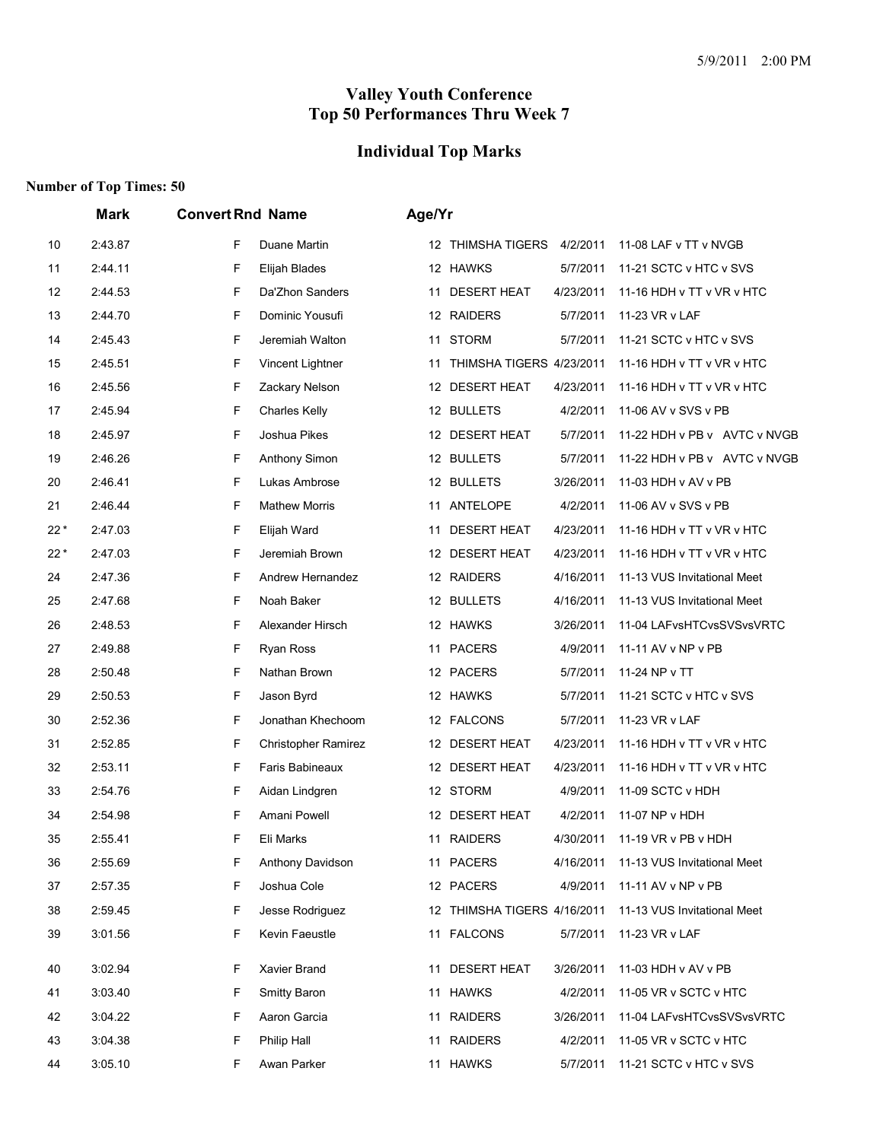# **Individual Top Marks**

|       | <b>Mark</b> | <b>Convert Rnd Name</b>   | Age/Yr                                                                          |
|-------|-------------|---------------------------|---------------------------------------------------------------------------------|
| 10    | 2:43.87     | F<br>Duane Martin         | 12 THIMSHA TIGERS 4/2/2011<br>11-08 LAF v TT v NVGB                             |
| 11    | 2:44.11     | F<br>Elijah Blades        | 12 HAWKS<br>5/7/2011<br>11-21 SCTC v HTC v SVS                                  |
| 12    | 2:44.53     | F<br>Da'Zhon Sanders      | <b>DESERT HEAT</b><br>4/23/2011<br>11-16 HDH v TT v VR v HTC<br>11              |
| 13    | 2:44.70     | F<br>Dominic Yousufi      | 12 RAIDERS<br>5/7/2011<br>11-23 VR v LAF                                        |
| 14    | 2:45.43     | F<br>Jeremiah Walton      | 11 STORM<br>5/7/2011<br>11-21 SCTC v HTC v SVS                                  |
| 15    | 2:45.51     | F<br>Vincent Lightner     | THIMSHA TIGERS 4/23/2011<br>11-16 HDH v TT v VR v HTC<br>11                     |
| 16    | 2:45.56     | F<br>Zackary Nelson       | <b>DESERT HEAT</b><br>4/23/2011<br>11-16 HDH v TT v VR v HTC<br>12              |
| 17    | 2:45.94     | F<br><b>Charles Kelly</b> | 12 BULLETS<br>4/2/2011<br>11-06 AV v SVS v PB                                   |
| 18    | 2:45.97     | F<br>Joshua Pikes         | 12 DESERT HEAT<br>5/7/2011<br>11-22 HDH v PB v AVTC v NVGB                      |
| 19    | 2:46.26     | F<br>Anthony Simon        | 12 BULLETS<br>5/7/2011<br>11-22 HDH v PB v AVTC v NVGB                          |
| 20    | 2:46.41     | F<br>Lukas Ambrose        | 12 BULLETS<br>3/26/2011<br>11-03 HDH v AV v PB                                  |
| 21    | 2:46.44     | F<br><b>Mathew Morris</b> | 11 ANTELOPE<br>4/2/2011<br>11-06 AV v SVS v PB                                  |
| $22*$ | 2:47.03     | F<br>Elijah Ward          | <b>DESERT HEAT</b><br>4/23/2011<br>11-16 HDH v TT v VR v HTC<br>11              |
| $22*$ | 2:47.03     | F<br>Jeremiah Brown       | 12 DESERT HEAT<br>4/23/2011<br>11-16 HDH v TT v VR v HTC                        |
| 24    | 2:47.36     | F<br>Andrew Hernandez     | 12 RAIDERS<br>4/16/2011<br>11-13 VUS Invitational Meet                          |
| 25    | 2:47.68     | F<br>Noah Baker           | 12 BULLETS<br>4/16/2011<br>11-13 VUS Invitational Meet                          |
| 26    | 2:48.53     | F<br>Alexander Hirsch     | 12 HAWKS<br>3/26/2011<br>11-04 LAFvsHTCvsSVSvsVRTC                              |
| 27    | 2:49.88     | F<br>Ryan Ross            | <b>PACERS</b><br>4/9/2011<br>11-11 AV v NP v PB<br>11                           |
| 28    | 2:50.48     | F<br>Nathan Brown         | 12 PACERS<br>5/7/2011<br>11-24 NP v TT                                          |
| 29    | 2:50.53     | F<br>Jason Byrd           | 12 HAWKS<br>5/7/2011<br>11-21 SCTC v HTC v SVS                                  |
| 30    | 2:52.36     | F<br>Jonathan Khechoom    | 11-23 VR v LAF<br>12 FALCONS<br>5/7/2011                                        |
| 31    | 2:52.85     | F<br>Christopher Ramirez  | <b>DESERT HEAT</b><br>4/23/2011<br>11-16 HDH v TT v VR v HTC<br>12 <sup>2</sup> |
| 32    | 2:53.11     | F<br>Faris Babineaux      | <b>DESERT HEAT</b><br>4/23/2011<br>11-16 HDH v TT v VR v HTC<br>12              |
| 33    | 2:54.76     | F<br>Aidan Lindgren       | 12 STORM<br>4/9/2011<br>11-09 SCTC v HDH                                        |
| 34    | 2:54.98     | F<br>Amani Powell         | 12 DESERT HEAT<br>4/2/2011<br>11-07 NP v HDH                                    |
| 35    | 2:55.41     | F<br>Eli Marks            | <b>RAIDERS</b><br>4/30/2011<br>11-19 VR v PB v HDH<br>11                        |
| 36    | 2:55.69     | F<br>Anthony Davidson     | 11 PACERS<br>4/16/2011<br>11-13 VUS Invitational Meet                           |
| 37    | 2:57.35     | Joshua Cole<br>F          | 12 PACERS<br>11-11 AV v NP v PB<br>4/9/2011                                     |
| 38    | 2:59.45     | F<br>Jesse Rodriguez      | 12 THIMSHA TIGERS 4/16/2011<br>11-13 VUS Invitational Meet                      |
| 39    | 3:01.56     | F<br>Kevin Faeustle       | 11 FALCONS<br>5/7/2011<br>11-23 VR v LAF                                        |
| 40    | 3:02.94     | Xavier Brand<br>F         | 11-03 HDH v AV v PB<br><b>DESERT HEAT</b><br>3/26/2011<br>11                    |
| 41    | 3:03.40     | F<br>Smitty Baron         | 11 HAWKS<br>4/2/2011<br>11-05 VR v SCTC v HTC                                   |
| 42    | 3:04.22     | Aaron Garcia<br>F         | 11 RAIDERS<br>3/26/2011<br>11-04 LAFvsHTCvsSVSvsVRTC                            |
| 43    | 3:04.38     | F<br>Philip Hall          | 11 RAIDERS<br>4/2/2011<br>11-05 VR v SCTC v HTC                                 |
| 44    | 3:05.10     | Awan Parker<br>F          | 11 HAWKS<br>5/7/2011<br>11-21 SCTC v HTC v SVS                                  |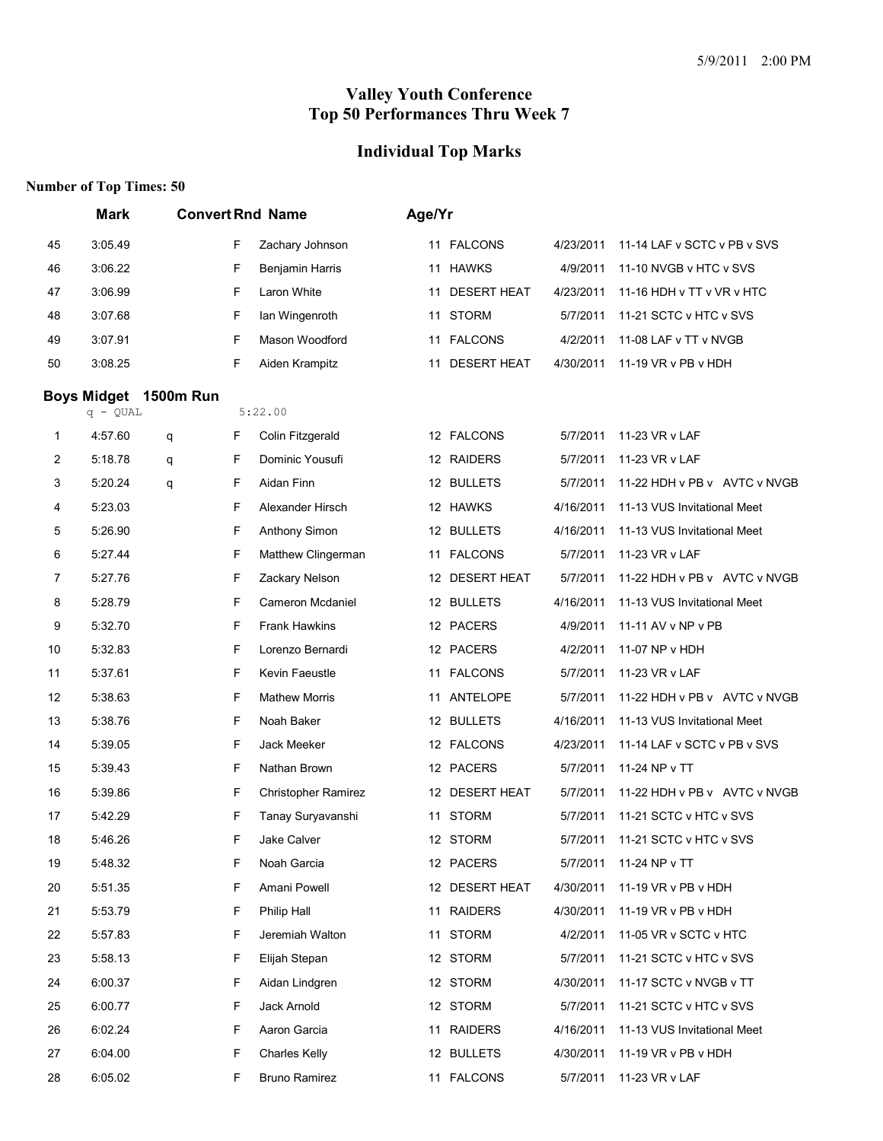# **Individual Top Marks**

|                | <b>Mark</b>        |                  |   | <b>Convert Rnd Name</b> | Age/Yr |                    |           |                              |
|----------------|--------------------|------------------|---|-------------------------|--------|--------------------|-----------|------------------------------|
| 45             | 3:05.49            |                  | F | Zachary Johnson         |        | 11 FALCONS         | 4/23/2011 | 11-14 LAF v SCTC v PB v SVS  |
| 46             | 3:06.22            |                  | F | Benjamin Harris         | 11     | <b>HAWKS</b>       | 4/9/2011  | 11-10 NVGB v HTC v SVS       |
| 47             | 3:06.99            |                  | F | Laron White             | 11     | <b>DESERT HEAT</b> | 4/23/2011 | 11-16 HDH v TT v VR v HTC    |
| 48             | 3:07.68            |                  | F | Ian Wingenroth          |        | 11 STORM           | 5/7/2011  | 11-21 SCTC v HTC v SVS       |
| 49             | 3:07.91            |                  | F | Mason Woodford          |        | 11 FALCONS         | 4/2/2011  | 11-08 LAF v TT v NVGB        |
| 50             | 3:08.25            |                  | F | Aiden Krampitz          | 11     | <b>DESERT HEAT</b> | 4/30/2011 | 11-19 VR v PB v HDH          |
|                | <b>Boys Midget</b> | <b>1500m Run</b> |   |                         |        |                    |           |                              |
|                | $q - QUAL$         |                  |   | 5:22.00                 |        |                    |           |                              |
| 1              | 4:57.60            | q                | F | Colin Fitzgerald        |        | 12 FALCONS         | 5/7/2011  | 11-23 VR v LAF               |
| 2              | 5:18.78            | q                | F | Dominic Yousufi         |        | 12 RAIDERS         | 5/7/2011  | 11-23 VR v LAF               |
| 3              | 5:20.24            | q                | F | Aidan Finn              |        | 12 BULLETS         | 5/7/2011  | 11-22 HDH v PB v AVTC v NVGB |
| 4              | 5:23.03            |                  | F | Alexander Hirsch        |        | 12 HAWKS           | 4/16/2011 | 11-13 VUS Invitational Meet  |
| 5              | 5:26.90            |                  | F | Anthony Simon           |        | 12 BULLETS         | 4/16/2011 | 11-13 VUS Invitational Meet  |
| 6              | 5:27.44            |                  | F | Matthew Clingerman      | 11     | <b>FALCONS</b>     | 5/7/2011  | 11-23 VR v LAF               |
| $\overline{7}$ | 5:27.76            |                  | F | Zackary Nelson          |        | 12 DESERT HEAT     | 5/7/2011  | 11-22 HDH v PB v AVTC v NVGB |
| 8              | 5:28.79            |                  | F | Cameron Mcdaniel        |        | 12 BULLETS         | 4/16/2011 | 11-13 VUS Invitational Meet  |
| 9              | 5:32.70            |                  | F | <b>Frank Hawkins</b>    |        | 12 PACERS          | 4/9/2011  | 11-11 AV v NP v PB           |
| 10             | 5:32.83            |                  | F | Lorenzo Bernardi        |        | 12 PACERS          | 4/2/2011  | 11-07 NP v HDH               |
| 11             | 5:37.61            |                  | F | Kevin Faeustle          | 11     | <b>FALCONS</b>     | 5/7/2011  | 11-23 VR v LAF               |
| 12             | 5:38.63            |                  | F | <b>Mathew Morris</b>    | 11     | ANTELOPE           | 5/7/2011  | 11-22 HDH v PB v AVTC v NVGB |
| 13             | 5:38.76            |                  | F | Noah Baker              |        | 12 BULLETS         | 4/16/2011 | 11-13 VUS Invitational Meet  |
| 14             | 5:39.05            |                  | F | Jack Meeker             |        | 12 FALCONS         | 4/23/2011 | 11-14 LAF v SCTC v PB v SVS  |
| 15             | 5:39.43            |                  | F | Nathan Brown            |        | 12 PACERS          | 5/7/2011  | 11-24 NP v TT                |
| 16             | 5:39.86            |                  | F | Christopher Ramirez     |        | 12 DESERT HEAT     | 5/7/2011  | 11-22 HDH v PB v AVTC v NVGB |
| 17             | 5:42.29            |                  | F | Tanay Suryavanshi       |        | 11 STORM           | 5/7/2011  | 11-21 SCTC v HTC v SVS       |
| 18             | 5:46.26            |                  | F | Jake Calver             |        | 12 STORM           | 5/7/2011  | 11-21 SCTC v HTC v SVS       |
| 19             | 5:48.32            |                  | F | Noah Garcia             |        | 12 PACERS          | 5/7/2011  | 11-24 NP v TT                |
| 20             | 5:51.35            |                  | F | Amani Powell            |        | 12 DESERT HEAT     | 4/30/2011 | 11-19 VR v PB v HDH          |
| 21             | 5:53.79            |                  | F | Philip Hall             |        | 11 RAIDERS         | 4/30/2011 | 11-19 $VR$ v PB v HDH        |
| 22             | 5:57.83            |                  | F | Jeremiah Walton         |        | 11 STORM           | 4/2/2011  | 11-05 VR v SCTC v HTC        |
| 23             | 5:58.13            |                  | F | Elijah Stepan           |        | 12 STORM           | 5/7/2011  | 11-21 SCTC v HTC v SVS       |
| 24             | 6:00.37            |                  | F | Aidan Lindgren          |        | 12 STORM           | 4/30/2011 | 11-17 SCTC v NVGB v TT       |
| 25             | 6:00.77            |                  | F | Jack Arnold             |        | 12 STORM           | 5/7/2011  | 11-21 SCTC v HTC v SVS       |
| 26             | 6:02.24            |                  | F | Aaron Garcia            | 11     | <b>RAIDERS</b>     | 4/16/2011 | 11-13 VUS Invitational Meet  |
| 27             | 6:04.00            |                  | F | <b>Charles Kelly</b>    |        | 12 BULLETS         | 4/30/2011 | 11-19 VR v PB v HDH          |
| 28             | 6:05.02            |                  | F | <b>Bruno Ramirez</b>    |        | 11 FALCONS         | 5/7/2011  | 11-23 VR v LAF               |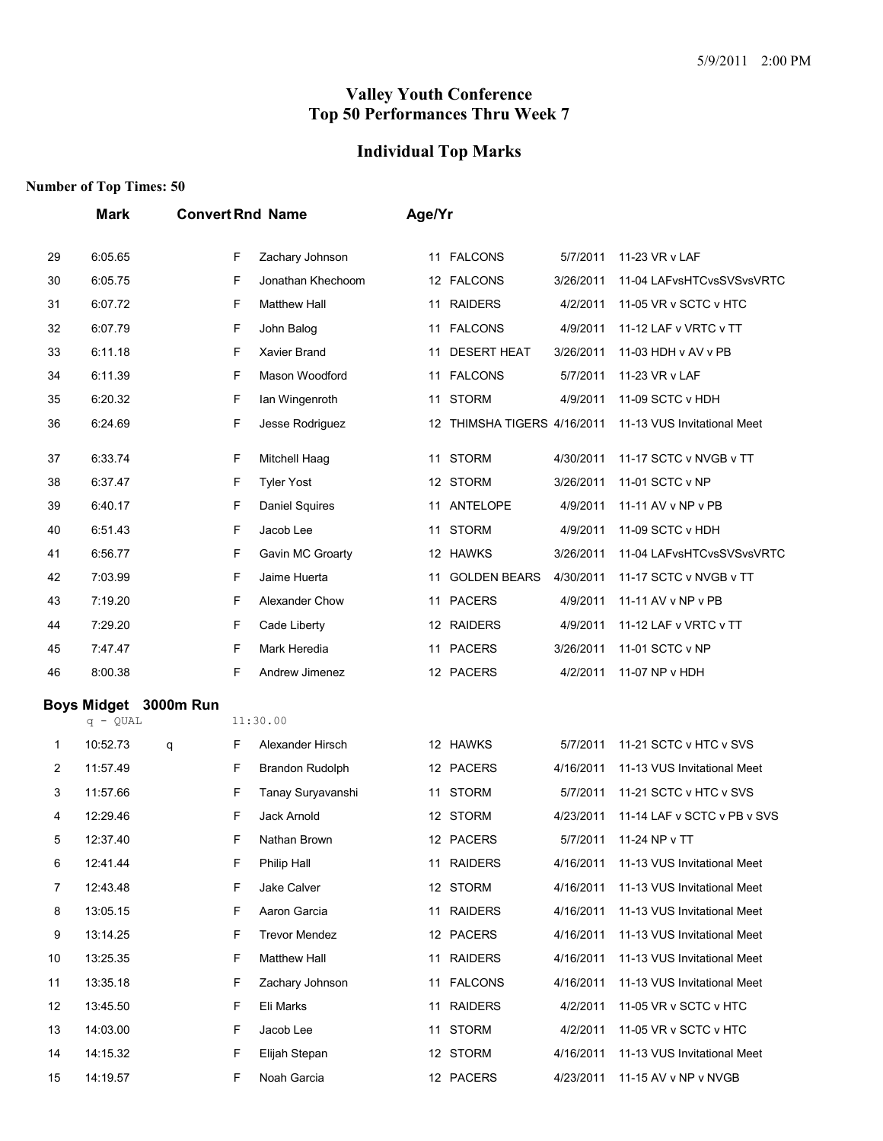# **Individual Top Marks**

|    | Mark                             |           |   | <b>Convert Rnd Name</b> |    | Age/Yr                      |           |                             |
|----|----------------------------------|-----------|---|-------------------------|----|-----------------------------|-----------|-----------------------------|
| 29 | 6:05.65                          |           | F | Zachary Johnson         |    | 11 FALCONS                  | 5/7/2011  | 11-23 VR v LAF              |
| 30 | 6:05.75                          |           | F | Jonathan Khechoom       |    | 12 FALCONS                  | 3/26/2011 | 11-04 LAFvsHTCvsSVSvsVRTC   |
| 31 | 6:07.72                          |           | F | <b>Matthew Hall</b>     |    | 11 RAIDERS                  | 4/2/2011  | 11-05 VR v SCTC v HTC       |
| 32 | 6:07.79                          |           | F | John Balog              |    | 11 FALCONS                  | 4/9/2011  | 11-12 LAF v VRTC v TT       |
| 33 | 6:11.18                          |           | F | Xavier Brand            | 11 | <b>DESERT HEAT</b>          | 3/26/2011 | 11-03 HDH v AV v PB         |
| 34 | 6:11.39                          |           | F | Mason Woodford          |    | 11 FALCONS                  | 5/7/2011  | 11-23 VR v LAF              |
| 35 | 6:20.32                          |           | F | Ian Wingenroth          |    | 11 STORM                    | 4/9/2011  | 11-09 SCTC v HDH            |
| 36 | 6:24.69                          |           | F | Jesse Rodriguez         |    | 12 THIMSHA TIGERS 4/16/2011 |           | 11-13 VUS Invitational Meet |
| 37 | 6:33.74                          |           | F | Mitchell Haag           | 11 | <b>STORM</b>                | 4/30/2011 | 11-17 SCTC v NVGB v TT      |
| 38 | 6:37.47                          |           | F | <b>Tyler Yost</b>       |    | 12 STORM                    | 3/26/2011 | 11-01 SCTC v NP             |
| 39 | 6:40.17                          |           | F | Daniel Squires          |    | 11 ANTELOPE                 | 4/9/2011  | 11-11 AV v NP v PB          |
| 40 | 6:51.43                          |           | F | Jacob Lee               |    | 11 STORM                    | 4/9/2011  | 11-09 SCTC v HDH            |
| 41 | 6:56.77                          |           | F | Gavin MC Groarty        |    | 12 HAWKS                    | 3/26/2011 | 11-04 LAFvsHTCvsSVSvsVRTC   |
| 42 | 7:03.99                          |           | F | Jaime Huerta            | 11 | <b>GOLDEN BEARS</b>         | 4/30/2011 | 11-17 SCTC v NVGB v TT      |
| 43 | 7:19.20                          |           | F | Alexander Chow          |    | 11 PACERS                   | 4/9/2011  | 11-11 AV v NP v PB          |
| 44 | 7:29.20                          |           | F | Cade Liberty            |    | 12 RAIDERS                  | 4/9/2011  | 11-12 LAF v VRTC v TT       |
| 45 | 7:47.47                          |           | F | Mark Heredia            | 11 | <b>PACERS</b>               | 3/26/2011 | 11-01 SCTC v NP             |
| 46 | 8:00.38                          |           | F | Andrew Jimenez          |    | 12 PACERS                   | 4/2/2011  | 11-07 NP v HDH              |
|    | <b>Boys Midget</b><br>$q - QUAL$ | 3000m Run |   | 11:30.00                |    |                             |           |                             |
| 1  | 10:52.73                         | q         | F | Alexander Hirsch        |    | 12 HAWKS                    | 5/7/2011  | 11-21 SCTC v HTC v SVS      |
| 2  | 11:57.49                         |           | F | Brandon Rudolph         |    | 12 PACERS                   | 4/16/2011 | 11-13 VUS Invitational Meet |
| 3  | 11:57.66                         |           | F | Tanay Suryavanshi       | 11 | <b>STORM</b>                | 5/7/2011  | 11-21 SCTC v HTC v SVS      |
| 4  | 12:29.46                         |           | F | Jack Arnold             |    | 12 STORM                    | 4/23/2011 | 11-14 LAF v SCTC v PB v SVS |
| 5  | 12:37.40                         |           | F | Nathan Brown            |    | 12 PACERS                   | 5/7/2011  | 11-24 NP v TT               |
| 6  | 12:41.44                         |           | F | Philip Hall             |    | 11 RAIDERS                  | 4/16/2011 | 11-13 VUS Invitational Meet |
| 7  | 12:43.48                         |           | F | Jake Calver             |    | 12 STORM                    | 4/16/2011 | 11-13 VUS Invitational Meet |
| 8  | 13:05.15                         |           | F | Aaron Garcia            |    | 11 RAIDERS                  | 4/16/2011 | 11-13 VUS Invitational Meet |
| 9  | 13:14.25                         |           | F | <b>Trevor Mendez</b>    |    | 12 PACERS                   | 4/16/2011 | 11-13 VUS Invitational Meet |
| 10 | 13:25.35                         |           | F | <b>Matthew Hall</b>     | 11 | <b>RAIDERS</b>              | 4/16/2011 | 11-13 VUS Invitational Meet |
| 11 | 13:35.18                         |           | F | Zachary Johnson         |    | 11 FALCONS                  | 4/16/2011 | 11-13 VUS Invitational Meet |
| 12 | 13:45.50                         |           | F | Eli Marks               | 11 | <b>RAIDERS</b>              | 4/2/2011  | 11-05 VR v SCTC v HTC       |
| 13 | 14:03.00                         |           | F | Jacob Lee               |    | 11 STORM                    | 4/2/2011  | 11-05 VR v SCTC v HTC       |
| 14 | 14:15.32                         |           | F | Elijah Stepan           |    | 12 STORM                    | 4/16/2011 | 11-13 VUS Invitational Meet |
| 15 | 14:19.57                         |           | F | Noah Garcia             |    | 12 PACERS                   | 4/23/2011 | 11-15 AV v NP v NVGB        |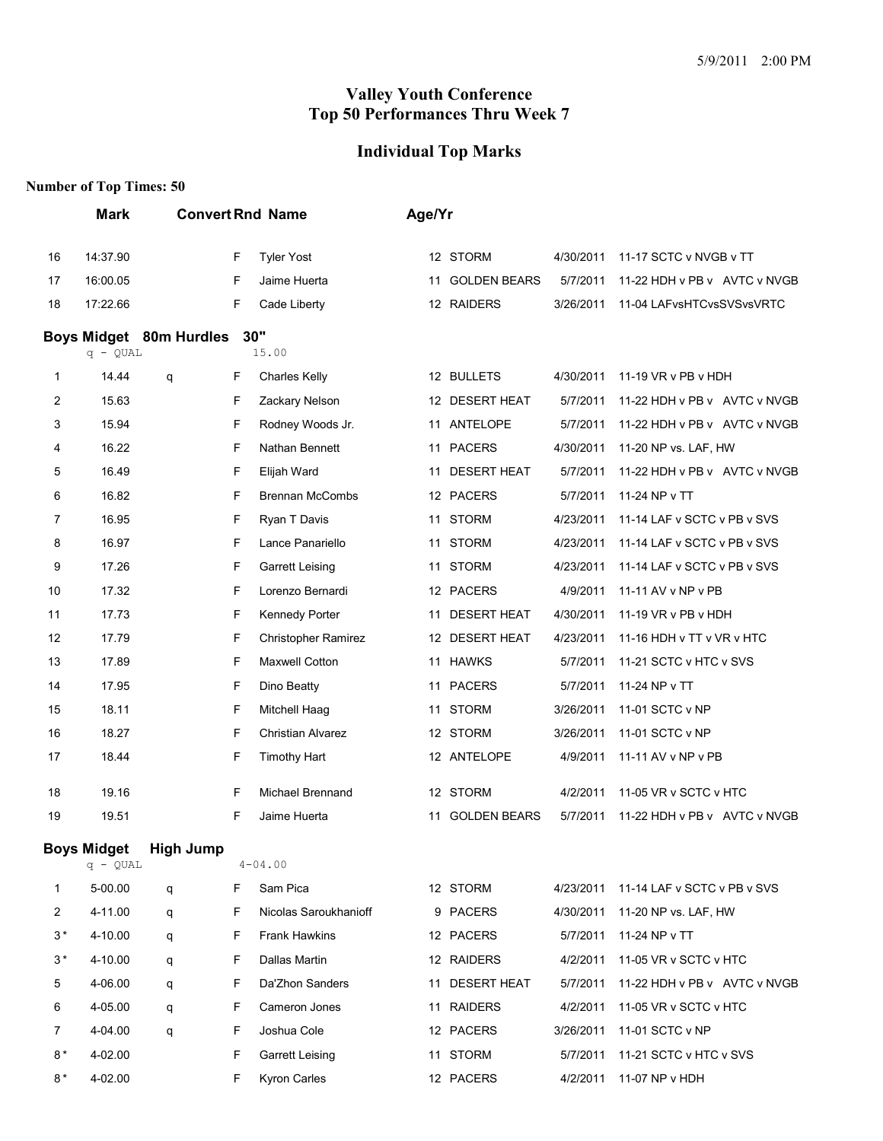#### **Individual Top Marks**

|         | <b>Mark</b>                      |                         |    | <b>Convert Rnd Name</b>    | Age/Yr |                     |           |                              |
|---------|----------------------------------|-------------------------|----|----------------------------|--------|---------------------|-----------|------------------------------|
| 16      | 14:37.90                         |                         | F  | <b>Tyler Yost</b>          |        | 12 STORM            | 4/30/2011 | 11-17 SCTC v NVGB v TT       |
| 17      | 16:00.05                         |                         | F  | Jaime Huerta               |        | 11 GOLDEN BEARS     | 5/7/2011  | 11-22 HDH v PB v AVTC v NVGB |
| 18      | 17:22.66                         |                         | F  | Cade Liberty               |        | 12 RAIDERS          | 3/26/2011 | 11-04 LAFvsHTCvsSVSvsVRTC    |
|         | $q - QUAL$                       | Boys Midget 80m Hurdles |    | 30"<br>15.00               |        |                     |           |                              |
| 1       | 14.44                            | q                       | F  | <b>Charles Kelly</b>       |        | 12 BULLETS          | 4/30/2011 | 11-19 VR v PB v HDH          |
| 2       | 15.63                            |                         | F  | Zackary Nelson             |        | 12 DESERT HEAT      | 5/7/2011  | 11-22 HDH v PB v AVTC v NVGB |
| 3       | 15.94                            |                         | F  | Rodney Woods Jr.           |        | 11 ANTELOPE         | 5/7/2011  | 11-22 HDH v PB v AVTC v NVGB |
| 4       | 16.22                            |                         | F  | Nathan Bennett             |        | 11 PACERS           | 4/30/2011 | 11-20 NP vs. LAF, HW         |
| 5       | 16.49                            |                         | F  | Elijah Ward                | 11     | <b>DESERT HEAT</b>  | 5/7/2011  | 11-22 HDH v PB v AVTC v NVGB |
| 6       | 16.82                            |                         | F  | <b>Brennan McCombs</b>     |        | 12 PACERS           | 5/7/2011  | 11-24 NP v TT                |
| 7       | 16.95                            |                         | F  | Ryan T Davis               |        | 11 STORM            | 4/23/2011 | 11-14 LAF v SCTC v PB v SVS  |
| 8       | 16.97                            |                         | F  | Lance Panariello           |        | 11 STORM            | 4/23/2011 | 11-14 LAF v SCTC v PB v SVS  |
| 9       | 17.26                            |                         | F  | <b>Garrett Leising</b>     |        | 11 STORM            | 4/23/2011 | 11-14 LAF v SCTC v PB v SVS  |
| 10      | 17.32                            |                         | F  | Lorenzo Bernardi           |        | 12 PACERS           | 4/9/2011  | 11-11 AV v NP v PB           |
| 11      | 17.73                            |                         | F  | Kennedy Porter             |        | 11 DESERT HEAT      | 4/30/2011 | 11-19 VR v PB v HDH          |
| 12      | 17.79                            |                         | F  | <b>Christopher Ramirez</b> |        | 12 DESERT HEAT      | 4/23/2011 | 11-16 HDH v TT v VR v HTC    |
| 13      | 17.89                            |                         | F  | <b>Maxwell Cotton</b>      |        | 11 HAWKS            | 5/7/2011  | 11-21 SCTC v HTC v SVS       |
| 14      | 17.95                            |                         | F  | Dino Beatty                |        | 11 PACERS           | 5/7/2011  | 11-24 NP v TT                |
| 15      | 18.11                            |                         | F  | Mitchell Haag              |        | 11 STORM            | 3/26/2011 | 11-01 SCTC v NP              |
| 16      | 18.27                            |                         | F  | <b>Christian Alvarez</b>   |        | 12 STORM            | 3/26/2011 | 11-01 SCTC v NP              |
| 17      | 18.44                            |                         | F  | <b>Timothy Hart</b>        |        | 12 ANTELOPE         | 4/9/2011  | 11-11 AV v NP v PB           |
| 18      | 19.16                            |                         | F  | Michael Brennand           |        | 12 STORM            | 4/2/2011  | 11-05 VR v SCTC v HTC        |
| 19      | 19.51                            |                         | F  | Jaime Huerta               | 11     | <b>GOLDEN BEARS</b> | 5/7/2011  | 11-22 HDH v PB v AVTC v NVGB |
|         | <b>Boys Midget</b><br>$q - QUAL$ | <b>High Jump</b>        |    | $4 - 04.00$                |        |                     |           |                              |
| 1       | 5-00.00                          | q                       | F. | Sam Pica                   |        | 12 STORM            | 4/23/2011 | 11-14 LAF v SCTC v PB v SVS  |
| 2       | 4-11.00                          | q                       | F  | Nicolas Saroukhanioff      |        | 9 PACERS            | 4/30/2011 | 11-20 NP vs. LAF, HW         |
| $3*$    | 4-10.00                          | q                       | F. | <b>Frank Hawkins</b>       |        | 12 PACERS           | 5/7/2011  | 11-24 NP v TT                |
| $3\,^*$ | 4-10.00                          | q                       | F  | Dallas Martin              |        | 12 RAIDERS          | 4/2/2011  | 11-05 VR v SCTC v HTC        |
| 5       | 4-06.00                          | q                       | F  | Da'Zhon Sanders            |        | 11 DESERT HEAT      | 5/7/2011  | 11-22 HDH v PB v AVTC v NVGB |
| 6       | 4-05.00                          | q                       | F. | Cameron Jones              |        | 11 RAIDERS          | 4/2/2011  | 11-05 VR v SCTC v HTC        |
| 7       | 4-04.00                          | q                       | F  | Joshua Cole                |        | 12 PACERS           | 3/26/2011 | 11-01 SCTC v NP              |
| $8*$    | 4-02.00                          |                         | F  | Garrett Leising            |        | 11 STORM            | 5/7/2011  | 11-21 SCTC v HTC v SVS       |
| $8*$    | 4-02.00                          |                         | F  | <b>Kyron Carles</b>        |        | 12 PACERS           | 4/2/2011  | 11-07 NP v HDH               |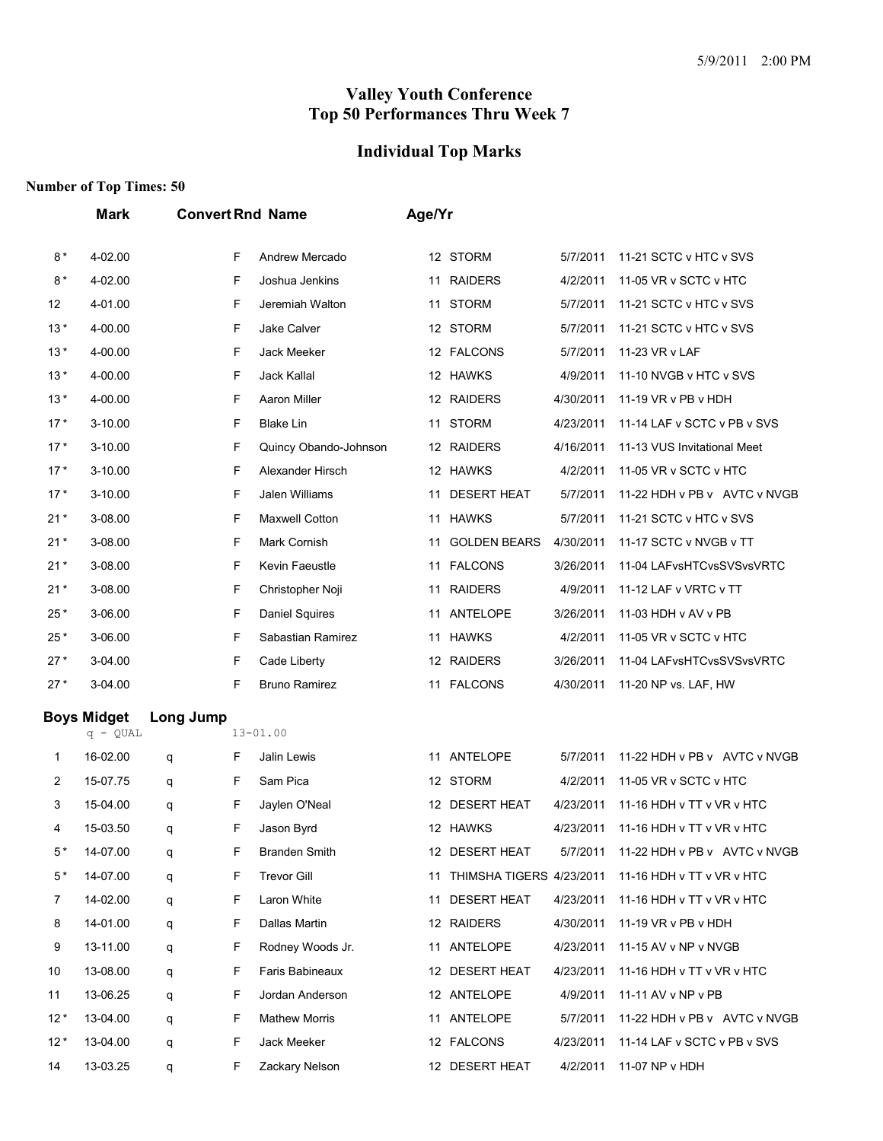#### **Individual Top Marks**

|       | <b>Mark</b>                      |           |   | <b>Convert Rnd Name</b> | Age/Yr |                             |           |                              |
|-------|----------------------------------|-----------|---|-------------------------|--------|-----------------------------|-----------|------------------------------|
| $8*$  | 4-02.00                          |           | F | Andrew Mercado          |        | 12 STORM                    | 5/7/2011  | 11-21 SCTC v HTC v SVS       |
| $8*$  | 4-02.00                          |           | F | Joshua Jenkins          |        | 11 RAIDERS                  | 4/2/2011  | 11-05 VR v SCTC v HTC        |
| 12    | 4-01.00                          |           | F | Jeremiah Walton         |        | 11 STORM                    | 5/7/2011  | 11-21 SCTC v HTC v SVS       |
| $13*$ | 4-00.00                          |           | F | Jake Calver             |        | 12 STORM                    | 5/7/2011  | 11-21 SCTC v HTC v SVS       |
| $13*$ | 4-00.00                          |           | F | Jack Meeker             |        | 12 FALCONS                  | 5/7/2011  | 11-23 VR v LAF               |
| $13*$ | 4-00.00                          |           | F | Jack Kallal             |        | 12 HAWKS                    | 4/9/2011  | 11-10 NVGB v HTC v SVS       |
| $13*$ | 4-00.00                          |           | F | Aaron Miller            |        | 12 RAIDERS                  | 4/30/2011 | 11-19 VR v PB v HDH          |
| $17*$ | 3-10.00                          |           | F | <b>Blake Lin</b>        |        | 11 STORM                    | 4/23/2011 | 11-14 LAF v SCTC v PB v SVS  |
| $17*$ | 3-10.00                          |           | F | Quincy Obando-Johnson   |        | 12 RAIDERS                  | 4/16/2011 | 11-13 VUS Invitational Meet  |
| $17*$ | $3 - 10.00$                      |           | F | Alexander Hirsch        |        | 12 HAWKS                    | 4/2/2011  | 11-05 VR v SCTC v HTC        |
| $17*$ | 3-10.00                          |           | F | Jalen Williams          | 11     | <b>DESERT HEAT</b>          | 5/7/2011  | 11-22 HDH v PB v AVTC v NVGB |
| $21*$ | 3-08.00                          |           | F | <b>Maxwell Cotton</b>   |        | 11 HAWKS                    | 5/7/2011  | 11-21 SCTC v HTC v SVS       |
| $21*$ | 3-08.00                          |           | F | Mark Cornish            | 11     | <b>GOLDEN BEARS</b>         | 4/30/2011 | 11-17 SCTC v NVGB v TT       |
| $21*$ | 3-08.00                          |           | F | Kevin Faeustle          |        | 11 FALCONS                  | 3/26/2011 | 11-04 LAFvsHTCvsSVSvsVRTC    |
| $21*$ | 3-08.00                          |           | F | Christopher Noji        |        | 11 RAIDERS                  | 4/9/2011  | 11-12 LAF v VRTC v TT        |
| $25*$ | 3-06.00                          |           | F | <b>Daniel Squires</b>   |        | 11 ANTELOPE                 | 3/26/2011 | 11-03 HDH v AV v PB          |
| $25*$ | 3-06.00                          |           | F | Sabastian Ramirez       |        | 11 HAWKS                    | 4/2/2011  | 11-05 VR v SCTC v HTC        |
| $27*$ | 3-04.00                          |           | F | Cade Liberty            |        | 12 RAIDERS                  | 3/26/2011 | 11-04 LAFvsHTCvsSVSvsVRTC    |
| $27*$ | 3-04.00                          |           | F | <b>Bruno Ramirez</b>    |        | 11 FALCONS                  | 4/30/2011 | 11-20 NP vs. LAF, HW         |
|       | <b>Boys Midget</b><br>$q - QUAL$ | Long Jump |   | $13 - 01.00$            |        |                             |           |                              |
| 1     | 16-02.00                         | q         | F | Jalin Lewis             |        | 11 ANTELOPE                 | 5/7/2011  | 11-22 HDH v PB v AVTC v NVGB |
| 2     | 15-07.75                         | q         | F | Sam Pica                |        | 12 STORM                    | 4/2/2011  | 11-05 VR v SCTC v HTC        |
| 3     | 15-04.00                         | q         | F | Jaylen O'Neal           |        | 12 DESERT HEAT              | 4/23/2011 | 11-16 HDH v TT v VR v HTC    |
| 4     | 15-03.50                         | q         | F | Jason Byrd              |        | 12 HAWKS                    | 4/23/2011 | 11-16 HDH v TT v VR v HTC    |
| 5*    | 14-07.00                         | q         | F | <b>Branden Smith</b>    |        | 12 DESERT HEAT              | 5/7/2011  | 11-22 HDH v PB v AVTC v NVGB |
| $5*$  | 14-07.00                         | q         | F | <b>Trevor Gill</b>      |        | 11 THIMSHA TIGERS 4/23/2011 |           | 11-16 HDH v TT v VR v HTC    |
| 7     | 14-02.00                         | q         | F | Laron White             |        | 11 DESERT HEAT              | 4/23/2011 | 11-16 HDH v TT v VR v HTC    |
| 8     | 14-01.00                         | q         | F | Dallas Martin           |        | 12 RAIDERS                  | 4/30/2011 | 11-19 VR v PB v HDH          |
| 9     | 13-11.00                         | q         | F | Rodney Woods Jr.        |        | 11 ANTELOPE                 | 4/23/2011 | 11-15 AV v NP v NVGB         |
| 10    | 13-08.00                         | q         | F | Faris Babineaux         |        | 12 DESERT HEAT              | 4/23/2011 | 11-16 HDH v TT v VR v HTC    |
| 11    | 13-06.25                         | q         | F | Jordan Anderson         |        | 12 ANTELOPE                 | 4/9/2011  | 11-11 AV v NP v PB           |
| $12*$ | 13-04.00                         | q         | F | <b>Mathew Morris</b>    |        | 11 ANTELOPE                 | 5/7/2011  | 11-22 HDH v PB v AVTC v NVGB |
| $12*$ | 13-04.00                         | q         | F | Jack Meeker             |        | 12 FALCONS                  | 4/23/2011 | 11-14 LAF v SCTC v PB v SVS  |
| 14    | 13-03.25                         | q         | F | Zackary Nelson          |        | 12 DESERT HEAT              | 4/2/2011  | 11-07 NP v HDH               |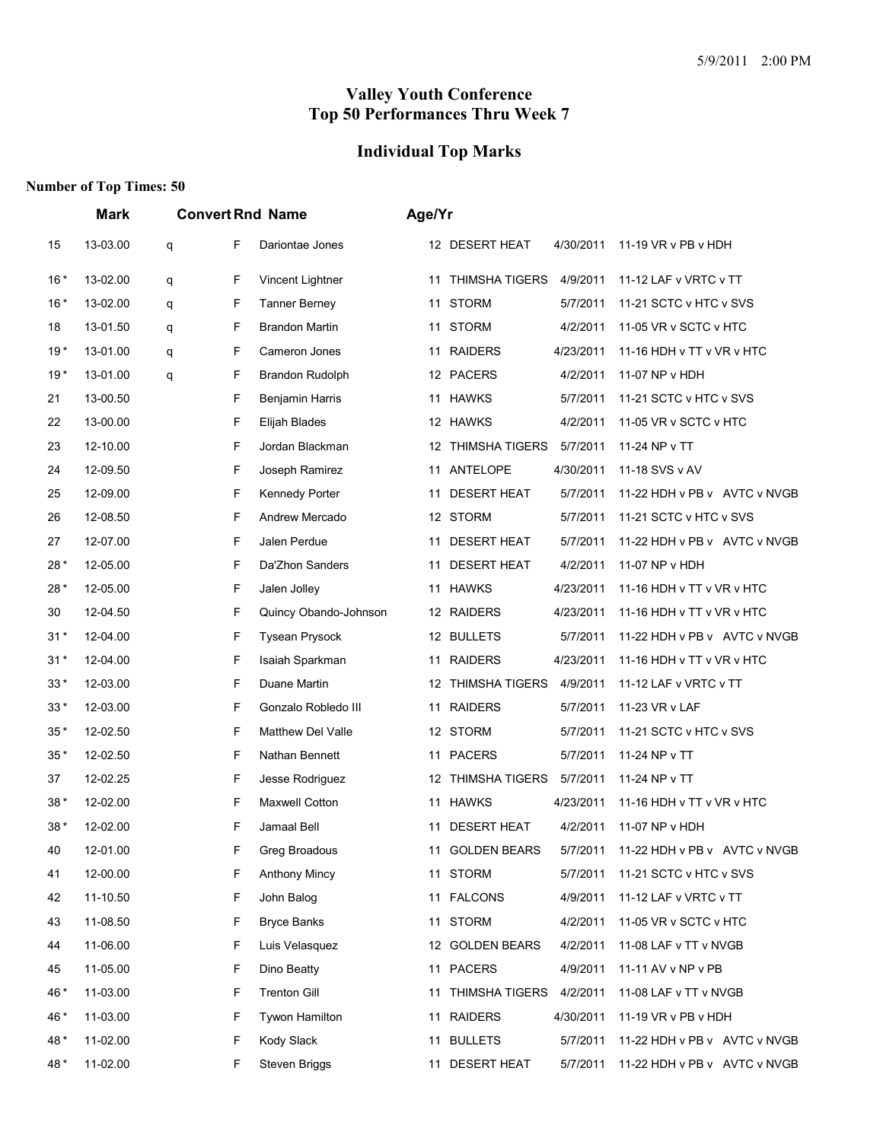## **Individual Top Marks**

|       | <b>Mark</b> |   |   | <b>Convert Rnd Name</b>  | Age/Yr |                     |           |                              |
|-------|-------------|---|---|--------------------------|--------|---------------------|-----------|------------------------------|
| 15    | 13-03.00    | q | F | Dariontae Jones          |        | 12 DESERT HEAT      | 4/30/2011 | 11-19 VR v PB v HDH          |
| $16*$ | 13-02.00    | q | F | Vincent Lightner         |        | 11 THIMSHA TIGERS   | 4/9/2011  | 11-12 LAF v VRTC v TT        |
| $16*$ | 13-02.00    | q | F | <b>Tanner Berney</b>     | 11     | <b>STORM</b>        | 5/7/2011  | 11-21 SCTC v HTC v SVS       |
| 18    | 13-01.50    | q | F | Brandon Martin           | 11     | <b>STORM</b>        | 4/2/2011  | 11-05 VR v SCTC v HTC        |
| $19*$ | 13-01.00    | q | F | Cameron Jones            |        | 11 RAIDERS          | 4/23/2011 | 11-16 HDH v TT v VR v HTC    |
| $19*$ | 13-01.00    | q | F | Brandon Rudolph          |        | 12 PACERS           | 4/2/2011  | 11-07 NP v HDH               |
| 21    | 13-00.50    |   | F | Benjamin Harris          |        | 11 HAWKS            | 5/7/2011  | 11-21 SCTC v HTC v SVS       |
| 22    | 13-00.00    |   | F | Elijah Blades            |        | 12 HAWKS            | 4/2/2011  | 11-05 VR v SCTC v HTC        |
| 23    | 12-10.00    |   | F | Jordan Blackman          |        | 12 THIMSHA TIGERS   | 5/7/2011  | 11-24 NP v TT                |
| 24    | 12-09.50    |   | F | Joseph Ramirez           |        | 11 ANTELOPE         | 4/30/2011 | 11-18 SVS v AV               |
| 25    | 12-09.00    |   | F | Kennedy Porter           | 11     | <b>DESERT HEAT</b>  | 5/7/2011  | 11-22 HDH v PB v AVTC v NVGB |
| 26    | 12-08.50    |   | F | Andrew Mercado           |        | 12 STORM            | 5/7/2011  | 11-21 SCTC v HTC v SVS       |
| 27    | 12-07.00    |   | F | Jalen Perdue             | 11     | <b>DESERT HEAT</b>  | 5/7/2011  | 11-22 HDH v PB v AVTC v NVGB |
| 28*   | 12-05.00    |   | F | Da'Zhon Sanders          | 11     | <b>DESERT HEAT</b>  | 4/2/2011  | 11-07 NP v HDH               |
| 28*   | 12-05.00    |   | F | Jalen Jolley             |        | 11 HAWKS            | 4/23/2011 | 11-16 HDH v TT v VR v HTC    |
| 30    | 12-04.50    |   | F | Quincy Obando-Johnson    |        | 12 RAIDERS          | 4/23/2011 | 11-16 HDH v TT v VR v HTC    |
| $31*$ | 12-04.00    |   | F | <b>Tysean Prysock</b>    |        | 12 BULLETS          | 5/7/2011  | 11-22 HDH v PB v AVTC v NVGB |
| $31*$ | 12-04.00    |   | F | Isaiah Sparkman          |        | 11 RAIDERS          | 4/23/2011 | 11-16 HDH v TT v VR v HTC    |
| $33*$ | 12-03.00    |   | F | Duane Martin             |        | 12 THIMSHA TIGERS   | 4/9/2011  | 11-12 LAF v VRTC v TT        |
| $33*$ | 12-03.00    |   | F | Gonzalo Robledo III      |        | 11 RAIDERS          | 5/7/2011  | 11-23 VR v LAF               |
| $35*$ | 12-02.50    |   | F | <b>Matthew Del Valle</b> |        | 12 STORM            | 5/7/2011  | 11-21 SCTC v HTC v SVS       |
| $35*$ | 12-02.50    |   | F | Nathan Bennett           |        | 11 PACERS           | 5/7/2011  | 11-24 NP v TT                |
| 37    | 12-02.25    |   | F | Jesse Rodriguez          |        | 12 THIMSHA TIGERS   | 5/7/2011  | 11-24 NP v TT                |
| $38*$ | 12-02.00    |   | F | Maxwell Cotton           |        | 11 HAWKS            | 4/23/2011 | 11-16 HDH v TT v VR v HTC    |
| 38*   | 12-02.00    |   | F | Jamaal Bell              | 11     | <b>DESERT HEAT</b>  | 4/2/2011  | 11-07 NP v HDH               |
| 40    | 12-01.00    |   | F | Greg Broadous            | 11     | <b>GOLDEN BEARS</b> | 5/7/2011  | 11-22 HDH v PB v AVTC v NVGB |
| 41    | 12-00.00    |   | F | <b>Anthony Mincy</b>     |        | 11 STORM            | 5/7/2011  | 11-21 SCTC v HTC v SVS       |
| 42    | 11-10.50    |   | F | John Balog               |        | 11 FALCONS          | 4/9/2011  | 11-12 LAF v VRTC v TT        |
| 43    | 11-08.50    |   | F | <b>Bryce Banks</b>       |        | 11 STORM            | 4/2/2011  | 11-05 VR v SCTC v HTC        |
| 44    | 11-06.00    |   | F | Luis Velasquez           |        | 12 GOLDEN BEARS     | 4/2/2011  | 11-08 LAF v TT v NVGB        |
| 45    | 11-05.00    |   | F | Dino Beatty              |        | 11 PACERS           | 4/9/2011  | 11-11 AV v NP v PB           |
| 46 *  | 11-03.00    |   | F | <b>Trenton Gill</b>      |        | 11 THIMSHA TIGERS   | 4/2/2011  | 11-08 LAF v TT v NVGB        |
| 46 *  | 11-03.00    |   | F | Tywon Hamilton           |        | 11 RAIDERS          | 4/30/2011 | 11-19 VR v PB v HDH          |
| 48*   | 11-02.00    |   | F | Kody Slack               |        | 11 BULLETS          | 5/7/2011  | 11-22 HDH v PB v AVTC v NVGB |
| 48*   | 11-02.00    |   | F | Steven Briggs            |        | 11 DESERT HEAT      | 5/7/2011  | 11-22 HDH v PB v AVTC v NVGB |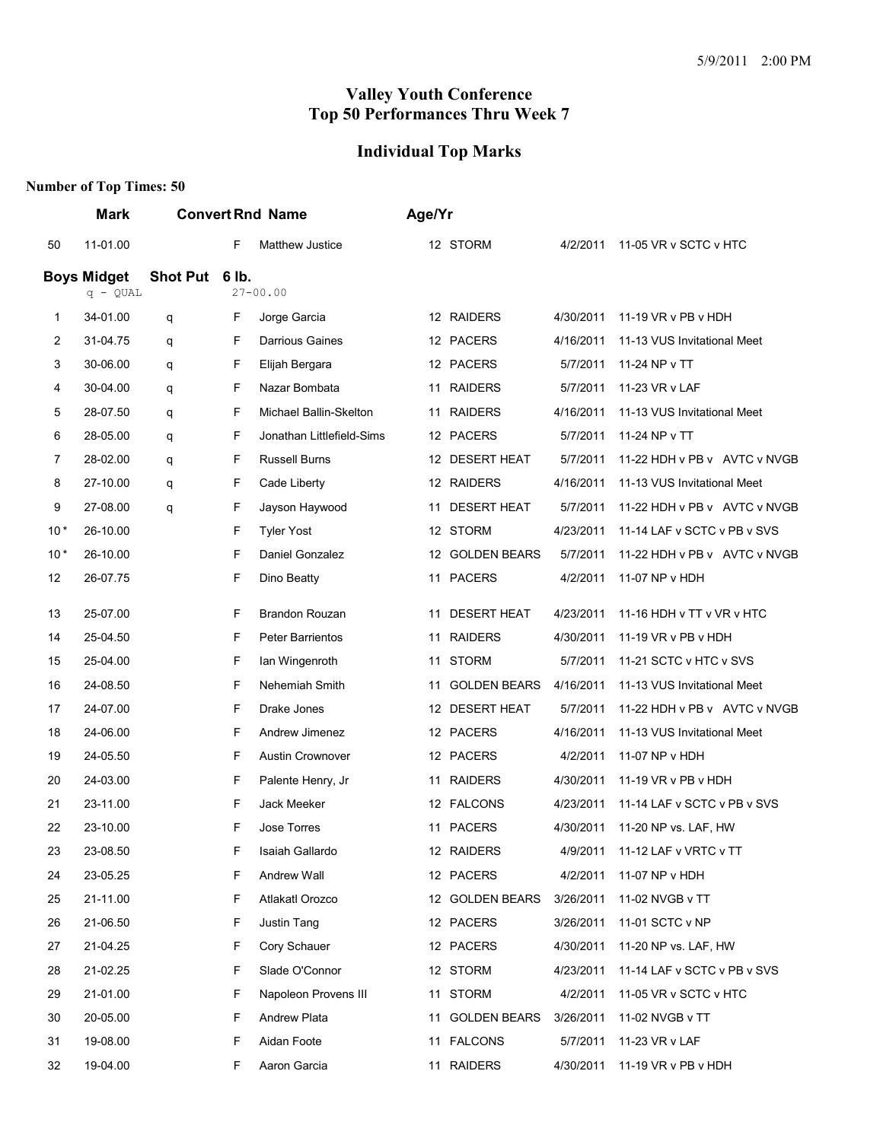## **Individual Top Marks**

|                | <b>Mark</b>        |                |    | <b>Convert Rnd Name</b>   | Age/Yr |                     |           |                              |
|----------------|--------------------|----------------|----|---------------------------|--------|---------------------|-----------|------------------------------|
| 50             | 11-01.00           |                | F  | <b>Matthew Justice</b>    |        | 12 STORM            | 4/2/2011  | 11-05 VR v SCTC v HTC        |
|                | <b>Boys Midget</b> | Shot Put 6 lb. |    |                           |        |                     |           |                              |
|                | $q - QUAL$         |                |    | $27 - 00.00$              |        |                     |           |                              |
| 1              | 34-01.00           | q              | F  | Jorge Garcia              |        | 12 RAIDERS          | 4/30/2011 | 11-19 VR v PB v HDH          |
| 2              | 31-04.75           | q              | F  | <b>Darrious Gaines</b>    |        | 12 PACERS           | 4/16/2011 | 11-13 VUS Invitational Meet  |
| 3              | 30-06.00           | q              | F  | Elijah Bergara            |        | 12 PACERS           | 5/7/2011  | 11-24 NP v TT                |
| 4              | 30-04.00           | q              | F  | Nazar Bombata             | 11     | <b>RAIDERS</b>      | 5/7/2011  | 11-23 VR v LAF               |
| 5              | 28-07.50           | q              | F  | Michael Ballin-Skelton    | 11     | <b>RAIDERS</b>      | 4/16/2011 | 11-13 VUS Invitational Meet  |
| 6              | 28-05.00           | q              | F  | Jonathan Littlefield-Sims |        | 12 PACERS           | 5/7/2011  | 11-24 NP v TT                |
| $\overline{7}$ | 28-02.00           | q              | F  | <b>Russell Burns</b>      |        | 12 DESERT HEAT      | 5/7/2011  | 11-22 HDH v PB v AVTC v NVGB |
| 8              | 27-10.00           | q              | F  | Cade Liberty              |        | 12 RAIDERS          | 4/16/2011 | 11-13 VUS Invitational Meet  |
| 9              | 27-08.00           | q              | F  | Jayson Haywood            | 11     | <b>DESERT HEAT</b>  | 5/7/2011  | 11-22 HDH v PB v AVTC v NVGB |
| $10*$          | 26-10.00           |                | F  | <b>Tyler Yost</b>         |        | 12 STORM            | 4/23/2011 | 11-14 LAF v SCTC v PB v SVS  |
| $10*$          | 26-10.00           |                | F  | Daniel Gonzalez           |        | 12 GOLDEN BEARS     | 5/7/2011  | 11-22 HDH v PB v AVTC v NVGB |
| 12             | 26-07.75           |                | F  | Dino Beatty               |        | 11 PACERS           | 4/2/2011  | 11-07 NP v HDH               |
| 13             | 25-07.00           |                | F  | <b>Brandon Rouzan</b>     | 11     | <b>DESERT HEAT</b>  | 4/23/2011 | 11-16 HDH v TT v VR v HTC    |
| 14             | 25-04.50           |                | F  | Peter Barrientos          | 11     | <b>RAIDERS</b>      | 4/30/2011 | 11-19 VR v PB v HDH          |
| 15             | 25-04.00           |                | F  | Ian Wingenroth            |        | 11 STORM            | 5/7/2011  | 11-21 SCTC v HTC v SVS       |
| 16             | 24-08.50           |                | F  | Nehemiah Smith            | 11     | <b>GOLDEN BEARS</b> | 4/16/2011 | 11-13 VUS Invitational Meet  |
| 17             | 24-07.00           |                | F  | Drake Jones               |        | 12 DESERT HEAT      | 5/7/2011  | 11-22 HDH v PB v AVTC v NVGB |
| 18             | 24-06.00           |                | F  | Andrew Jimenez            |        | 12 PACERS           | 4/16/2011 | 11-13 VUS Invitational Meet  |
| 19             | 24-05.50           |                | F. | <b>Austin Crownover</b>   |        | 12 PACERS           | 4/2/2011  | 11-07 NP v HDH               |
| 20             | 24-03.00           |                | F  | Palente Henry, Jr         | 11     | <b>RAIDERS</b>      | 4/30/2011 | 11-19 VR v PB v HDH          |
| 21             | 23-11.00           |                | F  | Jack Meeker               |        | 12 FALCONS          | 4/23/2011 | 11-14 LAF v SCTC v PB v SVS  |
| 22             | 23-10.00           |                | F  | Jose Torres               |        | 11 PACERS           | 4/30/2011 | 11-20 NP vs. LAF, HW         |
| 23             | 23-08.50           |                | F  | Isaiah Gallardo           |        | 12 RAIDERS          | 4/9/2011  | 11-12 LAF v VRTC v TT        |
| 24             | 23-05.25           |                | F  | Andrew Wall               |        | 12 PACERS           | 4/2/2011  | 11-07 NP v HDH               |
| 25             | 21-11.00           |                | F  | Atlakatl Orozco           |        | 12 GOLDEN BEARS     | 3/26/2011 | 11-02 NVGB v TT              |
| 26             | 21-06.50           |                | F  | Justin Tang               |        | 12 PACERS           | 3/26/2011 | 11-01 SCTC v NP              |
| 27             | 21-04.25           |                | F  | Cory Schauer              |        | 12 PACERS           | 4/30/2011 | 11-20 NP vs. LAF, HW         |
| 28             | 21-02.25           |                | F  | Slade O'Connor            |        | 12 STORM            | 4/23/2011 | 11-14 LAF v SCTC v PB v SVS  |
| 29             | 21-01.00           |                | F  | Napoleon Provens III      |        | 11 STORM            | 4/2/2011  | 11-05 VR v SCTC v HTC        |
| 30             | 20-05.00           |                | F  | <b>Andrew Plata</b>       | 11     | <b>GOLDEN BEARS</b> | 3/26/2011 | 11-02 NVGB v TT              |
| 31             | 19-08.00           |                | F  | Aidan Foote               |        | 11 FALCONS          | 5/7/2011  | 11-23 VR v LAF               |
| 32             | 19-04.00           |                | F  | Aaron Garcia              |        | 11 RAIDERS          | 4/30/2011 | 11-19 VR v PB v HDH          |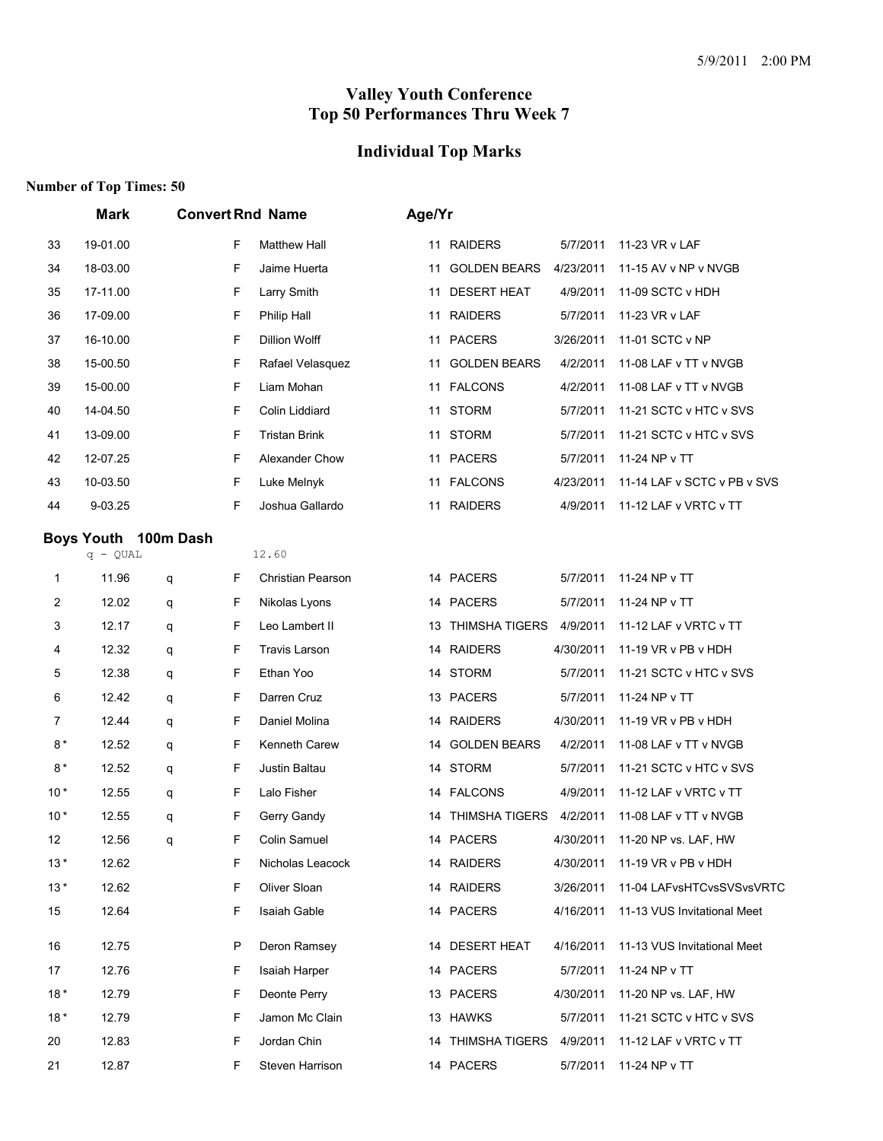## **Individual Top Marks**

|       | <b>Mark</b> |                      |    | <b>Convert Rnd Name</b>  | Age/Yr |                       |           |                             |
|-------|-------------|----------------------|----|--------------------------|--------|-----------------------|-----------|-----------------------------|
| 33    | 19-01.00    |                      | F  | <b>Matthew Hall</b>      |        | 11 RAIDERS            | 5/7/2011  | 11-23 VR v LAF              |
| 34    | 18-03.00    |                      | F  | Jaime Huerta             | 11     | <b>GOLDEN BEARS</b>   | 4/23/2011 | 11-15 AV v NP v NVGB        |
| 35    | 17-11.00    |                      | F  | Larry Smith              | 11     | <b>DESERT HEAT</b>    | 4/9/2011  | 11-09 SCTC v HDH            |
| 36    | 17-09.00    |                      | F  | Philip Hall              | 11     | <b>RAIDERS</b>        | 5/7/2011  | 11-23 VR v LAF              |
| 37    | 16-10.00    |                      | F  | Dillion Wolff            |        | 11 PACERS             | 3/26/2011 | 11-01 SCTC v NP             |
| 38    | 15-00.50    |                      | F  | Rafael Velasquez         | 11     | <b>GOLDEN BEARS</b>   | 4/2/2011  | 11-08 LAF v TT v NVGB       |
| 39    | 15-00.00    |                      | F  | Liam Mohan               |        | 11 FALCONS            | 4/2/2011  | 11-08 LAF v TT v NVGB       |
| 40    | 14-04.50    |                      | F  | Colin Liddiard           | 11     | <b>STORM</b>          | 5/7/2011  | 11-21 SCTC v HTC v SVS      |
| 41    | 13-09.00    |                      | F  | <b>Tristan Brink</b>     | 11     | <b>STORM</b>          | 5/7/2011  | 11-21 SCTC v HTC v SVS      |
| 42    | 12-07.25    |                      | F  | Alexander Chow           | 11     | <b>PACERS</b>         | 5/7/2011  | 11-24 NP v TT               |
| 43    | 10-03.50    |                      | F  | Luke Melnyk              |        | 11 FALCONS            | 4/23/2011 | 11-14 LAF v SCTC v PB v SVS |
| 44    | 9-03.25     |                      | F  | Joshua Gallardo          | 11     | <b>RAIDERS</b>        | 4/9/2011  | 11-12 LAF v VRTC v TT       |
|       |             | Boys Youth 100m Dash |    |                          |        |                       |           |                             |
|       | $q - QUAL$  |                      |    | 12.60                    |        |                       |           |                             |
| 1     | 11.96       | q                    | F  | <b>Christian Pearson</b> |        | 14 PACERS             | 5/7/2011  | 11-24 NP v TT               |
| 2     | 12.02       | q                    | F  | Nikolas Lyons            |        | 14 PACERS             | 5/7/2011  | 11-24 NP v TT               |
| 3     | 12.17       | q                    | F  | Leo Lambert II           |        | 13 THIMSHA TIGERS     | 4/9/2011  | 11-12 LAF v VRTC v TT       |
| 4     | 12.32       | q                    | F  | <b>Travis Larson</b>     |        | 14 RAIDERS            | 4/30/2011 | 11-19 VR v PB v HDH         |
| 5     | 12.38       | q                    | F  | Ethan Yoo                | 14     | <b>STORM</b>          | 5/7/2011  | 11-21 SCTC v HTC v SVS      |
| 6     | 12.42       | q                    | F  | Darren Cruz              |        | 13 PACERS             | 5/7/2011  | 11-24 NP v TT               |
| 7     | 12.44       | q                    | F  | Daniel Molina            |        | 14 RAIDERS            | 4/30/2011 | 11-19 VR v PB v HDH         |
| $8*$  | 12.52       | q                    | F  | Kenneth Carew            |        | 14 GOLDEN BEARS       | 4/2/2011  | 11-08 LAF v TT v NVGB       |
| $8*$  | 12.52       | q                    | F  | Justin Baltau            |        | 14 STORM              | 5/7/2011  | 11-21 SCTC v HTC v SVS      |
| $10*$ | 12.55       | q                    | F  | Lalo Fisher              |        | 14 FALCONS            | 4/9/2011  | 11-12 LAF v VRTC v TT       |
| $10*$ | 12.55       | q                    | F  | Gerry Gandy              | 14     | <b>THIMSHA TIGERS</b> | 4/2/2011  | 11-08 LAF v TT v NVGB       |
| 12    | 12.56       | q                    | F  | Colin Samuel             |        | 14 PACERS             | 4/30/2011 | 11-20 NP vs. LAF, HW        |
| $13*$ | 12.62       |                      | F  | Nicholas Leacock         |        | 14 RAIDERS            | 4/30/2011 | 11-19 VR v PB v HDH         |
| $13*$ | 12.62       |                      | F  | Oliver Sloan             |        | 14 RAIDERS            | 3/26/2011 | 11-04 LAFvsHTCvsSVSvsVRTC   |
| 15    | 12.64       |                      | F  | Isaiah Gable             |        | 14 PACERS             | 4/16/2011 | 11-13 VUS Invitational Meet |
| 16    | 12.75       |                      | P  | Deron Ramsey             |        | 14 DESERT HEAT        | 4/16/2011 | 11-13 VUS Invitational Meet |
| 17    | 12.76       |                      | F  | Isaiah Harper            |        | 14 PACERS             | 5/7/2011  | 11-24 NP v TT               |
| $18*$ | 12.79       |                      | F. | Deonte Perry             |        | 13 PACERS             | 4/30/2011 | 11-20 NP vs. LAF, HW        |
| $18*$ | 12.79       |                      | F. | Jamon Mc Clain           |        | 13 HAWKS              | 5/7/2011  | 11-21 SCTC v HTC v SVS      |
| 20    | 12.83       |                      | F  | Jordan Chin              |        | 14 THIMSHA TIGERS     | 4/9/2011  | 11-12 LAF v VRTC v TT       |
| 21    | 12.87       |                      | F. | Steven Harrison          |        | 14 PACERS             | 5/7/2011  | 11-24 NP v TT               |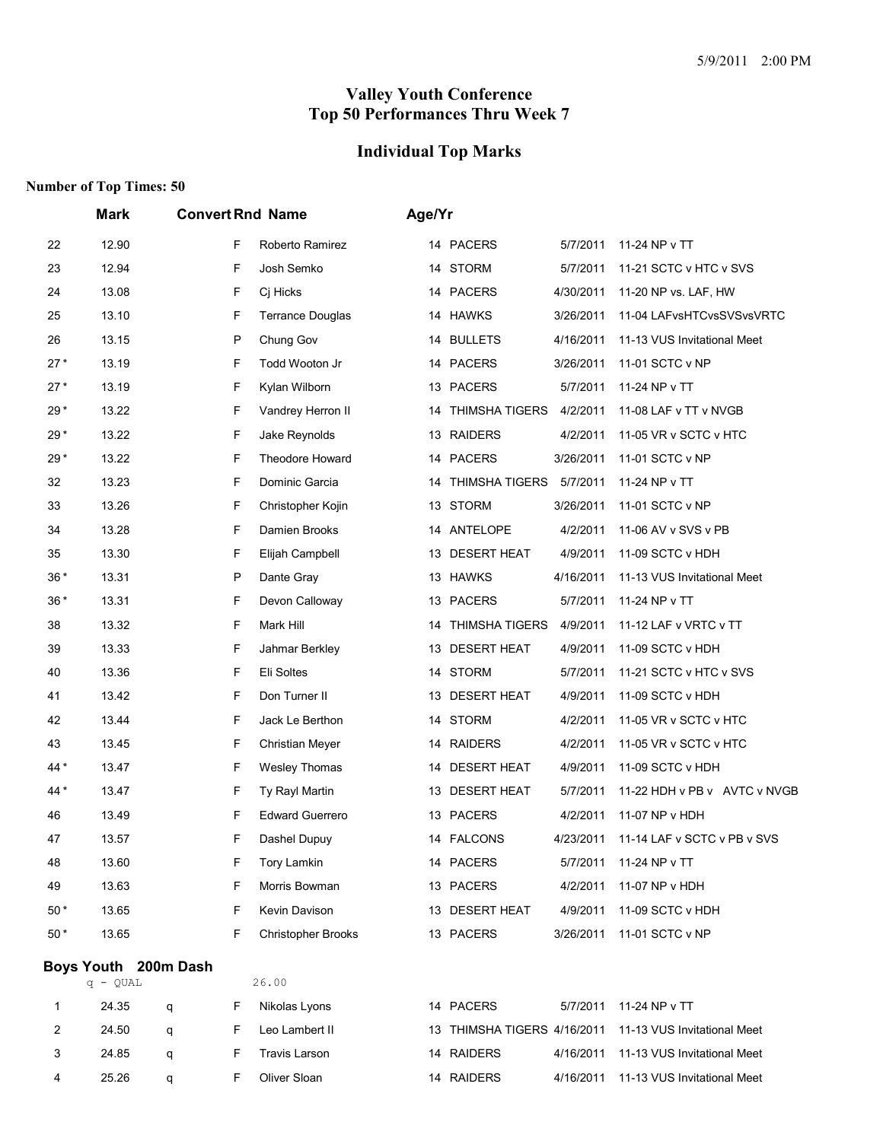#### **Individual Top Marks**

#### **Number of Top Times: 50**

|       | Mark                 |   |   | <b>Convert Rnd Name</b>   | Age/Yr |                             |           |                              |
|-------|----------------------|---|---|---------------------------|--------|-----------------------------|-----------|------------------------------|
| 22    | 12.90                |   | F | Roberto Ramirez           |        | 14 PACERS                   | 5/7/2011  | 11-24 NP v TT                |
| 23    | 12.94                |   | F | Josh Semko                | 14     | <b>STORM</b>                | 5/7/2011  | 11-21 SCTC v HTC v SVS       |
| 24    | 13.08                |   | F | Cj Hicks                  |        | 14 PACERS                   | 4/30/2011 | 11-20 NP vs. LAF, HW         |
| 25    | 13.10                |   | F | <b>Terrance Douglas</b>   |        | 14 HAWKS                    | 3/26/2011 | 11-04 LAFvsHTCvsSVSvsVRTC    |
| 26    | 13.15                |   | P | Chung Gov                 |        | 14 BULLETS                  | 4/16/2011 | 11-13 VUS Invitational Meet  |
| $27*$ | 13.19                |   | F | Todd Wooton Jr            |        | 14 PACERS                   | 3/26/2011 | 11-01 SCTC v NP              |
| $27*$ | 13.19                |   | F | Kylan Wilborn             |        | 13 PACERS                   | 5/7/2011  | 11-24 NP v TT                |
| $29*$ | 13.22                |   | F | Vandrey Herron II         | 14     | <b>THIMSHA TIGERS</b>       | 4/2/2011  | 11-08 LAF v TT v NVGB        |
| $29*$ | 13.22                |   | F | Jake Reynolds             |        | 13 RAIDERS                  | 4/2/2011  | 11-05 VR v SCTC v HTC        |
| 29*   | 13.22                |   | F | Theodore Howard           |        | 14 PACERS                   | 3/26/2011 | 11-01 SCTC v NP              |
| 32    | 13.23                |   | F | Dominic Garcia            | 14     | THIMSHA TIGERS              | 5/7/2011  | 11-24 NP v TT                |
| 33    | 13.26                |   | F | Christopher Kojin         |        | 13 STORM                    | 3/26/2011 | 11-01 SCTC v NP              |
| 34    | 13.28                |   | F | Damien Brooks             |        | 14 ANTELOPE                 | 4/2/2011  | 11-06 AV v SVS v PB          |
| 35    | 13.30                |   | F | Elijah Campbell           | 13     | <b>DESERT HEAT</b>          | 4/9/2011  | 11-09 SCTC v HDH             |
| 36*   | 13.31                |   | P | Dante Gray                |        | 13 HAWKS                    | 4/16/2011 | 11-13 VUS Invitational Meet  |
| $36*$ | 13.31                |   | F | Devon Calloway            |        | 13 PACERS                   | 5/7/2011  | 11-24 NP v TT                |
| 38    | 13.32                |   | F | Mark Hill                 | 14     | <b>THIMSHA TIGERS</b>       | 4/9/2011  | 11-12 LAF v VRTC v TT        |
| 39    | 13.33                |   | F | Jahmar Berkley            | 13     | <b>DESERT HEAT</b>          | 4/9/2011  | 11-09 SCTC v HDH             |
| 40    | 13.36                |   | F | Eli Soltes                |        | 14 STORM                    | 5/7/2011  | 11-21 SCTC v HTC v SVS       |
| 41    | 13.42                |   | F | Don Turner II             |        | 13 DESERT HEAT              | 4/9/2011  | 11-09 SCTC v HDH             |
| 42    | 13.44                |   | F | Jack Le Berthon           |        | 14 STORM                    | 4/2/2011  | 11-05 VR v SCTC v HTC        |
| 43    | 13.45                |   | F | <b>Christian Meyer</b>    |        | 14 RAIDERS                  | 4/2/2011  | 11-05 VR v SCTC v HTC        |
| 44 *  | 13.47                |   | F | Wesley Thomas             | 14     | <b>DESERT HEAT</b>          | 4/9/2011  | 11-09 SCTC v HDH             |
| 44 *  | 13.47                |   | F | Ty Rayl Martin            |        | 13 DESERT HEAT              | 5/7/2011  | 11-22 HDH v PB v AVTC v NVGB |
| 46    | 13.49                |   | F | <b>Edward Guerrero</b>    |        | 13 PACERS                   | 4/2/2011  | 11-07 NP v HDH               |
| 47    | 13.57                |   | F | Dashel Dupuy              |        | 14 FALCONS                  | 4/23/2011 | 11-14 LAF v SCTC v PB v SVS  |
| 48    | 13.60                |   | F | <b>Tory Lamkin</b>        |        | 14 PACERS                   | 5/7/2011  | 11-24 NP v TT                |
| 49    | 13.63                |   | F | Morris Bowman             |        | 13 PACERS                   | 4/2/2011  | 11-07 NP v HDH               |
| 50 *  | 13.65                |   | F | Kevin Davison             |        | 13 DESERT HEAT              | 4/9/2011  | 11-09 SCTC v HDH             |
| $50*$ | 13.65                |   | F | <b>Christopher Brooks</b> |        | 13 PACERS                   | 3/26/2011 | 11-01 SCTC v NP              |
|       | Boys Youth 200m Dash |   |   |                           |        |                             |           |                              |
|       | q - QUAL             |   |   | 26.00                     |        |                             |           |                              |
| 1     | 24.35                | q | F | Nikolas Lyons             |        | 14 PACERS                   | 5/7/2011  | 11-24 NP v TT                |
| 2     | 24.50                | q | F | Leo Lambert II            |        | 13 THIMSHA TIGERS 4/16/2011 |           | 11-13 VUS Invitational Meet  |
| 3     | 24.85                | q | F | <b>Travis Larson</b>      |        | 14 RAIDERS                  | 4/16/2011 | 11-13 VUS Invitational Meet  |

25.26 q F Oliver Sloan 14 RAIDERS 4/16/2011 11-13 VUS Invitational Meet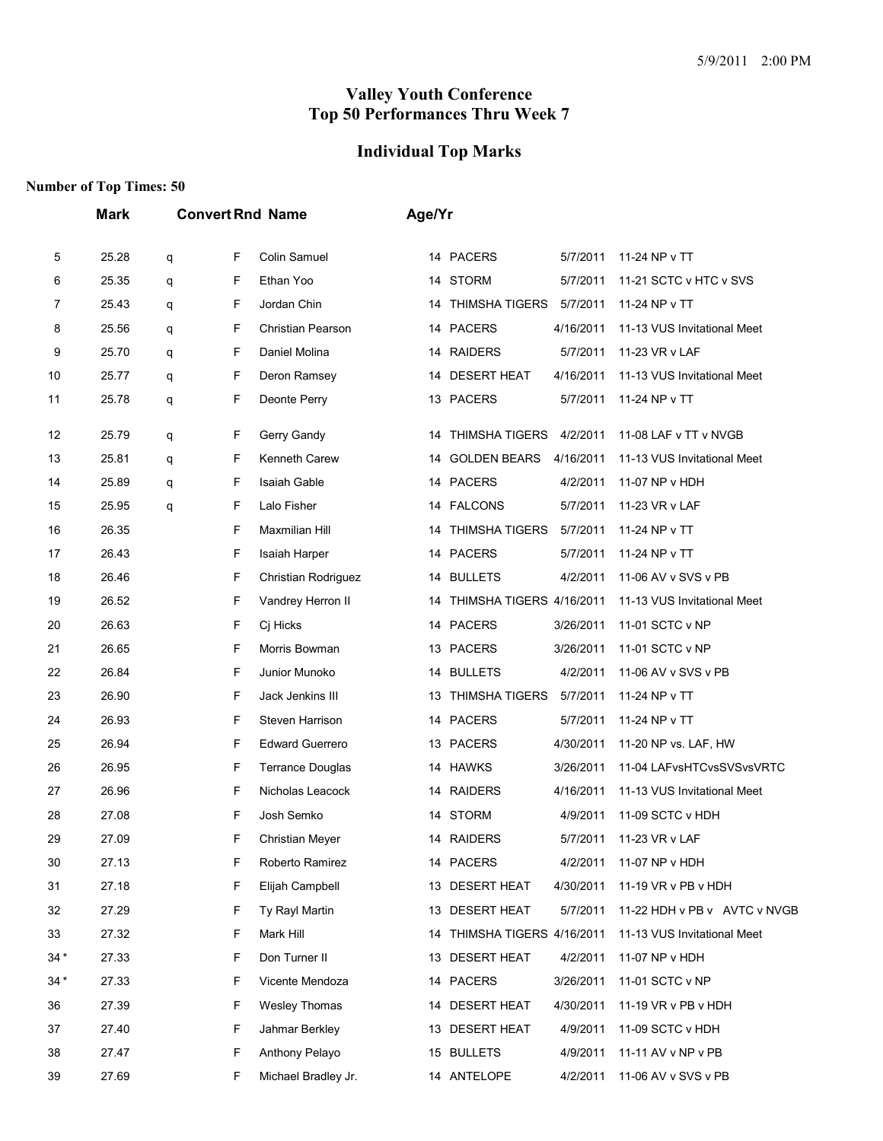# **Individual Top Marks**

|       | <b>Mark</b> |   |   | <b>Convert Rnd Name</b> | Age/Yr |                          |           |                              |
|-------|-------------|---|---|-------------------------|--------|--------------------------|-----------|------------------------------|
| 5     | 25.28       | q | F | Colin Samuel            |        | 14 PACERS                | 5/7/2011  | 11-24 NP v TT                |
| 6     | 25.35       | q | F | Ethan Yoo               |        | 14 STORM                 | 5/7/2011  | 11-21 SCTC v HTC v SVS       |
| 7     | 25.43       | q | F | Jordan Chin             | 14     | <b>THIMSHA TIGERS</b>    | 5/7/2011  | 11-24 NP v TT                |
| 8     | 25.56       | q | F | Christian Pearson       |        | 14 PACERS                | 4/16/2011 | 11-13 VUS Invitational Meet  |
| 9     | 25.70       | q | F | Daniel Molina           |        | 14 RAIDERS               | 5/7/2011  | 11-23 VR v LAF               |
| 10    | 25.77       | q | F | Deron Ramsey            | 14     | <b>DESERT HEAT</b>       | 4/16/2011 | 11-13 VUS Invitational Meet  |
| 11    | 25.78       | q | F | Deonte Perry            |        | 13 PACERS                | 5/7/2011  | 11-24 NP v TT                |
| 12    | 25.79       | q | F | Gerry Gandy             | 14     | <b>THIMSHA TIGERS</b>    | 4/2/2011  | 11-08 LAF v TT v NVGB        |
| 13    | 25.81       | q | F | Kenneth Carew           | 14     | <b>GOLDEN BEARS</b>      | 4/16/2011 | 11-13 VUS Invitational Meet  |
| 14    | 25.89       | q | F | Isaiah Gable            |        | 14 PACERS                | 4/2/2011  | 11-07 NP v HDH               |
| 15    | 25.95       | q | F | Lalo Fisher             |        | 14 FALCONS               | 5/7/2011  | 11-23 VR v LAF               |
| 16    | 26.35       |   | F | Maxmilian Hill          | 14     | <b>THIMSHA TIGERS</b>    | 5/7/2011  | 11-24 NP v TT                |
| 17    | 26.43       |   | F | Isaiah Harper           |        | 14 PACERS                | 5/7/2011  | 11-24 NP v TT                |
| 18    | 26.46       |   | F | Christian Rodriguez     |        | 14 BULLETS               | 4/2/2011  | 11-06 AV v SVS v PB          |
| 19    | 26.52       |   | F | Vandrey Herron II       | 14     | THIMSHA TIGERS 4/16/2011 |           | 11-13 VUS Invitational Meet  |
| 20    | 26.63       |   | F | Cj Hicks                |        | 14 PACERS                | 3/26/2011 | 11-01 SCTC v NP              |
| 21    | 26.65       |   | F | Morris Bowman           |        | 13 PACERS                | 3/26/2011 | 11-01 SCTC v NP              |
| 22    | 26.84       |   | F | Junior Munoko           |        | 14 BULLETS               | 4/2/2011  | 11-06 AV v SVS v PB          |
| 23    | 26.90       |   | F | Jack Jenkins III        | 13     | <b>THIMSHA TIGERS</b>    | 5/7/2011  | 11-24 NP v TT                |
| 24    | 26.93       |   | F | Steven Harrison         |        | 14 PACERS                | 5/7/2011  | 11-24 NP v TT                |
| 25    | 26.94       |   | F | <b>Edward Guerrero</b>  |        | 13 PACERS                | 4/30/2011 | 11-20 NP vs. LAF, HW         |
| 26    | 26.95       |   | F | <b>Terrance Douglas</b> |        | 14 HAWKS                 | 3/26/2011 | 11-04 LAFvsHTCvsSVSvsVRTC    |
| 27    | 26.96       |   | F | Nicholas Leacock        | 14     | <b>RAIDERS</b>           | 4/16/2011 | 11-13 VUS Invitational Meet  |
| 28    | 27.08       |   | F | Josh Semko              | 14     | <b>STORM</b>             | 4/9/2011  | 11-09 SCTC v HDH             |
| 29    | 27.09       |   | F | <b>Christian Meyer</b>  |        | 14 RAIDERS               | 5/7/2011  | 11-23 VR v LAF               |
| 30    | 27.13       |   | F | Roberto Ramirez         |        | 14 PACERS                | 4/2/2011  | 11-07 NP v HDH               |
| 31    | 27.18       |   | F | Elijah Campbell         |        | 13 DESERT HEAT           | 4/30/2011 | 11-19 VR v PB v HDH          |
| 32    | 27.29       |   | F | Ty Rayl Martin          |        | 13 DESERT HEAT           | 5/7/2011  | 11-22 HDH v PB v AVTC v NVGB |
| 33    | 27.32       |   | F | Mark Hill               | 14     | THIMSHA TIGERS 4/16/2011 |           | 11-13 VUS Invitational Meet  |
| $34*$ | 27.33       |   | F | Don Turner II           |        | 13 DESERT HEAT           | 4/2/2011  | 11-07 NP v HDH               |
| $34*$ | 27.33       |   | F | Vicente Mendoza         |        | 14 PACERS                | 3/26/2011 | 11-01 SCTC v NP              |
| 36    | 27.39       |   | F | Wesley Thomas           |        | 14 DESERT HEAT           | 4/30/2011 | 11-19 VR v PB v HDH          |
| 37    | 27.40       |   | F | Jahmar Berkley          |        | 13 DESERT HEAT           | 4/9/2011  | 11-09 SCTC v HDH             |
| 38    | 27.47       |   | F | Anthony Pelayo          |        | 15 BULLETS               | 4/9/2011  | 11-11 AV v NP v PB           |
| 39    | 27.69       |   | F | Michael Bradley Jr.     |        | 14 ANTELOPE              | 4/2/2011  | 11-06 AV v SVS v PB          |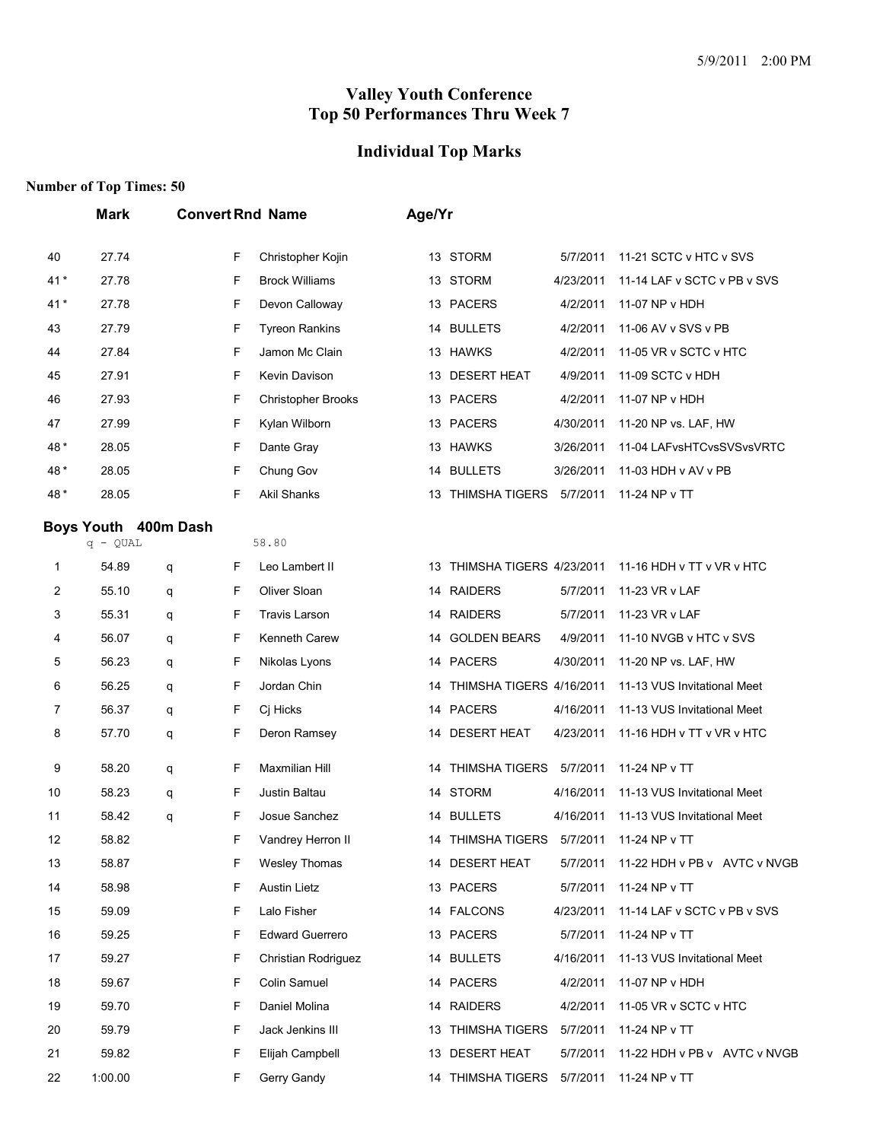## **Individual Top Marks**

|                | <b>Mark</b>          |   |    | <b>Convert Rnd Name</b>   | Age/Yr |                             |           |                              |
|----------------|----------------------|---|----|---------------------------|--------|-----------------------------|-----------|------------------------------|
| 40             | 27.74                |   | F  | Christopher Kojin         |        | 13 STORM                    | 5/7/2011  | 11-21 SCTC v HTC v SVS       |
| 41*            | 27.78                |   | F  | <b>Brock Williams</b>     |        | 13 STORM                    | 4/23/2011 | 11-14 LAF v SCTC v PB v SVS  |
| 41*            | 27.78                |   | F  | Devon Calloway            |        | 13 PACERS                   | 4/2/2011  | 11-07 NP v HDH               |
| 43             | 27.79                |   | F  | <b>Tyreon Rankins</b>     | 14     | <b>BULLETS</b>              | 4/2/2011  | 11-06 AV v SVS v PB          |
| 44             | 27.84                |   | F  | Jamon Mc Clain            |        | 13 HAWKS                    | 4/2/2011  | 11-05 VR v SCTC v HTC        |
| 45             | 27.91                |   | F  | Kevin Davison             |        | 13 DESERT HEAT              | 4/9/2011  | 11-09 SCTC v HDH             |
| 46             | 27.93                |   | F  | <b>Christopher Brooks</b> |        | 13 PACERS                   | 4/2/2011  | 11-07 NP v HDH               |
| 47             | 27.99                |   | F  | Kylan Wilborn             |        | 13 PACERS                   | 4/30/2011 | 11-20 NP vs. LAF, HW         |
| 48*            | 28.05                |   | F  | Dante Gray                |        | 13 HAWKS                    | 3/26/2011 | 11-04 LAFvsHTCvsSVSvsVRTC    |
| 48*            | 28.05                |   | F  | Chung Gov                 |        | 14 BULLETS                  | 3/26/2011 | 11-03 HDH v AV v PB          |
| 48*            | 28.05                |   | F  | <b>Akil Shanks</b>        |        | 13 THIMSHA TIGERS           | 5/7/2011  | 11-24 NP v TT                |
|                | Boys Youth 400m Dash |   |    |                           |        |                             |           |                              |
|                | $q - QUAL$           |   |    | 58.80                     |        |                             |           |                              |
| 1              | 54.89                | q | F  | Leo Lambert II            |        | 13 THIMSHA TIGERS 4/23/2011 |           | 11-16 HDH v TT v VR v HTC    |
| $\overline{c}$ | 55.10                | q | F  | Oliver Sloan              |        | 14 RAIDERS                  | 5/7/2011  | 11-23 VR v LAF               |
| 3              | 55.31                | q | F  | <b>Travis Larson</b>      | 14     | <b>RAIDERS</b>              | 5/7/2011  | 11-23 VR v LAF               |
| 4              | 56.07                | q | F  | Kenneth Carew             | 14     | <b>GOLDEN BEARS</b>         | 4/9/2011  | 11-10 NVGB v HTC v SVS       |
| 5              | 56.23                | q | F  | Nikolas Lyons             |        | 14 PACERS                   | 4/30/2011 | 11-20 NP vs. LAF, HW         |
| 6              | 56.25                | q | F  | Jordan Chin               | 14     | THIMSHA TIGERS 4/16/2011    |           | 11-13 VUS Invitational Meet  |
| 7              | 56.37                | q | F  | Cj Hicks                  |        | 14 PACERS                   | 4/16/2011 | 11-13 VUS Invitational Meet  |
| 8              | 57.70                | q | F  | Deron Ramsey              | 14     | <b>DESERT HEAT</b>          | 4/23/2011 | 11-16 HDH v TT v VR v HTC    |
| 9              | 58.20                | q | F  | Maxmilian Hill            | 14     | <b>THIMSHA TIGERS</b>       | 5/7/2011  | 11-24 NP v TT                |
| 10             | 58.23                | q | F  | Justin Baltau             |        | 14 STORM                    | 4/16/2011 | 11-13 VUS Invitational Meet  |
| 11             | 58.42                | q | F  | Josue Sanchez             |        | 14 BULLETS                  | 4/16/2011 | 11-13 VUS Invitational Meet  |
| 12             | 58.82                |   | F  | Vandrey Herron II         |        | 14 THIMSHA TIGERS 5/7/2011  |           | 11-24 NP v TT                |
| 13             | 58.87                |   | F  | Wesley Thomas             |        | 14 DESERT HEAT              | 5/7/2011  | 11-22 HDH v PB v AVTC v NVGB |
| 14             | 58.98                |   | F  | <b>Austin Lietz</b>       |        | 13 PACERS                   | 5/7/2011  | 11-24 NP v TT                |
| 15             | 59.09                |   | F  | Lalo Fisher               |        | 14 FALCONS                  | 4/23/2011 | 11-14 LAF v SCTC v PB v SVS  |
| 16             | 59.25                |   | F  | <b>Edward Guerrero</b>    |        | 13 PACERS                   | 5/7/2011  | 11-24 NP v TT                |
| 17             | 59.27                |   | F  | Christian Rodriguez       |        | 14 BULLETS                  | 4/16/2011 | 11-13 VUS Invitational Meet  |
| 18             | 59.67                |   | F  | Colin Samuel              |        | 14 PACERS                   | 4/2/2011  | 11-07 NP v HDH               |
| 19             | 59.70                |   | F  | Daniel Molina             |        | 14 RAIDERS                  | 4/2/2011  | 11-05 VR v SCTC v HTC        |
| 20             | 59.79                |   | F  | Jack Jenkins III          |        | 13 THIMSHA TIGERS           | 5/7/2011  | 11-24 NP v TT                |
| 21             | 59.82                |   | F  | Elijah Campbell           |        | 13 DESERT HEAT              | 5/7/2011  | 11-22 HDH v PB v AVTC v NVGB |
| 22             | 1:00.00              |   | F. | Gerry Gandy               |        | 14 THIMSHA TIGERS           | 5/7/2011  | 11-24 NP v TT                |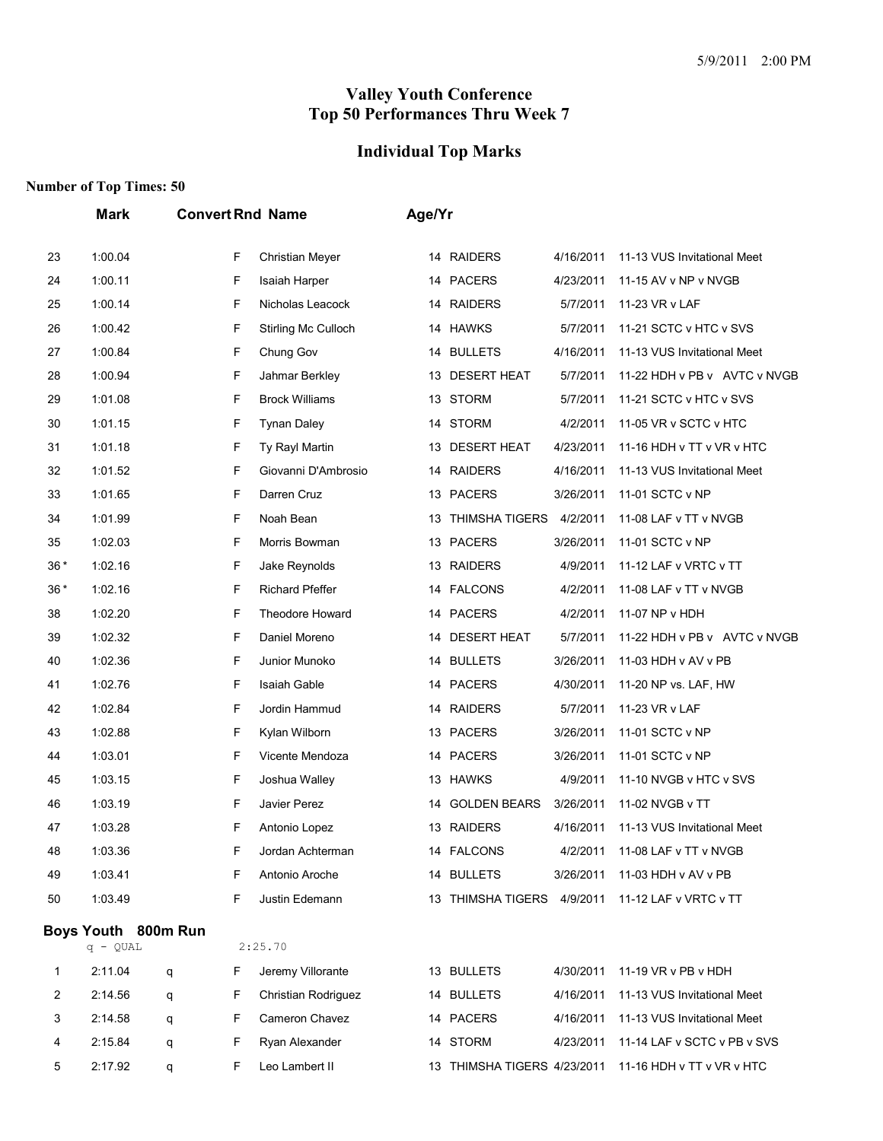## **Individual Top Marks**

|       | Mark                | <b>Convert Rnd Name</b> |   |                            | Age/Yr |                             |           |                              |
|-------|---------------------|-------------------------|---|----------------------------|--------|-----------------------------|-----------|------------------------------|
| 23    | 1:00.04             |                         | F | Christian Meyer            |        | 14 RAIDERS                  | 4/16/2011 | 11-13 VUS Invitational Meet  |
| 24    | 1:00.11             |                         | F | Isaiah Harper              |        | 14 PACERS                   | 4/23/2011 | 11-15 AV v NP v NVGB         |
| 25    | 1:00.14             |                         | F | Nicholas Leacock           |        | 14 RAIDERS                  | 5/7/2011  | 11-23 VR v LAF               |
| 26    | 1:00.42             |                         | F | <b>Stirling Mc Culloch</b> |        | 14 HAWKS                    | 5/7/2011  | 11-21 SCTC v HTC v SVS       |
| 27    | 1:00.84             |                         | F | Chung Gov                  |        | 14 BULLETS                  | 4/16/2011 | 11-13 VUS Invitational Meet  |
| 28    | 1:00.94             |                         | F | Jahmar Berkley             |        | 13 DESERT HEAT              | 5/7/2011  | 11-22 HDH v PB v AVTC v NVGB |
| 29    | 1:01.08             |                         | F | <b>Brock Williams</b>      |        | 13 STORM                    | 5/7/2011  | 11-21 SCTC v HTC v SVS       |
| 30    | 1:01.15             |                         | F | <b>Tynan Daley</b>         |        | 14 STORM                    | 4/2/2011  | 11-05 VR v SCTC v HTC        |
| 31    | 1:01.18             |                         | F | Ty Rayl Martin             |        | 13 DESERT HEAT              | 4/23/2011 | 11-16 HDH v TT v VR v HTC    |
| 32    | 1:01.52             |                         | F | Giovanni D'Ambrosio        |        | 14 RAIDERS                  | 4/16/2011 | 11-13 VUS Invitational Meet  |
| 33    | 1:01.65             |                         | F | Darren Cruz                |        | 13 PACERS                   | 3/26/2011 | 11-01 SCTC v NP              |
| 34    | 1:01.99             |                         | F | Noah Bean                  |        | 13 THIMSHA TIGERS           | 4/2/2011  | 11-08 LAF v TT v NVGB        |
| 35    | 1:02.03             |                         | F | Morris Bowman              |        | 13 PACERS                   | 3/26/2011 | 11-01 SCTC v NP              |
| $36*$ | 1:02.16             |                         | F | Jake Reynolds              |        | 13 RAIDERS                  | 4/9/2011  | 11-12 LAF v VRTC v TT        |
| $36*$ | 1:02.16             |                         | F | <b>Richard Pfeffer</b>     |        | 14 FALCONS                  | 4/2/2011  | 11-08 LAF v TT v NVGB        |
| 38    | 1:02.20             |                         | F | Theodore Howard            |        | 14 PACERS                   | 4/2/2011  | 11-07 NP v HDH               |
| 39    | 1:02.32             |                         | F | Daniel Moreno              |        | 14 DESERT HEAT              | 5/7/2011  | 11-22 HDH v PB v AVTC v NVGB |
| 40    | 1:02.36             |                         | F | Junior Munoko              |        | 14 BULLETS                  | 3/26/2011 | 11-03 HDH v AV v PB          |
| 41    | 1:02.76             |                         | F | <b>Isaiah Gable</b>        |        | 14 PACERS                   | 4/30/2011 | 11-20 NP vs. LAF, HW         |
| 42    | 1:02.84             |                         | F | Jordin Hammud              |        | 14 RAIDERS                  | 5/7/2011  | 11-23 VR v LAF               |
| 43    | 1:02.88             |                         | F | Kylan Wilborn              |        | 13 PACERS                   | 3/26/2011 | 11-01 SCTC v NP              |
| 44    | 1:03.01             |                         | F | Vicente Mendoza            |        | 14 PACERS                   | 3/26/2011 | 11-01 SCTC v NP              |
| 45    | 1:03.15             |                         | F | Joshua Walley              |        | 13 HAWKS                    | 4/9/2011  | 11-10 NVGB v HTC v SVS       |
| 46    | 1:03.19             |                         | F | Javier Perez               |        | 14 GOLDEN BEARS             | 3/26/2011 | 11-02 NVGB v TT              |
| 47    | 1:03.28             |                         | F | Antonio Lopez              |        | 13 RAIDERS                  | 4/16/2011 | 11-13 VUS Invitational Meet  |
| 48    | 1:03.36             |                         | F | Jordan Achterman           |        | 14 FALCONS                  | 4/2/2011  | 11-08 LAF v TT v NVGB        |
| 49    | 1:03.41             |                         | F | Antonio Aroche             |        | 14 BULLETS                  | 3/26/2011 | 11-03 HDH v AV v PB          |
| 50    | 1:03.49             |                         | F | Justin Edemann             |        | 13 THIMSHA TIGERS 4/9/2011  |           | 11-12 LAF v VRTC v TT        |
|       | Boys Youth 800m Run |                         |   |                            |        |                             |           |                              |
|       | $q - QUAL$          |                         |   | 2:25.70                    |        |                             |           |                              |
| 1     | 2:11.04             | q                       | F | Jeremy Villorante          |        | 13 BULLETS                  | 4/30/2011 | 11-19 VR v PB v HDH          |
| 2     | 2:14.56             | q                       | F | Christian Rodriguez        |        | 14 BULLETS                  | 4/16/2011 | 11-13 VUS Invitational Meet  |
| 3     | 2:14.58             | q                       | F | Cameron Chavez             |        | 14 PACERS                   | 4/16/2011 | 11-13 VUS Invitational Meet  |
| 4     | 2:15.84             | q                       | F | Ryan Alexander             |        | 14 STORM                    | 4/23/2011 | 11-14 LAF v SCTC v PB v SVS  |
| 5     | 2:17.92             | q                       | F | Leo Lambert II             |        | 13 THIMSHA TIGERS 4/23/2011 |           | 11-16 HDH v TT v VR v HTC    |
|       |                     |                         |   |                            |        |                             |           |                              |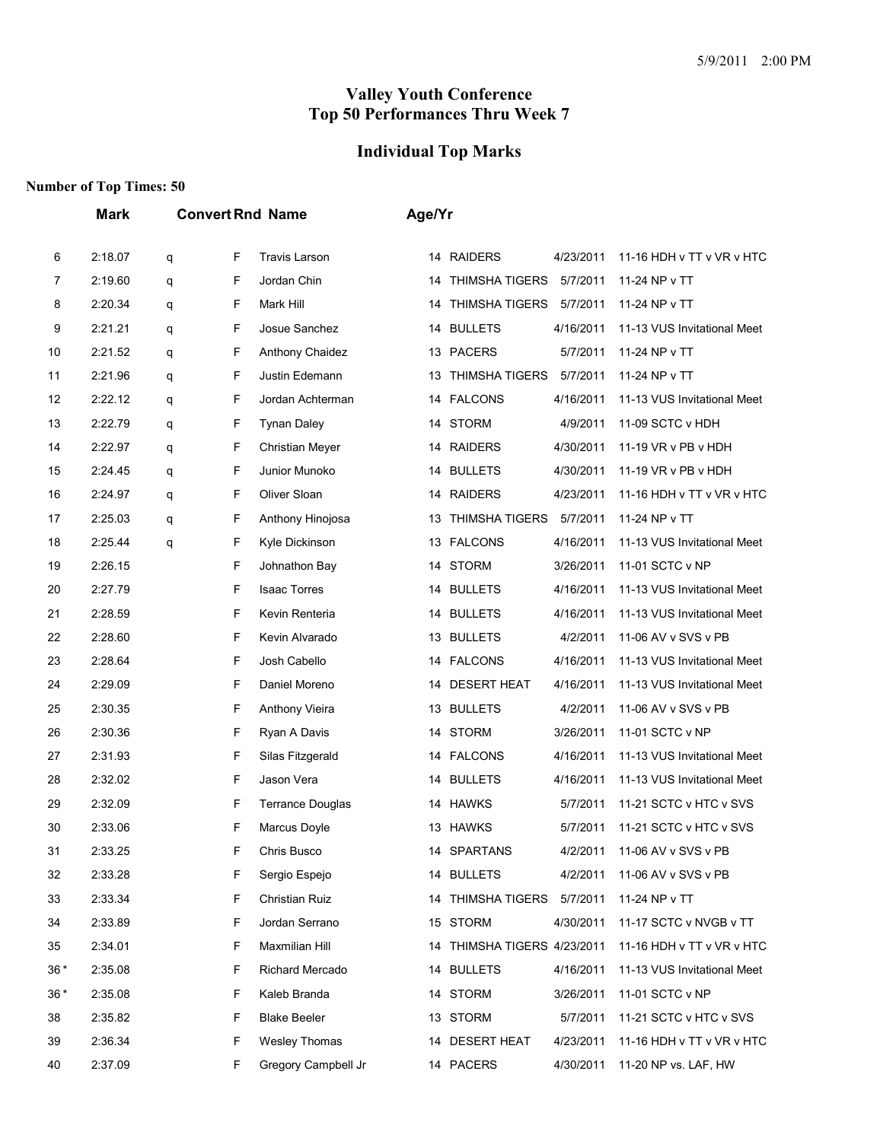# **Individual Top Marks**

|       | <b>Mark</b> |   |    | <b>Convert Rnd Name</b> | Age/Yr |                             |           |                             |
|-------|-------------|---|----|-------------------------|--------|-----------------------------|-----------|-----------------------------|
| 6     | 2:18.07     | q | F  | <b>Travis Larson</b>    |        | 14 RAIDERS                  | 4/23/2011 | 11-16 HDH v TT v VR v HTC   |
| 7     | 2:19.60     | q | F  | Jordan Chin             | 14     | <b>THIMSHA TIGERS</b>       | 5/7/2011  | 11-24 NP v TT               |
| 8     | 2:20.34     | q | F  | Mark Hill               | 14     | <b>THIMSHA TIGERS</b>       | 5/7/2011  | 11-24 NP v TT               |
| 9     | 2:21.21     | q | F  | Josue Sanchez           |        | 14 BULLETS                  | 4/16/2011 | 11-13 VUS Invitational Meet |
| 10    | 2:21.52     | q | F  | <b>Anthony Chaidez</b>  |        | 13 PACERS                   | 5/7/2011  | 11-24 NP v TT               |
| 11    | 2:21.96     | q | F  | Justin Edemann          | 13     | <b>THIMSHA TIGERS</b>       | 5/7/2011  | 11-24 NP v TT               |
| 12    | 2:22.12     | q | F  | Jordan Achterman        | 14     | <b>FALCONS</b>              | 4/16/2011 | 11-13 VUS Invitational Meet |
| 13    | 2:22.79     | q | F  | <b>Tynan Daley</b>      |        | 14 STORM                    | 4/9/2011  | 11-09 SCTC v HDH            |
| 14    | 2:22.97     | q | F  | Christian Meyer         |        | 14 RAIDERS                  | 4/30/2011 | 11-19 VR v PB v HDH         |
| 15    | 2:24.45     | q | F  | Junior Munoko           |        | 14 BULLETS                  | 4/30/2011 | 11-19 VR v PB v HDH         |
| 16    | 2:24.97     | q | F  | Oliver Sloan            | 14     | <b>RAIDERS</b>              | 4/23/2011 | 11-16 HDH v TT v VR v HTC   |
| 17    | 2:25.03     | q | F  | Anthony Hinojosa        | 13     | <b>THIMSHA TIGERS</b>       | 5/7/2011  | 11-24 NP v TT               |
| 18    | 2:25.44     | q | F  | Kyle Dickinson          |        | 13 FALCONS                  | 4/16/2011 | 11-13 VUS Invitational Meet |
| 19    | 2:26.15     |   | F  | Johnathon Bay           |        | 14 STORM                    | 3/26/2011 | 11-01 SCTC v NP             |
| 20    | 2:27.79     |   | F  | <b>Isaac Torres</b>     | 14     | <b>BULLETS</b>              | 4/16/2011 | 11-13 VUS Invitational Meet |
| 21    | 2:28.59     |   | F  | Kevin Renteria          |        | 14 BULLETS                  | 4/16/2011 | 11-13 VUS Invitational Meet |
| 22    | 2:28.60     |   | F  | Kevin Alvarado          | 13     | <b>BULLETS</b>              | 4/2/2011  | 11-06 AV v SVS v PB         |
| 23    | 2:28.64     |   | F  | Josh Cabello            |        | 14 FALCONS                  | 4/16/2011 | 11-13 VUS Invitational Meet |
| 24    | 2:29.09     |   | F  | Daniel Moreno           | 14     | <b>DESERT HEAT</b>          | 4/16/2011 | 11-13 VUS Invitational Meet |
| 25    | 2:30.35     |   | F  | Anthony Vieira          |        | 13 BULLETS                  | 4/2/2011  | 11-06 AV v SVS v PB         |
| 26    | 2:30.36     |   | F  | Ryan A Davis            |        | 14 STORM                    | 3/26/2011 | 11-01 SCTC v NP             |
| 27    | 2:31.93     |   | F  | Silas Fitzgerald        |        | 14 FALCONS                  | 4/16/2011 | 11-13 VUS Invitational Meet |
| 28    | 2:32.02     |   | F  | Jason Vera              | 14     | <b>BULLETS</b>              | 4/16/2011 | 11-13 VUS Invitational Meet |
| 29    | 2:32.09     |   | F  | <b>Terrance Douglas</b> |        | 14 HAWKS                    | 5/7/2011  | 11-21 SCTC v HTC v SVS      |
| 30    | 2:33.06     |   | F  | Marcus Doyle            |        | 13 HAWKS                    | 5/7/2011  | 11-21 SCTC v HTC v SVS      |
| 31    | 2:33.25     |   | F  | Chris Busco             |        | 14 SPARTANS                 | 4/2/2011  | 11-06 AV v SVS v PB         |
| 32    | 2:33.28     |   | F  | Sergio Espejo           |        | 14 BULLETS                  | 4/2/2011  | 11-06 AV v SVS v PB         |
| 33    | 2:33.34     |   | F  | Christian Ruiz          |        | 14 THIMSHA TIGERS           | 5/7/2011  | 11-24 NP v TT               |
| 34    | 2:33.89     |   | F  | Jordan Serrano          |        | 15 STORM                    | 4/30/2011 | 11-17 SCTC v NVGB v TT      |
| 35    | 2:34.01     |   | F. | Maxmilian Hill          |        | 14 THIMSHA TIGERS 4/23/2011 |           | 11-16 HDH v TT v VR v HTC   |
| $36*$ | 2:35.08     |   | F  | Richard Mercado         | 14     | <b>BULLETS</b>              | 4/16/2011 | 11-13 VUS Invitational Meet |
| $36*$ | 2:35.08     |   | F  | Kaleb Branda            |        | 14 STORM                    | 3/26/2011 | 11-01 SCTC v NP             |
| 38    | 2:35.82     |   | F  | <b>Blake Beeler</b>     |        | 13 STORM                    | 5/7/2011  | 11-21 SCTC v HTC v SVS      |
| 39    | 2:36.34     |   | F  | Wesley Thomas           |        | 14 DESERT HEAT              | 4/23/2011 | 11-16 HDH v TT v VR v HTC   |
| 40    | 2:37.09     |   | F  | Gregory Campbell Jr     |        | 14 PACERS                   | 4/30/2011 | 11-20 NP vs. LAF, HW        |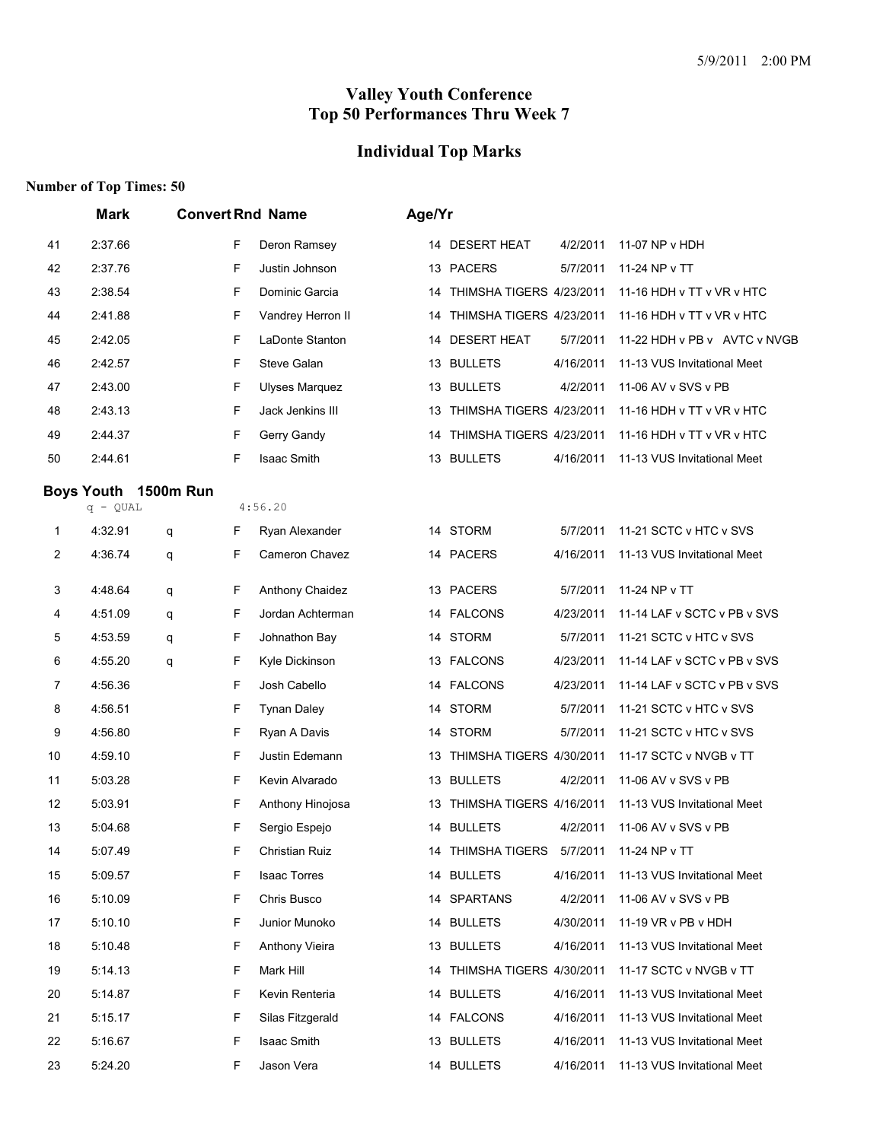## **Individual Top Marks**

|    | <b>Mark</b>          |        | <b>Convert Rnd Name</b> | Age/Yr |                             |           |                              |
|----|----------------------|--------|-------------------------|--------|-----------------------------|-----------|------------------------------|
| 41 | 2:37.66              | F      | Deron Ramsey            |        | 14 DESERT HEAT              | 4/2/2011  | 11-07 NP v HDH               |
| 42 | 2:37.76              | F      | Justin Johnson          |        | 13 PACERS                   | 5/7/2011  | 11-24 NP v TT                |
| 43 | 2:38.54              | F      | Dominic Garcia          | 14     | THIMSHA TIGERS 4/23/2011    |           | 11-16 HDH v TT v VR v HTC    |
| 44 | 2:41.88              | F      | Vandrey Herron II       | 14     | THIMSHA TIGERS 4/23/2011    |           | 11-16 HDH v TT v VR v HTC    |
| 45 | 2:42.05              | F      | LaDonte Stanton         |        | 14 DESERT HEAT              | 5/7/2011  | 11-22 HDH v PB v AVTC v NVGB |
| 46 | 2:42.57              | F      | Steve Galan             |        | 13 BULLETS                  | 4/16/2011 | 11-13 VUS Invitational Meet  |
| 47 | 2:43.00              | F      | <b>Ulyses Marquez</b>   |        | 13 BULLETS                  | 4/2/2011  | 11-06 AV v SVS v PB          |
| 48 | 2:43.13              | F      | Jack Jenkins III        |        | 13 THIMSHA TIGERS 4/23/2011 |           | 11-16 HDH v TT v VR v HTC    |
| 49 | 2:44.37              | F      | Gerry Gandy             | 14     | THIMSHA TIGERS 4/23/2011    |           | 11-16 HDH v TT v VR v HTC    |
| 50 | 2:44.61              | F      | Isaac Smith             |        | 13 BULLETS                  | 4/16/2011 | 11-13 VUS Invitational Meet  |
|    | Boys Youth 1500m Run |        |                         |        |                             |           |                              |
|    | $q - QUAL$           |        | 4:56.20                 |        |                             |           |                              |
| 1  | 4:32.91              | F<br>q | Ryan Alexander          |        | 14 STORM                    | 5/7/2011  | 11-21 SCTC v HTC v SVS       |
| 2  | 4:36.74              | F<br>q | Cameron Chavez          |        | 14 PACERS                   | 4/16/2011 | 11-13 VUS Invitational Meet  |
| 3  | 4:48.64              | F<br>q | Anthony Chaidez         |        | 13 PACERS                   | 5/7/2011  | 11-24 NP v TT                |
| 4  | 4:51.09              | F<br>q | Jordan Achterman        |        | 14 FALCONS                  | 4/23/2011 | 11-14 LAF v SCTC v PB v SVS  |
| 5  | 4:53.59              | F<br>q | Johnathon Bay           |        | 14 STORM                    | 5/7/2011  | 11-21 SCTC v HTC v SVS       |
| 6  | 4:55.20              | F<br>q | Kyle Dickinson          |        | 13 FALCONS                  | 4/23/2011 | 11-14 LAF v SCTC v PB v SVS  |
| 7  | 4:56.36              | F      | Josh Cabello            |        | 14 FALCONS                  | 4/23/2011 | 11-14 LAF v SCTC v PB v SVS  |
| 8  | 4:56.51              | F      | <b>Tynan Daley</b>      |        | 14 STORM                    | 5/7/2011  | 11-21 SCTC v HTC v SVS       |
| 9  | 4:56.80              | F      | Ryan A Davis            |        | 14 STORM                    | 5/7/2011  | 11-21 SCTC v HTC v SVS       |
| 10 | 4:59.10              | F      | Justin Edemann          |        | 13 THIMSHA TIGERS 4/30/2011 |           | 11-17 SCTC v NVGB v TT       |
| 11 | 5:03.28              | F      | Kevin Alvarado          |        | 13 BULLETS                  | 4/2/2011  | 11-06 AV v SVS v PB          |
| 12 | 5:03.91              | F      | Anthony Hinojosa        | 13     | THIMSHA TIGERS 4/16/2011    |           | 11-13 VUS Invitational Meet  |
| 13 | 5:04.68              | F      | Sergio Espejo           |        | 14 BULLETS                  | 4/2/2011  | 11-06 AV v SVS v PB          |
| 14 | 5:07.49              | F      | Christian Ruiz          |        | 14   THIMSHA TIGERS         |           | 5/7/2011 11-24 NP v TT       |
| 15 | 5:09.57              | F      | <b>Isaac Torres</b>     |        | 14 BULLETS                  | 4/16/2011 | 11-13 VUS Invitational Meet  |
| 16 | 5:10.09              | F      | Chris Busco             | 14     | <b>SPARTANS</b>             | 4/2/2011  | 11-06 AV v SVS v PB          |
| 17 | 5:10.10              | F      | Junior Munoko           | 14     | <b>BULLETS</b>              | 4/30/2011 | 11-19 VR v PB v HDH          |
| 18 | 5:10.48              | F      | <b>Anthony Vieira</b>   |        | 13 BULLETS                  | 4/16/2011 | 11-13 VUS Invitational Meet  |
| 19 | 5:14.13              | F      | Mark Hill               | 14     | THIMSHA TIGERS 4/30/2011    |           | 11-17 SCTC v NVGB v TT       |
| 20 | 5:14.87              | F      | Kevin Renteria          | 14     | <b>BULLETS</b>              | 4/16/2011 | 11-13 VUS Invitational Meet  |
| 21 | 5:15.17              | F      | Silas Fitzgerald        | 14     | <b>FALCONS</b>              | 4/16/2011 | 11-13 VUS Invitational Meet  |
| 22 | 5:16.67              | F      | Isaac Smith             |        | 13 BULLETS                  | 4/16/2011 | 11-13 VUS Invitational Meet  |
| 23 | 5:24.20              | F      | Jason Vera              |        | 14 BULLETS                  | 4/16/2011 | 11-13 VUS Invitational Meet  |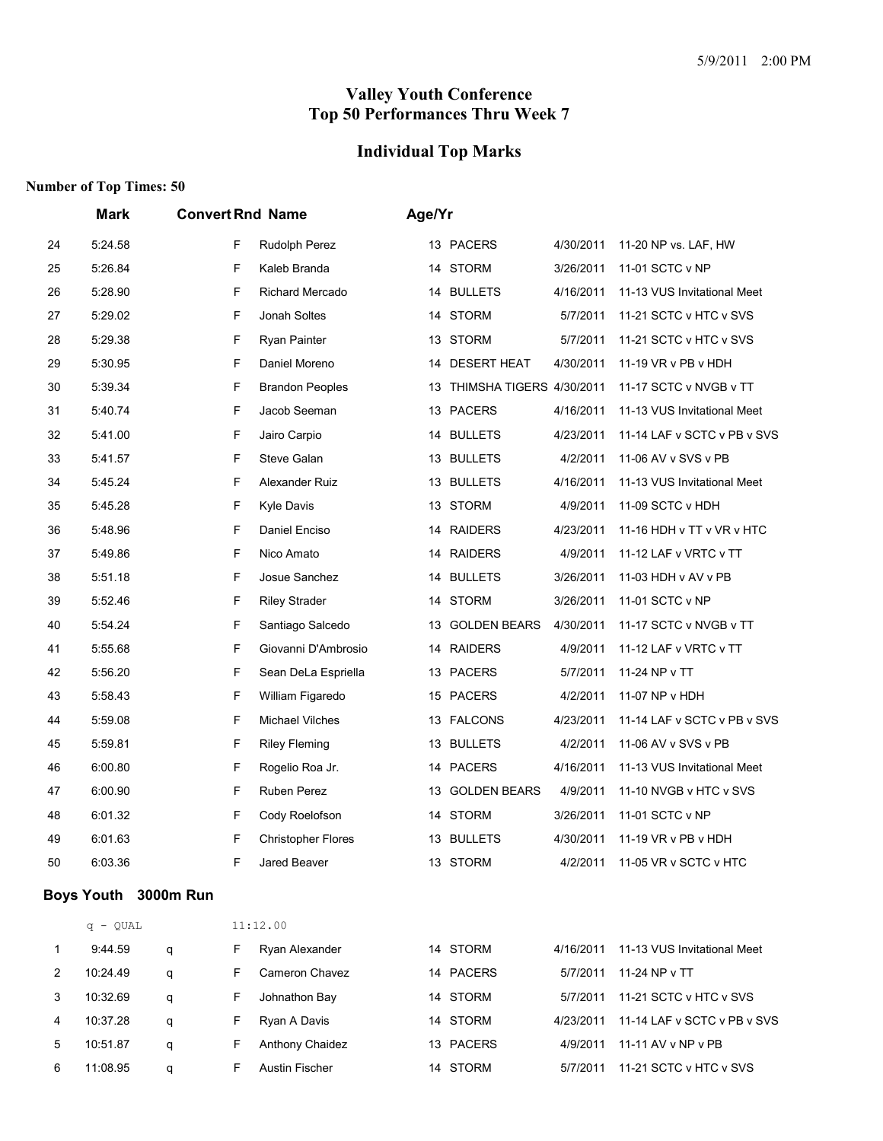#### **Individual Top Marks**

# **Number of Top Times: 50**

|    | <b>Mark</b> | <b>Convert Rnd Name</b> |                           | Age/Yr |                          |           |                             |
|----|-------------|-------------------------|---------------------------|--------|--------------------------|-----------|-----------------------------|
| 24 | 5:24.58     | F.                      | Rudolph Perez             |        | 13 PACERS                | 4/30/2011 | 11-20 NP vs. LAF, HW        |
| 25 | 5:26.84     | F.                      | Kaleb Branda              | 14     | STORM                    | 3/26/2011 | 11-01 SCTC v NP             |
| 26 | 5:28.90     | F                       | <b>Richard Mercado</b>    |        | 14 BULLETS               | 4/16/2011 | 11-13 VUS Invitational Meet |
| 27 | 5:29.02     | $\mathsf F$             | Jonah Soltes              |        | 14 STORM                 | 5/7/2011  | 11-21 SCTC v HTC v SVS      |
| 28 | 5:29.38     | $\mathsf F$             | Ryan Painter              | 13     | <b>STORM</b>             | 5/7/2011  | 11-21 SCTC v HTC v SVS      |
| 29 | 5:30.95     | F                       | Daniel Moreno             |        | 14 DESERT HEAT           | 4/30/2011 | 11-19 VR v PB v HDH         |
| 30 | 5:39.34     | F                       | <b>Brandon Peoples</b>    | 13     | THIMSHA TIGERS 4/30/2011 |           | 11-17 SCTC v NVGB v TT      |
| 31 | 5:40.74     | $\mathsf F$             | Jacob Seeman              | 13     | <b>PACERS</b>            | 4/16/2011 | 11-13 VUS Invitational Meet |
| 32 | 5:41.00     | $\mathsf F$             | Jairo Carpio              | 14     | <b>BULLETS</b>           | 4/23/2011 | 11-14 LAF v SCTC v PB v SVS |
| 33 | 5:41.57     | F                       | Steve Galan               |        | 13 BULLETS               | 4/2/2011  | 11-06 AV v SVS v PB         |
| 34 | 5:45.24     | F                       | Alexander Ruiz            |        | 13 BULLETS               | 4/16/2011 | 11-13 VUS Invitational Meet |
| 35 | 5:45.28     | F                       | Kyle Davis                |        | 13 STORM                 | 4/9/2011  | 11-09 SCTC v HDH            |
| 36 | 5:48.96     | F                       | Daniel Enciso             | 14     | <b>RAIDERS</b>           | 4/23/2011 | 11-16 HDH v TT v VR v HTC   |
| 37 | 5:49.86     | $\mathsf F$             | Nico Amato                |        | 14 RAIDERS               | 4/9/2011  | 11-12 LAF v VRTC v TT       |
| 38 | 5:51.18     | $\mathsf F$             | Josue Sanchez             | 14     | <b>BULLETS</b>           | 3/26/2011 | 11-03 HDH v AV v PB         |
| 39 | 5:52.46     | $\mathsf F$             | <b>Riley Strader</b>      | 14     | <b>STORM</b>             | 3/26/2011 | 11-01 SCTC v NP             |
| 40 | 5:54.24     | $\mathsf F$             | Santiago Salcedo          | 13     | <b>GOLDEN BEARS</b>      | 4/30/2011 | 11-17 SCTC v NVGB v TT      |
| 41 | 5:55.68     | $\mathsf F$             | Giovanni D'Ambrosio       | 14     | <b>RAIDERS</b>           | 4/9/2011  | 11-12 LAF v VRTC v TT       |
| 42 | 5:56.20     | $\mathsf F$             | Sean DeLa Espriella       |        | 13 PACERS                | 5/7/2011  | 11-24 NP v TT               |
| 43 | 5:58.43     | $\mathsf F$             | William Figaredo          |        | 15 PACERS                | 4/2/2011  | 11-07 NP v HDH              |
| 44 | 5:59.08     | $\mathsf F$             | <b>Michael Vilches</b>    | 13     | <b>FALCONS</b>           | 4/23/2011 | 11-14 LAF v SCTC v PB v SVS |
| 45 | 5:59.81     | F                       | Riley Fleming             |        | 13 BULLETS               | 4/2/2011  | 11-06 AV v SVS v PB         |
| 46 | 6:00.80     | F                       | Rogelio Roa Jr.           |        | 14 PACERS                | 4/16/2011 | 11-13 VUS Invitational Meet |
| 47 | 6:00.90     | F                       | Ruben Perez               | 13     | <b>GOLDEN BEARS</b>      | 4/9/2011  | 11-10 NVGB v HTC v SVS      |
| 48 | 6:01.32     | F                       | Cody Roelofson            |        | 14 STORM                 | 3/26/2011 | 11-01 SCTC v NP             |
| 49 | 6:01.63     | $\mathsf F$             | <b>Christopher Flores</b> | 13     | <b>BULLETS</b>           | 4/30/2011 | 11-19 VR v PB v HDH         |
| 50 | 6:03.36     | F.                      | Jared Beaver              |        | 13 STORM                 | 4/2/2011  | 11-05 VR v SCTC v HTC       |

#### **Boys Youth 3000m Run**

|             | $q - QUAL$ |   |    | 11:12.00        |                    |           |                             |  |  |  |
|-------------|------------|---|----|-----------------|--------------------|-----------|-----------------------------|--|--|--|
| $\mathbf 1$ | 9:44.59    | q |    | Ryan Alexander  | 14 STORM           | 4/16/2011 | 11-13 VUS Invitational Meet |  |  |  |
| 2           | 10:24.49   | q | F. | Cameron Chavez  | 14 PACERS          | 5/7/2011  | 11-24 NP v TT               |  |  |  |
| 3           | 10:32.69   | q |    | Johnathon Bay   | STORM<br>14        | 5/7/2011  | 11-21 SCTC v HTC v SVS      |  |  |  |
| 4           | 10:37.28   | q |    | Ryan A Davis    | 14 STORM           | 4/23/2011 | 11-14 LAF v SCTC v PB v SVS |  |  |  |
| 5           | 10:51.87   | q |    | Anthony Chaidez | 13 PACERS          | 4/9/2011  | 11-11 AV v NP v PB          |  |  |  |
| 6           | 11:08.95   | a |    | Austin Fischer  | <b>STORM</b><br>14 | 5/7/2011  | 11-21 SCTC v HTC v SVS      |  |  |  |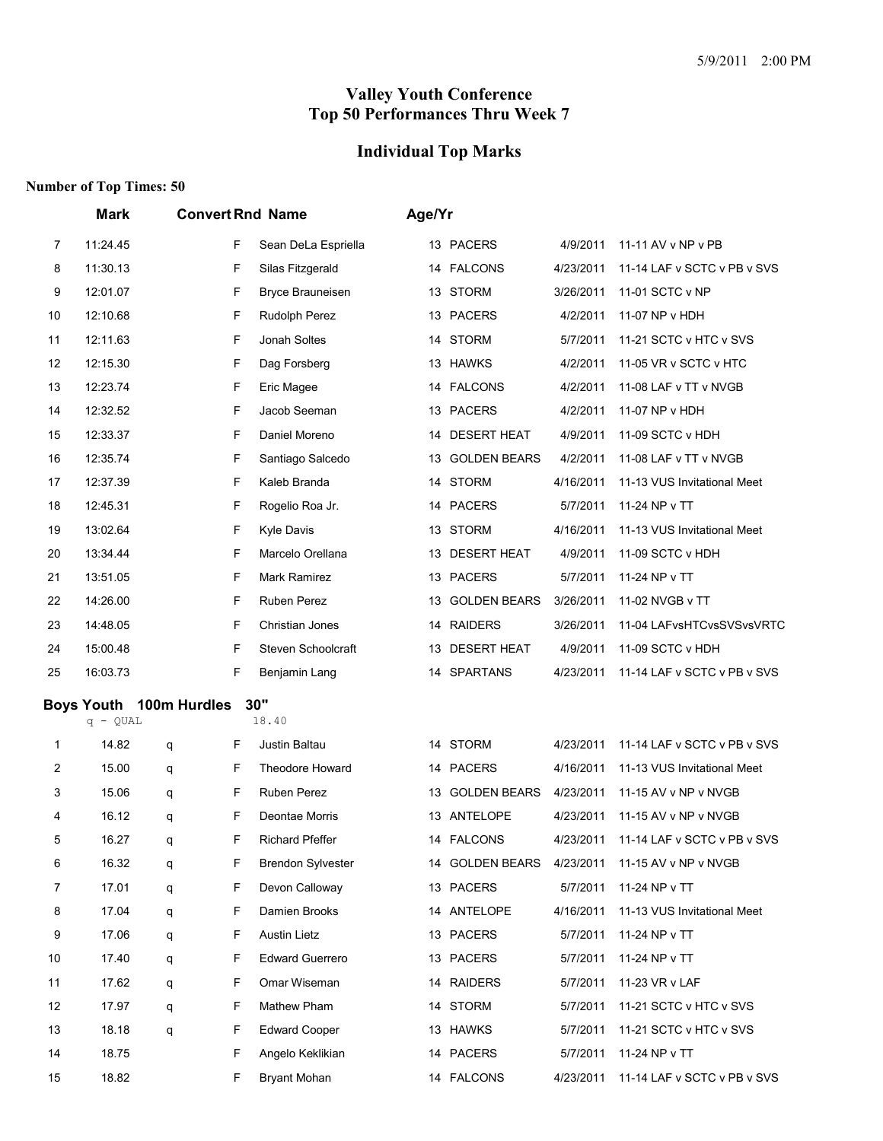## **Individual Top Marks**

|    | Mark                    |   |   | <b>Convert Rnd Name</b>  | Age/Yr |                     |           |                             |
|----|-------------------------|---|---|--------------------------|--------|---------------------|-----------|-----------------------------|
| 7  | 11:24.45                |   | F | Sean DeLa Espriella      |        | 13 PACERS           | 4/9/2011  | 11-11 AV v NP v PB          |
| 8  | 11:30.13                |   | F | Silas Fitzgerald         | 14     | FALCONS             | 4/23/2011 | 11-14 LAF v SCTC v PB v SVS |
| 9  | 12:01.07                |   | F | <b>Bryce Brauneisen</b>  | 13     | <b>STORM</b>        | 3/26/2011 | 11-01 SCTC v NP             |
| 10 | 12:10.68                |   | F | Rudolph Perez            |        | 13 PACERS           | 4/2/2011  | 11-07 NP v HDH              |
| 11 | 12:11.63                |   | F | Jonah Soltes             | 14     | <b>STORM</b>        | 5/7/2011  | 11-21 SCTC v HTC v SVS      |
| 12 | 12:15.30                |   | F | Dag Forsberg             |        | 13 HAWKS            | 4/2/2011  | 11-05 VR v SCTC v HTC       |
| 13 | 12:23.74                |   | F | Eric Magee               | 14     | <b>FALCONS</b>      | 4/2/2011  | 11-08 LAF v TT v NVGB       |
| 14 | 12:32.52                |   | F | Jacob Seeman             | 13     | <b>PACERS</b>       | 4/2/2011  | 11-07 NP v HDH              |
| 15 | 12:33.37                |   | F | Daniel Moreno            | 14     | <b>DESERT HEAT</b>  | 4/9/2011  | 11-09 SCTC v HDH            |
| 16 | 12:35.74                |   | F | Santiago Salcedo         | 13     | <b>GOLDEN BEARS</b> | 4/2/2011  | 11-08 LAF v TT v NVGB       |
| 17 | 12:37.39                |   | F | Kaleb Branda             | 14     | <b>STORM</b>        | 4/16/2011 | 11-13 VUS Invitational Meet |
| 18 | 12:45.31                |   | F | Rogelio Roa Jr.          | 14     | PACERS              | 5/7/2011  | 11-24 NP v TT               |
| 19 | 13:02.64                |   | F | <b>Kyle Davis</b>        |        | 13 STORM            | 4/16/2011 | 11-13 VUS Invitational Meet |
| 20 | 13:34.44                |   | F | Marcelo Orellana         | 13     | <b>DESERT HEAT</b>  | 4/9/2011  | 11-09 SCTC v HDH            |
| 21 | 13:51.05                |   | F | Mark Ramirez             | 13     | <b>PACERS</b>       | 5/7/2011  | 11-24 NP v TT               |
| 22 | 14:26.00                |   | F | Ruben Perez              | 13     | <b>GOLDEN BEARS</b> | 3/26/2011 | 11-02 NVGB v TT             |
| 23 | 14:48.05                |   | F | Christian Jones          | 14     | <b>RAIDERS</b>      | 3/26/2011 | 11-04 LAFvsHTCvsSVSvsVRTC   |
| 24 | 15:00.48                |   | F | Steven Schoolcraft       | 13     | <b>DESERT HEAT</b>  | 4/9/2011  | 11-09 SCTC v HDH            |
| 25 | 16:03.73                |   | F | Benjamin Lang            | 14     | <b>SPARTANS</b>     | 4/23/2011 | 11-14 LAF v SCTC v PB v SVS |
|    | Boys Youth 100m Hurdles |   |   | 30"                      |        |                     |           |                             |
|    | $q - QUAL$              |   |   | 18.40                    |        |                     |           |                             |
| 1  | 14.82                   | q | F | Justin Baltau            |        | 14 STORM            | 4/23/2011 | 11-14 LAF v SCTC v PB v SVS |
| 2  | 15.00                   | q | F | Theodore Howard          | 14     | PACERS              | 4/16/2011 | 11-13 VUS Invitational Meet |
| 3  | 15.06                   | q | F | Ruben Perez              | 13     | <b>GOLDEN BEARS</b> | 4/23/2011 | 11-15 AV v NP v NVGB        |
| 4  | 16.12                   | q | F | Deontae Morris           | 13     | ANTELOPE            | 4/23/2011 | 11-15 AV v NP v NVGB        |
| 5  | 16.27                   | q | F | <b>Richard Pfeffer</b>   |        | 14 FALCONS          | 4/23/2011 | 11-14 LAF v SCTC v PB v SVS |
| 6  | 16.32                   | q | F | <b>Brendon Sylvester</b> |        | 14 GOLDEN BEARS     | 4/23/2011 | 11-15 AV v NP v NVGB        |
| 7  | 17.01                   | q | F | Devon Calloway           |        | 13 PACERS           | 5/7/2011  | 11-24 NP v TT               |
| 8  | 17.04                   | q | F | Damien Brooks            |        | 14 ANTELOPE         | 4/16/2011 | 11-13 VUS Invitational Meet |
| 9  | 17.06                   | q | F | <b>Austin Lietz</b>      |        | 13 PACERS           | 5/7/2011  | 11-24 NP v TT               |
| 10 | 17.40                   | q | F | <b>Edward Guerrero</b>   |        | 13 PACERS           | 5/7/2011  | 11-24 NP v TT               |
| 11 | 17.62                   | q | F | Omar Wiseman             |        | 14 RAIDERS          | 5/7/2011  | 11-23 VR v LAF              |
| 12 | 17.97                   | q | F | Mathew Pham              |        | 14 STORM            | 5/7/2011  | 11-21 SCTC v HTC v SVS      |
| 13 | 18.18                   | q | F | <b>Edward Cooper</b>     |        | 13 HAWKS            | 5/7/2011  | 11-21 SCTC v HTC v SVS      |
| 14 | 18.75                   |   | F | Angelo Keklikian         |        | 14 PACERS           | 5/7/2011  | 11-24 NP v TT               |
| 15 | 18.82                   |   | F | <b>Bryant Mohan</b>      |        | 14 FALCONS          | 4/23/2011 | 11-14 LAF v SCTC v PB v SVS |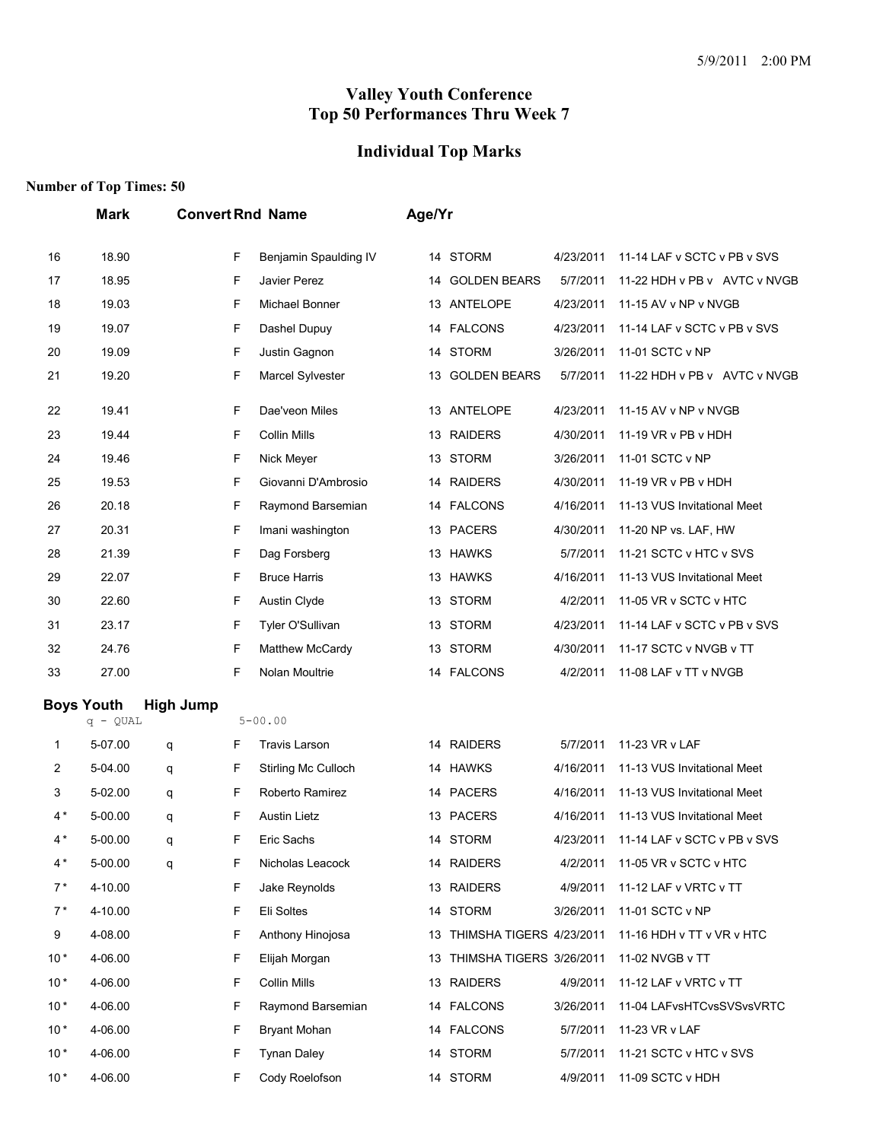## **Individual Top Marks**

|       | <b>Mark</b>                     |                  | <b>Convert Rnd Name</b> |                       | Age/Yr |                             |           |                              |
|-------|---------------------------------|------------------|-------------------------|-----------------------|--------|-----------------------------|-----------|------------------------------|
| 16    | 18.90                           |                  | F                       | Benjamin Spaulding IV | 14     | <b>STORM</b>                | 4/23/2011 | 11-14 LAF v SCTC v PB v SVS  |
| 17    | 18.95                           |                  | F                       | Javier Perez          |        | 14 GOLDEN BEARS             | 5/7/2011  | 11-22 HDH v PB v AVTC v NVGB |
| 18    | 19.03                           |                  | F                       | Michael Bonner        |        | 13 ANTELOPE                 | 4/23/2011 | 11-15 AV v NP v NVGB         |
| 19    | 19.07                           |                  | F                       | Dashel Dupuy          |        | 14 FALCONS                  | 4/23/2011 | 11-14 LAF v SCTC v PB v SVS  |
| 20    | 19.09                           |                  | F                       | Justin Gagnon         | 14     | <b>STORM</b>                | 3/26/2011 | 11-01 SCTC v NP              |
| 21    | 19.20                           |                  | F                       | Marcel Sylvester      |        | 13 GOLDEN BEARS             | 5/7/2011  | 11-22 HDH v PB v AVTC v NVGB |
| 22    | 19.41                           |                  | F                       | Dae'veon Miles        |        | 13 ANTELOPE                 | 4/23/2011 | 11-15 AV v NP v NVGB         |
| 23    | 19.44                           |                  | F                       | <b>Collin Mills</b>   |        | 13 RAIDERS                  | 4/30/2011 | 11-19 VR v PB v HDH          |
| 24    | 19.46                           |                  | F                       | Nick Meyer            | 13     | <b>STORM</b>                | 3/26/2011 | 11-01 SCTC v NP              |
| 25    | 19.53                           |                  | F                       | Giovanni D'Ambrosio   | 14     | <b>RAIDERS</b>              | 4/30/2011 | 11-19 VR v PB v HDH          |
| 26    | 20.18                           |                  | F                       | Raymond Barsemian     |        | 14 FALCONS                  | 4/16/2011 | 11-13 VUS Invitational Meet  |
| 27    | 20.31                           |                  | F                       | Imani washington      |        | 13 PACERS                   | 4/30/2011 | 11-20 NP vs. LAF, HW         |
| 28    | 21.39                           |                  | F                       | Dag Forsberg          |        | 13 HAWKS                    | 5/7/2011  | 11-21 SCTC v HTC v SVS       |
| 29    | 22.07                           |                  | F                       | <b>Bruce Harris</b>   |        | 13 HAWKS                    | 4/16/2011 | 11-13 VUS Invitational Meet  |
| 30    | 22.60                           |                  | F                       | Austin Clyde          |        | 13 STORM                    | 4/2/2011  | 11-05 VR v SCTC v HTC        |
| 31    | 23.17                           |                  | F                       | Tyler O'Sullivan      |        | 13 STORM                    | 4/23/2011 | 11-14 LAF v SCTC v PB v SVS  |
| 32    | 24.76                           |                  | F                       | Matthew McCardy       | 13     | <b>STORM</b>                | 4/30/2011 | 11-17 SCTC v NVGB v TT       |
| 33    | 27.00                           |                  | F                       | Nolan Moultrie        |        | 14 FALCONS                  | 4/2/2011  | 11-08 LAF v TT v NVGB        |
|       | <b>Boys Youth</b><br>$q - QUAL$ | <b>High Jump</b> |                         | $5 - 00.00$           |        |                             |           |                              |
| 1     | 5-07.00                         | q                | F                       | <b>Travis Larson</b>  |        | 14 RAIDERS                  | 5/7/2011  | 11-23 VR v LAF               |
| 2     | 5-04.00                         | q                | F                       | Stirling Mc Culloch   |        | 14 HAWKS                    | 4/16/2011 | 11-13 VUS Invitational Meet  |
| 3     | 5-02.00                         | q                | F                       | Roberto Ramirez       |        | 14 PACERS                   | 4/16/2011 | 11-13 VUS Invitational Meet  |
| $4*$  | 5-00.00                         | q                | F                       | <b>Austin Lietz</b>   |        | 13 PACERS                   | 4/16/2011 | 11-13 VUS Invitational Meet  |
| $4*$  | 5-00.00                         | q                | F                       | Eric Sachs            |        | 14 STORM                    | 4/23/2011 | 11-14 LAF v SCTC v PB v SVS  |
| $4*$  | 5-00.00                         | q                | F                       | Nicholas Leacock      |        | 14 RAIDERS                  | 4/2/2011  | 11-05 VR v SCTC v HTC        |
| $7*$  | 4-10.00                         |                  | F                       | Jake Reynolds         |        | 13 RAIDERS                  | 4/9/2011  | 11-12 LAF v VRTC v TT        |
| $7*$  | 4-10.00                         |                  | F                       | Eli Soltes            |        | 14 STORM                    | 3/26/2011 | 11-01 SCTC v NP              |
| 9     | 4-08.00                         |                  | F                       | Anthony Hinojosa      |        | 13 THIMSHA TIGERS 4/23/2011 |           | 11-16 HDH v TT v VR v HTC    |
| $10*$ | 4-06.00                         |                  | F                       | Elijah Morgan         |        | 13 THIMSHA TIGERS 3/26/2011 |           | 11-02 NVGB v TT              |
| $10*$ | 4-06.00                         |                  | F                       | <b>Collin Mills</b>   |        | 13 RAIDERS                  | 4/9/2011  | 11-12 LAF v VRTC v TT        |
| $10*$ | 4-06.00                         |                  | F                       | Raymond Barsemian     |        | 14 FALCONS                  | 3/26/2011 | 11-04 LAFvsHTCvsSVSvsVRTC    |
| $10*$ | 4-06.00                         |                  | F                       | <b>Bryant Mohan</b>   |        | 14 FALCONS                  | 5/7/2011  | 11-23 VR v LAF               |
| $10*$ | 4-06.00                         |                  | F                       | <b>Tynan Daley</b>    |        | 14 STORM                    | 5/7/2011  | 11-21 SCTC v HTC v SVS       |
| $10*$ | 4-06.00                         |                  | F                       | Cody Roelofson        |        | 14 STORM                    | 4/9/2011  | 11-09 SCTC v HDH             |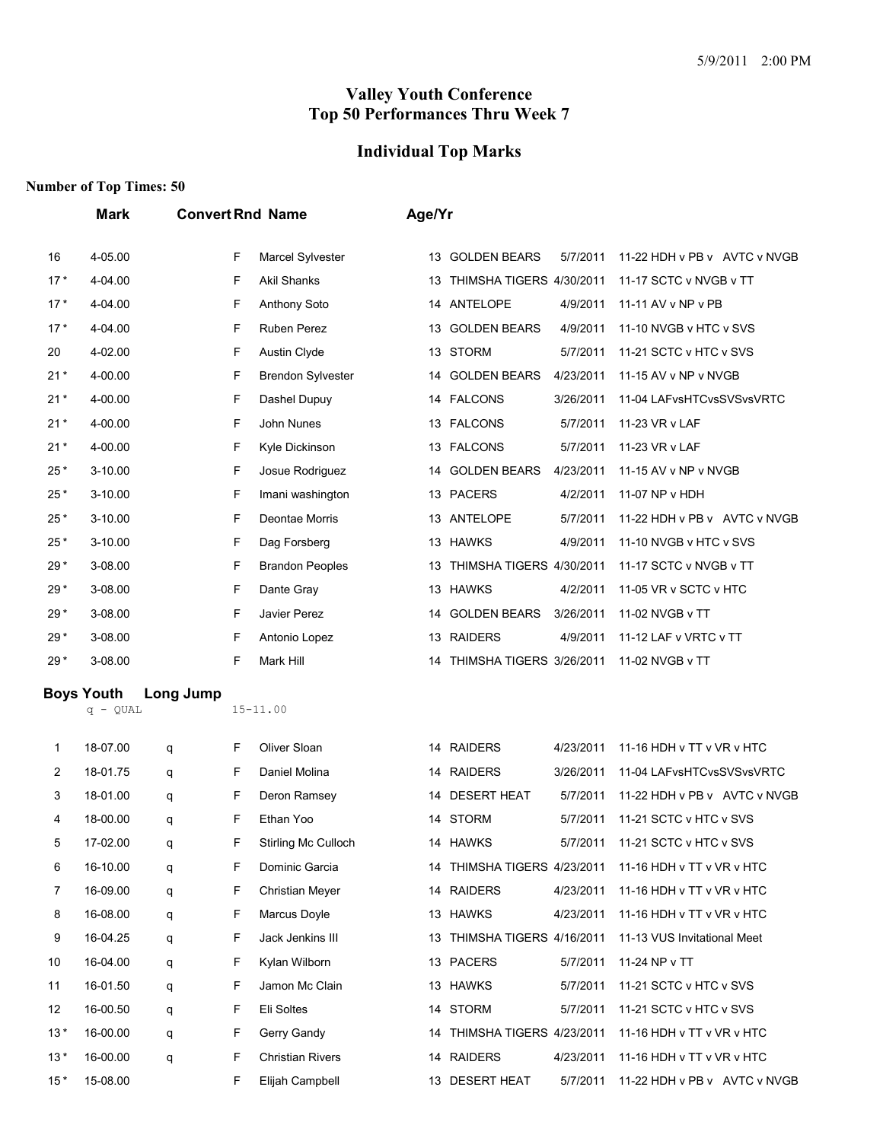## **Individual Top Marks**

|       | <b>Mark</b>                     |           |   | <b>Convert Rnd Name</b>  | Age/Yr |                             |           |                                 |
|-------|---------------------------------|-----------|---|--------------------------|--------|-----------------------------|-----------|---------------------------------|
| 16    | 4-05.00                         |           | F | Marcel Sylvester         | 13     | <b>GOLDEN BEARS</b>         | 5/7/2011  | 11-22 HDH v PB v AVTC v NVGB    |
| $17*$ | 4-04.00                         |           | F | Akil Shanks              |        | 13 THIMSHA TIGERS 4/30/2011 |           | 11-17 SCTC v NVGB v TT          |
| $17*$ | 4-04.00                         |           | F | Anthony Soto             |        | 14 ANTELOPE                 | 4/9/2011  | 11-11 AV v NP v PB              |
| $17*$ | 4-04.00                         |           | F | <b>Ruben Perez</b>       |        | 13 GOLDEN BEARS             | 4/9/2011  | 11-10 NVGB v HTC v SVS          |
| 20    | 4-02.00                         |           | F | <b>Austin Clyde</b>      |        | 13 STORM                    | 5/7/2011  | 11-21 SCTC v HTC v SVS          |
| $21*$ | 4-00.00                         |           | F | <b>Brendon Sylvester</b> | 14     | <b>GOLDEN BEARS</b>         | 4/23/2011 | 11-15 AV v NP v NVGB            |
| $21*$ | 4-00.00                         |           | F | Dashel Dupuy             |        | 14 FALCONS                  | 3/26/2011 | 11-04 LAFvsHTCvsSVSvsVRTC       |
| $21*$ | 4-00.00                         |           | F | John Nunes               |        | 13 FALCONS                  | 5/7/2011  | 11-23 VR v LAF                  |
| $21*$ | 4-00.00                         |           | F | Kyle Dickinson           |        | 13 FALCONS                  | 5/7/2011  | 11-23 VR v LAF                  |
| $25*$ | $3 - 10.00$                     |           | F | Josue Rodriguez          |        | 14 GOLDEN BEARS             | 4/23/2011 | 11-15 AV v NP v NVGB            |
| $25*$ | $3 - 10.00$                     |           | F | Imani washington         |        | 13 PACERS                   | 4/2/2011  | 11-07 NP v HDH                  |
| $25*$ | 3-10.00                         |           | F | Deontae Morris           |        | 13 ANTELOPE                 | 5/7/2011  | 11-22 HDH v PB v AVTC v NVGB    |
| $25*$ | $3 - 10.00$                     |           | F | Dag Forsberg             |        | 13 HAWKS                    | 4/9/2011  | 11-10 NVGB v HTC v SVS          |
| $29*$ | 3-08.00                         |           | F | <b>Brandon Peoples</b>   |        | 13 THIMSHA TIGERS 4/30/2011 |           | 11-17 SCTC v NVGB v TT          |
| $29*$ | 3-08.00                         |           | F | Dante Gray               |        | 13 HAWKS                    | 4/2/2011  | 11-05 VR v SCTC v HTC           |
| $29*$ | 3-08.00                         |           | F | Javier Perez             | 14     | <b>GOLDEN BEARS</b>         | 3/26/2011 | 11-02 NVGB v TT                 |
| $29*$ | 3-08.00                         |           | F | Antonio Lopez            |        | 13 RAIDERS                  | 4/9/2011  | 11-12 LAF v VRTC v TT           |
| $29*$ | 3-08.00                         |           | F | Mark Hill                |        | 14 THIMSHA TIGERS 3/26/2011 |           | 11-02 NVGB v TT                 |
|       | <b>Boys Youth</b><br>$q - QUAL$ | Long Jump |   | $15 - 11.00$             |        |                             |           |                                 |
| 1     | 18-07.00                        | q         | F | Oliver Sloan             |        | 14 RAIDERS                  | 4/23/2011 | 11-16 HDH v TT v VR v HTC       |
| 2     | 18-01.75                        | q         | F | Daniel Molina            |        | 14 RAIDERS                  | 3/26/2011 | 11-04 LAFvsHTCvsSVSvsVRTC       |
| 3     | 18-01.00                        | q         | F | Deron Ramsey             |        | 14 DESERT HEAT              | 5/7/2011  | 11-22 HDH v PB v AVTC v NVGB    |
| 4     | 18-00.00                        | q         | F | Ethan Yoo                |        | 14 STORM                    | 5/7/2011  | 11-21 SCTC v HTC v SVS          |
| 5     | 17-02.00                        | q         | F | Stirling Mc Culloch      |        | 14 HAWKS                    |           | 5/7/2011 11-21 SCTC v HTC v SVS |
| 6     | 16-10.00                        | q         | F | Dominic Garcia           |        | 14 THIMSHA TIGERS 4/23/2011 |           | 11-16 HDH v TT v VR v HTC       |
| 7     | 16-09.00                        | q         | F | <b>Christian Meyer</b>   |        | 14 RAIDERS                  | 4/23/2011 | 11-16 HDH v TT v VR v HTC       |
| 8     | 16-08.00                        | q         | F | Marcus Doyle             |        | 13 HAWKS                    | 4/23/2011 | 11-16 HDH v TT v VR v HTC       |
| 9     | 16-04.25                        | q         | F | Jack Jenkins III         |        | 13 THIMSHA TIGERS 4/16/2011 |           | 11-13 VUS Invitational Meet     |
| 10    | 16-04.00                        | q         | F | Kylan Wilborn            |        | 13 PACERS                   | 5/7/2011  | 11-24 NP v TT                   |
| 11    | 16-01.50                        | q         | F | Jamon Mc Clain           |        | 13 HAWKS                    | 5/7/2011  | 11-21 SCTC v HTC v SVS          |
| 12    | 16-00.50                        | q         | F | Eli Soltes               |        | 14 STORM                    | 5/7/2011  | 11-21 SCTC v HTC v SVS          |
| $13*$ | 16-00.00                        | q         | F | Gerry Gandy              |        | 14 THIMSHA TIGERS 4/23/2011 |           | 11-16 HDH v TT v VR v HTC       |
| $13*$ | 16-00.00                        | q         | F | <b>Christian Rivers</b>  |        | 14 RAIDERS                  | 4/23/2011 | 11-16 HDH v TT v VR v HTC       |
| $15*$ | 15-08.00                        |           | F | Elijah Campbell          |        | 13 DESERT HEAT              | 5/7/2011  | 11-22 HDH v PB v AVTC v NVGB    |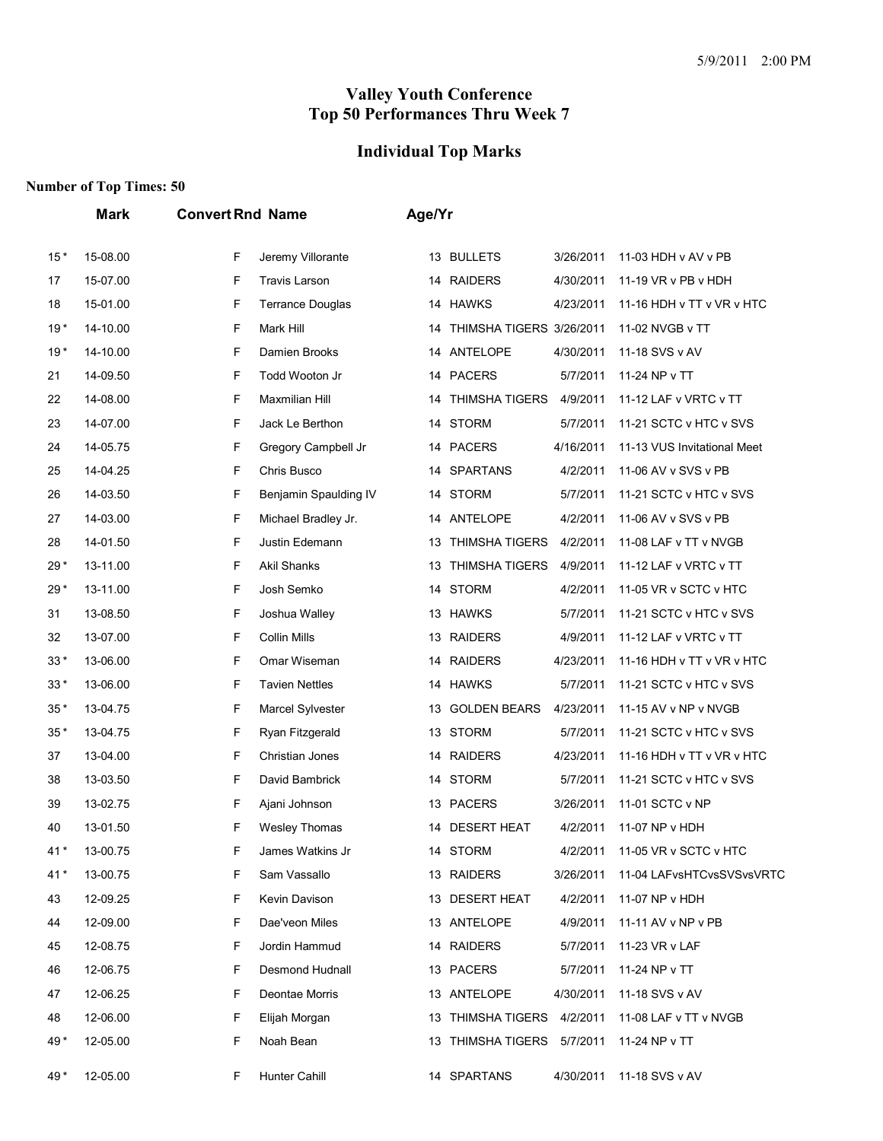# **Individual Top Marks**

|       | <b>Mark</b> | <b>Convert Rnd Name</b>      | Age/Yr                                                           |
|-------|-------------|------------------------------|------------------------------------------------------------------|
| $15*$ | 15-08.00    | F<br>Jeremy Villorante       | 13 BULLETS<br>3/26/2011<br>11-03 HDH v AV v PB                   |
| 17    | 15-07.00    | F<br><b>Travis Larson</b>    | 14 RAIDERS<br>4/30/2011<br>11-19 VR v PB v HDH                   |
| 18    | 15-01.00    | F<br><b>Terrance Douglas</b> | 14 HAWKS<br>4/23/2011<br>11-16 HDH v TT v VR v HTC               |
| $19*$ | 14-10.00    | F<br>Mark Hill               | THIMSHA TIGERS 3/26/2011<br>11-02 NVGB v TT<br>14                |
| $19*$ | 14-10.00    | F<br>Damien Brooks           | 14 ANTELOPE<br>4/30/2011<br>11-18 SVS v AV                       |
| 21    | 14-09.50    | F<br>Todd Wooton Jr          | 14 PACERS<br>5/7/2011<br>11-24 NP v TT                           |
| 22    | 14-08.00    | F<br>Maxmilian Hill          | <b>THIMSHA TIGERS</b><br>4/9/2011<br>11-12 LAF v VRTC v TT<br>14 |
| 23    | 14-07.00    | F<br>Jack Le Berthon         | 14 STORM<br>5/7/2011<br>11-21 SCTC v HTC v SVS                   |
| 24    | 14-05.75    | F<br>Gregory Campbell Jr     | 4/16/2011<br>11-13 VUS Invitational Meet<br>14 PACERS            |
| 25    | 14-04.25    | F<br>Chris Busco             | 14 SPARTANS<br>4/2/2011<br>11-06 AV v SVS v PB                   |
| 26    | 14-03.50    | F<br>Benjamin Spaulding IV   | 14 STORM<br>5/7/2011<br>11-21 SCTC v HTC v SVS                   |
| 27    | 14-03.00    | F<br>Michael Bradley Jr.     | 14 ANTELOPE<br>4/2/2011<br>11-06 AV v SVS v PB                   |
| 28    | 14-01.50    | F<br>Justin Edemann          | 13 THIMSHA TIGERS<br>4/2/2011<br>11-08 LAF v TT v NVGB           |
| $29*$ | 13-11.00    | F<br><b>Akil Shanks</b>      | 13 THIMSHA TIGERS<br>4/9/2011<br>11-12 LAF v VRTC v TT           |
| $29*$ | 13-11.00    | F<br>Josh Semko              | 14 STORM<br>4/2/2011<br>11-05 VR v SCTC v HTC                    |
| 31    | 13-08.50    | F<br>Joshua Walley           | 13 HAWKS<br>5/7/2011<br>11-21 SCTC v HTC v SVS                   |
| 32    | 13-07.00    | F<br>Collin Mills            | 4/9/2011<br>11-12 LAF v VRTC v TT<br>13 RAIDERS                  |
| $33*$ | 13-06.00    | F<br>Omar Wiseman            | 14 RAIDERS<br>4/23/2011<br>11-16 HDH v TT v VR v HTC             |
| $33*$ | 13-06.00    | F<br><b>Tavien Nettles</b>   | 14 HAWKS<br>5/7/2011<br>11-21 SCTC v HTC v SVS                   |
| $35*$ | 13-04.75    | F<br>Marcel Sylvester        | 13 GOLDEN BEARS<br>4/23/2011<br>11-15 AV v NP v NVGB             |
| $35*$ | 13-04.75    | F<br>Ryan Fitzgerald         | 13 STORM<br>5/7/2011<br>11-21 SCTC v HTC v SVS                   |
| 37    | 13-04.00    | F<br>Christian Jones         | 14 RAIDERS<br>4/23/2011<br>11-16 HDH v TT v VR v HTC             |
| 38    | 13-03.50    | F<br>David Bambrick          | 14 STORM<br>5/7/2011<br>11-21 SCTC v HTC v SVS                   |
| 39    | 13-02.75    | F<br>Ajani Johnson           | 13 PACERS<br>3/26/2011<br>11-01 SCTC v NP                        |
| 40    | 13-01.50    | F<br>Wesley Thomas           | 14 DESERT HEAT<br>4/2/2011<br>11-07 NP v HDH                     |
| $41*$ | 13-00.75    | F<br>James Watkins Jr        | 14 STORM<br>4/2/2011<br>11-05 VR v SCTC v HTC                    |
| 41*   | 13-00.75    | F<br>Sam Vassallo            | 11-04 LAFvsHTCvsSVSvsVRTC<br>13 RAIDERS<br>3/26/2011             |
| 43    | 12-09.25    | F<br>Kevin Davison           | 13 DESERT HEAT<br>4/2/2011<br>11-07 NP v HDH                     |
| 44    | 12-09.00    | F<br>Dae'veon Miles          | 13 ANTELOPE<br>11-11 AV v NP v PB<br>4/9/2011                    |
| 45    | 12-08.75    | F<br>Jordin Hammud           | 14 RAIDERS<br>5/7/2011<br>11-23 VR v LAF                         |
| 46    | 12-06.75    | F<br>Desmond Hudnall         | 13 PACERS<br>5/7/2011<br>11-24 NP v TT                           |
| 47    | 12-06.25    | F<br>Deontae Morris          | 13 ANTELOPE<br>4/30/2011<br>11-18 SVS v AV                       |
| 48    | 12-06.00    | F<br>Elijah Morgan           | 13 THIMSHA TIGERS 4/2/2011<br>11-08 LAF v TT v NVGB              |
| 49*   | 12-05.00    | F<br>Noah Bean               | 13 THIMSHA TIGERS 5/7/2011<br>11-24 NP v TT                      |
| 49*   | 12-05.00    | Hunter Cahill<br>F           | 11-18 SVS v AV<br>14 SPARTANS<br>4/30/2011                       |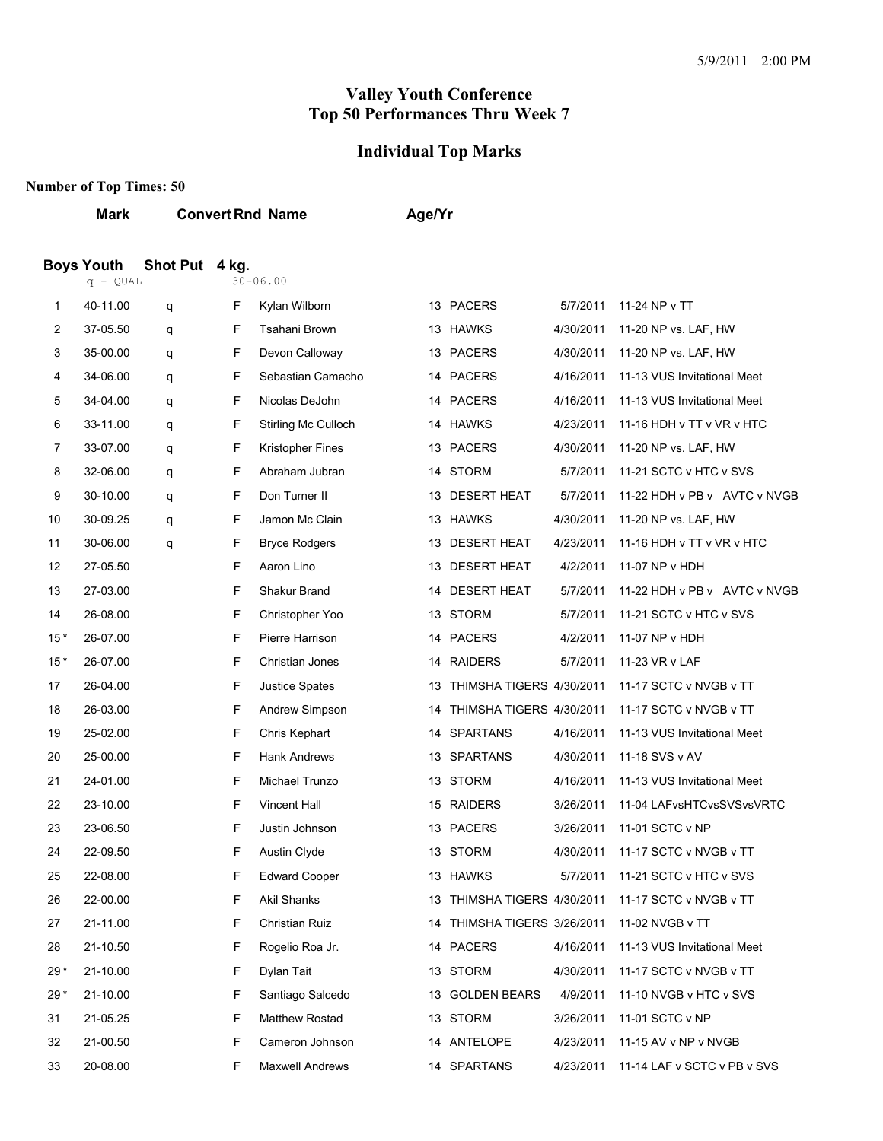#### **Individual Top Marks**

#### **Number of Top Times: 50**

| Mark | <b>Convert Rnd Name</b> | Age/Yr |
|------|-------------------------|--------|
|      |                         |        |

#### **Boys Youth Shot Put 4 kg.**

|       | $q - QUAL$ |   |    | 30-06.00                |    |                                             |           |                              |
|-------|------------|---|----|-------------------------|----|---------------------------------------------|-----------|------------------------------|
| 1     | 40-11.00   | q | F. | Kylan Wilborn           |    | 13 PACERS                                   | 5/7/2011  | 11-24 NP v TT                |
| 2     | 37-05.50   | q | F  | <b>Tsahani Brown</b>    |    | 13 HAWKS                                    | 4/30/2011 | 11-20 NP vs. LAF, HW         |
| 3     | 35-00.00   | q | F  | Devon Calloway          |    | 13 PACERS                                   | 4/30/2011 | 11-20 NP vs. LAF, HW         |
| 4     | 34-06.00   | q | F  | Sebastian Camacho       |    | 14 PACERS                                   | 4/16/2011 | 11-13 VUS Invitational Meet  |
| 5     | 34-04.00   | q | F  | Nicolas DeJohn          |    | 14 PACERS                                   | 4/16/2011 | 11-13 VUS Invitational Meet  |
| 6     | 33-11.00   | q | F  | Stirling Mc Culloch     |    | 14 HAWKS                                    | 4/23/2011 | 11-16 HDH v TT v VR v HTC    |
| 7     | 33-07.00   | q | F  | <b>Kristopher Fines</b> |    | 13 PACERS                                   | 4/30/2011 | 11-20 NP vs. LAF, HW         |
| 8     | 32-06.00   | q | F  | Abraham Jubran          |    | 14 STORM                                    | 5/7/2011  | 11-21 SCTC v HTC v SVS       |
| 9     | 30-10.00   | q | F  | Don Turner II           |    | 13 DESERT HEAT                              | 5/7/2011  | 11-22 HDH v PB v AVTC v NVGB |
| 10    | 30-09.25   | q | F  | Jamon Mc Clain          |    | 13 HAWKS                                    | 4/30/2011 | 11-20 NP vs. LAF, HW         |
| 11    | 30-06.00   | q | F  | <b>Bryce Rodgers</b>    |    | 13 DESERT HEAT                              | 4/23/2011 | 11-16 HDH v TT v VR v HTC    |
| 12    | 27-05.50   |   | F  | Aaron Lino              |    | 13 DESERT HEAT                              | 4/2/2011  | 11-07 NP v HDH               |
| 13    | 27-03.00   |   | F  | Shakur Brand            | 14 | <b>DESERT HEAT</b>                          | 5/7/2011  | 11-22 HDH v PB v AVTC v NVGB |
| 14    | 26-08.00   |   | F  | Christopher Yoo         |    | 13 STORM                                    | 5/7/2011  | 11-21 SCTC v HTC v SVS       |
| $15*$ | 26-07.00   |   | F  | Pierre Harrison         |    | 14 PACERS                                   | 4/2/2011  | 11-07 NP v HDH               |
| $15*$ | 26-07.00   |   | F  | <b>Christian Jones</b>  |    | 14 RAIDERS                                  | 5/7/2011  | 11-23 VR v LAF               |
| 17    | 26-04.00   |   | F  | <b>Justice Spates</b>   | 13 | THIMSHA TIGERS 4/30/2011                    |           | 11-17 SCTC v NVGB v TT       |
| 18    | 26-03.00   |   | F  | Andrew Simpson          | 14 | THIMSHA TIGERS 4/30/2011                    |           | 11-17 SCTC v NVGB v TT       |
| 19    | 25-02.00   |   | F  | Chris Kephart           |    | 14 SPARTANS                                 | 4/16/2011 | 11-13 VUS Invitational Meet  |
| 20    | 25-00.00   |   | F  | <b>Hank Andrews</b>     |    | 13 SPARTANS                                 | 4/30/2011 | 11-18 SVS v AV               |
| 21    | 24-01.00   |   | F  | Michael Trunzo          |    | 13 STORM                                    | 4/16/2011 | 11-13 VUS Invitational Meet  |
| 22    | 23-10.00   |   | F  | <b>Vincent Hall</b>     |    | 15 RAIDERS                                  | 3/26/2011 | 11-04 LAFvsHTCvsSVSvsVRTC    |
| 23    | 23-06.50   |   | F  | Justin Johnson          |    | 13 PACERS                                   | 3/26/2011 | 11-01 SCTC v NP              |
| 24    | 22-09.50   |   | F  | Austin Clyde            |    | 13 STORM                                    | 4/30/2011 | 11-17 SCTC v NVGB v TT       |
| 25    | 22-08.00   |   | F  | <b>Edward Cooper</b>    |    | 13 HAWKS                                    | 5/7/2011  | 11-21 SCTC v HTC v SVS       |
| 26    | 22-00.00   |   | F  | <b>Akil Shanks</b>      |    | 13 THIMSHA TIGERS 4/30/2011                 |           | 11-17 SCTC v NVGB v TT       |
| 27    | 21-11.00   |   | F  | Christian Ruiz          |    | 14 THIMSHA TIGERS 3/26/2011 11-02 NVGB v TT |           |                              |
| 28    | 21-10.50   |   | F  | Rogelio Roa Jr.         |    | 14 PACERS                                   | 4/16/2011 | 11-13 VUS Invitational Meet  |
| $29*$ | 21-10.00   |   | F  | Dylan Tait              |    | 13 STORM                                    | 4/30/2011 | 11-17 SCTC v NVGB v TT       |
| $29*$ | 21-10.00   |   | F  | Santiago Salcedo        |    | 13 GOLDEN BEARS                             | 4/9/2011  | 11-10 NVGB v HTC v SVS       |
| 31    | 21-05.25   |   | F  | <b>Matthew Rostad</b>   |    | 13 STORM                                    | 3/26/2011 | 11-01 SCTC v NP              |
| 32    | 21-00.50   |   | F  | Cameron Johnson         |    | 14 ANTELOPE                                 | 4/23/2011 | 11-15 AV v NP v NVGB         |
| 33    | 20-08.00   |   | F  | <b>Maxwell Andrews</b>  |    | 14 SPARTANS                                 | 4/23/2011 | 11-14 LAF v SCTC v PB v SVS  |
|       |            |   |    |                         |    |                                             |           |                              |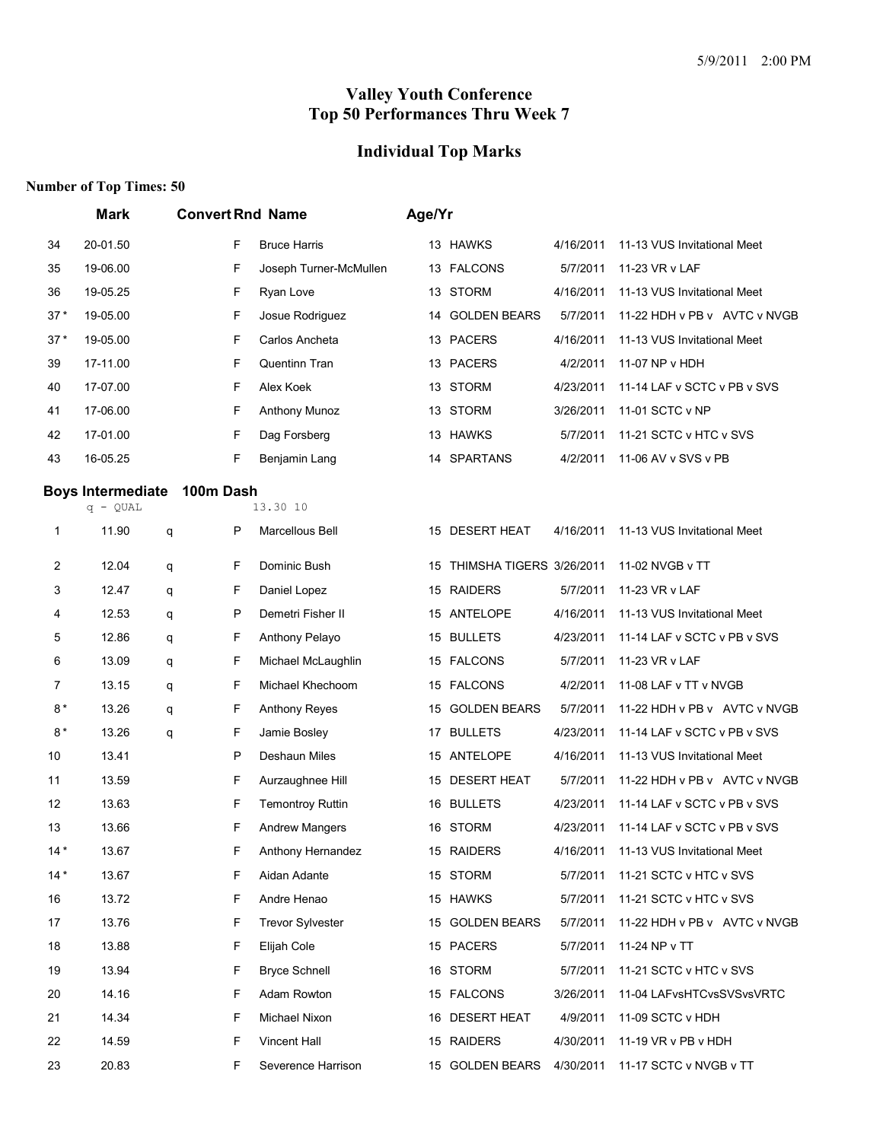## **Individual Top Marks**

|       | <b>Mark</b>              |   |              | <b>Convert Rnd Name</b> | Age/Yr |                             |           |                              |
|-------|--------------------------|---|--------------|-------------------------|--------|-----------------------------|-----------|------------------------------|
| 34    | 20-01.50                 |   | F            | <b>Bruce Harris</b>     |        | 13 HAWKS                    | 4/16/2011 | 11-13 VUS Invitational Meet  |
| 35    | 19-06.00                 |   | F            | Joseph Turner-McMullen  |        | 13 FALCONS                  | 5/7/2011  | 11-23 VR v LAF               |
| 36    | 19-05.25                 |   | F            | Ryan Love               |        | 13 STORM                    | 4/16/2011 | 11-13 VUS Invitational Meet  |
| $37*$ | 19-05.00                 |   | F            | Josue Rodriguez         | 14     | <b>GOLDEN BEARS</b>         | 5/7/2011  | 11-22 HDH v PB v AVTC v NVGB |
| $37*$ | 19-05.00                 |   | F            | Carlos Ancheta          |        | 13 PACERS                   | 4/16/2011 | 11-13 VUS Invitational Meet  |
| 39    | 17-11.00                 |   | F            | Quentinn Tran           |        | 13 PACERS                   | 4/2/2011  | 11-07 NP v HDH               |
| 40    | 17-07.00                 |   | F            | Alex Koek               |        | 13 STORM                    | 4/23/2011 | 11-14 LAF v SCTC v PB v SVS  |
| 41    | 17-06.00                 |   | F            | <b>Anthony Munoz</b>    |        | 13 STORM                    | 3/26/2011 | 11-01 SCTC v NP              |
| 42    | 17-01.00                 |   | F            | Dag Forsberg            |        | 13 HAWKS                    | 5/7/2011  | 11-21 SCTC v HTC v SVS       |
| 43    | 16-05.25                 |   | F            | Benjamin Lang           |        | 14 SPARTANS                 | 4/2/2011  | 11-06 AV v SVS v PB          |
|       | <b>Boys Intermediate</b> |   | 100m Dash    |                         |        |                             |           |                              |
|       | $q - QUAL$               |   |              | 13.30 10                |        |                             |           |                              |
| 1     | 11.90                    | q | P            | Marcellous Bell         |        | 15 DESERT HEAT              | 4/16/2011 | 11-13 VUS Invitational Meet  |
| 2     | 12.04                    | q | F            | Dominic Bush            |        | 15 THIMSHA TIGERS 3/26/2011 |           | 11-02 NVGB v TT              |
| 3     | 12.47                    | q | F            | Daniel Lopez            |        | 15 RAIDERS                  | 5/7/2011  | 11-23 VR v LAF               |
| 4     | 12.53                    | q | $\mathsf{P}$ | Demetri Fisher II       |        | 15 ANTELOPE                 | 4/16/2011 | 11-13 VUS Invitational Meet  |
| 5     | 12.86                    | q | F            | Anthony Pelayo          |        | 15 BULLETS                  | 4/23/2011 | 11-14 LAF v SCTC v PB v SVS  |
| 6     | 13.09                    | q | F            | Michael McLaughlin      |        | 15 FALCONS                  | 5/7/2011  | 11-23 VR v LAF               |
| 7     | 13.15                    | q | F            | Michael Khechoom        |        | 15 FALCONS                  | 4/2/2011  | 11-08 LAF v TT v NVGB        |
| $8*$  | 13.26                    | q | F            | Anthony Reyes           | 15     | <b>GOLDEN BEARS</b>         | 5/7/2011  | 11-22 HDH v PB v AVTC v NVGB |
| $8*$  | 13.26                    | q | F            | Jamie Bosley            |        | 17 BULLETS                  | 4/23/2011 | 11-14 LAF v SCTC v PB v SVS  |
| 10    | 13.41                    |   | P            | Deshaun Miles           |        | 15 ANTELOPE                 | 4/16/2011 | 11-13 VUS Invitational Meet  |
| 11    | 13.59                    |   | F            | Aurzaughnee Hill        | 15     | <b>DESERT HEAT</b>          | 5/7/2011  | 11-22 HDH v PB v AVTC v NVGB |
| 12    | 13.63                    |   | F            | <b>Temontroy Ruttin</b> |        | 16 BULLETS                  | 4/23/2011 | 11-14 LAF v SCTC v PB v SVS  |
| 13    | 13.66                    |   | F            | <b>Andrew Mangers</b>   |        | 16 STORM                    | 4/23/2011 | 11-14 LAF v SCTC v PB v SVS  |
| $14*$ | 13.67                    |   | F            | Anthony Hernandez       |        | 15 RAIDERS                  | 4/16/2011 | 11-13 VUS Invitational Meet  |
| $14*$ | 13.67                    |   | F            | Aidan Adante            |        | 15 STORM                    | 5/7/2011  | 11-21 SCTC v HTC v SVS       |
| 16    | 13.72                    |   | F            | Andre Henao             |        | 15 HAWKS                    | 5/7/2011  | 11-21 SCTC v HTC v SVS       |
| 17    | 13.76                    |   | F            | <b>Trevor Sylvester</b> |        | 15 GOLDEN BEARS             | 5/7/2011  | 11-22 HDH v PB v AVTC v NVGB |
| 18    | 13.88                    |   | F            | Elijah Cole             |        | 15 PACERS                   | 5/7/2011  | 11-24 NP v TT                |
| 19    | 13.94                    |   | F            | <b>Bryce Schnell</b>    |        | 16 STORM                    | 5/7/2011  | 11-21 SCTC v HTC v SVS       |
| 20    | 14.16                    |   | F            | Adam Rowton             |        | 15 FALCONS                  | 3/26/2011 | 11-04 LAFvsHTCvsSVSvsVRTC    |
| 21    | 14.34                    |   | F            | Michael Nixon           |        | 16 DESERT HEAT              | 4/9/2011  | 11-09 SCTC v HDH             |
| 22    | 14.59                    |   | F            | Vincent Hall            |        | 15 RAIDERS                  | 4/30/2011 | 11-19 VR v PB v HDH          |
| 23    | 20.83                    |   | F            | Severence Harrison      |        | 15 GOLDEN BEARS             | 4/30/2011 | 11-17 SCTC v NVGB v TT       |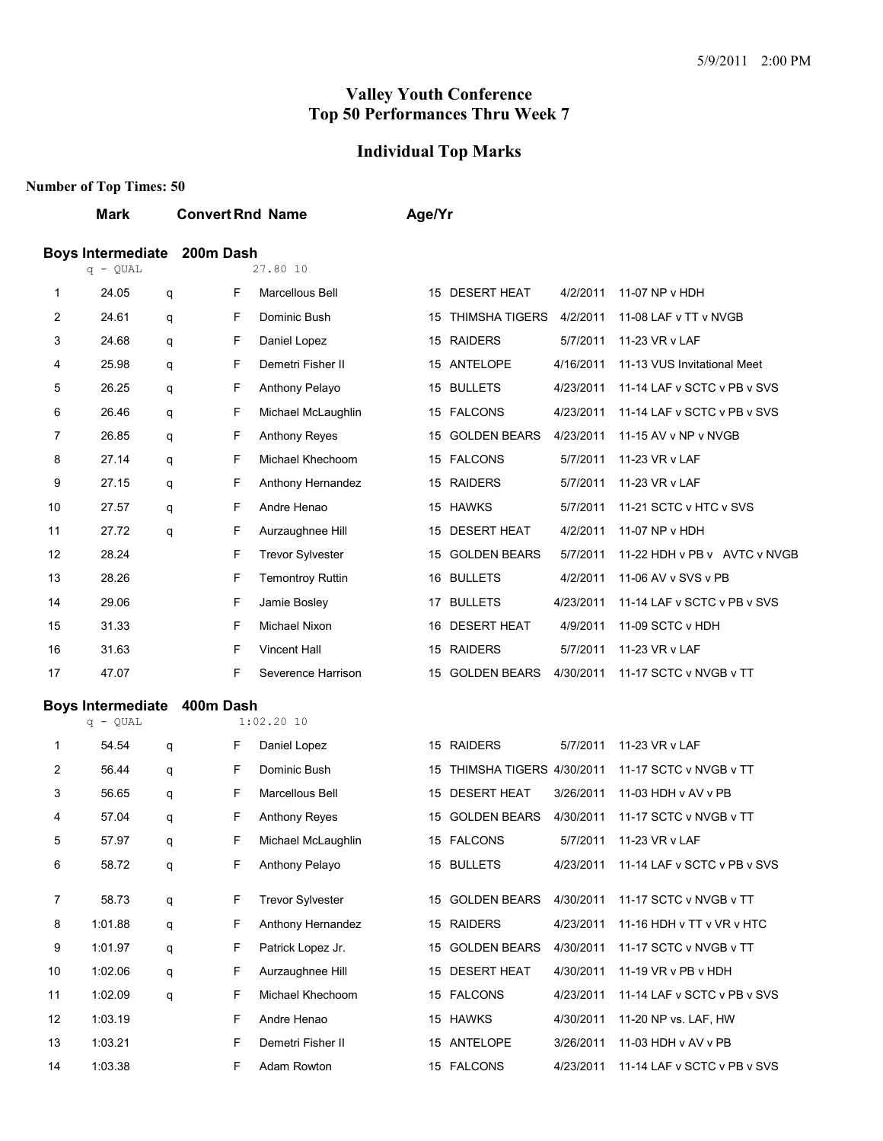## **Individual Top Marks**

|    | <b>Mark</b>                            |   | <b>Convert Rnd Name</b>      | Age/Yr                                                                |
|----|----------------------------------------|---|------------------------------|-----------------------------------------------------------------------|
|    | <b>Boys Intermediate</b><br>$q - QUAL$ |   | 200m Dash<br>27.80 10        |                                                                       |
| 1  | 24.05                                  | q | F<br>Marcellous Bell         | 15 DESERT HEAT<br>4/2/2011<br>11-07 NP v HDH                          |
| 2  | 24.61                                  | q | F<br>Dominic Bush            | <b>THIMSHA TIGERS</b><br>4/2/2011<br>11-08 LAF v TT v NVGB<br>15      |
| 3  | 24.68                                  | q | F<br>Daniel Lopez            | 15 RAIDERS<br>5/7/2011<br>11-23 VR v LAF                              |
| 4  | 25.98                                  | q | F<br>Demetri Fisher II       | 15 ANTELOPE<br>4/16/2011<br>11-13 VUS Invitational Meet               |
| 5  | 26.25                                  | q | F<br>Anthony Pelayo          | 15 BULLETS<br>11-14 LAF v SCTC v PB v SVS<br>4/23/2011                |
| 6  | 26.46                                  | q | F<br>Michael McLaughlin      | 15 FALCONS<br>4/23/2011<br>11-14 LAF v SCTC v PB v SVS                |
| 7  | 26.85                                  | q | F<br>Anthony Reyes           | <b>GOLDEN BEARS</b><br>4/23/2011<br>11-15 AV v NP v NVGB<br>15        |
| 8  | 27.14                                  | q | F<br>Michael Khechoom        | 15 FALCONS<br>5/7/2011<br>11-23 VR v LAF                              |
| 9  | 27.15                                  | q | F<br>Anthony Hernandez       | 15 RAIDERS<br>5/7/2011<br>11-23 VR v LAF                              |
| 10 | 27.57                                  | q | F<br>Andre Henao             | <b>HAWKS</b><br>5/7/2011<br>11-21 SCTC v HTC v SVS<br>15              |
| 11 | 27.72                                  | q | F<br>Aurzaughnee Hill        | <b>DESERT HEAT</b><br>4/2/2011<br>11-07 NP v HDH<br>15                |
| 12 | 28.24                                  |   | F<br><b>Trevor Sylvester</b> | <b>GOLDEN BEARS</b><br>5/7/2011<br>11-22 HDH v PB v AVTC v NVGB<br>15 |
| 13 | 28.26                                  |   | F<br><b>Temontroy Ruttin</b> | 16 BULLETS<br>4/2/2011<br>11-06 AV v SVS v PB                         |
| 14 | 29.06                                  |   | F<br>Jamie Bosley            | <b>BULLETS</b><br>4/23/2011<br>11-14 LAF v SCTC v PB v SVS<br>17      |
| 15 | 31.33                                  |   | F<br>Michael Nixon           | <b>DESERT HEAT</b><br>11-09 SCTC v HDH<br>4/9/2011<br>16              |
| 16 | 31.63                                  |   | F<br><b>Vincent Hall</b>     | 15 RAIDERS<br>5/7/2011<br>11-23 VR v LAF                              |
| 17 | 47.07                                  |   | F<br>Severence Harrison      | 15 GOLDEN BEARS<br>4/30/2011<br>11-17 SCTC v NVGB v TT                |
|    | <b>Boys Intermediate</b>               |   | 400m Dash                    |                                                                       |
|    | $q - QUAL$                             |   | $1:02.20$ 10                 |                                                                       |
| 1  | 54.54                                  | q | F<br>Daniel Lopez            | 15 RAIDERS<br>5/7/2011<br>11-23 VR v LAF                              |
| 2  | 56.44                                  | q | F<br>Dominic Bush            | THIMSHA TIGERS 4/30/2011<br>11-17 SCTC v NVGB v TT<br>15              |
| 3  | 56.65                                  | q | F<br>Marcellous Bell         | <b>DESERT HEAT</b><br>3/26/2011<br>11-03 HDH v AV v PB<br>15          |
| 4  | 57.04                                  | q | F<br><b>Anthony Reyes</b>    | <b>GOLDEN BEARS</b><br>4/30/2011<br>11-17 SCTC v NVGB v TT<br>15      |
| 5  | 57.97                                  | q | F<br>Michael McLaughlin      | 15 FALCONS<br>5/7/2011 11-23 VR v LAF                                 |
| 6  | 58.72                                  | q | F<br><b>Anthony Pelayo</b>   | 15 BULLETS<br>11-14 LAF v SCTC v PB v SVS<br>4/23/2011                |
| 7  | 58.73                                  | q | F<br><b>Trevor Sylvester</b> | 11-17 SCTC v NVGB v TT<br>15 GOLDEN BEARS<br>4/30/2011                |
| 8  | 1:01.88                                | q | F<br>Anthony Hernandez       | 15 RAIDERS<br>4/23/2011<br>11-16 HDH v TT v VR v HTC                  |
| 9  | 1:01.97                                | q | F<br>Patrick Lopez Jr.       | 15 GOLDEN BEARS<br>11-17 SCTC v NVGB v TT<br>4/30/2011                |
| 10 | 1:02.06                                | q | F<br>Aurzaughnee Hill        | 15 DESERT HEAT<br>11-19 VR v PB v HDH<br>4/30/2011                    |
| 11 | 1:02.09                                | q | F<br>Michael Khechoom        | 15 FALCONS<br>11-14 LAF v SCTC v PB v SVS<br>4/23/2011                |
| 12 | 1:03.19                                |   | F<br>Andre Henao             | 15 HAWKS<br>11-20 NP vs. LAF, HW<br>4/30/2011                         |
| 13 | 1:03.21                                |   | F<br>Demetri Fisher II       | 15 ANTELOPE<br>11-03 HDH v AV v PB<br>3/26/2011                       |
| 14 | 1:03.38                                |   | F<br>Adam Rowton             | 15 FALCONS<br>4/23/2011<br>11-14 LAF v SCTC v PB v SVS                |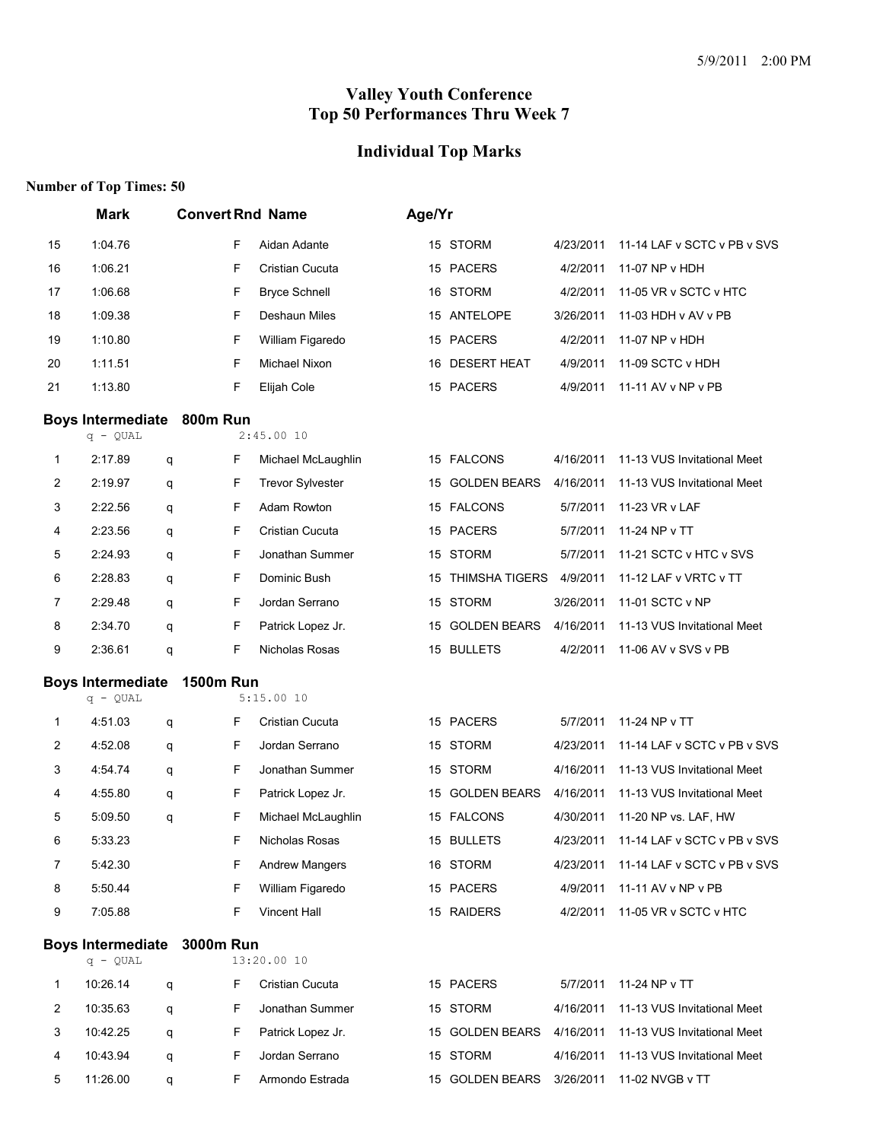#### **Individual Top Marks**

|                          | <b>Mark</b>              |   | <b>Convert Rnd Name</b> |                         | Age/Yr |                     |           |                             |
|--------------------------|--------------------------|---|-------------------------|-------------------------|--------|---------------------|-----------|-----------------------------|
| 15                       | 1:04.76                  |   | F                       | Aidan Adante            |        | 15 STORM            | 4/23/2011 | 11-14 LAF v SCTC v PB v SVS |
| 16                       | 1:06.21                  |   | F                       | Cristian Cucuta         |        | 15 PACERS           | 4/2/2011  | 11-07 NP v HDH              |
| 17                       | 1:06.68                  |   | F                       | <b>Bryce Schnell</b>    |        | 16 STORM            | 4/2/2011  | 11-05 VR v SCTC v HTC       |
| 18                       | 1:09.38                  |   | F                       | Deshaun Miles           |        | 15 ANTELOPE         | 3/26/2011 | 11-03 HDH v AV v PB         |
| 19                       | 1:10.80                  |   | F                       | William Figaredo        |        | 15 PACERS           | 4/2/2011  | 11-07 NP v HDH              |
| 20                       | 1:11.51                  |   | F                       | Michael Nixon           | 16     | <b>DESERT HEAT</b>  | 4/9/2011  | 11-09 SCTC v HDH            |
| 21                       | 1:13.80                  |   | F                       | Elijah Cole             |        | 15 PACERS           | 4/9/2011  | 11-11 AV v NP v PB          |
|                          | <b>Boys Intermediate</b> |   | 800m Run                |                         |        |                     |           |                             |
|                          | q - QUAL                 |   |                         | 2:45.0010               |        |                     |           |                             |
| 1                        | 2:17.89                  | q | F                       | Michael McLaughlin      |        | 15 FALCONS          | 4/16/2011 | 11-13 VUS Invitational Meet |
| 2                        | 2:19.97                  | q | F                       | <b>Trevor Sylvester</b> | 15     | <b>GOLDEN BEARS</b> | 4/16/2011 | 11-13 VUS Invitational Meet |
| 3                        | 2:22.56                  | q | F                       | Adam Rowton             |        | 15 FALCONS          | 5/7/2011  | 11-23 VR v LAF              |
| 4                        | 2:23.56                  | q | F                       | Cristian Cucuta         |        | 15 PACERS           | 5/7/2011  | 11-24 NP v TT               |
| 5                        | 2:24.93                  | q | F                       | Jonathan Summer         | 15     | <b>STORM</b>        | 5/7/2011  | 11-21 SCTC v HTC v SVS      |
| 6                        | 2:28.83                  | q | F                       | Dominic Bush            |        | 15 THIMSHA TIGERS   | 4/9/2011  | 11-12 LAF v VRTC v TT       |
| 7                        | 2:29.48                  | q | F                       | Jordan Serrano          | 15     | <b>STORM</b>        | 3/26/2011 | 11-01 SCTC v NP             |
| 8                        | 2:34.70                  | q | F                       | Patrick Lopez Jr.       |        | 15 GOLDEN BEARS     | 4/16/2011 | 11-13 VUS Invitational Meet |
| 9                        | 2:36.61                  | q | F                       | Nicholas Rosas          |        | 15 BULLETS          | 4/2/2011  | 11-06 AV v SVS v PB         |
| <b>Boys Intermediate</b> |                          |   | <b>1500m Run</b>        |                         |        |                     |           |                             |
|                          | $q - QUAL$               |   |                         | 5:15.0010               |        |                     |           |                             |
| 1                        | 4:51.03                  | q | F                       | Cristian Cucuta         |        | 15 PACERS           | 5/7/2011  | 11-24 NP v TT               |
| 2                        | 4:52.08                  | q | F                       | Jordan Serrano          |        | 15 STORM            | 4/23/2011 | 11-14 LAF v SCTC v PB v SVS |
| 3                        | 4:54.74                  | q | F                       | Jonathan Summer         |        | 15 STORM            | 4/16/2011 | 11-13 VUS Invitational Meet |
| 4                        | 4:55.80                  | q | F                       | Patrick Lopez Jr.       | 15     | <b>GOLDEN BEARS</b> | 4/16/2011 | 11-13 VUS Invitational Meet |
| 5                        | 5:09.50                  | q | F                       | Michael McLaughlin      |        | 15 FALCONS          | 4/30/2011 | 11-20 NP vs. LAF, HW        |
| 6                        | 5:33.23                  |   | F                       | Nicholas Rosas          |        | 15 BULLETS          | 4/23/2011 | 11-14 LAF v SCTC v PB v SVS |
| 7                        | 5:42.30                  |   | F                       | <b>Andrew Mangers</b>   |        | 16 STORM            | 4/23/2011 | 11-14 LAF v SCTC v PB v SVS |
| 8                        | 5:50.44                  |   | F                       | William Figaredo        |        | 15 PACERS           | 4/9/2011  | 11-11 AV v NP v PB          |
| 9                        | 7:05.88                  |   | F                       | <b>Vincent Hall</b>     |        | 15 RAIDERS          | 4/2/2011  | 11-05 VR v SCTC v HTC       |
|                          | <b>Boys Intermediate</b> |   | <b>3000m Run</b>        |                         |        |                     |           |                             |
|                          | q - QUAL                 |   |                         | 13:20.00 10             |        |                     |           |                             |
| 1                        | 10:26.14                 | q | F                       | Cristian Cucuta         |        | 15 PACERS           | 5/7/2011  | 11-24 NP v TT               |
| 2                        | 10:35.63                 | q | F                       | Jonathan Summer         |        | 15 STORM            | 4/16/2011 | 11-13 VUS Invitational Meet |
| 3                        | 10:42.25                 | q | F                       | Patrick Lopez Jr.       |        | 15 GOLDEN BEARS     | 4/16/2011 | 11-13 VUS Invitational Meet |
| 4                        | 10:43.94                 | q | F                       | Jordan Serrano          |        | 15 STORM            | 4/16/2011 | 11-13 VUS Invitational Meet |
| 5                        | 11:26.00                 | q | F.                      | Armondo Estrada         |        | 15 GOLDEN BEARS     |           | 3/26/2011 11-02 NVGB v TT   |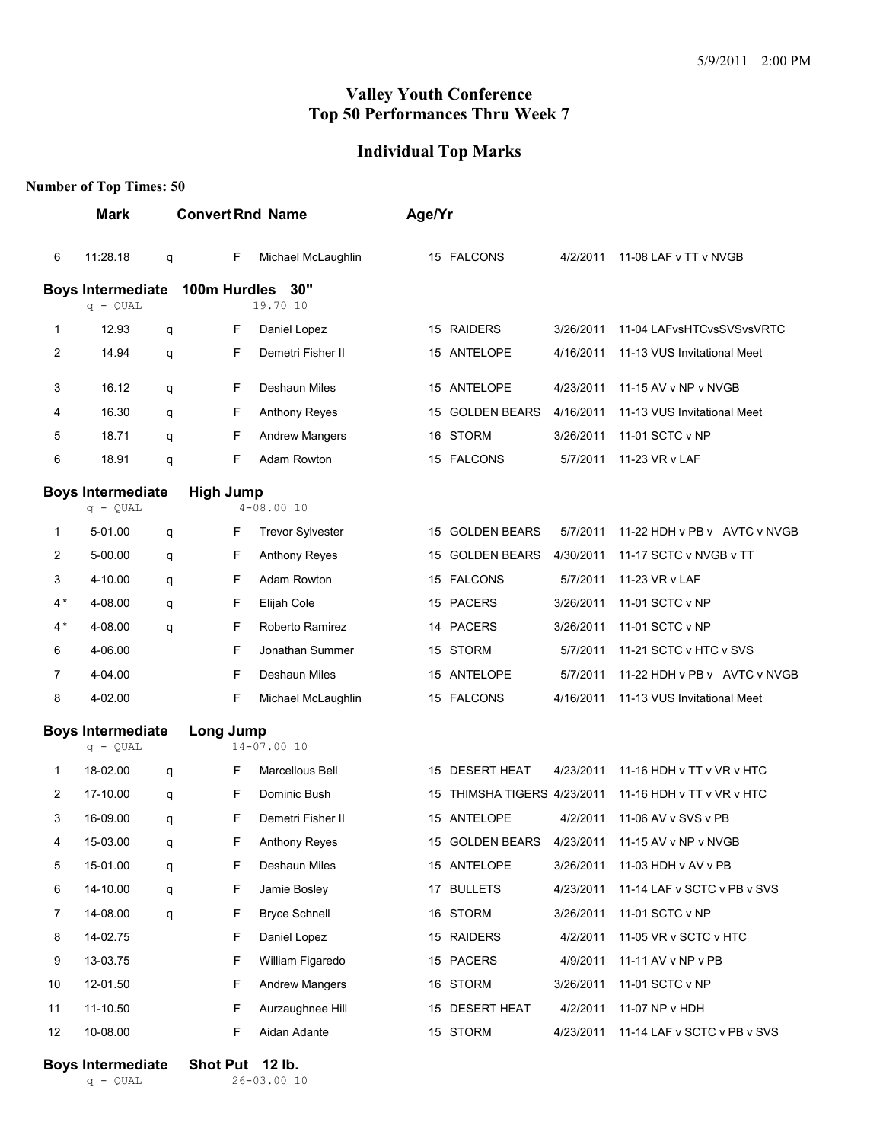#### **Individual Top Marks**

#### **Number of Top Times: 50**

| Mark |                                        |   | <b>Convert Rnd Name</b>         |                         |    | Age/Yr                   |           |                                                |
|------|----------------------------------------|---|---------------------------------|-------------------------|----|--------------------------|-----------|------------------------------------------------|
| 6    | 11:28.18                               | q | F                               | Michael McLaughlin      |    | 15 FALCONS               | 4/2/2011  | 11-08 LAF v TT v NVGB                          |
|      | <b>Boys Intermediate</b><br>$q - QUAL$ |   | 30"<br>100m Hurdles<br>19.70 10 |                         |    |                          |           |                                                |
| 1    | 12.93                                  | q | F                               | Daniel Lopez            |    | 15 RAIDERS               | 3/26/2011 | 11-04 LAFvsHTCvsSVSvsVRTC                      |
| 2    | 14.94                                  | q | F                               | Demetri Fisher II       |    | 15 ANTELOPE              | 4/16/2011 | 11-13 VUS Invitational Meet                    |
| 3    | 16.12                                  | q | F                               | Deshaun Miles           |    | 15 ANTELOPE              | 4/23/2011 | 11-15 AV v NP v NVGB                           |
| 4    | 16.30                                  | q | F                               | <b>Anthony Reyes</b>    | 15 | <b>GOLDEN BEARS</b>      | 4/16/2011 | 11-13 VUS Invitational Meet                    |
| 5    | 18.71                                  | q | F                               | <b>Andrew Mangers</b>   |    | 16 STORM                 | 3/26/2011 | 11-01 SCTC v NP                                |
| 6    | 18.91                                  | q | F                               | Adam Rowton             |    | 15 FALCONS               | 5/7/2011  | 11-23 VR v LAF                                 |
|      | <b>Boys Intermediate</b><br>$q - QUAL$ |   | <b>High Jump</b>                | $4 - 08.0010$           |    |                          |           |                                                |
| 1    | 5-01.00                                | q | F                               | <b>Trevor Sylvester</b> | 15 | <b>GOLDEN BEARS</b>      | 5/7/2011  | 11-22 HDH v PB v AVTC v NVGB                   |
| 2    | 5-00.00                                | q | F                               | <b>Anthony Reyes</b>    | 15 | <b>GOLDEN BEARS</b>      | 4/30/2011 | 11-17 SCTC v NVGB v TT                         |
| 3    | 4-10.00                                | q | F                               | Adam Rowton             |    | 15 FALCONS               | 5/7/2011  | 11-23 VR v LAF                                 |
| $4*$ | 4-08.00                                | q | F                               | Elijah Cole             |    | 15 PACERS                | 3/26/2011 | 11-01 SCTC v NP                                |
| $4*$ | 4-08.00                                | q | F                               | Roberto Ramirez         |    | 14 PACERS                | 3/26/2011 | 11-01 SCTC v NP                                |
| 6    | 4-06.00                                |   | F                               | Jonathan Summer         |    | 15 STORM                 | 5/7/2011  | 11-21 SCTC v HTC v SVS                         |
| 7    | 4-04.00                                |   | F                               | Deshaun Miles           |    | 15 ANTELOPE              | 5/7/2011  | 11-22 HDH v PB v AVTC v NVGB                   |
| 8    | 4-02.00                                |   | F                               | Michael McLaughlin      |    | 15 FALCONS               | 4/16/2011 | 11-13 VUS Invitational Meet                    |
|      | <b>Boys Intermediate</b><br>$q - QUAL$ |   | Long Jump<br>$14 - 07.0010$     |                         |    |                          |           |                                                |
| 1    | 18-02.00                               | q | F                               | Marcellous Bell         |    | 15 DESERT HEAT           | 4/23/2011 | 11-16 HDH v TT v VR v HTC                      |
| 2    | 17-10.00                               | q | F                               | Dominic Bush            | 15 | THIMSHA TIGERS 4/23/2011 |           | 11-16 HDH v TT v VR v HTC                      |
| 3    | 16-09.00                               | q | F                               | Demetri Fisher II       |    | 15 ANTELOPE              | 4/2/2011  | 11-06 AV v SVS v PB                            |
| 4    | 15-03.00                               | q | F                               | <b>Anthony Reves</b>    |    |                          |           | 15 GOLDEN BEARS 4/23/2011 11-15 AV v NP v NVGB |
| 5    | 15-01.00                               | q | F                               | Deshaun Miles           |    | 15 ANTELOPE              | 3/26/2011 | 11-03 HDH v AV v PB                            |
| 6    | 14-10.00                               | q | F                               | Jamie Bosley            |    | 17 BULLETS               | 4/23/2011 | 11-14 LAF v SCTC v PB v SVS                    |
| 7    | 14-08.00                               | q | F                               | <b>Bryce Schnell</b>    |    | 16 STORM                 | 3/26/2011 | 11-01 SCTC v NP                                |
| 8    | 14-02.75                               |   | F                               | Daniel Lopez            |    | 15 RAIDERS               | 4/2/2011  | 11-05 VR v SCTC v HTC                          |
| 9    | 13-03.75                               |   | F                               | William Figaredo        |    | 15 PACERS                | 4/9/2011  | 11-11 AV v NP v PB                             |
| 10   | 12-01.50                               |   | F                               | <b>Andrew Mangers</b>   |    | 16 STORM                 | 3/26/2011 | 11-01 SCTC v NP                                |
| 11   | 11-10.50                               |   | F                               | Aurzaughnee Hill        |    | 15 DESERT HEAT           | 4/2/2011  | 11-07 NP v HDH                                 |
| 12   | 10-08.00                               |   | F                               | Aidan Adante            |    | 15 STORM                 | 4/23/2011 | 11-14 LAF v SCTC v PB v SVS                    |

**Boys Intermediate** Shot Put 12 lb.<br>  $q = QUAL$  26-03.00 1  $26-03.00$  10